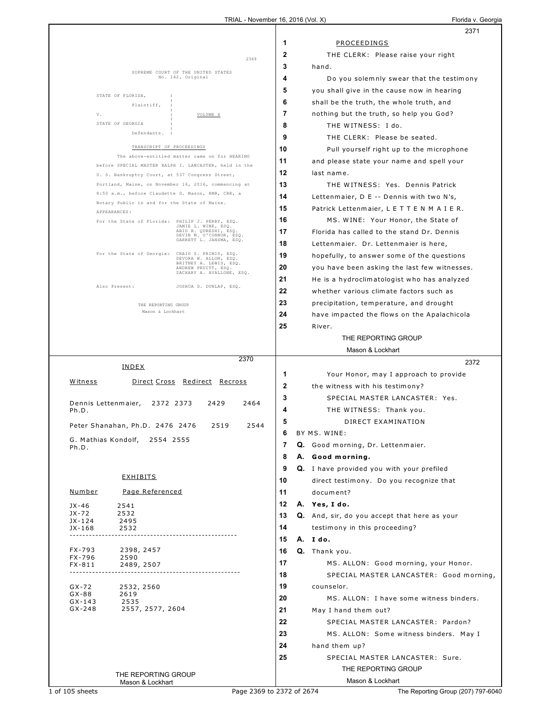|                                                                                                        | 2371                                               |
|--------------------------------------------------------------------------------------------------------|----------------------------------------------------|
|                                                                                                        | 1<br>PROCEEDINGS                                   |
| 2369                                                                                                   | 2<br>THE CLERK: Please raise your right            |
|                                                                                                        | 3<br>hand.                                         |
| SUPREME COURT OF THE UNITED STATES<br>No. 142, Original                                                | 4<br>Do you solemnly swear that the testimony      |
| STATE OF FLORIDA,                                                                                      | 5<br>you shall give in the cause now in hearing    |
| Plaintiff,                                                                                             | 6<br>shall be the truth, the whole truth, and      |
| V.<br>VOLUME X                                                                                         | 7<br>nothing but the truth, so help you God?       |
| STATE OF GEORGIA                                                                                       | 8<br>THE WITNESS: I do.                            |
| Defendants.                                                                                            | 9<br>THE CLERK: Please be seated.                  |
| TRANSCRIPT OF PROCEEDINGS                                                                              | 10<br>Pull yourself right up to the microphone     |
| The above-entitled matter came on for HEARING<br>before SPECIAL MASTER RALPH I. LANCASTER, held in the | 11<br>and please state your name and spell your    |
| U. S. Bankruptcy Court, at 537 Congress Street,                                                        | 12<br>last name.                                   |
| Portland, Maine, on November 16, 2016, commencing at                                                   | 13<br>THE WITNESS: Yes. Dennis Patrick             |
| 8:50 a.m., before Claudette G. Mason, RMR, CRR, a                                                      | 14<br>Lettenmaier, D E -- Dennis with two N's,     |
| Notary Public in and for the State of Maine.<br>APPEARANCES:                                           | 15<br>Patrick Lettenmaier, L E T T E N M A I E R.  |
| For the State of Florida: PHILIP J. PERRY, ESQ.                                                        | 16<br>MS. WINE: Your Honor, the State of           |
| JAMIE L. WINE, ESQ.<br>ABID R. QURESHI, ESQ.<br>DEVIN M. O'CONNOR, ESQ.                                | 17<br>Florida has called to the stand Dr. Dennis   |
| GARRETT L. JANSMA, ESQ.                                                                                | 18<br>Lettenmaier. Dr. Lettenmaier is here,        |
| For the State of Georgia: CRAIG S. PRIMIS, ESQ.<br>DEVORA W. ALLON, ESQ.                               | 19<br>hopefully, to answer some of the questions   |
| BRITNEY A. LEWIS, ESQ.<br>ANDREW PRUITT, ESQ.<br>ZACHARY A. AVALLONE, ESQ.                             | 20<br>you have been asking the last few witnesses. |
|                                                                                                        | 21<br>He is a hydroclimatologist who has analyzed  |
| Also Present:<br>JOSHUA D. DUNLAP, ESQ.                                                                | 22<br>whether various climate factors such as      |
| THE REPORTING GROUP                                                                                    | 23<br>precipitation, temperature, and drought      |
| Mason & Lockhart                                                                                       | 24<br>have impacted the flows on the Apalachicola  |
|                                                                                                        | 25<br>River.                                       |
|                                                                                                        | THE REPORTING GROUP                                |
|                                                                                                        | Mason & Lockhart                                   |
| 2370<br>INDEX                                                                                          | 2372                                               |
|                                                                                                        | 1<br>Your Honor, may I approach to provide         |
| Witness<br><u> Direct Cross</u><br>Redirect Recross                                                    | $\mathbf{2}$<br>the witness with his testimony?    |
| Dennis Lettenmaier,<br>2372 2373<br>2429<br>2464                                                       | 3<br>SPECIAL MASTER LANCASTER: Yes.                |
| Ph.D.                                                                                                  | 4<br>THE WITNESS: Thank you.                       |
| Peter Shanahan, Ph.D. 2476 2476<br>2519<br>2544                                                        | 5<br>DIRECT EXAMINATION                            |
| G. Mathias Kondolf,<br>2554 2555                                                                       | 6<br>BY MS. WINE:                                  |
| Ph.D.                                                                                                  | 7<br>Q. Good morning, Dr. Lettenmaier.             |
|                                                                                                        | 8<br>A. Good morning.                              |
|                                                                                                        | 9<br>Q. I have provided you with your prefiled     |
| <b>EXHIBITS</b>                                                                                        | 10<br>direct testimony. Do you recognize that      |
| Page Referenced<br><u>Number</u>                                                                       | 11<br>document?                                    |
| JX-46<br>2541                                                                                          | 12<br>A. Yes, I do.                                |
| JX-72<br>2532<br>JX-124<br>2495                                                                        | 13<br>Q. And, sir, do you accept that here as your |
| JX-168<br>2532                                                                                         | 14<br>testimony in this proceeding?                |
|                                                                                                        | 15<br>A. Ido.                                      |
| FX-793<br>2398, 2457<br>FX-796<br>2590                                                                 | 16<br>Q. Thank you.                                |
| FX-811<br>2489, 2507                                                                                   | 17<br>MS. ALLON: Good morning, your Honor.         |
|                                                                                                        | 18<br>SPECIAL MASTER LANCASTER: Good morning,      |
| GX-72<br>2532, 2560<br>$GX-88$<br>2619                                                                 | 19<br>counselor.                                   |
| $GX-143$<br>2535                                                                                       | 20<br>MS. ALLON: I have some witness binders.      |
| $GX-248$<br>2557, 2577, 2604                                                                           | 21<br>May I hand them out?                         |
|                                                                                                        | 22<br>SPECIAL MASTER LANCASTER: Pardon?            |
|                                                                                                        | 23<br>MS. ALLON: Some witness binders. May I       |
|                                                                                                        | 24<br>hand them up?                                |
|                                                                                                        | 25<br>SPECIAL MASTER LANCASTER: Sure.              |
| THE REPORTING GROUP                                                                                    | THE REPORTING GROUP                                |
| Mason & Lockhart                                                                                       | Mason & Lockhart                                   |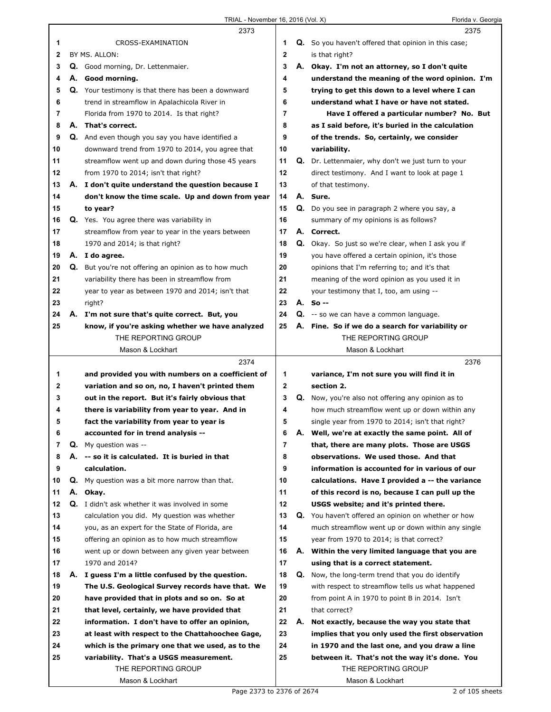|              |    | 2373                                                        |                |    | 2375                                                 |
|--------------|----|-------------------------------------------------------------|----------------|----|------------------------------------------------------|
| 1            |    | CROSS-EXAMINATION                                           | 1              |    | Q. So you haven't offered that opinion in this case; |
| $\mathbf{2}$ |    | BY MS. ALLON:                                               | $\mathbf 2$    |    | is that right?                                       |
| 3            |    | Q. Good morning, Dr. Lettenmaier.                           | 3              | А. | Okay. I'm not an attorney, so I don't quite          |
| 4            |    | A. Good morning.                                            | 4              |    | understand the meaning of the word opinion. I'm      |
| 5            |    | <b>Q.</b> Your testimony is that there has been a downward  | 5              |    | trying to get this down to a level where I can       |
|              |    |                                                             | 6              |    | understand what I have or have not stated.           |
| 6            |    | trend in streamflow in Apalachicola River in                |                |    |                                                      |
| 7            |    | Florida from 1970 to 2014. Is that right?                   | $\overline{7}$ |    | Have I offered a particular number? No. But          |
| 8            | А. | That's correct.                                             | 8              |    | as I said before, it's buried in the calculation     |
| 9            |    | Q. And even though you say you have identified a            | 9              |    | of the trends. So, certainly, we consider            |
| 10           |    | downward trend from 1970 to 2014, you agree that            | 10             |    | variability.                                         |
| 11           |    | streamflow went up and down during those 45 years           | 11             |    | Q. Dr. Lettenmaier, why don't we just turn to your   |
| 12           |    | from 1970 to 2014; isn't that right?                        | 12             |    | direct testimony. And I want to look at page 1       |
| 13           |    | A. I don't quite understand the question because I          | 13             |    | of that testimony.                                   |
| 14           |    | don't know the time scale. Up and down from year            | 14             |    | A. Sure.                                             |
| 15           |    | to year?                                                    | 15             |    | Q. Do you see in paragraph 2 where you say, a        |
| 16           |    | Q. Yes. You agree there was variability in                  | 16             |    | summary of my opinions is as follows?                |
| 17           |    | streamflow from year to year in the years between           | 17             |    | A. Correct.                                          |
| 18           |    | 1970 and 2014; is that right?                               | 18             |    | Q. Okay. So just so we're clear, when I ask you if   |
| 19           |    | A. I do agree.                                              | 19             |    | you have offered a certain opinion, it's those       |
| 20           |    | <b>Q.</b> But you're not offering an opinion as to how much | 20             |    | opinions that I'm referring to; and it's that        |
| 21           |    | variability there has been in streamflow from               | 21             |    | meaning of the word opinion as you used it in        |
| 22           |    |                                                             | 22             |    |                                                      |
|              |    | year to year as between 1970 and 2014; isn't that           |                |    | your testimony that I, too, am using --              |
| 23           |    | right?                                                      | 23             |    | A. So --                                             |
| 24           |    | A. I'm not sure that's quite correct. But, you              | 24             |    | <b>Q.</b> -- so we can have a common language.       |
| 25           |    | know, if you're asking whether we have analyzed             | 25             |    | A. Fine. So if we do a search for variability or     |
|              |    | THE REPORTING GROUP                                         |                |    | THE REPORTING GROUP                                  |
|              |    | Mason & Lockhart                                            |                |    | Mason & Lockhart                                     |
|              |    |                                                             |                |    |                                                      |
|              |    | 2374                                                        |                |    | 2376                                                 |
| 1            |    | and provided you with numbers on a coefficient of           | 1              |    | variance, I'm not sure you will find it in           |
| 2            |    | variation and so on, no, I haven't printed them             | $\mathbf{2}$   |    | section 2.                                           |
| 3            |    | out in the report. But it's fairly obvious that             | 3              |    | Q. Now, you're also not offering any opinion as to   |
| 4            |    | there is variability from year to year. And in              | 4              |    | how much streamflow went up or down within any       |
| 5            |    | fact the variability from year to year is                   | 5              |    | single year from 1970 to 2014; isn't that right?     |
| 6            |    | accounted for in trend analysis --                          | 6              | Α. | Well, we're at exactly the same point. All of        |
| 7            | Q. | My question was --                                          | 7              |    | that, there are many plots. Those are USGS           |
| 8            | А. | -- so it is calculated. It is buried in that                | 8              |    | observations. We used those. And that                |
| 9            |    | calculation.                                                | 9              |    | information is accounted for in various of our       |
| 10           | Q. | My question was a bit more narrow than that.                | 10             |    | calculations. Have I provided a -- the variance      |
| 11           | А. | Okay.                                                       | 11             |    | of this record is no, because I can pull up the      |
| 12           |    | Q. I didn't ask whether it was involved in some             | 12             |    | USGS website; and it's printed there.                |
| 13           |    |                                                             | 13             | Q. | You haven't offered an opinion on whether or how     |
|              |    | calculation you did. My question was whether                |                |    |                                                      |
| 14           |    | you, as an expert for the State of Florida, are             | 14             |    | much streamflow went up or down within any single    |
| 15           |    | offering an opinion as to how much streamflow               | 15             |    | year from 1970 to 2014; is that correct?             |
| 16           |    | went up or down between any given year between              | 16             |    | A. Within the very limited language that you are     |
| 17           |    | 1970 and 2014?                                              | 17             |    | using that is a correct statement.                   |
| 18           |    | A. I guess I'm a little confused by the question.           | 18             | Q. | Now, the long-term trend that you do identify        |
| 19           |    | The U.S. Geological Survey records have that. We            | 19             |    | with respect to streamflow tells us what happened    |
| 20           |    | have provided that in plots and so on. So at                | 20             |    | from point A in 1970 to point B in 2014. Isn't       |
| 21           |    | that level, certainly, we have provided that                | 21             |    | that correct?                                        |
| 22           |    | information. I don't have to offer an opinion,              | 22             | А. | Not exactly, because the way you state that          |
| 23           |    | at least with respect to the Chattahoochee Gage,            | 23             |    | implies that you only used the first observation     |
| 24           |    | which is the primary one that we used, as to the            | 24             |    | in 1970 and the last one, and you draw a line        |
| 25           |    | variability. That's a USGS measurement.                     | 25             |    | between it. That's not the way it's done. You        |
|              |    | THE REPORTING GROUP                                         |                |    | THE REPORTING GROUP                                  |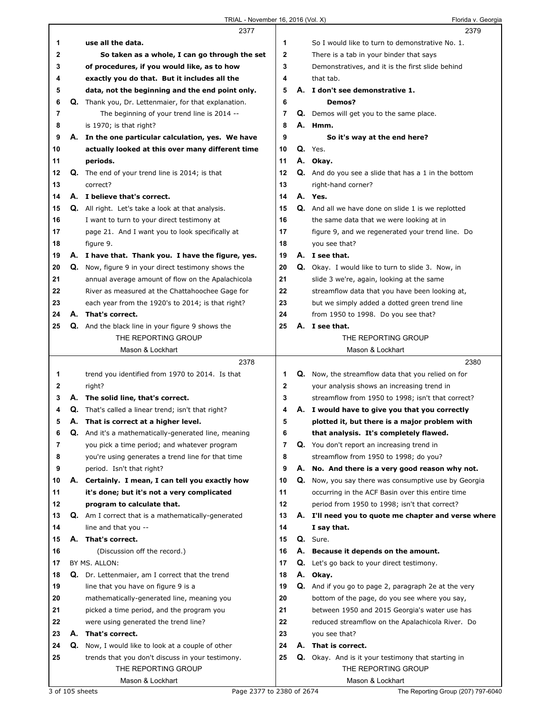| use all the data.<br>1<br>So I would like to turn to demonstrative No. 1.<br>1<br>$\mathbf 2$<br>2<br>So taken as a whole, I can go through the set<br>There is a tab in your binder that says<br>3<br>3<br>of procedures, if you would like, as to how<br>Demonstratives, and it is the first slide behind<br>exactly you do that. But it includes all the<br>4<br>that tab.<br>4<br>A. I don't see demonstrative 1.<br>data, not the beginning and the end point only.<br>5<br>5<br>6<br>Q. Thank you, Dr. Lettenmaier, for that explanation.<br>6<br>Demos?<br>7<br>The beginning of your trend line is 2014 --<br>Q. Demos will get you to the same place.<br>7<br>8<br>A. Hmm.<br>8<br>is 1970; is that right?<br>9<br>9<br>A. In the one particular calculation, yes. We have<br>So it's way at the end here?<br>Q. Yes.<br>10<br>actually looked at this over many different time<br>10<br>periods.<br>11<br>A. Okay.<br>11<br>12<br>12<br>Q. The end of your trend line is 2014; is that<br><b>Q.</b> And do you see a slide that has a 1 in the bottom<br>13<br>13<br>correct?<br>right-hand corner?<br>A. I believe that's correct.<br>A. Yes.<br>14<br>14<br>15<br><b>Q.</b> All right. Let's take a look at that analysis.<br>15<br>Q. And all we have done on slide 1 is we replotted<br>16<br>16<br>I want to turn to your direct testimony at<br>the same data that we were looking at in<br>17<br>page 21. And I want you to look specifically at<br>17<br>figure 9, and we regenerated your trend line. Do<br>figure 9.<br>18<br>you see that?<br>18<br>A. I have that. Thank you. I have the figure, yes.<br>19<br>A. I see that.<br>19<br>20<br>20<br><b>Q.</b> Now, figure 9 in your direct testimony shows the<br>Q. Okay. I would like to turn to slide 3. Now, in<br>21<br>21<br>annual average amount of flow on the Apalachicola<br>slide 3 we're, again, looking at the same<br>22<br>22<br>River as measured at the Chattahoochee Gage for<br>streamflow data that you have been looking at,<br>each year from the 1920's to 2014; is that right?<br>23<br>but we simply added a dotted green trend line<br>23<br>A. That's correct.<br>24<br>24<br>from 1950 to 1998. Do you see that?<br>25<br>25<br>A. I see that.<br><b>Q.</b> And the black line in your figure 9 shows the<br>THE REPORTING GROUP<br>THE REPORTING GROUP<br>Mason & Lockhart<br>Mason & Lockhart<br>2378<br>2380<br>trend you identified from 1970 to 2014. Is that<br>Q. Now, the streamflow data that you relied on for<br>1<br>1<br>$\mathbf{2}$<br>2<br>your analysis shows an increasing trend in<br>right?<br>3<br>A. The solid line, that's correct.<br>3<br>streamflow from 1950 to 1998; isn't that correct?<br>Q.<br>That's called a linear trend; isn't that right?<br>A. I would have to give you that you correctly<br>4<br>4<br>5<br>5<br>А.<br>That is correct at a higher level.<br>plotted it, but there is a major problem with<br>6<br>6<br>Q. And it's a mathematically-generated line, meaning<br>that analysis. It's completely flawed.<br>7<br>7<br>you pick a time period; and whatever program<br>Q. You don't report an increasing trend in<br>8<br>streamflow from 1950 to 1998; do you?<br>8<br>you're using generates a trend line for that time<br>9<br>9<br>A. No. And there is a very good reason why not.<br>period. Isn't that right?<br>10<br>10<br>Certainly. I mean, I can tell you exactly how<br><b>Q.</b> Now, you say there was consumptive use by Georgia<br>Α.<br>11<br>occurring in the ACF Basin over this entire time<br>11<br>it's done; but it's not a very complicated<br>12<br>12<br>program to calculate that.<br>period from 1950 to 1998; isn't that correct?<br>13<br>13<br><b>Q.</b> Am I correct that is a mathematically-generated<br>A. I'll need you to quote me chapter and verse where<br>14<br>line and that you --<br>I say that.<br>14<br>A. That's correct.<br>15<br>Q. Sure.<br>15<br>(Discussion off the record.)<br>16<br>A. Because it depends on the amount.<br>16 |
|-------------------------------------------------------------------------------------------------------------------------------------------------------------------------------------------------------------------------------------------------------------------------------------------------------------------------------------------------------------------------------------------------------------------------------------------------------------------------------------------------------------------------------------------------------------------------------------------------------------------------------------------------------------------------------------------------------------------------------------------------------------------------------------------------------------------------------------------------------------------------------------------------------------------------------------------------------------------------------------------------------------------------------------------------------------------------------------------------------------------------------------------------------------------------------------------------------------------------------------------------------------------------------------------------------------------------------------------------------------------------------------------------------------------------------------------------------------------------------------------------------------------------------------------------------------------------------------------------------------------------------------------------------------------------------------------------------------------------------------------------------------------------------------------------------------------------------------------------------------------------------------------------------------------------------------------------------------------------------------------------------------------------------------------------------------------------------------------------------------------------------------------------------------------------------------------------------------------------------------------------------------------------------------------------------------------------------------------------------------------------------------------------------------------------------------------------------------------------------------------------------------------------------------------------------------------------------------------------------------------------------------------------------------------------------------------------------------------------------------------------------------------------------------------------------------------------------------------------------------------------------------------------------------------------------------------------------------------------------------------------------------------------------------------------------------------------------------------------------------------------------------------------------------------------------------------------------------------------------------------------------------------------------------------------------------------------------------------------------------------------------------------------------------------------------------------------------------------------------------------------------------------------------------------------------------------------------------------------------------------------------------------------------------------------------------------------------------------------------------------------------------------------------------------------------------------------------------------------------------------------------------------------------------------------------------------------------------------------------------------------------------------------------------------|
|                                                                                                                                                                                                                                                                                                                                                                                                                                                                                                                                                                                                                                                                                                                                                                                                                                                                                                                                                                                                                                                                                                                                                                                                                                                                                                                                                                                                                                                                                                                                                                                                                                                                                                                                                                                                                                                                                                                                                                                                                                                                                                                                                                                                                                                                                                                                                                                                                                                                                                                                                                                                                                                                                                                                                                                                                                                                                                                                                                                                                                                                                                                                                                                                                                                                                                                                                                                                                                                                                                                                                                                                                                                                                                                                                                                                                                                                                                                                                                                                                                           |
|                                                                                                                                                                                                                                                                                                                                                                                                                                                                                                                                                                                                                                                                                                                                                                                                                                                                                                                                                                                                                                                                                                                                                                                                                                                                                                                                                                                                                                                                                                                                                                                                                                                                                                                                                                                                                                                                                                                                                                                                                                                                                                                                                                                                                                                                                                                                                                                                                                                                                                                                                                                                                                                                                                                                                                                                                                                                                                                                                                                                                                                                                                                                                                                                                                                                                                                                                                                                                                                                                                                                                                                                                                                                                                                                                                                                                                                                                                                                                                                                                                           |
|                                                                                                                                                                                                                                                                                                                                                                                                                                                                                                                                                                                                                                                                                                                                                                                                                                                                                                                                                                                                                                                                                                                                                                                                                                                                                                                                                                                                                                                                                                                                                                                                                                                                                                                                                                                                                                                                                                                                                                                                                                                                                                                                                                                                                                                                                                                                                                                                                                                                                                                                                                                                                                                                                                                                                                                                                                                                                                                                                                                                                                                                                                                                                                                                                                                                                                                                                                                                                                                                                                                                                                                                                                                                                                                                                                                                                                                                                                                                                                                                                                           |
|                                                                                                                                                                                                                                                                                                                                                                                                                                                                                                                                                                                                                                                                                                                                                                                                                                                                                                                                                                                                                                                                                                                                                                                                                                                                                                                                                                                                                                                                                                                                                                                                                                                                                                                                                                                                                                                                                                                                                                                                                                                                                                                                                                                                                                                                                                                                                                                                                                                                                                                                                                                                                                                                                                                                                                                                                                                                                                                                                                                                                                                                                                                                                                                                                                                                                                                                                                                                                                                                                                                                                                                                                                                                                                                                                                                                                                                                                                                                                                                                                                           |
|                                                                                                                                                                                                                                                                                                                                                                                                                                                                                                                                                                                                                                                                                                                                                                                                                                                                                                                                                                                                                                                                                                                                                                                                                                                                                                                                                                                                                                                                                                                                                                                                                                                                                                                                                                                                                                                                                                                                                                                                                                                                                                                                                                                                                                                                                                                                                                                                                                                                                                                                                                                                                                                                                                                                                                                                                                                                                                                                                                                                                                                                                                                                                                                                                                                                                                                                                                                                                                                                                                                                                                                                                                                                                                                                                                                                                                                                                                                                                                                                                                           |
|                                                                                                                                                                                                                                                                                                                                                                                                                                                                                                                                                                                                                                                                                                                                                                                                                                                                                                                                                                                                                                                                                                                                                                                                                                                                                                                                                                                                                                                                                                                                                                                                                                                                                                                                                                                                                                                                                                                                                                                                                                                                                                                                                                                                                                                                                                                                                                                                                                                                                                                                                                                                                                                                                                                                                                                                                                                                                                                                                                                                                                                                                                                                                                                                                                                                                                                                                                                                                                                                                                                                                                                                                                                                                                                                                                                                                                                                                                                                                                                                                                           |
|                                                                                                                                                                                                                                                                                                                                                                                                                                                                                                                                                                                                                                                                                                                                                                                                                                                                                                                                                                                                                                                                                                                                                                                                                                                                                                                                                                                                                                                                                                                                                                                                                                                                                                                                                                                                                                                                                                                                                                                                                                                                                                                                                                                                                                                                                                                                                                                                                                                                                                                                                                                                                                                                                                                                                                                                                                                                                                                                                                                                                                                                                                                                                                                                                                                                                                                                                                                                                                                                                                                                                                                                                                                                                                                                                                                                                                                                                                                                                                                                                                           |
|                                                                                                                                                                                                                                                                                                                                                                                                                                                                                                                                                                                                                                                                                                                                                                                                                                                                                                                                                                                                                                                                                                                                                                                                                                                                                                                                                                                                                                                                                                                                                                                                                                                                                                                                                                                                                                                                                                                                                                                                                                                                                                                                                                                                                                                                                                                                                                                                                                                                                                                                                                                                                                                                                                                                                                                                                                                                                                                                                                                                                                                                                                                                                                                                                                                                                                                                                                                                                                                                                                                                                                                                                                                                                                                                                                                                                                                                                                                                                                                                                                           |
|                                                                                                                                                                                                                                                                                                                                                                                                                                                                                                                                                                                                                                                                                                                                                                                                                                                                                                                                                                                                                                                                                                                                                                                                                                                                                                                                                                                                                                                                                                                                                                                                                                                                                                                                                                                                                                                                                                                                                                                                                                                                                                                                                                                                                                                                                                                                                                                                                                                                                                                                                                                                                                                                                                                                                                                                                                                                                                                                                                                                                                                                                                                                                                                                                                                                                                                                                                                                                                                                                                                                                                                                                                                                                                                                                                                                                                                                                                                                                                                                                                           |
|                                                                                                                                                                                                                                                                                                                                                                                                                                                                                                                                                                                                                                                                                                                                                                                                                                                                                                                                                                                                                                                                                                                                                                                                                                                                                                                                                                                                                                                                                                                                                                                                                                                                                                                                                                                                                                                                                                                                                                                                                                                                                                                                                                                                                                                                                                                                                                                                                                                                                                                                                                                                                                                                                                                                                                                                                                                                                                                                                                                                                                                                                                                                                                                                                                                                                                                                                                                                                                                                                                                                                                                                                                                                                                                                                                                                                                                                                                                                                                                                                                           |
|                                                                                                                                                                                                                                                                                                                                                                                                                                                                                                                                                                                                                                                                                                                                                                                                                                                                                                                                                                                                                                                                                                                                                                                                                                                                                                                                                                                                                                                                                                                                                                                                                                                                                                                                                                                                                                                                                                                                                                                                                                                                                                                                                                                                                                                                                                                                                                                                                                                                                                                                                                                                                                                                                                                                                                                                                                                                                                                                                                                                                                                                                                                                                                                                                                                                                                                                                                                                                                                                                                                                                                                                                                                                                                                                                                                                                                                                                                                                                                                                                                           |
|                                                                                                                                                                                                                                                                                                                                                                                                                                                                                                                                                                                                                                                                                                                                                                                                                                                                                                                                                                                                                                                                                                                                                                                                                                                                                                                                                                                                                                                                                                                                                                                                                                                                                                                                                                                                                                                                                                                                                                                                                                                                                                                                                                                                                                                                                                                                                                                                                                                                                                                                                                                                                                                                                                                                                                                                                                                                                                                                                                                                                                                                                                                                                                                                                                                                                                                                                                                                                                                                                                                                                                                                                                                                                                                                                                                                                                                                                                                                                                                                                                           |
|                                                                                                                                                                                                                                                                                                                                                                                                                                                                                                                                                                                                                                                                                                                                                                                                                                                                                                                                                                                                                                                                                                                                                                                                                                                                                                                                                                                                                                                                                                                                                                                                                                                                                                                                                                                                                                                                                                                                                                                                                                                                                                                                                                                                                                                                                                                                                                                                                                                                                                                                                                                                                                                                                                                                                                                                                                                                                                                                                                                                                                                                                                                                                                                                                                                                                                                                                                                                                                                                                                                                                                                                                                                                                                                                                                                                                                                                                                                                                                                                                                           |
|                                                                                                                                                                                                                                                                                                                                                                                                                                                                                                                                                                                                                                                                                                                                                                                                                                                                                                                                                                                                                                                                                                                                                                                                                                                                                                                                                                                                                                                                                                                                                                                                                                                                                                                                                                                                                                                                                                                                                                                                                                                                                                                                                                                                                                                                                                                                                                                                                                                                                                                                                                                                                                                                                                                                                                                                                                                                                                                                                                                                                                                                                                                                                                                                                                                                                                                                                                                                                                                                                                                                                                                                                                                                                                                                                                                                                                                                                                                                                                                                                                           |
|                                                                                                                                                                                                                                                                                                                                                                                                                                                                                                                                                                                                                                                                                                                                                                                                                                                                                                                                                                                                                                                                                                                                                                                                                                                                                                                                                                                                                                                                                                                                                                                                                                                                                                                                                                                                                                                                                                                                                                                                                                                                                                                                                                                                                                                                                                                                                                                                                                                                                                                                                                                                                                                                                                                                                                                                                                                                                                                                                                                                                                                                                                                                                                                                                                                                                                                                                                                                                                                                                                                                                                                                                                                                                                                                                                                                                                                                                                                                                                                                                                           |
|                                                                                                                                                                                                                                                                                                                                                                                                                                                                                                                                                                                                                                                                                                                                                                                                                                                                                                                                                                                                                                                                                                                                                                                                                                                                                                                                                                                                                                                                                                                                                                                                                                                                                                                                                                                                                                                                                                                                                                                                                                                                                                                                                                                                                                                                                                                                                                                                                                                                                                                                                                                                                                                                                                                                                                                                                                                                                                                                                                                                                                                                                                                                                                                                                                                                                                                                                                                                                                                                                                                                                                                                                                                                                                                                                                                                                                                                                                                                                                                                                                           |
|                                                                                                                                                                                                                                                                                                                                                                                                                                                                                                                                                                                                                                                                                                                                                                                                                                                                                                                                                                                                                                                                                                                                                                                                                                                                                                                                                                                                                                                                                                                                                                                                                                                                                                                                                                                                                                                                                                                                                                                                                                                                                                                                                                                                                                                                                                                                                                                                                                                                                                                                                                                                                                                                                                                                                                                                                                                                                                                                                                                                                                                                                                                                                                                                                                                                                                                                                                                                                                                                                                                                                                                                                                                                                                                                                                                                                                                                                                                                                                                                                                           |
|                                                                                                                                                                                                                                                                                                                                                                                                                                                                                                                                                                                                                                                                                                                                                                                                                                                                                                                                                                                                                                                                                                                                                                                                                                                                                                                                                                                                                                                                                                                                                                                                                                                                                                                                                                                                                                                                                                                                                                                                                                                                                                                                                                                                                                                                                                                                                                                                                                                                                                                                                                                                                                                                                                                                                                                                                                                                                                                                                                                                                                                                                                                                                                                                                                                                                                                                                                                                                                                                                                                                                                                                                                                                                                                                                                                                                                                                                                                                                                                                                                           |
|                                                                                                                                                                                                                                                                                                                                                                                                                                                                                                                                                                                                                                                                                                                                                                                                                                                                                                                                                                                                                                                                                                                                                                                                                                                                                                                                                                                                                                                                                                                                                                                                                                                                                                                                                                                                                                                                                                                                                                                                                                                                                                                                                                                                                                                                                                                                                                                                                                                                                                                                                                                                                                                                                                                                                                                                                                                                                                                                                                                                                                                                                                                                                                                                                                                                                                                                                                                                                                                                                                                                                                                                                                                                                                                                                                                                                                                                                                                                                                                                                                           |
|                                                                                                                                                                                                                                                                                                                                                                                                                                                                                                                                                                                                                                                                                                                                                                                                                                                                                                                                                                                                                                                                                                                                                                                                                                                                                                                                                                                                                                                                                                                                                                                                                                                                                                                                                                                                                                                                                                                                                                                                                                                                                                                                                                                                                                                                                                                                                                                                                                                                                                                                                                                                                                                                                                                                                                                                                                                                                                                                                                                                                                                                                                                                                                                                                                                                                                                                                                                                                                                                                                                                                                                                                                                                                                                                                                                                                                                                                                                                                                                                                                           |
|                                                                                                                                                                                                                                                                                                                                                                                                                                                                                                                                                                                                                                                                                                                                                                                                                                                                                                                                                                                                                                                                                                                                                                                                                                                                                                                                                                                                                                                                                                                                                                                                                                                                                                                                                                                                                                                                                                                                                                                                                                                                                                                                                                                                                                                                                                                                                                                                                                                                                                                                                                                                                                                                                                                                                                                                                                                                                                                                                                                                                                                                                                                                                                                                                                                                                                                                                                                                                                                                                                                                                                                                                                                                                                                                                                                                                                                                                                                                                                                                                                           |
|                                                                                                                                                                                                                                                                                                                                                                                                                                                                                                                                                                                                                                                                                                                                                                                                                                                                                                                                                                                                                                                                                                                                                                                                                                                                                                                                                                                                                                                                                                                                                                                                                                                                                                                                                                                                                                                                                                                                                                                                                                                                                                                                                                                                                                                                                                                                                                                                                                                                                                                                                                                                                                                                                                                                                                                                                                                                                                                                                                                                                                                                                                                                                                                                                                                                                                                                                                                                                                                                                                                                                                                                                                                                                                                                                                                                                                                                                                                                                                                                                                           |
|                                                                                                                                                                                                                                                                                                                                                                                                                                                                                                                                                                                                                                                                                                                                                                                                                                                                                                                                                                                                                                                                                                                                                                                                                                                                                                                                                                                                                                                                                                                                                                                                                                                                                                                                                                                                                                                                                                                                                                                                                                                                                                                                                                                                                                                                                                                                                                                                                                                                                                                                                                                                                                                                                                                                                                                                                                                                                                                                                                                                                                                                                                                                                                                                                                                                                                                                                                                                                                                                                                                                                                                                                                                                                                                                                                                                                                                                                                                                                                                                                                           |
|                                                                                                                                                                                                                                                                                                                                                                                                                                                                                                                                                                                                                                                                                                                                                                                                                                                                                                                                                                                                                                                                                                                                                                                                                                                                                                                                                                                                                                                                                                                                                                                                                                                                                                                                                                                                                                                                                                                                                                                                                                                                                                                                                                                                                                                                                                                                                                                                                                                                                                                                                                                                                                                                                                                                                                                                                                                                                                                                                                                                                                                                                                                                                                                                                                                                                                                                                                                                                                                                                                                                                                                                                                                                                                                                                                                                                                                                                                                                                                                                                                           |
|                                                                                                                                                                                                                                                                                                                                                                                                                                                                                                                                                                                                                                                                                                                                                                                                                                                                                                                                                                                                                                                                                                                                                                                                                                                                                                                                                                                                                                                                                                                                                                                                                                                                                                                                                                                                                                                                                                                                                                                                                                                                                                                                                                                                                                                                                                                                                                                                                                                                                                                                                                                                                                                                                                                                                                                                                                                                                                                                                                                                                                                                                                                                                                                                                                                                                                                                                                                                                                                                                                                                                                                                                                                                                                                                                                                                                                                                                                                                                                                                                                           |
|                                                                                                                                                                                                                                                                                                                                                                                                                                                                                                                                                                                                                                                                                                                                                                                                                                                                                                                                                                                                                                                                                                                                                                                                                                                                                                                                                                                                                                                                                                                                                                                                                                                                                                                                                                                                                                                                                                                                                                                                                                                                                                                                                                                                                                                                                                                                                                                                                                                                                                                                                                                                                                                                                                                                                                                                                                                                                                                                                                                                                                                                                                                                                                                                                                                                                                                                                                                                                                                                                                                                                                                                                                                                                                                                                                                                                                                                                                                                                                                                                                           |
|                                                                                                                                                                                                                                                                                                                                                                                                                                                                                                                                                                                                                                                                                                                                                                                                                                                                                                                                                                                                                                                                                                                                                                                                                                                                                                                                                                                                                                                                                                                                                                                                                                                                                                                                                                                                                                                                                                                                                                                                                                                                                                                                                                                                                                                                                                                                                                                                                                                                                                                                                                                                                                                                                                                                                                                                                                                                                                                                                                                                                                                                                                                                                                                                                                                                                                                                                                                                                                                                                                                                                                                                                                                                                                                                                                                                                                                                                                                                                                                                                                           |
|                                                                                                                                                                                                                                                                                                                                                                                                                                                                                                                                                                                                                                                                                                                                                                                                                                                                                                                                                                                                                                                                                                                                                                                                                                                                                                                                                                                                                                                                                                                                                                                                                                                                                                                                                                                                                                                                                                                                                                                                                                                                                                                                                                                                                                                                                                                                                                                                                                                                                                                                                                                                                                                                                                                                                                                                                                                                                                                                                                                                                                                                                                                                                                                                                                                                                                                                                                                                                                                                                                                                                                                                                                                                                                                                                                                                                                                                                                                                                                                                                                           |
|                                                                                                                                                                                                                                                                                                                                                                                                                                                                                                                                                                                                                                                                                                                                                                                                                                                                                                                                                                                                                                                                                                                                                                                                                                                                                                                                                                                                                                                                                                                                                                                                                                                                                                                                                                                                                                                                                                                                                                                                                                                                                                                                                                                                                                                                                                                                                                                                                                                                                                                                                                                                                                                                                                                                                                                                                                                                                                                                                                                                                                                                                                                                                                                                                                                                                                                                                                                                                                                                                                                                                                                                                                                                                                                                                                                                                                                                                                                                                                                                                                           |
|                                                                                                                                                                                                                                                                                                                                                                                                                                                                                                                                                                                                                                                                                                                                                                                                                                                                                                                                                                                                                                                                                                                                                                                                                                                                                                                                                                                                                                                                                                                                                                                                                                                                                                                                                                                                                                                                                                                                                                                                                                                                                                                                                                                                                                                                                                                                                                                                                                                                                                                                                                                                                                                                                                                                                                                                                                                                                                                                                                                                                                                                                                                                                                                                                                                                                                                                                                                                                                                                                                                                                                                                                                                                                                                                                                                                                                                                                                                                                                                                                                           |
|                                                                                                                                                                                                                                                                                                                                                                                                                                                                                                                                                                                                                                                                                                                                                                                                                                                                                                                                                                                                                                                                                                                                                                                                                                                                                                                                                                                                                                                                                                                                                                                                                                                                                                                                                                                                                                                                                                                                                                                                                                                                                                                                                                                                                                                                                                                                                                                                                                                                                                                                                                                                                                                                                                                                                                                                                                                                                                                                                                                                                                                                                                                                                                                                                                                                                                                                                                                                                                                                                                                                                                                                                                                                                                                                                                                                                                                                                                                                                                                                                                           |
|                                                                                                                                                                                                                                                                                                                                                                                                                                                                                                                                                                                                                                                                                                                                                                                                                                                                                                                                                                                                                                                                                                                                                                                                                                                                                                                                                                                                                                                                                                                                                                                                                                                                                                                                                                                                                                                                                                                                                                                                                                                                                                                                                                                                                                                                                                                                                                                                                                                                                                                                                                                                                                                                                                                                                                                                                                                                                                                                                                                                                                                                                                                                                                                                                                                                                                                                                                                                                                                                                                                                                                                                                                                                                                                                                                                                                                                                                                                                                                                                                                           |
|                                                                                                                                                                                                                                                                                                                                                                                                                                                                                                                                                                                                                                                                                                                                                                                                                                                                                                                                                                                                                                                                                                                                                                                                                                                                                                                                                                                                                                                                                                                                                                                                                                                                                                                                                                                                                                                                                                                                                                                                                                                                                                                                                                                                                                                                                                                                                                                                                                                                                                                                                                                                                                                                                                                                                                                                                                                                                                                                                                                                                                                                                                                                                                                                                                                                                                                                                                                                                                                                                                                                                                                                                                                                                                                                                                                                                                                                                                                                                                                                                                           |
|                                                                                                                                                                                                                                                                                                                                                                                                                                                                                                                                                                                                                                                                                                                                                                                                                                                                                                                                                                                                                                                                                                                                                                                                                                                                                                                                                                                                                                                                                                                                                                                                                                                                                                                                                                                                                                                                                                                                                                                                                                                                                                                                                                                                                                                                                                                                                                                                                                                                                                                                                                                                                                                                                                                                                                                                                                                                                                                                                                                                                                                                                                                                                                                                                                                                                                                                                                                                                                                                                                                                                                                                                                                                                                                                                                                                                                                                                                                                                                                                                                           |
|                                                                                                                                                                                                                                                                                                                                                                                                                                                                                                                                                                                                                                                                                                                                                                                                                                                                                                                                                                                                                                                                                                                                                                                                                                                                                                                                                                                                                                                                                                                                                                                                                                                                                                                                                                                                                                                                                                                                                                                                                                                                                                                                                                                                                                                                                                                                                                                                                                                                                                                                                                                                                                                                                                                                                                                                                                                                                                                                                                                                                                                                                                                                                                                                                                                                                                                                                                                                                                                                                                                                                                                                                                                                                                                                                                                                                                                                                                                                                                                                                                           |
|                                                                                                                                                                                                                                                                                                                                                                                                                                                                                                                                                                                                                                                                                                                                                                                                                                                                                                                                                                                                                                                                                                                                                                                                                                                                                                                                                                                                                                                                                                                                                                                                                                                                                                                                                                                                                                                                                                                                                                                                                                                                                                                                                                                                                                                                                                                                                                                                                                                                                                                                                                                                                                                                                                                                                                                                                                                                                                                                                                                                                                                                                                                                                                                                                                                                                                                                                                                                                                                                                                                                                                                                                                                                                                                                                                                                                                                                                                                                                                                                                                           |
|                                                                                                                                                                                                                                                                                                                                                                                                                                                                                                                                                                                                                                                                                                                                                                                                                                                                                                                                                                                                                                                                                                                                                                                                                                                                                                                                                                                                                                                                                                                                                                                                                                                                                                                                                                                                                                                                                                                                                                                                                                                                                                                                                                                                                                                                                                                                                                                                                                                                                                                                                                                                                                                                                                                                                                                                                                                                                                                                                                                                                                                                                                                                                                                                                                                                                                                                                                                                                                                                                                                                                                                                                                                                                                                                                                                                                                                                                                                                                                                                                                           |
|                                                                                                                                                                                                                                                                                                                                                                                                                                                                                                                                                                                                                                                                                                                                                                                                                                                                                                                                                                                                                                                                                                                                                                                                                                                                                                                                                                                                                                                                                                                                                                                                                                                                                                                                                                                                                                                                                                                                                                                                                                                                                                                                                                                                                                                                                                                                                                                                                                                                                                                                                                                                                                                                                                                                                                                                                                                                                                                                                                                                                                                                                                                                                                                                                                                                                                                                                                                                                                                                                                                                                                                                                                                                                                                                                                                                                                                                                                                                                                                                                                           |
|                                                                                                                                                                                                                                                                                                                                                                                                                                                                                                                                                                                                                                                                                                                                                                                                                                                                                                                                                                                                                                                                                                                                                                                                                                                                                                                                                                                                                                                                                                                                                                                                                                                                                                                                                                                                                                                                                                                                                                                                                                                                                                                                                                                                                                                                                                                                                                                                                                                                                                                                                                                                                                                                                                                                                                                                                                                                                                                                                                                                                                                                                                                                                                                                                                                                                                                                                                                                                                                                                                                                                                                                                                                                                                                                                                                                                                                                                                                                                                                                                                           |
|                                                                                                                                                                                                                                                                                                                                                                                                                                                                                                                                                                                                                                                                                                                                                                                                                                                                                                                                                                                                                                                                                                                                                                                                                                                                                                                                                                                                                                                                                                                                                                                                                                                                                                                                                                                                                                                                                                                                                                                                                                                                                                                                                                                                                                                                                                                                                                                                                                                                                                                                                                                                                                                                                                                                                                                                                                                                                                                                                                                                                                                                                                                                                                                                                                                                                                                                                                                                                                                                                                                                                                                                                                                                                                                                                                                                                                                                                                                                                                                                                                           |
|                                                                                                                                                                                                                                                                                                                                                                                                                                                                                                                                                                                                                                                                                                                                                                                                                                                                                                                                                                                                                                                                                                                                                                                                                                                                                                                                                                                                                                                                                                                                                                                                                                                                                                                                                                                                                                                                                                                                                                                                                                                                                                                                                                                                                                                                                                                                                                                                                                                                                                                                                                                                                                                                                                                                                                                                                                                                                                                                                                                                                                                                                                                                                                                                                                                                                                                                                                                                                                                                                                                                                                                                                                                                                                                                                                                                                                                                                                                                                                                                                                           |
|                                                                                                                                                                                                                                                                                                                                                                                                                                                                                                                                                                                                                                                                                                                                                                                                                                                                                                                                                                                                                                                                                                                                                                                                                                                                                                                                                                                                                                                                                                                                                                                                                                                                                                                                                                                                                                                                                                                                                                                                                                                                                                                                                                                                                                                                                                                                                                                                                                                                                                                                                                                                                                                                                                                                                                                                                                                                                                                                                                                                                                                                                                                                                                                                                                                                                                                                                                                                                                                                                                                                                                                                                                                                                                                                                                                                                                                                                                                                                                                                                                           |
|                                                                                                                                                                                                                                                                                                                                                                                                                                                                                                                                                                                                                                                                                                                                                                                                                                                                                                                                                                                                                                                                                                                                                                                                                                                                                                                                                                                                                                                                                                                                                                                                                                                                                                                                                                                                                                                                                                                                                                                                                                                                                                                                                                                                                                                                                                                                                                                                                                                                                                                                                                                                                                                                                                                                                                                                                                                                                                                                                                                                                                                                                                                                                                                                                                                                                                                                                                                                                                                                                                                                                                                                                                                                                                                                                                                                                                                                                                                                                                                                                                           |
|                                                                                                                                                                                                                                                                                                                                                                                                                                                                                                                                                                                                                                                                                                                                                                                                                                                                                                                                                                                                                                                                                                                                                                                                                                                                                                                                                                                                                                                                                                                                                                                                                                                                                                                                                                                                                                                                                                                                                                                                                                                                                                                                                                                                                                                                                                                                                                                                                                                                                                                                                                                                                                                                                                                                                                                                                                                                                                                                                                                                                                                                                                                                                                                                                                                                                                                                                                                                                                                                                                                                                                                                                                                                                                                                                                                                                                                                                                                                                                                                                                           |
| BY MS. ALLON:<br>17<br>Q. Let's go back to your direct testimony.<br>17                                                                                                                                                                                                                                                                                                                                                                                                                                                                                                                                                                                                                                                                                                                                                                                                                                                                                                                                                                                                                                                                                                                                                                                                                                                                                                                                                                                                                                                                                                                                                                                                                                                                                                                                                                                                                                                                                                                                                                                                                                                                                                                                                                                                                                                                                                                                                                                                                                                                                                                                                                                                                                                                                                                                                                                                                                                                                                                                                                                                                                                                                                                                                                                                                                                                                                                                                                                                                                                                                                                                                                                                                                                                                                                                                                                                                                                                                                                                                                   |
| 18<br>А.<br>Okay.<br>18<br><b>Q.</b> Dr. Lettenmaier, am I correct that the trend                                                                                                                                                                                                                                                                                                                                                                                                                                                                                                                                                                                                                                                                                                                                                                                                                                                                                                                                                                                                                                                                                                                                                                                                                                                                                                                                                                                                                                                                                                                                                                                                                                                                                                                                                                                                                                                                                                                                                                                                                                                                                                                                                                                                                                                                                                                                                                                                                                                                                                                                                                                                                                                                                                                                                                                                                                                                                                                                                                                                                                                                                                                                                                                                                                                                                                                                                                                                                                                                                                                                                                                                                                                                                                                                                                                                                                                                                                                                                         |
| 19<br>Q. And if you go to page 2, paragraph 2e at the very<br>19<br>line that you have on figure 9 is a                                                                                                                                                                                                                                                                                                                                                                                                                                                                                                                                                                                                                                                                                                                                                                                                                                                                                                                                                                                                                                                                                                                                                                                                                                                                                                                                                                                                                                                                                                                                                                                                                                                                                                                                                                                                                                                                                                                                                                                                                                                                                                                                                                                                                                                                                                                                                                                                                                                                                                                                                                                                                                                                                                                                                                                                                                                                                                                                                                                                                                                                                                                                                                                                                                                                                                                                                                                                                                                                                                                                                                                                                                                                                                                                                                                                                                                                                                                                   |
| 20<br>mathematically-generated line, meaning you<br>20<br>bottom of the page, do you see where you say,                                                                                                                                                                                                                                                                                                                                                                                                                                                                                                                                                                                                                                                                                                                                                                                                                                                                                                                                                                                                                                                                                                                                                                                                                                                                                                                                                                                                                                                                                                                                                                                                                                                                                                                                                                                                                                                                                                                                                                                                                                                                                                                                                                                                                                                                                                                                                                                                                                                                                                                                                                                                                                                                                                                                                                                                                                                                                                                                                                                                                                                                                                                                                                                                                                                                                                                                                                                                                                                                                                                                                                                                                                                                                                                                                                                                                                                                                                                                   |
| 21<br>21<br>picked a time period, and the program you<br>between 1950 and 2015 Georgia's water use has                                                                                                                                                                                                                                                                                                                                                                                                                                                                                                                                                                                                                                                                                                                                                                                                                                                                                                                                                                                                                                                                                                                                                                                                                                                                                                                                                                                                                                                                                                                                                                                                                                                                                                                                                                                                                                                                                                                                                                                                                                                                                                                                                                                                                                                                                                                                                                                                                                                                                                                                                                                                                                                                                                                                                                                                                                                                                                                                                                                                                                                                                                                                                                                                                                                                                                                                                                                                                                                                                                                                                                                                                                                                                                                                                                                                                                                                                                                                    |
| 22<br>22<br>reduced streamflow on the Apalachicola River. Do<br>were using generated the trend line?                                                                                                                                                                                                                                                                                                                                                                                                                                                                                                                                                                                                                                                                                                                                                                                                                                                                                                                                                                                                                                                                                                                                                                                                                                                                                                                                                                                                                                                                                                                                                                                                                                                                                                                                                                                                                                                                                                                                                                                                                                                                                                                                                                                                                                                                                                                                                                                                                                                                                                                                                                                                                                                                                                                                                                                                                                                                                                                                                                                                                                                                                                                                                                                                                                                                                                                                                                                                                                                                                                                                                                                                                                                                                                                                                                                                                                                                                                                                      |
| That's correct.<br>23<br>23<br>А.<br>you see that?                                                                                                                                                                                                                                                                                                                                                                                                                                                                                                                                                                                                                                                                                                                                                                                                                                                                                                                                                                                                                                                                                                                                                                                                                                                                                                                                                                                                                                                                                                                                                                                                                                                                                                                                                                                                                                                                                                                                                                                                                                                                                                                                                                                                                                                                                                                                                                                                                                                                                                                                                                                                                                                                                                                                                                                                                                                                                                                                                                                                                                                                                                                                                                                                                                                                                                                                                                                                                                                                                                                                                                                                                                                                                                                                                                                                                                                                                                                                                                                        |
| A. That is correct.<br>24<br><b>Q.</b> Now, I would like to look at a couple of other<br>24                                                                                                                                                                                                                                                                                                                                                                                                                                                                                                                                                                                                                                                                                                                                                                                                                                                                                                                                                                                                                                                                                                                                                                                                                                                                                                                                                                                                                                                                                                                                                                                                                                                                                                                                                                                                                                                                                                                                                                                                                                                                                                                                                                                                                                                                                                                                                                                                                                                                                                                                                                                                                                                                                                                                                                                                                                                                                                                                                                                                                                                                                                                                                                                                                                                                                                                                                                                                                                                                                                                                                                                                                                                                                                                                                                                                                                                                                                                                               |
|                                                                                                                                                                                                                                                                                                                                                                                                                                                                                                                                                                                                                                                                                                                                                                                                                                                                                                                                                                                                                                                                                                                                                                                                                                                                                                                                                                                                                                                                                                                                                                                                                                                                                                                                                                                                                                                                                                                                                                                                                                                                                                                                                                                                                                                                                                                                                                                                                                                                                                                                                                                                                                                                                                                                                                                                                                                                                                                                                                                                                                                                                                                                                                                                                                                                                                                                                                                                                                                                                                                                                                                                                                                                                                                                                                                                                                                                                                                                                                                                                                           |
|                                                                                                                                                                                                                                                                                                                                                                                                                                                                                                                                                                                                                                                                                                                                                                                                                                                                                                                                                                                                                                                                                                                                                                                                                                                                                                                                                                                                                                                                                                                                                                                                                                                                                                                                                                                                                                                                                                                                                                                                                                                                                                                                                                                                                                                                                                                                                                                                                                                                                                                                                                                                                                                                                                                                                                                                                                                                                                                                                                                                                                                                                                                                                                                                                                                                                                                                                                                                                                                                                                                                                                                                                                                                                                                                                                                                                                                                                                                                                                                                                                           |
| 25<br>trends that you don't discuss in your testimony.<br>25<br>Q. Okay. And is it your testimony that starting in<br>THE REPORTING GROUP<br>THE REPORTING GROUP                                                                                                                                                                                                                                                                                                                                                                                                                                                                                                                                                                                                                                                                                                                                                                                                                                                                                                                                                                                                                                                                                                                                                                                                                                                                                                                                                                                                                                                                                                                                                                                                                                                                                                                                                                                                                                                                                                                                                                                                                                                                                                                                                                                                                                                                                                                                                                                                                                                                                                                                                                                                                                                                                                                                                                                                                                                                                                                                                                                                                                                                                                                                                                                                                                                                                                                                                                                                                                                                                                                                                                                                                                                                                                                                                                                                                                                                          |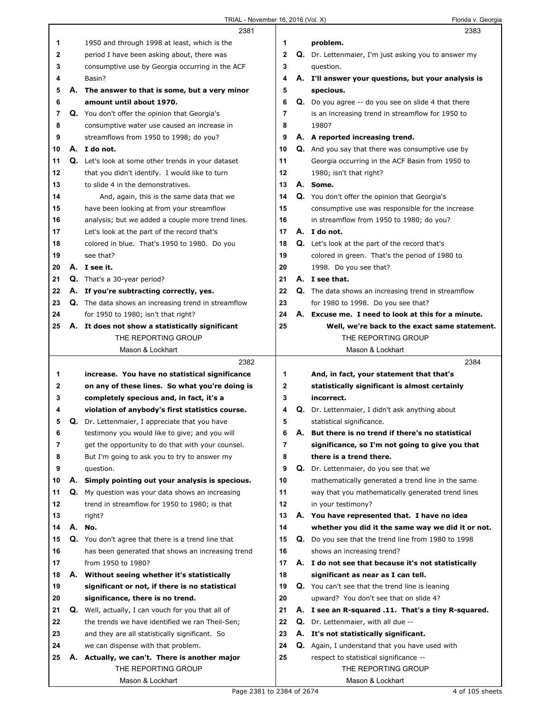|    |    | 2381                                                       |              |    | 2383                                                        |
|----|----|------------------------------------------------------------|--------------|----|-------------------------------------------------------------|
| 1  |    | 1950 and through 1998 at least, which is the               | 1            |    | problem.                                                    |
| 2  |    | period I have been asking about, there was                 | 2            |    | Q. Dr. Lettenmaier, I'm just asking you to answer my        |
| 3  |    | consumptive use by Georgia occurring in the ACF            | 3            |    | question.                                                   |
| 4  |    | Basin?                                                     | 4            |    | A. I'll answer your questions, but your analysis is         |
| 5  | А. | The answer to that is some, but a very minor               | 5            |    | specious.                                                   |
| 6  |    | amount until about 1970.                                   | 6            |    | <b>Q.</b> Do you agree -- do you see on slide 4 that there  |
| 7  |    | Q. You don't offer the opinion that Georgia's              | 7            |    | is an increasing trend in streamflow for 1950 to            |
| 8  |    | consumptive water use caused an increase in                | 8            |    | 1980?                                                       |
| 9  |    | streamflows from 1950 to 1998; do you?                     | 9            |    | A. A reported increasing trend.                             |
| 10 |    | A. I do not.                                               | 10           |    | <b>Q.</b> And you say that there was consumptive use by     |
| 11 |    | <b>Q.</b> Let's look at some other trends in your dataset  | 11           |    | Georgia occurring in the ACF Basin from 1950 to             |
| 12 |    | that you didn't identify. I would like to turn             | 12           |    | 1980; isn't that right?                                     |
| 13 |    | to slide 4 in the demonstratives.                          | 13           |    | A. Some.                                                    |
| 14 |    | And, again, this is the same data that we                  | 14           |    | Q. You don't offer the opinion that Georgia's               |
| 15 |    | have been looking at from your streamflow                  | 15           |    | consumptive use was responsible for the increase            |
| 16 |    | analysis; but we added a couple more trend lines.          | 16           |    | in streamflow from 1950 to 1980; do you?                    |
| 17 |    | Let's look at the part of the record that's                | 17           |    | A. I do not.                                                |
| 18 |    | colored in blue. That's 1950 to 1980. Do you               | 18           |    | <b>Q.</b> Let's look at the part of the record that's       |
| 19 |    | see that?                                                  | 19           |    | colored in green. That's the period of 1980 to              |
| 20 |    | A. I see it.                                               | 20           |    | 1998. Do you see that?                                      |
| 21 |    | Q. That's a 30-year period?                                | 21           |    | A. I see that.                                              |
| 22 |    | A. If you're subtracting correctly, yes.                   | 22           |    | <b>Q.</b> The data shows an increasing trend in streamflow  |
| 23 |    | <b>Q.</b> The data shows an increasing trend in streamflow | 23           |    | for 1980 to 1998. Do you see that?                          |
| 24 |    | for 1950 to 1980; isn't that right?                        | 24           |    | A. Excuse me. I need to look at this for a minute.          |
| 25 |    | A. It does not show a statistically significant            | 25           |    | Well, we're back to the exact same statement.               |
|    |    | THE REPORTING GROUP                                        |              |    | THE REPORTING GROUP                                         |
|    |    | Mason & Lockhart                                           |              |    | Mason & Lockhart                                            |
|    |    |                                                            |              |    |                                                             |
|    |    | 2382                                                       |              |    | 2384                                                        |
| 1  |    | increase. You have no statistical significance             | 1            |    | And, in fact, your statement that that's                    |
| 2  |    | on any of these lines. So what you're doing is             | $\mathbf{2}$ |    |                                                             |
| 3  |    | completely specious and, in fact, it's a                   | 3            |    | statistically significant is almost certainly<br>incorrect. |
| 4  |    | violation of anybody's first statistics course.            | 4            |    | Q. Dr. Lettenmaier, I didn't ask anything about             |
| 5  | Q. | Dr. Lettenmaier, I appreciate that you have                | 5            |    | statistical significance.                                   |
| 6  |    | testimony you would like to give; and you will             | 6            | Α. | But there is no trend if there's no statistical             |
| 7  |    | get the opportunity to do that with your counsel.          | 7            |    | significance, so I'm not going to give you that             |
| 8  |    | But I'm going to ask you to try to answer my               | 8            |    | there is a trend there.                                     |
| 9  |    | question.                                                  | 9            |    | Q. Dr. Lettenmaier, do you see that we                      |
| 10 |    | A. Simply pointing out your analysis is specious.          | 10           |    | mathematically generated a trend line in the same           |
| 11 |    | Q. My question was your data shows an increasing           | 11           |    | way that you mathematically generated trend lines           |
| 12 |    | trend in streamflow for 1950 to 1980; is that              | 12           |    | in your testimony?                                          |
| 13 |    | right?                                                     | 13           |    | A. You have represented that. I have no idea                |
| 14 | А. | No.                                                        | 14           |    | whether you did it the same way we did it or not.           |
| 15 |    | Q. You don't agree that there is a trend line that         | 15           |    | Q. Do you see that the trend line from 1980 to 1998         |
| 16 |    | has been generated that shows an increasing trend          | 16           |    | shows an increasing trend?                                  |
| 17 |    | from 1950 to 1980?                                         | 17           |    | A. I do not see that because it's not statistically         |
| 18 |    | A. Without seeing whether it's statistically               | 18           |    | significant as near as I can tell.                          |
| 19 |    | significant or not, if there is no statistical             | 19           |    | Q. You can't see that the trend line is leaning             |
| 20 |    | significance, there is no trend.                           | 20           |    | upward? You don't see that on slide 4?                      |
| 21 |    | Q. Well, actually, I can vouch for you that all of         | 21           |    | A. I see an R-squared .11. That's a tiny R-squared.         |
| 22 |    | the trends we have identified we ran Theil-Sen;            | 22           |    | Q. Dr. Lettenmaier, with all due --                         |
| 23 |    | and they are all statistically significant. So             | 23           |    | A. It's not statistically significant.                      |
| 24 |    | we can dispense with that problem.                         | 24           |    | <b>Q.</b> Again, I understand that you have used with       |
| 25 | Α. | Actually, we can't. There is another major                 | 25           |    | respect to statistical significance --                      |
|    |    | THE REPORTING GROUP                                        |              |    | THE REPORTING GROUP                                         |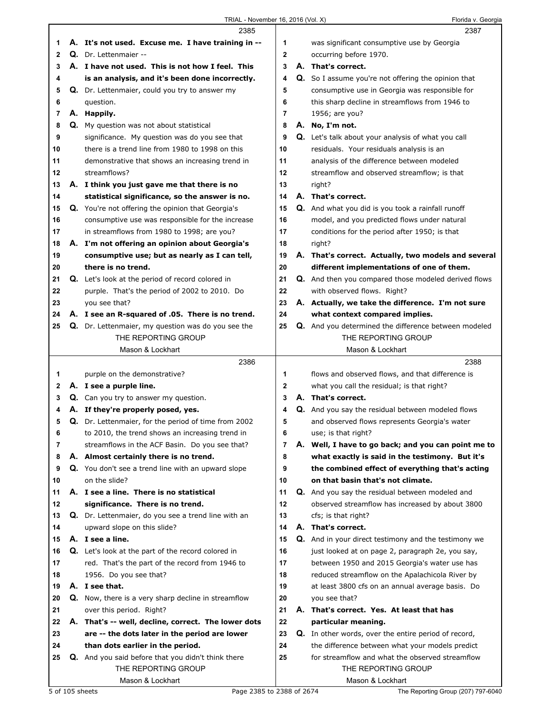|          | 2385                                                       |    | 2387                                                        |
|----------|------------------------------------------------------------|----|-------------------------------------------------------------|
| 1        | A. It's not used. Excuse me. I have training in --         | 1  | was significant consumptive use by Georgia                  |
| 2        | Q. Dr. Lettenmaier --                                      | 2  | occurring before 1970.                                      |
| 3        | A. I have not used. This is not how I feel. This           | 3  | A. That's correct.                                          |
| 4        | is an analysis, and it's been done incorrectly.            | 4  | Q. So I assume you're not offering the opinion that         |
| 5        | Q. Dr. Lettenmaier, could you try to answer my             | 5  | consumptive use in Georgia was responsible for              |
| 6        | question.                                                  | 6  | this sharp decline in streamflows from 1946 to              |
| 7        | A. Happily.                                                | 7  | 1956; are you?                                              |
| 8        | Q. My question was not about statistical                   | 8  | A. No, I'm not.                                             |
| 9        | significance. My question was do you see that              | 9  | Q. Let's talk about your analysis of what you call          |
| 10       | there is a trend line from 1980 to 1998 on this            | 10 | residuals. Your residuals analysis is an                    |
| 11       | demonstrative that shows an increasing trend in            | 11 | analysis of the difference between modeled                  |
| 12       | streamflows?                                               | 12 | streamflow and observed streamflow; is that                 |
| 13       | A. I think you just gave me that there is no               | 13 | right?                                                      |
| 14       | statistical significance, so the answer is no.             | 14 | A. That's correct.                                          |
| 15       | Q. You're not offering the opinion that Georgia's          | 15 | Q. And what you did is you took a rainfall runoff           |
| 16       | consumptive use was responsible for the increase           | 16 | model, and you predicted flows under natural                |
| 17       | in streamflows from 1980 to 1998; are you?                 | 17 | conditions for the period after 1950; is that               |
| 18       | A. I'm not offering an opinion about Georgia's             | 18 | right?                                                      |
| 19       | consumptive use; but as nearly as I can tell,              | 19 | A. That's correct. Actually, two models and several         |
| 20       | there is no trend.                                         | 20 | different implementations of one of them.                   |
|          |                                                            | 21 |                                                             |
| 21<br>22 | Q. Let's look at the period of record colored in           | 22 | Q. And then you compared those modeled derived flows        |
|          | purple. That's the period of 2002 to 2010. Do              |    | with observed flows. Right?                                 |
| 23       | you see that?                                              | 23 | A. Actually, we take the difference. I'm not sure           |
| 24       | A. I see an R-squared of .05. There is no trend.           | 24 | what context compared implies.                              |
| 25       | Q. Dr. Lettenmaier, my question was do you see the         | 25 | Q. And you determined the difference between modeled        |
|          | THE REPORTING GROUP                                        |    | THE REPORTING GROUP                                         |
|          | Mason & Lockhart                                           |    | Mason & Lockhart                                            |
|          |                                                            |    |                                                             |
|          | 2386                                                       |    | 2388                                                        |
| 1        | purple on the demonstrative?                               | 1  | flows and observed flows, and that difference is            |
| 2        | A. I see a purple line.                                    | 2  | what you call the residual; is that right?                  |
| 3        | Q. Can you try to answer my question.                      | 3  | A. That's correct.                                          |
| 4        | A. If they're properly posed, yes.                         | 4  | Q. And you say the residual between modeled flows           |
| 5        | Q. Dr. Lettenmaier, for the period of time from 2002       | 5  | and observed flows represents Georgia's water               |
| 6        | to 2010, the trend shows an increasing trend in            | 6  | use; is that right?                                         |
| 7        | streamflows in the ACF Basin. Do you see that?             | 7  | A. Well, I have to go back; and you can point me to         |
| 8        | A. Almost certainly there is no trend.                     | 8  | what exactly is said in the testimony. But it's             |
| 9        | Q. You don't see a trend line with an upward slope         | 9  | the combined effect of everything that's acting             |
| 10       | on the slide?                                              | 10 | on that basin that's not climate.                           |
| 11       | A. I see a line. There is no statistical                   | 11 | Q. And you say the residual between modeled and             |
| 12       | significance. There is no trend.                           | 12 | observed streamflow has increased by about 3800             |
| 13       | Q. Dr. Lettenmaier, do you see a trend line with an        | 13 | cfs; is that right?                                         |
| 14       | upward slope on this slide?                                | 14 | A. That's correct.                                          |
| 15       | A. I see a line.                                           | 15 | <b>Q.</b> And in your direct testimony and the testimony we |
| 16       | Q. Let's look at the part of the record colored in         | 16 | just looked at on page 2, paragraph 2e, you say,            |
| 17       | red. That's the part of the record from 1946 to            | 17 | between 1950 and 2015 Georgia's water use has               |
| 18       | 1956. Do you see that?                                     | 18 | reduced streamflow on the Apalachicola River by             |
| 19       | A. I see that.                                             | 19 | at least 3800 cfs on an annual average basis. Do            |
| 20       | <b>Q.</b> Now, there is a very sharp decline in streamflow | 20 | you see that?                                               |
| 21       | over this period. Right?                                   | 21 | A. That's correct. Yes. At least that has                   |
| 22       | A. That's -- well, decline, correct. The lower dots        | 22 | particular meaning.                                         |
| 23       | are -- the dots later in the period are lower              | 23 | Q. In other words, over the entire period of record,        |
| 24       | than dots earlier in the period.                           | 24 | the difference between what your models predict             |
| 25       | Q. And you said before that you didn't think there         | 25 | for streamflow and what the observed streamflow             |
|          | THE REPORTING GROUP                                        |    | THE REPORTING GROUP                                         |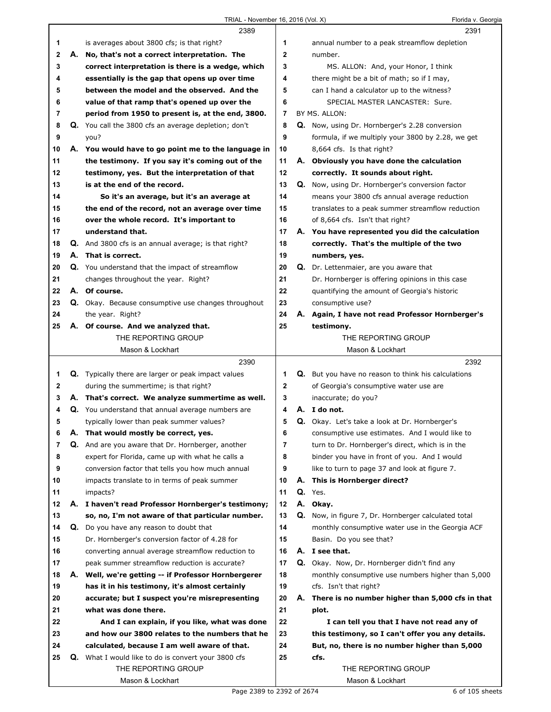|    |    | 2389                                                       |    | 2391                                                 |
|----|----|------------------------------------------------------------|----|------------------------------------------------------|
| 1  |    | is averages about 3800 cfs; is that right?                 | 1  | annual number to a peak streamflow depletion         |
| 2  | А. | No, that's not a correct interpretation. The               | 2  | number.                                              |
| 3  |    | correct interpretation is there is a wedge, which          | 3  | MS. ALLON: And, your Honor, I think                  |
| 4  |    | essentially is the gap that opens up over time             | 4  | there might be a bit of math; so if I may,           |
| 5  |    | between the model and the observed. And the                | 5  | can I hand a calculator up to the witness?           |
| 6  |    | value of that ramp that's opened up over the               | 6  | SPECIAL MASTER LANCASTER: Sure.                      |
| 7  |    | period from 1950 to present is, at the end, 3800.          | 7  | BY MS. ALLON:                                        |
| 8  |    | Q. You call the 3800 cfs an average depletion; don't       | 8  | Q. Now, using Dr. Hornberger's 2.28 conversion       |
| 9  |    | you?                                                       | 9  | formula, if we multiply your 3800 by 2.28, we get    |
| 10 |    | A. You would have to go point me to the language in        | 10 | 8,664 cfs. Is that right?                            |
| 11 |    | the testimony. If you say it's coming out of the           | 11 | A. Obviously you have done the calculation           |
| 12 |    | testimony, yes. But the interpretation of that             | 12 | correctly. It sounds about right.                    |
| 13 |    | is at the end of the record.                               | 13 | Q. Now, using Dr. Hornberger's conversion factor     |
| 14 |    | So it's an average, but it's an average at                 | 14 | means your 3800 cfs annual average reduction         |
| 15 |    | the end of the record, not an average over time            | 15 | translates to a peak summer streamflow reduction     |
| 16 |    | over the whole record. It's important to                   | 16 | of 8,664 cfs. Isn't that right?                      |
| 17 |    | understand that.                                           | 17 | A. You have represented you did the calculation      |
| 18 |    | Q. And 3800 cfs is an annual average; is that right?       | 18 | correctly. That's the multiple of the two            |
| 19 |    | A. That is correct.                                        | 19 | numbers, yes.                                        |
| 20 |    | Q. You understand that the impact of streamflow            | 20 | Q. Dr. Lettenmaier, are you aware that               |
| 21 |    | changes throughout the year. Right?                        | 21 | Dr. Hornberger is offering opinions in this case     |
| 22 |    | A. Of course.                                              | 22 | quantifying the amount of Georgia's historic         |
| 23 |    | Q. Okay. Because consumptive use changes throughout        | 23 | consumptive use?                                     |
| 24 |    | the year. Right?                                           | 24 | A. Again, I have not read Professor Hornberger's     |
| 25 |    | A. Of course. And we analyzed that.                        | 25 | testimony.                                           |
|    |    | THE REPORTING GROUP                                        |    | THE REPORTING GROUP                                  |
|    |    | Mason & Lockhart                                           |    | Mason & Lockhart                                     |
|    |    |                                                            |    |                                                      |
|    |    | 2390                                                       |    | 2392                                                 |
| 1  |    | <b>Q.</b> Typically there are larger or peak impact values | 1  | Q. But you have no reason to think his calculations  |
| 2  |    | during the summertime; is that right?                      | 2  | of Georgia's consumptive water use are               |
| 3  |    | A. That's correct. We analyze summertime as well.          | 3  | inaccurate; do you?                                  |
| 4  |    | Q. You understand that annual average numbers are          | 4  | A. I do not.                                         |
| 5  |    | typically lower than peak summer values?                   | 5  | Q. Okay. Let's take a look at Dr. Hornberger's       |
| 6  | Α. | That would mostly be correct, yes.                         | 6  | consumptive use estimates. And I would like to       |
| 7  |    | Q. And are you aware that Dr. Hornberger, another          | 7  | turn to Dr. Hornberger's direct, which is in the     |
| 8  |    | expert for Florida, came up with what he calls a           | 8  | binder you have in front of you. And I would         |
| 9  |    | conversion factor that tells you how much annual           | 9  | like to turn to page 37 and look at figure 7.        |
| 10 |    | impacts translate to in terms of peak summer               | 10 | A. This is Hornberger direct?                        |
| 11 |    | impacts?                                                   | 11 | Q. Yes.                                              |
| 12 | А. | I haven't read Professor Hornberger's testimony;           | 12 | A. Okay.                                             |
| 13 |    | so, no, I'm not aware of that particular number.           | 13 | Q. Now, in figure 7, Dr. Hornberger calculated total |
| 14 |    | Q. Do you have any reason to doubt that                    | 14 | monthly consumptive water use in the Georgia ACF     |
| 15 |    | Dr. Hornberger's conversion factor of 4.28 for             | 15 | Basin. Do you see that?                              |
| 16 |    | converting annual average streamflow reduction to          | 16 | A. I see that.                                       |
| 17 |    | peak summer streamflow reduction is accurate?              | 17 | Q. Okay. Now, Dr. Hornberger didn't find any         |
| 18 |    | A. Well, we're getting -- if Professor Hornbergerer        | 18 | monthly consumptive use numbers higher than 5,000    |
| 19 |    | has it in his testimony, it's almost certainly             | 19 | cfs. Isn't that right?                               |
| 20 |    | accurate; but I suspect you're misrepresenting             | 20 | A. There is no number higher than 5,000 cfs in that  |
| 21 |    | what was done there.                                       | 21 | plot.                                                |
| 22 |    | And I can explain, if you like, what was done              | 22 | I can tell you that I have not read any of           |
| 23 |    | and how our 3800 relates to the numbers that he            | 23 | this testimony, so I can't offer you any details.    |
| 24 |    | calculated, because I am well aware of that.               | 24 | But, no, there is no number higher than 5,000        |
| 25 |    | Q. What I would like to do is convert your 3800 cfs        | 25 | cfs.                                                 |
|    |    | THE REPORTING GROUP<br>Mason & Lockhart                    |    | THE REPORTING GROUP<br>Mason & Lockhart              |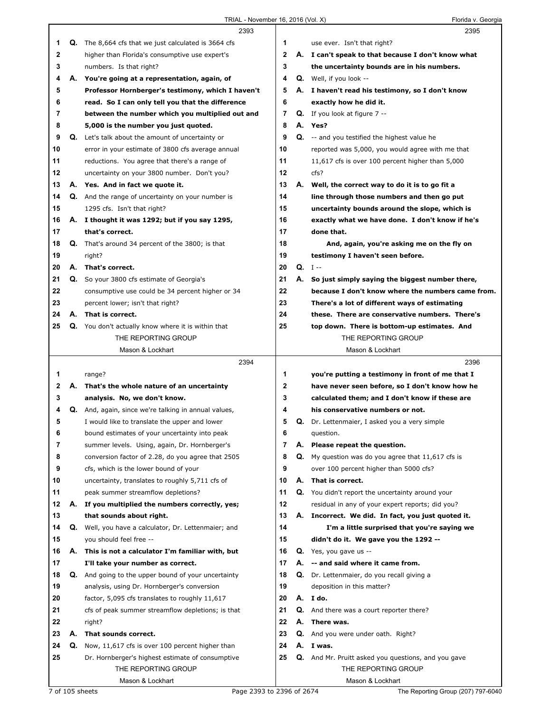|    |    | 2393                                                        |    |    | 2395                                                       |
|----|----|-------------------------------------------------------------|----|----|------------------------------------------------------------|
| 1  |    | <b>Q.</b> The 8,664 cfs that we just calculated is 3664 cfs | 1  |    | use ever. Isn't that right?                                |
| 2  |    | higher than Florida's consumptive use expert's              | 2  |    | A. I can't speak to that because I don't know what         |
| 3  |    | numbers. Is that right?                                     | 3  |    | the uncertainty bounds are in his numbers.                 |
| 4  | А. | You're going at a representation, again, of                 | 4  |    | <b>Q.</b> Well, if you look --                             |
| 5  |    | Professor Hornberger's testimony, which I haven't           | 5  |    | A. I haven't read his testimony, so I don't know           |
| 6  |    | read. So I can only tell you that the difference            | 6  |    | exactly how he did it.                                     |
| 7  |    | between the number which you multiplied out and             | 7  |    | <b>Q.</b> If you look at figure $7 -$                      |
| 8  |    | 5,000 is the number you just quoted.                        | 8  |    | A. Yes?                                                    |
| 9  |    | Q. Let's talk about the amount of uncertainty or            | 9  |    | <b>Q.</b> -- and you testified the highest value he        |
| 10 |    | error in your estimate of 3800 cfs average annual           | 10 |    | reported was 5,000, you would agree with me that           |
| 11 |    | reductions. You agree that there's a range of               | 11 |    | 11,617 cfs is over 100 percent higher than 5,000           |
| 12 |    | uncertainty on your 3800 number. Don't you?                 | 12 |    | cfs?                                                       |
| 13 |    | A. Yes. And in fact we quote it.                            | 13 |    | A. Well, the correct way to do it is to go fit a           |
| 14 |    | Q. And the range of uncertainty on your number is           | 14 |    | line through those numbers and then go put                 |
| 15 |    | 1295 cfs. Isn't that right?                                 | 15 |    | uncertainty bounds around the slope, which is              |
| 16 |    | A. I thought it was 1292; but if you say 1295,              | 16 |    | exactly what we have done. I don't know if he's            |
| 17 |    | that's correct.                                             | 17 |    | done that.                                                 |
| 18 |    | <b>Q.</b> That's around 34 percent of the 3800; is that     | 18 |    | And, again, you're asking me on the fly on                 |
| 19 |    | right?                                                      | 19 |    | testimony I haven't seen before.                           |
| 20 |    | A. That's correct.                                          | 20 |    | $Q. I -$                                                   |
| 21 |    | Q. So your 3800 cfs estimate of Georgia's                   | 21 | А. | So just simply saying the biggest number there,            |
| 22 |    | consumptive use could be 34 percent higher or 34            | 22 |    | because I don't know where the numbers came from.          |
| 23 |    | percent lower; isn't that right?                            | 23 |    | There's a lot of different ways of estimating              |
| 24 |    | A. That is correct.                                         | 24 |    | these. There are conservative numbers. There's             |
| 25 |    | Q. You don't actually know where it is within that          | 25 |    | top down. There is bottom-up estimates. And                |
|    |    | THE REPORTING GROUP                                         |    |    | THE REPORTING GROUP                                        |
|    |    | Mason & Lockhart                                            |    |    | Mason & Lockhart                                           |
|    |    |                                                             |    |    |                                                            |
|    |    | 2394                                                        |    |    | 2396                                                       |
| 1  |    | range?                                                      | 1  |    | you're putting a testimony in front of me that I           |
| 2  |    | A. That's the whole nature of an uncertainty                | 2  |    | have never seen before, so I don't know how he             |
| 3  |    | analysis. No, we don't know.                                | 3  |    | calculated them; and I don't know if these are             |
| 4  |    | <b>Q.</b> And, again, since we're talking in annual values, | 4  |    | his conservative numbers or not.                           |
| 5  |    | I would like to translate the upper and lower               | 5  |    | <b>Q.</b> Dr. Lettenmaier, I asked you a very simple       |
| 6  |    | bound estimates of your uncertainty into peak               | 6  |    | question.                                                  |
| 7  |    | summer levels. Using, again, Dr. Hornberger's               | 7  | А. | Please repeat the question.                                |
| 8  |    | conversion factor of 2.28, do you agree that 2505           | 8  | Q. | My question was do you agree that 11,617 cfs is            |
| 9  |    | cfs, which is the lower bound of your                       | 9  |    | over 100 percent higher than 5000 cfs?                     |
| 10 |    | uncertainty, translates to roughly 5,711 cfs of             | 10 |    | A. That is correct.                                        |
| 11 |    | peak summer streamflow depletions?                          | 11 |    | Q. You didn't report the uncertainty around your           |
| 12 | А. | If you multiplied the numbers correctly, yes;               | 12 |    | residual in any of your expert reports; did you?           |
| 13 |    | that sounds about right.                                    | 13 |    | A. Incorrect. We did. In fact, you just quoted it.         |
| 14 | Q. | Well, you have a calculator, Dr. Lettenmaier; and           | 14 |    | I'm a little surprised that you're saying we               |
| 15 |    | you should feel free --                                     | 15 |    | didn't do it. We gave you the 1292 --                      |
| 16 |    | A. This is not a calculator I'm familiar with, but          | 16 |    | Q. Yes, you gave us --                                     |
| 17 |    | I'll take your number as correct.                           | 17 |    | A. -- and said where it came from.                         |
| 18 | Q. | And going to the upper bound of your uncertainty            | 18 |    | Q. Dr. Lettenmaier, do you recall giving a                 |
| 19 |    | analysis, using Dr. Hornberger's conversion                 | 19 |    | deposition in this matter?                                 |
| 20 |    | factor, 5,095 cfs translates to roughly 11,617              | 20 |    | A. I do.                                                   |
| 21 |    | cfs of peak summer streamflow depletions; is that           | 21 |    | Q. And there was a court reporter there?                   |
| 22 |    | right?                                                      | 22 |    | A. There was.                                              |
| 23 | А. | That sounds correct.                                        | 23 |    | Q. And you were under oath. Right?                         |
| 24 | Q. | Now, 11,617 cfs is over 100 percent higher than             | 24 |    | A. I was.                                                  |
| 25 |    | Dr. Hornberger's highest estimate of consumptive            | 25 |    | <b>Q.</b> And Mr. Pruitt asked you questions, and you gave |
|    |    | THE REPORTING GROUP                                         |    |    | THE REPORTING GROUP                                        |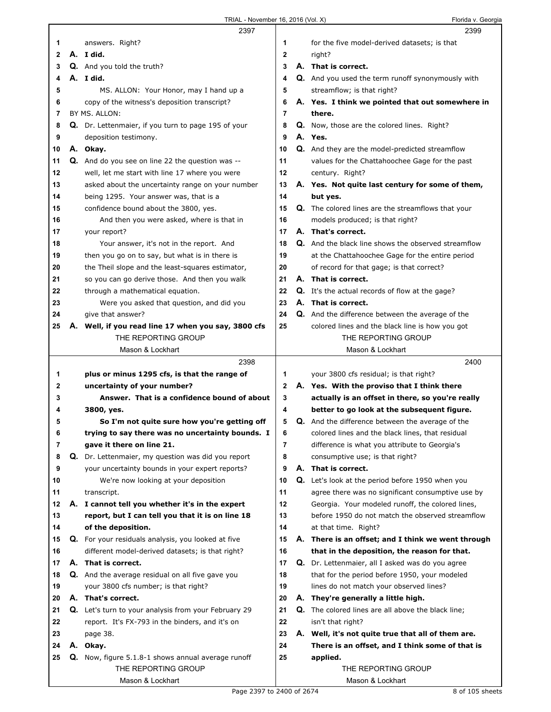|    |    | 2397                                                        |             |    | 2399                                                       |
|----|----|-------------------------------------------------------------|-------------|----|------------------------------------------------------------|
| 1  |    | answers. Right?                                             | 1           |    | for the five model-derived datasets; is that               |
| 2  |    | A. I did.                                                   | 2           |    | right?                                                     |
| 3  |    | <b>Q.</b> And you told the truth?                           | 3           |    | A. That is correct.                                        |
| 4  |    | A. I did.                                                   | 4           |    | <b>Q.</b> And you used the term runoff synonymously with   |
| 5  |    | MS. ALLON: Your Honor, may I hand up a                      | 5           |    | streamflow; is that right?                                 |
| 6  |    | copy of the witness's deposition transcript?                | 6           |    | A. Yes. I think we pointed that out somewhere in           |
| 7  |    | BY MS. ALLON:                                               | 7           |    | there.                                                     |
| 8  |    | Q. Dr. Lettenmaier, if you turn to page 195 of your         | 8           |    | Q. Now, those are the colored lines. Right?                |
| 9  |    | deposition testimony.                                       | 9           |    | A. Yes.                                                    |
| 10 |    | A. Okay.                                                    | 10          |    | Q. And they are the model-predicted streamflow             |
| 11 |    | Q. And do you see on line 22 the question was --            | 11          |    | values for the Chattahoochee Gage for the past             |
| 12 |    | well, let me start with line 17 where you were              | 12          |    | century. Right?                                            |
| 13 |    | asked about the uncertainty range on your number            | 13          |    | A. Yes. Not quite last century for some of them,           |
| 14 |    | being 1295. Your answer was, that is a                      | 14          |    | but yes.                                                   |
| 15 |    | confidence bound about the 3800, yes.                       | 15          |    | <b>Q.</b> The colored lines are the streamflows that your  |
| 16 |    | And then you were asked, where is that in                   | 16          |    | models produced; is that right?                            |
| 17 |    | your report?                                                | 17          |    | A. That's correct.                                         |
| 18 |    | Your answer, it's not in the report. And                    | 18          |    | <b>Q.</b> And the black line shows the observed streamflow |
| 19 |    | then you go on to say, but what is in there is              | 19          |    | at the Chattahoochee Gage for the entire period            |
| 20 |    | the Theil slope and the least-squares estimator,            | 20          |    | of record for that gage; is that correct?                  |
| 21 |    | so you can go derive those. And then you walk               | 21          |    | A. That is correct.                                        |
| 22 |    | through a mathematical equation.                            | 22          |    | <b>Q.</b> It's the actual records of flow at the gage?     |
| 23 |    | Were you asked that question, and did you                   | 23          |    | A. That is correct.                                        |
| 24 |    | give that answer?                                           | 24          |    | <b>Q.</b> And the difference between the average of the    |
| 25 | Α. | Well, if you read line 17 when you say, 3800 cfs            | 25          |    | colored lines and the black line is how you got            |
|    |    | THE REPORTING GROUP                                         |             |    | THE REPORTING GROUP                                        |
|    |    | Mason & Lockhart                                            |             |    | Mason & Lockhart                                           |
|    |    |                                                             |             |    |                                                            |
|    |    |                                                             |             |    |                                                            |
|    |    | 2398                                                        |             |    | 2400                                                       |
| 1  |    | plus or minus 1295 cfs, is that the range of                | 1           |    | your 3800 cfs residual; is that right?                     |
| 2  |    | uncertainty of your number?                                 | $\mathbf 2$ |    | A. Yes. With the proviso that I think there                |
| 3  |    | Answer. That is a confidence bound of about                 | 3           |    | actually is an offset in there, so you're really           |
| 4  |    | 3800, yes.                                                  | 4           |    | better to go look at the subsequent figure.                |
| 5  |    | So I'm not quite sure how you're getting off                | 5           |    | <b>Q.</b> And the difference between the average of the    |
| 6  |    | trying to say there was no uncertainty bounds. I            | 6           |    | colored lines and the black lines, that residual           |
| 7  |    | gave it there on line 21.                                   | 7           |    | difference is what you attribute to Georgia's              |
| 8  |    | Q. Dr. Lettenmaier, my question was did you report          | 8           |    | consumptive use; is that right?                            |
| 9  |    | your uncertainty bounds in your expert reports?             | 9           |    | A. That is correct.                                        |
| 10 |    | We're now looking at your deposition                        | 10          |    | <b>Q.</b> Let's look at the period before 1950 when you    |
| 11 |    | transcript.                                                 | 11          |    | agree there was no significant consumptive use by          |
| 12 |    | A. I cannot tell you whether it's in the expert             | 12          |    | Georgia. Your modeled runoff, the colored lines,           |
| 13 |    | report, but I can tell you that it is on line 18            | 13          |    | before 1950 do not match the observed streamflow           |
| 14 |    | of the deposition.                                          | 14          |    | at that time. Right?                                       |
| 15 |    | Q. For your residuals analysis, you looked at five          | 15          |    | A. There is an offset; and I think we went through         |
| 16 |    | different model-derived datasets; is that right?            | 16          |    | that in the deposition, the reason for that.               |
| 17 |    | A. That is correct.                                         | 17          |    | Q. Dr. Lettenmaier, all I asked was do you agree           |
| 18 |    | Q. And the average residual on all five gave you            | 18          |    | that for the period before 1950, your modeled              |
| 19 |    | your 3800 cfs number; is that right?                        | 19          |    | lines do not match your observed lines?                    |
| 20 |    | A. That's correct.                                          | 20          |    | A. They're generally a little high.                        |
| 21 |    | <b>Q.</b> Let's turn to your analysis from your February 29 | 21          |    | <b>Q.</b> The colored lines are all above the black line;  |
| 22 |    | report. It's FX-793 in the binders, and it's on             | 22          |    | isn't that right?                                          |
| 23 |    | page 38.                                                    | 23          | А. | Well, it's not quite true that all of them are.            |
| 24 |    | A. Okay.                                                    | 24          |    | There is an offset, and I think some of that is            |
| 25 |    | Q. Now, figure 5.1.8-1 shows annual average runoff          | 25          |    | applied.                                                   |
|    |    | THE REPORTING GROUP<br>Mason & Lockhart                     |             |    | THE REPORTING GROUP<br>Mason & Lockhart                    |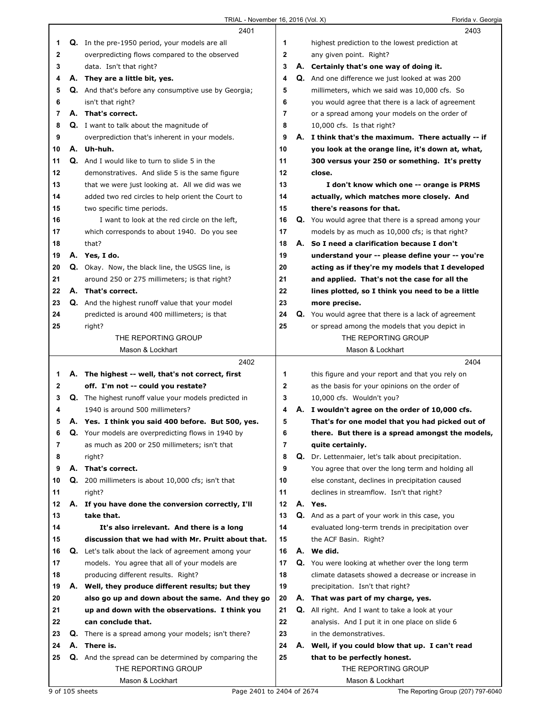|    |    | 2401                                                        |    |    | 2403                                                 |
|----|----|-------------------------------------------------------------|----|----|------------------------------------------------------|
| 1  |    | <b>Q.</b> In the pre-1950 period, your models are all       | 1  |    | highest prediction to the lowest prediction at       |
| 2  |    | overpredicting flows compared to the observed               | 2  |    | any given point. Right?                              |
| 3  |    | data. Isn't that right?                                     | 3  |    | A. Certainly that's one way of doing it.             |
| 4  |    | A. They are a little bit, yes.                              | 4  |    | Q. And one difference we just looked at was 200      |
| 5  |    | Q. And that's before any consumptive use by Georgia;        | 5  |    | millimeters, which we said was 10,000 cfs. So        |
| 6  |    | isn't that right?                                           | 6  |    | you would agree that there is a lack of agreement    |
| 7  |    | A. That's correct.                                          | 7  |    | or a spread among your models on the order of        |
| 8  |    | <b>Q.</b> I want to talk about the magnitude of             | 8  |    | 10,000 cfs. Is that right?                           |
| 9  |    | overprediction that's inherent in your models.              | 9  |    | A. I think that's the maximum. There actually -- if  |
| 10 |    | A. Uh-huh.                                                  | 10 |    | you look at the orange line, it's down at, what,     |
| 11 |    | Q. And I would like to turn to slide 5 in the               | 11 |    | 300 versus your 250 or something. It's pretty        |
| 12 |    | demonstratives. And slide 5 is the same figure              | 12 |    | close.                                               |
| 13 |    | that we were just looking at. All we did was we             | 13 |    | I don't know which one -- orange is PRMS             |
| 14 |    | added two red circles to help orient the Court to           | 14 |    | actually, which matches more closely. And            |
| 15 |    | two specific time periods.                                  | 15 |    | there's reasons for that.                            |
| 16 |    | I want to look at the red circle on the left,               | 16 |    | Q. You would agree that there is a spread among your |
| 17 |    | which corresponds to about 1940. Do you see                 | 17 |    | models by as much as 10,000 cfs; is that right?      |
| 18 |    | that?                                                       | 18 |    | A. So I need a clarification because I don't         |
| 19 |    | A. Yes, I do.                                               | 19 |    | understand your -- please define your -- you're      |
| 20 |    | Q. Okay. Now, the black line, the USGS line, is             | 20 |    | acting as if they're my models that I developed      |
| 21 |    | around 250 or 275 millimeters; is that right?               | 21 |    | and applied. That's not the case for all the         |
| 22 |    | A. That's correct.                                          | 22 |    | lines plotted, so I think you need to be a little    |
| 23 |    | <b>Q.</b> And the highest runoff value that your model      | 23 |    | more precise.                                        |
| 24 |    | predicted is around 400 millimeters; is that                | 24 |    | Q. You would agree that there is a lack of agreement |
| 25 |    | right?                                                      | 25 |    | or spread among the models that you depict in        |
|    |    | THE REPORTING GROUP                                         |    |    | THE REPORTING GROUP                                  |
|    |    | Mason & Lockhart                                            |    |    | Mason & Lockhart                                     |
|    |    |                                                             |    |    |                                                      |
|    |    | 2402                                                        |    |    | 2404                                                 |
| 1. |    | A. The highest -- well, that's not correct, first           | 1  |    | this figure and your report and that you rely on     |
| 2  |    | off. I'm not -- could you restate?                          | 2  |    | as the basis for your opinions on the order of       |
| 3  |    | <b>Q.</b> The highest runoff value your models predicted in | 3  |    | 10,000 cfs. Wouldn't you?                            |
| 4  |    | 1940 is around 500 millimeters?                             | 4  |    | A. I wouldn't agree on the order of 10,000 cfs.      |
| 5  |    | A. Yes. I think you said 400 before. But 500, yes.          | 5  |    | That's for one model that you had picked out of      |
| 6  |    | Q. Your models are overpredicting flows in 1940 by          | 6  |    | there. But there is a spread amongst the models,     |
| 7  |    | as much as 200 or 250 millimeters; isn't that               | 7  |    | quite certainly.                                     |
| 8  |    | right?                                                      | 8  |    | Q. Dr. Lettenmaier, let's talk about precipitation.  |
| 9  |    | A. That's correct.                                          | 9  |    | You agree that over the long term and holding all    |
| 10 | Q. | 200 millimeters is about 10,000 cfs; isn't that             | 10 |    | else constant, declines in precipitation caused      |
| 11 |    | right?                                                      | 11 |    | declines in streamflow. Isn't that right?            |
| 12 |    | A. If you have done the conversion correctly, I'll          | 12 |    | A. Yes.                                              |
| 13 |    | take that.                                                  | 13 |    | Q. And as a part of your work in this case, you      |
| 14 |    | It's also irrelevant. And there is a long                   | 14 |    | evaluated long-term trends in precipitation over     |
| 15 |    | discussion that we had with Mr. Pruitt about that.          | 15 |    | the ACF Basin. Right?                                |
| 16 |    | <b>Q.</b> Let's talk about the lack of agreement among your | 16 |    | A. We did.                                           |
| 17 |    | models. You agree that all of your models are               | 17 |    | Q. You were looking at whether over the long term    |
| 18 |    | producing different results. Right?                         | 18 |    | climate datasets showed a decrease or increase in    |
| 19 | А. | Well, they produce different results; but they              | 19 |    | precipitation. Isn't that right?                     |
| 20 |    | also go up and down about the same. And they go             | 20 |    | A. That was part of my charge, yes.                  |
| 21 |    | up and down with the observations. I think you              | 21 | Q. | All right. And I want to take a look at your         |
| 22 |    | can conclude that.                                          | 22 |    | analysis. And I put it in one place on slide 6       |
| 23 | Q. | There is a spread among your models; isn't there?           | 23 |    | in the demonstratives.                               |
| 24 | А. | There is.                                                   | 24 |    | A. Well, if you could blow that up. I can't read     |
| 25 |    | Q. And the spread can be determined by comparing the        | 25 |    | that to be perfectly honest.                         |
|    |    | THE REPORTING GROUP                                         |    |    | THE REPORTING GROUP                                  |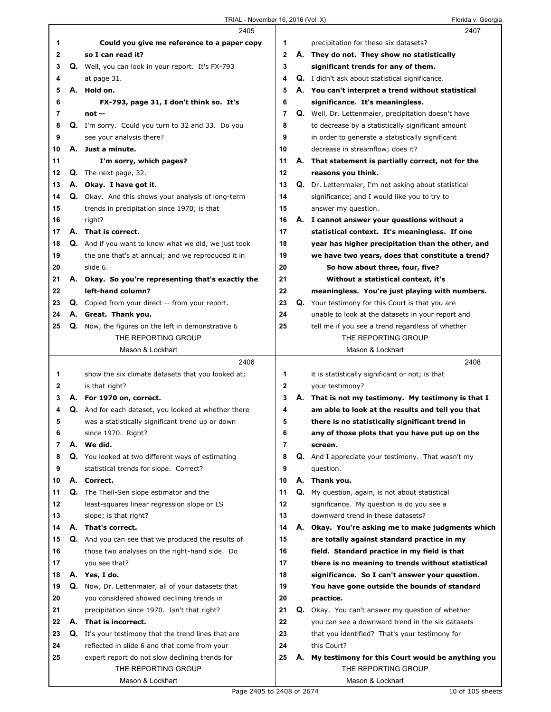|    |    | 2405                                                        |                |    | 2407                                                      |
|----|----|-------------------------------------------------------------|----------------|----|-----------------------------------------------------------|
| 1  |    | Could you give me reference to a paper copy                 | 1              |    | precipitation for these six datasets?                     |
| 2  |    | so I can read it?                                           | $\overline{2}$ |    | A. They do not. They show no statistically                |
| 3  |    | Q. Well, you can look in your report. It's FX-793           | 3              |    | significant trends for any of them.                       |
| 4  |    | at page 31.                                                 | 4              |    | Q. I didn't ask about statistical significance.           |
| 5  |    | A. Hold on.                                                 | 5              |    | A. You can't interpret a trend without statistical        |
| 6  |    | FX-793, page 31, I don't think so. It's                     | 6              |    | significance. It's meaningless.                           |
| 7  |    | $not -$                                                     | 7              |    | Q. Well, Dr. Lettenmaier, precipitation doesn't have      |
| 8  |    | <b>Q.</b> I'm sorry. Could you turn to 32 and 33. Do you    | 8              |    | to decrease by a statistically significant amount         |
| 9  |    | see your analysis there?                                    | 9              |    | in order to generate a statistically significant          |
| 10 |    | A. Just a minute.                                           | 10             |    | decrease in streamflow; does it?                          |
| 11 |    | I'm sorry, which pages?                                     | 11             |    | A. That statement is partially correct, not for the       |
| 12 | Q. | The next page, 32.                                          | 12             |    | reasons you think.                                        |
| 13 |    | A. Okay. I have got it.                                     | 13             |    | Q. Dr. Lettenmaier, I'm not asking about statistical      |
| 14 |    | Q. Okay. And this shows your analysis of long-term          | 14             |    | significance; and I would like you to try to              |
| 15 |    | trends in precipitation since 1970; is that                 | 15             |    | answer my question.                                       |
| 16 |    | right?                                                      | 16             |    | A. I cannot answer your questions without a               |
| 17 |    | A. That is correct.                                         | 17             |    | statistical context. It's meaningless. If one             |
| 18 |    | Q. And if you want to know what we did, we just took        | 18             |    | year has higher precipitation than the other, and         |
| 19 |    | the one that's at annual; and we reproduced it in           | 19             |    | we have two years, does that constitute a trend?          |
| 20 |    | slide 6.                                                    | 20             |    | So how about three, four, five?                           |
| 21 |    | A. Okay. So you're representing that's exactly the          | 21             |    | Without a statistical context, it's                       |
| 22 |    | left-hand column?                                           | 22             |    | meaningless. You're just playing with numbers.            |
| 23 |    | <b>Q.</b> Copied from your direct -- from your report.      | 23             | Q. | Your testimony for this Court is that you are             |
| 24 |    | A. Great. Thank you.                                        | 24             |    | unable to look at the datasets in your report and         |
| 25 |    | <b>Q.</b> Now, the figures on the left in demonstrative 6   | 25             |    | tell me if you see a trend regardless of whether          |
|    |    | THE REPORTING GROUP                                         |                |    | THE REPORTING GROUP                                       |
|    |    | Mason & Lockhart                                            |                |    | Mason & Lockhart                                          |
|    |    | 2406                                                        |                |    | 2408                                                      |
| 1  |    | show the six climate datasets that you looked at;           | 1              |    | it is statistically significant or not; is that           |
| 2  |    | is that right?                                              | $\mathbf{2}$   |    | your testimony?                                           |
| 3  |    | A. For 1970 on, correct.                                    | 3              |    | A. That is not my testimony. My testimony is that I       |
| 4  |    | Q. And for each dataset, you looked at whether there        | 4              |    | am able to look at the results and tell you that          |
| 5  |    | was a statistically significant trend up or down            | 5              |    | there is no statistically significant trend in            |
| 6  |    | since 1970. Right?                                          | 6              |    | any of those plots that you have put up on the            |
| 7  | А. | We did.                                                     | 7              |    | screen.                                                   |
| 8  |    | Q. You looked at two different ways of estimating           | 8              |    | <b>Q.</b> And I appreciate your testimony. That wasn't my |
| 9  |    | statistical trends for slope. Correct?                      | 9              |    | question.                                                 |
| 10 |    | A. Correct.                                                 | 10             |    | A. Thank you.                                             |
| 11 |    | Q. The Theil-Sen slope estimator and the                    | 11             | Q. | My question, again, is not about statistical              |
| 12 |    | least-squares linear regression slope or LS                 | 12             |    | significance. My question is do you see a                 |
| 13 |    | slope; is that right?                                       | 13             |    | downward trend in these datasets?                         |
| 14 |    | A. That's correct.                                          | 14             | А. | Okay. You're asking me to make judgments which            |
| 15 |    | Q. And you can see that we produced the results of          | 15             |    | are totally against standard practice in my               |
| 16 |    | those two analyses on the right-hand side. Do               | 16             |    | field. Standard practice in my field is that              |
| 17 |    | you see that?                                               | 17             |    | there is no meaning to trends without statistical         |
| 18 |    | A. Yes, I do.                                               | 18             |    | significance. So I can't answer your question.            |
| 19 |    | Q. Now, Dr. Lettenmaier, all of your datasets that          | 19             |    | You have gone outside the bounds of standard              |
| 20 |    | you considered showed declining trends in                   | 20             |    | practice.                                                 |
| 21 |    | precipitation since 1970. Isn't that right?                 | 21             |    | <b>Q.</b> Okay. You can't answer my question of whether   |
| 22 |    | A. That is incorrect.                                       | 22             |    | you can see a downward trend in the six datasets          |
| 23 |    | <b>Q.</b> It's your testimony that the trend lines that are | 23             |    | that you identified? That's your testimony for            |
| 24 |    | reflected in slide 6 and that come from your                | 24             |    | this Court?                                               |
| 25 |    |                                                             | 25             | А. | My testimony for this Court would be anything you         |
|    |    | expert report do not slow declining trends for              |                |    |                                                           |
|    |    | THE REPORTING GROUP                                         |                |    | THE REPORTING GROUP                                       |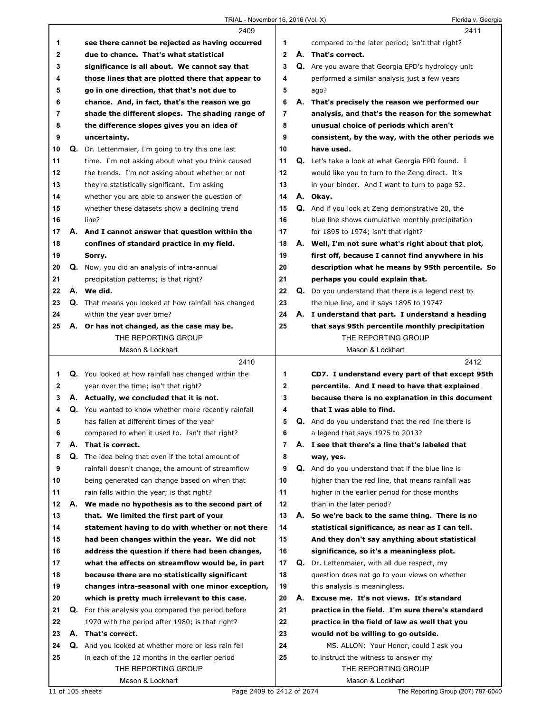|              |    | 2409                                                                                              |                |    | 2411                                                                                 |
|--------------|----|---------------------------------------------------------------------------------------------------|----------------|----|--------------------------------------------------------------------------------------|
| 1            |    | see there cannot be rejected as having occurred                                                   | 1              |    | compared to the later period; isn't that right?                                      |
| $\mathbf{2}$ |    | due to chance. That's what statistical                                                            | $\mathbf{2}$   |    | A. That's correct.                                                                   |
| 3            |    | significance is all about. We cannot say that                                                     | 3              |    | Q. Are you aware that Georgia EPD's hydrology unit                                   |
| 4            |    | those lines that are plotted there that appear to                                                 | 4              |    | performed a similar analysis just a few years                                        |
| 5            |    | go in one direction, that that's not due to                                                       | 5              |    | ago?                                                                                 |
| 6            |    | chance. And, in fact, that's the reason we go                                                     | 6              |    | A. That's precisely the reason we performed our                                      |
| 7            |    | shade the different slopes. The shading range of                                                  | $\overline{7}$ |    | analysis, and that's the reason for the somewhat                                     |
| 8            |    | the difference slopes gives you an idea of                                                        | 8              |    | unusual choice of periods which aren't                                               |
| 9            |    | uncertainty.                                                                                      | 9              |    | consistent, by the way, with the other periods we                                    |
| 10           |    | Q. Dr. Lettenmaier, I'm going to try this one last                                                | 10             |    | have used.                                                                           |
| 11           |    | time. I'm not asking about what you think caused                                                  | 11             |    | <b>Q.</b> Let's take a look at what Georgia EPD found. I                             |
| 12           |    | the trends. I'm not asking about whether or not                                                   | 12             |    | would like you to turn to the Zeng direct. It's                                      |
| 13           |    | they're statistically significant. I'm asking                                                     | 13             |    | in your binder. And I want to turn to page 52.                                       |
| 14           |    | whether you are able to answer the question of                                                    | 14             |    | A. Okay.                                                                             |
| 15           |    | whether these datasets show a declining trend                                                     | 15             |    | Q. And if you look at Zeng demonstrative 20, the                                     |
| 16           |    | line?                                                                                             | 16             |    | blue line shows cumulative monthly precipitation                                     |
| 17           |    | A. And I cannot answer that question within the                                                   | 17             |    | for 1895 to 1974; isn't that right?                                                  |
| 18           |    | confines of standard practice in my field.                                                        | 18             |    | A. Well, I'm not sure what's right about that plot,                                  |
| 19           |    | Sorry.                                                                                            | 19             |    | first off, because I cannot find anywhere in his                                     |
| 20           |    | Q. Now, you did an analysis of intra-annual                                                       | 20             |    | description what he means by 95th percentile. So                                     |
| 21           |    | precipitation patterns; is that right?                                                            | 21             |    | perhaps you could explain that.                                                      |
| 22           |    | A. We did.                                                                                        | 22             |    | <b>Q.</b> Do you understand that there is a legend next to                           |
| 23           |    | Q. That means you looked at how rainfall has changed                                              | 23             |    | the blue line, and it says 1895 to 1974?                                             |
| 24           |    | within the year over time?                                                                        | 24             |    | A. I understand that part. I understand a heading                                    |
| 25           |    | A. Or has not changed, as the case may be.                                                        | 25             |    | that says 95th percentile monthly precipitation                                      |
|              |    | THE REPORTING GROUP                                                                               |                |    | THE REPORTING GROUP                                                                  |
|              |    | Mason & Lockhart                                                                                  |                |    | Mason & Lockhart                                                                     |
|              |    |                                                                                                   |                |    |                                                                                      |
|              |    | 2410                                                                                              |                |    | 2412                                                                                 |
| 1            |    |                                                                                                   | 1              |    |                                                                                      |
| $\mathbf{2}$ |    | Q. You looked at how rainfall has changed within the                                              | $\mathbf{2}$   |    | CD7. I understand every part of that except 95th                                     |
| 3            |    | year over the time; isn't that right?                                                             | 3              |    | percentile. And I need to have that explained                                        |
| 4            |    | A. Actually, we concluded that it is not.                                                         | 4              |    | because there is no explanation in this document<br>that I was able to find.         |
| 5            |    | Q. You wanted to know whether more recently rainfall<br>has fallen at different times of the year | 5              |    |                                                                                      |
| 6            |    |                                                                                                   | 6              |    | Q. And do you understand that the red line there is                                  |
| 7            | А. | compared to when it used to. Isn't that right?<br>That is correct.                                | $\overline{7}$ |    | a legend that says 1975 to 2013?<br>A. I see that there's a line that's labeled that |
| 8            |    |                                                                                                   | 8              |    |                                                                                      |
|              |    | Q. The idea being that even if the total amount of                                                | 9              |    | way, yes.                                                                            |
| 9<br>10      |    | rainfall doesn't change, the amount of streamflow                                                 | 10             |    | Q. And do you understand that if the blue line is                                    |
|              |    | being generated can change based on when that                                                     |                |    | higher than the red line, that means rainfall was                                    |
| 11           |    | rain falls within the year; is that right?                                                        | 11             |    | higher in the earlier period for those months                                        |
| 12<br>13     | А. | We made no hypothesis as to the second part of                                                    | 12<br>13       | А. | than in the later period?                                                            |
|              |    | that. We limited the first part of your                                                           |                |    | So we're back to the same thing. There is no                                         |
| 14           |    | statement having to do with whether or not there                                                  | 14             |    | statistical significance, as near as I can tell.                                     |
| 15           |    | had been changes within the year. We did not                                                      | 15             |    | And they don't say anything about statistical                                        |
| 16           |    | address the question if there had been changes,                                                   | 16             |    | significance, so it's a meaningless plot.                                            |
| 17           |    | what the effects on streamflow would be, in part                                                  | 17             |    | <b>Q.</b> Dr. Lettenmaier, with all due respect, my                                  |
| 18           |    | because there are no statistically significant                                                    | 18             |    | question does not go to your views on whether                                        |
| 19           |    | changes intra-seasonal with one minor exception,                                                  | 19             |    | this analysis is meaningless.                                                        |
| 20           |    | which is pretty much irrelevant to this case.                                                     | 20             |    | A. Excuse me. It's not views. It's standard                                          |
| 21           | Q. | For this analysis you compared the period before                                                  | 21             |    | practice in the field. I'm sure there's standard                                     |
| 22           |    | 1970 with the period after 1980; is that right?                                                   | 22             |    | practice in the field of law as well that you                                        |
| 23           |    | A. That's correct.                                                                                | 23             |    | would not be willing to go outside.                                                  |
| 24           |    | Q. And you looked at whether more or less rain fell                                               | 24             |    | MS. ALLON: Your Honor, could I ask you                                               |
| 25           |    | in each of the 12 months in the earlier period                                                    | 25             |    | to instruct the witness to answer my                                                 |
|              |    | THE REPORTING GROUP<br>Mason & Lockhart                                                           |                |    | THE REPORTING GROUP<br>Mason & Lockhart                                              |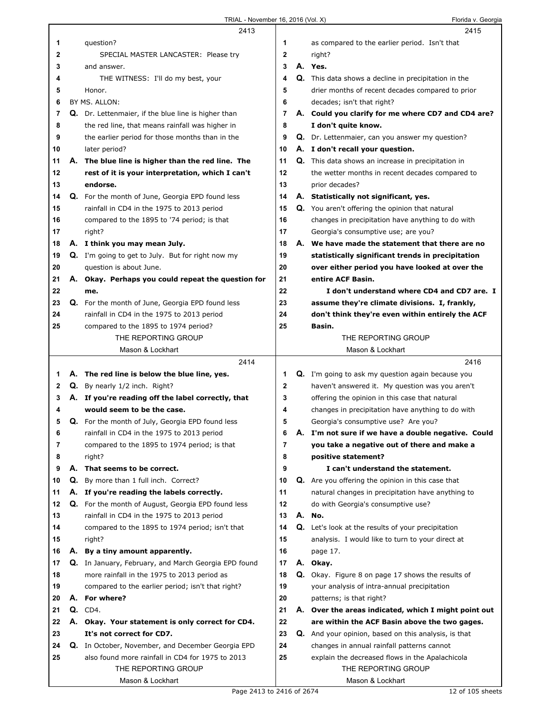$\Gamma$ 

|              |    | 2413                                                    |              | 2415                                                        |
|--------------|----|---------------------------------------------------------|--------------|-------------------------------------------------------------|
| 1            |    | question?                                               | 1            | as compared to the earlier period. Isn't that               |
| $\mathbf{2}$ |    | SPECIAL MASTER LANCASTER: Please try                    | $\mathbf{2}$ | right?                                                      |
| 3            |    | and answer.                                             | 3            | A. Yes.                                                     |
| 4            |    | THE WITNESS: I'll do my best, your                      | 4            | <b>Q.</b> This data shows a decline in precipitation in the |
| 5            |    | Honor.                                                  | 5            | drier months of recent decades compared to prior            |
| 6            |    | BY MS. ALLON:                                           | 6            | decades; isn't that right?                                  |
| 7            |    | Q. Dr. Lettenmaier, if the blue line is higher than     | 7            | A. Could you clarify for me where CD7 and CD4 are?          |
| 8            |    | the red line, that means rainfall was higher in         | 8            | I don't quite know.                                         |
| 9            |    | the earlier period for those months than in the         | 9            | Q. Dr. Lettenmaier, can you answer my question?             |
| 10           |    | later period?                                           | 10           | A. I don't recall your question.                            |
| 11           |    | A. The blue line is higher than the red line. The       | 11           | <b>Q.</b> This data shows an increase in precipitation in   |
| 12           |    | rest of it is your interpretation, which I can't        | 12           | the wetter months in recent decades compared to             |
| 13           |    | endorse.                                                | 13           | prior decades?                                              |
| 14           |    | <b>Q.</b> For the month of June, Georgia EPD found less | 14           | A. Statistically not significant, yes.                      |
| 15           |    | rainfall in CD4 in the 1975 to 2013 period              | 15           | Q. You aren't offering the opinion that natural             |
| 16           |    | compared to the 1895 to '74 period; is that             | 16           | changes in precipitation have anything to do with           |
| 17           |    | right?                                                  | 17           | Georgia's consumptive use; are you?                         |
| 18           |    | A. I think you may mean July.                           | 18           | A. We have made the statement that there are no             |
| 19           |    | Q. I'm going to get to July. But for right now my       | 19           | statistically significant trends in precipitation           |
| 20           |    | question is about June.                                 | 20           | over either period you have looked at over the              |
| 21           |    | A. Okay. Perhaps you could repeat the question for      | 21           | entire ACF Basin.                                           |
| 22           |    | me.                                                     | 22           | I don't understand where CD4 and CD7 are. I                 |
| 23           |    | Q. For the month of June, Georgia EPD found less        | 23           | assume they're climate divisions. I, frankly,               |
| 24           |    | rainfall in CD4 in the 1975 to 2013 period              | 24           | don't think they're even within entirely the ACF            |
| 25           |    | compared to the 1895 to 1974 period?                    | 25           | Basin.                                                      |
|              |    | THE REPORTING GROUP                                     |              | THE REPORTING GROUP                                         |
|              |    | Mason & Lockhart                                        |              | Mason & Lockhart                                            |
|              |    |                                                         |              |                                                             |
|              |    | 2414                                                    |              | 2416                                                        |
| 1            |    | A. The red line is below the blue line, yes.            | 1            | <b>Q.</b> I'm going to ask my question again because you    |
| $\mathbf{2}$ |    | Q. By nearly 1/2 inch. Right?                           | 2            | haven't answered it. My question was you aren't             |
| 3            |    | A. If you're reading off the label correctly, that      | 3            | offering the opinion in this case that natural              |
| 4            |    | would seem to be the case.                              | 4            | changes in precipitation have anything to do with           |
| 5            |    | Q. For the month of July, Georgia EPD found less        | 5            | Georgia's consumptive use? Are you?                         |
| 6            |    | rainfall in CD4 in the 1975 to 2013 period              | 6            | A. I'm not sure if we have a double negative. Could         |
| 7            |    | compared to the 1895 to 1974 period; is that            | 7            | you take a negative out of there and make a                 |
| 8            |    | right?                                                  | 8            | positive statement?                                         |
| 9            | А. | That seems to be correct.                               | 9            | I can't understand the statement.                           |
| 10           | Q. | By more than 1 full inch. Correct?                      | 10           | Q. Are you offering the opinion in this case that           |
| 11           |    | A. If you're reading the labels correctly.              | 11           | natural changes in precipitation have anything to           |
| 12           |    | Q. For the month of August, Georgia EPD found less      | 12           | do with Georgia's consumptive use?                          |
| 13           |    | rainfall in CD4 in the 1975 to 2013 period              | 13           | A. No.                                                      |
| 14           |    | compared to the 1895 to 1974 period; isn't that         | 14           | <b>Q.</b> Let's look at the results of your precipitation   |
| 15           |    | right?                                                  | 15           | analysis. I would like to turn to your direct at            |
| 16           |    | A. By a tiny amount apparently.                         | 16           | page 17.                                                    |
| 17           |    | Q. In January, February, and March Georgia EPD found    | 17           | A. Okay.                                                    |
| 18           |    | more rainfall in the 1975 to 2013 period as             | 18           | <b>Q.</b> Okay. Figure 8 on page 17 shows the results of    |
| 19           |    | compared to the earlier period; isn't that right?       | 19           | your analysis of intra-annual precipitation                 |
| 20           |    | A. For where?                                           | 20           | patterns; is that right?                                    |
| 21           | Q. | CD4.                                                    | 21           | A. Over the areas indicated, which I might point out        |
| 22           |    | A. Okay. Your statement is only correct for CD4.        | 22           | are within the ACF Basin above the two gages.               |
| 23           |    | It's not correct for CD7.                               | 23           | Q. And your opinion, based on this analysis, is that        |
| 24           |    | Q. In October, November, and December Georgia EPD       | 24           | changes in annual rainfall patterns cannot                  |
| 25           |    | also found more rainfall in CD4 for 1975 to 2013        | 25           | explain the decreased flows in the Apalachicola             |
|              |    | THE REPORTING GROUP<br>Mason & Lockhart                 |              | THE REPORTING GROUP<br>Mason & Lockhart                     |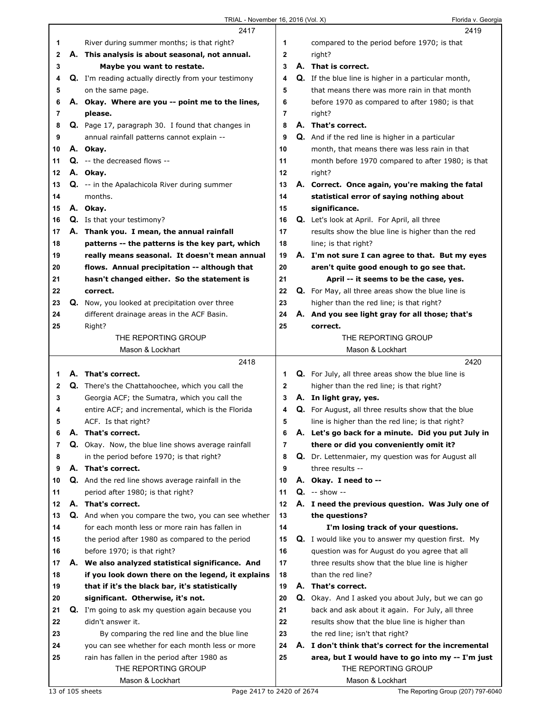|              |    | 2417                                                                                   |              | 2419                                                                                         |
|--------------|----|----------------------------------------------------------------------------------------|--------------|----------------------------------------------------------------------------------------------|
| 1            |    | River during summer months; is that right?                                             | 1            | compared to the period before 1970; is that                                                  |
| $\mathbf{2}$ |    | A. This analysis is about seasonal, not annual.                                        | $\mathbf{2}$ | right?                                                                                       |
| 3            |    | Maybe you want to restate.                                                             | 3            | A. That is correct.                                                                          |
| 4            |    | Q. I'm reading actually directly from your testimony                                   | 4            | Q. If the blue line is higher in a particular month,                                         |
| 5            |    | on the same page.                                                                      | 5            | that means there was more rain in that month                                                 |
| 6            |    | A. Okay. Where are you -- point me to the lines,                                       | 6            | before 1970 as compared to after 1980; is that                                               |
| 7            |    | please.                                                                                | 7            | right?                                                                                       |
| 8            |    | Q. Page 17, paragraph 30. I found that changes in                                      | 8            | A. That's correct.                                                                           |
| 9            |    | annual rainfall patterns cannot explain --                                             | 9            | Q. And if the red line is higher in a particular                                             |
| 10           |    | A. Okay.                                                                               | 10           | month, that means there was less rain in that                                                |
| 11           |    | Q. -- the decreased flows --                                                           | 11           | month before 1970 compared to after 1980; is that                                            |
| 12           |    | A. Okay.                                                                               | 12           | right?                                                                                       |
| 13           |    | <b>Q.</b> -- in the Apalachicola River during summer                                   | 13           | A. Correct. Once again, you're making the fatal                                              |
| 14           |    | months.                                                                                | 14           | statistical error of saying nothing about                                                    |
| 15           |    | A. Okay.                                                                               | 15           | significance.                                                                                |
| 16           |    | Q. Is that your testimony?                                                             | 16           | Q. Let's look at April. For April, all three                                                 |
| 17           |    | A. Thank you. I mean, the annual rainfall                                              | 17           | results show the blue line is higher than the red                                            |
| 18           |    | patterns -- the patterns is the key part, which                                        | 18           | line; is that right?                                                                         |
| 19           |    | really means seasonal. It doesn't mean annual                                          | 19           | A. I'm not sure I can agree to that. But my eyes                                             |
| 20           |    | flows. Annual precipitation -- although that                                           | 20           | aren't quite good enough to go see that.                                                     |
| 21           |    | hasn't changed either. So the statement is                                             | 21           | April -- it seems to be the case, yes.                                                       |
| 22           |    | correct.                                                                               | 22           | Q. For May, all three areas show the blue line is                                            |
| 23           |    | Q. Now, you looked at precipitation over three                                         | 23           | higher than the red line; is that right?                                                     |
| 24           |    | different drainage areas in the ACF Basin.                                             | 24           | A. And you see light gray for all those; that's                                              |
| 25           |    | Right?                                                                                 | 25           | correct.                                                                                     |
|              |    | THE REPORTING GROUP                                                                    |              | THE REPORTING GROUP                                                                          |
|              |    | Mason & Lockhart                                                                       |              | Mason & Lockhart                                                                             |
|              |    |                                                                                        |              |                                                                                              |
|              |    |                                                                                        |              |                                                                                              |
|              |    | 2418                                                                                   |              | 2420                                                                                         |
| 1            |    | A. That's correct.                                                                     | 1            | Q. For July, all three areas show the blue line is                                           |
| 2            |    | Q. There's the Chattahoochee, which you call the                                       | 2            | higher than the red line; is that right?                                                     |
| 3<br>4       |    | Georgia ACF; the Sumatra, which you call the                                           | 3<br>4       | A. In light gray, yes.                                                                       |
| 5            |    | entire ACF; and incremental, which is the Florida                                      | 5            | <b>Q.</b> For August, all three results show that the blue                                   |
| 6            | Α. | ACF. Is that right?<br>That's correct.                                                 | 6            | line is higher than the red line; is that right?                                             |
| 7            |    |                                                                                        | 7            | A. Let's go back for a minute. Did you put July in                                           |
| 8            |    | Q. Okay. Now, the blue line shows average rainfall                                     | 8            | there or did you conveniently omit it?<br>Q. Dr. Lettenmaier, my question was for August all |
| 9            |    | in the period before 1970; is that right?<br>A. That's correct.                        | 9            | three results --                                                                             |
| 10           |    |                                                                                        | 10           |                                                                                              |
| 11           |    | Q. And the red line shows average rainfall in the<br>period after 1980; is that right? | 11           | A. Okay. I need to --<br>$Q. -$ show --                                                      |
| 12           |    | A. That's correct.                                                                     | 12           | A. I need the previous question. Was July one of                                             |
| 13           |    | Q. And when you compare the two, you can see whether                                   | 13           | the questions?                                                                               |
| 14           |    | for each month less or more rain has fallen in                                         | 14           | I'm losing track of your questions.                                                          |
| 15           |    | the period after 1980 as compared to the period                                        | 15           | <b>Q.</b> I would like you to answer my question first. My                                   |
| 16           |    | before 1970; is that right?                                                            | 16           | question was for August do you agree that all                                                |
| 17           |    | A. We also analyzed statistical significance. And                                      | 17           | three results show that the blue line is higher                                              |
| 18           |    | if you look down there on the legend, it explains                                      | 18           | than the red line?                                                                           |
| 19           |    | that if it's the black bar, it's statistically                                         | 19           | A. That's correct.                                                                           |
| 20           |    | significant. Otherwise, it's not.                                                      | 20           | Q. Okay. And I asked you about July, but we can go                                           |
| 21           |    | Q. I'm going to ask my question again because you                                      | 21           | back and ask about it again. For July, all three                                             |
| 22           |    | didn't answer it.                                                                      | 22           | results show that the blue line is higher than                                               |
| 23           |    | By comparing the red line and the blue line                                            | 23           | the red line; isn't that right?                                                              |
| 24           |    | you can see whether for each month less or more                                        | 24           | A. I don't think that's correct for the incremental                                          |
| 25           |    | rain has fallen in the period after 1980 as                                            | 25           | area, but I would have to go into my -- I'm just                                             |
|              |    | THE REPORTING GROUP                                                                    |              | THE REPORTING GROUP                                                                          |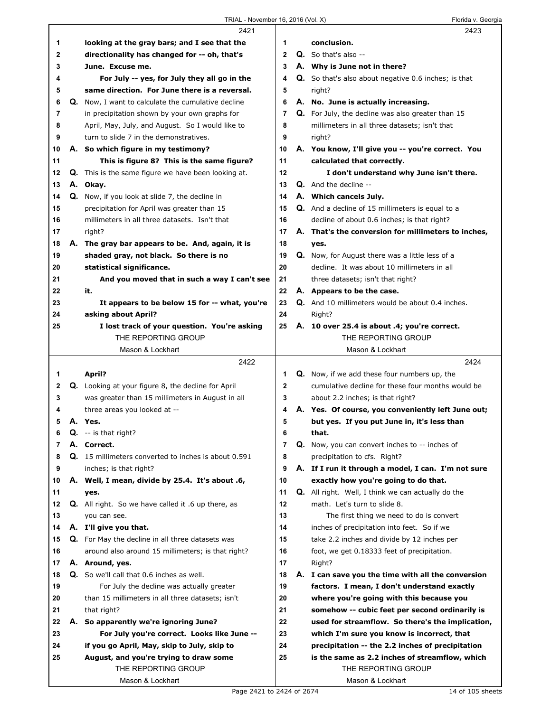|         |    | 2421                                                                              |                     | 2423                                                                                                     |
|---------|----|-----------------------------------------------------------------------------------|---------------------|----------------------------------------------------------------------------------------------------------|
| 1       |    | looking at the gray bars; and I see that the                                      | 1                   | conclusion.                                                                                              |
| 2       |    | directionality has changed for -- oh, that's                                      | $\mathbf{2}$        | <b>Q.</b> So that's also --                                                                              |
| 3       |    | June. Excuse me.                                                                  | 3                   | A. Why is June not in there?                                                                             |
| 4       |    | For July -- yes, for July they all go in the                                      | 4                   | Q. So that's also about negative 0.6 inches; is that                                                     |
| 5       |    | same direction. For June there is a reversal.                                     | 5                   | right?                                                                                                   |
| 6       |    | <b>Q.</b> Now, I want to calculate the cumulative decline                         | 6                   | A. No. June is actually increasing.                                                                      |
| 7       |    | in precipitation shown by your own graphs for                                     | 7                   | <b>Q.</b> For July, the decline was also greater than 15                                                 |
| 8       |    | April, May, July, and August. So I would like to                                  | 8                   | millimeters in all three datasets; isn't that                                                            |
| 9       |    | turn to slide 7 in the demonstratives.                                            | 9                   | right?                                                                                                   |
| 10      |    | A. So which figure in my testimony?                                               | 10                  | A. You know, I'll give you -- you're correct. You                                                        |
| 11      |    | This is figure 8? This is the same figure?                                        | 11                  | calculated that correctly.                                                                               |
| 12      |    | Q. This is the same figure we have been looking at.                               | 12                  | I don't understand why June isn't there.                                                                 |
| 13      |    | A. Okay.                                                                          | 13                  | Q. And the decline --                                                                                    |
| 14      |    | Q. Now, if you look at slide 7, the decline in                                    | 14                  | A. Which cancels July.                                                                                   |
| 15      |    | precipitation for April was greater than 15                                       | 15                  | Q. And a decline of 15 millimeters is equal to a                                                         |
| 16      |    | millimeters in all three datasets. Isn't that                                     | 16                  | decline of about 0.6 inches; is that right?                                                              |
| 17      |    | right?                                                                            | 17                  | A. That's the conversion for millimeters to inches,                                                      |
| 18      |    | A. The gray bar appears to be. And, again, it is                                  | 18                  | yes.                                                                                                     |
| 19      |    | shaded gray, not black. So there is no                                            | 19                  | <b>Q.</b> Now, for August there was a little less of a                                                   |
| 20      |    | statistical significance.                                                         | 20                  | decline. It was about 10 millimeters in all                                                              |
| 21      |    | And you moved that in such a way I can't see                                      | 21                  | three datasets; isn't that right?                                                                        |
| 22      |    | it.                                                                               | 22                  | A. Appears to be the case.                                                                               |
| 23      |    | It appears to be below 15 for -- what, you're                                     | 23                  | Q. And 10 millimeters would be about 0.4 inches.                                                         |
| 24      |    | asking about April?                                                               | 24                  | Right?                                                                                                   |
| 25      |    | I lost track of your question. You're asking                                      | 25                  | A. 10 over 25.4 is about .4; you're correct.                                                             |
|         |    | THE REPORTING GROUP                                                               |                     | THE REPORTING GROUP                                                                                      |
|         |    | Mason & Lockhart                                                                  |                     | Mason & Lockhart                                                                                         |
|         |    |                                                                                   |                     |                                                                                                          |
|         |    | 2422                                                                              |                     | 2424                                                                                                     |
|         |    |                                                                                   |                     |                                                                                                          |
| 1       |    | April?                                                                            | 1                   | <b>Q.</b> Now, if we add these four numbers up, the<br>cumulative decline for these four months would be |
| 2       |    | Q. Looking at your figure 8, the decline for April                                | $\mathbf 2$<br>3    |                                                                                                          |
| 3<br>4  |    | was greater than 15 millimeters in August in all                                  | 4                   | about 2.2 inches; is that right?                                                                         |
| 5       |    | three areas you looked at --                                                      |                     | A. Yes. Of course, you conveniently left June out;                                                       |
|         |    | A. Yes.                                                                           | 5                   | but yes. If you put June in, it's less than                                                              |
| 6<br>7  | Q. | -- is that right?<br>A. Correct.                                                  | 6<br>$\overline{7}$ | that.                                                                                                    |
|         |    | <b>Q.</b> 15 millimeters converted to inches is about 0.591                       |                     | Q. Now, you can convert inches to -- inches of                                                           |
| 8       |    |                                                                                   | 8<br>9              | precipitation to cfs. Right?                                                                             |
| 9<br>10 |    | inches; is that right?                                                            | 10                  | A. If I run it through a model, I can. I'm not sure                                                      |
| 11      |    | A. Well, I mean, divide by 25.4. It's about .6,<br>yes.                           | 11                  | exactly how you're going to do that.<br><b>Q.</b> All right. Well, I think we can actually do the        |
| 12      |    | <b>Q.</b> All right. So we have called it .6 up there, as                         | 12                  | math. Let's turn to slide 8.                                                                             |
| 13      |    | you can see.                                                                      | 13                  | The first thing we need to do is convert                                                                 |
| 14      |    |                                                                                   | 14                  | inches of precipitation into feet. So if we                                                              |
| 15      |    | A. I'll give you that.<br><b>Q.</b> For May the decline in all three datasets was | 15                  | take 2.2 inches and divide by 12 inches per                                                              |
| 16      |    | around also around 15 millimeters; is that right?                                 | 16                  | foot, we get 0.18333 feet of precipitation.                                                              |
| 17      |    | A. Around, yes.                                                                   | 17                  | Right?                                                                                                   |
| 18      |    | <b>Q.</b> So we'll call that 0.6 inches as well.                                  | 18                  |                                                                                                          |
| 19      |    | For July the decline was actually greater                                         | 19                  | A. I can save you the time with all the conversion<br>factors. I mean, I don't understand exactly        |
| 20      |    | than 15 millimeters in all three datasets; isn't                                  | 20                  | where you're going with this because you                                                                 |
| 21      |    | that right?                                                                       | 21                  | somehow -- cubic feet per second ordinarily is                                                           |
| 22      | А. | So apparently we're ignoring June?                                                | 22                  | used for streamflow. So there's the implication,                                                         |
| 23      |    | For July you're correct. Looks like June --                                       | 23                  | which I'm sure you know is incorrect, that                                                               |
| 24      |    | if you go April, May, skip to July, skip to                                       | 24                  | precipitation -- the 2.2 inches of precipitation                                                         |
| 25      |    | August, and you're trying to draw some                                            | 25                  | is the same as 2.2 inches of streamflow, which                                                           |
|         |    | THE REPORTING GROUP                                                               |                     | THE REPORTING GROUP                                                                                      |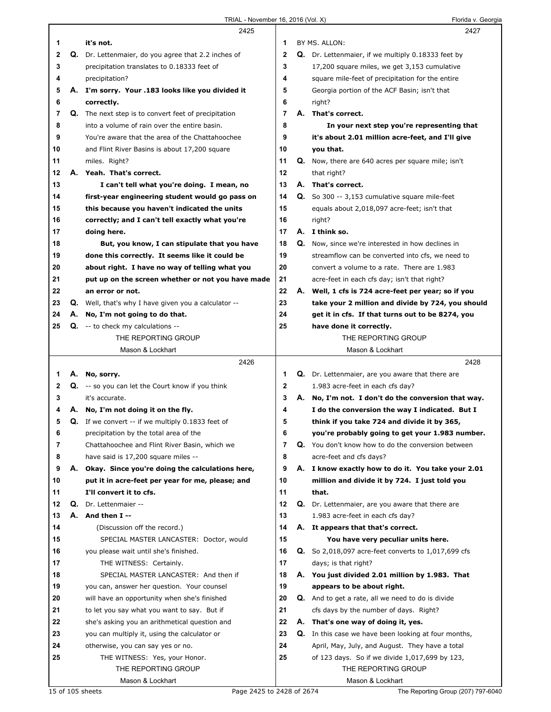Florida v. Georgia

|              |    | 2425                                                              |                | 2427                                                         |
|--------------|----|-------------------------------------------------------------------|----------------|--------------------------------------------------------------|
| 1            |    | it's not.                                                         | 1              | BY MS. ALLON:                                                |
| $\mathbf{2}$ |    | Q. Dr. Lettenmaier, do you agree that 2.2 inches of               | $\mathbf{2}$   | <b>Q.</b> Dr. Lettenmaier, if we multiply 0.18333 feet by    |
| 3            |    | precipitation translates to 0.18333 feet of                       | 3              | 17,200 square miles, we get 3,153 cumulative                 |
| 4            |    | precipitation?                                                    | 4              | square mile-feet of precipitation for the entire             |
| 5            |    | A. I'm sorry. Your .183 looks like you divided it                 | 5              | Georgia portion of the ACF Basin; isn't that                 |
| 6            |    | correctly.                                                        | 6              | right?                                                       |
| 7            |    | <b>Q.</b> The next step is to convert feet of precipitation       | $\overline{7}$ | A. That's correct.                                           |
| 8            |    | into a volume of rain over the entire basin.                      | 8              | In your next step you're representing that                   |
| 9            |    | You're aware that the area of the Chattahoochee                   | 9              | it's about 2.01 million acre-feet, and I'll give             |
| 10           |    | and Flint River Basins is about 17,200 square                     | 10             | you that.                                                    |
| 11           |    | miles. Right?                                                     | 11             | <b>Q.</b> Now, there are 640 acres per square mile; isn't    |
| 12           |    | A. Yeah. That's correct.                                          | 12             | that right?                                                  |
| 13           |    | I can't tell what you're doing. I mean, no                        | 13             | A. That's correct.                                           |
| 14           |    |                                                                   | 14             | Q. So 300 -- 3,153 cumulative square mile-feet               |
|              |    | first-year engineering student would go pass on                   |                |                                                              |
| 15           |    | this because you haven't indicated the units                      | 15             | equals about 2,018,097 acre-feet; isn't that                 |
| 16           |    | correctly; and I can't tell exactly what you're                   | 16             | right?                                                       |
| 17           |    | doing here.                                                       | 17             | A. I think so.                                               |
| 18           |    | But, you know, I can stipulate that you have                      | 18             | Q. Now, since we're interested in how declines in            |
| 19           |    | done this correctly. It seems like it could be                    | 19             | streamflow can be converted into cfs, we need to             |
| 20           |    | about right. I have no way of telling what you                    | 20             | convert a volume to a rate. There are 1.983                  |
| 21           |    | put up on the screen whether or not you have made                 | 21             | acre-feet in each cfs day; isn't that right?                 |
| 22           |    | an error or not.                                                  | 22             | A. Well, 1 cfs is 724 acre-feet per year; so if you          |
| 23           |    | <b>Q.</b> Well, that's why I have given you a calculator --       | 23             | take your 2 million and divide by 724, you should            |
| 24           | А. | No, I'm not going to do that.                                     | 24             | get it in cfs. If that turns out to be 8274, you             |
| 25           |    | $Q. -t$ to check my calculations --                               | 25             | have done it correctly.                                      |
|              |    | THE REPORTING GROUP                                               |                | THE REPORTING GROUP                                          |
|              |    | Mason & Lockhart                                                  |                | Mason & Lockhart                                             |
|              |    | 2426                                                              |                | 2428                                                         |
|              |    |                                                                   |                |                                                              |
| 1            |    | A. No, sorry.                                                     | 1              | Q. Dr. Lettenmaier, are you aware that there are             |
| 2            |    | <b>Q.</b> -- so you can let the Court know if you think           | 2              | 1.983 acre-feet in each cfs day?                             |
| 3            |    | it's accurate.                                                    | 3              | A. No, I'm not. I don't do the conversion that way.          |
| 4            |    | A. No, I'm not doing it on the fly.                               | 4              | I do the conversion the way I indicated. But I               |
| 5            |    | <b>Q.</b> If we convert $-$ if we multiply 0.1833 feet of         | 5              | think if you take 724 and divide it by 365,                  |
| 6            |    | precipitation by the total area of the                            | 6              | you're probably going to get your 1.983 number.              |
| 7            |    | Chattahoochee and Flint River Basin, which we                     | $\overline{7}$ | Q. You don't know how to do the conversion between           |
| 8            |    | have said is 17,200 square miles --                               | 8              | acre-feet and cfs days?                                      |
| 9            |    | A. Okay. Since you're doing the calculations here,                | 9              | A. I know exactly how to do it. You take your 2.01           |
| 10           |    | put it in acre-feet per year for me, please; and                  | 10             | million and divide it by 724. I just told you                |
| 11           |    | I'll convert it to cfs.                                           | 11             | that.                                                        |
| 12           |    | Q. Dr. Lettenmaier --                                             | 12             |                                                              |
| 13           |    |                                                                   | 13             | Q. Dr. Lettenmaier, are you aware that there are             |
| 14           |    | A. And then I --                                                  | 14             | 1.983 acre-feet in each cfs day?                             |
|              |    | (Discussion off the record.)                                      |                | A. It appears that that's correct.                           |
| 15           |    | SPECIAL MASTER LANCASTER: Doctor, would                           | 15             | You have very peculiar units here.                           |
| 16           |    | you please wait until she's finished.                             | 16             | <b>Q.</b> So 2,018,097 acre-feet converts to $1,017,699$ cfs |
| 17           |    | THE WITNESS: Certainly.                                           | 17             | days; is that right?                                         |
| 18           |    | SPECIAL MASTER LANCASTER: And then if                             | 18             | A. You just divided 2.01 million by 1.983. That              |
| 19           |    | you can, answer her question. Your counsel                        | 19             | appears to be about right.                                   |
| 20           |    | will have an opportunity when she's finished                      | 20             | Q. And to get a rate, all we need to do is divide            |
| 21           |    | to let you say what you want to say. But if                       | 21             | cfs days by the number of days. Right?                       |
| 22           |    | she's asking you an arithmetical question and                     | 22             | A. That's one way of doing it, yes.                          |
| 23           |    | you can multiply it, using the calculator or                      | 23             | <b>Q.</b> In this case we have been looking at four months,  |
| 24           |    | otherwise, you can say yes or no.                                 | 24             | April, May, July, and August. They have a total              |
| 25           |    | THE WITNESS: Yes, your Honor.                                     | 25             | of 123 days. So if we divide 1,017,699 by 123,               |
|              |    | THE REPORTING GROUP                                               |                | THE REPORTING GROUP                                          |
|              |    | Mason & Lockhart<br>Page 2425 to 2428 of 2674<br>15 of 105 sheets |                | Mason & Lockhart<br>The Reporting Group (207) 797-6040       |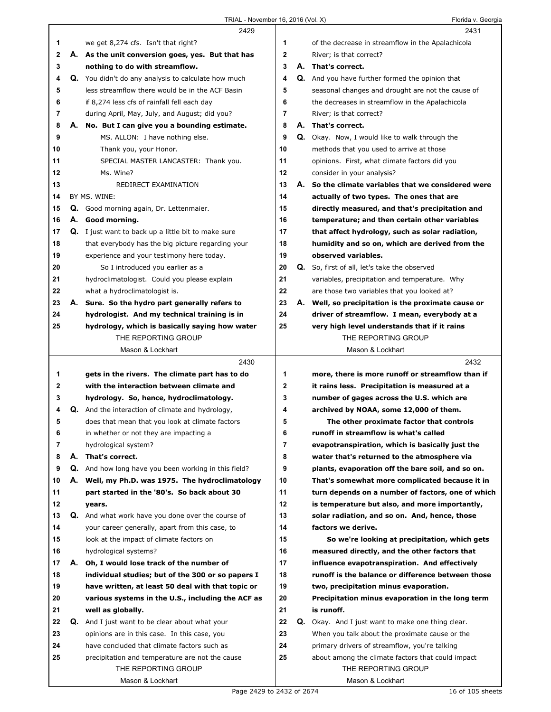|    |    | 2429                                                        |              | 2431                                                     |
|----|----|-------------------------------------------------------------|--------------|----------------------------------------------------------|
| 1  |    | we get 8,274 cfs. Isn't that right?                         | 1            | of the decrease in streamflow in the Apalachicola        |
| 2  |    | A. As the unit conversion goes, yes. But that has           | $\mathbf{2}$ | River; is that correct?                                  |
| 3  |    | nothing to do with streamflow.                              | 3            | A. That's correct.                                       |
| 4  |    | <b>Q.</b> You didn't do any analysis to calculate how much  | 4            | <b>Q.</b> And you have further formed the opinion that   |
| 5  |    | less streamflow there would be in the ACF Basin             | 5            | seasonal changes and drought are not the cause of        |
| 6  |    | if 8,274 less cfs of rainfall fell each day                 | 6            | the decreases in streamflow in the Apalachicola          |
| 7  |    | during April, May, July, and August; did you?               | 7            | River; is that correct?                                  |
| 8  | Α. | No. But I can give you a bounding estimate.                 | 8            | A. That's correct.                                       |
| 9  |    | MS. ALLON: I have nothing else.                             | 9            | Q. Okay. Now, I would like to walk through the           |
| 10 |    | Thank you, your Honor.                                      | 10           | methods that you used to arrive at those                 |
| 11 |    | SPECIAL MASTER LANCASTER: Thank you.                        | 11           | opinions. First, what climate factors did you            |
| 12 |    | Ms. Wine?                                                   | 12           | consider in your analysis?                               |
| 13 |    | REDIRECT EXAMINATION                                        | 13           | A. So the climate variables that we considered were      |
| 14 |    | BY MS. WINE:                                                | 14           | actually of two types. The ones that are                 |
| 15 |    | Q. Good morning again, Dr. Lettenmaier.                     | 15           | directly measured, and that's precipitation and          |
| 16 |    | A. Good morning.                                            | 16           | temperature; and then certain other variables            |
| 17 |    | <b>Q.</b> I just want to back up a little bit to make sure  | 17           | that affect hydrology, such as solar radiation,          |
| 18 |    | that everybody has the big picture regarding your           | 18           | humidity and so on, which are derived from the           |
| 19 |    | experience and your testimony here today.                   | 19           | observed variables.                                      |
| 20 |    | So I introduced you earlier as a                            | 20           | Q. So, first of all, let's take the observed             |
| 21 |    | hydroclimatologist. Could you please explain                | 21           | variables, precipitation and temperature. Why            |
| 22 |    | what a hydroclimatologist is.                               | 22           | are those two variables that you looked at?              |
| 23 |    | A. Sure. So the hydro part generally refers to              | 23           | A. Well, so precipitation is the proximate cause or      |
| 24 |    | hydrologist. And my technical training is in                | 24           | driver of streamflow. I mean, everybody at a             |
| 25 |    | hydrology, which is basically saying how water              | 25           | very high level understands that if it rains             |
|    |    | THE REPORTING GROUP                                         |              | THE REPORTING GROUP                                      |
|    |    | Mason & Lockhart                                            |              | Mason & Lockhart                                         |
|    |    |                                                             |              |                                                          |
|    |    |                                                             |              |                                                          |
|    |    | 2430                                                        |              | 2432                                                     |
| 1  |    | gets in the rivers. The climate part has to do              | 1            | more, there is more runoff or streamflow than if         |
| 2  |    | with the interaction between climate and                    | 2            | it rains less. Precipitation is measured at a            |
| 3  |    | hydrology. So, hence, hydroclimatology.                     | 3            | number of gages across the U.S. which are                |
| 4  |    | Q. And the interaction of climate and hydrology,            | 4            | archived by NOAA, some 12,000 of them.                   |
| 5  |    | does that mean that you look at climate factors             | 5            | The other proximate factor that controls                 |
| 6  |    | in whether or not they are impacting a                      | b            | runoff in streamflow is what's called                    |
| 7  |    | hydrological system?                                        | 7            | evapotranspiration, which is basically just the          |
| 8  | А. | That's correct.                                             | 8            | water that's returned to the atmosphere via              |
| 9  |    | <b>Q.</b> And how long have you been working in this field? | 9            | plants, evaporation off the bare soil, and so on.        |
| 10 |    | A. Well, my Ph.D. was 1975. The hydroclimatology            | 10           | That's somewhat more complicated because it in           |
| 11 |    | part started in the '80's. So back about 30                 | 11           | turn depends on a number of factors, one of which        |
| 12 |    | years.                                                      | 12           | is temperature but also, and more importantly,           |
| 13 |    | Q. And what work have you done over the course of           | 13           | solar radiation, and so on. And, hence, those            |
| 14 |    | your career generally, apart from this case, to             | 14           | factors we derive.                                       |
| 15 |    | look at the impact of climate factors on                    | 15           | So we're looking at precipitation, which gets            |
| 16 |    | hydrological systems?                                       | 16           | measured directly, and the other factors that            |
| 17 | А. | Oh, I would lose track of the number of                     | 17           | influence evapotranspiration. And effectively            |
| 18 |    | individual studies; but of the 300 or so papers I           | 18           | runoff is the balance or difference between those        |
| 19 |    | have written, at least 50 deal with that topic or           | 19           | two, precipitation minus evaporation.                    |
| 20 |    | various systems in the U.S., including the ACF as           | 20           | Precipitation minus evaporation in the long term         |
| 21 |    | well as globally.                                           | 21           | is runoff.                                               |
| 22 |    | <b>Q.</b> And I just want to be clear about what your       | 22           | <b>Q.</b> Okay. And I just want to make one thing clear. |
| 23 |    | opinions are in this case. In this case, you                | 23           | When you talk about the proximate cause or the           |
| 24 |    | have concluded that climate factors such as                 | 24           | primary drivers of streamflow, you're talking            |
| 25 |    | precipitation and temperature are not the cause             | 25           | about among the climate factors that could impact        |
|    |    | THE REPORTING GROUP                                         |              | THE REPORTING GROUP                                      |

ı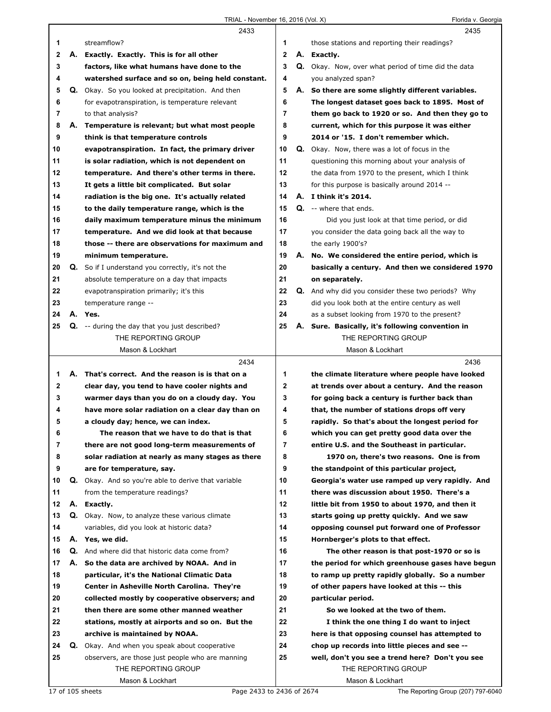|             |    | 2433                                                     |                | 2435                                                      |
|-------------|----|----------------------------------------------------------|----------------|-----------------------------------------------------------|
| 1           |    | streamflow?                                              | 1              | those stations and reporting their readings?              |
| $\mathbf 2$ | А. | Exactly. Exactly. This is for all other                  | $\overline{2}$ | A. Exactly.                                               |
| 3           |    | factors, like what humans have done to the               | 3              | Q. Okay. Now, over what period of time did the data       |
| 4           |    | watershed surface and so on, being held constant.        | 4              | you analyzed span?                                        |
| 5           |    | Q. Okay. So you looked at precipitation. And then        | 5              | A. So there are some slightly different variables.        |
| 6           |    | for evapotranspiration, is temperature relevant          | 6              | The longest dataset goes back to 1895. Most of            |
| 7           |    | to that analysis?                                        | $\overline{7}$ | them go back to 1920 or so. And then they go to           |
| 8           |    | A. Temperature is relevant; but what most people         | 8              | current, which for this purpose it was either             |
| 9           |    | think is that temperature controls                       | 9              | 2014 or '15. I don't remember which.                      |
| 10          |    | evapotranspiration. In fact, the primary driver          | 10             | Q. Okay. Now, there was a lot of focus in the             |
| 11          |    | is solar radiation, which is not dependent on            | 11             | questioning this morning about your analysis of           |
| 12          |    | temperature. And there's other terms in there.           | 12             | the data from 1970 to the present, which I think          |
| 13          |    | It gets a little bit complicated. But solar              | 13             | for this purpose is basically around 2014 --              |
| 14          |    | radiation is the big one. It's actually related          | 14             | A. I think it's 2014.                                     |
| 15          |    | to the daily temperature range, which is the             | 15             | Q. -- where that ends.                                    |
| 16          |    | daily maximum temperature minus the minimum              | 16             | Did you just look at that time period, or did             |
| 17          |    | temperature. And we did look at that because             | 17             | you consider the data going back all the way to           |
| 18          |    | those -- there are observations for maximum and          | 18             | the early 1900's?                                         |
| 19          |    | minimum temperature.                                     | 19             | A. No. We considered the entire period, which is          |
| 20          |    | <b>Q.</b> So if I understand you correctly, it's not the | 20             | basically a century. And then we considered 1970          |
| 21          |    | absolute temperature on a day that impacts               | 21             | on separately.                                            |
| 22          |    | evapotranspiration primarily; it's this                  | 22             | <b>Q.</b> And why did you consider these two periods? Why |
| 23          |    | temperature range --                                     | 23             | did you look both at the entire century as well           |
| 24          |    | A. Yes.                                                  | 24             | as a subset looking from 1970 to the present?             |
| 25          |    | <b>Q.</b> -- during the day that you just described?     | 25             | A. Sure. Basically, it's following convention in          |
|             |    | THE REPORTING GROUP                                      |                | THE REPORTING GROUP                                       |
|             |    | Mason & Lockhart                                         |                | Mason & Lockhart                                          |
|             |    |                                                          |                |                                                           |
|             |    | 2434                                                     |                | 2436                                                      |
| 1           |    | A. That's correct. And the reason is is that on a        | 1              | the climate literature where people have looked           |
| $\mathbf 2$ |    | clear day, you tend to have cooler nights and            | 2              | at trends over about a century. And the reason            |
| 3           |    | warmer days than you do on a cloudy day. You             | 3              | for going back a century is further back than             |
| 4           |    | have more solar radiation on a clear day than on         | 4              | that, the number of stations drops off very               |
| 5           |    | a cloudy day; hence, we can index.                       | 5              | rapidly. So that's about the longest period for           |
| 6           |    | The reason that we have to do that is that               | 6              | which you can get pretty good data over the               |
| 7           |    | there are not good long-term measurements of             | 7              | entire U.S. and the Southeast in particular.              |
| 8           |    | solar radiation at nearly as many stages as there        | 8              | 1970 on, there's two reasons. One is from                 |
| 9           |    | are for temperature, say.                                | 9              | the standpoint of this particular project,                |
| 10          | Q. | Okay. And so you're able to derive that variable         | 10             | Georgia's water use ramped up very rapidly. And           |
| 11          |    | from the temperature readings?                           | 11             | there was discussion about 1950. There's a                |
| 12          |    | A. Exactly.                                              | 12             | little bit from 1950 to about 1970, and then it           |
| 13          |    | Q. Okay. Now, to analyze these various climate           | 13             | starts going up pretty quickly. And we saw                |
| 14          |    | variables, did you look at historic data?                | 14             | opposing counsel put forward one of Professor             |
| 15          |    | A. Yes, we did.                                          | 15             | Hornberger's plots to that effect.                        |
| 16          |    | Q. And where did that historic data come from?           | 16             | The other reason is that post-1970 or so is               |
| 17          |    | A. So the data are archived by NOAA. And in              | 17             | the period for which greenhouse gases have begun          |
| 18          |    | particular, it's the National Climatic Data              | 18             | to ramp up pretty rapidly globally. So a number           |
| 19          |    | Center in Asheville North Carolina. They're              | 19             | of other papers have looked at this -- this               |
| 20          |    | collected mostly by cooperative observers; and           | 20             | particular period.                                        |
| 21          |    | then there are some other manned weather                 | 21             | So we looked at the two of them.                          |
| 22          |    | stations, mostly at airports and so on. But the          | 22             | I think the one thing I do want to inject                 |
| 23          |    | archive is maintained by NOAA.                           | 23             | here is that opposing counsel has attempted to            |
| 24          |    | Q. Okay. And when you speak about cooperative            | 24             | chop up records into little pieces and see --             |
| 25          |    | observers, are those just people who are manning         | 25             | well, don't you see a trend here? Don't you see           |
|             |    | THE REPORTING GROUP<br>Mason & Lockhart                  |                | THE REPORTING GROUP<br>Mason & Lockhart                   |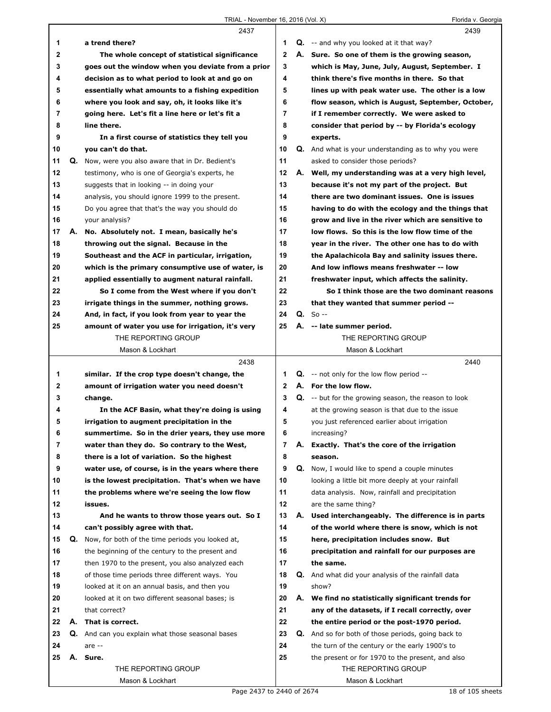|                |    | 2437                                              |              |    | 2439                                                        |
|----------------|----|---------------------------------------------------|--------------|----|-------------------------------------------------------------|
| 1              |    | a trend there?                                    | 1            |    | $Q.$ -- and why you looked at it that way?                  |
| 2              |    | The whole concept of statistical significance     | $\mathbf{2}$ |    | A. Sure. So one of them is the growing season,              |
| 3              |    | goes out the window when you deviate from a prior | 3            |    | which is May, June, July, August, September. I              |
| 4              |    | decision as to what period to look at and go on   | 4            |    | think there's five months in there. So that                 |
| 5              |    | essentially what amounts to a fishing expedition  | 5            |    | lines up with peak water use. The other is a low            |
| 6              |    | where you look and say, oh, it looks like it's    | 6            |    | flow season, which is August, September, October,           |
| 7              |    | going here. Let's fit a line here or let's fit a  | 7            |    | if I remember correctly. We were asked to                   |
| 8              |    | line there.                                       | 8            |    | consider that period by -- by Florida's ecology             |
| 9              |    | In a first course of statistics they tell you     | 9            |    | experts.                                                    |
| 10             |    | you can't do that.                                | 10           |    | <b>Q.</b> And what is your understanding as to why you were |
| 11             |    | Q. Now, were you also aware that in Dr. Bedient's | 11           |    | asked to consider those periods?                            |
| 12             |    | testimony, who is one of Georgia's experts, he    | 12           |    | A. Well, my understanding was at a very high level,         |
| 13             |    | suggests that in looking -- in doing your         | 13           |    | because it's not my part of the project. But                |
| 14             |    |                                                   | 14           |    | there are two dominant issues. One is issues                |
|                |    | analysis, you should ignore 1999 to the present.  | 15           |    |                                                             |
| 15             |    | Do you agree that that's the way you should do    |              |    | having to do with the ecology and the things that           |
| 16             |    | your analysis?                                    | 16           |    | grow and live in the river which are sensitive to           |
| 17             | А. | No. Absolutely not. I mean, basically he's        | 17           |    | low flows. So this is the low flow time of the              |
| 18             |    | throwing out the signal. Because in the           | 18           |    | year in the river. The other one has to do with             |
| 19             |    | Southeast and the ACF in particular, irrigation,  | 19           |    | the Apalachicola Bay and salinity issues there.             |
| 20             |    | which is the primary consumptive use of water, is | 20           |    | And low inflows means freshwater -- low                     |
| 21             |    | applied essentially to augment natural rainfall.  | 21           |    | freshwater input, which affects the salinity.               |
| 22             |    | So I come from the West where if you don't        | 22           |    | So I think those are the two dominant reasons               |
| 23             |    | irrigate things in the summer, nothing grows.     | 23           |    | that they wanted that summer period --                      |
| 24             |    | And, in fact, if you look from year to year the   | 24           |    | $Q. So --$                                                  |
| 25             |    | amount of water you use for irrigation, it's very | 25           |    | A. -- late summer period.                                   |
|                |    | THE REPORTING GROUP                               |              |    | THE REPORTING GROUP                                         |
|                |    | Mason & Lockhart                                  |              |    | Mason & Lockhart                                            |
|                |    |                                                   |              |    |                                                             |
|                |    | 2438                                              |              |    | 2440                                                        |
| 1              |    | similar. If the crop type doesn't change, the     | 1            |    | <b>Q.</b> -- not only for the low flow period --            |
| 2              |    | amount of irrigation water you need doesn't       | $\mathbf{2}$ |    | A. For the low flow.                                        |
| 3              |    | change.                                           | 3            |    | Q. -- but for the growing season, the reason to look        |
| 4              |    | In the ACF Basin, what they're doing is using     | 4            |    | at the growing season is that due to the issue              |
| 5              |    | irrigation to augment precipitation in the        | 5            |    | you just referenced earlier about irrigation                |
| 6              |    | summertime. So in the drier years, they use more  | 6            |    | increasing?                                                 |
| $\overline{7}$ |    | water than they do. So contrary to the West,      | 7            | А. | Exactly. That's the core of the irrigation                  |
| 8              |    | there is a lot of variation. So the highest       | 8            |    | season.                                                     |
| 9              |    | water use, of course, is in the years where there | 9            | Q. | Now, I would like to spend a couple minutes                 |
| 10             |    | is the lowest precipitation. That's when we have  | 10           |    | looking a little bit more deeply at your rainfall           |
| 11             |    | the problems where we're seeing the low flow      | 11           |    | data analysis. Now, rainfall and precipitation              |
| 12             |    | issues.                                           | 12           |    | are the same thing?                                         |
| 13             |    | And he wants to throw those years out. So I       | 13           | А. | Used interchangeably. The difference is in parts            |
| 14             |    | can't possibly agree with that.                   | 14           |    | of the world where there is snow, which is not              |
| 15             | Q. | Now, for both of the time periods you looked at,  | 15           |    | here, precipitation includes snow. But                      |
| 16             |    | the beginning of the century to the present and   | 16           |    | precipitation and rainfall for our purposes are             |
| 17             |    | then 1970 to the present, you also analyzed each  | 17           |    | the same.                                                   |
| 18             |    | of those time periods three different ways. You   | 18           | Q. | And what did your analysis of the rainfall data             |
| 19             |    | looked at it on an annual basis, and then you     | 19           |    | show?                                                       |
| 20             |    | looked at it on two different seasonal bases; is  | 20           |    | A. We find no statistically significant trends for          |
| 21             |    | that correct?                                     | 21           |    | any of the datasets, if I recall correctly, over            |
| 22             | А. | That is correct.                                  | 22           |    | the entire period or the post-1970 period.                  |
| 23             |    | Q. And can you explain what those seasonal bases  | 23           | Q. | And so for both of those periods, going back to             |
| 24             |    | are $-$                                           | 24           |    | the turn of the century or the early 1900's to              |
| 25             |    | A. Sure.                                          | 25           |    | the present or for 1970 to the present, and also            |
|                |    | THE REPORTING GROUP                               |              |    | THE REPORTING GROUP                                         |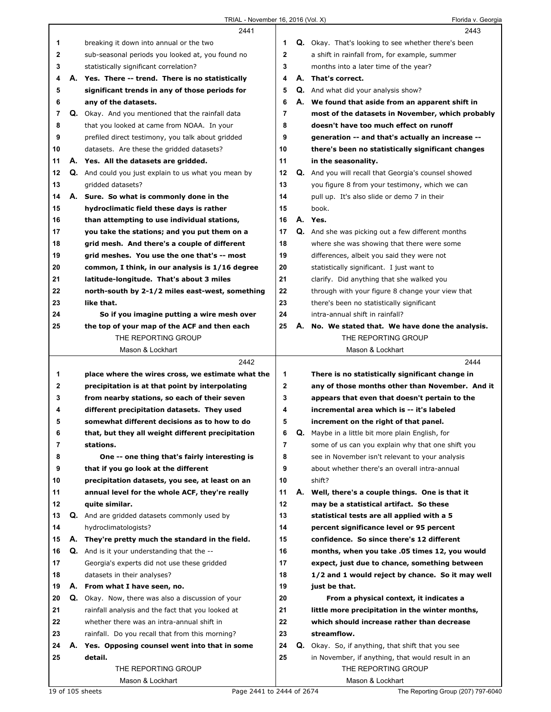|              | 2441                                                 |              | 2443                                                        |
|--------------|------------------------------------------------------|--------------|-------------------------------------------------------------|
| 1            | breaking it down into annual or the two              | 1            | <b>Q.</b> Okay. That's looking to see whether there's been  |
| $\mathbf{2}$ | sub-seasonal periods you looked at, you found no     | $\mathbf{2}$ | a shift in rainfall from, for example, summer               |
| 3            | statistically significant correlation?               | 3            | months into a later time of the year?                       |
| 4            | A. Yes. There -- trend. There is no statistically    | 4            | A. That's correct.                                          |
| 5            | significant trends in any of those periods for       | 5            | <b>Q.</b> And what did your analysis show?                  |
| 6            | any of the datasets.                                 | 6            | A. We found that aside from an apparent shift in            |
| 7            | Q. Okay. And you mentioned that the rainfall data    | 7            | most of the datasets in November, which probably            |
| 8            | that you looked at came from NOAA. In your           | 8            | doesn't have too much effect on runoff                      |
| 9            | prefiled direct testimony, you talk about gridded    | 9            | generation -- and that's actually an increase --            |
| 10           | datasets. Are these the gridded datasets?            | 10           | there's been no statistically significant changes           |
| 11           | A. Yes. All the datasets are gridded.                | 11           | in the seasonality.                                         |
| 12           | Q. And could you just explain to us what you mean by | 12           | <b>Q.</b> And you will recall that Georgia's counsel showed |
| 13           | qridded datasets?                                    | 13           | you figure 8 from your testimony, which we can              |
| 14           | A. Sure. So what is commonly done in the             | 14           | pull up. It's also slide or demo 7 in their                 |
| 15           | hydroclimatic field these days is rather             | 15           | book.                                                       |
| 16           | than attempting to use individual stations,          | 16           | A. Yes.                                                     |
| 17           | you take the stations; and you put them on a         | 17           | Q. And she was picking out a few different months           |
| 18           | grid mesh. And there's a couple of different         | 18           | where she was showing that there were some                  |
| 19           | grid meshes. You use the one that's -- most          | 19           | differences, albeit you said they were not                  |
| 20           | common, I think, in our analysis is 1/16 degree      | 20           | statistically significant. I just want to                   |
| 21           | latitude-longitude. That's about 3 miles             | 21           | clarify. Did anything that she walked you                   |
| 22           | north-south by 2-1/2 miles east-west, something      | 22           | through with your figure 8 change your view that            |
| 23           | like that.                                           | 23           | there's been no statistically significant                   |
| 24           | So if you imagine putting a wire mesh over           | 24           | intra-annual shift in rainfall?                             |
| 25           | the top of your map of the ACF and then each         | 25           | A. No. We stated that. We have done the analysis.           |
|              | THE REPORTING GROUP                                  |              | THE REPORTING GROUP                                         |
|              | Mason & Lockhart                                     |              | Mason & Lockhart                                            |
|              |                                                      |              |                                                             |
|              | 2442                                                 |              | 2444                                                        |
| 1            | place where the wires cross, we estimate what the    | 1            | There is no statistically significant change in             |
| 2            | precipitation is at that point by interpolating      | $\mathbf 2$  | any of those months other than November. And it             |
| 3            | from nearby stations, so each of their seven         | 3            | appears that even that doesn't pertain to the               |
| 4            | different precipitation datasets. They used          | 4            | incremental area which is -- it's labeled                   |
| 5            | somewhat different decisions as to how to do         | 5            | increment on the right of that panel.                       |
| 6            | that, but they all weight different precipitation    | 6            | Q. Maybe in a little bit more plain English, for            |
| 7            | stations.                                            | 7            | some of us can you explain why that one shift you           |
| 8            | One -- one thing that's fairly interesting is        | 8            | see in November isn't relevant to your analysis             |
| 9            | that if you go look at the different                 | 9            | about whether there's an overall intra-annual               |
| 10           | precipitation datasets, you see, at least on an      | 10           | shift?                                                      |
| 11           | annual level for the whole ACF, they're really       | 11           | A. Well, there's a couple things. One is that it            |
| 12           | quite similar.                                       | 12           | may be a statistical artifact. So these                     |
| 13           | <b>Q.</b> And are gridded datasets commonly used by  | 13           | statistical tests are all applied with a 5                  |
| 14           | hydroclimatologists?                                 | 14           | percent significance level or 95 percent                    |
| 15           | A. They're pretty much the standard in the field.    | 15           | confidence. So since there's 12 different                   |
| 16           | <b>Q.</b> And is it your understanding that the --   | 16           | months, when you take .05 times 12, you would               |
| 17           | Georgia's experts did not use these gridded          | 17           | expect, just due to chance, something between               |
| 18           | datasets in their analyses?                          | 18           | 1/2 and 1 would reject by chance. So it may well            |
| 19           | A. From what I have seen, no.                        | 19           | just be that.                                               |
| 20           | Q. Okay. Now, there was also a discussion of your    | 20           | From a physical context, it indicates a                     |
| 21           | rainfall analysis and the fact that you looked at    | 21           | little more precipitation in the winter months,             |
| 22           | whether there was an intra-annual shift in           | 22           | which should increase rather than decrease                  |
| 23           | rainfall. Do you recall that from this morning?      | 23           | streamflow.                                                 |
| 24           | A. Yes. Opposing counsel went into that in some      | 24           | <b>Q.</b> Okay. So, if anything, that shift that you see    |
| 25           | detail.                                              | 25           | in November, if anything, that would result in an           |
|              | THE REPORTING GROUP<br>Mason & Lockhart              |              | THE REPORTING GROUP<br>Mason & Lockhart                     |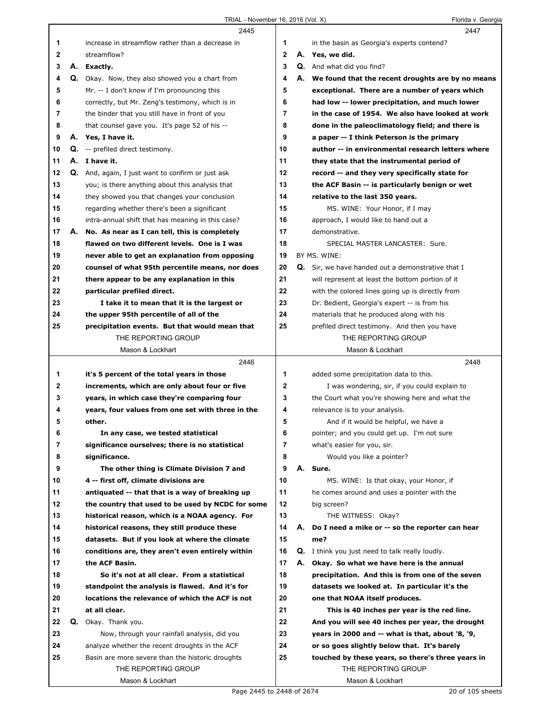|             |    | 2445                                                                                  |        |    | 2447                                                                       |
|-------------|----|---------------------------------------------------------------------------------------|--------|----|----------------------------------------------------------------------------|
| 1           |    | increase in streamflow rather than a decrease in                                      | 1      |    | in the basin as Georgia's experts contend?                                 |
| $\mathbf 2$ |    | streamflow?                                                                           | 2      |    | A. Yes, we did.                                                            |
| 3           |    | A. Exactly.                                                                           | 3      |    | <b>Q.</b> And what did you find?                                           |
| 4           |    | Q. Okay. Now, they also showed you a chart from                                       | 4      |    | A. We found that the recent droughts are by no means                       |
| 5           |    | Mr. -- I don't know if I'm pronouncing this                                           | 5      |    | exceptional. There are a number of years which                             |
| 6           |    | correctly, but Mr. Zeng's testimony, which is in                                      | 6      |    | had low -- lower precipitation, and much lower                             |
| 7           |    | the binder that you still have in front of you                                        | 7      |    | in the case of 1954. We also have looked at work                           |
| 8           |    | that counsel gave you. It's page 52 of his --                                         | 8      |    | done in the paleoclimatology field; and there is                           |
| 9           |    | A. Yes, I have it.                                                                    | 9      |    | a paper -- I think Peterson is the primary                                 |
| 10          |    | Q. -- prefiled direct testimony.                                                      | 10     |    | author -- in environmental research letters where                          |
| 11          |    | A. I have it.                                                                         | 11     |    | they state that the instrumental period of                                 |
| 12          |    | <b>Q.</b> And, again, I just want to confirm or just ask                              | 12     |    | record -- and they very specifically state for                             |
| 13          |    | you; is there anything about this analysis that                                       | 13     |    | the ACF Basin -- is particularly benign or wet                             |
| 14          |    | they showed you that changes your conclusion                                          | 14     |    | relative to the last 350 years.                                            |
| 15          |    | regarding whether there's been a significant                                          | 15     |    | MS. WINE: Your Honor, if I may                                             |
| 16          |    | intra-annual shift that has meaning in this case?                                     | 16     |    | approach, I would like to hand out a                                       |
| 17          | А. | No. As near as I can tell, this is completely                                         | 17     |    | demonstrative.                                                             |
| 18          |    | flawed on two different levels. One is I was                                          | 18     |    | SPECIAL MASTER LANCASTER: Sure.                                            |
| 19          |    | never able to get an explanation from opposing                                        | 19     |    | BY MS. WINE:                                                               |
| 20          |    | counsel of what 95th percentile means, nor does                                       | 20     |    | <b>Q.</b> Sir, we have handed out a demonstrative that I                   |
| 21          |    | there appear to be any explanation in this                                            | 21     |    | will represent at least the bottom portion of it                           |
| 22          |    | particular prefiled direct.                                                           | 22     |    | with the colored lines going up is directly from                           |
| 23          |    | I take it to mean that it is the largest or                                           | 23     |    | Dr. Bedient, Georgia's expert -- is from his                               |
| 24          |    | the upper 95th percentile of all of the                                               | 24     |    | materials that he produced along with his                                  |
| 25          |    | precipitation events. But that would mean that                                        | 25     |    | prefiled direct testimony. And then you have                               |
|             |    | THE REPORTING GROUP                                                                   |        |    | THE REPORTING GROUP                                                        |
|             |    | Mason & Lockhart                                                                      |        |    | Mason & Lockhart                                                           |
|             |    | 2446                                                                                  |        |    |                                                                            |
|             |    |                                                                                       |        |    | 2448                                                                       |
| 1           |    | it's 5 percent of the total years in those                                            | 1      |    | added some precipitation data to this.                                     |
| 2           |    | increments, which are only about four or five                                         | 2      |    | I was wondering, sir, if you could explain to                              |
| 3           |    | years, in which case they're comparing four                                           | 3      |    | the Court what you're showing here and what the                            |
| 4           |    |                                                                                       | 4      |    |                                                                            |
| 5           |    | years, four values from one set with three in the<br>other.                           | 5      |    | relevance is to your analysis.<br>And if it would be helpful, we have a    |
| 6           |    |                                                                                       |        |    |                                                                            |
| 7           |    | In any case, we tested statistical<br>significance ourselves; there is no statistical | 6<br>7 |    | pointer; and you could get up. I'm not sure<br>what's easier for you, sir. |
| 8           |    |                                                                                       | 8      |    |                                                                            |
| 9           |    | significance.<br>The other thing is Climate Division 7 and                            | 9      |    | Would you like a pointer?<br>A. Sure.                                      |
| 10          |    | 4 -- first off, climate divisions are                                                 | 10     |    | MS. WINE: Is that okay, your Honor, if                                     |
| 11          |    | antiquated -- that that is a way of breaking up                                       | 11     |    | he comes around and uses a pointer with the                                |
| 12          |    | the country that used to be used by NCDC for some                                     | 12     |    | big screen?                                                                |
| 13          |    | historical reason, which is a NOAA agency. For                                        | 13     |    | THE WITNESS: Okay?                                                         |
| 14          |    | historical reasons, they still produce these                                          | 14     | А. | Do I need a mike or -- so the reporter can hear                            |
| 15          |    | datasets. But if you look at where the climate                                        | 15     |    | me?                                                                        |
| 16          |    | conditions are, they aren't even entirely within                                      | 16     |    | <b>Q.</b> I think you just need to talk really loudly.                     |
| 17          |    | the ACF Basin.                                                                        | 17     | А. | Okay. So what we have here is the annual                                   |
| 18          |    | So it's not at all clear. From a statistical                                          | 18     |    | precipitation. And this is from one of the seven                           |
| 19          |    | standpoint the analysis is flawed. And it's for                                       | 19     |    | datasets we looked at. In particular it's the                              |
| 20          |    | locations the relevance of which the ACF is not                                       | 20     |    | one that NOAA itself produces.                                             |
| 21          |    | at all clear.                                                                         | 21     |    | This is 40 inches per year is the red line.                                |
| 22          |    | Q. Okay. Thank you.                                                                   | 22     |    | And you will see 40 inches per year, the drought                           |
| 23          |    | Now, through your rainfall analysis, did you                                          | 23     |    | years in 2000 and -- what is that, about '8, '9,                           |
| 24          |    | analyze whether the recent droughts in the ACF                                        | 24     |    | or so goes slightly below that. It's barely                                |
| 25          |    | Basin are more severe than the historic droughts                                      | 25     |    | touched by these years, so there's three years in                          |
|             |    | THE REPORTING GROUP                                                                   |        |    | THE REPORTING GROUP                                                        |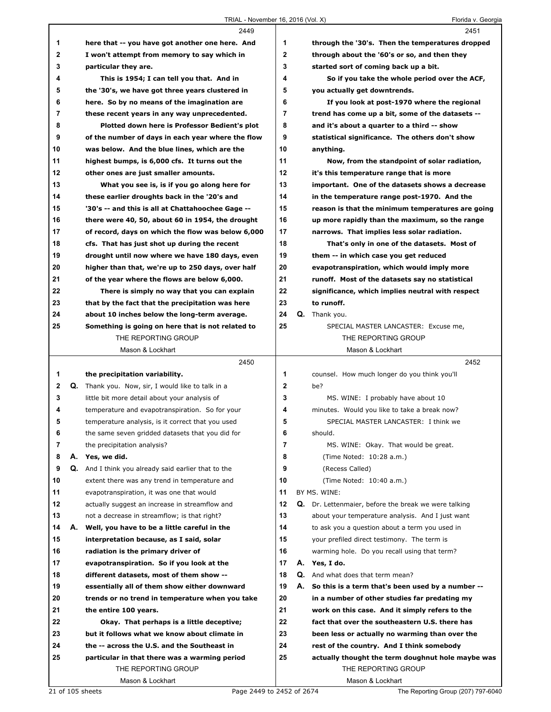|    |    | 2449                                                       |                |    | 2451                                                 |
|----|----|------------------------------------------------------------|----------------|----|------------------------------------------------------|
| 1  |    | here that -- you have got another one here. And            | 1              |    | through the '30's. Then the temperatures dropped     |
| 2  |    | I won't attempt from memory to say which in                | $\mathbf{2}$   |    | through about the '60's or so, and then they         |
| 3  |    | particular they are.                                       | 3              |    | started sort of coming back up a bit.                |
| 4  |    | This is 1954; I can tell you that. And in                  | 4              |    | So if you take the whole period over the ACF,        |
| 5  |    | the '30's, we have got three years clustered in            | 5              |    | you actually get downtrends.                         |
| 6  |    | here. So by no means of the imagination are                | 6              |    | If you look at post-1970 where the regional          |
| 7  |    | these recent years in any way unprecedented.               | $\overline{7}$ |    | trend has come up a bit, some of the datasets --     |
| 8  |    | Plotted down here is Professor Bedient's plot              | 8              |    | and it's about a quarter to a third -- show          |
| 9  |    | of the number of days in each year where the flow          | 9              |    | statistical significance. The others don't show      |
| 10 |    | was below. And the blue lines, which are the               | 10             |    | anything.                                            |
| 11 |    | highest bumps, is 6,000 cfs. It turns out the              | 11             |    | Now, from the standpoint of solar radiation,         |
| 12 |    | other ones are just smaller amounts.                       | 12             |    | it's this temperature range that is more             |
| 13 |    | What you see is, is if you go along here for               | 13             |    | important. One of the datasets shows a decrease      |
| 14 |    | these earlier droughts back in the '20's and               | 14             |    | in the temperature range post-1970. And the          |
| 15 |    | '30's -- and this is all at Chattahoochee Gage --          | 15             |    | reason is that the minimum temperatures are going    |
| 16 |    | there were 40, 50, about 60 in 1954, the drought           | 16             |    | up more rapidly than the maximum, so the range       |
| 17 |    | of record, days on which the flow was below 6,000          | 17             |    | narrows. That implies less solar radiation.          |
| 18 |    | cfs. That has just shot up during the recent               | 18             |    | That's only in one of the datasets. Most of          |
| 19 |    | drought until now where we have 180 days, even             | 19             |    | them -- in which case you get reduced                |
| 20 |    | higher than that, we're up to 250 days, over half          | 20             |    | evapotranspiration, which would imply more           |
| 21 |    | of the year where the flows are below 6,000.               | 21             |    | runoff. Most of the datasets say no statistical      |
| 22 |    | There is simply no way that you can explain                | 22             |    | significance, which implies neutral with respect     |
| 23 |    | that by the fact that the precipitation was here           | 23             |    | to runoff.                                           |
| 24 |    | about 10 inches below the long-term average.               | 24             |    | Q. Thank you.                                        |
| 25 |    | Something is going on here that is not related to          | 25             |    | SPECIAL MASTER LANCASTER: Excuse me,                 |
|    |    | THE REPORTING GROUP                                        |                |    | THE REPORTING GROUP                                  |
|    |    |                                                            |                |    |                                                      |
|    |    |                                                            |                |    |                                                      |
|    |    | Mason & Lockhart                                           |                |    | Mason & Lockhart                                     |
|    |    | 2450                                                       |                |    | 2452                                                 |
| 1  |    | the precipitation variability.                             | 1              |    | counsel. How much longer do you think you'll         |
| 2  |    | <b>Q.</b> Thank you. Now, sir, I would like to talk in a   | $\mathbf 2$    |    | be?                                                  |
| 3  |    | little bit more detail about your analysis of              | 3              |    | MS. WINE: I probably have about 10                   |
| 4  |    | temperature and evapotranspiration. So for your            | 4              |    | minutes. Would you like to take a break now?         |
| 5  |    | temperature analysis, is it correct that you used          | 5              |    | SPECIAL MASTER LANCASTER: I think we                 |
| 6  |    | the same seven gridded datasets that you did for           | 6              |    | should.                                              |
| 7  |    | the precipitation analysis?                                | 7              |    | MS. WINE: Okay. That would be great.                 |
| 8  |    | A. Yes, we did.                                            | 8              |    | (Time Noted: 10:28 a.m.)                             |
| 9  |    | <b>Q.</b> And I think you already said earlier that to the | 9              |    | (Recess Called)                                      |
| 10 |    | extent there was any trend in temperature and              | 10             |    | (Time Noted: 10:40 a.m.)                             |
| 11 |    | evapotranspiration, it was one that would                  | 11             |    | BY MS. WINE:                                         |
| 12 |    | actually suggest an increase in streamflow and             | 12             |    | Q. Dr. Lettenmaier, before the break we were talking |
| 13 |    | not a decrease in streamflow; is that right?               | 13             |    | about your temperature analysis. And I just want     |
| 14 | А. | Well, you have to be a little careful in the               | 14             |    | to ask you a question about a term you used in       |
| 15 |    | interpretation because, as I said, solar                   | 15             |    | your prefiled direct testimony. The term is          |
| 16 |    | radiation is the primary driver of                         | 16             |    | warming hole. Do you recall using that term?         |
| 17 |    | evapotranspiration. So if you look at the                  | 17             |    | A. Yes, I do.                                        |
| 18 |    | different datasets, most of them show --                   | 18             |    | <b>Q.</b> And what does that term mean?              |
| 19 |    | essentially all of them show either downward               | 19             | А. | So this is a term that's been used by a number --    |
| 20 |    | trends or no trend in temperature when you take            | 20             |    | in a number of other studies far predating my        |
| 21 |    | the entire 100 years.                                      | 21             |    | work on this case. And it simply refers to the       |
| 22 |    | Okay. That perhaps is a little deceptive;                  | 22             |    | fact that over the southeastern U.S. there has       |
| 23 |    | but it follows what we know about climate in               | 23             |    | been less or actually no warming than over the       |
| 24 |    | the -- across the U.S. and the Southeast in                | 24             |    | rest of the country. And I think somebody            |
| 25 |    | particular in that there was a warming period              | 25             |    | actually thought the term doughnut hole maybe was    |
|    |    | THE REPORTING GROUP<br>Mason & Lockhart                    |                |    | THE REPORTING GROUP<br>Mason & Lockhart              |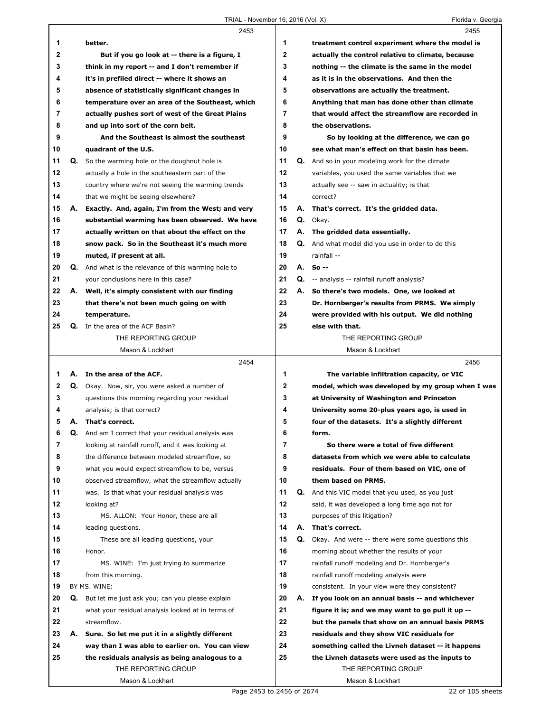|              |    | 2453                                                                                                  |                   | 2455                                                                |
|--------------|----|-------------------------------------------------------------------------------------------------------|-------------------|---------------------------------------------------------------------|
| 1            |    | better.                                                                                               | 1                 | treatment control experiment where the model is                     |
| $\mathbf{2}$ |    | But if you go look at -- there is a figure, I                                                         | $\mathbf{2}$      | actually the control relative to climate, because                   |
| 3            |    | think in my report -- and I don't remember if                                                         | 3                 | nothing -- the climate is the same in the model                     |
| 4            |    | it's in prefiled direct -- where it shows an                                                          | 4                 | as it is in the observations. And then the                          |
| 5            |    | absence of statistically significant changes in                                                       | 5                 | observations are actually the treatment.                            |
| 6            |    | temperature over an area of the Southeast, which                                                      | 6                 | Anything that man has done other than climate                       |
| 7            |    | actually pushes sort of west of the Great Plains                                                      | $\overline{7}$    | that would affect the streamflow are recorded in                    |
| 8            |    | and up into sort of the corn belt.                                                                    | 8                 | the observations.                                                   |
| 9            |    | And the Southeast is almost the southeast                                                             | 9                 | So by looking at the difference, we can go                          |
| 10           |    | quadrant of the U.S.                                                                                  | 10                | see what man's effect on that basin has been.                       |
| 11           |    | <b>Q.</b> So the warming hole or the doughnut hole is                                                 | 11                | <b>Q.</b> And so in your modeling work for the climate              |
| 12           |    | actually a hole in the southeastern part of the                                                       | 12                | variables, you used the same variables that we                      |
| 13           |    | country where we're not seeing the warming trends                                                     | 13                | actually see -- saw in actuality; is that                           |
| 14           |    | that we might be seeing elsewhere?                                                                    | 14                | correct?                                                            |
| 15           | А. | Exactly. And, again, I'm from the West; and very                                                      | 15                | A. That's correct. It's the gridded data.                           |
| 16           |    | substantial warming has been observed. We have                                                        | 16                | Q. Okay.                                                            |
| 17           |    | actually written on that about the effect on the                                                      | 17                | A. The gridded data essentially.                                    |
| 18           |    | snow pack. So in the Southeast it's much more                                                         | 18                | Q. And what model did you use in order to do this                   |
| 19           |    | muted, if present at all.                                                                             | 19                | rainfall --                                                         |
| 20           |    | <b>Q.</b> And what is the relevance of this warming hole to                                           | 20                | A. So --                                                            |
| 21           |    | vour conclusions here in this case?                                                                   | 21                | <b>Q.</b> -- analysis -- rainfall runoff analysis?                  |
| 22           |    | A. Well, it's simply consistent with our finding                                                      | 22                | A. So there's two models. One, we looked at                         |
| 23           |    | that there's not been much going on with                                                              | 23                | Dr. Hornberger's results from PRMS. We simply                       |
| 24           |    | temperature.                                                                                          | 24                | were provided with his output. We did nothing                       |
| 25           |    | Q. In the area of the ACF Basin?                                                                      | 25                | else with that.                                                     |
|              |    | THE REPORTING GROUP                                                                                   |                   | THE REPORTING GROUP                                                 |
|              |    | Mason & Lockhart                                                                                      |                   | Mason & Lockhart                                                    |
|              |    |                                                                                                       |                   |                                                                     |
|              |    |                                                                                                       |                   |                                                                     |
|              |    | 2454                                                                                                  |                   | 2456                                                                |
| 1            |    | A. In the area of the ACF.                                                                            | 1                 | The variable infiltration capacity, or VIC                          |
| 2<br>3       | Q. | Okay. Now, sir, you were asked a number of                                                            | $\mathbf{2}$<br>3 | model, which was developed by my group when I was                   |
| 4            |    | questions this morning regarding your residual                                                        | 4                 | at University of Washington and Princeton                           |
| 5            |    | analysis; is that correct?<br>A. That's correct.                                                      | 5                 | University some 20-plus years ago, is used in                       |
|              |    |                                                                                                       |                   | four of the datasets. It's a slightly different                     |
| 6<br>7       | Q. | And am I correct that your residual analysis was<br>looking at rainfall runoff, and it was looking at | 6<br>7            | form.<br>So there were a total of five different                    |
| 8            |    | the difference between modeled streamflow, so                                                         | 8                 | datasets from which we were able to calculate                       |
| 9            |    | what you would expect streamflow to be, versus                                                        | 9                 |                                                                     |
| 10           |    | observed streamflow, what the streamflow actually                                                     | 10                | residuals. Four of them based on VIC, one of<br>them based on PRMS. |
| 11           |    | was. Is that what your residual analysis was                                                          | 11                | Q. And this VIC model that you used, as you just                    |
| 12           |    | looking at?                                                                                           | 12                | said, it was developed a long time ago not for                      |
| 13           |    | MS. ALLON: Your Honor, these are all                                                                  | 13                | purposes of this litigation?                                        |
| 14           |    | leading questions.                                                                                    | 14                | A. That's correct.                                                  |
| 15           |    | These are all leading questions, your                                                                 | 15                | Q. Okay. And were -- there were some questions this                 |
| 16           |    | Honor.                                                                                                | 16                | morning about whether the results of your                           |
| 17           |    | MS. WINE: I'm just trying to summarize                                                                | 17                | rainfall runoff modeling and Dr. Hornberger's                       |
| 18           |    | from this morning.                                                                                    | 18                | rainfall runoff modeling analysis were                              |
| 19           |    | BY MS. WINE:                                                                                          | 19                | consistent. In your view were they consistent?                      |
| 20           |    | Q. But let me just ask you; can you please explain                                                    | 20                | A. If you look on an annual basis -- and whichever                  |
| 21           |    | what your residual analysis looked at in terms of                                                     | 21                | figure it is; and we may want to go pull it up --                   |
| 22           |    | streamflow.                                                                                           | 22                | but the panels that show on an annual basis PRMS                    |
| 23           |    | A. Sure. So let me put it in a slightly different                                                     | 23                | residuals and they show VIC residuals for                           |
| 24           |    | way than I was able to earlier on. You can view                                                       | 24                | something called the Livneh dataset -- it happens                   |
| 25           |    | the residuals analysis as being analogous to a                                                        | 25                | the Livneh datasets were used as the inputs to                      |
|              |    | THE REPORTING GROUP                                                                                   |                   | THE REPORTING GROUP                                                 |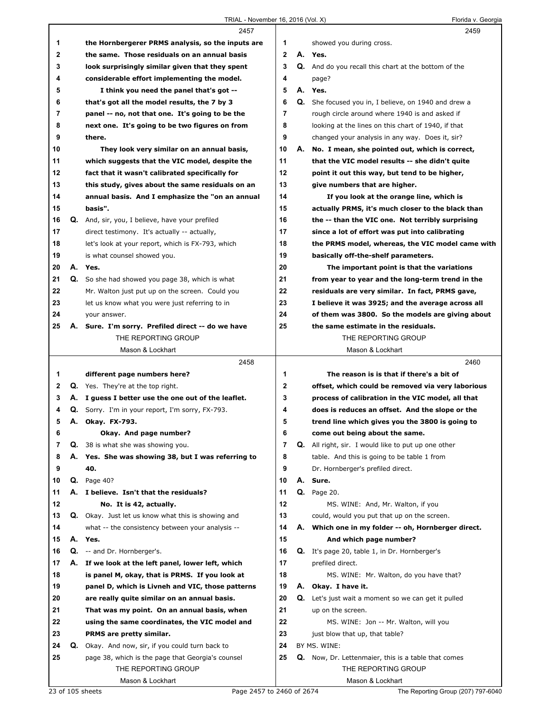|          |    | 2457                                                                                            |                         |    | 2459                                                                                               |
|----------|----|-------------------------------------------------------------------------------------------------|-------------------------|----|----------------------------------------------------------------------------------------------------|
| 1        |    | the Hornbergerer PRMS analysis, so the inputs are                                               | 1                       |    | showed you during cross.                                                                           |
| 2        |    | the same. Those residuals on an annual basis                                                    | $\overline{\mathbf{2}}$ |    | A. Yes.                                                                                            |
| 3        |    | look surprisingly similar given that they spent                                                 | 3                       |    | Q. And do you recall this chart at the bottom of the                                               |
| 4        |    | considerable effort implementing the model.                                                     | 4                       |    | page?                                                                                              |
| 5        |    | I think you need the panel that's got --                                                        | 5                       |    | A. Yes.                                                                                            |
| 6        |    | that's got all the model results, the 7 by 3                                                    | 6                       |    | Q. She focused you in, I believe, on 1940 and drew a                                               |
| 7        |    | panel -- no, not that one. It's going to be the                                                 | 7                       |    | rough circle around where 1940 is and asked if                                                     |
| 8        |    | next one. It's going to be two figures on from                                                  | 8                       |    | looking at the lines on this chart of 1940, if that                                                |
| 9        |    | there.                                                                                          | 9                       |    | changed your analysis in any way. Does it, sir?                                                    |
| 10       |    | They look very similar on an annual basis,                                                      | 10                      |    | A. No. I mean, she pointed out, which is correct,                                                  |
| 11       |    | which suggests that the VIC model, despite the                                                  | 11                      |    | that the VIC model results -- she didn't quite                                                     |
| 12       |    | fact that it wasn't calibrated specifically for                                                 | 12                      |    | point it out this way, but tend to be higher,                                                      |
| 13       |    | this study, gives about the same residuals on an                                                | 13                      |    | give numbers that are higher.                                                                      |
| 14       |    | annual basis. And I emphasize the "on an annual                                                 | 14                      |    | If you look at the orange line, which is                                                           |
| 15       |    | basis".                                                                                         | 15                      |    | actually PRMS, it's much closer to the black than                                                  |
| 16       |    | Q. And, sir, you, I believe, have your prefiled                                                 | 16                      |    | the -- than the VIC one. Not terribly surprising                                                   |
| 17       |    | direct testimony. It's actually -- actually,                                                    | 17                      |    | since a lot of effort was put into calibrating                                                     |
| 18       |    | let's look at your report, which is FX-793, which                                               | 18                      |    | the PRMS model, whereas, the VIC model came with                                                   |
| 19       |    | is what counsel showed you.                                                                     | 19                      |    | basically off-the-shelf parameters.                                                                |
| 20       |    | A. Yes.                                                                                         | 20                      |    | The important point is that the variations                                                         |
| 21       |    | Q. So she had showed you page 38, which is what                                                 | 21                      |    | from year to year and the long-term trend in the                                                   |
| 22       |    | Mr. Walton just put up on the screen. Could you                                                 | 22                      |    | residuals are very similar. In fact, PRMS gave,                                                    |
| 23       |    | let us know what you were just referring to in                                                  | 23                      |    | I believe it was 3925; and the average across all                                                  |
| 24       |    | your answer.                                                                                    | 24                      |    | of them was 3800. So the models are giving about                                                   |
| 25       |    | A. Sure. I'm sorry. Prefiled direct -- do we have                                               | 25                      |    | the same estimate in the residuals.                                                                |
|          |    | THE REPORTING GROUP                                                                             |                         |    | THE REPORTING GROUP                                                                                |
|          |    | Mason & Lockhart                                                                                |                         |    | Mason & Lockhart                                                                                   |
|          |    |                                                                                                 |                         |    |                                                                                                    |
|          |    |                                                                                                 |                         |    |                                                                                                    |
|          |    | 2458                                                                                            |                         |    | 2460<br>The reason is is that if there's a bit of                                                  |
| 1<br>2   |    | different page numbers here?                                                                    | 1<br>2                  |    |                                                                                                    |
| 3        |    | <b>Q.</b> Yes. They're at the top right.<br>A. I guess I better use the one out of the leaflet. | 3                       |    | offset, which could be removed via very laborious                                                  |
| 4        |    |                                                                                                 | 4                       |    | process of calibration in the VIC model, all that                                                  |
| 5        |    | <b>Q.</b> Sorry. I'm in your report, I'm sorry, FX-793.                                         | 5                       |    | does is reduces an offset. And the slope or the<br>trend line which gives you the 3800 is going to |
|          |    | A. Okay. FX-793.                                                                                |                         |    |                                                                                                    |
| 6<br>7   | Q. | Okay. And page number?                                                                          | 6<br>7                  |    | come out being about the same.                                                                     |
|          |    | 38 is what she was showing you.                                                                 |                         |    | <b>Q.</b> All right, sir. I would like to put up one other                                         |
| 8        |    | A. Yes. She was showing 38, but I was referring to                                              | 8                       |    | table. And this is going to be table 1 from                                                        |
| 9<br>10  |    | 40.                                                                                             | 9<br>10                 |    | Dr. Hornberger's prefiled direct.                                                                  |
|          |    | <b>Q.</b> Page 40?                                                                              |                         |    | A. Sure.                                                                                           |
| 11<br>12 |    | A. I believe. Isn't that the residuals?                                                         | 11<br>12                |    | <b>Q.</b> Page 20.                                                                                 |
|          |    | No. It is 42, actually.                                                                         | 13                      |    | MS. WINE: And, Mr. Walton, if you                                                                  |
| 13<br>14 |    | <b>Q.</b> Okay. Just let us know what this is showing and                                       |                         |    | could, would you put that up on the screen.                                                        |
|          |    | what -- the consistency between your analysis --                                                | 14                      |    | A. Which one in my folder -- oh, Hornberger direct.                                                |
| 15       | Q. | A. Yes.                                                                                         | 15<br>16                |    | And which page number?                                                                             |
| 16       | А. | -- and Dr. Hornberger's.                                                                        | 17                      |    | <b>Q.</b> It's page 20, table 1, in Dr. Hornberger's                                               |
| 17       |    | If we look at the left panel, lower left, which                                                 |                         |    | prefiled direct.                                                                                   |
| 18<br>19 |    | is panel M, okay, that is PRMS. If you look at                                                  | 18<br>19                |    | MS. WINE: Mr. Walton, do you have that?<br>A. Okay. I have it.                                     |
| 20       |    | panel D, which is Livneh and VIC, those patterns                                                | 20                      | Q. |                                                                                                    |
|          |    | are really quite similar on an annual basis.                                                    | 21                      |    | Let's just wait a moment so we can get it pulled                                                   |
| 21<br>22 |    | That was my point. On an annual basis, when                                                     | 22                      |    | up on the screen.                                                                                  |
|          |    | using the same coordinates, the VIC model and                                                   |                         |    | MS. WINE: Jon -- Mr. Walton, will you                                                              |
| 23       |    | PRMS are pretty similar.                                                                        | 23<br>24                |    | just blow that up, that table?                                                                     |
| 24<br>25 |    | Q. Okay. And now, sir, if you could turn back to                                                | 25                      |    | BY MS. WINE:                                                                                       |
|          |    | page 38, which is the page that Georgia's counsel<br>THE REPORTING GROUP                        |                         |    | Q. Now, Dr. Lettenmaier, this is a table that comes<br>THE REPORTING GROUP                         |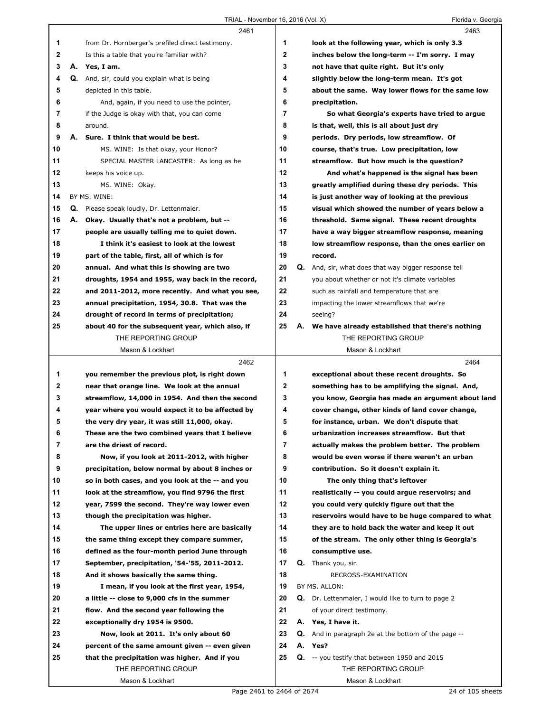|          |    | 2461                                                                                   |                  |    | 2463                                                                                            |
|----------|----|----------------------------------------------------------------------------------------|------------------|----|-------------------------------------------------------------------------------------------------|
| 1        |    | from Dr. Hornberger's prefiled direct testimony.                                       | 1                |    | look at the following year, which is only 3.3                                                   |
| 2<br>3   |    | Is this a table that you're familiar with?<br>A. Yes, I am.                            | $\mathbf 2$<br>3 |    | inches below the long-term -- I'm sorry. I may                                                  |
| 4        |    | Q. And, sir, could you explain what is being                                           | 4                |    | not have that quite right. But it's only                                                        |
| 5        |    | depicted in this table.                                                                | 5                |    | slightly below the long-term mean. It's got<br>about the same. Way lower flows for the same low |
| 6        |    | And, again, if you need to use the pointer,                                            | 6                |    | precipitation.                                                                                  |
| 7        |    | if the Judge is okay with that, you can come                                           | $\overline{7}$   |    | So what Georgia's experts have tried to argue                                                   |
| 8        |    | around.                                                                                | 8                |    | is that, well, this is all about just dry                                                       |
| 9        | А. | Sure. I think that would be best.                                                      | 9                |    | periods. Dry periods, low streamflow. Of                                                        |
| 10       |    | MS. WINE: Is that okay, your Honor?                                                    | 10               |    | course, that's true. Low precipitation, low                                                     |
| 11       |    | SPECIAL MASTER LANCASTER: As long as he                                                | 11               |    | streamflow. But how much is the question?                                                       |
| 12       |    | keeps his voice up.                                                                    | 12               |    | And what's happened is the signal has been                                                      |
| 13       |    | MS. WINE: Okay.                                                                        | 13               |    | greatly amplified during these dry periods. This                                                |
| 14       |    | BY MS. WINE:                                                                           | 14               |    | is just another way of looking at the previous                                                  |
| 15       |    | Q. Please speak loudly, Dr. Lettenmaier.                                               | 15               |    | visual which showed the number of years below a                                                 |
| 16       | А. | Okay. Usually that's not a problem, but --                                             | 16               |    | threshold. Same signal. These recent droughts                                                   |
| 17       |    | people are usually telling me to quiet down.                                           | 17               |    | have a way bigger streamflow response, meaning                                                  |
| 18       |    | I think it's easiest to look at the lowest                                             | 18               |    | low streamflow response, than the ones earlier on                                               |
| 19       |    | part of the table, first, all of which is for                                          | 19               |    | record.                                                                                         |
| 20       |    | annual. And what this is showing are two                                               | 20               |    | Q. And, sir, what does that way bigger response tell                                            |
| 21       |    | droughts, 1954 and 1955, way back in the record,                                       | 21               |    | you about whether or not it's climate variables                                                 |
| 22       |    | and 2011-2012, more recently. And what you see,                                        | 22               |    | such as rainfall and temperature that are                                                       |
| 23       |    | annual precipitation, 1954, 30.8. That was the                                         | 23               |    | impacting the lower streamflows that we're                                                      |
| 24       |    | drought of record in terms of precipitation;                                           | 24               |    | seeing?                                                                                         |
| 25       |    | about 40 for the subsequent year, which also, if                                       | 25               |    | A. We have already established that there's nothing                                             |
|          |    | THE REPORTING GROUP                                                                    |                  |    | THE REPORTING GROUP                                                                             |
|          |    | Mason & Lockhart                                                                       |                  |    | Mason & Lockhart                                                                                |
|          |    |                                                                                        |                  |    |                                                                                                 |
|          |    | 2462                                                                                   |                  |    | 2464                                                                                            |
| 1        |    | you remember the previous plot, is right down                                          | 1                |    | exceptional about these recent droughts. So                                                     |
| 2        |    | near that orange line. We look at the annual                                           | $\mathbf{2}$     |    | something has to be amplifying the signal. And,                                                 |
| 3        |    | streamflow, 14,000 in 1954. And then the second                                        | 3                |    | you know, Georgia has made an argument about land                                               |
| 4        |    | year where you would expect it to be affected by                                       | 4                |    | cover change, other kinds of land cover change,                                                 |
| 5        |    | the very dry year, it was still 11,000, okay.                                          | 5                |    | for instance, urban. We don't dispute that                                                      |
| 6        |    | These are the two combined years that I believe                                        | 6                |    | urbanization increases streamflow. But that                                                     |
| 7        |    | are the driest of record.                                                              | 7                |    | actually makes the problem better. The problem                                                  |
| 8        |    | Now, if you look at 2011-2012, with higher                                             | 8                |    | would be even worse if there weren't an urban                                                   |
| 9        |    | precipitation, below normal by about 8 inches or                                       | 9                |    | contribution. So it doesn't explain it.                                                         |
| 10       |    | so in both cases, and you look at the -- and you                                       | 10               |    | The only thing that's leftover                                                                  |
| 11       |    | look at the streamflow, you find 9796 the first                                        | 11               |    | realistically -- you could argue reservoirs; and                                                |
| 12       |    | year, 7599 the second. They're way lower even                                          | 12               |    | you could very quickly figure out that the                                                      |
| 13       |    | though the precipitation was higher.                                                   | 13               |    | reservoirs would have to be huge compared to what                                               |
| 14       |    | The upper lines or entries here are basically                                          | 14               |    | they are to hold back the water and keep it out                                                 |
| 15       |    | the same thing except they compare summer,                                             | 15               |    | of the stream. The only other thing is Georgia's                                                |
| 16       |    | defined as the four-month period June through                                          | 16               |    | consumptive use.                                                                                |
| 17       |    | September, precipitation, '54-'55, 2011-2012.                                          | 17               | Q. | Thank you, sir.                                                                                 |
| 18<br>19 |    | And it shows basically the same thing.<br>I mean, if you look at the first year, 1954, | 18<br>19         |    | RECROSS-EXAMINATION<br>BY MS. ALLON:                                                            |
| 20       |    | a little -- close to 9,000 cfs in the summer                                           | 20               |    | <b>Q.</b> Dr. Lettenmaier, I would like to turn to page 2                                       |
| 21       |    | flow. And the second year following the                                                | 21               |    | of your direct testimony.                                                                       |
| 22       |    | exceptionally dry 1954 is 9500.                                                        | 22               |    | A. Yes, I have it.                                                                              |
| 23       |    | Now, look at 2011. It's only about 60                                                  | 23               |    | <b>Q.</b> And in paragraph 2e at the bottom of the page --                                      |
| 24       |    | percent of the same amount given -- even given                                         | 24               |    | A. Yes?                                                                                         |
| 25       |    | that the precipitation was higher. And if you                                          | 25               |    | <b>Q.</b> -- you testify that between 1950 and 2015                                             |
|          |    | THE REPORTING GROUP                                                                    |                  |    | THE REPORTING GROUP                                                                             |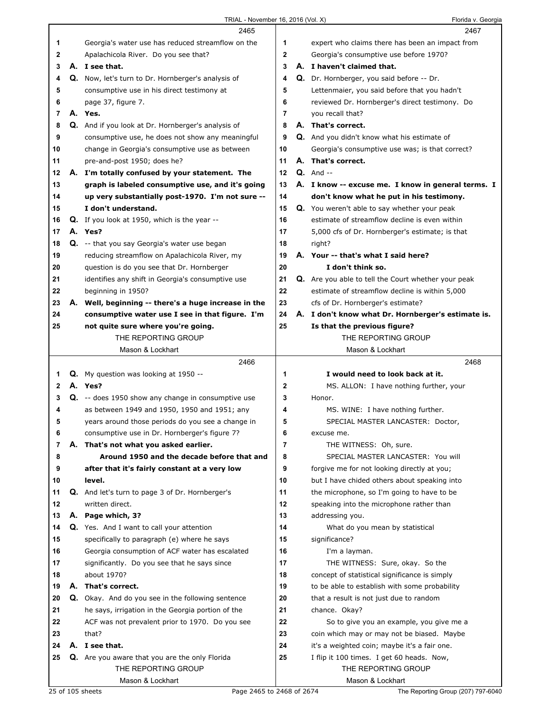Florida v. Georgia

|    |    | 2465                                                    |                | 2467                                                |
|----|----|---------------------------------------------------------|----------------|-----------------------------------------------------|
| 1  |    | Georgia's water use has reduced streamflow on the       | 1              | expert who claims there has been an impact from     |
| 2  |    | Apalachicola River. Do you see that?                    | $\overline{2}$ | Georgia's consumptive use before 1970?              |
| 3  |    | A. I see that.                                          | 3              | A. I haven't claimed that.                          |
| 4  |    | Q. Now, let's turn to Dr. Hornberger's analysis of      | 4              | Q. Dr. Hornberger, you said before -- Dr.           |
| 5  |    | consumptive use in his direct testimony at              | 5              | Lettenmaier, you said before that you hadn't        |
| 6  |    | page 37, figure 7.                                      | 6              | reviewed Dr. Hornberger's direct testimony. Do      |
| 7  |    | A. Yes.                                                 | $\overline{7}$ | you recall that?                                    |
|    |    |                                                         | 8              | A. That's correct.                                  |
| 8  |    | Q. And if you look at Dr. Hornberger's analysis of      |                |                                                     |
| 9  |    | consumptive use, he does not show any meaningful        | 9              | Q. And you didn't know what his estimate of         |
| 10 |    | change in Georgia's consumptive use as between          | 10             | Georgia's consumptive use was; is that correct?     |
| 11 |    | pre-and-post 1950; does he?                             | 11             | A. That's correct.                                  |
| 12 |    | A. I'm totally confused by your statement. The          | 12             | $Q.$ And $-$                                        |
| 13 |    | graph is labeled consumptive use, and it's going        | 13             | A. I know -- excuse me. I know in general terms. I  |
| 14 |    | up very substantially post-1970. I'm not sure --        | 14             | don't know what he put in his testimony.            |
| 15 |    | I don't understand.                                     | 15             | Q. You weren't able to say whether your peak        |
| 16 |    | Q. If you look at 1950, which is the year --            | 16             | estimate of streamflow decline is even within       |
| 17 |    | A. Yes?                                                 | 17             | 5,000 cfs of Dr. Hornberger's estimate; is that     |
| 18 |    | Q. -- that you say Georgia's water use began            | 18             | right?                                              |
| 19 |    | reducing streamflow on Apalachicola River, my           | 19             | A. Your -- that's what I said here?                 |
| 20 |    | question is do you see that Dr. Hornberger              | 20             | I don't think so.                                   |
| 21 |    | identifies any shift in Georgia's consumptive use       | 21             | Q. Are you able to tell the Court whether your peak |
| 22 |    | beginning in 1950?                                      | 22             | estimate of streamflow decline is within 5,000      |
|    |    |                                                         |                |                                                     |
| 23 |    | A. Well, beginning -- there's a huge increase in the    | 23             | cfs of Dr. Hornberger's estimate?                   |
| 24 |    | consumptive water use I see in that figure. I'm         | 24             | A. I don't know what Dr. Hornberger's estimate is.  |
| 25 |    | not quite sure where you're going.                      | 25             | Is that the previous figure?                        |
|    |    | THE REPORTING GROUP                                     |                | THE REPORTING GROUP                                 |
|    |    | Mason & Lockhart                                        |                | Mason & Lockhart                                    |
|    |    |                                                         |                |                                                     |
|    |    | 2466                                                    |                | 2468                                                |
| 1  |    | Q. My question was looking at 1950 --                   | 1              | I would need to look back at it.                    |
| 2  |    | A. Yes?                                                 | $\mathbf 2$    | MS. ALLON: I have nothing further, your             |
| 3  |    | Q. -- does 1950 show any change in consumptive use      | 3              | Honor.                                              |
| 4  |    | as between 1949 and 1950, 1950 and 1951; any            | 4              | MS. WINE: I have nothing further.                   |
| 5  |    | years around those periods do you see a change in       | 5              | SPECIAL MASTER LANCASTER: Doctor,                   |
| 6  |    | consumptive use in Dr. Hornberger's figure 7?           | 6              | excuse me.                                          |
| 7  | А. | That's not what you asked earlier.                      | $\overline{7}$ | THE WITNESS: Oh, sure.                              |
| 8  |    | Around 1950 and the decade before that and              | 8              | SPECIAL MASTER LANCASTER: You will                  |
| 9  |    |                                                         | 9              |                                                     |
| 10 |    | after that it's fairly constant at a very low<br>level. | 10             | forgive me for not looking directly at you;         |
|    |    |                                                         |                | but I have chided others about speaking into        |
| 11 |    | Q. And let's turn to page 3 of Dr. Hornberger's         | 11             | the microphone, so I'm going to have to be          |
| 12 |    | written direct.                                         | 12             | speaking into the microphone rather than            |
| 13 |    | A. Page which, 3?                                       | 13             | addressing you.                                     |
| 14 |    | Q. Yes. And I want to call your attention               | 14             | What do you mean by statistical                     |
| 15 |    | specifically to paragraph (e) where he says             | 15             | significance?                                       |
| 16 |    | Georgia consumption of ACF water has escalated          | 16             | I'm a layman.                                       |
| 17 |    | significantly. Do you see that he says since            | 17             | THE WITNESS: Sure, okay. So the                     |
| 18 |    | about 1970?                                             | 18             | concept of statistical significance is simply       |
| 19 | А. | That's correct.                                         | 19             | to be able to establish with some probability       |
| 20 |    | Q. Okay. And do you see in the following sentence       | 20             | that a result is not just due to random             |
| 21 |    | he says, irrigation in the Georgia portion of the       | 21             | chance. Okay?                                       |
| 22 |    | ACF was not prevalent prior to 1970. Do you see         | 22             | So to give you an example, you give me a            |
| 23 |    | that?                                                   | 23             | coin which may or may not be biased. Maybe          |
| 24 |    | A. I see that.                                          | 24             | it's a weighted coin; maybe it's a fair one.        |
| 25 |    | Q. Are you aware that you are the only Florida          | 25             | I flip it 100 times. I get 60 heads. Now,           |
|    |    | THE REPORTING GROUP                                     |                | THE REPORTING GROUP                                 |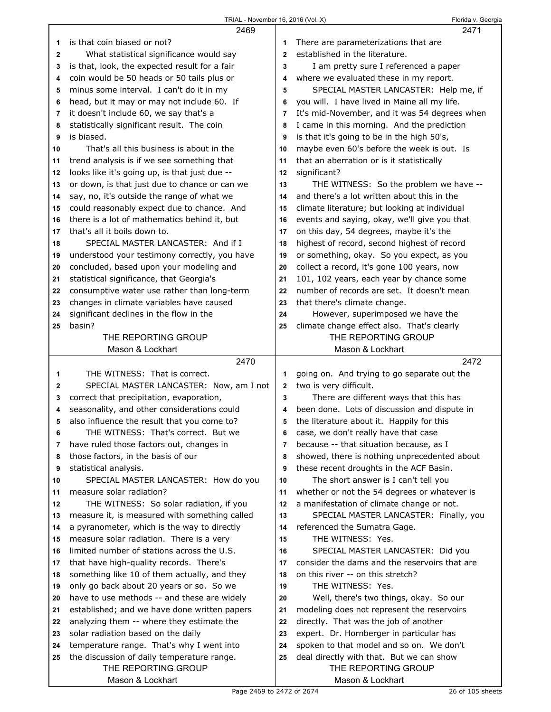|              | 2469                                          |                | 2471                                          |
|--------------|-----------------------------------------------|----------------|-----------------------------------------------|
| 1            | is that coin biased or not?                   | 1              | There are parameterizations that are          |
| $\mathbf{2}$ | What statistical significance would say       | $\overline{2}$ | established in the literature.                |
| 3            | is that, look, the expected result for a fair | 3              | I am pretty sure I referenced a paper         |
| 4            | coin would be 50 heads or 50 tails plus or    | 4              | where we evaluated these in my report.        |
|              | minus some interval. I can't do it in my      | 5              | SPECIAL MASTER LANCASTER: Help me, if         |
| 5            |                                               |                |                                               |
| 6            | head, but it may or may not include 60. If    | 6              | you will. I have lived in Maine all my life.  |
| 7            | it doesn't include 60, we say that's a        | 7              | It's mid-November, and it was 54 degrees when |
| 8            | statistically significant result. The coin    | 8              | I came in this morning. And the prediction    |
| 9            | is biased.                                    | 9              | is that it's going to be in the high 50's,    |
| 10           | That's all this business is about in the      | 10             | maybe even 60's before the week is out. Is    |
| 11           | trend analysis is if we see something that    | 11             | that an aberration or is it statistically     |
| 12           | looks like it's going up, is that just due -- | 12             | significant?                                  |
| 13           | or down, is that just due to chance or can we | 13             | THE WITNESS: So the problem we have --        |
| 14           | say, no, it's outside the range of what we    | 14             | and there's a lot written about this in the   |
| 15           | could reasonably expect due to chance. And    | 15             | climate literature; but looking at individual |
| 16           | there is a lot of mathematics behind it, but  | 16             | events and saying, okay, we'll give you that  |
| 17           | that's all it boils down to.                  | 17             | on this day, 54 degrees, maybe it's the       |
| 18           | SPECIAL MASTER LANCASTER: And if I            | 18             | highest of record, second highest of record   |
| 19           | understood your testimony correctly, you have | 19             | or something, okay. So you expect, as you     |
| 20           | concluded, based upon your modeling and       | 20             | collect a record, it's gone 100 years, now    |
|              | statistical significance, that Georgia's      | 21             | 101, 102 years, each year by chance some      |
| 21           | consumptive water use rather than long-term   | 22             | number of records are set. It doesn't mean    |
| 22           |                                               |                |                                               |
| 23           | changes in climate variables have caused      | 23             | that there's climate change.                  |
| 24           | significant declines in the flow in the       | 24             | However, superimposed we have the             |
| 25           | basin?                                        | 25             | climate change effect also. That's clearly    |
|              | THE REPORTING GROUP                           |                | THE REPORTING GROUP                           |
|              | Mason & Lockhart                              |                | Mason & Lockhart                              |
|              |                                               |                |                                               |
|              | 2470                                          |                | 2472                                          |
| 1            | THE WITNESS: That is correct.                 | 1              | going on. And trying to go separate out the   |
| 2            | SPECIAL MASTER LANCASTER: Now, am I not       | 2              | two is very difficult.                        |
| 3            | correct that precipitation, evaporation,      | 3              | There are different ways that this has        |
| 4            | seasonality, and other considerations could   | 4              | been done. Lots of discussion and dispute in  |
| 5            | also influence the result that you come to?   | 5              | the literature about it. Happily for this     |
| 6            | THE WITNESS: That's correct. But we           | 6              | case, we don't really have that case          |
| 7            | have ruled those factors out, changes in      | 7              | because -- that situation because, as I       |
| 8            | those factors, in the basis of our            | 8              | showed, there is nothing unprecedented about  |
| 9            | statistical analysis.                         | 9              | these recent droughts in the ACF Basin.       |
| 10           | SPECIAL MASTER LANCASTER: How do you          | 10             | The short answer is I can't tell you          |
| 11           | measure solar radiation?                      | 11             |                                               |
| 12           |                                               | 12             | whether or not the 54 degrees or whatever is  |
| 13           | THE WITNESS: So solar radiation, if you       | 13             | a manifestation of climate change or not.     |
|              | measure it, is measured with something called |                | SPECIAL MASTER LANCASTER: Finally, you        |
| 14           | a pyranometer, which is the way to directly   | 14             | referenced the Sumatra Gage.                  |
| 15           | measure solar radiation. There is a very      | 15             | THE WITNESS: Yes.                             |
| 16           | limited number of stations across the U.S.    | 16             | SPECIAL MASTER LANCASTER: Did you             |
| 17           | that have high-quality records. There's       | 17             | consider the dams and the reservoirs that are |
| 18           | something like 10 of them actually, and they  | 18             | on this river -- on this stretch?             |
| 19           | only go back about 20 years or so. So we      | 19             | THE WITNESS: Yes.                             |
| 20           | have to use methods -- and these are widely   | 20             | Well, there's two things, okay. So our        |
| 21           | established; and we have done written papers  | 21             | modeling does not represent the reservoirs    |
| 22           | analyzing them -- where they estimate the     | 22             | directly. That was the job of another         |
| 23           | solar radiation based on the daily            | 23             | expert. Dr. Hornberger in particular has      |
| 24           | temperature range. That's why I went into     | 24             | spoken to that model and so on. We don't      |
| 25           | the discussion of daily temperature range.    | 25             | deal directly with that. But we can show      |
|              | THE REPORTING GROUP<br>Mason & Lockhart       |                | THE REPORTING GROUP<br>Mason & Lockhart       |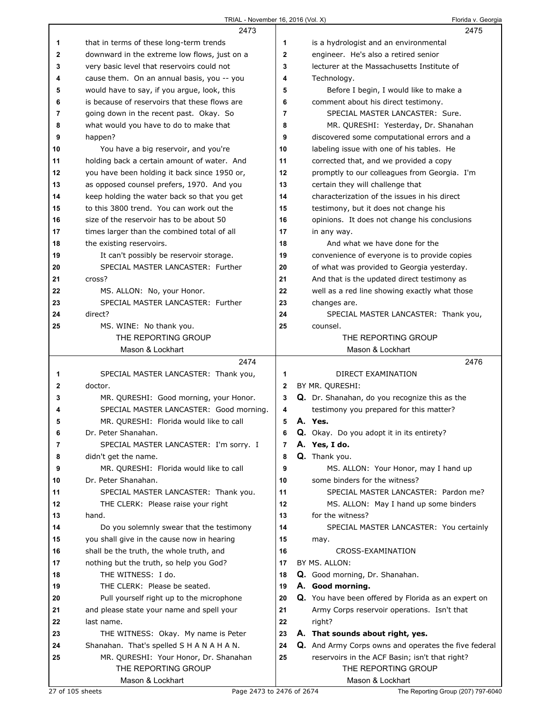## TRIAL - November 16, 2016 (Vol. X) TRIAL - November 16, 2016 (Vol. X)

|          | $1$ NIAL - INUVERIUS 10, 2010 (VOI. A)                                                       |                | <b>I IUIIUA V. OCUI YK</b>                                                    |
|----------|----------------------------------------------------------------------------------------------|----------------|-------------------------------------------------------------------------------|
|          | 2473                                                                                         |                | 2475                                                                          |
| 1        | that in terms of these long-term trends                                                      | 1              | is a hydrologist and an environmental                                         |
| 2        | downward in the extreme low flows, just on a                                                 | $\mathbf 2$    | engineer. He's also a retired senior                                          |
| 3        | very basic level that reservoirs could not                                                   | 3              | lecturer at the Massachusetts Institute of                                    |
| 4        | cause them. On an annual basis, you -- you                                                   | 4              | Technology.                                                                   |
| 5        | would have to say, if you argue, look, this<br>is because of reservoirs that these flows are | 5<br>6         | Before I begin, I would like to make a<br>comment about his direct testimony. |
| 6<br>7   | going down in the recent past. Okay. So                                                      | $\overline{7}$ | SPECIAL MASTER LANCASTER: Sure.                                               |
| 8        | what would you have to do to make that                                                       | 8              | MR. QURESHI: Yesterday, Dr. Shanahan                                          |
| 9        | happen?                                                                                      | 9              | discovered some computational errors and a                                    |
| 10       | You have a big reservoir, and you're                                                         | 10             | labeling issue with one of his tables. He                                     |
| 11       | holding back a certain amount of water. And                                                  | 11             | corrected that, and we provided a copy                                        |
| 12       | you have been holding it back since 1950 or,                                                 | 12             | promptly to our colleagues from Georgia. I'm                                  |
| 13       | as opposed counsel prefers, 1970. And you                                                    | 13             | certain they will challenge that                                              |
| 14       | keep holding the water back so that you get                                                  | 14             | characterization of the issues in his direct                                  |
| 15       | to this 3800 trend. You can work out the                                                     | 15             | testimony, but it does not change his                                         |
| 16       | size of the reservoir has to be about 50                                                     | 16             | opinions. It does not change his conclusions                                  |
| 17       | times larger than the combined total of all                                                  | 17             | in any way.                                                                   |
| 18       | the existing reservoirs.                                                                     | 18             | And what we have done for the                                                 |
| 19       | It can't possibly be reservoir storage.                                                      | 19             | convenience of everyone is to provide copies                                  |
| 20       | SPECIAL MASTER LANCASTER: Further                                                            | 20             | of what was provided to Georgia yesterday.                                    |
| 21       | cross?                                                                                       | 21             | And that is the updated direct testimony as                                   |
| 22       | MS. ALLON: No, your Honor.                                                                   | 22             | well as a red line showing exactly what those                                 |
| 23       | SPECIAL MASTER LANCASTER: Further                                                            | 23             | changes are.                                                                  |
| 24       | direct?                                                                                      | 24             | SPECIAL MASTER LANCASTER: Thank you,                                          |
| 25       | MS. WINE: No thank you.                                                                      | 25             | counsel.                                                                      |
|          | THE REPORTING GROUP                                                                          |                | THE REPORTING GROUP                                                           |
|          | Mason & Lockhart                                                                             |                | Mason & Lockhart                                                              |
|          |                                                                                              |                |                                                                               |
|          | 2474                                                                                         |                | 2476                                                                          |
| 1        | SPECIAL MASTER LANCASTER: Thank you,                                                         | 1              | DIRECT EXAMINATION                                                            |
| 2        | doctor.                                                                                      | $\mathbf{2}$   | BY MR. QURESHI:                                                               |
| 3        | MR. QURESHI: Good morning, your Honor.                                                       | 3              | Q. Dr. Shanahan, do you recognize this as the                                 |
| 4        | SPECIAL MASTER LANCASTER: Good morning.                                                      | 4              | testimony you prepared for this matter?                                       |
| 5        | MR. QURESHI: Florida would like to call                                                      | 5              | A. Yes.                                                                       |
| 6        | Dr. Peter Shanahan.                                                                          | 6              | Q. Okay. Do you adopt it in its entirety?                                     |
| 7        | SPECIAL MASTER LANCASTER: I'm sorry. I                                                       | 7              | A. Yes, I do.                                                                 |
| 8        | didn't get the name.                                                                         | 8              | Q. Thank you.                                                                 |
| 9        | MR. QURESHI: Florida would like to call                                                      | 9              | MS. ALLON: Your Honor, may I hand up                                          |
| 10       | Dr. Peter Shanahan.                                                                          | 10             | some binders for the witness?                                                 |
| 11       | SPECIAL MASTER LANCASTER: Thank you.                                                         | 11             | SPECIAL MASTER LANCASTER: Pardon me?                                          |
| 12       | THE CLERK: Please raise your right                                                           | 12             | MS. ALLON: May I hand up some binders                                         |
| 13       | hand.                                                                                        | 13             | for the witness?                                                              |
| 14       | Do you solemnly swear that the testimony                                                     | 14             | SPECIAL MASTER LANCASTER: You certainly                                       |
| 15       | you shall give in the cause now in hearing                                                   | 15             | may.                                                                          |
| 16       | shall be the truth, the whole truth, and                                                     | 16             | CROSS-EXAMINATION                                                             |
| 17       | nothing but the truth, so help you God?                                                      | 17             | BY MS. ALLON:                                                                 |
| 18       | THE WITNESS: I do.                                                                           | 18             | Q. Good morning, Dr. Shanahan.                                                |
| 19       | THE CLERK: Please be seated.                                                                 | 19             | A. Good morning.                                                              |
| 20       | Pull yourself right up to the microphone                                                     | 20             | Q. You have been offered by Florida as an expert on                           |
| 21       | and please state your name and spell your                                                    | 21             | Army Corps reservoir operations. Isn't that                                   |
| 22       | last name.                                                                                   | 22<br>23       | right?                                                                        |
| 23<br>24 | THE WITNESS: Okay. My name is Peter<br>Shanahan. That's spelled S H A N A H A N.             | 24             | A. That sounds about right, yes.                                              |
| 25       |                                                                                              | 25             | <b>Q.</b> And Army Corps owns and operates the five federal                   |
|          | MR. QURESHI: Your Honor, Dr. Shanahan<br>THE REPORTING GROUP                                 |                | reservoirs in the ACF Basin; isn't that right?<br>THE REPORTING GROUP         |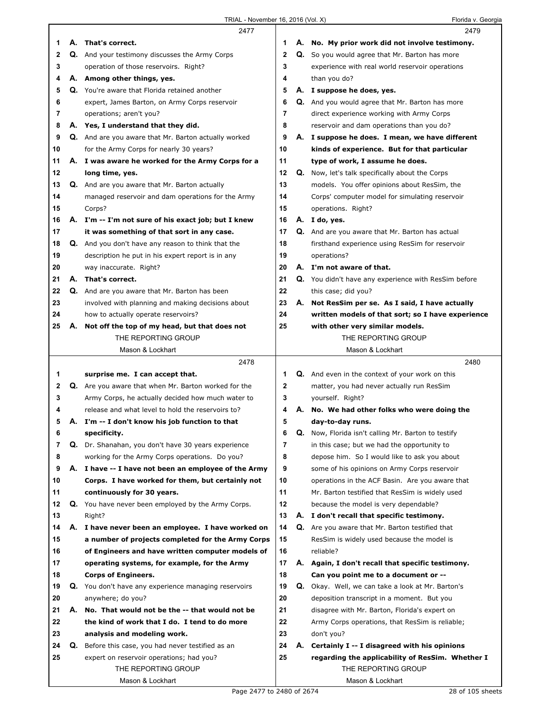|    |    | 2477                                                 |              |    | 2479                                                   |  |
|----|----|------------------------------------------------------|--------------|----|--------------------------------------------------------|--|
| 1  |    | A. That's correct.                                   | 1            |    | A. No. My prior work did not involve testimony.        |  |
| 2  |    | Q. And your testimony discusses the Army Corps       | $\mathbf{2}$ |    | Q. So you would agree that Mr. Barton has more         |  |
| 3  |    | operation of those reservoirs. Right?                | 3            |    | experience with real world reservoir operations        |  |
| 4  |    | A. Among other things, yes.                          | 4            |    | than you do?                                           |  |
| 5  |    | Q. You're aware that Florida retained another        | 5            |    | A. I suppose he does, yes.                             |  |
| 6  |    | expert, James Barton, on Army Corps reservoir        | 6            |    | Q. And you would agree that Mr. Barton has more        |  |
| 7  |    | operations; aren't you?                              | 7            |    | direct experience working with Army Corps              |  |
| 8  |    | A. Yes, I understand that they did.                  | 8            |    | reservoir and dam operations than you do?              |  |
| 9  |    | Q. And are you aware that Mr. Barton actually worked | 9            |    | A. I suppose he does. I mean, we have different        |  |
| 10 |    | for the Army Corps for nearly 30 years?              | 10           |    | kinds of experience. But for that particular           |  |
| 11 |    | A. I was aware he worked for the Army Corps for a    | 11           |    | type of work, I assume he does.                        |  |
| 12 |    | long time, yes.                                      | 12           |    | Q. Now, let's talk specifically about the Corps        |  |
| 13 |    | Q. And are you aware that Mr. Barton actually        | 13           |    | models. You offer opinions about ResSim, the           |  |
| 14 |    | managed reservoir and dam operations for the Army    | 14           |    | Corps' computer model for simulating reservoir         |  |
| 15 |    | Corps?                                               | 15           |    | operations. Right?                                     |  |
| 16 |    | A. I'm -- I'm not sure of his exact job; but I knew  | 16           |    | A. I do, yes.                                          |  |
| 17 |    | it was something of that sort in any case.           | 17           |    | Q. And are you aware that Mr. Barton has actual        |  |
| 18 |    | Q. And you don't have any reason to think that the   | 18           |    | firsthand experience using ResSim for reservoir        |  |
| 19 |    | description he put in his expert report is in any    | 19           |    | operations?                                            |  |
| 20 |    | way inaccurate. Right?                               | 20           |    | A. I'm not aware of that.                              |  |
| 21 |    | A. That's correct.                                   | 21           |    | Q. You didn't have any experience with ResSim before   |  |
| 22 |    | Q. And are you aware that Mr. Barton has been        | 22           |    | this case; did you?                                    |  |
| 23 |    | involved with planning and making decisions about    | 23           |    | A. Not ResSim per se. As I said, I have actually       |  |
| 24 |    | how to actually operate reservoirs?                  | 24           |    | written models of that sort; so I have experience      |  |
| 25 | А. | Not off the top of my head, but that does not        | 25           |    | with other very similar models.                        |  |
|    |    | THE REPORTING GROUP                                  |              |    | THE REPORTING GROUP                                    |  |
|    |    | Mason & Lockhart                                     |              |    | Mason & Lockhart                                       |  |
|    |    |                                                      |              |    |                                                        |  |
|    |    |                                                      |              |    |                                                        |  |
|    |    | 2478                                                 |              |    | 2480                                                   |  |
| 1  |    | surprise me. I can accept that.                      | 1            |    | <b>Q.</b> And even in the context of your work on this |  |
| 2  |    | Q. Are you aware that when Mr. Barton worked for the | 2            |    | matter, you had never actually run ResSim              |  |
| 3  |    | Army Corps, he actually decided how much water to    | 3            |    | yourself. Right?                                       |  |
| 4  |    | release and what level to hold the reservoirs to?    | 4            |    | A. No. We had other folks who were doing the           |  |
| 5  | А. | I'm -- I don't know his job function to that         | 5            |    | day-to-day runs.                                       |  |
| 6  |    | specificity.                                         | 6            | Q. | Now, Florida isn't calling Mr. Barton to testify       |  |
| 7  |    | Q. Dr. Shanahan, you don't have 30 years experience  | 7            |    | in this case; but we had the opportunity to            |  |
| 8  |    | working for the Army Corps operations. Do you?       | 8            |    | depose him. So I would like to ask you about           |  |
| 9  |    | A. I have -- I have not been an employee of the Army | 9            |    | some of his opinions on Army Corps reservoir           |  |
| 10 |    | Corps. I have worked for them, but certainly not     | 10           |    | operations in the ACF Basin. Are you aware that        |  |
| 11 |    | continuously for 30 years.                           | 11           |    | Mr. Barton testified that ResSim is widely used        |  |
| 12 | Q. | You have never been employed by the Army Corps.      | 12           |    | because the model is very dependable?                  |  |
| 13 |    | Right?                                               | 13           |    | A. I don't recall that specific testimony.             |  |
| 14 | А. | I have never been an employee. I have worked on      | 14           |    | Q. Are you aware that Mr. Barton testified that        |  |
| 15 |    | a number of projects completed for the Army Corps    | 15           |    | ResSim is widely used because the model is             |  |
| 16 |    | of Engineers and have written computer models of     | 16           |    | reliable?                                              |  |
| 17 |    | operating systems, for example, for the Army         | 17           |    | A. Again, I don't recall that specific testimony.      |  |
| 18 |    | <b>Corps of Engineers.</b>                           | 18           |    | Can you point me to a document or --                   |  |
| 19 | Q. | You don't have any experience managing reservoirs    | 19           |    | Q. Okay. Well, we can take a look at Mr. Barton's      |  |
| 20 |    | anywhere; do you?                                    | 20           |    | deposition transcript in a moment. But you             |  |
| 21 | А. | No. That would not be the -- that would not be       | 21           |    | disagree with Mr. Barton, Florida's expert on          |  |
| 22 |    | the kind of work that I do. I tend to do more        | 22           |    | Army Corps operations, that ResSim is reliable;        |  |
| 23 |    | analysis and modeling work.                          | 23           |    | don't you?                                             |  |
| 24 | Q. | Before this case, you had never testified as an      | 24           | А. | Certainly I -- I disagreed with his opinions           |  |
| 25 |    | expert on reservoir operations; had you?             | 25           |    | regarding the applicability of ResSim. Whether I       |  |
|    |    | THE REPORTING GROUP<br>Mason & Lockhart              |              |    | THE REPORTING GROUP<br>Mason & Lockhart                |  |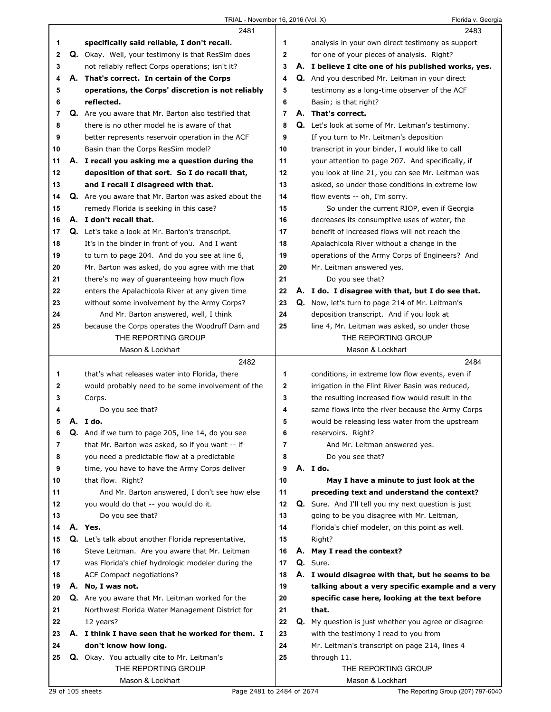|                | 2481                                                    |                | 2483                                                 |
|----------------|---------------------------------------------------------|----------------|------------------------------------------------------|
| 1              | specifically said reliable, I don't recall.             | 1              | analysis in your own direct testimony as support     |
| $\mathbf{2}$   | Q. Okay. Well, your testimony is that ResSim does       | $\mathbf{2}$   | for one of your pieces of analysis. Right?           |
| 3              | not reliably reflect Corps operations; isn't it?        | 3              | A. I believe I cite one of his published works, yes. |
| 4              | A. That's correct. In certain of the Corps              | 4              | Q. And you described Mr. Leitman in your direct      |
| 5              | operations, the Corps' discretion is not reliably       | 5              | testimony as a long-time observer of the ACF         |
| 6              | reflected.                                              | 6              | Basin; is that right?                                |
| $\overline{7}$ | Q. Are you aware that Mr. Barton also testified that    | $\overline{7}$ | A. That's correct.                                   |
| 8              | there is no other model he is aware of that             | 8              | Q. Let's look at some of Mr. Leitman's testimony.    |
| 9              | better represents reservoir operation in the ACF        | 9              | If you turn to Mr. Leitman's deposition              |
| 10             | Basin than the Corps ResSim model?                      | 10             | transcript in your binder, I would like to call      |
| 11             | A. I recall you asking me a question during the         | 11             | your attention to page 207. And specifically, if     |
| 12             | deposition of that sort. So I do recall that,           | 12             | you look at line 21, you can see Mr. Leitman was     |
| 13             | and I recall I disagreed with that.                     | 13             | asked, so under those conditions in extreme low      |
| 14             | Q. Are you aware that Mr. Barton was asked about the    | 14             | flow events -- oh, I'm sorry.                        |
| 15             | remedy Florida is seeking in this case?                 | 15             | So under the current RIOP, even if Georgia           |
| 16             | A. I don't recall that.                                 | 16             | decreases its consumptive uses of water, the         |
| 17             | <b>Q.</b> Let's take a look at Mr. Barton's transcript. | 17             | benefit of increased flows will not reach the        |
| 18             | It's in the binder in front of you. And I want          | 18             | Apalachicola River without a change in the           |
| 19             | to turn to page 204. And do you see at line 6,          | 19             | operations of the Army Corps of Engineers? And       |
| 20             | Mr. Barton was asked, do you agree with me that         | 20             | Mr. Leitman answered yes.                            |
| 21             | there's no way of guaranteeing how much flow            | 21             | Do you see that?                                     |
| 22             | enters the Apalachicola River at any given time         | 22             | A. I do. I disagree with that, but I do see that.    |
| 23             | without some involvement by the Army Corps?             | 23             | Q. Now, let's turn to page 214 of Mr. Leitman's      |
| 24             | And Mr. Barton answered, well, I think                  | 24             | deposition transcript. And if you look at            |
| 25             | because the Corps operates the Woodruff Dam and         | 25             | line 4, Mr. Leitman was asked, so under those        |
|                | THE REPORTING GROUP                                     |                | THE REPORTING GROUP                                  |
|                | Mason & Lockhart                                        |                | Mason & Lockhart                                     |
|                |                                                         |                |                                                      |
|                | 2482                                                    |                | 2484                                                 |
| 1              | that's what releases water into Florida, there          | 1              | conditions, in extreme low flow events, even if      |
| $\mathbf{2}$   | would probably need to be some involvement of the       | $\mathbf 2$    | irrigation in the Flint River Basin was reduced,     |
| 3              | Corps.                                                  | 3              | the resulting increased flow would result in the     |
| 4              | Do you see that?                                        | 4              | same flows into the river because the Army Corps     |
| 5              | A. Ido.                                                 | 5              | would be releasing less water from the upstream      |
| 6              | Q. And if we turn to page 205, line 14, do you see      | 6              | reservoirs. Right?                                   |
| 7              | that Mr. Barton was asked, so if you want -- if         | 7              | And Mr. Leitman answered yes.                        |
| 8              | you need a predictable flow at a predictable            | 8              | Do you see that?                                     |
| 9              | time, you have to have the Army Corps deliver           | 9              | A. I do.                                             |
| 10             | that flow. Right?                                       | 10             | May I have a minute to just look at the              |
| 11             | And Mr. Barton answered, I don't see how else           | 11             | preceding text and understand the context?           |
| 12             | you would do that -- you would do it.                   | 12             | Q. Sure. And I'll tell you my next question is just  |
| 13             | Do you see that?                                        | 13             | going to be you disagree with Mr. Leitman,           |
| 14             | A. Yes.                                                 | 14             | Florida's chief modeler, on this point as well.      |
| 15             | Q. Let's talk about another Florida representative,     | 15             | Right?                                               |
| 16             | Steve Leitman. Are you aware that Mr. Leitman           | 16             | A. May I read the context?                           |
| 17             | was Florida's chief hydrologic modeler during the       | 17             | Q. Sure.                                             |
| 18             | ACF Compact negotiations?                               | 18             | A. I would disagree with that, but he seems to be    |
| 19             | A. No, I was not.                                       | 19             | talking about a very specific example and a very     |
| 20             | Q. Are you aware that Mr. Leitman worked for the        | 20             | specific case here, looking at the text before       |
| 21             | Northwest Florida Water Management District for         | 21             | that.                                                |
| 22             | 12 years?                                               | 22             | Q. My question is just whether you agree or disagree |
| 23             | A. I think I have seen that he worked for them. I       | 23             | with the testimony I read to you from                |
| 24             | don't know how long.                                    | 24             | Mr. Leitman's transcript on page 214, lines 4        |
| 25             | Q. Okay. You actually cite to Mr. Leitman's             | 25             | through 11.                                          |
|                | THE REPORTING GROUP                                     |                | THE REPORTING GROUP                                  |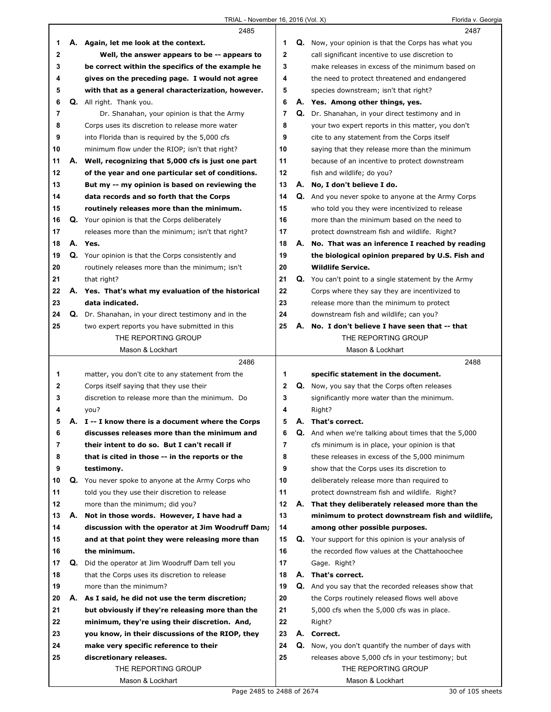|    |    | 2485                                                 |              |    | 2487                                                        |
|----|----|------------------------------------------------------|--------------|----|-------------------------------------------------------------|
| 1  |    | A. Again, let me look at the context.                | 1            |    | Q. Now, your opinion is that the Corps has what you         |
| 2  |    | Well, the answer appears to be -- appears to         | $\mathbf{2}$ |    | call significant incentive to use discretion to             |
| 3  |    | be correct within the specifics of the example he    | 3            |    | make releases in excess of the minimum based on             |
| 4  |    | gives on the preceding page. I would not agree       | 4            |    | the need to protect threatened and endangered               |
| 5  |    | with that as a general characterization, however.    | 5            |    | species downstream; isn't that right?                       |
| 6  |    | Q. All right. Thank you.                             | 6            |    | A. Yes. Among other things, yes.                            |
| 7  |    | Dr. Shanahan, your opinion is that the Army          | 7            |    | Q. Dr. Shanahan, in your direct testimony and in            |
| 8  |    | Corps uses its discretion to release more water      | 8            |    | your two expert reports in this matter, you don't           |
| 9  |    | into Florida than is required by the 5,000 cfs       | 9            |    | cite to any statement from the Corps itself                 |
| 10 |    | minimum flow under the RIOP; isn't that right?       | 10           |    | saying that they release more than the minimum              |
| 11 | А. | Well, recognizing that 5,000 cfs is just one part    | 11           |    | because of an incentive to protect downstream               |
| 12 |    | of the year and one particular set of conditions.    | 12           |    | fish and wildlife; do you?                                  |
| 13 |    | But my -- my opinion is based on reviewing the       | 13           |    | A. No, I don't believe I do.                                |
| 14 |    | data records and so forth that the Corps             | 14           |    | <b>Q.</b> And you never spoke to anyone at the Army Corps   |
| 15 |    | routinely releases more than the minimum.            | 15           |    | who told you they were incentivized to release              |
| 16 |    | Q. Your opinion is that the Corps deliberately       | 16           |    | more than the minimum based on the need to                  |
| 17 |    | releases more than the minimum; isn't that right?    | 17           |    | protect downstream fish and wildlife. Right?                |
| 18 |    | A. Yes.                                              | 18           |    | A. No. That was an inference I reached by reading           |
| 19 |    | Q. Your opinion is that the Corps consistently and   | 19           |    | the biological opinion prepared by U.S. Fish and            |
| 20 |    | routinely releases more than the minimum; isn't      | 20           |    | <b>Wildlife Service.</b>                                    |
| 21 |    | that right?                                          | 21           |    | <b>Q.</b> You can't point to a single statement by the Army |
| 22 |    | A. Yes. That's what my evaluation of the historical  | 22           |    | Corps where they say they are incentivized to               |
| 23 |    | data indicated.                                      | 23           |    | release more than the minimum to protect                    |
| 24 |    | Q. Dr. Shanahan, in your direct testimony and in the | 24           |    | downstream fish and wildlife; can you?                      |
| 25 |    | two expert reports you have submitted in this        | 25           |    | A. No. I don't believe I have seen that -- that             |
|    |    | THE REPORTING GROUP                                  |              |    | THE REPORTING GROUP                                         |
|    |    | Mason & Lockhart                                     |              |    | Mason & Lockhart                                            |
|    |    |                                                      |              |    |                                                             |
|    |    | 2486                                                 |              |    | 2488                                                        |
| 1  |    | matter, you don't cite to any statement from the     | 1            |    | specific statement in the document.                         |
| 2  |    | Corps itself saying that they use their              | 2            |    | Q. Now, you say that the Corps often releases               |
| 3  |    | discretion to release more than the minimum. Do      | 3            |    | significantly more water than the minimum.                  |
| 4  |    | you?                                                 | 4            |    | Right?                                                      |
| 5  |    | A. I -- I know there is a document where the Corps   | 5            |    | A. That's correct.                                          |
| 6  |    | discusses releases more than the minimum and         | 6            |    | <b>Q.</b> And when we're talking about times that the 5,000 |
| 7  |    | their intent to do so. But I can't recall if         | 7            |    | cfs minimum is in place, your opinion is that               |
| 8  |    | that is cited in those -- in the reports or the      | 8            |    | these releases in excess of the 5,000 minimum               |
| 9  |    | testimony.                                           | 9            |    | show that the Corps uses its discretion to                  |
| 10 |    | Q. You never spoke to anyone at the Army Corps who   | 10           |    | deliberately release more than required to                  |
| 11 |    | told you they use their discretion to release        | 11           |    | protect downstream fish and wildlife. Right?                |
| 12 |    | more than the minimum; did you?                      | 12           | А. | That they deliberately released more than the               |
| 13 | А. | Not in those words. However, I have had a            | 13           |    | minimum to protect downstream fish and wildlife,            |
| 14 |    | discussion with the operator at Jim Woodruff Dam;    | 14           |    | among other possible purposes.                              |
| 15 |    | and at that point they were releasing more than      | 15           |    | <b>Q.</b> Your support for this opinion is your analysis of |
| 16 |    | the minimum.                                         | 16           |    | the recorded flow values at the Chattahoochee               |
| 17 | Q. | Did the operator at Jim Woodruff Dam tell you        | 17           |    | Gage. Right?                                                |
| 18 |    | that the Corps uses its discretion to release        | 18           |    | A. That's correct.                                          |
| 19 |    | more than the minimum?                               | 19           |    | Q. And you say that the recorded releases show that         |
| 20 | А. | As I said, he did not use the term discretion;       | 20           |    | the Corps routinely released flows well above               |
| 21 |    | but obviously if they're releasing more than the     | 21           |    | 5,000 cfs when the 5,000 cfs was in place.                  |
| 22 |    | minimum, they're using their discretion. And,        | 22           |    | Right?                                                      |
| 23 |    | you know, in their discussions of the RIOP, they     | 23           |    | A. Correct.                                                 |
| 24 |    | make very specific reference to their                | 24           |    | Q. Now, you don't quantify the number of days with          |
| 25 |    | discretionary releases.                              | 25           |    | releases above 5,000 cfs in your testimony; but             |
|    |    | THE REPORTING GROUP<br>Mason & Lockhart              |              |    | THE REPORTING GROUP<br>Mason & Lockhart                     |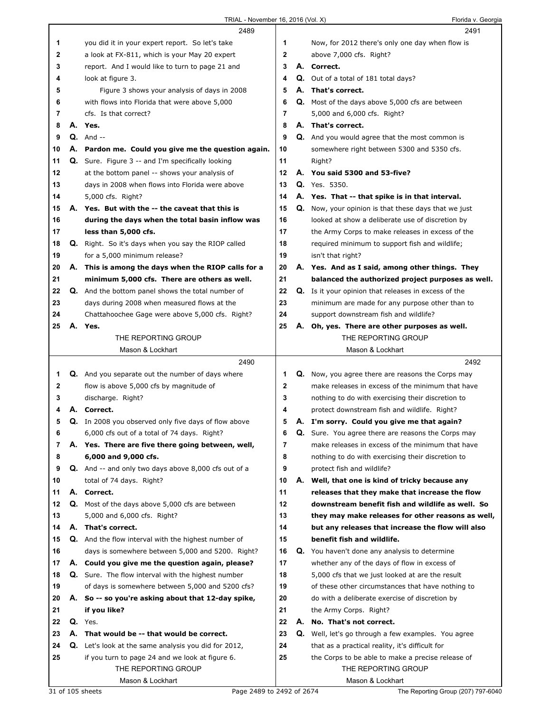|    |    | 2489                                                        |              |    | 2491                                                     |
|----|----|-------------------------------------------------------------|--------------|----|----------------------------------------------------------|
| 1  |    | you did it in your expert report. So let's take             | 1            |    | Now, for 2012 there's only one day when flow is          |
| 2  |    | a look at FX-811, which is your May 20 expert               | $\mathbf{2}$ |    | above 7,000 cfs. Right?                                  |
| 3  |    | report. And I would like to turn to page 21 and             | 3            |    | A. Correct.                                              |
| 4  |    | look at figure 3.                                           | 4            |    | <b>Q.</b> Out of a total of 181 total days?              |
| 5  |    | Figure 3 shows your analysis of days in 2008                | 5            |    | A. That's correct.                                       |
| 6  |    | with flows into Florida that were above 5,000               | 6            |    | <b>Q.</b> Most of the days above 5,000 cfs are between   |
| 7  |    | cfs. Is that correct?                                       | 7            |    | 5,000 and 6,000 cfs. Right?                              |
| 8  |    | A. Yes.                                                     | 8            |    | A. That's correct.                                       |
| 9  |    | $Q.$ And $-$                                                | 9            |    | <b>Q.</b> And you would agree that the most common is    |
| 10 |    | A. Pardon me. Could you give me the question again.         | 10           |    | somewhere right between 5300 and 5350 cfs.               |
| 11 |    | <b>Q.</b> Sure. Figure 3 -- and I'm specifically looking    | 11           |    | Right?                                                   |
| 12 |    | at the bottom panel -- shows your analysis of               | 12           |    | A. You said 5300 and 53-five?                            |
| 13 |    | days in 2008 when flows into Florida were above             | 13           |    | <b>Q.</b> Yes. 5350.                                     |
| 14 |    | 5,000 cfs. Right?                                           | 14           |    | A. Yes. That -- that spike is in that interval.          |
| 15 |    | A. Yes. But with the -- the caveat that this is             | 15           | Q. | Now, your opinion is that these days that we just        |
| 16 |    | during the days when the total basin inflow was             | 16           |    | looked at show a deliberate use of discretion by         |
|    |    |                                                             | 17           |    |                                                          |
| 17 |    | less than 5,000 cfs.                                        |              |    | the Army Corps to make releases in excess of the         |
| 18 |    | Q. Right. So it's days when you say the RIOP called         | 18           |    | required minimum to support fish and wildlife;           |
| 19 |    | for a 5,000 minimum release?                                | 19           |    | isn't that right?                                        |
| 20 | А. | This is among the days when the RIOP calls for a            | 20           |    | A. Yes. And as I said, among other things. They          |
| 21 |    | minimum 5,000 cfs. There are others as well.                | 21           |    | balanced the authorized project purposes as well.        |
| 22 |    | <b>Q.</b> And the bottom panel shows the total number of    | 22           |    | Q. Is it your opinion that releases in excess of the     |
| 23 |    | days during 2008 when measured flows at the                 | 23           |    | minimum are made for any purpose other than to           |
| 24 |    | Chattahoochee Gage were above 5,000 cfs. Right?             | 24           |    | support downstream fish and wildlife?                    |
| 25 |    | A. Yes.                                                     | 25           | А. | Oh, yes. There are other purposes as well.               |
|    |    | THE REPORTING GROUP                                         |              |    | THE REPORTING GROUP                                      |
|    |    | Mason & Lockhart                                            |              |    | Mason & Lockhart                                         |
|    |    |                                                             |              |    |                                                          |
|    |    | 2490                                                        |              |    | 2492                                                     |
| 1  |    | Q. And you separate out the number of days where            | 1            |    | <b>Q.</b> Now, you agree there are reasons the Corps may |
| 2  |    | flow is above 5,000 cfs by magnitude of                     | $\mathbf 2$  |    | make releases in excess of the minimum that have         |
| 3  |    | discharge. Right?                                           | 3            |    | nothing to do with exercising their discretion to        |
| 4  |    | A. Correct.                                                 | 4            |    | protect downstream fish and wildlife. Right?             |
| 5  |    | Q. In 2008 you observed only five days of flow above        | 5            |    | A. I'm sorry. Could you give me that again?              |
| 6  |    | 6,000 cfs out of a total of 74 days. Right?                 | 6            | Q. | Sure. You agree there are reasons the Corps may          |
| 7  |    | A. Yes. There are five there going between, well,           | 7            |    | make releases in excess of the minimum that have         |
| 8  |    | 6,000 and 9,000 cfs.                                        | 8            |    | nothing to do with exercising their discretion to        |
| 9  |    | <b>Q.</b> And -- and only two days above 8,000 cfs out of a | 9            |    | protect fish and wildlife?                               |
| 10 |    | total of 74 days. Right?                                    | 10           |    | A. Well, that one is kind of tricky because any          |
| 11 |    | A. Correct.                                                 | 11           |    | releases that they make that increase the flow           |
| 12 | Q. | Most of the days above 5,000 cfs are between                | 12           |    | downstream benefit fish and wildlife as well. So         |
| 13 |    | 5,000 and 6,000 cfs. Right?                                 | 13           |    | they may make releases for other reasons as well,        |
| 14 |    | A. That's correct.                                          | 14           |    | but any releases that increase the flow will also        |
| 15 |    | Q. And the flow interval with the highest number of         | 15           |    | benefit fish and wildlife.                               |
| 16 |    | days is somewhere between 5,000 and 5200. Right?            | 16           |    | Q. You haven't done any analysis to determine            |
| 17 |    | A. Could you give me the question again, please?            | 17           |    | whether any of the days of flow in excess of             |
| 18 |    | <b>Q.</b> Sure. The flow interval with the highest number   | 18           |    | 5,000 cfs that we just looked at are the result          |
| 19 |    | of days is somewhere between 5,000 and 5200 cfs?            | 19           |    | of these other circumstances that have nothing to        |
| 20 |    | A. So -- so you're asking about that 12-day spike,          | 20           |    | do with a deliberate exercise of discretion by           |
| 21 |    | if you like?                                                | 21           |    | the Army Corps. Right?                                   |
| 22 |    | Q. Yes.                                                     | 22           | А. | No. That's not correct.                                  |
| 23 |    | A. That would be -- that would be correct.                  | 23           |    | Q. Well, let's go through a few examples. You agree      |
| 24 |    | <b>Q.</b> Let's look at the same analysis you did for 2012, | 24           |    | that as a practical reality, it's difficult for          |
| 25 |    | if you turn to page 24 and we look at figure 6.             | 25           |    | the Corps to be able to make a precise release of        |
|    |    | THE REPORTING GROUP                                         |              |    | THE REPORTING GROUP                                      |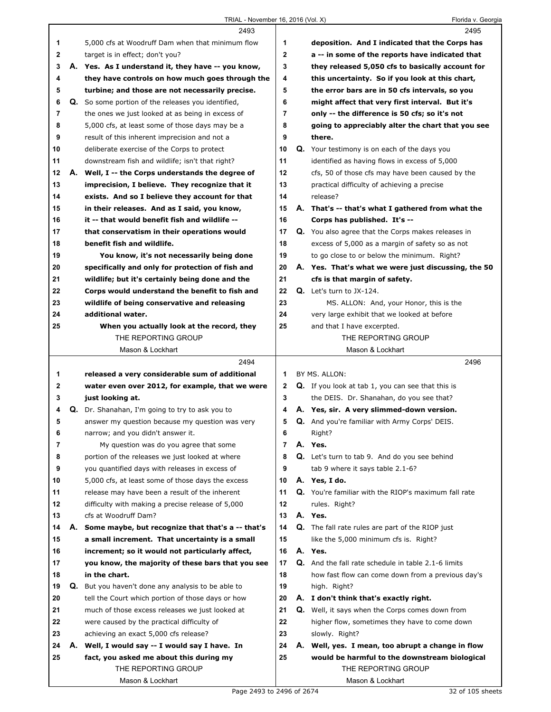|    |    | 2493                                                                                               |                | 2495                                                                                                 |
|----|----|----------------------------------------------------------------------------------------------------|----------------|------------------------------------------------------------------------------------------------------|
| 1  |    | 5,000 cfs at Woodruff Dam when that minimum flow                                                   | 1              | deposition. And I indicated that the Corps has                                                       |
| 2  |    | target is in effect; don't you?                                                                    | $\mathbf 2$    | a -- in some of the reports have indicated that                                                      |
| 3  |    | A. Yes. As I understand it, they have -- you know,                                                 | 3              | they released 5,050 cfs to basically account for                                                     |
| 4  |    | they have controls on how much goes through the                                                    | 4              | this uncertainty. So if you look at this chart,                                                      |
| 5  |    | turbine; and those are not necessarily precise.                                                    | 5              | the error bars are in 50 cfs intervals, so you                                                       |
| 6  |    | Q. So some portion of the releases you identified,                                                 | 6              | might affect that very first interval. But it's                                                      |
| 7  |    | the ones we just looked at as being in excess of                                                   | 7              | only -- the difference is 50 cfs; so it's not                                                        |
| 8  |    | 5,000 cfs, at least some of those days may be a                                                    | 8              | going to appreciably alter the chart that you see                                                    |
| 9  |    | result of this inherent imprecision and not a                                                      | 9              | there.                                                                                               |
| 10 |    | deliberate exercise of the Corps to protect                                                        | 10             | <b>Q.</b> Your testimony is on each of the days you                                                  |
| 11 |    | downstream fish and wildlife; isn't that right?                                                    | 11             | identified as having flows in excess of 5,000                                                        |
| 12 |    | A. Well, I -- the Corps understands the degree of                                                  | 12             | cfs, 50 of those cfs may have been caused by the                                                     |
| 13 |    | imprecision, I believe. They recognize that it                                                     | 13             | practical difficulty of achieving a precise                                                          |
| 14 |    | exists. And so I believe they account for that                                                     | 14             | release?                                                                                             |
| 15 |    | in their releases. And as I said, you know,                                                        | 15             | A. That's -- that's what I gathered from what the                                                    |
| 16 |    | it -- that would benefit fish and wildlife --                                                      | 16             | Corps has published. It's --                                                                         |
| 17 |    | that conservatism in their operations would                                                        | 17             | <b>Q.</b> You also agree that the Corps makes releases in                                            |
| 18 |    | benefit fish and wildlife.                                                                         | 18             | excess of 5,000 as a margin of safety so as not                                                      |
| 19 |    | You know, it's not necessarily being done                                                          | 19             | to go close to or below the minimum. Right?                                                          |
| 20 |    | specifically and only for protection of fish and                                                   | 20             | A. Yes. That's what we were just discussing, the 50                                                  |
| 21 |    | wildlife; but it's certainly being done and the                                                    | 21             | cfs is that margin of safety.                                                                        |
| 22 |    | Corps would understand the benefit to fish and                                                     | 22             | $Q.$ Let's turn to JX-124.                                                                           |
| 23 |    | wildlife of being conservative and releasing                                                       | 23             | MS. ALLON: And, your Honor, this is the                                                              |
| 24 |    | additional water.                                                                                  | 24             | very large exhibit that we looked at before                                                          |
| 25 |    | When you actually look at the record, they                                                         | 25             | and that I have excerpted.                                                                           |
|    |    | THE REPORTING GROUP                                                                                |                | THE REPORTING GROUP                                                                                  |
|    |    | Mason & Lockhart                                                                                   |                | Mason & Lockhart                                                                                     |
|    |    |                                                                                                    |                |                                                                                                      |
|    |    | 2494                                                                                               |                | 2496                                                                                                 |
| 1  |    | released a very considerable sum of additional                                                     | 1              | BY MS. ALLON:                                                                                        |
| 2  |    |                                                                                                    | 2              |                                                                                                      |
| 3  |    | water even over 2012, for example, that we were<br>just looking at.                                | 3              | <b>Q.</b> If you look at tab 1, you can see that this is<br>the DEIS. Dr. Shanahan, do you see that? |
| 4  |    |                                                                                                    | 4              | A. Yes, sir. A very slimmed-down version.                                                            |
| 5  |    | Q. Dr. Shanahan, I'm going to try to ask you to<br>answer my question because my question was very | 5              | <b>Q.</b> And you're familiar with Army Corps' DEIS.                                                 |
| 6  |    | narrow; and you didn't answer it.                                                                  | 6              | Right?                                                                                               |
| 7  |    | My question was do you agree that some                                                             | $\overline{7}$ | A. Yes.                                                                                              |
| 8  |    | portion of the releases we just looked at where                                                    | 8              | Q. Let's turn to tab 9. And do you see behind                                                        |
| 9  |    | you quantified days with releases in excess of                                                     | 9              | tab 9 where it says table 2.1-6?                                                                     |
| 10 |    | 5,000 cfs, at least some of those days the excess                                                  | 10             | A. Yes, I do.                                                                                        |
| 11 |    | release may have been a result of the inherent                                                     | 11             | Q. You're familiar with the RIOP's maximum fall rate                                                 |
| 12 |    | difficulty with making a precise release of 5,000                                                  | 12             | rules. Right?                                                                                        |
| 13 |    | cfs at Woodruff Dam?                                                                               | 13             | A. Yes.                                                                                              |
| 14 | А. | Some maybe, but recognize that that's a -- that's                                                  | 14             | Q. The fall rate rules are part of the RIOP just                                                     |
| 15 |    | a small increment. That uncertainty is a small                                                     | 15             | like the 5,000 minimum cfs is. Right?                                                                |
| 16 |    | increment; so it would not particularly affect,                                                    | 16             | A. Yes.                                                                                              |
| 17 |    | you know, the majority of these bars that you see                                                  | 17             | Q. And the fall rate schedule in table 2.1-6 limits                                                  |
| 18 |    | in the chart.                                                                                      | 18             | how fast flow can come down from a previous day's                                                    |
| 19 | Q. | But you haven't done any analysis to be able to                                                    | 19             | high. Right?                                                                                         |
| 20 |    | tell the Court which portion of those days or how                                                  | 20             | A. I don't think that's exactly right.                                                               |
| 21 |    | much of those excess releases we just looked at                                                    | 21             | <b>Q.</b> Well, it says when the Corps comes down from                                               |
| 22 |    | were caused by the practical difficulty of                                                         | 22             | higher flow, sometimes they have to come down                                                        |
| 23 |    | achieving an exact 5,000 cfs release?                                                              | 23             | slowly. Right?                                                                                       |
| 24 | А. | Well, I would say -- I would say I have. In                                                        | 24             | A. Well, yes. I mean, too abrupt a change in flow                                                    |
| 25 |    | fact, you asked me about this during my                                                            | 25             | would be harmful to the downstream biological                                                        |
|    |    | THE REPORTING GROUP                                                                                |                | THE REPORTING GROUP                                                                                  |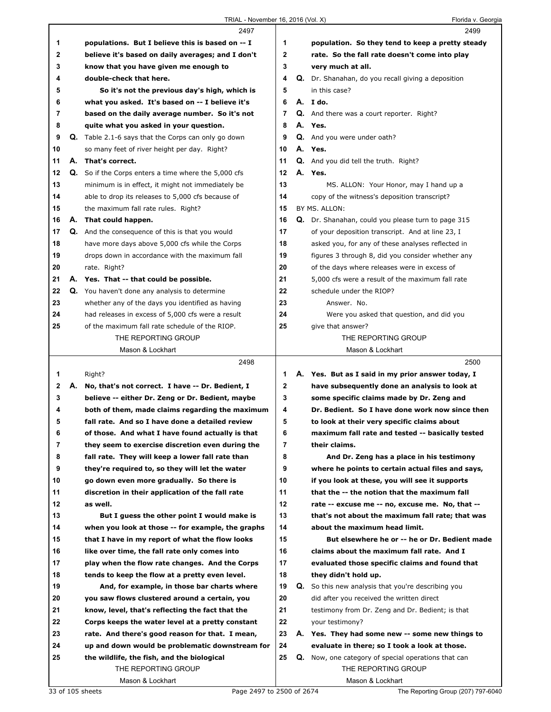|    |    | 2497                                                        |              | 2499                                                      |
|----|----|-------------------------------------------------------------|--------------|-----------------------------------------------------------|
| 1  |    | populations. But I believe this is based on -- I            | 1            | population. So they tend to keep a pretty steady          |
| 2  |    | believe it's based on daily averages; and I don't           | $\mathbf{2}$ | rate. So the fall rate doesn't come into play             |
| 3  |    | know that you have given me enough to                       | 3            | very much at all.                                         |
| 4  |    | double-check that here.                                     | 4            | Q. Dr. Shanahan, do you recall giving a deposition        |
| 5  |    | So it's not the previous day's high, which is               | 5            | in this case?                                             |
| 6  |    | what you asked. It's based on -- I believe it's             | 6            | A. I do.                                                  |
| 7  |    | based on the daily average number. So it's not              | 7            | <b>Q.</b> And there was a court reporter. Right?          |
| 8  |    | quite what you asked in your question.                      | 8            | A. Yes.                                                   |
| 9  |    | <b>Q.</b> Table 2.1-6 says that the Corps can only go down  | 9            | Q. And you were under oath?                               |
| 10 |    | so many feet of river height per day. Right?                | 10           | A. Yes.                                                   |
| 11 |    | A. That's correct.                                          | 11           | <b>Q.</b> And you did tell the truth. Right?              |
| 12 |    | <b>Q.</b> So if the Corps enters a time where the 5,000 cfs | 12           | A. Yes.                                                   |
| 13 |    | minimum is in effect, it might not immediately be           | 13           | MS. ALLON: Your Honor, may I hand up a                    |
| 14 |    | able to drop its releases to 5,000 cfs because of           | 14           | copy of the witness's deposition transcript?              |
| 15 |    | the maximum fall rate rules. Right?                         | 15           | BY MS. ALLON:                                             |
| 16 |    | A. That could happen.                                       | 16           | Q. Dr. Shanahan, could you please turn to page 315        |
| 17 |    | <b>Q.</b> And the consequence of this is that you would     | 17           | of your deposition transcript. And at line 23, I          |
| 18 |    | have more days above 5,000 cfs while the Corps              | 18           | asked you, for any of these analyses reflected in         |
| 19 |    | drops down in accordance with the maximum fall              | 19           | figures 3 through 8, did you consider whether any         |
| 20 |    | rate. Right?                                                | 20           | of the days where releases were in excess of              |
| 21 |    | A. Yes. That -- that could be possible.                     | 21           | 5,000 cfs were a result of the maximum fall rate          |
| 22 |    | Q. You haven't done any analysis to determine               | 22           | schedule under the RIOP?                                  |
| 23 |    | whether any of the days you identified as having            | 23           | Answer. No.                                               |
| 24 |    | had releases in excess of 5,000 cfs were a result           | 24           | Were you asked that question, and did you                 |
| 25 |    | of the maximum fall rate schedule of the RIOP.              | 25           | give that answer?                                         |
|    |    | THE REPORTING GROUP                                         |              | THE REPORTING GROUP                                       |
|    |    | Mason & Lockhart                                            |              | Mason & Lockhart                                          |
|    |    |                                                             |              |                                                           |
|    |    | 2498                                                        |              | 2500                                                      |
| 1  |    | Right?                                                      | 1.           | A. Yes. But as I said in my prior answer today, I         |
| 2  | А. | No, that's not correct. I have -- Dr. Bedient, I            | $\mathbf{2}$ | have subsequently done an analysis to look at             |
| 3  |    | believe -- either Dr. Zeng or Dr. Bedient, maybe            | 3            | some specific claims made by Dr. Zeng and                 |
| 4  |    | both of them, made claims regarding the maximum             | 4            | Dr. Bedient. So I have done work now since then           |
| 5  |    | fall rate. And so I have done a detailed review             | 5            | to look at their very specific claims about               |
| 6  |    | of those. And what I have found actually is that            | 6            | maximum fall rate and tested -- basically tested          |
| 7  |    | they seem to exercise discretion even during the            | 7            | their claims.                                             |
| 8  |    | fall rate. They will keep a lower fall rate than            | 8            | And Dr. Zeng has a place in his testimony                 |
| 9  |    | they're required to, so they will let the water             | 9            | where he points to certain actual files and says,         |
| 10 |    | go down even more gradually. So there is                    | 10           | if you look at these, you will see it supports            |
| 11 |    | discretion in their application of the fall rate            | 11           | that the -- the notion that the maximum fall              |
| 12 |    | as well.                                                    | 12           | rate -- excuse me -- no, excuse me. No, that --           |
| 13 |    | But I quess the other point I would make is                 | 13           | that's not about the maximum fall rate; that was          |
| 14 |    | when you look at those -- for example, the graphs           | 14           | about the maximum head limit.                             |
| 15 |    | that I have in my report of what the flow looks             | 15           | But elsewhere he or -- he or Dr. Bedient made             |
| 16 |    | like over time, the fall rate only comes into               | 16           | claims about the maximum fall rate. And I                 |
| 17 |    | play when the flow rate changes. And the Corps              | 17           | evaluated those specific claims and found that            |
| 18 |    | tends to keep the flow at a pretty even level.              | 18           | they didn't hold up.                                      |
| 19 |    | And, for example, in those bar charts where                 | 19           | <b>Q.</b> So this new analysis that you're describing you |
| 20 |    | you saw flows clustered around a certain, you               | 20           | did after you received the written direct                 |
| 21 |    | know, level, that's reflecting the fact that the            | 21           | testimony from Dr. Zeng and Dr. Bedient; is that          |
| 22 |    | Corps keeps the water level at a pretty constant            | 22           | your testimony?                                           |
| 23 |    | rate. And there's good reason for that. I mean,             | 23           | A. Yes. They had some new -- some new things to           |
| 24 |    | up and down would be problematic downstream for             | 24           | evaluate in there; so I took a look at those.             |
| 25 |    | the wildlife, the fish, and the biological                  | 25           | Q. Now, one category of special operations that can       |
|    |    | THE REPORTING GROUP                                         |              | THE REPORTING GROUP                                       |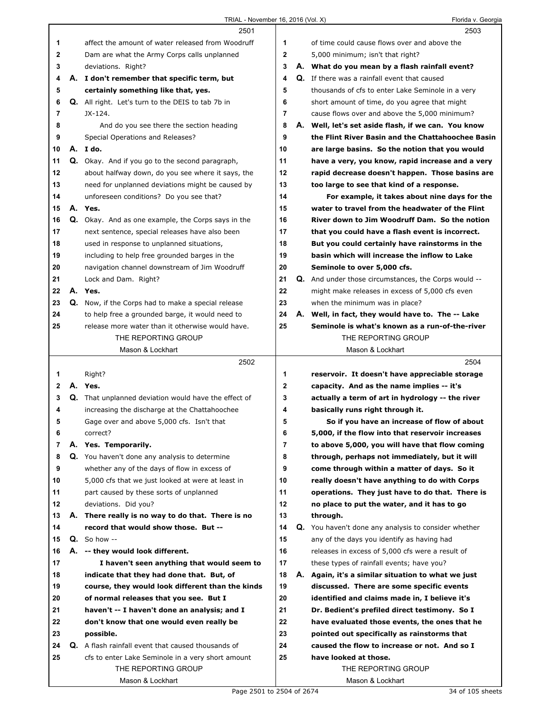|                |    | 2501                                                      |    |    | 2503                                                 |
|----------------|----|-----------------------------------------------------------|----|----|------------------------------------------------------|
| 1              |    | affect the amount of water released from Woodruff         | 1  |    | of time could cause flows over and above the         |
| $\mathbf 2$    |    | Dam are what the Army Corps calls unplanned               | 2  |    | 5,000 minimum; isn't that right?                     |
| 3              |    | deviations. Right?                                        | 3  |    | A. What do you mean by a flash rainfall event?       |
| 4              |    | A. I don't remember that specific term, but               | 4  |    | Q. If there was a rainfall event that caused         |
| 5              |    | certainly something like that, yes.                       | 5  |    | thousands of cfs to enter Lake Seminole in a very    |
| 6              |    | <b>Q.</b> All right. Let's turn to the DEIS to tab 7b in  | 6  |    | short amount of time, do you agree that might        |
| $\overline{7}$ |    | JX-124.                                                   | 7  |    | cause flows over and above the 5,000 minimum?        |
| 8              |    | And do you see there the section heading                  | 8  |    | A. Well, let's set aside flash, if we can. You know  |
| 9              |    | Special Operations and Releases?                          | 9  |    | the Flint River Basin and the Chattahoochee Basin    |
| 10             |    | A. Ido.                                                   | 10 |    | are large basins. So the notion that you would       |
| 11             |    | Q. Okay. And if you go to the second paragraph,           | 11 |    | have a very, you know, rapid increase and a very     |
| 12             |    | about halfway down, do you see where it says, the         | 12 |    | rapid decrease doesn't happen. Those basins are      |
| 13             |    | need for unplanned deviations might be caused by          | 13 |    | too large to see that kind of a response.            |
| 14             |    | unforeseen conditions? Do you see that?                   | 14 |    | For example, it takes about nine days for the        |
| 15             |    | A. Yes.                                                   | 15 |    | water to travel from the headwater of the Flint      |
| 16             |    | Q. Okay. And as one example, the Corps says in the        | 16 |    | River down to Jim Woodruff Dam. So the notion        |
| 17             |    | next sentence, special releases have also been            | 17 |    | that you could have a flash event is incorrect.      |
| 18             |    | used in response to unplanned situations,                 | 18 |    | But you could certainly have rainstorms in the       |
| 19             |    | including to help free grounded barges in the             | 19 |    | basin which will increase the inflow to Lake         |
| 20             |    | navigation channel downstream of Jim Woodruff             | 20 |    | Seminole to over 5,000 cfs.                          |
| 21             |    | Lock and Dam. Right?                                      | 21 |    | Q. And under those circumstances, the Corps would -- |
| 22             |    | A. Yes.                                                   | 22 |    | might make releases in excess of 5,000 cfs even      |
| 23             |    | Q. Now, if the Corps had to make a special release        | 23 |    | when the minimum was in place?                       |
| 24             |    | to help free a grounded barge, it would need to           | 24 |    | A. Well, in fact, they would have to. The -- Lake    |
| 25             |    | release more water than it otherwise would have.          | 25 |    | Seminole is what's known as a run-of-the-river       |
|                |    | THE REPORTING GROUP                                       |    |    | THE REPORTING GROUP                                  |
|                |    | Mason & Lockhart                                          |    |    | Mason & Lockhart                                     |
|                |    |                                                           |    |    |                                                      |
|                |    | 2502                                                      |    |    | 2504                                                 |
| 1              |    | Right?                                                    | 1  |    | reservoir. It doesn't have appreciable storage       |
| $\mathbf{2}$   |    | A. Yes.                                                   | 2  |    | capacity. And as the name implies -- it's            |
| 3              |    | Q. That unplanned deviation would have the effect of      | 3  |    | actually a term of art in hydrology -- the river     |
| 4              |    | increasing the discharge at the Chattahoochee             | 4  |    | basically runs right through it.                     |
| 5              |    | Gage over and above 5,000 cfs. Isn't that                 | 5  |    | So if you have an increase of flow of about          |
| 6              |    | correct?                                                  | 6  |    | 5,000, if the flow into that reservoir increases     |
| 7              |    | A. Yes. Temporarily.                                      | 7  |    | to above 5,000, you will have that flow coming       |
| 8              |    | Q. You haven't done any analysis to determine             | 8  |    | through, perhaps not immediately, but it will        |
| 9              |    | whether any of the days of flow in excess of              | 9  |    | come through within a matter of days. So it          |
| 10             |    | 5,000 cfs that we just looked at were at least in         | 10 |    | really doesn't have anything to do with Corps        |
| 11             |    | part caused by these sorts of unplanned                   | 11 |    | operations. They just have to do that. There is      |
| 12             |    | deviations. Did you?                                      | 12 |    | no place to put the water, and it has to go          |
| 13             |    | A. There really is no way to do that. There is no         | 13 |    | through.                                             |
| 14             |    | record that would show those. But --                      | 14 |    | Q. You haven't done any analysis to consider whether |
| 15             |    | $Q.$ So how --                                            | 15 |    | any of the days you identify as having had           |
| 16             | А. | -- they would look different.                             | 16 |    | releases in excess of 5,000 cfs were a result of     |
| 17             |    | I haven't seen anything that would seem to                | 17 |    | these types of rainfall events; have you?            |
| 18             |    | indicate that they had done that. But, of                 | 18 | А. | Again, it's a similar situation to what we just      |
| 19             |    | course, they would look different than the kinds          | 19 |    | discussed. There are some specific events            |
| 20             |    | of normal releases that you see. But I                    | 20 |    | identified and claims made in, I believe it's        |
| 21             |    | haven't -- I haven't done an analysis; and I              | 21 |    | Dr. Bedient's prefiled direct testimony. So I        |
| 22             |    | don't know that one would even really be                  | 22 |    | have evaluated those events, the ones that he        |
| 23             |    | possible.                                                 | 23 |    | pointed out specifically as rainstorms that          |
| 24             |    | <b>Q.</b> A flash rainfall event that caused thousands of | 24 |    | caused the flow to increase or not. And so I         |
| 25             |    | cfs to enter Lake Seminole in a very short amount         | 25 |    | have looked at those.                                |
|                |    | THE REPORTING GROUP                                       |    |    | THE REPORTING GROUP                                  |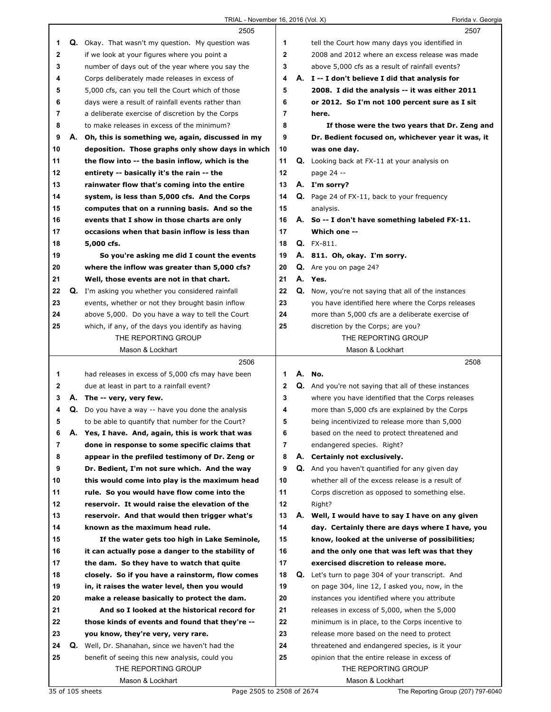|             |    | 2505                                               |              |    | 2507                                                        |
|-------------|----|----------------------------------------------------|--------------|----|-------------------------------------------------------------|
| 1           |    | Q. Okay. That wasn't my question. My question was  | 1            |    | tell the Court how many days you identified in              |
| $\mathbf 2$ |    | if we look at your figures where you point a       | $\mathbf{2}$ |    | 2008 and 2012 where an excess release was made              |
| 3           |    | number of days out of the year where you say the   | 3            |    | above 5,000 cfs as a result of rainfall events?             |
| 4           |    | Corps deliberately made releases in excess of      | 4            |    | A. I -- I don't believe I did that analysis for             |
| 5           |    | 5,000 cfs, can you tell the Court which of those   | 5            |    | 2008. I did the analysis -- it was either 2011              |
| 6           |    | days were a result of rainfall events rather than  | 6            |    | or 2012. So I'm not 100 percent sure as I sit               |
| 7           |    | a deliberate exercise of discretion by the Corps   | 7            |    | here.                                                       |
| 8           |    | to make releases in excess of the minimum?         | 8            |    | If those were the two years that Dr. Zeng and               |
| 9           | Α. | Oh, this is something we, again, discussed in my   | 9            |    | Dr. Bedient focused on, whichever year it was, it           |
| 10          |    | deposition. Those graphs only show days in which   | 10           |    | was one day.                                                |
| 11          |    | the flow into -- the basin inflow, which is the    | 11           |    | <b>Q.</b> Looking back at FX-11 at your analysis on         |
| 12          |    | entirety -- basically it's the rain -- the         | 12           |    | page 24 --                                                  |
| 13          |    | rainwater flow that's coming into the entire       | 13           |    | A. I'm sorry?                                               |
| 14          |    | system, is less than 5,000 cfs. And the Corps      | 14           |    | <b>Q.</b> Page 24 of FX-11, back to your frequency          |
|             |    |                                                    |              |    |                                                             |
| 15          |    | computes that on a running basis. And so the       | 15           |    | analysis.                                                   |
| 16          |    | events that I show in those charts are only        | 16           |    | A. So -- I don't have something labeled FX-11.              |
| 17          |    | occasions when that basin inflow is less than      | 17           |    | Which one --                                                |
| 18          |    | 5,000 cfs.                                         | 18           |    | <b>Q.</b> FX-811.                                           |
| 19          |    | So you're asking me did I count the events         | 19           |    | A. 811. Oh, okay. I'm sorry.                                |
| 20          |    | where the inflow was greater than 5,000 cfs?       | 20           |    | Q. Are you on page 24?                                      |
| 21          |    | Well, those events are not in that chart.          | 21           |    | A. Yes.                                                     |
| 22          |    | Q. I'm asking you whether you considered rainfall  | 22           | Q. | Now, you're not saying that all of the instances            |
| 23          |    | events, whether or not they brought basin inflow   | 23           |    | you have identified here where the Corps releases           |
| 24          |    | above 5,000. Do you have a way to tell the Court   | 24           |    | more than 5,000 cfs are a deliberate exercise of            |
| 25          |    | which, if any, of the days you identify as having  | 25           |    | discretion by the Corps; are you?                           |
|             |    | THE REPORTING GROUP                                |              |    | THE REPORTING GROUP                                         |
|             |    | Mason & Lockhart                                   |              |    | Mason & Lockhart                                            |
|             |    |                                                    |              |    |                                                             |
|             |    | 2506                                               |              |    | 2508                                                        |
| 1           |    | had releases in excess of 5,000 cfs may have been  | 1            |    | A. No.                                                      |
| 2           |    | due at least in part to a rainfall event?          | 2            |    | <b>Q.</b> And you're not saying that all of these instances |
| 3           |    | A. The -- very, very few.                          | 3            |    | where you have identified that the Corps releases           |
| 4           |    | Q. Do you have a way -- have you done the analysis | 4            |    | more than 5,000 cfs are explained by the Corps              |
| 5           |    | to be able to quantify that number for the Court?  | 5            |    | being incentivized to release more than 5,000               |
| 6           | Α. | Yes, I have. And, again, this is work that was     | 6            |    | based on the need to protect threatened and                 |
| 7           |    | done in response to some specific claims that      | 7            |    | endangered species. Right?                                  |
| 8           |    | appear in the prefiled testimony of Dr. Zeng or    | 8            | А. | Certainly not exclusively.                                  |
| 9           |    | Dr. Bedient, I'm not sure which. And the way       | 9            | Q. | And you haven't quantified for any given day                |
| 10          |    | this would come into play is the maximum head      | 10           |    | whether all of the excess release is a result of            |
| 11          |    | rule. So you would have flow come into the         | 11           |    | Corps discretion as opposed to something else.              |
| 12          |    | reservoir. It would raise the elevation of the     | 12           |    | Right?                                                      |
| 13          |    | reservoir. And that would then trigger what's      | 13           | А. | Well, I would have to say I have on any given               |
| 14          |    | known as the maximum head rule.                    | 14           |    | day. Certainly there are days where I have, you             |
| 15          |    | If the water gets too high in Lake Seminole,       | 15           |    | know, looked at the universe of possibilities;              |
| 16          |    | it can actually pose a danger to the stability of  | 16           |    | and the only one that was left was that they                |
| 17          |    | the dam. So they have to watch that quite          | 17           |    | exercised discretion to release more.                       |
| 18          |    | closely. So if you have a rainstorm, flow comes    | 18           | Q. | Let's turn to page 304 of your transcript. And              |
| 19          |    | in, it raises the water level, then you would      | 19           |    | on page 304, line 12, I asked you, now, in the              |
| 20          |    | make a release basically to protect the dam.       | 20           |    | instances you identified where you attribute                |
| 21          |    | And so I looked at the historical record for       | 21           |    | releases in excess of 5,000, when the 5,000                 |
| 22          |    | those kinds of events and found that they're --    | 22           |    | minimum is in place, to the Corps incentive to              |
| 23          |    | you know, they're very, very rare.                 | 23           |    | release more based on the need to protect                   |
| 24          | Q. | Well, Dr. Shanahan, since we haven't had the       | 24           |    | threatened and endangered species, is it your               |
| 25          |    | benefit of seeing this new analysis, could you     | 25           |    | opinion that the entire release in excess of                |
|             |    | THE REPORTING GROUP                                |              |    | THE REPORTING GROUP                                         |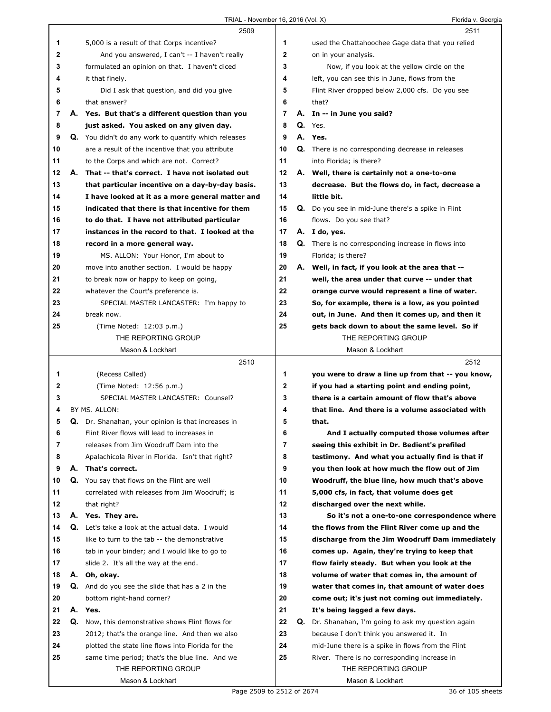|    |    | 2509                                                        |                         | 2511                                                     |
|----|----|-------------------------------------------------------------|-------------------------|----------------------------------------------------------|
| 1  |    | 5,000 is a result of that Corps incentive?                  | 1                       | used the Chattahoochee Gage data that you relied         |
| 2  |    | And you answered, I can't -- I haven't really               | $\overline{\mathbf{2}}$ | on in your analysis.                                     |
| 3  |    | formulated an opinion on that. I haven't diced              | 3                       | Now, if you look at the yellow circle on the             |
| 4  |    | it that finely.                                             | 4                       | left, you can see this in June, flows from the           |
| 5  |    | Did I ask that question, and did you give                   | 5                       | Flint River dropped below 2,000 cfs. Do you see          |
| 6  |    | that answer?                                                | 6                       | that?                                                    |
| 7  |    | A. Yes. But that's a different question than you            | 7                       | A. In -- in June you said?                               |
| 8  |    | just asked. You asked on any given day.                     | 8                       | $Q.$ Yes.                                                |
| 9  |    | <b>Q.</b> You didn't do any work to quantify which releases | 9                       | A. Yes.                                                  |
| 10 |    | are a result of the incentive that you attribute            | 10                      | <b>Q.</b> There is no corresponding decrease in releases |
| 11 |    | to the Corps and which are not. Correct?                    | 11                      | into Florida; is there?                                  |
| 12 | А. | That -- that's correct. I have not isolated out             | 12                      | A. Well, there is certainly not a one-to-one             |
| 13 |    | that particular incentive on a day-by-day basis.            | 13                      | decrease. But the flows do, in fact, decrease a          |
| 14 |    | I have looked at it as a more general matter and            | 14                      | little bit.                                              |
| 15 |    | indicated that there is that incentive for them             | 15                      | Q. Do you see in mid-June there's a spike in Flint       |
| 16 |    | to do that. I have not attributed particular                | 16                      | flows. Do you see that?                                  |
| 17 |    | instances in the record to that. I looked at the            | 17                      | A. I do, yes.                                            |
| 18 |    | record in a more general way.                               | 18                      | Q. There is no corresponding increase in flows into      |
| 19 |    | MS. ALLON: Your Honor, I'm about to                         | 19                      | Florida; is there?                                       |
| 20 |    | move into another section. I would be happy                 | 20                      | A. Well, in fact, if you look at the area that --        |
| 21 |    | to break now or happy to keep on going,                     | 21                      | well, the area under that curve -- under that            |
| 22 |    | whatever the Court's preference is.                         | 22                      | orange curve would represent a line of water.            |
| 23 |    | SPECIAL MASTER LANCASTER: I'm happy to                      | 23                      | So, for example, there is a low, as you pointed          |
| 24 |    | break now.                                                  | 24                      | out, in June. And then it comes up, and then it          |
| 25 |    | (Time Noted: 12:03 p.m.)                                    | 25                      | gets back down to about the same level. So if            |
|    |    | THE REPORTING GROUP                                         |                         | THE REPORTING GROUP                                      |
|    |    | Mason & Lockhart                                            |                         | Mason & Lockhart                                         |
|    |    | 2510                                                        |                         | 2512                                                     |
| 1  |    | (Recess Called)                                             | 1                       | you were to draw a line up from that -- you know,        |
|    |    |                                                             |                         |                                                          |
| 2  |    | (Time Noted: 12:56 p.m.)                                    | 2                       | if you had a starting point and ending point,            |
| 3  |    | SPECIAL MASTER LANCASTER: Counsel?                          | 3                       | there is a certain amount of flow that's above           |
| 4  |    | BY MS. ALLON:                                               | 4                       | that line. And there is a volume associated with         |
| 5  |    | Q. Dr. Shanahan, your opinion is that increases in          | 5                       | that.                                                    |
| 6  |    | Flint River flows will lead to increases in                 | 6                       | And I actually computed those volumes after              |
| 7  |    | releases from Jim Woodruff Dam into the                     | $\overline{7}$          | seeing this exhibit in Dr. Bedient's prefiled            |
| 8  |    | Apalachicola River in Florida. Isn't that right?            | 8                       | testimony. And what you actually find is that if         |
| 9  |    | A. That's correct.                                          | 9                       | you then look at how much the flow out of Jim            |
| 10 |    | Q. You say that flows on the Flint are well                 | 10                      | Woodruff, the blue line, how much that's above           |
| 11 |    | correlated with releases from Jim Woodruff; is              | 11                      | 5,000 cfs, in fact, that volume does get                 |
| 12 |    | that right?                                                 | 12                      | discharged over the next while.                          |
| 13 |    | A. Yes. They are.                                           | 13                      | So it's not a one-to-one correspondence where            |
| 14 |    | <b>Q.</b> Let's take a look at the actual data. I would     | 14                      | the flows from the Flint River come up and the           |
| 15 |    | like to turn to the tab -- the demonstrative                | 15                      | discharge from the Jim Woodruff Dam immediately          |
| 16 |    | tab in your binder; and I would like to go to               | 16                      | comes up. Again, they're trying to keep that             |
| 17 |    | slide 2. It's all the way at the end.                       | 17                      | flow fairly steady. But when you look at the             |
| 18 |    | A. Oh, okay.                                                | 18                      | volume of water that comes in, the amount of             |
| 19 |    | <b>Q.</b> And do you see the slide that has a 2 in the      | 19                      | water that comes in, that amount of water does           |
| 20 |    | bottom right-hand corner?                                   | 20                      | come out; it's just not coming out immediately.          |
| 21 |    | A. Yes.                                                     | 21                      | It's being lagged a few days.                            |
| 22 | Q. | Now, this demonstrative shows Flint flows for               | 22                      | Q. Dr. Shanahan, I'm going to ask my question again      |
| 23 |    | 2012; that's the orange line. And then we also              | 23                      | because I don't think you answered it. In                |
| 24 |    | plotted the state line flows into Florida for the           | 24                      | mid-June there is a spike in flows from the Flint        |
| 25 |    | same time period; that's the blue line. And we              | 25                      | River. There is no corresponding increase in             |
|    |    | THE REPORTING GROUP<br>Mason & Lockhart                     |                         | THE REPORTING GROUP<br>Mason & Lockhart                  |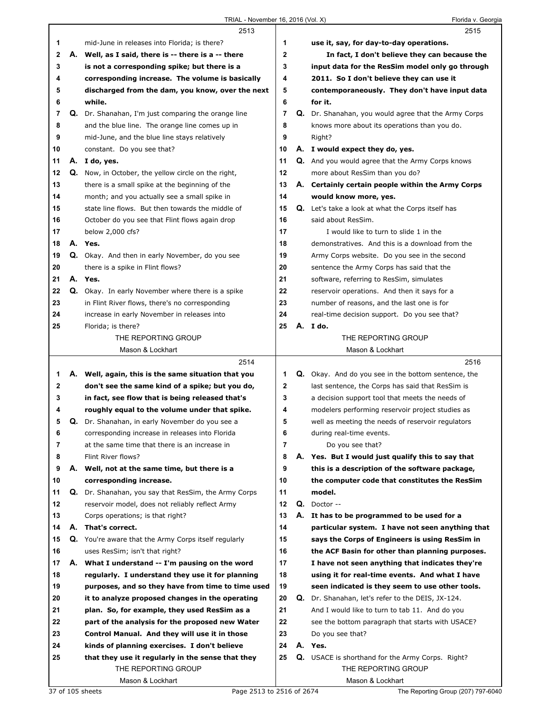|    |    | 2513                                                 |              |    | 2515                                                     |
|----|----|------------------------------------------------------|--------------|----|----------------------------------------------------------|
| 1  |    | mid-June in releases into Florida; is there?         | 1            |    | use it, say, for day-to-day operations.                  |
| 2  | А. | Well, as I said, there is -- there is a -- there     | $\mathbf{2}$ |    | In fact, I don't believe they can because the            |
| 3  |    | is not a corresponding spike; but there is a         | 3            |    | input data for the ResSim model only go through          |
| 4  |    | corresponding increase. The volume is basically      | 4            |    | 2011. So I don't believe they can use it                 |
| 5  |    | discharged from the dam, you know, over the next     | 5            |    | contemporaneously. They don't have input data            |
| 6  |    | while.                                               | 6            |    | for it.                                                  |
| 7  |    | Q. Dr. Shanahan, I'm just comparing the orange line  | 7            |    | Q. Dr. Shanahan, you would agree that the Army Corps     |
| 8  |    | and the blue line. The orange line comes up in       | 8            |    | knows more about its operations than you do.             |
| 9  |    | mid-June, and the blue line stays relatively         | 9            |    | Right?                                                   |
| 10 |    | constant. Do you see that?                           | 10           |    | A. I would expect they do, yes.                          |
| 11 | А. | I do, yes.                                           | 11           |    | <b>Q.</b> And you would agree that the Army Corps knows  |
| 12 | Q. | Now, in October, the yellow circle on the right,     | 12           |    | more about ResSim than you do?                           |
| 13 |    | there is a small spike at the beginning of the       | 13           |    | A. Certainly certain people within the Army Corps        |
| 14 |    | month; and you actually see a small spike in         | 14           |    | would know more, yes.                                    |
| 15 |    | state line flows. But then towards the middle of     | 15           |    | <b>Q.</b> Let's take a look at what the Corps itself has |
| 16 |    | October do you see that Flint flows again drop       | 16           |    | said about ResSim.                                       |
| 17 |    | below 2,000 cfs?                                     | 17           |    | I would like to turn to slide 1 in the                   |
| 18 |    | A. Yes.                                              | 18           |    | demonstratives. And this is a download from the          |
| 19 |    | Q. Okay. And then in early November, do you see      | 19           |    | Army Corps website. Do you see in the second             |
| 20 |    | there is a spike in Flint flows?                     | 20           |    | sentence the Army Corps has said that the                |
| 21 | А. | Yes.                                                 | 21           |    | software, referring to ResSim, simulates                 |
| 22 |    | Q. Okay. In early November where there is a spike    | 22           |    | reservoir operations. And then it says for a             |
| 23 |    | in Flint River flows, there's no corresponding       | 23           |    | number of reasons, and the last one is for               |
| 24 |    | increase in early November in releases into          | 24           |    | real-time decision support. Do you see that?             |
| 25 |    | Florida; is there?                                   | 25           |    | A. Ido.                                                  |
|    |    | THE REPORTING GROUP                                  |              |    | THE REPORTING GROUP                                      |
|    |    | Mason & Lockhart                                     |              |    | Mason & Lockhart                                         |
|    |    |                                                      |              |    |                                                          |
|    |    | 2514                                                 |              |    | 2516                                                     |
| 1. |    | A. Well, again, this is the same situation that you  | 1            |    | Q. Okay. And do you see in the bottom sentence, the      |
| 2  |    | don't see the same kind of a spike; but you do,      | $\mathbf 2$  |    | last sentence, the Corps has said that ResSim is         |
| 3  |    | in fact, see flow that is being released that's      | 3            |    | a decision support tool that meets the needs of          |
| 4  |    | roughly equal to the volume under that spike.        | 4            |    | modelers performing reservoir project studies as         |
| 5  | Q. | Dr. Shanahan, in early November do you see a         | 5            |    | well as meeting the needs of reservoir regulators        |
| 6  |    | corresponding increase in releases into Florida      | 6            |    | during real-time events.                                 |
| 7  |    | at the same time that there is an increase in        | 7            |    | Do you see that?                                         |
| 8  |    | Flint River flows?                                   | 8            | А. | Yes. But I would just qualify this to say that           |
| 9  | А. | Well, not at the same time, but there is a           | 9            |    | this is a description of the software package,           |
| 10 |    | corresponding increase.                              | 10           |    | the computer code that constitutes the ResSim            |
| 11 | Q. | Dr. Shanahan, you say that ResSim, the Army Corps    | 11           |    | model.                                                   |
| 12 |    | reservoir model, does not reliably reflect Army      | 12           |    | $Q.$ Doctor --                                           |
| 13 |    | Corps operations; is that right?                     | 13           |    | A. It has to be programmed to be used for a              |
| 14 | А. | That's correct.                                      | 14           |    | particular system. I have not seen anything that         |
| 15 |    | Q. You're aware that the Army Corps itself regularly | 15           |    | says the Corps of Engineers is using ResSim in           |
| 16 |    | uses ResSim; isn't that right?                       | 16           |    | the ACF Basin for other than planning purposes.          |
| 17 |    | A. What I understand -- I'm pausing on the word      | 17           |    | I have not seen anything that indicates they're          |
| 18 |    | regularly. I understand they use it for planning     | 18           |    | using it for real-time events. And what I have           |
| 19 |    | purposes, and so they have from time to time used    | 19           |    | seen indicated is they seem to use other tools.          |
| 20 |    | it to analyze proposed changes in the operating      | 20           | Q. | Dr. Shanahan, let's refer to the DEIS, JX-124.           |
| 21 |    | plan. So, for example, they used ResSim as a         | 21           |    | And I would like to turn to tab 11. And do you           |
| 22 |    | part of the analysis for the proposed new Water      | 22           |    | see the bottom paragraph that starts with USACE?         |
| 23 |    | Control Manual. And they will use it in those        | 23           |    | Do you see that?                                         |
| 24 |    | kinds of planning exercises. I don't believe         | 24           |    | A. Yes.                                                  |
| 25 |    | that they use it regularly in the sense that they    | 25           |    | <b>Q.</b> USACE is shorthand for the Army Corps. Right?  |
|    |    | THE REPORTING GROUP<br>Mason & Lockhart              |              |    | THE REPORTING GROUP<br>Mason & Lockhart                  |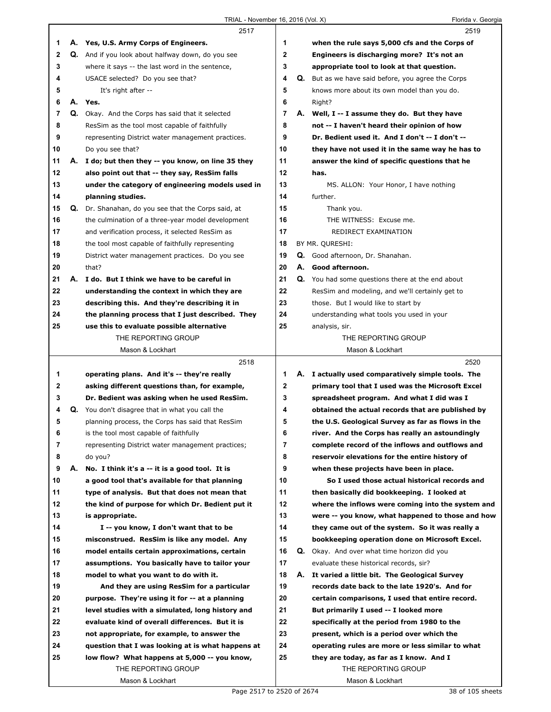|    |    | 2517                                                             |             |    | 2519                                                    |
|----|----|------------------------------------------------------------------|-------------|----|---------------------------------------------------------|
| 1  |    | A. Yes, U.S. Army Corps of Engineers.                            | 1           |    | when the rule says 5,000 cfs and the Corps of           |
| 2  |    | Q. And if you look about halfway down, do you see                | $\mathbf 2$ |    | Engineers is discharging more? It's not an              |
| 3  |    | where it says -- the last word in the sentence,                  | 3           |    | appropriate tool to look at that question.              |
| 4  |    | USACE selected? Do you see that?                                 | 4           | Q. | But as we have said before, you agree the Corps         |
| 5  |    | It's right after --                                              | 5           |    | knows more about its own model than you do.             |
| 6  |    | A. Yes.                                                          | 6           |    | Right?                                                  |
| 7  |    | Q. Okay. And the Corps has said that it selected                 | 7           |    | A. Well, I -- I assume they do. But they have           |
| 8  |    | ResSim as the tool most capable of faithfully                    | 8           |    | not -- I haven't heard their opinion of how             |
| 9  |    | representing District water management practices.                | 9           |    | Dr. Bedient used it. And I don't -- I don't --          |
| 10 |    | Do you see that?                                                 | 10          |    | they have not used it in the same way he has to         |
| 11 |    | A. I do; but then they -- you know, on line 35 they              | 11          |    | answer the kind of specific questions that he           |
| 12 |    | also point out that -- they say, ResSim falls                    | 12          |    | has.                                                    |
| 13 |    | under the category of engineering models used in                 | 13          |    | MS. ALLON: Your Honor, I have nothing                   |
| 14 |    | planning studies.                                                | 14          |    | further.                                                |
| 15 |    | Q. Dr. Shanahan, do you see that the Corps said, at              | 15          |    | Thank you.                                              |
| 16 |    | the culmination of a three-year model development                | 16          |    | THE WITNESS: Excuse me.                                 |
| 17 |    | and verification process, it selected ResSim as                  | 17          |    | REDIRECT EXAMINATION                                    |
| 18 |    | the tool most capable of faithfully representing                 | 18          |    | BY MR. QURESHI:                                         |
| 19 |    | District water management practices. Do you see                  | 19          |    | Q. Good afternoon, Dr. Shanahan.                        |
| 20 |    | that?                                                            | 20          | А. | Good afternoon.                                         |
| 21 | А. | I do. But I think we have to be careful in                       | 21          |    |                                                         |
| 22 |    |                                                                  | 22          |    | <b>Q.</b> You had some questions there at the end about |
|    |    | understanding the context in which they are                      |             |    | ResSim and modeling, and we'll certainly get to         |
| 23 |    | describing this. And they're describing it in                    | 23<br>24    |    | those. But I would like to start by                     |
| 24 |    | the planning process that I just described. They                 | 25          |    | understanding what tools you used in your               |
| 25 |    | use this to evaluate possible alternative<br>THE REPORTING GROUP |             |    | analysis, sir.<br>THE REPORTING GROUP                   |
|    |    |                                                                  |             |    |                                                         |
|    |    | Mason & Lockhart                                                 |             |    | Mason & Lockhart                                        |
|    |    |                                                                  |             |    |                                                         |
|    |    | 2518                                                             |             |    | 2520                                                    |
| 1  |    | operating plans. And it's -- they're really                      | 1           |    | A. I actually used comparatively simple tools. The      |
| 2  |    | asking different questions than, for example,                    | $\mathbf 2$ |    | primary tool that I used was the Microsoft Excel        |
| 3  |    | Dr. Bedient was asking when he used ResSim.                      | 3           |    | spreadsheet program. And what I did was I               |
| 4  | Q. | You don't disagree that in what you call the                     | 4           |    | obtained the actual records that are published by       |
| 5  |    | planning process, the Corps has said that ResSim                 | 5           |    | the U.S. Geological Survey as far as flows in the       |
| 6  |    | is the tool most capable of faithfully                           | 6           |    | river. And the Corps has really an astoundingly         |
| 7  |    | representing District water management practices;                | 7           |    | complete record of the inflows and outflows and         |
| 8  |    | do you?                                                          | 8           |    | reservoir elevations for the entire history of          |
| 9  | А. | No. I think it's a -- it is a good tool. It is                   | 9           |    | when these projects have been in place.                 |
| 10 |    | a good tool that's available for that planning                   | 10          |    | So I used those actual historical records and           |
| 11 |    | type of analysis. But that does not mean that                    | 11          |    | then basically did bookkeeping. I looked at             |
| 12 |    | the kind of purpose for which Dr. Bedient put it                 | 12          |    | where the inflows were coming into the system and       |
| 13 |    | is appropriate.                                                  | 13          |    | were -- you know, what happened to those and how        |
| 14 |    | I -- you know, I don't want that to be                           | 14          |    | they came out of the system. So it was really a         |
| 15 |    | misconstrued. ResSim is like any model. Any                      | 15          |    | bookkeeping operation done on Microsoft Excel.          |
| 16 |    | model entails certain approximations, certain                    | 16          |    | Q. Okay. And over what time horizon did you             |
| 17 |    | assumptions. You basically have to tailor your                   | 17          |    | evaluate these historical records, sir?                 |
| 18 |    | model to what you want to do with it.                            | 18          |    | A. It varied a little bit. The Geological Survey        |
| 19 |    | And they are using ResSim for a particular                       | 19          |    | records date back to the late 1920's. And for           |
| 20 |    | purpose. They're using it for -- at a planning                   | 20          |    | certain comparisons, I used that entire record.         |
| 21 |    | level studies with a simulated, long history and                 | 21          |    | But primarily I used -- I looked more                   |
| 22 |    | evaluate kind of overall differences. But it is                  | 22          |    | specifically at the period from 1980 to the             |
| 23 |    | not appropriate, for example, to answer the                      | 23          |    | present, which is a period over which the               |
| 24 |    | question that I was looking at is what happens at                | 24          |    | operating rules are more or less similar to what        |
| 25 |    | low flow? What happens at 5,000 -- you know,                     | 25          |    | they are today, as far as I know. And I                 |
|    |    | THE REPORTING GROUP<br>Mason & Lockhart                          |             |    | THE REPORTING GROUP<br>Mason & Lockhart                 |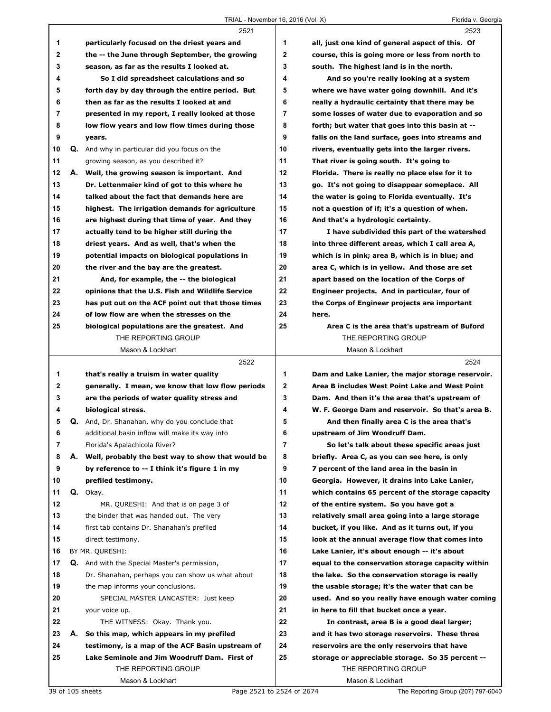|             |    | 2521                                                 |             | 2523                                              |
|-------------|----|------------------------------------------------------|-------------|---------------------------------------------------|
| 1           |    | particularly focused on the driest years and         | 1           | all, just one kind of general aspect of this. Of  |
| 2           |    | the -- the June through September, the growing       | $\mathbf 2$ | course, this is going more or less from north to  |
| 3           |    | season, as far as the results I looked at.           | 3           | south. The highest land is in the north.          |
| 4           |    | So I did spreadsheet calculations and so             | 4           | And so you're really looking at a system          |
| 5           |    | forth day by day through the entire period. But      | 5           | where we have water going downhill. And it's      |
| 6           |    | then as far as the results I looked at and           | 6           | really a hydraulic certainty that there may be    |
| 7           |    | presented in my report, I really looked at those     | 7           | some losses of water due to evaporation and so    |
| 8           |    | low flow years and low flow times during those       | 8           | forth; but water that goes into this basin at --  |
| 9           |    | years.                                               | 9           | falls on the land surface, goes into streams and  |
| 10          |    | <b>Q.</b> And why in particular did you focus on the | 10          | rivers, eventually gets into the larger rivers.   |
| 11          |    | growing season, as you described it?                 | 11          | That river is going south. It's going to          |
| 12          |    | A. Well, the growing season is important. And        | 12          | Florida. There is really no place else for it to  |
| 13          |    | Dr. Lettenmaier kind of got to this where he         | 13          | go. It's not going to disappear someplace. All    |
| 14          |    | talked about the fact that demands here are          | 14          | the water is going to Florida eventually. It's    |
| 15          |    | highest. The irrigation demands for agriculture      | 15          | not a question of if; it's a question of when.    |
| 16          |    | are highest during that time of year. And they       | 16          | And that's a hydrologic certainty.                |
| 17          |    | actually tend to be higher still during the          | 17          | I have subdivided this part of the watershed      |
| 18          |    | driest years. And as well, that's when the           | 18          | into three different areas, which I call area A,  |
| 19          |    | potential impacts on biological populations in       | 19          | which is in pink; area B, which is in blue; and   |
| 20          |    | the river and the bay are the greatest.              | 20          | area C, which is in yellow. And those are set     |
| 21          |    | And, for example, the -- the biological              | 21          | apart based on the location of the Corps of       |
| 22          |    | opinions that the U.S. Fish and Wildlife Service     | 22          | Engineer projects. And in particular, four of     |
| 23          |    | has put out on the ACF point out that those times    | 23          | the Corps of Engineer projects are important      |
| 24          |    | of low flow are when the stresses on the             | 24          | here.                                             |
| 25          |    | biological populations are the greatest. And         | 25          | Area C is the area that's upstream of Buford      |
|             |    | THE REPORTING GROUP                                  |             | THE REPORTING GROUP                               |
|             |    | Mason & Lockhart                                     |             | Mason & Lockhart                                  |
|             |    |                                                      |             |                                                   |
|             |    | 2522                                                 |             | 2524                                              |
| 1           |    | that's really a truism in water quality              | 1           | Dam and Lake Lanier, the major storage reservoir. |
| $\mathbf 2$ |    | generally. I mean, we know that low flow periods     | $\mathbf 2$ | Area B includes West Point Lake and West Point    |
| 3           |    | are the periods of water quality stress and          | 3           | Dam. And then it's the area that's upstream of    |
| 4           |    | biological stress.                                   | 4           | W. F. George Dam and reservoir. So that's area B. |
| 5           |    | Q. And, Dr. Shanahan, why do you conclude that       | 5           | And then finally area C is the area that's        |
| 6           |    | additional basin inflow will make its way into       | 6           | upstream of Jim Woodruff Dam.                     |
| 7           |    | Florida's Apalachicola River?                        | 7           | So let's talk about these specific areas just     |
| 8           |    | A. Well, probably the best way to show that would be | 8           | briefly. Area C, as you can see here, is only     |
| 9           |    | by reference to -- I think it's figure 1 in my       | 9           | 7 percent of the land area in the basin in        |
| 10          |    | prefiled testimony.                                  | 10          | Georgia. However, it drains into Lake Lanier,     |
| 11          |    | Q. Okay.                                             | 11          | which contains 65 percent of the storage capacity |
| 12          |    | MR. QURESHI: And that is on page 3 of                | 12          | of the entire system. So you have got a           |
| 13          |    | the binder that was handed out. The very             | 13          | relatively small area going into a large storage  |
| 14          |    | first tab contains Dr. Shanahan's prefiled           | 14          | bucket, if you like. And as it turns out, if you  |
| 15          |    | direct testimony.                                    | 15          | look at the annual average flow that comes into   |
| 16          |    | BY MR. QURESHI:                                      | 16          | Lake Lanier, it's about enough -- it's about      |
| 17          |    | <b>Q.</b> And with the Special Master's permission,  | 17          | equal to the conservation storage capacity within |
| 18          |    | Dr. Shanahan, perhaps you can show us what about     | 18          | the lake. So the conservation storage is really   |
| 19          |    | the map informs your conclusions.                    | 19          | the usable storage; it's the water that can be    |
| 20          |    | SPECIAL MASTER LANCASTER: Just keep                  | 20          | used. And so you really have enough water coming  |
| 21          |    | your voice up.                                       | 21          | in here to fill that bucket once a year.          |
| 22          |    | THE WITNESS: Okay. Thank you.                        | 22          | In contrast, area B is a good deal larger;        |
| 23          | А. | So this map, which appears in my prefiled            | 23          | and it has two storage reservoirs. These three    |
| 24          |    | testimony, is a map of the ACF Basin upstream of     | 24          | reservoirs are the only reservoirs that have      |
| 25          |    | Lake Seminole and Jim Woodruff Dam. First of         | 25          | storage or appreciable storage. So 35 percent --  |
|             |    | THE REPORTING GROUP                                  |             | THE REPORTING GROUP                               |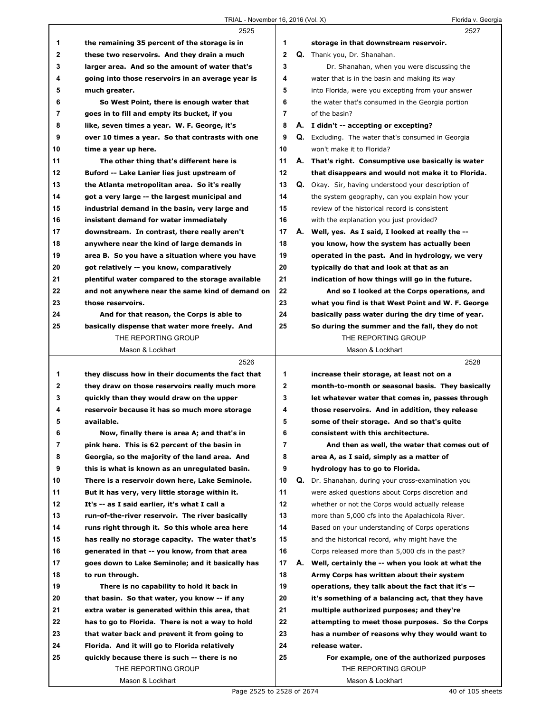|              | 2525                                                                                         |                         |    | 2527                                                                                |
|--------------|----------------------------------------------------------------------------------------------|-------------------------|----|-------------------------------------------------------------------------------------|
| 1            | the remaining 35 percent of the storage is in                                                | 1                       |    | storage in that downstream reservoir.                                               |
| $\mathbf{2}$ | these two reservoirs. And they drain a much                                                  | $\overline{\mathbf{2}}$ |    | Q. Thank you, Dr. Shanahan.                                                         |
| 3            | larger area. And so the amount of water that's                                               | 3                       |    | Dr. Shanahan, when you were discussing the                                          |
| 4            | going into those reservoirs in an average year is                                            | 4                       |    | water that is in the basin and making its way                                       |
| 5            | much greater.                                                                                | 5                       |    | into Florida, were you excepting from your answer                                   |
| 6            | So West Point, there is enough water that                                                    | 6                       |    | the water that's consumed in the Georgia portion                                    |
| 7            | goes in to fill and empty its bucket, if you                                                 | 7                       |    | of the basin?                                                                       |
| 8            | like, seven times a year. W. F. George, it's                                                 | 8                       |    | A. I didn't -- accepting or excepting?                                              |
| 9            | over 10 times a year. So that contrasts with one                                             | 9                       |    | <b>Q.</b> Excluding. The water that's consumed in Georgia                           |
| 10           | time a year up here.                                                                         | 10                      |    | won't make it to Florida?                                                           |
| 11           | The other thing that's different here is                                                     | 11                      |    | A. That's right. Consumptive use basically is water                                 |
| 12           | Buford -- Lake Lanier lies just upstream of                                                  | 12                      |    | that disappears and would not make it to Florida.                                   |
| 13           | the Atlanta metropolitan area. So it's really                                                | 13                      |    | <b>Q.</b> Okay. Sir, having understood your description of                          |
| 14           | got a very large -- the largest municipal and                                                | 14                      |    | the system geography, can you explain how your                                      |
| 15           | industrial demand in the basin, very large and                                               | 15                      |    | review of the historical record is consistent                                       |
| 16           | insistent demand for water immediately                                                       | 16                      |    | with the explanation you just provided?                                             |
| 17           | downstream. In contrast, there really aren't                                                 | 17                      |    | A. Well, yes. As I said, I looked at really the --                                  |
| 18           | anywhere near the kind of large demands in                                                   | 18                      |    | you know, how the system has actually been                                          |
| 19           | area B. So you have a situation where you have                                               | 19                      |    | operated in the past. And in hydrology, we very                                     |
| 20           | got relatively -- you know, comparatively                                                    | 20                      |    | typically do that and look at that as an                                            |
| 21           | plentiful water compared to the storage available                                            | 21                      |    | indication of how things will go in the future.                                     |
| 22           | and not anywhere near the same kind of demand on                                             | 22                      |    | And so I looked at the Corps operations, and                                        |
| 23           | those reservoirs.                                                                            | 23                      |    | what you find is that West Point and W. F. George                                   |
| 24           | And for that reason, the Corps is able to                                                    | 24                      |    | basically pass water during the dry time of year.                                   |
| 25           | basically dispense that water more freely. And                                               | 25                      |    | So during the summer and the fall, they do not                                      |
|              | THE REPORTING GROUP                                                                          |                         |    | THE REPORTING GROUP                                                                 |
|              | Mason & Lockhart                                                                             |                         |    | Mason & Lockhart                                                                    |
|              |                                                                                              |                         |    |                                                                                     |
|              |                                                                                              |                         |    |                                                                                     |
|              | 2526                                                                                         |                         |    | 2528                                                                                |
| 1            | they discuss how in their documents the fact that                                            | 1                       |    | increase their storage, at least not on a                                           |
| $\mathbf{2}$ | they draw on those reservoirs really much more                                               | $\mathbf{2}$            |    | month-to-month or seasonal basis. They basically                                    |
| 3            | quickly than they would draw on the upper                                                    | 3                       |    | let whatever water that comes in, passes through                                    |
| 4            | reservoir because it has so much more storage<br>available.                                  | 4<br>5                  |    | those reservoirs. And in addition, they release                                     |
| 5            |                                                                                              |                         |    | some of their storage. And so that's quite                                          |
| 6<br>7       | Now, finally there is area A; and that's in<br>pink here. This is 62 percent of the basin in | 6<br>7                  |    | consistent with this architecture.<br>And then as well, the water that comes out of |
| 8            | Georgia, so the majority of the land area. And                                               | 8                       |    | area A, as I said, simply as a matter of                                            |
| 9            | this is what is known as an unregulated basin.                                               | 9                       |    | hydrology has to go to Florida.                                                     |
| 10           | There is a reservoir down here, Lake Seminole.                                               | 10                      | Q. | Dr. Shanahan, during your cross-examination you                                     |
| 11           | But it has very, very little storage within it.                                              | 11                      |    | were asked questions about Corps discretion and                                     |
| 12           | It's -- as I said earlier, it's what I call a                                                | 12                      |    | whether or not the Corps would actually release                                     |
| 13           | run-of-the-river reservoir. The river basically                                              | 13                      |    | more than 5,000 cfs into the Apalachicola River.                                    |
| 14           | runs right through it. So this whole area here                                               | 14                      |    | Based on your understanding of Corps operations                                     |
| 15           | has really no storage capacity. The water that's                                             | 15                      |    | and the historical record, why might have the                                       |
| 16           | generated in that -- you know, from that area                                                | 16                      |    | Corps released more than 5,000 cfs in the past?                                     |
| 17           | goes down to Lake Seminole; and it basically has                                             | 17                      | А. | Well, certainly the -- when you look at what the                                    |
| 18           | to run through.                                                                              | 18                      |    | Army Corps has written about their system                                           |
| 19           | There is no capability to hold it back in                                                    | 19                      |    | operations, they talk about the fact that it's --                                   |
| 20           | that basin. So that water, you know -- if any                                                | 20                      |    | it's something of a balancing act, that they have                                   |
| 21           | extra water is generated within this area, that                                              | 21                      |    | multiple authorized purposes; and they're                                           |
| 22           | has to go to Florida. There is not a way to hold                                             | 22                      |    | attempting to meet those purposes. So the Corps                                     |
| 23           | that water back and prevent it from going to                                                 | 23                      |    | has a number of reasons why they would want to                                      |
| 24           | Florida. And it will go to Florida relatively                                                | 24                      |    | release water.                                                                      |
| 25           | quickly because there is such -- there is no                                                 | 25                      |    | For example, one of the authorized purposes                                         |
|              | THE REPORTING GROUP                                                                          |                         |    | THE REPORTING GROUP                                                                 |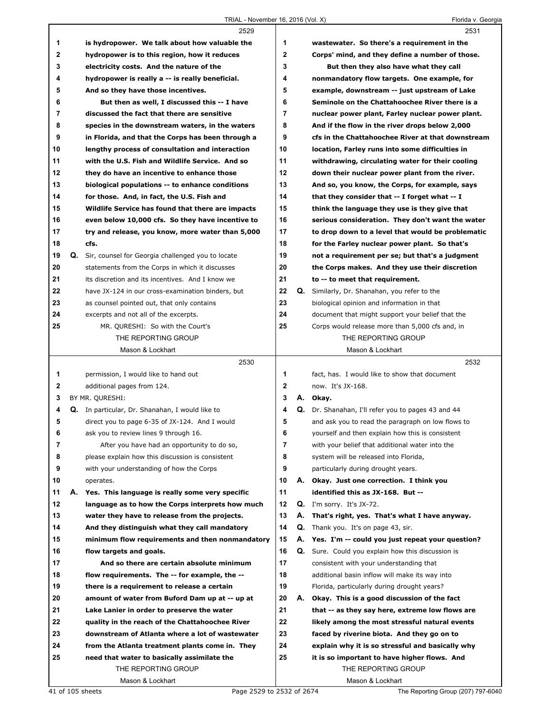|             |    | 2529                                                                                 |    |    | 2531                                                                                                |
|-------------|----|--------------------------------------------------------------------------------------|----|----|-----------------------------------------------------------------------------------------------------|
| 1           |    | is hydropower. We talk about how valuable the                                        | 1  |    | wastewater. So there's a requirement in the                                                         |
| $\mathbf 2$ |    | hydropower is to this region, how it reduces                                         | 2  |    | Corps' mind, and they define a number of those.                                                     |
| 3           |    | electricity costs. And the nature of the                                             | 3  |    | But then they also have what they call                                                              |
| 4           |    | hydropower is really a -- is really beneficial.                                      | 4  |    | nonmandatory flow targets. One example, for                                                         |
| 5           |    | And so they have those incentives.                                                   | 5  |    | example, downstream -- just upstream of Lake                                                        |
| 6           |    | But then as well, I discussed this -- I have                                         | 6  |    | Seminole on the Chattahoochee River there is a                                                      |
| 7           |    | discussed the fact that there are sensitive                                          | 7  |    | nuclear power plant, Farley nuclear power plant.                                                    |
| 8           |    | species in the downstream waters, in the waters                                      | 8  |    | And if the flow in the river drops below 2,000                                                      |
| 9           |    | in Florida, and that the Corps has been through a                                    | 9  |    | cfs in the Chattahoochee River at that downstream                                                   |
| 10          |    | lengthy process of consultation and interaction                                      | 10 |    | location, Farley runs into some difficulties in                                                     |
| 11          |    | with the U.S. Fish and Wildlife Service. And so                                      | 11 |    |                                                                                                     |
| 12          |    |                                                                                      | 12 |    | withdrawing, circulating water for their cooling                                                    |
| 13          |    | they do have an incentive to enhance those                                           | 13 |    | down their nuclear power plant from the river.                                                      |
|             |    | biological populations -- to enhance conditions                                      |    |    | And so, you know, the Corps, for example, says                                                      |
| 14          |    | for those. And, in fact, the U.S. Fish and                                           | 14 |    | that they consider that -- I forget what -- I                                                       |
| 15          |    | Wildlife Service has found that there are impacts                                    | 15 |    | think the language they use is they give that                                                       |
| 16          |    | even below 10,000 cfs. So they have incentive to                                     | 16 |    | serious consideration. They don't want the water                                                    |
| 17          |    | try and release, you know, more water than 5,000                                     | 17 |    | to drop down to a level that would be problematic                                                   |
| 18          |    | cfs.                                                                                 | 18 |    | for the Farley nuclear power plant. So that's                                                       |
| 19          |    | Q. Sir, counsel for Georgia challenged you to locate                                 | 19 |    | not a requirement per se; but that's a judgment                                                     |
| 20          |    | statements from the Corps in which it discusses                                      | 20 |    | the Corps makes. And they use their discretion                                                      |
| 21          |    | its discretion and its incentives. And I know we                                     | 21 |    | to -- to meet that requirement.                                                                     |
| 22          |    | have JX-124 in our cross-examination binders, but                                    | 22 | Q. | Similarly, Dr. Shanahan, you refer to the                                                           |
| 23          |    | as counsel pointed out, that only contains                                           | 23 |    | biological opinion and information in that                                                          |
| 24          |    | excerpts and not all of the excerpts.                                                | 24 |    | document that might support your belief that the                                                    |
| 25          |    | MR. QURESHI: So with the Court's                                                     | 25 |    | Corps would release more than 5,000 cfs and, in                                                     |
|             |    | THE REPORTING GROUP                                                                  |    |    | THE REPORTING GROUP                                                                                 |
|             |    | Mason & Lockhart                                                                     |    |    | Mason & Lockhart                                                                                    |
|             |    |                                                                                      |    |    |                                                                                                     |
|             |    | 2530                                                                                 |    |    | 2532                                                                                                |
| 1           |    | permission, I would like to hand out                                                 | 1  |    | fact, has. I would like to show that document                                                       |
| 2           |    | additional pages from 124.                                                           | 2  |    | now. It's JX-168.                                                                                   |
| 3           |    | BY MR. QURESHI:                                                                      | 3  |    | A. Okay.                                                                                            |
| 4           |    | Q. In particular, Dr. Shanahan, I would like to                                      | 4  |    | Q. Dr. Shanahan, I'll refer you to pages 43 and 44                                                  |
| 5           |    | direct you to page 6-35 of JX-124. And I would                                       | 5  |    | and ask you to read the paragraph on low flows to                                                   |
| 6           |    |                                                                                      | 6  |    |                                                                                                     |
| 7           |    | ask you to review lines 9 through 16.<br>After you have had an opportunity to do so, | 7  |    | yourself and then explain how this is consistent<br>with your belief that additional water into the |
|             |    |                                                                                      | 8  |    |                                                                                                     |
| 8           |    | please explain how this discussion is consistent                                     |    |    | system will be released into Florida,                                                               |
| 9           |    | with your understanding of how the Corps                                             | 9  |    | particularly during drought years.                                                                  |
| 10          |    | operates.                                                                            | 10 |    | A. Okay. Just one correction. I think you                                                           |
| 11          | А. | Yes. This language is really some very specific                                      | 11 |    | identified this as JX-168. But --                                                                   |
| 12          |    | language as to how the Corps interprets how much                                     | 12 |    | $Q.$ I'm sorry. It's JX-72.                                                                         |
| 13          |    | water they have to release from the projects.                                        | 13 | А. | That's right, yes. That's what I have anyway.                                                       |
| 14          |    | And they distinguish what they call mandatory                                        | 14 |    | Q. Thank you. It's on page 43, sir.                                                                 |
| 15          |    | minimum flow requirements and then nonmandatory                                      | 15 |    | A. Yes. I'm -- could you just repeat your question?                                                 |
| 16          |    | flow targets and goals.                                                              | 16 |    | <b>Q.</b> Sure. Could you explain how this discussion is                                            |
| 17          |    | And so there are certain absolute minimum                                            | 17 |    | consistent with your understanding that                                                             |
| 18          |    | flow requirements. The -- for example, the --                                        | 18 |    | additional basin inflow will make its way into                                                      |
| 19          |    | there is a requirement to release a certain                                          | 19 |    | Florida, particularly during drought years?                                                         |
| 20          |    | amount of water from Buford Dam up at -- up at                                       | 20 | А. | Okay. This is a good discussion of the fact                                                         |
| 21          |    | Lake Lanier in order to preserve the water                                           | 21 |    | that -- as they say here, extreme low flows are                                                     |
| 22          |    | quality in the reach of the Chattahoochee River                                      | 22 |    | likely among the most stressful natural events                                                      |
| 23          |    | downstream of Atlanta where a lot of wastewater                                      | 23 |    | faced by riverine biota. And they go on to                                                          |
| 24          |    | from the Atlanta treatment plants come in. They                                      | 24 |    | explain why it is so stressful and basically why                                                    |
| 25          |    | need that water to basically assimilate the                                          | 25 |    | it is so important to have higher flows. And                                                        |
|             |    | THE REPORTING GROUP                                                                  |    |    | THE REPORTING GROUP                                                                                 |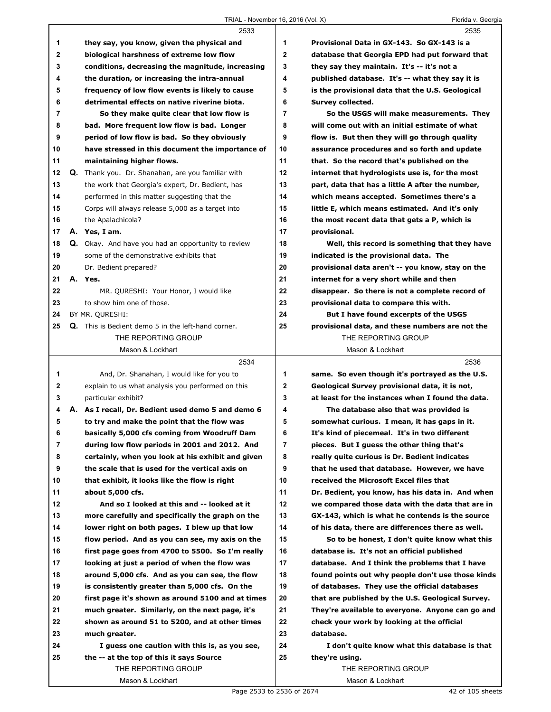## TRIAL - November 16, 2016 (Vol. X) TRIAL - November 16, 2016 (Vol. X)

|          | $11$ $11$ $11$ $12$ $13$ $13$ $14$ $15$ $16$ $10$ $10$ $10$ $11$ $10$ $11$ $11$ $12$       |              | i iuliua v. Oculyi                                                                               |
|----------|--------------------------------------------------------------------------------------------|--------------|--------------------------------------------------------------------------------------------------|
|          | 2533                                                                                       |              | 2535                                                                                             |
| 1        | they say, you know, given the physical and                                                 | 1            | Provisional Data in GX-143. So GX-143 is a                                                       |
| 2        | biological harshness of extreme low flow                                                   | $\mathbf{2}$ | database that Georgia EPD had put forward that                                                   |
| 3        | conditions, decreasing the magnitude, increasing                                           | 3            | they say they maintain. It's -- it's not a                                                       |
| 4        | the duration, or increasing the intra-annual                                               | 4            | published database. It's -- what they say it is                                                  |
| 5        | frequency of low flow events is likely to cause                                            | 5            | is the provisional data that the U.S. Geological                                                 |
| 6        | detrimental effects on native riverine biota.                                              | 6<br>7       | Survey collected.                                                                                |
| 7        | So they make quite clear that low flow is                                                  | 8            | So the USGS will make measurements. They                                                         |
| 8<br>9   | bad. More frequent low flow is bad. Longer<br>period of low flow is bad. So they obviously | 9            | will come out with an initial estimate of what<br>flow is. But then they will go through quality |
|          |                                                                                            | 10           | assurance procedures and so forth and update                                                     |
| 10<br>11 | have stressed in this document the importance of<br>maintaining higher flows.              | 11           | that. So the record that's published on the                                                      |
| 12       | Q. Thank you. Dr. Shanahan, are you familiar with                                          | 12           | internet that hydrologists use is, for the most                                                  |
| 13       | the work that Georgia's expert, Dr. Bedient, has                                           | 13           | part, data that has a little A after the number,                                                 |
| 14       | performed in this matter suggesting that the                                               | 14           | which means accepted. Sometimes there's a                                                        |
| 15       | Corps will always release 5,000 as a target into                                           | 15           | little E, which means estimated. And it's only                                                   |
| 16       | the Apalachicola?                                                                          | 16           | the most recent data that gets a P, which is                                                     |
| 17       | A. Yes, I am.                                                                              | 17           | provisional.                                                                                     |
| 18       | <b>Q.</b> Okay. And have you had an opportunity to review                                  | 18           | Well, this record is something that they have                                                    |
| 19       | some of the demonstrative exhibits that                                                    | 19           | indicated is the provisional data. The                                                           |
| 20       | Dr. Bedient prepared?                                                                      | 20           | provisional data aren't -- you know, stay on the                                                 |
| 21       | A. Yes.                                                                                    | 21           | internet for a very short while and then                                                         |
| 22       | MR. QURESHI: Your Honor, I would like                                                      | 22           | disappear. So there is not a complete record of                                                  |
| 23       | to show him one of those.                                                                  | 23           | provisional data to compare this with.                                                           |
| 24       | BY MR. QURESHI:                                                                            | 24           | But I have found excerpts of the USGS                                                            |
| 25       | Q. This is Bedient demo 5 in the left-hand corner.                                         | 25           | provisional data, and these numbers are not the                                                  |
|          | THE REPORTING GROUP                                                                        |              | THE REPORTING GROUP                                                                              |
|          | Mason & Lockhart                                                                           |              | Mason & Lockhart                                                                                 |
|          | 2534                                                                                       |              | 2536                                                                                             |
| 1        | And, Dr. Shanahan, I would like for you to                                                 | 1            | same. So even though it's portrayed as the U.S.                                                  |
| 2        | explain to us what analysis you performed on this                                          | $\mathbf 2$  | Geological Survey provisional data, it is not,                                                   |
| 3        | particular exhibit?                                                                        | 3            | at least for the instances when I found the data.                                                |
| 4        | A. As I recall, Dr. Bedient used demo 5 and demo 6                                         | 4            | The database also that was provided is                                                           |
| 5        | to try and make the point that the flow was                                                | 5            | somewhat curious. I mean, it has gaps in it.                                                     |
| 6        | basically 5,000 cfs coming from Woodruff Dam                                               | 6            | It's kind of piecemeal. It's in two different                                                    |
| 7        | during low flow periods in 2001 and 2012. And                                              | 7            | pieces. But I guess the other thing that's                                                       |
| 8        | certainly, when you look at his exhibit and given                                          | 8            | really quite curious is Dr. Bedient indicates                                                    |
| 9        | the scale that is used for the vertical axis on                                            | 9            | that he used that database. However, we have                                                     |
| 10       | that exhibit, it looks like the flow is right                                              | 10           | received the Microsoft Excel files that                                                          |
| 11       | about 5,000 cfs.                                                                           | 11           | Dr. Bedient, you know, has his data in. And when                                                 |
| 12       | And so I looked at this and -- looked at it                                                | 12           | we compared those data with the data that are in                                                 |
| 13       | more carefully and specifically the graph on the                                           | 13           | GX-143, which is what he contends is the source                                                  |
| 14       | lower right on both pages. I blew up that low                                              | 14           | of his data, there are differences there as well.                                                |
| 15       | flow period. And as you can see, my axis on the                                            | 15           | So to be honest, I don't quite know what this                                                    |
| 16       | first page goes from 4700 to 5500. So I'm really                                           | 16           | database is. It's not an official published                                                      |
| 17       | looking at just a period of when the flow was                                              | 17           | database. And I think the problems that I have                                                   |
| 18       | around 5,000 cfs. And as you can see, the flow                                             | 18           | found points out why people don't use those kinds                                                |
| 19       | is consistently greater than 5,000 cfs. On the                                             | 19           | of databases. They use the official databases                                                    |
| 20       | first page it's shown as around 5100 and at times                                          | 20           | that are published by the U.S. Geological Survey.                                                |
| 21<br>22 | much greater. Similarly, on the next page, it's                                            | 21<br>22     | They're available to everyone. Anyone can go and                                                 |
| 23       | shown as around 51 to 5200, and at other times<br>much greater.                            | 23           | check your work by looking at the official<br>database.                                          |
| 24       | I guess one caution with this is, as you see,                                              | 24           | I don't quite know what this database is that                                                    |
| 25       | the -- at the top of this it says Source                                                   | 25           | they're using.                                                                                   |
|          | THE REPORTING GROUP                                                                        |              | THE REPORTING GROUP                                                                              |
|          | Mason & Lockhart                                                                           |              | Mason & Lockhart                                                                                 |
|          |                                                                                            |              |                                                                                                  |

ı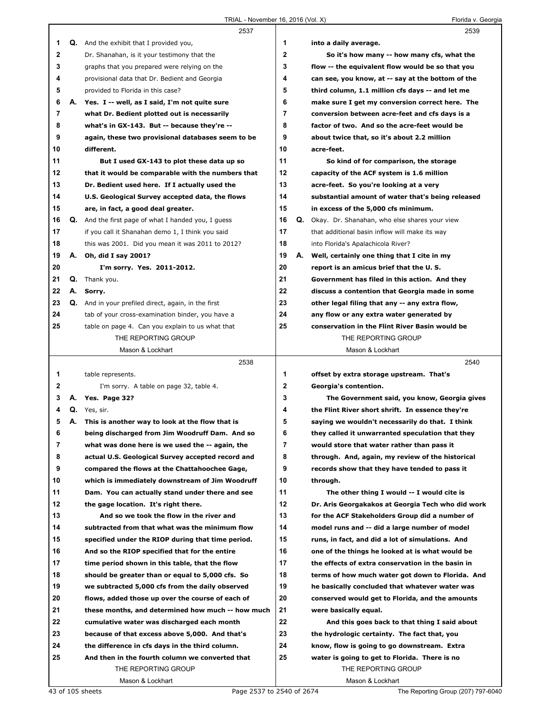|    |    | ,,,,,,,,,,,<br>2537                                        |              | $10, 2010$ (VOI. $7$ ) | 1.10110011.00019<br>2539                          |
|----|----|------------------------------------------------------------|--------------|------------------------|---------------------------------------------------|
| 1  |    | <b>Q.</b> And the exhibit that I provided you,             | 1            |                        | into a daily average.                             |
|    |    |                                                            | $\mathbf{2}$ |                        |                                                   |
| 2  |    | Dr. Shanahan, is it your testimony that the                | 3            |                        | So it's how many -- how many cfs, what the        |
| 3  |    | graphs that you prepared were relying on the               |              |                        | flow -- the equivalent flow would be so that you  |
| 4  |    | provisional data that Dr. Bedient and Georgia              | 4            |                        | can see, you know, at -- say at the bottom of the |
| 5  |    | provided to Florida in this case?                          | 5            |                        | third column, 1.1 million cfs days -- and let me  |
| 6  |    | A. Yes. I -- well, as I said, I'm not quite sure           | 6            |                        | make sure I get my conversion correct here. The   |
| 7  |    | what Dr. Bedient plotted out is necessarily                | 7            |                        | conversion between acre-feet and cfs days is a    |
| 8  |    | what's in GX-143. But -- because they're --                | 8            |                        | factor of two. And so the acre-feet would be      |
| 9  |    | again, these two provisional databases seem to be          | 9            |                        | about twice that, so it's about 2.2 million       |
| 10 |    | different.                                                 | 10           |                        | acre-feet.                                        |
| 11 |    | But I used GX-143 to plot these data up so                 | 11           |                        | So kind of for comparison, the storage            |
| 12 |    | that it would be comparable with the numbers that          | 12           |                        | capacity of the ACF system is 1.6 million         |
| 13 |    | Dr. Bedient used here. If I actually used the              | 13           |                        | acre-feet. So you're looking at a very            |
| 14 |    | U.S. Geological Survey accepted data, the flows            | 14           |                        | substantial amount of water that's being released |
| 15 |    | are, in fact, a good deal greater.                         | 15           |                        | in excess of the 5,000 cfs minimum.               |
| 16 |    | <b>Q.</b> And the first page of what I handed you, I quess | 16           | Q.                     | Okay. Dr. Shanahan, who else shares your view     |
| 17 |    | if you call it Shanahan demo 1, I think you said           | 17           |                        | that additional basin inflow will make its way    |
| 18 |    | this was 2001. Did you mean it was 2011 to 2012?           | 18           |                        | into Florida's Apalachicola River?                |
| 19 | А. | Oh, did I say 2001?                                        | 19           | А.                     | Well, certainly one thing that I cite in my       |
| 20 |    | I'm sorry. Yes. 2011-2012.                                 | 20           |                        | report is an amicus brief that the U.S.           |
| 21 | Q. | Thank you.                                                 | 21           |                        | Government has filed in this action. And they     |
| 22 |    | A. Sorry.                                                  | 22           |                        | discuss a contention that Georgia made in some    |
| 23 |    | Q. And in your prefiled direct, again, in the first        | 23           |                        | other legal filing that any -- any extra flow,    |
| 24 |    | tab of your cross-examination binder, you have a           | 24           |                        | any flow or any extra water generated by          |
| 25 |    | table on page 4. Can you explain to us what that           | 25           |                        | conservation in the Flint River Basin would be    |
|    |    | THE REPORTING GROUP                                        |              |                        | THE REPORTING GROUP                               |
|    |    | Mason & Lockhart                                           |              |                        | Mason & Lockhart                                  |
|    |    |                                                            |              |                        |                                                   |
|    |    | 2538                                                       |              |                        | 2540                                              |
| 1  |    | table represents.                                          | 1            |                        | offset by extra storage upstream. That's          |
| 2  |    | I'm sorry. A table on page 32, table 4.                    | $\mathbf{2}$ |                        | Georgia's contention.                             |
| 3  |    | A. Yes. Page 32?                                           | 3            |                        | The Government said, you know, Georgia gives      |
| 4  |    | Q. Yes, sir.                                               | 4            |                        | the Flint River short shrift. In essence they're  |
| 5  | А. | This is another way to look at the flow that is            | 5            |                        | saying we wouldn't necessarily do that. I think   |
| 6  |    | being discharged from Jim Woodruff Dam. And so             | 6            |                        | they called it unwarranted speculation that they  |
| 7  |    | what was done here is we used the -- again, the            | 7            |                        | would store that water rather than pass it        |
| 8  |    | actual U.S. Geological Survey accepted record and          | 8            |                        | through. And, again, my review of the historical  |
| 9  |    | compared the flows at the Chattahoochee Gage,              | 9            |                        | records show that they have tended to pass it     |
| 10 |    | which is immediately downstream of Jim Woodruff            | 10           |                        | through.                                          |
| 11 |    | Dam. You can actually stand under there and see            | 11           |                        | The other thing I would -- I would cite is        |
| 12 |    | the gage location. It's right there.                       | 12           |                        | Dr. Aris Georgakakos at Georgia Tech who did work |
| 13 |    | And so we took the flow in the river and                   | 13           |                        | for the ACF Stakeholders Group did a number of    |
| 14 |    | subtracted from that what was the minimum flow             | 14           |                        | model runs and -- did a large number of model     |
| 15 |    | specified under the RIOP during that time period.          | 15           |                        | runs, in fact, and did a lot of simulations. And  |
| 16 |    | And so the RIOP specified that for the entire              | 16           |                        | one of the things he looked at is what would be   |
| 17 |    | time period shown in this table, that the flow             | 17           |                        | the effects of extra conservation in the basin in |
| 18 |    | should be greater than or equal to 5,000 cfs. So           | 18           |                        | terms of how much water got down to Florida. And  |
| 19 |    | we subtracted 5,000 cfs from the daily observed            | 19           |                        | he basically concluded that whatever water was    |
| 20 |    | flows, added those up over the course of each of           | 20           |                        | conserved would get to Florida, and the amounts   |
| 21 |    | these months, and determined how much -- how much          | 21           |                        | were basically equal.                             |
| 22 |    | cumulative water was discharged each month                 | 22           |                        | And this goes back to that thing I said about     |
| 23 |    | because of that excess above 5,000. And that's             | 23           |                        | the hydrologic certainty. The fact that, you      |
| 24 |    | the difference in cfs days in the third column.            | 24           |                        | know, flow is going to go downstream. Extra       |
| 25 |    | And then in the fourth column we converted that            | 25           |                        | water is going to get to Florida. There is no     |
|    |    | THE REPORTING GROUP                                        |              |                        | THE REPORTING GROUP                               |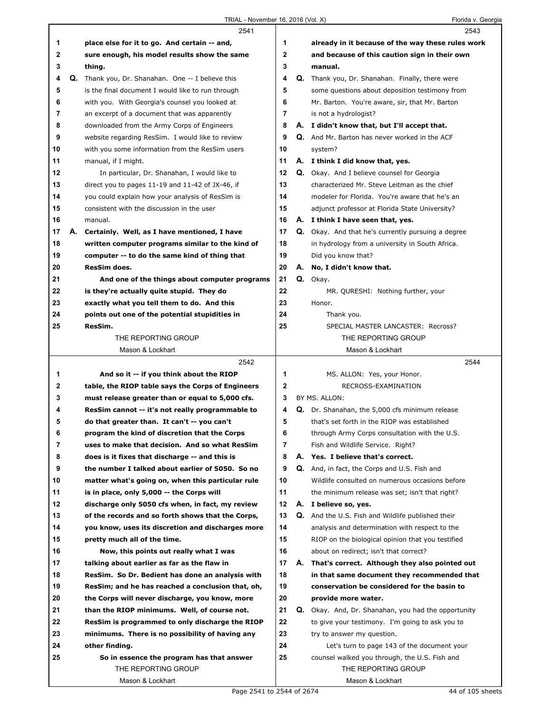$\Gamma$ 

|    |    | 2541                                                 |                | 2543                                                      |
|----|----|------------------------------------------------------|----------------|-----------------------------------------------------------|
| 1  |    | place else for it to go. And certain -- and,         | 1.             | already in it because of the way these rules work         |
| 2  |    | sure enough, his model results show the same         | $\mathbf{2}$   | and because of this caution sign in their own             |
| 3  |    | thing.                                               | 3              | manual.                                                   |
| 4  | Q. | Thank you, Dr. Shanahan. One -- I believe this       | 4              | Q. Thank you, Dr. Shanahan. Finally, there were           |
| 5  |    | is the final document I would like to run through    | 5              | some questions about deposition testimony from            |
| 6  |    | with you. With Georgia's counsel you looked at       | 6              | Mr. Barton. You're aware, sir, that Mr. Barton            |
| 7  |    | an excerpt of a document that was apparently         | $\overline{7}$ | is not a hydrologist?                                     |
| 8  |    | downloaded from the Army Corps of Engineers          | 8              | A. I didn't know that, but I'll accept that.              |
| 9  |    | website regarding ResSim. I would like to review     | 9              | Q. And Mr. Barton has never worked in the ACF             |
| 10 |    | with you some information from the ResSim users      | 10             | system?                                                   |
| 11 |    | manual, if I might.                                  | 11             | A. I think I did know that, yes.                          |
| 12 |    | In particular, Dr. Shanahan, I would like to         | 12             | <b>Q.</b> Okay. And I believe counsel for Georgia         |
| 13 |    | direct you to pages $11-19$ and $11-42$ of JX-46, if | 13             | characterized Mr. Steve Leitman as the chief              |
| 14 |    | you could explain how your analysis of ResSim is     | 14             | modeler for Florida. You're aware that he's an            |
| 15 |    | consistent with the discussion in the user           | 15             | adjunct professor at Florida State University?            |
| 16 |    | manual.                                              | 16             | A. I think I have seen that, yes.                         |
| 17 |    | A. Certainly. Well, as I have mentioned, I have      | 17             | <b>Q.</b> Okay. And that he's currently pursuing a degree |
| 18 |    | written computer programs similar to the kind of     | 18             | in hydrology from a university in South Africa.           |
| 19 |    | computer -- to do the same kind of thing that        | 19             | Did you know that?                                        |
| 20 |    | <b>ResSim does.</b>                                  | 20             | A. No, I didn't know that.                                |
| 21 |    | And one of the things about computer programs        | 21             | Q. Okay.                                                  |
| 22 |    | is they're actually quite stupid. They do            | 22             | MR. QURESHI: Nothing further, your                        |
| 23 |    | exactly what you tell them to do. And this           | 23             | Honor.                                                    |
| 24 |    | points out one of the potential stupidities in       | 24             | Thank you.                                                |
| 25 |    | ResSim.                                              | 25             | SPECIAL MASTER LANCASTER: Recross?                        |
|    |    | THE REPORTING GROUP                                  |                | THE REPORTING GROUP                                       |
|    |    | Mason & Lockhart                                     |                | Mason & Lockhart                                          |
|    |    | 2542                                                 |                |                                                           |
|    |    |                                                      |                |                                                           |
|    |    |                                                      |                | 2544                                                      |
| 1  |    | And so it -- if you think about the RIOP             | 1              | MS. ALLON: Yes, your Honor.                               |
| 2  |    | table, the RIOP table says the Corps of Engineers    | $\mathbf 2$    | RECROSS-EXAMINATION                                       |
| 3  |    | must release greater than or equal to 5,000 cfs.     | 3              | BY MS. ALLON:                                             |
| 4  |    | ResSim cannot -- it's not really programmable to     | 4              | Q. Dr. Shanahan, the 5,000 cfs minimum release            |
| 5  |    | do that greater than. It can't -- you can't          | 5              | that's set forth in the RIOP was established              |
| 6  |    | program the kind of discretion that the Corps        | 6              | through Army Corps consultation with the U.S.             |
| 7  |    | uses to make that decision. And so what ResSim       | $\overline{7}$ | Fish and Wildlife Service. Right?                         |
| 8  |    | does is it fixes that discharge -- and this is       | 8              | A. Yes. I believe that's correct.                         |
| 9  |    | the number I talked about earlier of 5050. So no     | 9              | Q. And, in fact, the Corps and U.S. Fish and              |
| 10 |    | matter what's going on, when this particular rule    | 10             | Wildlife consulted on numerous occasions before           |
| 11 |    | is in place, only 5,000 -- the Corps will            | 11             | the minimum release was set; isn't that right?            |
| 12 |    | discharge only 5050 cfs when, in fact, my review     | 12             | A. I believe so, yes.                                     |
| 13 |    | of the records and so forth shows that the Corps,    | 13             | Q. And the U.S. Fish and Wildlife published their         |
| 14 |    | you know, uses its discretion and discharges more    | 14             | analysis and determination with respect to the            |
| 15 |    | pretty much all of the time.                         | 15             | RIOP on the biological opinion that you testified         |
| 16 |    | Now, this points out really what I was               | 16             | about on redirect; isn't that correct?                    |
| 17 |    | talking about earlier as far as the flaw in          | 17             | A. That's correct. Although they also pointed out         |
| 18 |    | ResSim. So Dr. Bedient has done an analysis with     | 18             | in that same document they recommended that               |
| 19 |    | ResSim; and he has reached a conclusion that, oh,    | 19             | conservation be considered for the basin to               |
| 20 |    | the Corps will never discharge, you know, more       | 20             | provide more water.                                       |
| 21 |    | than the RIOP minimums. Well, of course not.         | 21             | Q. Okay. And, Dr. Shanahan, you had the opportunity       |
| 22 |    | ResSim is programmed to only discharge the RIOP      | 22             | to give your testimony. I'm going to ask you to           |
| 23 |    | minimums. There is no possibility of having any      | 23             | try to answer my question.                                |
| 24 |    | other finding.                                       | 24             | Let's turn to page 143 of the document your               |
| 25 |    | So in essence the program has that answer            | 25             | counsel walked you through, the U.S. Fish and             |
|    |    | THE REPORTING GROUP<br>Mason & Lockhart              |                | THE REPORTING GROUP<br>Mason & Lockhart                   |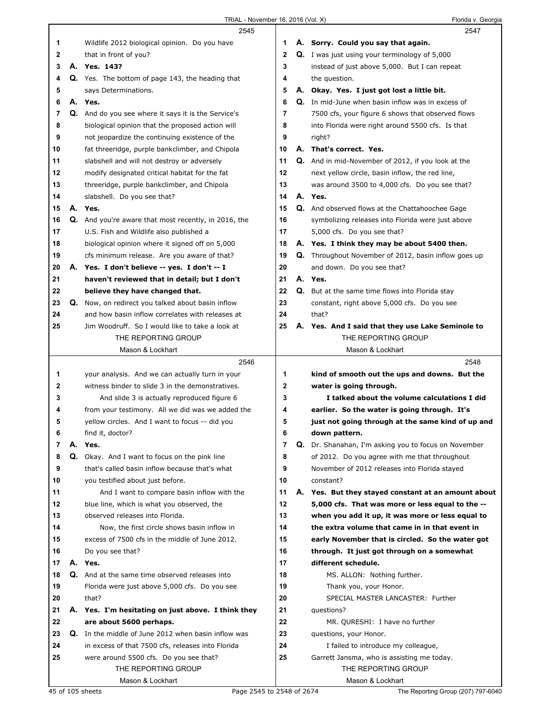|    |    | 2545                                                       |             | 2547                                                        |
|----|----|------------------------------------------------------------|-------------|-------------------------------------------------------------|
| 1  |    | Wildlife 2012 biological opinion. Do you have              | 1           | A. Sorry. Could you say that again.                         |
| 2  |    | that in front of you?                                      | $\mathbf 2$ | <b>Q.</b> I was just using your terminology of 5,000        |
| 3  |    | A. Yes. 143?                                               | 3           | instead of just above 5,000. But I can repeat               |
| 4  |    | <b>Q.</b> Yes. The bottom of page 143, the heading that    | 4           | the question.                                               |
| 5  |    | says Determinations.                                       | 5           | A. Okay. Yes. I just got lost a little bit.                 |
| 6  |    | A. Yes.                                                    | 6           | Q. In mid-June when basin inflow was in excess of           |
| 7  |    | Q. And do you see where it says it is the Service's        | 7           | 7500 cfs, your figure 6 shows that observed flows           |
| 8  |    | biological opinion that the proposed action will           | 8           | into Florida were right around 5500 cfs. Is that            |
| 9  |    | not jeopardize the continuing existence of the             | 9           | right?                                                      |
| 10 |    | fat threeridge, purple bankclimber, and Chipola            | 10          | A. That's correct. Yes.                                     |
| 11 |    | slabshell and will not destroy or adversely                | 11          | <b>Q.</b> And in mid-November of 2012, if you look at the   |
| 12 |    | modify designated critical habitat for the fat             | 12          | next yellow circle, basin inflow, the red line,             |
| 13 |    | threeridge, purple bankclimber, and Chipola                | 13          | was around 3500 to 4,000 cfs. Do you see that?              |
| 14 |    | slabshell. Do you see that?                                | 14          | A. Yes.                                                     |
| 15 |    | A. Yes.                                                    | 15          | Q. And observed flows at the Chattahoochee Gage             |
| 16 |    | Q. And you're aware that most recently, in 2016, the       | 16          | symbolizing releases into Florida were just above           |
| 17 |    | U.S. Fish and Wildlife also published a                    | 17          | 5,000 cfs. Do you see that?                                 |
| 18 |    | biological opinion where it signed off on 5,000            | 18          | A. Yes. I think they may be about 5400 then.                |
| 19 |    | cfs minimum release. Are you aware of that?                | 19          | <b>Q.</b> Throughout November of 2012, basin inflow goes up |
| 20 |    | A. Yes. I don't believe -- yes. I don't -- I               | 20          | and down. Do you see that?                                  |
| 21 |    | haven't reviewed that in detail; but I don't               | 21          | A. Yes.                                                     |
| 22 |    | believe they have changed that.                            | 22          | <b>Q.</b> But at the same time flows into Florida stay      |
| 23 | Q. | Now, on redirect you talked about basin inflow             | 23          | constant, right above 5,000 cfs. Do you see                 |
| 24 |    | and how basin inflow correlates with releases at           | 24          | that?                                                       |
| 25 |    | Jim Woodruff. So I would like to take a look at            | 25          | A. Yes. And I said that they use Lake Seminole to           |
|    |    | THE REPORTING GROUP                                        |             | THE REPORTING GROUP                                         |
|    |    | Mason & Lockhart                                           |             | Mason & Lockhart                                            |
|    |    |                                                            |             |                                                             |
|    |    | 2546                                                       |             | 2548                                                        |
| 1. |    | your analysis. And we can actually turn in your            | 1           | kind of smooth out the ups and downs. But the               |
| 2  |    | witness binder to slide 3 in the demonstratives.           | 2           | water is going through.                                     |
| 3  |    | And slide 3 is actually reproduced figure 6                | 3           | I talked about the volume calculations I did                |
| 4  |    | from your testimony. All we did was we added the           | 4           | earlier. So the water is going through. It's                |
| 5  |    | yellow circles. And I want to focus -- did you             | 5           | just not going through at the same kind of up and           |
| 6  |    | find it, doctor?                                           | 6           | down pattern.                                               |
| 7  |    | A. Yes.                                                    | 7           | Q. Dr. Shanahan, I'm asking you to focus on November        |
| 8  |    | Q. Okay. And I want to focus on the pink line              | 8           | of 2012. Do you agree with me that throughout               |
| 9  |    | that's called basin inflow because that's what             | 9           | November of 2012 releases into Florida stayed               |
| 10 |    | you testified about just before.                           | 10          | constant?                                                   |
| 11 |    | And I want to compare basin inflow with the                | 11          | A. Yes. But they stayed constant at an amount about         |
| 12 |    | blue line, which is what you observed, the                 | 12          | 5,000 cfs. That was more or less equal to the --            |
| 13 |    | observed releases into Florida.                            | 13          | when you add it up, it was more or less equal to            |
| 14 |    | Now, the first circle shows basin inflow in                | 14          | the extra volume that came in in that event in              |
| 15 |    | excess of 7500 cfs in the middle of June 2012.             | 15          | early November that is circled. So the water got            |
| 16 |    | Do you see that?                                           | 16          | through. It just got through on a somewhat                  |
| 17 |    | A. Yes.                                                    | 17          | different schedule.                                         |
| 18 |    | <b>Q.</b> And at the same time observed releases into      | 18          | MS. ALLON: Nothing further.                                 |
| 19 |    | Florida were just above 5,000 cfs. Do you see              | 19          | Thank you, your Honor.                                      |
| 20 |    | that?                                                      | 20          | SPECIAL MASTER LANCASTER: Further                           |
| 21 |    | A. Yes. I'm hesitating on just above. I think they         | 21          | questions?                                                  |
| 22 |    | are about 5600 perhaps.                                    | 22          | MR. QURESHI: I have no further                              |
| 23 |    | <b>Q.</b> In the middle of June 2012 when basin inflow was | 23          | questions, your Honor.                                      |
| 24 |    | in excess of that 7500 cfs, releases into Florida          | 24          | I failed to introduce my colleague,                         |
| 25 |    | were around 5500 cfs. Do you see that?                     | 25          | Garrett Jansma, who is assisting me today.                  |
|    |    | THE REPORTING GROUP                                        |             | THE REPORTING GROUP                                         |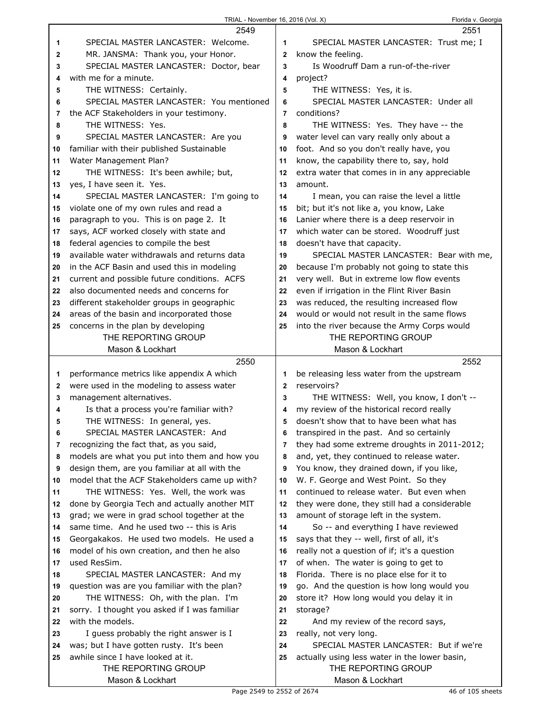|              | TRIAL - November 16, 2016 (Vol. X)                       |              | Florida v. Georgia                                                   |
|--------------|----------------------------------------------------------|--------------|----------------------------------------------------------------------|
|              | 2549                                                     |              | 2551                                                                 |
| 1            | SPECIAL MASTER LANCASTER: Welcome.                       | 1.           | SPECIAL MASTER LANCASTER: Trust me; I                                |
| $\mathbf{2}$ | MR. JANSMA: Thank you, your Honor.                       | $\mathbf{2}$ | know the feeling.                                                    |
| 3            | SPECIAL MASTER LANCASTER: Doctor, bear                   | 3            | Is Woodruff Dam a run-of-the-river                                   |
| 4            | with me for a minute.                                    | 4            | project?                                                             |
| 5            | THE WITNESS: Certainly.                                  | 5            | THE WITNESS: Yes, it is.                                             |
| 6            | SPECIAL MASTER LANCASTER: You mentioned                  | 6            | SPECIAL MASTER LANCASTER: Under all                                  |
| 7            | the ACF Stakeholders in your testimony.                  | 7            | conditions?                                                          |
| 8            | THE WITNESS: Yes.                                        | 8            | THE WITNESS: Yes. They have -- the                                   |
| 9            | SPECIAL MASTER LANCASTER: Are you                        | 9            | water level can vary really only about a                             |
| 10           | familiar with their published Sustainable                | 10           | foot. And so you don't really have, you                              |
| 11           | Water Management Plan?                                   | 11           | know, the capability there to, say, hold                             |
| 12           | THE WITNESS: It's been awhile; but,                      | 12           | extra water that comes in in any appreciable                         |
| 13           | yes, I have seen it. Yes.                                | 13           | amount.                                                              |
| 14           | SPECIAL MASTER LANCASTER: I'm going to                   | 14           | I mean, you can raise the level a little                             |
| 15           | violate one of my own rules and read a                   | 15           | bit; but it's not like a, you know, Lake                             |
| 16           | paragraph to you. This is on page 2. It                  | 16           | Lanier where there is a deep reservoir in                            |
| 17           | says, ACF worked closely with state and                  | 17           | which water can be stored. Woodruff just                             |
| 18           | federal agencies to compile the best                     | 18           | doesn't have that capacity.                                          |
| 19           | available water withdrawals and returns data             | 19           | SPECIAL MASTER LANCASTER: Bear with me,                              |
| 20           | in the ACF Basin and used this in modeling               | 20           | because I'm probably not going to state this                         |
| 21           | current and possible future conditions. ACFS             | 21           | very well. But in extreme low flow events                            |
| 22           | also documented needs and concerns for                   | 22           | even if irrigation in the Flint River Basin                          |
| 23           | different stakeholder groups in geographic               | 23           | was reduced, the resulting increased flow                            |
| 24           | areas of the basin and incorporated those                | 24           | would or would not result in the same flows                          |
| 25           | concerns in the plan by developing                       | 25           | into the river because the Army Corps would                          |
|              | THE REPORTING GROUP                                      |              | THE REPORTING GROUP                                                  |
|              | Mason & Lockhart                                         |              | Mason & Lockhart                                                     |
|              | 2550                                                     |              | 2552                                                                 |
| 1            | performance metrics like appendix A which                | 1            | be releasing less water from the upstream                            |
| 2            | were used in the modeling to assess water                | $\mathbf{2}$ | reservoirs?                                                          |
| 3            | management alternatives.                                 | 3            | THE WITNESS: Well, you know, I don't --                              |
| 4            | Is that a process you're familiar with?                  | 4            | my review of the historical record really                            |
| 5            | THE WITNESS: In general, yes.                            | 5            | doesn't show that to have been what has                              |
| 6            | SPECIAL MASTER LANCASTER: And                            | 6            | transpired in the past. And so certainly                             |
| 7            | recognizing the fact that, as you said,                  | 7            | they had some extreme droughts in 2011-2012;                         |
| 8            | models are what you put into them and how you            | 8            | and, yet, they continued to release water.                           |
| 9            | design them, are you familiar at all with the            | 9            | You know, they drained down, if you like,                            |
| 10           | model that the ACF Stakeholders came up with?            | 10           | W. F. George and West Point. So they                                 |
| 11           | THE WITNESS: Yes. Well, the work was                     | 11           | continued to release water. But even when                            |
| 12           | done by Georgia Tech and actually another MIT            | 12           | they were done, they still had a considerable                        |
| 13           | grad; we were in grad school together at the             | 13           | amount of storage left in the system.                                |
| 14           | same time. And he used two -- this is Aris               | 14           | So -- and everything I have reviewed                                 |
| 15           | Georgakakos. He used two models. He used a               | 15           | says that they -- well, first of all, it's                           |
| 16           | model of his own creation, and then he also              | 16           | really not a question of if; it's a question                         |
| 17           | used ResSim.                                             | 17           | of when. The water is going to get to                                |
| 18           | SPECIAL MASTER LANCASTER: And my                         | 18           | Florida. There is no place else for it to                            |
| 19           | question was are you familiar with the plan?             | 19           | go. And the question is how long would you                           |
| 20           | THE WITNESS: Oh, with the plan. I'm                      | 20           | store it? How long would you delay it in                             |
| 21           | sorry. I thought you asked if I was familiar             | 21           | storage?                                                             |
| 22           | with the models.                                         | 22           | And my review of the record says,                                    |
| 23           | I guess probably the right answer is I                   | 23           | really, not very long.                                               |
| 24           | was; but I have gotten rusty. It's been                  | 24           | SPECIAL MASTER LANCASTER: But if we're                               |
| 25           | awhile since I have looked at it.<br>THE REPORTING GROUP | 25           | actually using less water in the lower basin,<br>THE REPORTING GROUP |
|              | Mason & Lockhart                                         |              | Mason & Lockhart                                                     |
|              |                                                          |              |                                                                      |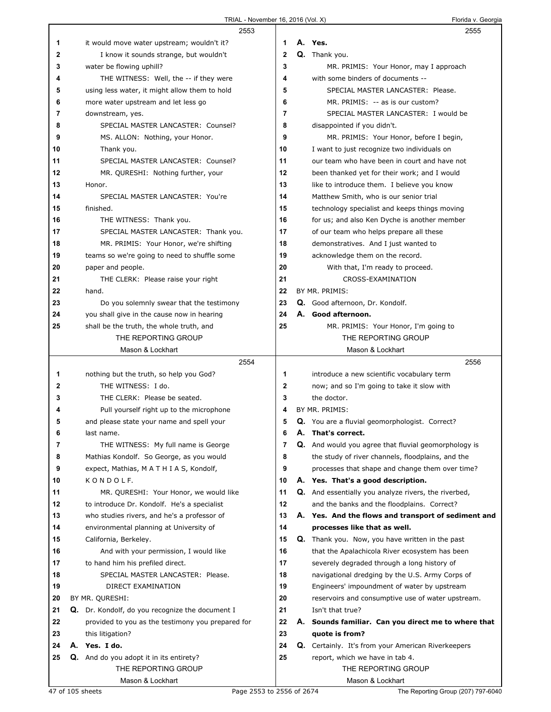|    | 2553                                                   |                |    | 2555                                                                                     |
|----|--------------------------------------------------------|----------------|----|------------------------------------------------------------------------------------------|
| 1  | it would move water upstream; wouldn't it?             | 1              |    | A. Yes.                                                                                  |
| 2  | I know it sounds strange, but wouldn't                 | $\mathbf{2}$   |    | Q. Thank you.                                                                            |
| 3  | water be flowing uphill?                               | 3              |    | MR. PRIMIS: Your Honor, may I approach                                                   |
| 4  | THE WITNESS: Well, the -- if they were                 | 4              |    | with some binders of documents --                                                        |
| 5  | using less water, it might allow them to hold          | 5              |    | SPECIAL MASTER LANCASTER: Please.                                                        |
| 6  | more water upstream and let less go                    | 6              |    | MR. PRIMIS: -- as is our custom?                                                         |
| 7  | downstream, yes.                                       | $\overline{7}$ |    | SPECIAL MASTER LANCASTER: I would be                                                     |
| 8  | SPECIAL MASTER LANCASTER: Counsel?                     | 8              |    | disappointed if you didn't.                                                              |
| 9  | MS. ALLON: Nothing, your Honor.                        | 9              |    | MR. PRIMIS: Your Honor, before I begin,                                                  |
| 10 | Thank you.                                             | 10             |    | I want to just recognize two individuals on                                              |
| 11 | SPECIAL MASTER LANCASTER: Counsel?                     | 11             |    | our team who have been in court and have not                                             |
| 12 | MR. QURESHI: Nothing further, your                     | 12             |    | been thanked yet for their work; and I would                                             |
| 13 | Honor.                                                 | 13             |    | like to introduce them. I believe you know                                               |
| 14 | SPECIAL MASTER LANCASTER: You're                       | 14             |    | Matthew Smith, who is our senior trial                                                   |
| 15 | finished.                                              | 15             |    | technology specialist and keeps things moving                                            |
| 16 | THE WITNESS: Thank you.                                | 16             |    | for us; and also Ken Dyche is another member                                             |
| 17 | SPECIAL MASTER LANCASTER: Thank you.                   | 17             |    | of our team who helps prepare all these                                                  |
| 18 | MR. PRIMIS: Your Honor, we're shifting                 | 18             |    | demonstratives. And I just wanted to                                                     |
| 19 | teams so we're going to need to shuffle some           | 19             |    | acknowledge them on the record.                                                          |
| 20 | paper and people.                                      | 20             |    | With that, I'm ready to proceed.                                                         |
| 21 | THE CLERK: Please raise your right                     | 21             |    | CROSS-EXAMINATION                                                                        |
| 22 | hand.                                                  | 22             |    | BY MR. PRIMIS:                                                                           |
| 23 | Do you solemnly swear that the testimony               | 23             |    | Q. Good afternoon, Dr. Kondolf.                                                          |
| 24 | you shall give in the cause now in hearing             | 24             |    | A. Good afternoon.                                                                       |
| 25 | shall be the truth, the whole truth, and               | 25             |    | MR. PRIMIS: Your Honor, I'm going to                                                     |
|    | THE REPORTING GROUP                                    |                |    | THE REPORTING GROUP                                                                      |
|    | Mason & Lockhart                                       |                |    | Mason & Lockhart                                                                         |
|    | 2554                                                   |                |    | 2556                                                                                     |
| 1  | nothing but the truth, so help you God?                | 1              |    |                                                                                          |
| 2  | THE WITNESS: I do.                                     | 2              |    | introduce a new scientific vocabulary term<br>now; and so I'm going to take it slow with |
| 3  | THE CLERK: Please be seated.                           | 3              |    | the doctor.                                                                              |
| 4  | Pull yourself right up to the microphone               | 4              |    | BY MR. PRIMIS:                                                                           |
| 5  | and please state your name and spell your              | 5              |    | <b>Q.</b> You are a fluvial geomorphologist. Correct?                                    |
| 6  | last name.                                             | 6              | А. | That's correct.                                                                          |
| 7  | THE WITNESS: My full name is George                    | 7              |    | Q. And would you agree that fluvial geomorphology is                                     |
| 8  | Mathias Kondolf. So George, as you would               | 8              |    | the study of river channels, floodplains, and the                                        |
| 9  | expect, Mathias, M A T H I A S, Kondolf,               | 9              |    | processes that shape and change them over time?                                          |
| 10 | KONDOLF.                                               | 10             |    | A. Yes. That's a good description.                                                       |
| 11 | MR. QURESHI: Your Honor, we would like                 | 11             |    | <b>Q.</b> And essentially you analyze rivers, the riverbed,                              |
| 12 | to introduce Dr. Kondolf. He's a specialist            | 12             |    | and the banks and the floodplains. Correct?                                              |
| 13 | who studies rivers, and he's a professor of            | 13             |    | A. Yes. And the flows and transport of sediment and                                      |
| 14 | environmental planning at University of                | 14             |    | processes like that as well.                                                             |
| 15 | California, Berkeley.                                  | 15             |    | Q. Thank you. Now, you have written in the past                                          |
| 16 | And with your permission, I would like                 | 16             |    | that the Apalachicola River ecosystem has been                                           |
| 17 | to hand him his prefiled direct.                       | 17             |    | severely degraded through a long history of                                              |
| 18 | SPECIAL MASTER LANCASTER: Please.                      | 18             |    | navigational dredging by the U.S. Army Corps of                                          |
| 19 | DIRECT EXAMINATION                                     | 19             |    | Engineers' impoundment of water by upstream                                              |
| 20 | BY MR. QURESHI:                                        | 20             |    | reservoirs and consumptive use of water upstream.                                        |
| 21 | <b>Q.</b> Dr. Kondolf, do you recognize the document I | 21             |    | Isn't that true?                                                                         |
| 22 | provided to you as the testimony you prepared for      | 22             |    | A. Sounds familiar. Can you direct me to where that                                      |
| 23 | this litigation?                                       | 23             |    | quote is from?                                                                           |
| 24 | A. Yes. I do.                                          | 24             |    | Q. Certainly. It's from your American Riverkeepers                                       |
| 25 | Q. And do you adopt it in its entirety?                | 25             |    | report, which we have in tab 4.                                                          |
|    | THE REPORTING GROUP                                    |                |    | THE REPORTING GROUP                                                                      |
|    | Mason & Lockhart                                       |                |    | Mason & Lockhart                                                                         |
|    |                                                        |                |    |                                                                                          |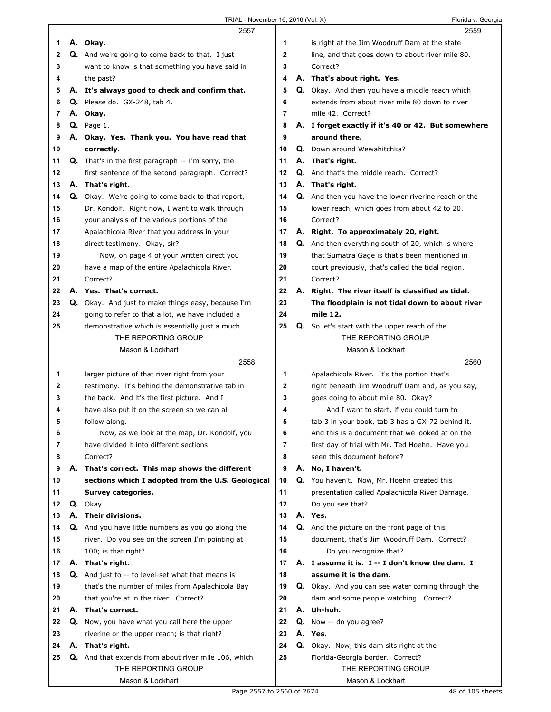|              | 2557                                                        |                | 2559                                                      |
|--------------|-------------------------------------------------------------|----------------|-----------------------------------------------------------|
| 1            | A. Okay.                                                    | 1              | is right at the Jim Woodruff Dam at the state             |
| $\mathbf{2}$ | Q. And we're going to come back to that. I just             | $\mathbf{2}$   | line, and that goes down to about river mile 80.          |
| 3            | want to know is that something you have said in             | 3              | Correct?                                                  |
| 4            | the past?                                                   | 4              | A. That's about right. Yes.                               |
| 5            | A. It's always good to check and confirm that.              | 5              | Q. Okay. And then you have a middle reach which           |
| 6            | $Q.$ Please do. $GX-248$ , tab 4.                           | 6              | extends from about river mile 80 down to river            |
| 7            | A. Okay.                                                    | $\overline{7}$ | mile 42. Correct?                                         |
| 8            | $Q.$ Page 1.                                                | 8              | A. I forget exactly if it's 40 or 42. But somewhere       |
| 9            | A. Okay. Yes. Thank you. You have read that                 | 9              | around there.                                             |
| 10           | correctly.                                                  | 10             | <b>Q.</b> Down around Wewahitchka?                        |
| 11           | <b>Q.</b> That's in the first paragraph -- I'm sorry, the   | 11             | A. That's right.                                          |
| 12           | first sentence of the second paragraph. Correct?            | 12             | Q. And that's the middle reach. Correct?                  |
| 13           | A. That's right.                                            | 13             | A. That's right.                                          |
| 14           | Q. Okay. We're going to come back to that report,           | 14             | Q. And then you have the lower riverine reach or the      |
| 15           | Dr. Kondolf. Right now, I want to walk through              | 15             | lower reach, which goes from about 42 to 20.              |
| 16           | your analysis of the various portions of the                | 16             | Correct?                                                  |
| 17           | Apalachicola River that you address in your                 | 17             | A. Right. To approximately 20, right.                     |
| 18           | direct testimony. Okay, sir?                                | 18             | <b>Q.</b> And then everything south of 20, which is where |
| 19           | Now, on page 4 of your written direct you                   | 19             | that Sumatra Gage is that's been mentioned in             |
| 20           | have a map of the entire Apalachicola River.                | 20             | court previously, that's called the tidal region.         |
| 21           | Correct?                                                    | 21             | Correct?                                                  |
| 22           | A. Yes. That's correct.                                     | 22             | A. Right. The river itself is classified as tidal.        |
| 23           | Q. Okay. And just to make things easy, because I'm          | 23             | The floodplain is not tidal down to about river           |
| 24           | going to refer to that a lot, we have included a            | 24             | mile 12.                                                  |
| 25           | demonstrative which is essentially just a much              | 25             | <b>Q.</b> So let's start with the upper reach of the      |
|              | THE REPORTING GROUP                                         |                | THE REPORTING GROUP                                       |
|              | Mason & Lockhart                                            |                | Mason & Lockhart                                          |
|              | 2558                                                        |                | 2560                                                      |
| 1            | larger picture of that river right from your                | 1              | Apalachicola River. It's the portion that's               |
|              |                                                             |                |                                                           |
| $\mathbf{2}$ | testimony. It's behind the demonstrative tab in             | $\mathbf{2}$   | right beneath Jim Woodruff Dam and, as you say,           |
| 3            | the back. And it's the first picture. And I                 | 3              | goes doing to about mile 80. Okay?                        |
| 4            | have also put it on the screen so we can all                | 4              | And I want to start, if you could turn to                 |
| 5            | follow along.                                               | 5              | tab 3 in your book, tab 3 has a GX-72 behind it.          |
| 6            | Now, as we look at the map, Dr. Kondolf, you                | 6              | And this is a document that we looked at on the           |
| 7            | have divided it into different sections.                    | 7              | first day of trial with Mr. Ted Hoehn. Have you           |
| 8            | Correct?                                                    | 8              | seen this document before?                                |
| 9            | A. That's correct. This map shows the different             | 9              | A. No, I haven't.                                         |
| 10           | sections which I adopted from the U.S. Geological           | 10             | Q. You haven't. Now, Mr. Hoehn created this               |
| 11           | Survey categories.                                          | 11             | presentation called Apalachicola River Damage.            |
| 12           | Q. Okay.                                                    | 12             | Do you see that?                                          |
| 13           | A. Their divisions.                                         | 13             | A. Yes.                                                   |
| 14           | Q. And you have little numbers as you go along the          | 14             | <b>Q.</b> And the picture on the front page of this       |
| 15           | river. Do you see on the screen I'm pointing at             | 15             | document, that's Jim Woodruff Dam. Correct?               |
| 16           | 100; is that right?                                         | 16             | Do you recognize that?                                    |
| 17           | A. That's right.                                            | 17             | A. I assume it is. I -- I don't know the dam. I           |
| 18           | <b>Q.</b> And just to -- to level-set what that means is    | 18             | assume it is the dam.                                     |
| 19           | that's the number of miles from Apalachicola Bay            | 19             | <b>Q.</b> Okay. And you can see water coming through the  |
| 20           | that you're at in the river. Correct?                       | 20             | dam and some people watching. Correct?                    |
| 21           | A. That's correct.                                          | 21             | A. Uh-huh.                                                |
| 22           | Q. Now, you have what you call here the upper               | 22             | Q. Now -- do you agree?                                   |
| 23           | riverine or the upper reach; is that right?                 | 23             | A. Yes.                                                   |
| 24           | A. That's right.                                            | 24             | <b>Q.</b> Okay. Now, this dam sits right at the           |
| 25           | <b>Q.</b> And that extends from about river mile 106, which | 25             | Florida-Georgia border. Correct?                          |
|              | THE REPORTING GROUP<br>Mason & Lockhart                     |                | THE REPORTING GROUP<br>Mason & Lockhart                   |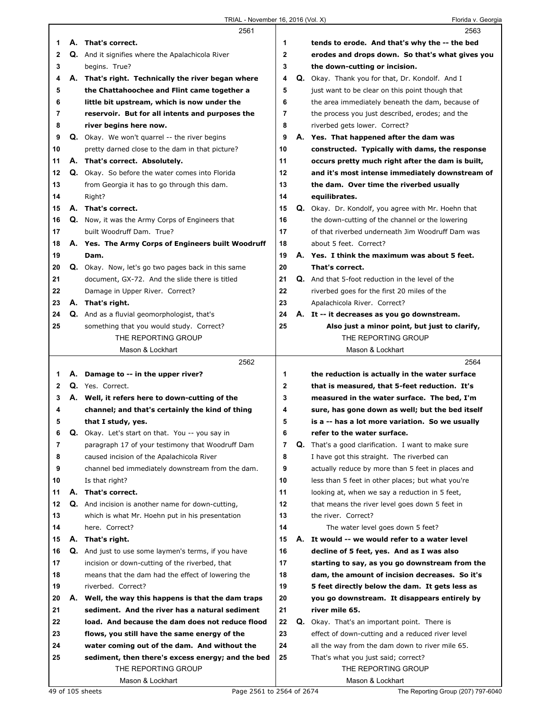|              |    | 2561                                                                     |                | 2563                                                       |
|--------------|----|--------------------------------------------------------------------------|----------------|------------------------------------------------------------|
| 1            |    | A. That's correct.                                                       | 1              | tends to erode. And that's why the -- the bed              |
| $\mathbf{2}$ |    | Q. And it signifies where the Apalachicola River                         | $\overline{2}$ | erodes and drops down. So that's what gives you            |
| 3            |    | begins. True?                                                            | 3              | the down-cutting or incision.                              |
| 4            |    | A. That's right. Technically the river began where                       | 4              | <b>Q.</b> Okay. Thank you for that, Dr. Kondolf. And I     |
| 5            |    | the Chattahoochee and Flint came together a                              | 5              | just want to be clear on this point though that            |
| 6            |    | little bit upstream, which is now under the                              | 6              | the area immediately beneath the dam, because of           |
| 7            |    | reservoir. But for all intents and purposes the                          | 7              | the process you just described, erodes; and the            |
| 8            |    | river begins here now.                                                   | 8              | riverbed gets lower. Correct?                              |
| 9            |    | Q. Okay. We won't quarrel -- the river begins                            | 9              | A. Yes. That happened after the dam was                    |
| 10           |    | pretty darned close to the dam in that picture?                          | 10             | constructed. Typically with dams, the response             |
| 11           |    | A. That's correct. Absolutely.                                           | 11             | occurs pretty much right after the dam is built,           |
| 12           |    | Q. Okay. So before the water comes into Florida                          | 12             | and it's most intense immediately downstream of            |
| 13           |    | from Georgia it has to go through this dam.                              | 13             | the dam. Over time the riverbed usually                    |
| 14           |    | Right?                                                                   | 14             | equilibrates.                                              |
| 15           |    | A. That's correct.                                                       | 15             | Q. Okay. Dr. Kondolf, you agree with Mr. Hoehn that        |
| 16           |    | <b>Q.</b> Now, it was the Army Corps of Engineers that                   | 16             | the down-cutting of the channel or the lowering            |
| 17           |    | built Woodruff Dam. True?                                                | 17             | of that riverbed underneath Jim Woodruff Dam was           |
| 18           |    | A. Yes. The Army Corps of Engineers built Woodruff                       | 18             | about 5 feet. Correct?                                     |
| 19           |    | Dam.                                                                     | 19             | A. Yes. I think the maximum was about 5 feet.              |
| 20           |    | Q. Okay. Now, let's go two pages back in this same                       | 20             | That's correct.                                            |
| 21           |    | document, GX-72. And the slide there is titled                           | 21             | Q. And that 5-foot reduction in the level of the           |
| 22           |    | Damage in Upper River. Correct?                                          | 22             | riverbed goes for the first 20 miles of the                |
| 23           |    | A. That's right.                                                         | 23             | Apalachicola River. Correct?                               |
| 24           |    | Q. And as a fluvial geomorphologist, that's                              | 24             | A. It -- it decreases as you go downstream.                |
| 25           |    | something that you would study. Correct?                                 | 25             | Also just a minor point, but just to clarify,              |
|              |    | THE REPORTING GROUP                                                      |                | THE REPORTING GROUP                                        |
|              |    | Mason & Lockhart                                                         |                | Mason & Lockhart                                           |
|              |    |                                                                          |                | 2564                                                       |
|              |    | 2562                                                                     |                |                                                            |
| 1            |    | A. Damage to -- in the upper river?                                      | 1              | the reduction is actually in the water surface             |
| $\mathbf{2}$ |    | Q. Yes. Correct.                                                         | $\mathbf 2$    | that is measured, that 5-feet reduction. It's              |
| 3            |    | A. Well, it refers here to down-cutting of the                           | 3              | measured in the water surface. The bed, I'm                |
| 4            |    | channel; and that's certainly the kind of thing                          | 4              | sure, has gone down as well; but the bed itself            |
| 5            |    | that I study, yes.                                                       | 5              | is a -- has a lot more variation. So we usually            |
| 6            | Q. | Okay. Let's start on that. You -- you say in                             | 6              | refer to the water surface.                                |
| 7            |    | paragraph 17 of your testimony that Woodruff Dam                         | $\overline{7}$ | <b>Q.</b> That's a good clarification. I want to make sure |
| 8            |    | caused incision of the Apalachicola River                                | 8              | I have got this straight. The riverbed can                 |
| 9            |    | channel bed immediately downstream from the dam.                         | 9              | actually reduce by more than 5 feet in places and          |
| 10           |    | Is that right?                                                           | 10             | less than 5 feet in other places; but what you're          |
| 11           |    | A. That's correct.                                                       | 11             | looking at, when we say a reduction in 5 feet,             |
| 12           |    | Q. And incision is another name for down-cutting,                        | 12             | that means the river level goes down 5 feet in             |
| 13           |    | which is what Mr. Hoehn put in his presentation                          | 13             | the river. Correct?                                        |
| 14           |    | here. Correct?                                                           | 14             | The water level goes down 5 feet?                          |
| 15           |    | A. That's right.                                                         | 15             | A. It would -- we would refer to a water level             |
| 16           |    | <b>Q.</b> And just to use some laymen's terms, if you have               | 16             | decline of 5 feet, yes. And as I was also                  |
| 17           |    | incision or down-cutting of the riverbed, that                           | 17             | starting to say, as you go downstream from the             |
| 18           |    | means that the dam had the effect of lowering the                        | 18             | dam, the amount of incision decreases. So it's             |
| 19           |    | riverbed. Correct?                                                       | 19             | 5 feet directly below the dam. It gets less as             |
| 20           |    | A. Well, the way this happens is that the dam traps                      | 20             | you go downstream. It disappears entirely by               |
| 21           |    | sediment. And the river has a natural sediment                           | 21             | river mile 65.                                             |
| 22           |    | load. And because the dam does not reduce flood                          | 22             | Q. Okay. That's an important point. There is               |
| 23           |    | flows, you still have the same energy of the                             | 23             | effect of down-cutting and a reduced river level           |
| 24<br>25     |    | water coming out of the dam. And without the                             | 24<br>25       | all the way from the dam down to river mile 65.            |
|              |    | sediment, then there's excess energy; and the bed<br>THE REPORTING GROUP |                | That's what you just said; correct?<br>THE REPORTING GROUP |
|              |    | Mason & Lockhart                                                         |                | Mason & Lockhart                                           |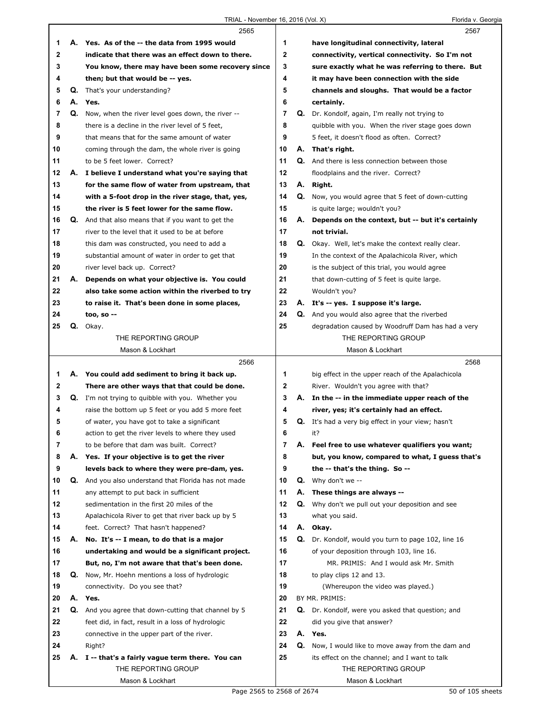|              |    | 2565                                                      |                |    | 2567                                                      |  |
|--------------|----|-----------------------------------------------------------|----------------|----|-----------------------------------------------------------|--|
| 1            |    | A. Yes. As of the -- the data from 1995 would             | 1              |    | have longitudinal connectivity, lateral                   |  |
| $\mathbf{2}$ |    | indicate that there was an effect down to there.          | 2              |    | connectivity, vertical connectivity. So I'm not           |  |
| 3            |    | You know, there may have been some recovery since         | 3              |    | sure exactly what he was referring to there. But          |  |
| 4            |    | then; but that would be -- yes.                           | 4              |    | it may have been connection with the side                 |  |
| 5            | Q. | That's your understanding?                                | 5              |    | channels and sloughs. That would be a factor              |  |
| 6            | А. | Yes.                                                      | 6              |    | certainly.                                                |  |
| 7            | Q. | Now, when the river level goes down, the river --         | $\overline{7}$ | Q. | Dr. Kondolf, again, I'm really not trying to              |  |
| 8            |    | there is a decline in the river level of 5 feet,          | 8              |    | quibble with you. When the river stage goes down          |  |
| 9            |    | that means that for the same amount of water              | 9              |    | 5 feet, it doesn't flood as often. Correct?               |  |
| 10           |    | coming through the dam, the whole river is going          | 10             | А. | That's right.                                             |  |
| 11           |    | to be 5 feet lower. Correct?                              | 11             | Q. | And there is less connection between those                |  |
| 12           |    | A. I believe I understand what you're saying that         | 12             |    | floodplains and the river. Correct?                       |  |
| 13           |    | for the same flow of water from upstream, that            | 13             | А. | Right.                                                    |  |
| 14           |    | with a 5-foot drop in the river stage, that, yes,         | 14             |    | Q. Now, you would agree that 5 feet of down-cutting       |  |
| 15           |    | the river is 5 feet lower for the same flow.              | 15             |    | is quite large; wouldn't you?                             |  |
| 16           |    | <b>Q.</b> And that also means that if you want to get the | 16             | А. | Depends on the context, but -- but it's certainly         |  |
| 17           |    | river to the level that it used to be at before           | 17             |    | not trivial.                                              |  |
| 18           |    | this dam was constructed, you need to add a               | 18             | Q. | Okay. Well, let's make the context really clear.          |  |
| 19           |    | substantial amount of water in order to get that          | 19             |    | In the context of the Apalachicola River, which           |  |
| 20           |    | river level back up. Correct?                             | 20             |    | is the subject of this trial, you would agree             |  |
| 21           | А. | Depends on what your objective is. You could              | 21             |    | that down-cutting of 5 feet is quite large.               |  |
| 22           |    | also take some action within the riverbed to try          | 22             |    | Wouldn't you?                                             |  |
| 23           |    | to raise it. That's been done in some places,             | 23             |    | A. It's -- yes. I suppose it's large.                     |  |
| 24           |    | too, so $-$                                               | 24             |    | Q. And you would also agree that the riverbed             |  |
| 25           | Q. | Okay.                                                     | 25             |    | degradation caused by Woodruff Dam has had a very         |  |
|              |    | THE REPORTING GROUP                                       |                |    | THE REPORTING GROUP                                       |  |
|              |    | Mason & Lockhart                                          |                |    | Mason & Lockhart                                          |  |
|              |    |                                                           |                |    |                                                           |  |
|              |    | 2566                                                      |                |    | 2568                                                      |  |
| 1            |    | A. You could add sediment to bring it back up.            | 1              |    | big effect in the upper reach of the Apalachicola         |  |
| 2            |    | There are other ways that that could be done.             | 2              |    | River. Wouldn't you agree with that?                      |  |
| 3            |    | Q. I'm not trying to quibble with you. Whether you        | 3              | А. | In the -- in the immediate upper reach of the             |  |
| 4            |    | raise the bottom up 5 feet or you add 5 more feet         | 4              |    | river, yes; it's certainly had an effect.                 |  |
| 5            |    | of water, you have got to take a significant              | 5              |    | <b>Q.</b> It's had a very big effect in your view; hasn't |  |
| 6            |    | action to get the river levels to where they used         | 6              |    | it?                                                       |  |
| 7            |    | to be before that dam was built. Correct?                 | 7              | А. | Feel free to use whatever qualifiers you want;            |  |
| 8            | А. | Yes. If your objective is to get the river                | 8              |    | but, you know, compared to what, I guess that's           |  |
| 9            |    | levels back to where they were pre-dam, yes.              | 9              |    | the -- that's the thing. So --                            |  |
| 10           | Q. | And you also understand that Florida has not made         | 10             | Q. | Why don't we --                                           |  |
| 11           |    | any attempt to put back in sufficient                     | 11             | А. | These things are always --                                |  |
| 12           |    | sedimentation in the first 20 miles of the                | 12             | Q. | Why don't we pull out your deposition and see             |  |
| 13           |    | Apalachicola River to get that river back up by 5         | 13             |    | what you said.                                            |  |
| 14           |    | feet. Correct? That hasn't happened?                      | 14             | А. | Okay.                                                     |  |
| 15           | А. | No. It's -- I mean, to do that is a major                 | 15             | Q. | Dr. Kondolf, would you turn to page 102, line 16          |  |
| 16           |    | undertaking and would be a significant project.           | 16             |    | of your deposition through 103, line 16.                  |  |
| 17           |    | But, no, I'm not aware that that's been done.             | 17             |    | MR. PRIMIS: And I would ask Mr. Smith                     |  |
| 18           |    | Q. Now, Mr. Hoehn mentions a loss of hydrologic           | 18             |    | to play clips 12 and 13.                                  |  |
| 19           |    | connectivity. Do you see that?                            | 19             |    | (Whereupon the video was played.)                         |  |
| 20           | А. | Yes.                                                      | 20             |    | BY MR. PRIMIS:                                            |  |
| 21           | Q. | And you agree that down-cutting that channel by 5         | 21             |    | Q. Dr. Kondolf, were you asked that question; and         |  |
| 22           |    | feet did, in fact, result in a loss of hydrologic         | 22             |    | did you give that answer?                                 |  |
| 23           |    | connective in the upper part of the river.                | 23             |    | A. Yes.                                                   |  |
| 24           |    | Right?                                                    | 24             |    | Q. Now, I would like to move away from the dam and        |  |
| 25           | Α. | I -- that's a fairly vague term there. You can            | 25             |    | its effect on the channel; and I want to talk             |  |
|              |    | THE REPORTING GROUP<br>Mason & Lockhart                   |                |    | THE REPORTING GROUP<br>Mason & Lockhart                   |  |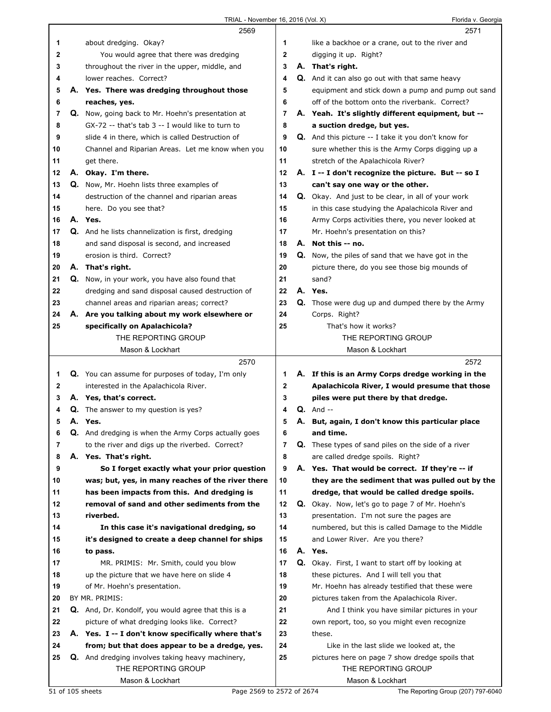|    | 2569                                                 |                |    | 2571                                                       |
|----|------------------------------------------------------|----------------|----|------------------------------------------------------------|
| 1  | about dredging. Okay?                                | 1              |    | like a backhoe or a crane, out to the river and            |
| 2  | You would agree that there was dredging              | 2              |    | digging it up. Right?                                      |
| 3  | throughout the river in the upper, middle, and       | 3              |    | A. That's right.                                           |
| 4  | lower reaches. Correct?                              | 4              |    | Q. And it can also go out with that same heavy             |
| 5  | A. Yes. There was dredging throughout those          | 5              |    | equipment and stick down a pump and pump out sand          |
| 6  | reaches, yes.                                        | 6              |    | off of the bottom onto the riverbank. Correct?             |
|    |                                                      |                |    |                                                            |
| 7  | Q. Now, going back to Mr. Hoehn's presentation at    | 7              |    | A. Yeah. It's slightly different equipment, but --         |
| 8  | GX-72 -- that's tab 3 -- I would like to turn to     | 8              |    | a suction dredge, but yes.                                 |
| 9  | slide 4 in there, which is called Destruction of     | 9              |    | <b>Q.</b> And this picture -- I take it you don't know for |
| 10 | Channel and Riparian Areas. Let me know when you     | 10             |    | sure whether this is the Army Corps digging up a           |
| 11 | get there.                                           | 11             |    | stretch of the Apalachicola River?                         |
| 12 | A. Okay. I'm there.                                  | 12             |    | A. I -- I don't recognize the picture. But -- so I         |
| 13 | <b>Q.</b> Now, Mr. Hoehn lists three examples of     | 13             |    | can't say one way or the other.                            |
| 14 | destruction of the channel and riparian areas        | 14             |    | <b>Q.</b> Okay. And just to be clear, in all of your work  |
| 15 | here. Do you see that?                               | 15             |    | in this case studying the Apalachicola River and           |
| 16 | A. Yes.                                              | 16             |    | Army Corps activities there, you never looked at           |
| 17 | Q. And he lists channelization is first, dredging    | 17             |    | Mr. Hoehn's presentation on this?                          |
| 18 | and sand disposal is second, and increased           | 18             |    | A. Not this -- no.                                         |
|    | erosion is third. Correct?                           |                |    |                                                            |
| 19 |                                                      | 19             |    | <b>Q.</b> Now, the piles of sand that we have got in the   |
| 20 | A. That's right.                                     | 20             |    | picture there, do you see those big mounds of              |
| 21 | Q. Now, in your work, you have also found that       | 21             |    | sand?                                                      |
| 22 | dredging and sand disposal caused destruction of     | 22             |    | A. Yes.                                                    |
| 23 | channel areas and riparian areas; correct?           | 23             |    | Q. Those were dug up and dumped there by the Army          |
| 24 | A. Are you talking about my work elsewhere or        | 24             |    | Corps. Right?                                              |
| 25 | specifically on Apalachicola?                        | 25             |    | That's how it works?                                       |
|    | THE REPORTING GROUP                                  |                |    | THE REPORTING GROUP                                        |
|    | Mason & Lockhart                                     |                |    | Mason & Lockhart                                           |
|    |                                                      |                |    |                                                            |
|    | 2570                                                 |                |    | 2572                                                       |
| 1  | Q. You can assume for purposes of today, I'm only    | 1              |    | A. If this is an Army Corps dredge working in the          |
| 2  | interested in the Apalachicola River.                | $\mathbf{2}$   |    | Apalachicola River, I would presume that those             |
| 3  | A. Yes, that's correct.                              | 3              |    | piles were put there by that dredge.                       |
| 4  | <b>Q.</b> The answer to my question is yes?          | 4              |    | $Q.$ And $-$                                               |
| 5  | A. Yes.                                              | 5              |    | A. But, again, I don't know this particular place          |
| 6  |                                                      | 6              |    | and time.                                                  |
| 7  | Q. And dredging is when the Army Corps actually goes | $\overline{7}$ |    |                                                            |
|    | to the river and digs up the riverbed. Correct?      |                |    | <b>Q.</b> These types of sand piles on the side of a river |
| 8  | A. Yes. That's right.                                | 8              |    | are called dredge spoils. Right?                           |
| 9  | So I forget exactly what your prior question         | 9              |    | A. Yes. That would be correct. If they're -- if            |
| 10 | was; but, yes, in many reaches of the river there    | 10             |    | they are the sediment that was pulled out by the           |
| 11 | has been impacts from this. And dredging is          | 11             |    | dredge, that would be called dredge spoils.                |
| 12 | removal of sand and other sediments from the         | 12             |    | Q. Okay. Now, let's go to page 7 of Mr. Hoehn's            |
| 13 | riverbed.                                            | 13             |    | presentation. I'm not sure the pages are                   |
| 14 | In this case it's navigational dredging, so          | 14             |    | numbered, but this is called Damage to the Middle          |
| 15 | it's designed to create a deep channel for ships     | 15             |    | and Lower River. Are you there?                            |
| 16 | to pass.                                             | 16             | А. | Yes.                                                       |
| 17 | MR. PRIMIS: Mr. Smith, could you blow                | 17             | Q. | Okay. First, I want to start off by looking at             |
| 18 | up the picture that we have here on slide 4          | 18             |    | these pictures. And I will tell you that                   |
| 19 | of Mr. Hoehn's presentation.                         | 19             |    | Mr. Hoehn has already testified that these were            |
| 20 | BY MR. PRIMIS:                                       | 20             |    | pictures taken from the Apalachicola River.                |
| 21 | Q. And, Dr. Kondolf, you would agree that this is a  | 21             |    | And I think you have similar pictures in your              |
| 22 | picture of what dredging looks like. Correct?        | 22             |    | own report, too, so you might even recognize               |
| 23 | A. Yes. I -- I don't know specifically where that's  | 23             |    | these.                                                     |
| 24 | from; but that does appear to be a dredge, yes.      | 24             |    | Like in the last slide we looked at, the                   |
| 25 | Q. And dredging involves taking heavy machinery,     | 25             |    | pictures here on page 7 show dredge spoils that            |
|    | THE REPORTING GROUP                                  |                |    | THE REPORTING GROUP                                        |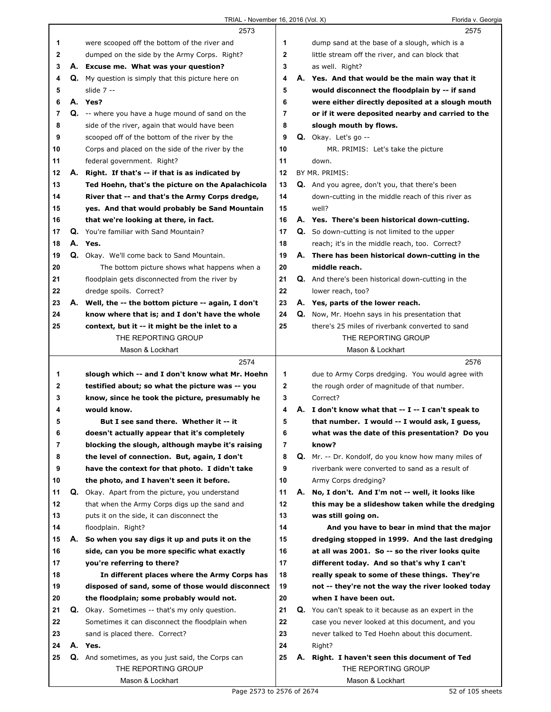|    |    | 2573                                                      |    |    | 2575                                                      |
|----|----|-----------------------------------------------------------|----|----|-----------------------------------------------------------|
| 1  |    | were scooped off the bottom of the river and              | 1  |    | dump sand at the base of a slough, which is a             |
| 2  |    | dumped on the side by the Army Corps. Right?              | 2  |    | little stream off the river, and can block that           |
| 3  |    | A. Excuse me. What was your question?                     | 3  |    | as well. Right?                                           |
| 4  |    | <b>Q.</b> My question is simply that this picture here on | 4  |    | A. Yes. And that would be the main way that it            |
| 5  |    | slide $7 -$                                               | 5  |    | would disconnect the floodplain by -- if sand             |
| 6  |    | A. Yes?                                                   | 6  |    | were either directly deposited at a slough mouth          |
| 7  |    | <b>Q.</b> -- where you have a huge mound of sand on the   | 7  |    | or if it were deposited nearby and carried to the         |
| 8  |    | side of the river, again that would have been             | 8  |    | slough mouth by flows.                                    |
| 9  |    | scooped off of the bottom of the river by the             | 9  |    | $Q.$ Okay. Let's go $-$                                   |
|    |    |                                                           |    |    |                                                           |
| 10 |    | Corps and placed on the side of the river by the          | 10 |    | MR. PRIMIS: Let's take the picture                        |
| 11 |    | federal government. Right?                                | 11 |    | down.                                                     |
| 12 |    | A. Right. If that's -- if that is as indicated by         | 12 |    | BY MR. PRIMIS:                                            |
| 13 |    | Ted Hoehn, that's the picture on the Apalachicola         | 13 |    | Q. And you agree, don't you, that there's been            |
| 14 |    | River that -- and that's the Army Corps dredge,           | 14 |    | down-cutting in the middle reach of this river as         |
| 15 |    | yes. And that would probably be Sand Mountain             | 15 |    | well?                                                     |
| 16 |    | that we're looking at there, in fact.                     | 16 |    | A. Yes. There's been historical down-cutting.             |
| 17 |    | Q. You're familiar with Sand Mountain?                    | 17 |    | <b>Q.</b> So down-cutting is not limited to the upper     |
| 18 |    | A. Yes.                                                   | 18 |    | reach; it's in the middle reach, too. Correct?            |
| 19 |    | Q. Okay. We'll come back to Sand Mountain.                | 19 |    | A. There has been historical down-cutting in the          |
| 20 |    | The bottom picture shows what happens when a              | 20 |    | middle reach.                                             |
| 21 |    | floodplain gets disconnected from the river by            | 21 |    | <b>Q.</b> And there's been historical down-cutting in the |
| 22 |    | dredge spoils. Correct?                                   | 22 |    | lower reach, too?                                         |
| 23 |    | A. Well, the -- the bottom picture -- again, I don't      | 23 |    | A. Yes, parts of the lower reach.                         |
| 24 |    | know where that is; and I don't have the whole            | 24 |    | Q. Now, Mr. Hoehn says in his presentation that           |
| 25 |    | context, but it -- it might be the inlet to a             | 25 |    | there's 25 miles of riverbank converted to sand           |
|    |    | THE REPORTING GROUP                                       |    |    |                                                           |
|    |    |                                                           |    |    | THE REPORTING GROUP                                       |
|    |    | Mason & Lockhart                                          |    |    | Mason & Lockhart                                          |
|    |    |                                                           |    |    |                                                           |
|    |    | 2574                                                      |    |    | 2576                                                      |
| 1  |    | slough which -- and I don't know what Mr. Hoehn           | 1  |    | due to Army Corps dredging. You would agree with          |
| 2  |    | testified about; so what the picture was -- you           | 2  |    | the rough order of magnitude of that number.              |
| 3  |    | know, since he took the picture, presumably he            | 3  |    | Correct?                                                  |
| 4  |    | would know.                                               | 4  |    | A. I don't know what that -- I -- I can't speak to        |
| 5  |    | But I see sand there. Whether it -- it                    | 5  |    | that number. I would -- I would ask, I guess,             |
| 6  |    | doesn't actually appear that it's completely              | 6  |    | what was the date of this presentation? Do you            |
| 7  |    | blocking the slough, although maybe it's raising          | 7  |    | know?                                                     |
| 8  |    | the level of connection. But, again, I don't              | 8  |    | Q. Mr. -- Dr. Kondolf, do you know how many miles of      |
| 9  |    | have the context for that photo. I didn't take            | 9  |    | riverbank were converted to sand as a result of           |
| 10 |    | the photo, and I haven't seen it before.                  | 10 |    | Army Corps dredging?                                      |
| 11 |    | Q. Okay. Apart from the picture, you understand           | 11 | А. | No, I don't. And I'm not -- well, it looks like           |
| 12 |    | that when the Army Corps digs up the sand and             | 12 |    | this may be a slideshow taken while the dredging          |
| 13 |    |                                                           | 13 |    |                                                           |
|    |    | puts it on the side, it can disconnect the                |    |    | was still going on.                                       |
| 14 |    | floodplain. Right?                                        | 14 |    | And you have to bear in mind that the major               |
| 15 | Α. | So when you say digs it up and puts it on the             | 15 |    | dredging stopped in 1999. And the last dredging           |
| 16 |    | side, can you be more specific what exactly               | 16 |    | at all was 2001. So -- so the river looks quite           |
| 17 |    | you're referring to there?                                | 17 |    | different today. And so that's why I can't                |
| 18 |    | In different places where the Army Corps has              | 18 |    | really speak to some of these things. They're             |
| 19 |    | disposed of sand, some of those would disconnect          | 19 |    | not -- they're not the way the river looked today         |
| 20 |    | the floodplain; some probably would not.                  | 20 |    | when I have been out.                                     |
| 21 |    | <b>Q.</b> Okay. Sometimes -- that's my only question.     | 21 |    | Q. You can't speak to it because as an expert in the      |
| 22 |    | Sometimes it can disconnect the floodplain when           | 22 |    | case you never looked at this document, and you           |
| 23 |    | sand is placed there. Correct?                            | 23 |    | never talked to Ted Hoehn about this document.            |
| 24 |    | A. Yes.                                                   | 24 |    | Right?                                                    |
| 25 |    | Q. And sometimes, as you just said, the Corps can         | 25 | А. | Right. I haven't seen this document of Ted                |
|    |    | THE REPORTING GROUP                                       |    |    | THE REPORTING GROUP                                       |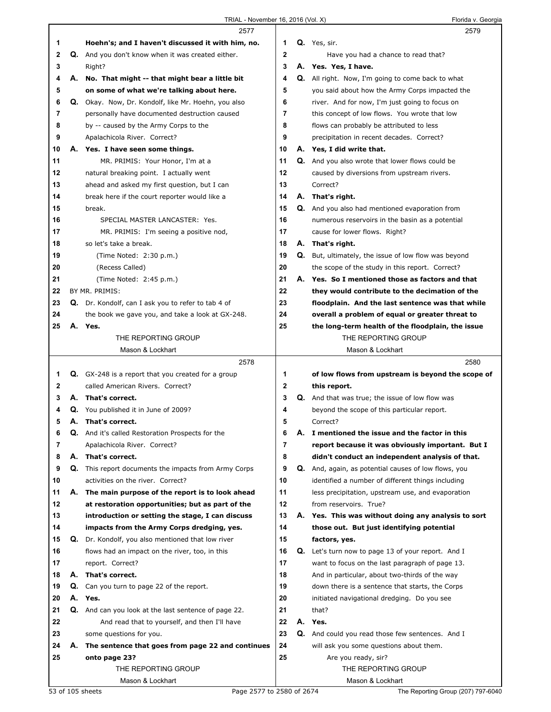|              |    | 2577                                                        |             | 2579                                                      |
|--------------|----|-------------------------------------------------------------|-------------|-----------------------------------------------------------|
| 1            |    | Hoehn's; and I haven't discussed it with him, no.           | 1           | Q. Yes, sir.                                              |
| 2            |    | Q. And you don't know when it was created either.           | 2           | Have you had a chance to read that?                       |
| 3            |    | Right?                                                      | 3           | A. Yes. Yes, I have.                                      |
| 4            | А. | No. That might -- that might bear a little bit              | 4           | <b>Q.</b> All right. Now, I'm going to come back to what  |
| 5            |    | on some of what we're talking about here.                   | 5           | you said about how the Army Corps impacted the            |
| 6            |    | Q. Okay. Now, Dr. Kondolf, like Mr. Hoehn, you also         | 6           | river. And for now, I'm just going to focus on            |
| 7            |    | personally have documented destruction caused               | 7           | this concept of low flows. You wrote that low             |
| 8            |    | by -- caused by the Army Corps to the                       | 8           | flows can probably be attributed to less                  |
| 9            |    | Apalachicola River. Correct?                                | 9           | precipitation in recent decades. Correct?                 |
| 10           |    | A. Yes. I have seen some things.                            | 10          | A. Yes, I did write that.                                 |
| 11           |    | MR. PRIMIS: Your Honor, I'm at a                            | 11          | <b>Q.</b> And you also wrote that lower flows could be    |
| 12           |    | natural breaking point. I actually went                     | 12          | caused by diversions from upstream rivers.                |
| 13           |    | ahead and asked my first question, but I can                | 13          | Correct?                                                  |
| 14           |    | break here if the court reporter would like a               | 14          | A. That's right.                                          |
| 15           |    | break.                                                      | 15          | Q. And you also had mentioned evaporation from            |
| 16           |    | SPECIAL MASTER LANCASTER: Yes.                              | 16          | numerous reservoirs in the basin as a potential           |
| 17           |    | MR. PRIMIS: I'm seeing a positive nod,                      | 17          | cause for lower flows. Right?                             |
| 18           |    | so let's take a break.                                      | 18          | A. That's right.                                          |
| 19           |    | (Time Noted: 2:30 p.m.)                                     | 19          | Q. But, ultimately, the issue of low flow was beyond      |
| 20           |    | (Recess Called)                                             | 20          | the scope of the study in this report. Correct?           |
| 21           |    | (Time Noted: 2:45 p.m.)                                     | 21          | A. Yes. So I mentioned those as factors and that          |
| 22           |    | BY MR. PRIMIS:                                              | 22          | they would contribute to the decimation of the            |
| 23           |    | Q. Dr. Kondolf, can I ask you to refer to tab 4 of          | 23          | floodplain. And the last sentence was that while          |
| 24           |    | the book we gave you, and take a look at GX-248.            | 24          | overall a problem of equal or greater threat to           |
| 25           |    | A. Yes.                                                     | 25          | the long-term health of the floodplain, the issue         |
|              |    | THE REPORTING GROUP                                         |             | THE REPORTING GROUP                                       |
|              |    | Mason & Lockhart                                            |             | Mason & Lockhart                                          |
|              |    | 2578                                                        |             | 2580                                                      |
| 1            |    | Q. GX-248 is a report that you created for a group          | 1           | of low flows from upstream is beyond the scope of         |
| $\mathbf{2}$ |    | called American Rivers. Correct?                            | $\mathbf 2$ | this report.                                              |
| 3            |    | A. That's correct.                                          | 3           | Q. And that was true; the issue of low flow was           |
| 4            |    | Q. You published it in June of 2009?                        | 4           | beyond the scope of this particular report.               |
| 5            |    | A. That's correct.                                          | 5           | Correct?                                                  |
| 6            |    | <b>Q.</b> And it's called Restoration Prospects for the     | 6           | A. I mentioned the issue and the factor in this           |
| 7            |    | Apalachicola River. Correct?                                | 7           | report because it was obviously important. But I          |
| 8            |    | A. That's correct.                                          | 8           | didn't conduct an independent analysis of that.           |
| 9            |    | <b>Q.</b> This report documents the impacts from Army Corps | 9           | Q. And, again, as potential causes of low flows, you      |
| 10           |    | activities on the river. Correct?                           | 10          | identified a number of different things including         |
| 11           | А. | The main purpose of the report is to look ahead             | 11          | less precipitation, upstream use, and evaporation         |
| 12           |    | at restoration opportunities; but as part of the            | 12          | from reservoirs. True?                                    |
| 13           |    | introduction or setting the stage, I can discuss            | 13          | A. Yes. This was without doing any analysis to sort       |
| 14           |    | impacts from the Army Corps dredging, yes.                  | 14          | those out. But just identifying potential                 |
| 15           | Q. | Dr. Kondolf, you also mentioned that low river              | 15          | factors, yes.                                             |
| 16           |    | flows had an impact on the river, too, in this              | 16          | <b>Q.</b> Let's turn now to page 13 of your report. And I |
| 17           |    | report. Correct?                                            | 17          | want to focus on the last paragraph of page 13.           |
| 18           |    | A. That's correct.                                          | 18          | And in particular, about two-thirds of the way            |
| 19           | Q. | Can you turn to page 22 of the report.                      | 19          | down there is a sentence that starts, the Corps           |
| 20           | А. | Yes.                                                        | 20          | initiated navigational dredging. Do you see               |
| 21           |    | Q. And can you look at the last sentence of page 22.        | 21          | that?                                                     |
| 22           |    | And read that to yourself, and then I'll have               | 22          | A. Yes.                                                   |
| 23           |    | some questions for you.                                     | 23          | <b>Q.</b> And could you read those few sentences. And I   |
| 24           | А. | The sentence that goes from page 22 and continues           | 24          | will ask you some questions about them.                   |
|              |    |                                                             |             |                                                           |
| 25           |    | onto page 23?                                               | 25          | Are you ready, sir?                                       |
|              |    | THE REPORTING GROUP                                         |             | THE REPORTING GROUP                                       |
|              |    | Mason & Lockhart                                            |             | Mason & Lockhart                                          |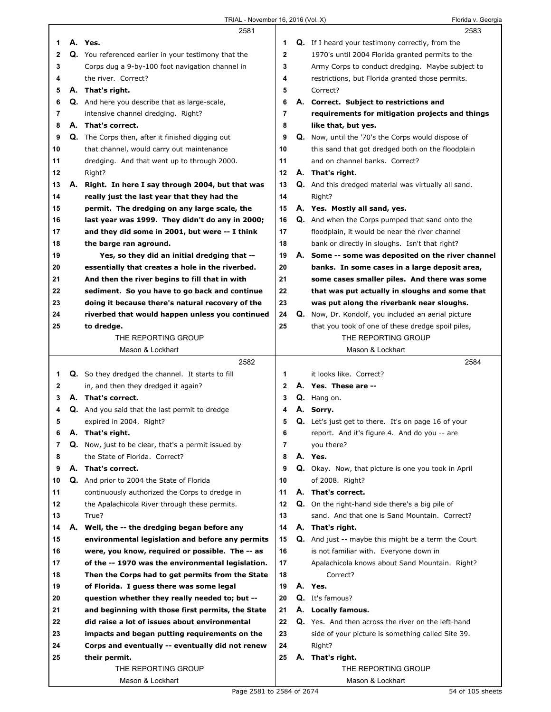|    |    | 2581                                                                             |              |    | 2583                                                       |
|----|----|----------------------------------------------------------------------------------|--------------|----|------------------------------------------------------------|
| 1  |    | A. Yes.                                                                          | 1            |    | <b>Q.</b> If I heard your testimony correctly, from the    |
| 2  |    | Q. You referenced earlier in your testimony that the                             | $\mathbf 2$  |    | 1970's until 2004 Florida granted permits to the           |
| 3  |    | Corps dug a 9-by-100 foot navigation channel in                                  | 3            |    | Army Corps to conduct dredging. Maybe subject to           |
| 4  |    | the river. Correct?                                                              | 4            |    | restrictions, but Florida granted those permits.           |
| 5  |    | A. That's right.                                                                 | 5            |    | Correct?                                                   |
| 6  |    | <b>Q.</b> And here you describe that as large-scale,                             | 6            |    | A. Correct. Subject to restrictions and                    |
| 7  |    | intensive channel dredging. Right?                                               | 7            |    | requirements for mitigation projects and things            |
| 8  |    | A. That's correct.                                                               | 8            |    | like that, but yes.                                        |
| 9  |    | <b>Q.</b> The Corps then, after it finished digging out                          | 9            |    | <b>Q.</b> Now, until the '70's the Corps would dispose of  |
| 10 |    | that channel, would carry out maintenance                                        | 10           |    | this sand that got dredged both on the floodplain          |
| 11 |    | dredging. And that went up to through 2000.                                      | 11           |    | and on channel banks. Correct?                             |
|    |    |                                                                                  | 12           |    | A. That's right.                                           |
| 12 |    | Right?                                                                           |              |    |                                                            |
| 13 |    | A. Right. In here I say through 2004, but that was                               | 13           |    | Q. And this dredged material was virtually all sand.       |
| 14 |    | really just the last year that they had the                                      | 14           |    | Right?                                                     |
| 15 |    | permit. The dredging on any large scale, the                                     | 15           |    | A. Yes. Mostly all sand, yes.                              |
| 16 |    | last year was 1999. They didn't do any in 2000;                                  | 16           |    | <b>Q.</b> And when the Corps pumped that sand onto the     |
| 17 |    | and they did some in 2001, but were -- I think                                   | 17           |    | floodplain, it would be near the river channel             |
| 18 |    | the barge ran aground.                                                           | 18           |    | bank or directly in sloughs. Isn't that right?             |
| 19 |    | Yes, so they did an initial dredging that --                                     | 19           | А. | Some -- some was deposited on the river channel            |
| 20 |    | essentially that creates a hole in the riverbed.                                 | 20           |    | banks. In some cases in a large deposit area,              |
| 21 |    | And then the river begins to fill that in with                                   | 21           |    | some cases smaller piles. And there was some               |
| 22 |    | sediment. So you have to go back and continue                                    | 22           |    | that was put actually in sloughs and some that             |
| 23 |    | doing it because there's natural recovery of the                                 | 23           |    | was put along the riverbank near sloughs.                  |
| 24 |    | riverbed that would happen unless you continued                                  | 24           |    | Q. Now, Dr. Kondolf, you included an aerial picture        |
| 25 |    | to dredge.                                                                       | 25           |    | that you took of one of these dredge spoil piles,          |
|    |    | THE REPORTING GROUP                                                              |              |    | THE REPORTING GROUP                                        |
|    |    | Mason & Lockhart                                                                 |              |    | Mason & Lockhart                                           |
|    |    |                                                                                  |              |    |                                                            |
|    |    | 2582                                                                             |              |    | 2584                                                       |
| 1  |    | <b>Q.</b> So they dredged the channel. It starts to fill                         | 1            |    | it looks like. Correct?                                    |
| 2  |    | in, and then they dredged it again?                                              | $\mathbf{2}$ |    | A. Yes. These are --                                       |
| 3  |    | A. That's correct.                                                               | 3            |    | Q. Hang on.                                                |
| 4  |    |                                                                                  | 4            |    | A. Sorry.                                                  |
| 5  |    | <b>Q.</b> And you said that the last permit to dredge<br>expired in 2004. Right? | 5            |    |                                                            |
|    |    |                                                                                  |              |    | <b>Q.</b> Let's just get to there. It's on page 16 of your |
| 6  | Α. | That's right.                                                                    | 6            |    | report. And it's figure 4. And do you -- are               |
| 7  |    | Q. Now, just to be clear, that's a permit issued by                              | 7            |    | you there?                                                 |
| 8  |    | the State of Florida. Correct?                                                   | 8            |    | A. Yes.                                                    |
| 9  |    | A. That's correct.                                                               | 9            |    | Q. Okay. Now, that picture is one you took in April        |
| 10 |    | Q. And prior to 2004 the State of Florida                                        | 10           |    | of 2008. Right?                                            |
| 11 |    | continuously authorized the Corps to dredge in                                   | 11           |    | A. That's correct.                                         |
| 12 |    | the Apalachicola River through these permits.                                    | 12           |    | Q. On the right-hand side there's a big pile of            |
| 13 |    | True?                                                                            | 13           |    | sand. And that one is Sand Mountain. Correct?              |
| 14 |    | A. Well, the -- the dredging began before any                                    | 14           |    | A. That's right.                                           |
| 15 |    | environmental legislation and before any permits                                 | 15           |    | <b>Q.</b> And just -- maybe this might be a term the Court |
| 16 |    | were, you know, required or possible. The -- as                                  | 16           |    | is not familiar with. Everyone down in                     |
| 17 |    | of the -- 1970 was the environmental legislation.                                | 17           |    | Apalachicola knows about Sand Mountain. Right?             |
| 18 |    | Then the Corps had to get permits from the State                                 | 18           |    | Correct?                                                   |
| 19 |    | of Florida. I guess there was some legal                                         | 19           |    | A. Yes.                                                    |
| 20 |    | question whether they really needed to; but --                                   | 20           |    | Q. It's famous?                                            |
| 21 |    | and beginning with those first permits, the State                                | 21           |    | A. Locally famous.                                         |
| 22 |    | did raise a lot of issues about environmental                                    | 22           |    | Q. Yes. And then across the river on the left-hand         |
| 23 |    | impacts and began putting requirements on the                                    | 23           |    | side of your picture is something called Site 39.          |
| 24 |    | Corps and eventually -- eventually did not renew                                 | 24           |    | Right?                                                     |
| 25 |    | their permit.                                                                    | 25           |    | A. That's right.                                           |
|    |    | THE REPORTING GROUP                                                              |              |    | THE REPORTING GROUP                                        |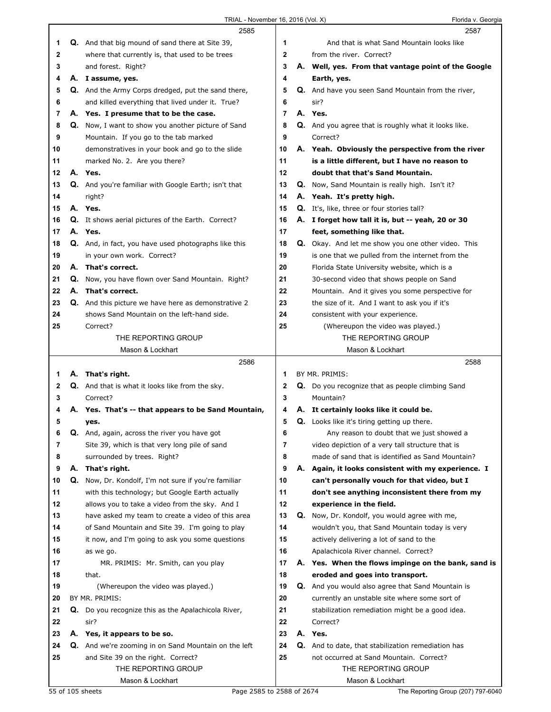|          |    | 2585                                                       |              | 2587                                                                                   |
|----------|----|------------------------------------------------------------|--------------|----------------------------------------------------------------------------------------|
| 1        |    | <b>Q.</b> And that big mound of sand there at Site 39,     | 1            | And that is what Sand Mountain looks like                                              |
| 2        |    | where that currently is, that used to be trees             | $\mathbf{2}$ | from the river. Correct?                                                               |
| 3        |    | and forest. Right?                                         | 3            | A. Well, yes. From that vantage point of the Google                                    |
| 4        |    | A. I assume, yes.                                          | 4            | Earth, yes.                                                                            |
| 5        |    | Q. And the Army Corps dredged, put the sand there,         | 5            | Q. And have you seen Sand Mountain from the river,                                     |
| 6        |    | and killed everything that lived under it. True?           | 6            | sir?                                                                                   |
| 7        |    | A. Yes. I presume that to be the case.                     | 7            | A. Yes.                                                                                |
| 8        |    | Q. Now, I want to show you another picture of Sand         | 8            | Q. And you agree that is roughly what it looks like.                                   |
| 9        |    | Mountain. If you go to the tab marked                      | 9            | Correct?                                                                               |
| 10       |    | demonstratives in your book and go to the slide            | 10           | A. Yeah. Obviously the perspective from the river                                      |
| 11       |    | marked No. 2. Are you there?                               | 11           | is a little different, but I have no reason to                                         |
| 12       |    | A. Yes.                                                    | 12           | doubt that that's Sand Mountain.                                                       |
| 13       |    | Q. And you're familiar with Google Earth; isn't that       | 13           | Q. Now, Sand Mountain is really high. Isn't it?                                        |
| 14       |    | right?                                                     | 14           | A. Yeah. It's pretty high.                                                             |
| 15       |    | A. Yes.                                                    | 15           | Q. It's, like, three or four stories tall?                                             |
| 16       |    | Q. It shows aerial pictures of the Earth. Correct?         | 16           | A. I forget how tall it is, but -- yeah, 20 or 30                                      |
| 17       |    | A. Yes.                                                    | 17           | feet, something like that.                                                             |
| 18       |    | Q. And, in fact, you have used photographs like this       | 18           | Q. Okay. And let me show you one other video. This                                     |
| 19       |    | in your own work. Correct?                                 | 19           | is one that we pulled from the internet from the                                       |
| 20       |    | A. That's correct.                                         | 20           | Florida State University website, which is a                                           |
| 21       |    | Q. Now, you have flown over Sand Mountain. Right?          | 21           | 30-second video that shows people on Sand                                              |
| 22       |    | A. That's correct.                                         | 22           | Mountain. And it gives you some perspective for                                        |
| 23       |    | <b>Q.</b> And this picture we have here as demonstrative 2 | 23           | the size of it. And I want to ask you if it's                                          |
| 24       |    | shows Sand Mountain on the left-hand side.                 | 24           | consistent with your experience.                                                       |
| 25       |    | Correct?                                                   | 25           | (Whereupon the video was played.)                                                      |
|          |    | THE REPORTING GROUP                                        |              | THE REPORTING GROUP                                                                    |
|          |    | Mason & Lockhart                                           |              | Mason & Lockhart                                                                       |
|          |    |                                                            |              |                                                                                        |
|          |    | 2586                                                       |              | 2588                                                                                   |
| 1        |    | A. That's right.                                           | 1            | BY MR. PRIMIS:                                                                         |
| 2        |    | <b>Q.</b> And that is what it looks like from the sky.     | 2            | <b>Q.</b> Do you recognize that as people climbing Sand                                |
| 3        |    | Correct?                                                   | 3            | Mountain?                                                                              |
| 4        | А. | Yes. That's -- that appears to be Sand Mountain,           | 4            | A. It certainly looks like it could be.                                                |
| 5        |    | yes.                                                       | 5            | <b>Q.</b> Looks like it's tiring getting up there.                                     |
| 6        |    | Q. And, again, across the river you have got               | 6            | Any reason to doubt that we just showed a                                              |
| 7        |    | Site 39, which is that very long pile of sand              | 7            | video depiction of a very tall structure that is                                       |
| 8        |    | surrounded by trees. Right?                                | 8            | made of sand that is identified as Sand Mountain?                                      |
| 9        | А. | That's right.                                              | 9            | A. Again, it looks consistent with my experience. I                                    |
| 10       | Q. | Now, Dr. Kondolf, I'm not sure if you're familiar          | 10           | can't personally vouch for that video, but I                                           |
| 11       |    | with this technology; but Google Earth actually            | 11           | don't see anything inconsistent there from my                                          |
| 12       |    | allows you to take a video from the sky. And I             | 12           | experience in the field.                                                               |
| 13       |    | have asked my team to create a video of this area          | 13           | Q. Now, Dr. Kondolf, you would agree with me,                                          |
| 14       |    | of Sand Mountain and Site 39. I'm going to play            | 14           | wouldn't you, that Sand Mountain today is very                                         |
| 15       |    | it now, and I'm going to ask you some questions            | 15           | actively delivering a lot of sand to the                                               |
| 16<br>17 |    | as we go.                                                  | 16<br>17     | Apalachicola River channel. Correct?                                                   |
| 18       |    | MR. PRIMIS: Mr. Smith, can you play<br>that.               | 18           | A. Yes. When the flows impinge on the bank, sand is<br>eroded and goes into transport. |
| 19       |    | (Whereupon the video was played.)                          | 19           | <b>Q.</b> And you would also agree that Sand Mountain is                               |
| 20       |    | BY MR. PRIMIS:                                             | 20           | currently an unstable site where some sort of                                          |
| 21       |    | Q. Do you recognize this as the Apalachicola River,        | 21           | stabilization remediation might be a good idea.                                        |
| 22       |    | sir?                                                       | 22           | Correct?                                                                               |
| 23       |    | A. Yes, it appears to be so.                               | 23           | A. Yes.                                                                                |
| 24       |    | Q. And we're zooming in on Sand Mountain on the left       | 24           | Q. And to date, that stabilization remediation has                                     |
| 25       |    | and Site 39 on the right. Correct?                         | 25           | not occurred at Sand Mountain. Correct?                                                |
|          |    | THE REPORTING GROUP                                        |              | THE REPORTING GROUP                                                                    |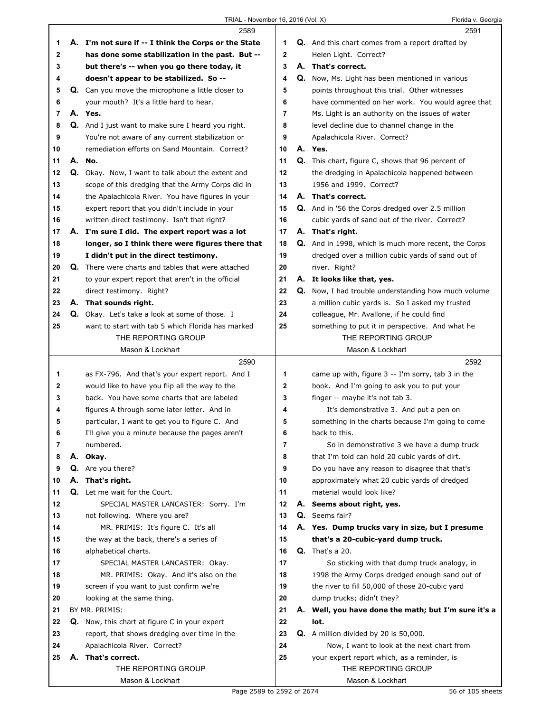|             | 2589                                                      |                | 2591                                                        |
|-------------|-----------------------------------------------------------|----------------|-------------------------------------------------------------|
| 1           | A. I'm not sure if -- I think the Corps or the State      | 1              | <b>Q.</b> And this chart comes from a report drafted by     |
| $\mathbf 2$ | has done some stabilization in the past. But --           | $\overline{2}$ | Helen Light. Correct?                                       |
| 3           | but there's -- when you go there today, it                | 3              | A. That's correct.                                          |
| 4           | doesn't appear to be stabilized. So --                    | 4              | Q. Now, Ms. Light has been mentioned in various             |
| 5           | Q. Can you move the microphone a little closer to         | 5              | points throughout this trial. Other witnesses               |
| 6           | your mouth? It's a little hard to hear.                   | 6              | have commented on her work. You would agree that            |
| 7           | A. Yes.                                                   | $\overline{7}$ | Ms. Light is an authority on the issues of water            |
| 8           | <b>Q.</b> And I just want to make sure I heard you right. | 8              | level decline due to channel change in the                  |
| 9           | You're not aware of any current stabilization or          | 9              | Apalachicola River. Correct?                                |
| 10          | remediation efforts on Sand Mountain. Correct?            | 10             | A. Yes.                                                     |
| 11          | A. No.                                                    | 11             | Q. This chart, figure C, shows that 96 percent of           |
| 12          | Q. Okay. Now, I want to talk about the extent and         | 12             | the dredging in Apalachicola happened between               |
| 13          | scope of this dredging that the Army Corps did in         | 13             | 1956 and 1999. Correct?                                     |
| 14          | the Apalachicola River. You have figures in your          | 14             | A. That's correct.                                          |
| 15          | expert report that you didn't include in your             | 15             | Q. And in '56 the Corps dredged over 2.5 million            |
| 16          | written direct testimony. Isn't that right?               | 16             | cubic yards of sand out of the river. Correct?              |
| 17          | A. I'm sure I did. The expert report was a lot            | 17             | A. That's right.                                            |
| 18          | longer, so I think there were figures there that          | 18             | <b>Q.</b> And in 1998, which is much more recent, the Corps |
| 19          | I didn't put in the direct testimony.                     | 19             | dredged over a million cubic yards of sand out of           |
| 20          | Q. There were charts and tables that were attached        | 20             | river. Right?                                               |
| 21          | to your expert report that aren't in the official         | 21             | A. It looks like that, yes.                                 |
| 22          | direct testimony. Right?                                  | 22             | <b>Q.</b> Now, I had trouble understanding how much volume  |
| 23          | A. That sounds right.                                     | 23             | a million cubic yards is. So I asked my trusted             |
| 24          | Q. Okay. Let's take a look at some of those. I            | 24             | colleague, Mr. Avallone, if he could find                   |
| 25          | want to start with tab 5 which Florida has marked         | 25             | something to put it in perspective. And what he             |
|             | THE REPORTING GROUP                                       |                | THE REPORTING GROUP                                         |
|             | Mason & Lockhart                                          |                | Mason & Lockhart                                            |
|             | 2590                                                      |                | 2592                                                        |
| 1           | as FX-796. And that's your expert report. And I           | 1              | came up with, figure 3 -- I'm sorry, tab 3 in the           |
| 2           | would like to have you flip all the way to the            | $\mathbf{2}$   | book. And I'm going to ask you to put your                  |
| 3           | back. You have some charts that are labeled               | 3              | finger -- maybe it's not tab 3.                             |
| 4           | figures A through some later letter. And in               | 4              | It's demonstrative 3. And put a pen on                      |
| 5           | particular, I want to get you to figure C. And            | 5              | something in the charts because I'm going to come           |
| 6           | I'll give you a minute because the pages aren't           | 6              | back to this.                                               |
| 7           | numbered.                                                 | 7              | So in demonstrative 3 we have a dump truck                  |
| 8           | A. Okay.                                                  | 8              | that I'm told can hold 20 cubic yards of dirt.              |
| 9           | Q. Are you there?                                         | 9              | Do you have any reason to disagree that that's              |
| 10          | A. That's right.                                          | 10             | approximately what 20 cubic yards of dredged                |
| 11          | Q. Let me wait for the Court.                             | 11             | material would look like?                                   |
| 12          | SPECIAL MASTER LANCASTER: Sorry. I'm                      | 12             | A. Seems about right, yes.                                  |
| 13          | not following. Where you are?                             | 13             | Q. Seems fair?                                              |
| 14          | MR. PRIMIS: It's figure C. It's all                       | 14             | A. Yes. Dump trucks vary in size, but I presume             |
| 15          | the way at the back, there's a series of                  | 15             | that's a 20-cubic-yard dump truck.                          |
| 16          | alphabetical charts.                                      | 16             | <b>Q.</b> That's a 20.                                      |
| 17          | SPECIAL MASTER LANCASTER: Okay.                           | 17             | So sticking with that dump truck analogy, in                |
| 18          | MR. PRIMIS: Okay. And it's also on the                    | 18             | 1998 the Army Corps dredged enough sand out of              |
| 19          | screen if you want to just confirm we're                  | 19             | the river to fill 50,000 of those 20-cubic yard             |
| 20          | looking at the same thing.                                | 20             | dump trucks; didn't they?                                   |
| 21          | BY MR. PRIMIS:                                            | 21             | A. Well, you have done the math; but I'm sure it's a        |
| 22          | Q. Now, this chart at figure C in your expert             | 22             | lot.                                                        |
| 23          | report, that shows dredging over time in the              | 23             | Q. A million divided by 20 is 50,000.                       |
| 24          | Apalachicola River. Correct?                              | 24             | Now, I want to look at the next chart from                  |
| 25          | A. That's correct.                                        | 25             | your expert report which, as a reminder, is                 |
|             | THE REPORTING GROUP                                       |                | THE REPORTING GROUP                                         |
|             | Mason & Lockhart                                          |                | Mason & Lockhart                                            |
|             | Page 2589 to 2592 of 2674                                 |                | 56 of 105 sheets                                            |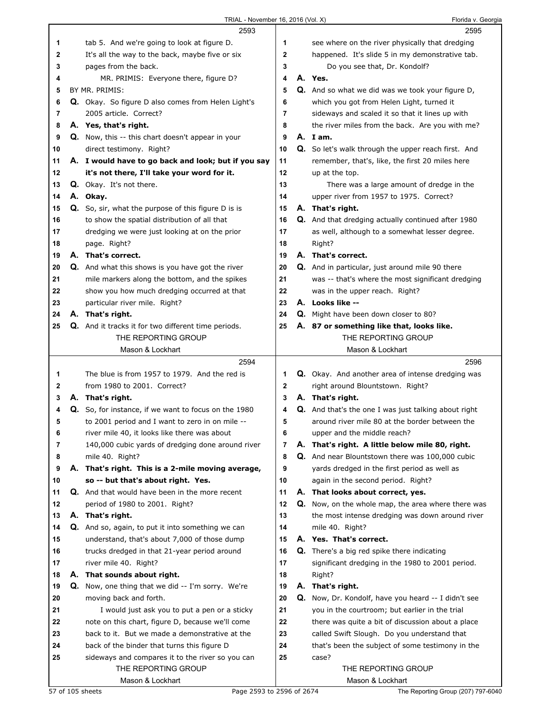|    | 2593                                                       |              | 2595                                                      |  |
|----|------------------------------------------------------------|--------------|-----------------------------------------------------------|--|
| 1  | tab 5. And we're going to look at figure D.                | 1            | see where on the river physically that dredging           |  |
| 2  | It's all the way to the back, maybe five or six            | $\mathbf{2}$ | happened. It's slide 5 in my demonstrative tab.           |  |
| 3  | pages from the back.                                       | 3            | Do you see that, Dr. Kondolf?                             |  |
| 4  | MR. PRIMIS: Everyone there, figure D?                      | 4            | A. Yes.                                                   |  |
| 5  | BY MR. PRIMIS:                                             | 5            | Q. And so what we did was we took your figure D,          |  |
| 6  | Q. Okay. So figure D also comes from Helen Light's         | 6            | which you got from Helen Light, turned it                 |  |
| 7  | 2005 article. Correct?                                     | 7            | sideways and scaled it so that it lines up with           |  |
| 8  | A. Yes, that's right.                                      | 8            | the river miles from the back. Are you with me?           |  |
| 9  | Q. Now, this -- this chart doesn't appear in your          | 9            | A. Iam.                                                   |  |
| 10 | direct testimony. Right?                                   | 10           | Q. So let's walk through the upper reach first. And       |  |
| 11 | A. I would have to go back and look; but if you say        | 11           | remember, that's, like, the first 20 miles here           |  |
| 12 | it's not there, I'll take your word for it.                | 12           | up at the top.                                            |  |
| 13 | Q. Okay. It's not there.                                   | 13           | There was a large amount of dredge in the                 |  |
| 14 | A. Okay.                                                   | 14           | upper river from 1957 to 1975. Correct?                   |  |
| 15 | <b>Q.</b> So, sir, what the purpose of this figure D is is | 15           | A. That's right.                                          |  |
| 16 | to show the spatial distribution of all that               | 16           | <b>Q.</b> And that dredging actually continued after 1980 |  |
| 17 | dredging we were just looking at on the prior              | 17           | as well, although to a somewhat lesser degree.            |  |
| 18 | page. Right?                                               | 18           | Right?                                                    |  |
| 19 | A. That's correct.                                         | 19           | A. That's correct.                                        |  |
| 20 | <b>Q.</b> And what this shows is you have got the river    | 20           | Q. And in particular, just around mile 90 there           |  |
| 21 | mile markers along the bottom, and the spikes              | 21           | was -- that's where the most significant dredging         |  |
| 22 | show you how much dredging occurred at that                | 22           | was in the upper reach. Right?                            |  |
| 23 | particular river mile. Right?                              | 23           | A. Looks like --                                          |  |
| 24 | A. That's right.                                           | 24           | Q. Might have been down closer to 80?                     |  |
| 25 | Q. And it tracks it for two different time periods.        | 25           | A. 87 or something like that, looks like.                 |  |
|    | THE REPORTING GROUP                                        |              | THE REPORTING GROUP                                       |  |
|    | Mason & Lockhart                                           |              | Mason & Lockhart                                          |  |
|    |                                                            |              |                                                           |  |
|    | 2594                                                       |              | 2596                                                      |  |
| 1  | The blue is from 1957 to 1979. And the red is              | 1.           | Q. Okay. And another area of intense dredging was         |  |
| 2  | from 1980 to 2001. Correct?                                | 2            | right around Blountstown. Right?                          |  |
| 3  | A. That's right.                                           | 3            | A. That's right.                                          |  |
| 4  | Q. So, for instance, if we want to focus on the 1980       | 4            | Q. And that's the one I was just talking about right      |  |
| 5  | to 2001 period and I want to zero in on mile --            | 5            | around river mile 80 at the border between the            |  |
| 6  | river mile 40, it looks like there was about               | 6            | upper and the middle reach?                               |  |
| 7  | 140,000 cubic yards of dredging done around river          | 7            | A. That's right. A little below mile 80, right.           |  |
| 8  | mile 40. Right?                                            | 8            | Q. And near Blountstown there was 100,000 cubic           |  |
| 9  | A. That's right. This is a 2-mile moving average,          | 9            | yards dredged in the first period as well as              |  |
| 10 | so -- but that's about right. Yes.                         | 10           | again in the second period. Right?                        |  |
| 11 | Q. And that would have been in the more recent             | 11           | A. That looks about correct, yes.                         |  |
| 12 | period of 1980 to 2001. Right?                             | 12           | Q. Now, on the whole map, the area where there was        |  |
| 13 | A. That's right.                                           | 13           | the most intense dredging was down around river           |  |
| 14 | Q. And so, again, to put it into something we can          | 14           | mile 40. Right?                                           |  |
| 15 | understand, that's about 7,000 of those dump               | 15           | A. Yes. That's correct.                                   |  |
| 16 | trucks dredged in that 21-year period around               | 16           | <b>Q.</b> There's a big red spike there indicating        |  |
| 17 | river mile 40. Right?                                      | 17           | significant dredging in the 1980 to 2001 period.          |  |
| 18 | A. That sounds about right.                                | 18           | Right?                                                    |  |
| 19 | Q. Now, one thing that we did -- I'm sorry. We're          | 19           | A. That's right.                                          |  |
| 20 | moving back and forth.                                     | 20           | Q. Now, Dr. Kondolf, have you heard -- I didn't see       |  |
| 21 | I would just ask you to put a pen or a sticky              | 21           | you in the courtroom; but earlier in the trial            |  |
| 22 | note on this chart, figure D, because we'll come           | 22           | there was quite a bit of discussion about a place         |  |
| 23 | back to it. But we made a demonstrative at the             | 23           | called Swift Slough. Do you understand that               |  |
| 24 | back of the binder that turns this figure D                | 24           | that's been the subject of some testimony in the          |  |
| 25 | sideways and compares it to the river so you can           | 25           | case?                                                     |  |
|    | THE REPORTING GROUP<br>Mason & Lockhart                    |              | THE REPORTING GROUP<br>Mason & Lockhart                   |  |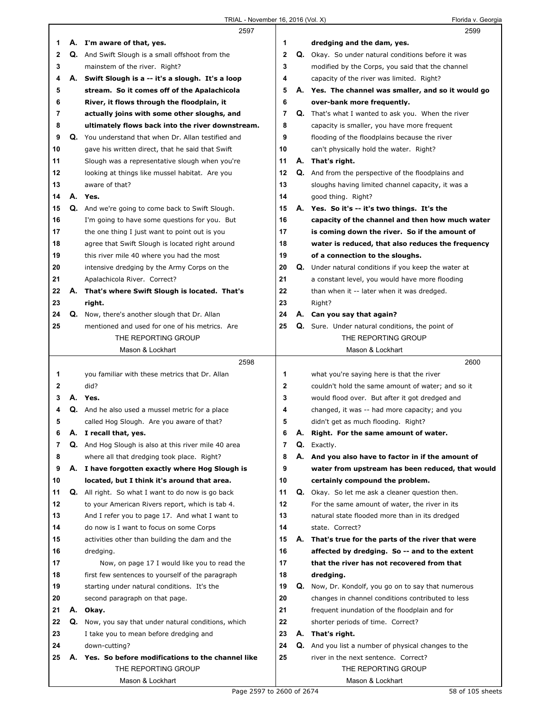|                |    | 2597                                                             |             |    | 2599                                                      |
|----------------|----|------------------------------------------------------------------|-------------|----|-----------------------------------------------------------|
| 1              |    | A. I'm aware of that, yes.                                       | 1           |    | dredging and the dam, yes.                                |
| 2              |    | <b>Q.</b> And Swift Slough is a small offshoot from the          | $\mathbf 2$ |    | Q. Okay. So under natural conditions before it was        |
| 3              |    | mainstem of the river. Right?                                    | 3           |    | modified by the Corps, you said that the channel          |
| 4              |    | A. Swift Slough is a -- it's a slough. It's a loop               | 4           |    | capacity of the river was limited. Right?                 |
| 5              |    | stream. So it comes off of the Apalachicola                      | 5           |    | A. Yes. The channel was smaller, and so it would go       |
| 6              |    | River, it flows through the floodplain, it                       | 6           |    | over-bank more frequently.                                |
| 7              |    | actually joins with some other sloughs, and                      | 7           |    | Q. That's what I wanted to ask you. When the river        |
| 8              |    | ultimately flows back into the river downstream.                 | 8           |    | capacity is smaller, you have more frequent               |
| 9              |    | Q. You understand that when Dr. Allan testified and              | 9           |    | flooding of the floodplains because the river             |
| 10             |    | gave his written direct, that he said that Swift                 | 10          |    | can't physically hold the water. Right?                   |
| 11             |    | Slough was a representative slough when you're                   | 11          |    | A. That's right.                                          |
| 12             |    | looking at things like mussel habitat. Are you                   | 12          |    | <b>Q.</b> And from the perspective of the floodplains and |
| 13             |    | aware of that?                                                   | 13          |    | sloughs having limited channel capacity, it was a         |
| 14             | А. | Yes.                                                             | 14          |    | good thing. Right?                                        |
| 15             | Q. | And we're going to come back to Swift Slough.                    | 15          |    | A. Yes. So it's -- it's two things. It's the              |
| 16             |    | I'm going to have some questions for you. But                    | 16          |    | capacity of the channel and then how much water           |
| 17             |    | the one thing I just want to point out is you                    | 17          |    | is coming down the river. So if the amount of             |
| 18             |    | agree that Swift Slough is located right around                  | 18          |    | water is reduced, that also reduces the frequency         |
| 19             |    | this river mile 40 where you had the most                        | 19          |    | of a connection to the sloughs.                           |
| 20             |    | intensive dredging by the Army Corps on the                      | 20          | Q. | Under natural conditions if you keep the water at         |
| 21             |    | Apalachicola River. Correct?                                     | 21          |    | a constant level, you would have more flooding            |
| 22             | А. | That's where Swift Slough is located. That's                     | 22          |    | than when it -- later when it was dredged.                |
| 23             |    | right.                                                           | 23          |    | Right?                                                    |
| 24             | Q. | Now, there's another slough that Dr. Allan                       | 24          |    | A. Can you say that again?                                |
| 25             |    | mentioned and used for one of his metrics. Are                   | 25          |    | <b>Q.</b> Sure. Under natural conditions, the point of    |
|                |    | THE REPORTING GROUP                                              |             |    | THE REPORTING GROUP                                       |
|                |    | Mason & Lockhart                                                 |             |    | Mason & Lockhart                                          |
|                |    |                                                                  |             |    |                                                           |
|                |    | 2598                                                             |             |    | 2600                                                      |
| 1              |    | you familiar with these metrics that Dr. Allan                   | 1           |    | what you're saying here is that the river                 |
| 2              |    | did?                                                             | 2           |    | couldn't hold the same amount of water; and so it         |
| 3              |    | A. Yes.                                                          | 3           |    | would flood over. But after it got dredged and            |
| 4              |    | <b>Q.</b> And he also used a mussel metric for a place           | 4           |    | changed, it was -- had more capacity; and you             |
| 5              |    |                                                                  | 5           |    | didn't get as much flooding. Right?                       |
| O              | Α. | called Hog Slough. Are you aware of that?<br>I recall that, yes. | 6           | Α. | Right. For the same amount of water.                      |
| $\overline{7}$ |    | Q. And Hog Slough is also at this river mile 40 area             | 7           | Q. | Exactly.                                                  |
| 8              |    | where all that dredging took place. Right?                       | 8           | А. | And you also have to factor in if the amount of           |
| 9              |    | A. I have forgotten exactly where Hog Slough is                  | 9           |    | water from upstream has been reduced, that would          |
| 10             |    | located, but I think it's around that area.                      | 10          |    | certainly compound the problem.                           |
| 11             |    | Q. All right. So what I want to do now is go back                | 11          |    | <b>Q.</b> Okay. So let me ask a cleaner question then.    |
| 12             |    | to your American Rivers report, which is tab 4.                  | 12          |    | For the same amount of water, the river in its            |
| 13             |    | And I refer you to page 17. And what I want to                   | 13          |    | natural state flooded more than in its dredged            |
| 14             |    | do now is I want to focus on some Corps                          | 14          |    | state. Correct?                                           |
| 15             |    | activities other than building the dam and the                   | 15          |    | A. That's true for the parts of the river that were       |
| 16             |    | dredging.                                                        | 16          |    | affected by dredging. So -- and to the extent             |
| 17             |    | Now, on page 17 I would like you to read the                     | 17          |    | that the river has not recovered from that                |
| 18             |    | first few sentences to yourself of the paragraph                 | 18          |    | dredging.                                                 |
| 19             |    | starting under natural conditions. It's the                      | 19          | Q. | Now, Dr. Kondolf, you go on to say that numerous          |
| 20             |    | second paragraph on that page.                                   | 20          |    | changes in channel conditions contributed to less         |
| 21             |    | A. Okay.                                                         | 21          |    | frequent inundation of the floodplain and for             |
| 22             |    | Q. Now, you say that under natural conditions, which             | 22          |    | shorter periods of time. Correct?                         |
| 23             |    | I take you to mean before dredging and                           | 23          |    | A. That's right.                                          |
| 24             |    | down-cutting?                                                    | 24          | Q. | And you list a number of physical changes to the          |
| 25             |    | A. Yes. So before modifications to the channel like              | 25          |    | river in the next sentence. Correct?                      |
|                |    | THE REPORTING GROUP                                              |             |    | THE REPORTING GROUP                                       |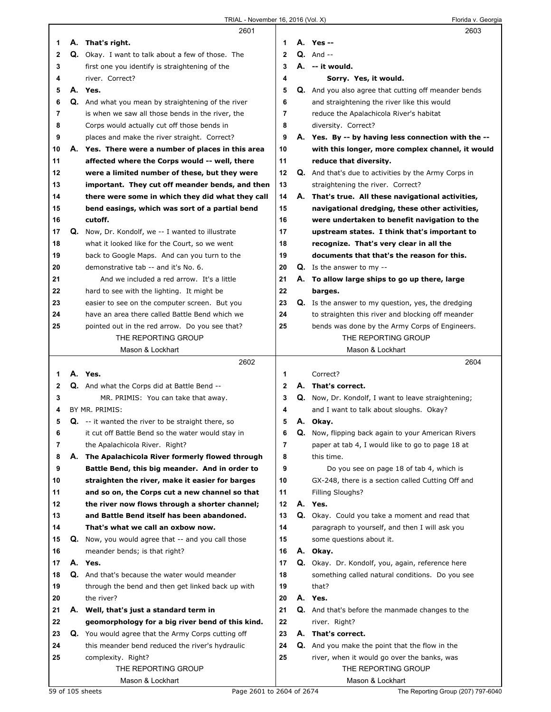|    | 2601                                                      |              | 2603                                                        |
|----|-----------------------------------------------------------|--------------|-------------------------------------------------------------|
| 1  | A. That's right.                                          | 1            | A. Yes --                                                   |
| 2  | Q. Okay. I want to talk about a few of those. The         | $\mathbf{2}$ | $Q.$ And $-$                                                |
| 3  | first one you identify is straightening of the            | 3            | A. -- it would.                                             |
| 4  | river. Correct?                                           | 4            | Sorry. Yes, it would.                                       |
| 5  | A. Yes.                                                   | 5            | <b>Q.</b> And you also agree that cutting off meander bends |
| 6  | Q. And what you mean by straightening of the river        | 6            | and straightening the river like this would                 |
| 7  | is when we saw all those bends in the river, the          | 7            | reduce the Apalachicola River's habitat                     |
| 8  | Corps would actually cut off those bends in               | 8            | diversity. Correct?                                         |
| 9  | places and make the river straight. Correct?              | 9            | A. Yes. By -- by having less connection with the --         |
| 10 | A. Yes. There were a number of places in this area        | 10           | with this longer, more complex channel, it would            |
| 11 | affected where the Corps would -- well, there             | 11           | reduce that diversity.                                      |
| 12 | were a limited number of these, but they were             | 12           | <b>Q.</b> And that's due to activities by the Army Corps in |
| 13 | important. They cut off meander bends, and then           | 13           | straightening the river. Correct?                           |
| 14 | there were some in which they did what they call          | 14           | A. That's true. All these navigational activities,          |
| 15 | bend easings, which was sort of a partial bend            | 15           | navigational dredging, these other activities,              |
| 16 | cutoff.                                                   | 16           | were undertaken to benefit navigation to the                |
| 17 | <b>Q.</b> Now, Dr. Kondolf, we -- I wanted to illustrate  | 17           | upstream states. I think that's important to                |
| 18 | what it looked like for the Court, so we went             | 18           | recognize. That's very clear in all the                     |
| 19 | back to Google Maps. And can you turn to the              | 19           | documents that that's the reason for this.                  |
| 20 | demonstrative tab -- and it's No. 6.                      | 20           | $Q.$ Is the answer to my $-$                                |
| 21 | And we included a red arrow. It's a little                | 21           | A. To allow large ships to go up there, large               |
| 22 | hard to see with the lighting. It might be                | 22           | barges.                                                     |
| 23 | easier to see on the computer screen. But you             | 23           | Q. Is the answer to my question, yes, the dredging          |
| 24 | have an area there called Battle Bend which we            | 24           | to straighten this river and blocking off meander           |
| 25 | pointed out in the red arrow. Do you see that?            | 25           | bends was done by the Army Corps of Engineers.              |
|    | THE REPORTING GROUP                                       |              | THE REPORTING GROUP                                         |
|    | Mason & Lockhart                                          |              | Mason & Lockhart                                            |
|    | 2602                                                      |              | 2604                                                        |
| 1  | A. Yes.                                                   | 1            |                                                             |
|    |                                                           |              | Correct?                                                    |
| 2  | <b>Q.</b> And what the Corps did at Battle Bend --        | $\mathbf{2}$ | A. That's correct.                                          |
| 3  | MR. PRIMIS: You can take that away.                       | 3            | Q. Now, Dr. Kondolf, I want to leave straightening;         |
| 4  | BY MR. PRIMIS:                                            | 4            | and I want to talk about sloughs. Okay?                     |
| 5  | <b>Q.</b> -- it wanted the river to be straight there, so | 5            | A. Okay.                                                    |
| 6  | it cut off Battle Bend so the water would stay in         | 6            | Q. Now, flipping back again to your American Rivers         |
| 7  | the Apalachicola River. Right?                            | 7            | paper at tab 4, I would like to go to page 18 at            |
| 8  | A. The Apalachicola River formerly flowed through         | 8            | this time.                                                  |
| 9  | Battle Bend, this big meander. And in order to            | 9            | Do you see on page 18 of tab 4, which is                    |
| 10 | straighten the river, make it easier for barges           | 10           | GX-248, there is a section called Cutting Off and           |
| 11 | and so on, the Corps cut a new channel so that            | 11           | Filling Sloughs?                                            |
| 12 | the river now flows through a shorter channel;            | 12           | A. Yes.                                                     |
| 13 | and Battle Bend itself has been abandoned.                | 13           | Q. Okay. Could you take a moment and read that              |
| 14 | That's what we call an oxbow now.                         | 14           | paragraph to yourself, and then I will ask you              |
| 15 | <b>Q.</b> Now, you would agree that -- and you call those | 15           | some questions about it.                                    |
| 16 | meander bends; is that right?                             | 16           | A. Okay.                                                    |
| 17 | A. Yes.                                                   | 17           | Q. Okay. Dr. Kondolf, you, again, reference here            |
| 18 | Q. And that's because the water would meander             | 18           | something called natural conditions. Do you see             |
| 19 | through the bend and then get linked back up with         | 19           | that?                                                       |
| 20 | the river?                                                | 20           | A. Yes.                                                     |
| 21 | A. Well, that's just a standard term in                   | 21           | Q. And that's before the manmade changes to the             |
| 22 | geomorphology for a big river bend of this kind.          | 22           | river. Right?                                               |
| 23 | <b>Q.</b> You would agree that the Army Corps cutting off | 23           | A. That's correct.                                          |
| 24 | this meander bend reduced the river's hydraulic           | 24           | <b>Q.</b> And you make the point that the flow in the       |
| 25 | complexity. Right?                                        | 25           | river, when it would go over the banks, was                 |
|    | THE REPORTING GROUP<br>Mason & Lockhart                   |              | THE REPORTING GROUP<br>Mason & Lockhart                     |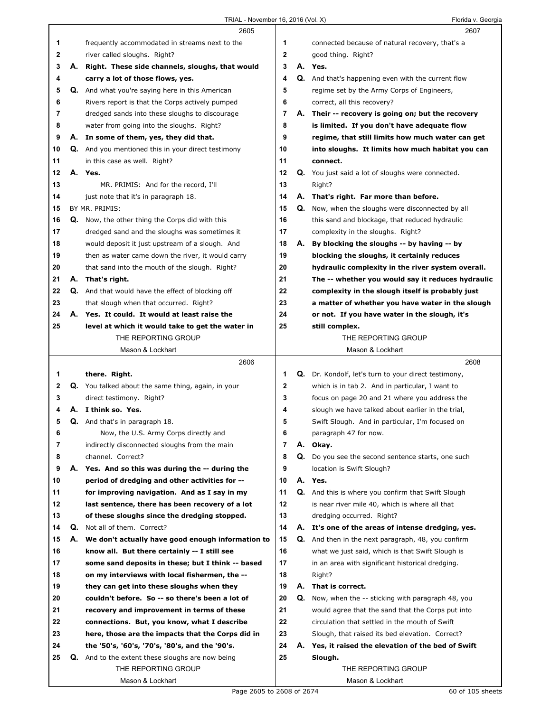|        |    | 2605                                                                                   |                     |    | 2607                                                                     |
|--------|----|----------------------------------------------------------------------------------------|---------------------|----|--------------------------------------------------------------------------|
| 1      |    | frequently accommodated in streams next to the                                         | 1                   |    | connected because of natural recovery, that's a                          |
| 2      |    | river called sloughs. Right?                                                           | 2                   |    | good thing. Right?                                                       |
| 3      |    | A. Right. These side channels, sloughs, that would                                     | 3                   |    | A. Yes.                                                                  |
| 4      |    | carry a lot of those flows, yes.                                                       | 4                   |    | <b>Q.</b> And that's happening even with the current flow                |
| 5      |    | <b>Q.</b> And what you're saying here in this American                                 | 5                   |    | regime set by the Army Corps of Engineers,                               |
| 6      |    | Rivers report is that the Corps actively pumped                                        | 6                   |    | correct, all this recovery?                                              |
| 7      |    | dredged sands into these sloughs to discourage                                         | 7                   |    | A. Their -- recovery is going on; but the recovery                       |
| 8      |    | water from going into the sloughs. Right?                                              | 8                   |    | is limited. If you don't have adequate flow                              |
| 9      |    | A. In some of them, yes, they did that.                                                | 9                   |    | regime, that still limits how much water can get                         |
| 10     |    | <b>Q.</b> And you mentioned this in your direct testimony                              | 10                  |    | into sloughs. It limits how much habitat you can                         |
| 11     |    | in this case as well. Right?                                                           | 11                  |    | connect.                                                                 |
| 12     |    | A. Yes.                                                                                | 12                  |    | Q. You just said a lot of sloughs were connected.                        |
| 13     |    | MR. PRIMIS: And for the record, I'll                                                   | 13                  |    | Right?                                                                   |
| 14     |    | just note that it's in paragraph 18.                                                   | 14                  |    | A. That's right. Far more than before.                                   |
| 15     |    | BY MR. PRIMIS:                                                                         | 15                  | Q. | Now, when the sloughs were disconnected by all                           |
| 16     |    | <b>Q.</b> Now, the other thing the Corps did with this                                 | 16                  |    | this sand and blockage, that reduced hydraulic                           |
| 17     |    | dredged sand and the sloughs was sometimes it                                          | 17                  |    | complexity in the sloughs. Right?                                        |
| 18     |    | would deposit it just upstream of a slough. And                                        | 18                  | А. | By blocking the sloughs -- by having -- by                               |
| 19     |    | then as water came down the river, it would carry                                      | 19                  |    | blocking the sloughs, it certainly reduces                               |
| 20     |    | that sand into the mouth of the slough. Right?                                         | 20                  |    | hydraulic complexity in the river system overall.                        |
| 21     | А. | That's right.                                                                          | 21                  |    | The -- whether you would say it reduces hydraulic                        |
| 22     |    | Q. And that would have the effect of blocking off                                      | 22                  |    | complexity in the slough itself is probably just                         |
| 23     |    | that slough when that occurred. Right?                                                 | 23                  |    | a matter of whether you have water in the slough                         |
| 24     |    | A. Yes. It could. It would at least raise the                                          | 24                  |    | or not. If you have water in the slough, it's                            |
| 25     |    | level at which it would take to get the water in                                       | 25                  |    | still complex.                                                           |
|        |    | THE REPORTING GROUP                                                                    |                     |    | THE REPORTING GROUP                                                      |
|        |    | Mason & Lockhart                                                                       |                     |    | Mason & Lockhart                                                         |
|        |    |                                                                                        |                     |    |                                                                          |
|        |    |                                                                                        |                     |    |                                                                          |
|        |    | 2606                                                                                   | 1                   |    | 2608                                                                     |
| 1<br>2 |    | there. Right.                                                                          | $\mathbf 2$         |    | Q. Dr. Kondolf, let's turn to your direct testimony,                     |
| 3      |    | Q. You talked about the same thing, again, in your                                     | 3                   |    | which is in tab 2. And in particular, I want to                          |
| 4      |    | direct testimony. Right?<br>A. I think so. Yes.                                        | 4                   |    | focus on page 20 and 21 where you address the                            |
| 5      |    |                                                                                        | 5                   |    | slough we have talked about earlier in the trial,                        |
|        |    | Q. And that's in paragraph 18.                                                         |                     |    | Swift Slough. And in particular, I'm focused on<br>paragraph 47 for now. |
| 6<br>7 |    | Now, the U.S. Army Corps directly and<br>indirectly disconnected sloughs from the main | 6<br>$\overline{7}$ |    | A. Okay.                                                                 |
| 8      |    | channel. Correct?                                                                      | 8                   |    | Q. Do you see the second sentence starts, one such                       |
| 9      |    | A. Yes. And so this was during the -- during the                                       | 9                   |    | location is Swift Slough?                                                |
| 10     |    | period of dredging and other activities for --                                         | 10                  |    | A. Yes.                                                                  |
| 11     |    | for improving navigation. And as I say in my                                           | 11                  |    | <b>Q.</b> And this is where you confirm that Swift Slough                |
| 12     |    | last sentence, there has been recovery of a lot                                        | 12                  |    | is near river mile 40, which is where all that                           |
| 13     |    | of these sloughs since the dredging stopped.                                           | 13                  |    | dredging occurred. Right?                                                |
| 14     | Q. | Not all of them. Correct?                                                              | 14                  |    | A. It's one of the areas of intense dredging, yes.                       |
| 15     |    | A. We don't actually have good enough information to                                   | 15                  |    | Q. And then in the next paragraph, 48, you confirm                       |
| 16     |    | know all. But there certainly -- I still see                                           | 16                  |    | what we just said, which is that Swift Slough is                         |
| 17     |    | some sand deposits in these; but I think -- based                                      | 17                  |    | in an area with significant historical dredging.                         |
| 18     |    | on my interviews with local fishermen, the --                                          | 18                  |    | Right?                                                                   |
| 19     |    | they can get into these sloughs when they                                              | 19                  |    | A. That is correct.                                                      |
| 20     |    | couldn't before. So -- so there's been a lot of                                        | 20                  |    | Q. Now, when the -- sticking with paragraph 48, you                      |
| 21     |    | recovery and improvement in terms of these                                             | 21                  |    | would agree that the sand that the Corps put into                        |
| 22     |    | connections. But, you know, what I describe                                            | 22                  |    | circulation that settled in the mouth of Swift                           |
| 23     |    | here, those are the impacts that the Corps did in                                      | 23                  |    | Slough, that raised its bed elevation. Correct?                          |
| 24     |    | the '50's, '60's, '70's, '80's, and the '90's.                                         | 24                  |    | A. Yes, it raised the elevation of the bed of Swift                      |
| 25     | Q. | And to the extent these sloughs are now being                                          | 25                  |    | Slough.                                                                  |
|        |    | THE REPORTING GROUP                                                                    |                     |    | THE REPORTING GROUP                                                      |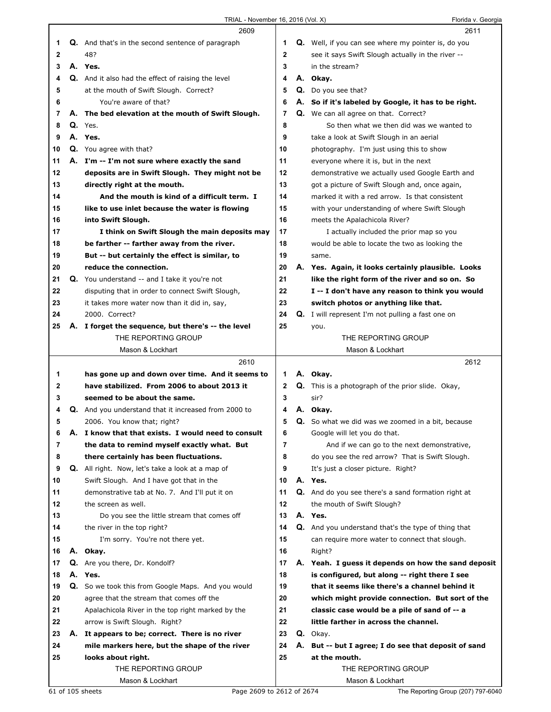TRIAL - November 16, 2016 (Vol. X) Channel Company of Florida v. Georgia

|    |    | 2609                                                      |                |    | 2611                                                     |
|----|----|-----------------------------------------------------------|----------------|----|----------------------------------------------------------|
| 1  |    | <b>Q.</b> And that's in the second sentence of paragraph  | 1              |    | Q. Well, if you can see where my pointer is, do you      |
| 2  |    | 48?                                                       | $\mathbf{2}$   |    | see it says Swift Slough actually in the river --        |
| 3  |    | A. Yes.                                                   | 3              |    | in the stream?                                           |
| 4  |    | Q. And it also had the effect of raising the level        | 4              |    | A. Okay.                                                 |
|    |    |                                                           |                |    |                                                          |
| 5  |    | at the mouth of Swift Slough. Correct?                    | 5              |    | Q. Do you see that?                                      |
| 6  |    | You're aware of that?                                     | 6              |    | A. So if it's labeled by Google, it has to be right.     |
| 7  |    | A. The bed elevation at the mouth of Swift Slough.        | 7              |    | <b>Q.</b> We can all agree on that. Correct?             |
| 8  |    | $Q.$ Yes.                                                 | 8              |    | So then what we then did was we wanted to                |
| 9  |    | A. Yes.                                                   | 9              |    | take a look at Swift Slough in an aerial                 |
| 10 |    | <b>Q.</b> You agree with that?                            | 10             |    | photography. I'm just using this to show                 |
| 11 |    | A. I'm -- I'm not sure where exactly the sand             | 11             |    | everyone where it is, but in the next                    |
| 12 |    | deposits are in Swift Slough. They might not be           | 12             |    | demonstrative we actually used Google Earth and          |
| 13 |    | directly right at the mouth.                              | 13             |    | got a picture of Swift Slough and, once again,           |
| 14 |    | And the mouth is kind of a difficult term. I              | 14             |    | marked it with a red arrow. Is that consistent           |
| 15 |    | like to use inlet because the water is flowing            | 15             |    | with your understanding of where Swift Slough            |
| 16 |    | into Swift Slough.                                        | 16             |    | meets the Apalachicola River?                            |
| 17 |    | I think on Swift Slough the main deposits may             | 17             |    | I actually included the prior map so you                 |
| 18 |    | be farther -- farther away from the river.                | 18             |    | would be able to locate the two as looking the           |
|    |    |                                                           |                |    |                                                          |
| 19 |    | But -- but certainly the effect is similar, to            | 19             |    | same.                                                    |
| 20 |    | reduce the connection.                                    | 20             |    | A. Yes. Again, it looks certainly plausible. Looks       |
| 21 |    | Q. You understand -- and I take it you're not             | 21             |    | like the right form of the river and so on. So           |
| 22 |    | disputing that in order to connect Swift Slough,          | 22             |    | I -- I don't have any reason to think you would          |
| 23 |    | it takes more water now than it did in, say,              | 23             |    | switch photos or anything like that.                     |
| 24 |    | 2000. Correct?                                            | 24             |    | <b>Q.</b> I will represent I'm not pulling a fast one on |
| 25 |    | A. I forget the sequence, but there's -- the level        | 25             |    | you.                                                     |
|    |    | THE REPORTING GROUP                                       |                |    | THE REPORTING GROUP                                      |
|    |    | Mason & Lockhart                                          |                |    | Mason & Lockhart                                         |
|    |    |                                                           |                |    |                                                          |
|    |    | 2610                                                      |                |    | 2612                                                     |
| 1  |    | has gone up and down over time. And it seems to           | 1              |    | A. Okay.                                                 |
| 2  |    | have stabilized. From 2006 to about 2013 it               | $\mathbf{2}$   |    | Q. This is a photograph of the prior slide. Okay,        |
| 3  |    | seemed to be about the same.                              | 3              |    | sir?                                                     |
| 4  |    | Q. And you understand that it increased from 2000 to      | 4              |    | A. Okay.                                                 |
| 5  |    | 2006. You know that; right?                               | 5              |    | Q. So what we did was we zoomed in a bit, because        |
| 6  |    | A. I know that that exists. I would need to consult       | 6              |    | Google will let you do that.                             |
| 7  |    | the data to remind myself exactly what. But               | $\overline{7}$ |    | And if we can go to the next demonstrative,              |
| 8  |    |                                                           | 8              |    |                                                          |
|    |    | there certainly has been fluctuations.                    | 9              |    | do you see the red arrow? That is Swift Slough.          |
| 9  |    | Q. All right. Now, let's take a look at a map of          |                |    | It's just a closer picture. Right?                       |
| 10 |    | Swift Slough. And I have got that in the                  | 10             |    | A. Yes.                                                  |
| 11 |    | demonstrative tab at No. 7. And I'll put it on            | 11             |    | Q. And do you see there's a sand formation right at      |
| 12 |    | the screen as well.                                       | 12             |    | the mouth of Swift Slough?                               |
| 13 |    | Do you see the little stream that comes off               | 13             |    | A. Yes.                                                  |
| 14 |    | the river in the top right?                               | 14             |    | Q. And you understand that's the type of thing that      |
| 15 |    | I'm sorry. You're not there yet.                          | 15             |    | can require more water to connect that slough.           |
| 16 |    | A. Okay.                                                  | 16             |    | Right?                                                   |
| 17 |    | Q. Are you there, Dr. Kondolf?                            | 17             |    | A. Yeah. I guess it depends on how the sand deposit      |
| 18 |    | A. Yes.                                                   | 18             |    | is configured, but along -- right there I see            |
| 19 |    | <b>Q.</b> So we took this from Google Maps. And you would | 19             |    | that it seems like there's a channel behind it           |
| 20 |    | agree that the stream that comes off the                  | 20             |    | which might provide connection. But sort of the          |
| 21 |    | Apalachicola River in the top right marked by the         | 21             |    | classic case would be a pile of sand of -- a             |
| 22 |    | arrow is Swift Slough. Right?                             | 22             |    | little farther in across the channel.                    |
| 23 | А. | It appears to be; correct. There is no river              | 23             |    | Q. Okay.                                                 |
| 24 |    | mile markers here, but the shape of the river             | 24             | А. | But -- but I agree; I do see that deposit of sand        |
| 25 |    | looks about right.                                        | 25             |    | at the mouth.                                            |
|    |    | THE REPORTING GROUP                                       |                |    | THE REPORTING GROUP                                      |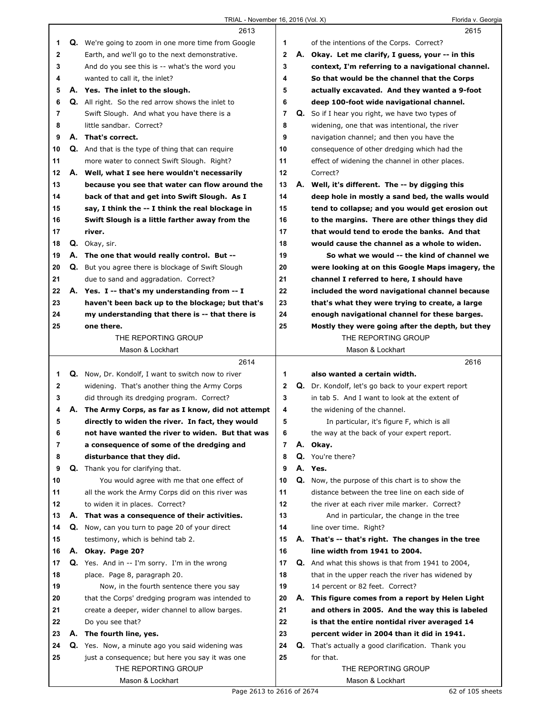|                |    | 2613                                                       |                     | 2615                                                       |
|----------------|----|------------------------------------------------------------|---------------------|------------------------------------------------------------|
| 1              |    | <b>Q.</b> We're going to zoom in one more time from Google | 1                   | of the intentions of the Corps. Correct?                   |
| $\mathbf{2}$   |    | Earth, and we'll go to the next demonstrative.             | $\mathbf{2}$        | A. Okay. Let me clarify, I quess, your -- in this          |
| 3              |    | And do you see this is -- what's the word you              | 3                   | context, I'm referring to a navigational channel.          |
| 4              |    | wanted to call it, the inlet?                              | 4                   | So that would be the channel that the Corps                |
| 5              |    | A. Yes. The inlet to the slough.                           | 5                   | actually excavated. And they wanted a 9-foot               |
| 6              |    | Q. All right. So the red arrow shows the inlet to          | 6                   | deep 100-foot wide navigational channel.                   |
| $\overline{7}$ |    | Swift Slough. And what you have there is a                 | $\overline{7}$      | <b>Q.</b> So if I hear you right, we have two types of     |
| 8              |    | little sandbar. Correct?                                   | 8                   | widening, one that was intentional, the river              |
| 9              |    | A. That's correct.                                         | 9                   | navigation channel; and then you have the                  |
| 10             |    | <b>Q.</b> And that is the type of thing that can require   | 10                  | consequence of other dredging which had the                |
| 11             |    |                                                            | 11                  |                                                            |
|                |    | more water to connect Swift Slough. Right?                 | 12                  | effect of widening the channel in other places.            |
| 12             |    | A. Well, what I see here wouldn't necessarily              |                     | Correct?                                                   |
| 13             |    | because you see that water can flow around the             | 13                  | A. Well, it's different. The -- by digging this            |
| 14             |    | back of that and get into Swift Slough. As I               | 14                  | deep hole in mostly a sand bed, the walls would            |
| 15             |    | say, I think the -- I think the real blockage in           | 15                  | tend to collapse; and you would get erosion out            |
| 16             |    | Swift Slough is a little farther away from the             | 16                  | to the margins. There are other things they did            |
| 17             |    | river.                                                     | 17                  | that would tend to erode the banks. And that               |
| 18             |    | Q. Okay, sir.                                              | 18                  | would cause the channel as a whole to widen.               |
| 19             |    | A. The one that would really control. But --               | 19                  | So what we would -- the kind of channel we                 |
| 20             |    | <b>Q.</b> But you agree there is blockage of Swift Slough  | 20                  | were looking at on this Google Maps imagery, the           |
| 21             |    | due to sand and aggradation. Correct?                      | 21                  | channel I referred to here, I should have                  |
| 22             |    | A. Yes. I -- that's my understanding from -- I             | 22                  | included the word navigational channel because             |
| 23             |    | haven't been back up to the blockage; but that's           | 23                  | that's what they were trying to create, a large            |
| 24             |    | my understanding that there is -- that there is            | 24                  | enough navigational channel for these barges.              |
| 25             |    | one there.                                                 | 25                  | Mostly they were going after the depth, but they           |
|                |    | THE REPORTING GROUP                                        |                     | THE REPORTING GROUP                                        |
|                |    | Mason & Lockhart                                           |                     | Mason & Lockhart                                           |
|                |    |                                                            |                     |                                                            |
|                |    | 2614                                                       |                     | 2616                                                       |
| 1              |    | <b>Q.</b> Now, Dr. Kondolf, I want to switch now to river  | 1                   | also wanted a certain width.                               |
| $\mathbf{2}$   |    | widening. That's another thing the Army Corps              | 2                   | <b>Q.</b> Dr. Kondolf, let's go back to your expert report |
| 3              |    | did through its dredging program. Correct?                 | 3                   | in tab 5. And I want to look at the extent of              |
| 4              | А. | The Army Corps, as far as I know, did not attempt          | 4                   | the widening of the channel.                               |
| 5              |    |                                                            | 5                   |                                                            |
|                |    | directly to widen the river. In fact, they would           |                     | In particular, it's figure F, which is all                 |
| 6              |    | not have wanted the river to widen. But that was           | 6<br>$\overline{7}$ | the way at the back of your expert report.                 |
| 7              |    | a consequence of some of the dredging and                  |                     | A. Okay.                                                   |
| 8              |    | disturbance that they did.                                 | 8                   | Q. You're there?                                           |
| 9              |    | Q. Thank you for clarifying that.                          | 9                   | A. Yes.                                                    |
| 10             |    | You would agree with me that one effect of                 | 10                  | Q. Now, the purpose of this chart is to show the           |
| 11             |    | all the work the Army Corps did on this river was          | 11                  | distance between the tree line on each side of             |
| 12             |    | to widen it in places. Correct?                            | 12                  | the river at each river mile marker. Correct?              |
| 13             |    | A. That was a consequence of their activities.             | 13                  | And in particular, the change in the tree                  |
| 14             |    | Q. Now, can you turn to page 20 of your direct             | 14                  | line over time. Right?                                     |
| 15             |    | testimony, which is behind tab 2.                          | 15                  | A. That's -- that's right. The changes in the tree         |
| 16             |    | A. Okay. Page 20?                                          | 16                  | line width from 1941 to 2004.                              |
| 17             |    | <b>Q.</b> Yes. And in -- I'm sorry. I'm in the wrong       | 17                  | <b>Q.</b> And what this shows is that from 1941 to 2004,   |
| 18             |    | place. Page 8, paragraph 20.                               | 18                  | that in the upper reach the river has widened by           |
| 19             |    | Now, in the fourth sentence there you say                  | 19                  | 14 percent or 82 feet. Correct?                            |
| 20             |    | that the Corps' dredging program was intended to           | 20                  | A. This figure comes from a report by Helen Light          |
| 21             |    | create a deeper, wider channel to allow barges.            | 21                  | and others in 2005. And the way this is labeled            |
| 22             |    | Do you see that?                                           | 22                  | is that the entire nontidal river averaged 14              |
| 23             |    | A. The fourth line, yes.                                   | 23                  | percent wider in 2004 than it did in 1941.                 |
| 24             |    | Q. Yes. Now, a minute ago you said widening was            | 24                  | <b>Q.</b> That's actually a good clarification. Thank you  |
| 25             |    | just a consequence; but here you say it was one            | 25                  | for that.                                                  |
|                |    | THE REPORTING GROUP                                        |                     | THE REPORTING GROUP                                        |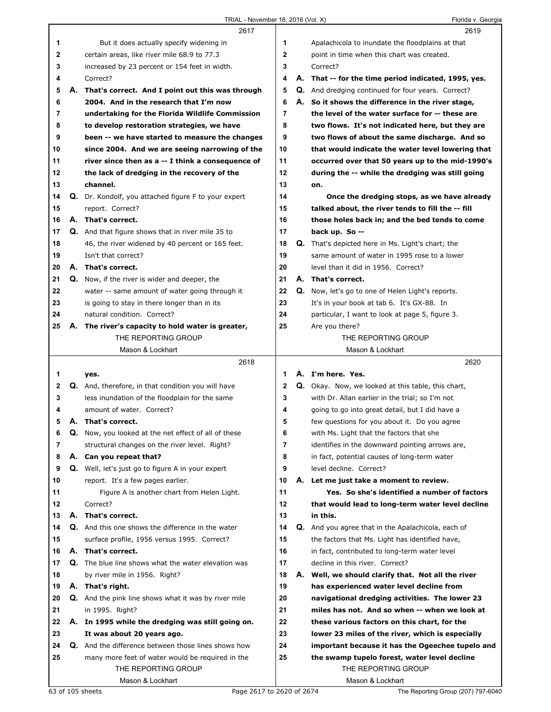|              |    | 2617                                                        |              | 2619                                                      |
|--------------|----|-------------------------------------------------------------|--------------|-----------------------------------------------------------|
| 1            |    | But it does actually specify widening in                    | 1            | Apalachicola to inundate the floodplains at that          |
| $\mathbf{2}$ |    | certain areas, like river mile 68.9 to 77.3                 | $\mathbf{2}$ | point in time when this chart was created.                |
| 3            |    | increased by 23 percent or 154 feet in width.               | 3            | Correct?                                                  |
| 4            |    | Correct?                                                    | 4            | A. That -- for the time period indicated, 1995, yes.      |
| 5            | А. | That's correct. And I point out this was through            | 5            | <b>Q.</b> And dredging continued for four years. Correct? |
| 6            |    | 2004. And in the research that I'm now                      | 6            | A. So it shows the difference in the river stage,         |
| 7            |    | undertaking for the Florida Wildlife Commission             | 7            | the level of the water surface for -- these are           |
| 8            |    | to develop restoration strategies, we have                  | 8            | two flows. It's not indicated here, but they are          |
| 9            |    | been -- we have started to measure the changes              | 9            | two flows of about the same discharge. And so             |
| 10           |    | since 2004. And we are seeing narrowing of the              | 10           | that would indicate the water level lowering that         |
| 11           |    | river since then as a -- I think a consequence of           | 11           | occurred over that 50 years up to the mid-1990's          |
| 12           |    | the lack of dredging in the recovery of the                 | 12           | during the -- while the dredging was still going          |
| 13           |    | channel.                                                    | 13           | on.                                                       |
| 14           |    | Q. Dr. Kondolf, you attached figure F to your expert        | 14           | Once the dredging stops, as we have already               |
| 15           |    | report. Correct?                                            | 15           | talked about, the river tends to fill the -- fill         |
| 16           |    | A. That's correct.                                          | 16           | those holes back in; and the bed tends to come            |
| 17           |    | <b>Q.</b> And that figure shows that in river mile 35 to    | 17           | back up. So --                                            |
| 18           |    | 46, the river widened by 40 percent or 165 feet.            | 18           | Q. That's depicted here in Ms. Light's chart; the         |
| 19           |    | Isn't that correct?                                         | 19           | same amount of water in 1995 rose to a lower              |
| 20           |    | A. That's correct.                                          | 20           | level than it did in 1956. Correct?                       |
| 21           |    | Q. Now, if the river is wider and deeper, the               | 21           | A. That's correct.                                        |
| 22           |    | water -- same amount of water going through it              | 22           | Q. Now, let's go to one of Helen Light's reports.         |
| 23           |    | is going to stay in there longer than in its                | 23           | It's in your book at tab 6. It's GX-88. In                |
| 24           |    | natural condition. Correct?                                 | 24           | particular, I want to look at page 5, figure 3.           |
| 25           |    | A. The river's capacity to hold water is greater,           | 25           | Are you there?                                            |
|              |    | THE REPORTING GROUP                                         |              | THE REPORTING GROUP                                       |
|              |    | Mason & Lockhart                                            |              | Mason & Lockhart                                          |
|              |    |                                                             |              |                                                           |
|              |    |                                                             |              |                                                           |
|              |    | 2618                                                        |              | 2620                                                      |
| 1            |    | yes.                                                        | 1            | A. I'm here. Yes.                                         |
| 2            |    | Q. And, therefore, in that condition you will have          | 2            | <b>Q.</b> Okay. Now, we looked at this table, this chart, |
| 3            |    | less inundation of the floodplain for the same              | 3            | with Dr. Allan earlier in the trial; so I'm not           |
| 4            |    | amount of water. Correct?                                   | 4            | going to go into great detail, but I did have a           |
| 5            |    | A. That's correct.                                          | 5            | few questions for you about it. Do you agree              |
| 6            | Q. | Now, you looked at the net effect of all of these           | 6            | with Ms. Light that the factors that she                  |
| 7            |    | structural changes on the river level. Right?               | 7            | identifies in the downward pointing arrows are,           |
| 8            |    | A. Can you repeat that?                                     | 8            | in fact, potential causes of long-term water              |
| 9            |    | Q. Well, let's just go to figure A in your expert           | 9            | level decline. Correct?                                   |
| 10           |    | report. It's a few pages earlier.                           | 10           | A. Let me just take a moment to review.                   |
| 11           |    | Figure A is another chart from Helen Light.                 | 11           | Yes. So she's identified a number of factors              |
| 12           |    | Correct?                                                    | 12           | that would lead to long-term water level decline          |
| 13           |    | A. That's correct.                                          | 13           | in this.                                                  |
| 14           |    | Q. And this one shows the difference in the water           | 14           | Q. And you agree that in the Apalachicola, each of        |
| 15           |    | surface profile, 1956 versus 1995. Correct?                 | 15           | the factors that Ms. Light has identified have,           |
| 16           |    | A. That's correct.                                          | 16           | in fact, contributed to long-term water level             |
| 17           |    | Q. The blue line shows what the water elevation was         | 17           | decline in this river. Correct?                           |
| 18           |    | by river mile in 1956. Right?                               | 18           | A. Well, we should clarify that. Not all the river        |
| 19           |    | A. That's right.                                            | 19           | has experienced water level decline from                  |
| 20           |    | <b>Q.</b> And the pink line shows what it was by river mile | 20           | navigational dredging activities. The lower 23            |
| 21           |    | in 1995. Right?                                             | 21           | miles has not. And so when -- when we look at             |
| 22           |    | A. In 1995 while the dredging was still going on.           | 22           | these various factors on this chart, for the              |
| 23           |    | It was about 20 years ago.                                  | 23           | lower 23 miles of the river, which is especially          |
| 24           |    | Q. And the difference between those lines shows how         | 24           | important because it has the Ogeechee tupelo and          |
| 25           |    | many more feet of water would be required in the            | 25           | the swamp tupelo forest, water level decline              |
|              |    | THE REPORTING GROUP                                         |              | THE REPORTING GROUP                                       |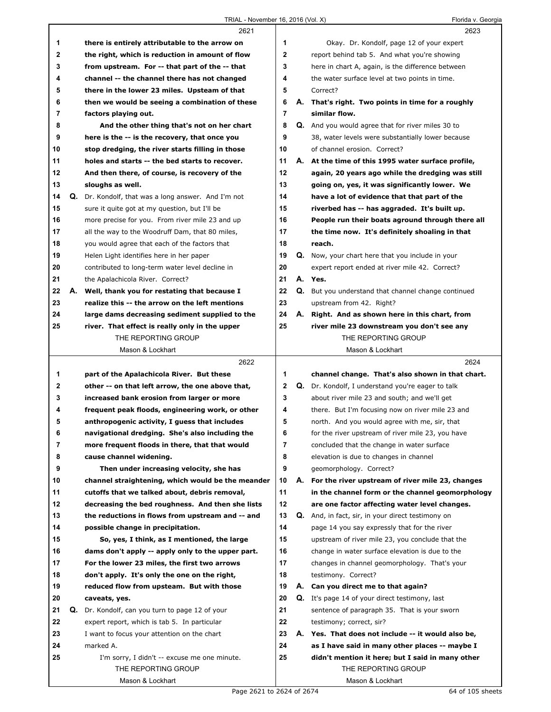## TRIAL - November 16, 2016 (Vol. X) Florida v. Georgia

|                |    | 2621                                              |                |    | 2623                                                     |
|----------------|----|---------------------------------------------------|----------------|----|----------------------------------------------------------|
| 1              |    | there is entirely attributable to the arrow on    | 1              |    | Okay. Dr. Kondolf, page 12 of your expert                |
| $\mathbf{2}$   |    | the right, which is reduction in amount of flow   | $\mathbf{2}$   |    | report behind tab 5. And what you're showing             |
| 3              |    | from upstream. For -- that part of the -- that    | 3              |    | here in chart A, again, is the difference between        |
| 4              |    | channel -- the channel there has not changed      | 4              |    | the water surface level at two points in time.           |
| 5              |    | there in the lower 23 miles. Upsteam of that      | 5              |    | Correct?                                                 |
| 6              |    | then we would be seeing a combination of these    | 6              | А. | That's right. Two points in time for a roughly           |
| $\overline{7}$ |    | factors playing out.                              | $\overline{7}$ |    | similar flow.                                            |
| 8              |    | And the other thing that's not on her chart       | 8              |    | Q. And you would agree that for river miles 30 to        |
| 9              |    | here is the -- is the recovery, that once you     | 9              |    | 38, water levels were substantially lower because        |
| 10             |    | stop dredging, the river starts filling in those  | 10             |    | of channel erosion. Correct?                             |
| 11             |    | holes and starts -- the bed starts to recover.    | 11             |    | A. At the time of this 1995 water surface profile,       |
| 12             |    | And then there, of course, is recovery of the     | 12             |    | again, 20 years ago while the dredging was still         |
| 13             |    | sloughs as well.                                  | 13             |    | going on, yes, it was significantly lower. We            |
| 14             | Q. | Dr. Kondolf, that was a long answer. And I'm not  | 14             |    | have a lot of evidence that that part of the             |
| 15             |    | sure it quite got at my question, but I'll be     | 15             |    | riverbed has -- has aggraded. It's built up.             |
| 16             |    | more precise for you. From river mile 23 and up   | 16             |    | People run their boats aground through there all         |
| 17             |    | all the way to the Woodruff Dam, that 80 miles,   | 17             |    | the time now. It's definitely shoaling in that           |
| 18             |    | you would agree that each of the factors that     | 18             |    | reach.                                                   |
| 19             |    | Helen Light identifies here in her paper          | 19             |    | Q. Now, your chart here that you include in your         |
| 20             |    | contributed to long-term water level decline in   | 20             |    | expert report ended at river mile 42. Correct?           |
| 21             |    | the Apalachicola River. Correct?                  | 21             |    | A. Yes.                                                  |
| 22             | А. | Well, thank you for restating that because I      | 22             | Q. | But you understand that channel change continued         |
| 23             |    | realize this -- the arrow on the left mentions    | 23             |    | upstream from 42. Right?                                 |
| 24             |    | large dams decreasing sediment supplied to the    | 24             |    | A. Right. And as shown here in this chart, from          |
| 25             |    | river. That effect is really only in the upper    | 25             |    | river mile 23 downstream you don't see any               |
|                |    | THE REPORTING GROUP                               |                |    | THE REPORTING GROUP                                      |
|                |    | Mason & Lockhart                                  |                |    | Mason & Lockhart                                         |
|                |    |                                                   |                |    |                                                          |
|                |    |                                                   |                |    |                                                          |
|                |    | 2622                                              |                |    | 2624                                                     |
| 1              |    | part of the Apalachicola River. But these         | 1              |    | channel change. That's also shown in that chart.         |
| 2              |    | other -- on that left arrow, the one above that,  | $\mathbf{2}$   |    | <b>Q.</b> Dr. Kondolf, I understand you're eager to talk |
| 3              |    | increased bank erosion from larger or more        | 3              |    | about river mile 23 and south; and we'll get             |
| 4              |    | frequent peak floods, engineering work, or other  | 4              |    | there. But I'm focusing now on river mile 23 and         |
| 5              |    | anthropogenic activity, I guess that includes     | 5              |    | north. And you would agree with me, sir, that            |
| 6              |    | navigational dredging. She's also including the   | 6              |    | for the river upstream of river mile 23, you have        |
| 7              |    | more frequent floods in there, that that would    | 7              |    | concluded that the change in water surface               |
| 8              |    | cause channel widening.                           | 8              |    | elevation is due to changes in channel                   |
| 9              |    | Then under increasing velocity, she has           | 9              |    | geomorphology. Correct?                                  |
| 10             |    | channel straightening, which would be the meander | 10             | А. | For the river upstream of river mile 23, changes         |
| 11             |    | cutoffs that we talked about, debris removal,     | 11             |    | in the channel form or the channel geomorphology         |
| 12             |    | decreasing the bed roughness. And then she lists  | 12             |    | are one factor affecting water level changes.            |
| 13             |    | the reductions in flows from upstream and -- and  | 13             |    | Q. And, in fact, sir, in your direct testimony on        |
| 14             |    | possible change in precipitation.                 | 14             |    | page 14 you say expressly that for the river             |
| 15             |    | So, yes, I think, as I mentioned, the large       | 15             |    | upstream of river mile 23, you conclude that the         |
| 16             |    | dams don't apply -- apply only to the upper part. | 16             |    | change in water surface elevation is due to the          |
| 17             |    | For the lower 23 miles, the first two arrows      | 17             |    | changes in channel geomorphology. That's your            |
| 18             |    | don't apply. It's only the one on the right,      | 18             |    | testimony. Correct?                                      |
| 19             |    | reduced flow from upsteam. But with those         | 19             |    | A. Can you direct me to that again?                      |
| 20             |    | caveats, yes.                                     | 20             |    | Q. It's page 14 of your direct testimony, last           |
| 21             | Q. | Dr. Kondolf, can you turn to page 12 of your      | 21             |    | sentence of paragraph 35. That is your sworn             |
| 22             |    | expert report, which is tab 5. In particular      | 22             |    | testimony; correct, sir?                                 |
| 23             |    | I want to focus your attention on the chart       | 23             |    | A. Yes. That does not include -- it would also be,       |
| 24             |    | marked A.                                         | 24             |    | as I have said in many other places -- maybe I           |
| 25             |    | I'm sorry, I didn't -- excuse me one minute.      | 25             |    | didn't mention it here; but I said in many other         |
|                |    | THE REPORTING GROUP<br>Mason & Lockhart           |                |    | THE REPORTING GROUP<br>Mason & Lockhart                  |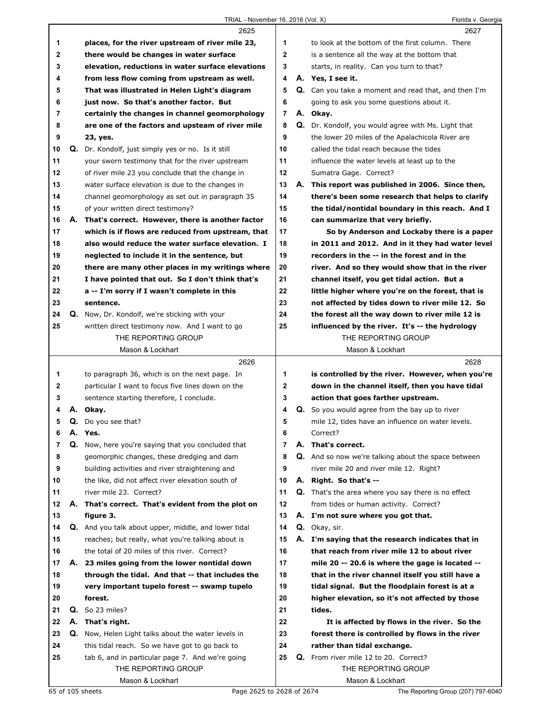## TRIAL - November 16, 2016 (Vol. X) Florida v. Georgia

|    |    | 2625                                                 |                | 2627                                                  |
|----|----|------------------------------------------------------|----------------|-------------------------------------------------------|
| 1  |    | places, for the river upstream of river mile 23,     | 1              | to look at the bottom of the first column. There      |
| 2  |    | there would be changes in water surface              | $\mathbf{2}$   | is a sentence all the way at the bottom that          |
| 3  |    | elevation, reductions in water surface elevations    | 3              | starts, in reality. Can you turn to that?             |
| 4  |    | from less flow coming from upstream as well.         | 4              | A. Yes, I see it.                                     |
| 5  |    | That was illustrated in Helen Light's diagram        | 5              | Q. Can you take a moment and read that, and then I'm  |
| 6  |    | just now. So that's another factor. But              | 6              | going to ask you some questions about it.             |
| 7  |    | certainly the changes in channel geomorphology       | $\overline{7}$ | A. Okay.                                              |
| 8  |    | are one of the factors and upsteam of river mile     | 8              | Q. Dr. Kondolf, you would agree with Ms. Light that   |
| 9  |    | 23, yes.                                             | 9              | the lower 20 miles of the Apalachicola River are      |
| 10 |    | Q. Dr. Kondolf, just simply yes or no. Is it still   | 10             | called the tidal reach because the tides              |
| 11 |    | your sworn testimony that for the river upstream     | 11             | influence the water levels at least up to the         |
| 12 |    | of river mile 23 you conclude that the change in     | $12 \,$        | Sumatra Gage. Correct?                                |
| 13 |    | water surface elevation is due to the changes in     | 13             | A. This report was published in 2006. Since then,     |
| 14 |    | channel geomorphology as set out in paragraph 35     | 14             | there's been some research that helps to clarify      |
| 15 |    |                                                      | 15             | the tidal/nontidal boundary in this reach. And I      |
|    |    | of your written direct testimony?                    |                |                                                       |
| 16 | А. | That's correct. However, there is another factor     | 16             | can summarize that very briefly.                      |
| 17 |    | which is if flows are reduced from upstream, that    | 17             | So by Anderson and Lockaby there is a paper           |
| 18 |    | also would reduce the water surface elevation. I     | 18             | in 2011 and 2012. And in it they had water level      |
| 19 |    | neglected to include it in the sentence, but         | 19             | recorders in the -- in the forest and in the          |
| 20 |    | there are many other places in my writings where     | 20             | river. And so they would show that in the river       |
| 21 |    | I have pointed that out. So I don't think that's     | 21             | channel itself, you get tidal action. But a           |
| 22 |    | a -- I'm sorry if I wasn't complete in this          | 22             | little higher where you're on the forest, that is     |
| 23 |    | sentence.                                            | 23             | not affected by tides down to river mile 12. So       |
| 24 |    | <b>Q.</b> Now, Dr. Kondolf, we're sticking with your | 24             | the forest all the way down to river mile 12 is       |
| 25 |    | written direct testimony now. And I want to go       | 25             | influenced by the river. It's -- the hydrology        |
|    |    | THE REPORTING GROUP                                  |                | THE REPORTING GROUP                                   |
|    |    | Mason & Lockhart                                     |                | Mason & Lockhart                                      |
|    |    |                                                      |                |                                                       |
|    |    | 2626                                                 |                | 2628                                                  |
| 1  |    | to paragraph 36, which is on the next page. In       | 1              | is controlled by the river. However, when you're      |
| 2  |    | particular I want to focus five lines down on the    | $\mathbf{2}$   | down in the channel itself, then you have tidal       |
| 3  |    | sentence starting therefore, I conclude.             | 3              | action that goes farther upstream.                    |
| 4  | А. | Okay.                                                | 4              | <b>Q.</b> So you would agree from the bay up to river |
| 5  |    | Q. Do you see that?                                  | 5              | mile 12, tides have an influence on water levels.     |
| 6  |    | A. Yes.                                              | 6              | Correct?                                              |
| 7  | Q. | Now, here you're saying that you concluded that      | $\overline{7}$ | A. That's correct.                                    |
| 8  |    | geomorphic changes, these dredging and dam           | 8              | Q. And so now we're talking about the space between   |
| 9  |    | building activities and river straightening and      | 9              | river mile 20 and river mile 12. Right?               |
| 10 |    | the like, did not affect river elevation south of    | 10             | A. Right. So that's --                                |
| 11 |    | river mile 23. Correct?                              | 11             | Q. That's the area where you say there is no effect   |
| 12 |    | A. That's correct. That's evident from the plot on   | 12             | from tides or human activity. Correct?                |
| 13 |    | figure 3.                                            | 13             | A. I'm not sure where you got that.                   |
| 14 |    | Q. And you talk about upper, middle, and lower tidal | 14             | Q. Okay, sir.                                         |
| 15 |    | reaches; but really, what you're talking about is    | 15             | A. I'm saying that the research indicates that in     |
| 16 |    | the total of 20 miles of this river. Correct?        | 16             | that reach from river mile 12 to about river          |
| 17 | А. | 23 miles going from the lower nontidal down          | 17             | mile 20 -- 20.6 is where the gage is located --       |
| 18 |    | through the tidal. And that -- that includes the     | 18             | that in the river channel itself you still have a     |
| 19 |    | very important tupelo forest -- swamp tupelo         | 19             | tidal signal. But the floodplain forest is at a       |
| 20 |    | forest.                                              | 20             | higher elevation, so it's not affected by those       |
| 21 |    | <b>Q.</b> So 23 miles?                               | 21             | tides.                                                |
| 22 | А. | That's right.                                        | 22             | It is affected by flows in the river. So the          |
| 23 |    | Q. Now, Helen Light talks about the water levels in  | 23             | forest there is controlled by flows in the river      |
| 24 |    | this tidal reach. So we have got to go back to       | 24             | rather than tidal exchange.                           |
| 25 |    | tab 6, and in particular page 7. And we're going     | 25             | Q. From river mile 12 to 20. Correct?                 |
|    |    | THE REPORTING GROUP                                  |                | THE REPORTING GROUP<br>Mason & Lockhart               |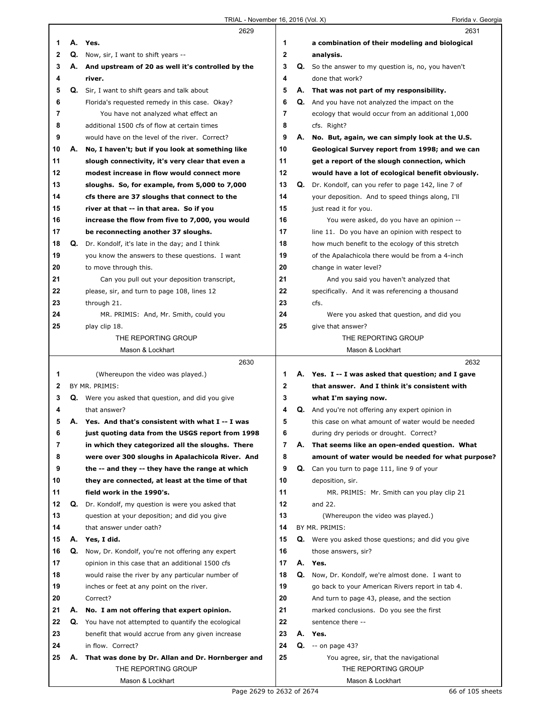|    |    | 2629                                                        |    |    | 2631                                                    |
|----|----|-------------------------------------------------------------|----|----|---------------------------------------------------------|
| 1. | А. | Yes.                                                        | 1  |    | a combination of their modeling and biological          |
| 2  |    | <b>Q.</b> Now, sir, I want to shift years --                | 2  |    | analysis.                                               |
| 3  |    | A. And upstream of 20 as well it's controlled by the        | 3  |    | Q. So the answer to my question is, no, you haven't     |
| 4  |    | river.                                                      | 4  |    | done that work?                                         |
| 5  | Q. | Sir, I want to shift gears and talk about                   | 5  | А. | That was not part of my responsibility.                 |
| 6  |    | Florida's requested remedy in this case. Okay?              | 6  |    | <b>Q.</b> And you have not analyzed the impact on the   |
| 7  |    | You have not analyzed what effect an                        | 7  |    | ecology that would occur from an additional 1,000       |
| 8  |    | additional 1500 cfs of flow at certain times                | 8  |    | cfs. Right?                                             |
|    |    |                                                             |    |    |                                                         |
| 9  |    | would have on the level of the river. Correct?              | 9  |    | A. No. But, again, we can simply look at the U.S.       |
| 10 | А. | No, I haven't; but if you look at something like            | 10 |    | Geological Survey report from 1998; and we can          |
| 11 |    | slough connectivity, it's very clear that even a            | 11 |    | get a report of the slough connection, which            |
| 12 |    | modest increase in flow would connect more                  | 12 |    | would have a lot of ecological benefit obviously.       |
| 13 |    | sloughs. So, for example, from 5,000 to 7,000               | 13 |    | Q. Dr. Kondolf, can you refer to page 142, line 7 of    |
| 14 |    | cfs there are 37 sloughs that connect to the                | 14 |    | your deposition. And to speed things along, I'll        |
| 15 |    | river at that -- in that area. So if you                    | 15 |    | just read it for you.                                   |
| 16 |    | increase the flow from five to 7,000, you would             | 16 |    | You were asked, do you have an opinion --               |
| 17 |    | be reconnecting another 37 sloughs.                         | 17 |    | line 11. Do you have an opinion with respect to         |
| 18 |    | <b>Q.</b> Dr. Kondolf, it's late in the day; and I think    | 18 |    | how much benefit to the ecology of this stretch         |
| 19 |    | you know the answers to these questions. I want             | 19 |    | of the Apalachicola there would be from a 4-inch        |
| 20 |    | to move through this.                                       | 20 |    | change in water level?                                  |
| 21 |    | Can you pull out your deposition transcript,                | 21 |    | And you said you haven't analyzed that                  |
| 22 |    | please, sir, and turn to page 108, lines 12                 | 22 |    | specifically. And it was referencing a thousand         |
| 23 |    | through 21.                                                 | 23 |    | cfs.                                                    |
| 24 |    | MR. PRIMIS: And, Mr. Smith, could you                       | 24 |    | Were you asked that question, and did you               |
| 25 |    | play clip 18.                                               | 25 |    | give that answer?                                       |
|    |    | THE REPORTING GROUP                                         |    |    | THE REPORTING GROUP                                     |
|    |    | Mason & Lockhart                                            |    |    | Mason & Lockhart                                        |
|    |    |                                                             |    |    |                                                         |
|    |    |                                                             |    |    |                                                         |
|    |    | 2630                                                        |    |    | 2632                                                    |
| 1  |    | (Whereupon the video was played.)                           | 1. |    | A. Yes. I -- I was asked that question; and I gave      |
| 2  |    | BY MR. PRIMIS:                                              | 2  |    | that answer. And I think it's consistent with           |
| 3  |    | <b>Q.</b> Were you asked that question, and did you give    | 3  |    | what I'm saying now.                                    |
| 4  |    | that answer?                                                | 4  |    | <b>Q.</b> And you're not offering any expert opinion in |
| 5  |    | A. Yes. And that's consistent with what I -- I was          | 5  |    | this case on what amount of water would be needed       |
| 6  |    | just quoting data from the USGS report from 1998            | 6  |    | during dry periods or drought. Correct?                 |
| 7  |    | in which they categorized all the sloughs. There            | 7  |    | A. That seems like an open-ended question. What         |
| 8  |    | were over 300 sloughs in Apalachicola River. And            | 8  |    | amount of water would be needed for what purpose?       |
| 9  |    | the -- and they -- they have the range at which             | 9  |    | Q. Can you turn to page 111, line 9 of your             |
| 10 |    | they are connected, at least at the time of that            | 10 |    | deposition, sir.                                        |
| 11 |    | field work in the 1990's.                                   | 11 |    | MR. PRIMIS: Mr. Smith can you play clip 21              |
| 12 | Q. | Dr. Kondolf, my question is were you asked that             | 12 |    | and 22.                                                 |
| 13 |    | question at your deposition; and did you give               | 13 |    | (Whereupon the video was played.)                       |
| 14 |    | that answer under oath?                                     | 14 |    | BY MR. PRIMIS:                                          |
| 15 | А. | Yes, I did.                                                 | 15 |    | Q. Were you asked those questions; and did you give     |
| 16 |    | Q. Now, Dr. Kondolf, you're not offering any expert         | 16 |    | those answers, sir?                                     |
| 17 |    | opinion in this case that an additional 1500 cfs            | 17 |    | A. Yes.                                                 |
| 18 |    | would raise the river by any particular number of           | 18 | Q. | Now, Dr. Kondolf, we're almost done. I want to          |
| 19 |    | inches or feet at any point on the river.                   | 19 |    | go back to your American Rivers report in tab 4.        |
| 20 |    | Correct?                                                    | 20 |    | And turn to page 43, please, and the section            |
| 21 | А. | No. I am not offering that expert opinion.                  | 21 |    | marked conclusions. Do you see the first                |
| 22 |    | <b>Q.</b> You have not attempted to quantify the ecological | 22 |    | sentence there --                                       |
| 23 |    | benefit that would accrue from any given increase           | 23 |    | A. Yes.                                                 |
| 24 |    | in flow. Correct?                                           | 24 | Q. | $-$ on page 43?                                         |
| 25 | Α. | That was done by Dr. Allan and Dr. Hornberger and           | 25 |    | You agree, sir, that the navigational                   |
|    |    | THE REPORTING GROUP                                         |    |    | THE REPORTING GROUP                                     |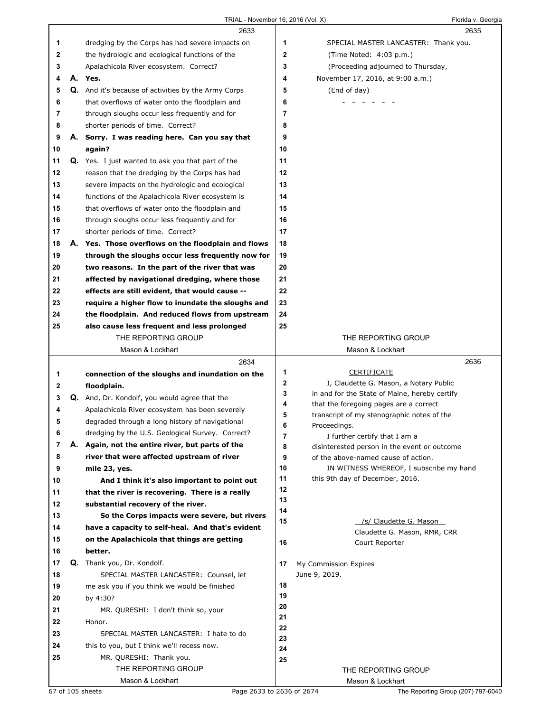|             |    | 2633                                                       |             | 2635                                                   |
|-------------|----|------------------------------------------------------------|-------------|--------------------------------------------------------|
| 1           |    | dredging by the Corps has had severe impacts on            | 1           | SPECIAL MASTER LANCASTER: Thank you.                   |
| $\mathbf 2$ |    | the hydrologic and ecological functions of the             | $\mathbf 2$ | (Time Noted: 4:03 p.m.)                                |
| 3           |    | Apalachicola River ecosystem. Correct?                     | 3           | (Proceeding adjourned to Thursday,                     |
| 4           |    | A. Yes.                                                    | 4           | November 17, 2016, at 9:00 a.m.)                       |
| 5           |    | <b>Q.</b> And it's because of activities by the Army Corps | 5           | (End of day)                                           |
| 6           |    | that overflows of water onto the floodplain and            | 6           |                                                        |
| 7           |    | through sloughs occur less frequently and for              | 7           |                                                        |
| 8           |    | shorter periods of time. Correct?                          | 8           |                                                        |
| 9           | А. | Sorry. I was reading here. Can you say that                | 9           |                                                        |
| 10          |    | again?                                                     | 10          |                                                        |
| 11          |    | <b>Q.</b> Yes. I just wanted to ask you that part of the   | 11          |                                                        |
| 12          |    | reason that the dredging by the Corps has had              | 12          |                                                        |
| 13          |    | severe impacts on the hydrologic and ecological            | 13          |                                                        |
| 14          |    | functions of the Apalachicola River ecosystem is           | 14          |                                                        |
| 15          |    | that overflows of water onto the floodplain and            | 15          |                                                        |
| 16          |    | through sloughs occur less frequently and for              | 16          |                                                        |
| 17          |    | shorter periods of time. Correct?                          | 17          |                                                        |
| 18          |    | A. Yes. Those overflows on the floodplain and flows        | 18          |                                                        |
| 19          |    | through the sloughs occur less frequently now for          | 19          |                                                        |
| 20          |    | two reasons. In the part of the river that was             | 20          |                                                        |
| 21          |    | affected by navigational dredging, where those             | 21          |                                                        |
| 22          |    | effects are still evident, that would cause --             | 22          |                                                        |
| 23          |    | require a higher flow to inundate the sloughs and          | 23          |                                                        |
| 24          |    | the floodplain. And reduced flows from upstream            | 24          |                                                        |
| 25          |    | also cause less frequent and less prolonged                | 25          |                                                        |
|             |    | THE REPORTING GROUP                                        |             | THE REPORTING GROUP                                    |
|             |    | Mason & Lockhart                                           |             | Mason & Lockhart                                       |
|             |    | 2634                                                       |             | 2636                                                   |
|             |    |                                                            |             |                                                        |
| 1           |    | connection of the sloughs and inundation on the            | 1           | <b>CERTIFICATE</b>                                     |
| 2           |    | floodplain.                                                | 2           | I, Claudette G. Mason, a Notary Public                 |
| 3           |    | <b>Q.</b> And, Dr. Kondolf, you would agree that the       | 3           | in and for the State of Maine, hereby certify          |
| 4           |    | Apalachicola River ecosystem has been severely             | 4           | that the foregoing pages are a correct                 |
| 5           |    | degraded through a long history of navigational            | 5<br>6      | transcript of my stenographic notes of the             |
| 6           |    | dredging by the U.S. Geological Survey. Correct?           | 7           | Proceedings.<br>I further certify that I am a          |
| 7           |    | A. Again, not the entire river, but parts of the           | 8           | disinterested person in the event or outcome           |
| 8           |    | river that were affected upstream of river                 | 9           | of the above-named cause of action.                    |
| 9           |    | mile 23, yes.                                              | 10          | IN WITNESS WHEREOF, I subscribe my hand                |
| 10          |    | And I think it's also important to point out               | 11          | this 9th day of December, 2016.                        |
| 11          |    | that the river is recovering. There is a really            | 12          |                                                        |
| 12          |    | substantial recovery of the river.                         | 13          |                                                        |
| 13          |    | So the Corps impacts were severe, but rivers               | 14          |                                                        |
| 14          |    | have a capacity to self-heal. And that's evident           | 15          | /s/ Claudette G. Mason<br>Claudette G. Mason, RMR, CRR |
| 15          |    | on the Apalachicola that things are getting                | 16          | Court Reporter                                         |
| 16          |    | better.                                                    |             |                                                        |
| 17          |    | Q. Thank you, Dr. Kondolf.                                 | 17          | My Commission Expires                                  |
| 18          |    | SPECIAL MASTER LANCASTER: Counsel, let                     |             | June 9, 2019.                                          |
| 19          |    | me ask you if you think we would be finished               | 18          |                                                        |
| 20          |    | by 4:30?                                                   | 19          |                                                        |
| 21          |    | MR. QURESHI: I don't think so, your                        | 20<br>21    |                                                        |
| 22          |    | Honor.                                                     | 22          |                                                        |
| 23          |    | SPECIAL MASTER LANCASTER: I hate to do                     | 23          |                                                        |
| 24          |    | this to you, but I think we'll recess now.                 | 24          |                                                        |
| 25          |    | MR. QURESHI: Thank you.                                    | 25          |                                                        |
|             |    | THE REPORTING GROUP<br>Mason & Lockhart                    |             | THE REPORTING GROUP<br>Mason & Lockhart                |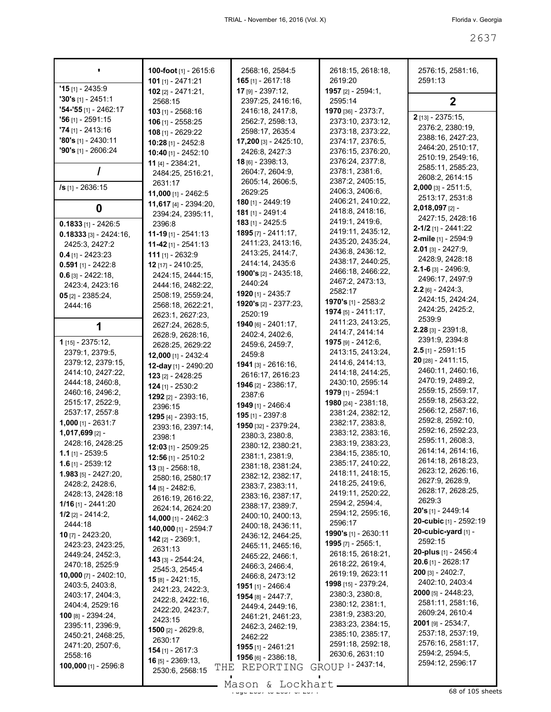|                                           | 100-foot [1] - 2615:6<br>101 [1] - 2471:21  | 2568:16, 2584:5<br>$165$ [1] - 2617:18 | 2618:15, 2618:18,<br>2619:20           | 2576:15, 2581:16,<br>2591:13             |
|-------------------------------------------|---------------------------------------------|----------------------------------------|----------------------------------------|------------------------------------------|
| $'15$ [1] - 2435:9                        | $102$ [2] - 2471:21,                        | 17 [9] - 2397:12,                      | 1957 [2] - 2594:1.                     |                                          |
| $'30's$ [1] - 2451:1                      | 2568:15                                     | 2397:25, 2416:16,                      | 2595:14                                | $\mathbf{2}$                             |
| $"54 - "55$ [1] - 2462:17                 | $103$ [1] - 2568:16                         | 2416:18, 2417:8,                       | 1970 [36] - 2373:7,                    |                                          |
| $'56$ [1] - 2591:15                       | $106$ [1] - 2558:25                         | 2562:7, 2598:13,                       | 2373:10, 2373:12,                      | 2 [13] - 2375:15,                        |
| $74$ [1] - 2413:16                        | 108 [1] - 2629:22                           | 2598:17, 2635:4                        | 2373:18, 2373:22,                      | 2376:2, 2380:19,                         |
| $'80's$ [1] - 2430:11                     | 10:28 [1] - 2452:8                          | 17,200 [3] - 2425:10,                  | 2374:17, 2376:5,                       | 2388:16, 2427:23,                        |
| $90's$ [1] - 2606:24                      | 10:40 [1] - 2452:10                         | 2426:8, 2427:3                         | 2376:15, 2376:20,                      | 2464:20, 2510:17,                        |
|                                           | 11 [4] - 2384:21,                           | $18$ [6] - 2398:13,                    | 2376:24, 2377:8,                       | 2510:19, 2549:16,                        |
|                                           | 2484:25, 2516:21,                           | 2604:7, 2604:9,                        | 2378:1, 2381:6,                        | 2585:11, 2585:23,                        |
|                                           | 2631:17                                     | 2605:14, 2606:5,                       | 2387:2, 2405:15,                       | 2608:2, 2614:15                          |
| /s [1] - 2636:15                          | 11,000 [1] - 2462:5                         | 2629:25                                | 2406:3, 2406:6,                        | $2,000$ [3] - 2511:5,<br>2513:17, 2531:8 |
|                                           | 11,617 $[4] - 2394:20$ ,                    | 180 [1] - 2449:19                      | 2406:21, 2410:22,                      | 2,018,097 [2] -                          |
| 0                                         | 2394:24, 2395:11,                           | 181 [1] - 2491:4                       | 2418:8, 2418:16,                       | 2427:15, 2428:16                         |
| $0.1833$ [1] - 2426:5                     | 2396:8                                      | 183 [1] - 2425:5                       | 2419:1, 2419:6,                        | $2 - 1/2$ [1] - 2441:22                  |
| $0.18333$ [3] - 2424:16,                  | <b>11-19</b> [1] - 2541:13                  | $1895$ [7] - 2411:17,                  | 2419:11, 2435:12,                      | 2-mile [1] - 2594:9                      |
| 2425:3, 2427:2                            | 11-42 $[1]$ - 2541:13                       | 2411:23, 2413:16,                      | 2435:20, 2435:24,                      | $2.01$ [3] - 2427:9,                     |
| $0.4$ [1] - 2423:23                       | 111 [1] - 2632:9                            | 2413:25, 2414:7,                       | 2436:8, 2436:12,                       | 2428:9, 2428:18                          |
| $0.591$ [1] - 2422:8                      | 12 [17] - 2410:25,                          | 2414:14, 2435:6                        | 2438:17, 2440:25,<br>2466:18, 2466:22, | $2.1 - 6$ [3] - 2496:9,                  |
| $0.6$ [3] - 2422:18,                      | 2424:15, 2444:15,                           | <b>1900's</b> $[2] - 2435:18$          | 2467:2, 2473:13,                       | 2496:17, 2497:9                          |
| 2423:4, 2423:16                           | 2444:16, 2482:22,                           | 2440:24                                | 2582:17                                | $2.2$ [6] - 2424:3,                      |
| $05$ [2] - 2385:24,                       | 2508:19, 2559:24,                           | <b>1920</b> [1] - 2435:7               | 1970's [1] - 2583:2                    | 2424:15, 2424:24,                        |
| 2444:16                                   | 2568:18, 2622:21,                           | <b>1920's</b> [2] - 2377:23,           | $1974$ [5] - 2411:17,                  | 2424:25, 2425:2,                         |
|                                           | 2623:1, 2627:23,                            | 2520:19                                | 2411:23, 2413:25,                      | 2539:9                                   |
|                                           | 2627:24, 2628:5,                            | 1940 [6] - 2401:17,<br>2402:4, 2402:6, | 2414:7, 2414:14                        | $2.28$ [3] - 2391:8,                     |
| <b>1</b> [15] - 2375:12,                  | 2628:9, 2628:16,                            | 2459:6, 2459:7,                        | 1975 [9] - 2412:6,                     | 2391:9, 2394:8                           |
| 2379:1, 2379:5,                           | 2628:25, 2629:22                            | 2459:8                                 | 2413:15, 2413:24,                      | $2.5$ [1] - 2591:15                      |
| 2379:12, 2379:15,                         | 12,000 [1] - 2432:4<br>12-day [1] - 2490:20 | 1941 [3] - 2616:16,                    | 2414:6, 2414:13,                       | 20 [28] - 2411:15,                       |
| 2414:10, 2427:22,                         | $123$ [2] - 2428:25                         | 2616:17, 2616:23                       | 2414:18, 2414:25,                      | 2460:11, 2460:16,                        |
| 2444:18, 2460:8,                          | $124$ [1] - 2530:2                          | 1946 [2] - 2386:17,                    | 2430:10, 2595:14                       | 2470:19, 2489:2,                         |
| 2460:16, 2496:2,                          | 1292 [2] - 2393:16,                         | 2387:6                                 | 1979 [1] - 2594:1                      | 2559:15, 2559:17,                        |
| 2515:17, 2522:9,                          | 2396:15                                     | 1949 [1] - 2466:4                      | 1980 [24] - 2381:18,                   | 2559:18, 2563:22,                        |
| 2537:17, 2557:8                           | 1295 [4] - 2393:15,                         | 195 [1] - 2397:8                       | 2381:24, 2382:12,                      | 2566:12, 2587:16,                        |
| $1,000$ [1] - 2631:7                      | 2393:16, 2397:14,                           | 1950 [32] - 2379:24,                   | 2382:17, 2383:8,                       | 2592:8, 2592:10,                         |
| 1,017,699 [2] -                           | 2398:1                                      | 2380:3, 2380:8,                        | 2383:12, 2383:16,                      | 2592:16, 2592:23,                        |
| 2428:16, 2428:25                          | $12:03$ [1] - 2509:25                       | 2380:12, 2380:21,                      | 2383:19, 2383:23,                      | 2595:11, 2608:3,                         |
| $1.1$ [1] - 2539:5                        | $12:56$ [1] - 2510:2                        | 2381:1, 2381:9,                        | 2384:15, 2385:10,                      | 2614:14, 2614:16,<br>2614:18, 2618:23,   |
| $1.6$ [1] - 2539:12                       | 13 [3] - 2568:18,                           | 2381:18, 2381:24,                      | 2385:17, 2410:22,                      | 2623:12, 2626:16,                        |
| <b>1.983</b> [5] - 2427:20,               | 2580:16, 2580:17                            | 2382:12, 2382:17,                      | 2418:11, 2418:15,                      | 2627:9, 2628:9,                          |
| 2428:2, 2428:6,                           | <b>14</b> [5] - 2482:6,                     | 2383:7, 2383:11,                       | 2418:25, 2419:6,<br>2419:11, 2520:22,  | 2628:17, 2628:25,                        |
| 2428:13, 2428:18                          | 2616:19, 2616:22,                           | 2383:16, 2387:17,                      | 2594:2, 2594:4,                        | 2629:3                                   |
| 1/16 [1] - 2441:20<br>$1/2$ [2] - 2414:2, | 2624:14, 2624:20                            | 2388:17, 2389:7,                       | 2594:12, 2595:16,                      | 20's [1] - 2449:14                       |
| 2444:18                                   | <b>14,000</b> [1] - 2462:3                  | 2400:10, 2400:13,                      | 2596:17                                | 20-cubic [1] - 2592:19                   |
| <b>10</b> [7] - 2423:20,                  | 140,000 [1] - 2594:7                        | 2400:18, 2436:11,                      | <b>1990's</b> [1] - 2630:11            | 20-cubic-yard [1] -                      |
| 2423:23, 2423:25,                         | $142$ [2] - 2369:1,                         | 2436:12, 2464:25,<br>2465:11, 2465:16, | <b>1995</b> [7] - 2565:1,              | 2592:15                                  |
| 2449:24, 2452:3,                          | 2631:13                                     | 2465:22, 2466:1,                       | 2618:15, 2618:21,                      | 20-plus [1] - 2456:4                     |
| 2470:18, 2525:9                           | $143$ [3] - 2544:24,                        | 2466:3, 2466:4,                        | 2618:22, 2619:4,                       | <b>20.6</b> [1] - 2628:17                |
| <b>10,000</b> [7] - 2402:10,              | 2545:3, 2545:4                              | 2466:8, 2473:12                        | 2619:19, 2623:11                       | <b>200</b> [3] - 2402:7,                 |
| 2403:5, 2403:8,                           | <b>15</b> [8] - 2421:15,                    | <b>1951</b> [1] - 2466:4               | 1998 [15] - 2379:24,                   | 2402:10, 2403:4                          |
| 2403:17, 2404:3,                          | 2421:23, 2422:3,                            | 1954 [8] - 2447:7,                     | 2380:3, 2380:8,                        | $2000$ [5] - 2448:23,                    |
| 2404:4, 2529:16                           | 2422:8, 2422:16,                            | 2449:4, 2449:16,                       | 2380:12, 2381:1,                       | 2581:11, 2581:16,                        |
| 100 [8] - 2394:24,                        | 2422:20, 2423:7,<br>2423:15                 | 2461:21, 2461:23,                      | 2381:9, 2383:20,                       | 2609:24, 2610:4                          |
| 2395:11, 2396:9,                          | <b>1500</b> [2] - 2629:8,                   | 2462:3, 2462:19,                       | 2383:23, 2384:15,                      | <b>2001</b> [9] - 2534:7,                |
| 2450:21, 2468:25,                         | 2630:17                                     | 2462:22                                | 2385:10, 2385:17,                      | 2537:18, 2537:19,                        |
| 2471:20, 2507:6,                          | $154$ [1] - 2617:3                          | <b>1955</b> [1] - 2461:21              | 2591:18, 2592:18,                      | 2576:16, 2581:17,                        |
| 2558:16                                   | $16$ [5] - 2369:13,                         | 1956 [6] - 2386:18,                    | 2630:6, 2631:10                        | 2594:2, 2594:5,                          |
| $100,000$ [1] - 2596:8                    | 2530:6, 2568:15                             | THE REPORTING                          | GROUP 1-2437:14,                       | 2594:12, 2596:17                         |
|                                           |                                             |                                        |                                        |                                          |

Mason & Lockhart 2000 and 2630 680 ft 263 of 105 sheets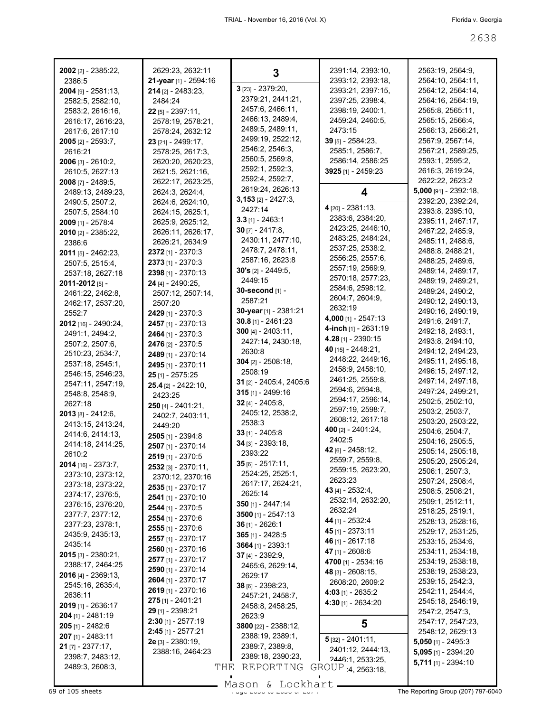| <b>2002</b> [2] - 2385:22,                | 2629:23, 2632:11         | 3                                     | 2391:14, 2393:10,                     | 2563:19, 2564:9,                    |
|-------------------------------------------|--------------------------|---------------------------------------|---------------------------------------|-------------------------------------|
| 2386:5                                    | 21-year [1] - 2594:16    |                                       | 2393:12, 2393:18,                     | 2564:10, 2564:11,                   |
| $2004$ [9] - 2581:13,                     | 214 [2] - 2483:23,       | 3 [23] - 2379:20,                     | 2393:21, 2397:15,                     | 2564:12, 2564:14,                   |
| 2582:5, 2582:10,                          | 2484:24                  | 2379:21, 2441:21,                     | 2397:25, 2398:4,                      | 2564:16, 2564:19,                   |
| 2583:2, 2616:16,                          | <b>22</b> [5] - 2397:11, | 2457:6, 2466:11,                      | 2398:19, 2400:1,                      | 2565:8, 2565:11,                    |
| 2616:17, 2616:23,                         | 2578:19, 2578:21,        | 2466:13, 2489:4,                      | 2459:24, 2460:5,                      | 2565:15, 2566:4,                    |
| 2617:6, 2617:10                           | 2578:24, 2632:12         | 2489:5, 2489:11,                      | 2473:15                               | 2566:13, 2566:21,                   |
| 2005 [2] - 2593:7,                        | 23 [21] - 2499:17,       | 2499:19, 2522:12,                     | 39 [5] - 2584:23,                     | 2567:9, 2567:14,                    |
| 2616:21                                   | 2578:25, 2617:3,         | 2546:2, 2546:3,                       | 2585:1, 2586:7,                       | 2567:21, 2589:25,                   |
| 2006 [3] - 2610:2,                        | 2620:20, 2620:23,        | 2560:5, 2569:8,                       | 2586:14, 2586:25                      | 2593:1, 2595:2,                     |
| 2610:5, 2627:13                           | 2621:5, 2621:16,         | 2592:1, 2592:3,                       | 3925 [1] - 2459:23                    | 2616:3, 2619:24,                    |
| 2008 [7] - 2489:5,                        | 2622:17, 2623:25,        | 2592:4, 2592:7,                       |                                       | 2622:22, 2623:2                     |
| 2489:13, 2489:23,                         | 2624:3, 2624:4,          | 2619:24, 2626:13                      | 4                                     | 5,000 [91] - 2392:18,               |
| 2490:5, 2507:2,                           | 2624:6, 2624:10,         | $3,153$ [2] - 2427:3,                 |                                       | 2392:20, 2392:24,                   |
| 2507:5, 2584:10                           | 2624:15, 2625:1,         | 2427:14                               | 4 [20] - 2381:13,                     | 2393:8, 2395:10,                    |
| 2009 [1] - 2578:4                         | 2625:9, 2625:12,         | $3.3$ [1] - 2463:1                    | 2383:6, 2384:20,                      | 2395:11, 2467:17,                   |
| <b>2010</b> [2] - 2385:22,                | 2626:11, 2626:17,        | <b>30</b> [7] - 2417:8,               | 2423:25, 2446:10,                     | 2467:22, 2485:9,                    |
| 2386:6                                    | 2626:21, 2634:9          | 2430:11, 2477:10,                     | 2483:25, 2484:24,                     | 2485:11, 2488:6,                    |
| $2011$ [5] - 2462:23,                     | 2372 [1] - 2370:3        | 2478:7, 2478:11,                      | 2537:25, 2538:2,                      | 2488:8, 2488:21,                    |
| 2507:5, 2515:4,                           | 2373 [1] - 2370:3        | 2587:16, 2623:8                       | 2556:25, 2557:6,                      | 2488:25, 2489:6,                    |
| 2537:18, 2627:18                          | 2398 [1] - 2370:13       | <b>30's</b> $[2] - 2449.5$ ,          | 2557:19, 2569:9,<br>2570:18, 2577:23, | 2489:14, 2489:17,                   |
| 2011-2012 [5] -                           | 24 [4] - 2490:25,        | 2449:15                               |                                       | 2489:19, 2489:21,                   |
| 2461:22, 2462:8,                          | 2507:12, 2507:14,        | <b>30-second</b> [1] -                | 2584:6, 2598:12,<br>2604:7, 2604:9,   | 2489:24, 2490:2,                    |
| 2462:17, 2537:20,                         | 2507:20                  | 2587:21                               | 2632:19                               | 2490:12, 2490:13,                   |
| 2552:7                                    | 2429 [1] - 2370:3        | 30-year [1] - 2381:21                 | 4,000 [1] - 2547:13                   | 2490:16, 2490:19,                   |
| 2012 [16] - 2490:24,                      | 2457 [1] - 2370:13       | $30.8$ [1] - 2461:23                  |                                       | 2491:6, 2491:7,                     |
| 2491:1, 2494:2,                           | 2464 [1] - 2370:3        | $300$ [4] - 2403:11,                  | 4-inch [1] - 2631:19                  | 2492:18, 2493:1,                    |
| 2507:2, 2507:6,                           | 2476 [2] - 2370:5        | 2427:14, 2430:18,                     | <b>4.28</b> [1] - 2390:15             | 2493:8, 2494:10,                    |
| 2510:23, 2534:7,                          | 2489 [1] - 2370:14       | 2630:8                                | $40$ [15] - 2448:21,                  | 2494:12, 2494:23,                   |
| 2537:18, 2545:1,                          | 2495 [1] - 2370:11       | $304$ [2] - 2508:18,                  | 2448:22, 2449:16,                     | 2495:11, 2495:18,                   |
| 2546:15, 2546:23,                         | 25 [1] - 2575:25         | 2508:19                               | 2458:9, 2458:10,<br>2461:25, 2559:8,  | 2496:15, 2497:12,                   |
| 2547:11, 2547:19,                         | 25.4 [2] - 2422:10,      | 31 [2] - 2405:4, 2405:6               | 2594:6, 2594:8,                       | 2497:14, 2497:18,                   |
| 2548.8, 2548.9,                           | 2423:25                  | $315$ [1] - 2499:16                   | 2594:17, 2596:14,                     | 2497:24, 2499:21,                   |
| 2627:18                                   | $250$ [4] - 2401:21,     | 32 $[4] - 2405:8$                     | 2597:19, 2598:7,                      | 2502:5, 2502:10,                    |
| 2013 [8] - 2412:6,                        | 2402:7, 2403:11,         | 2405:12, 2538:2,                      | 2608:12, 2617:18                      | 2503:2, 2503:7,                     |
| 2413:15, 2413:24,                         | 2449:20                  | 2538:3                                | 400 [2] - 2401:24,                    | 2503:20, 2503:22,                   |
| 2414:6, 2414:13,                          | 2505 [1] - 2394:8        | $33$ [1] - 2405:8                     | 2402:5                                | 2504:6, 2504:7,                     |
| 2414:18, 2414:25,                         | 2507 [1] - 2370:14       | 34 [3] - 2393:18,                     | $42$ [6] - 2458:12,                   | 2504:16, 2505:5,                    |
| 2610:2                                    | 2519 [1] - 2370:5        | 2393:22                               | 2559:7, 2559:8,                       | 2505:14, 2505:18,                   |
| 2014 [16] - 2373:7,                       | $2532$ [3] - $2370:11$ , | 35 [6] - 2517:11,                     | 2559:15, 2623:20,                     | 2505:20, 2505:24,                   |
| 2373:10, 2373:12,                         | 2370:12, 2370:16         | 2524:25, 2525:1,                      | 2623:23                               | 2506:1, 2507:3,<br>2507:24, 2508:4, |
| 2373:18, 2373:22,                         | 2535 [1] - 2370:17       | 2617:17, 2624:21,                     | 43 $[4] - 2532:4,$                    | 2508:5, 2508:21,                    |
| 2374:17, 2376:5,                          | 2541 [1] - 2370:10       | 2625:14                               | 2532:14, 2632:20,                     | 2509:1, 2512:11,                    |
| 2376:15, 2376:20,                         | 2544 [1] - 2370:5        | 350 [1] - 2447:14                     | 2632:24                               | 2518:25, 2519:1,                    |
| 2377:7, 2377:12,                          | 2554 [1] - 2370:6        | 3500 [1] - 2547:13                    | 44 [1] - 2532:4                       | 2528:13, 2528:16,                   |
| 2377:23, 2378:1,                          | 2555 [1] - 2370:6        | $36$ [1] - 2626:1                     | 45 [1] - 2373:11                      | 2529:17, 2531:25,                   |
| 2435:9, 2435:13,                          | 2557 [1] - 2370:17       | $365$ [1] - 2428:5                    | 46 [1] - 2617:18                      | 2533:15, 2534:6,                    |
| 2435:14                                   | 2560 [1] - 2370:16       | $3664$ [1] - 2393:1                   | 47 [1] - 2608:6                       | 2534:11, 2534:18,                   |
| $2015$ [3] - 2380:21,<br>2388:17, 2464:25 | 2577 [1] - 2370:17       | 37 [4] - 2392:9,                      | 4700 [1] - 2534:16                    | 2534:19, 2538:18,                   |
| <b>2016</b> [4] - 2369:13,                | 2590 [1] - 2370:14       | 2465:6, 2629:14,                      | 48 [3] - 2608:15,                     | 2538:19, 2538:23,                   |
|                                           | 2604 [1] - 2370:17       | 2629:17                               | 2608:20, 2609:2                       | 2539:15, 2542:3,                    |
| 2545:16, 2635:4,<br>2636:11               | 2619 [1] - 2370:16       | 38 [6] - 2398:23,<br>2457:21, 2458:7, | <b>4:03</b> [1] - 2635:2              | 2542:11, 2544:4,                    |
| 2019 [1] - 2636:17                        | $275$ [1] - 2401:21      | 2458:8, 2458:25,                      | 4:30 [1] - 2634:20                    | 2545:18, 2546:19,                   |
| 204 [1] - 2481:19                         | 29 [1] - 2398:21         | 2623:9                                |                                       | 2547:2, 2547:3,                     |
| 205 [1] - 2482:6                          | $2:30$ [1] - $2577:19$   | 3800 [22] - 2388:12,                  | 5                                     | 2547:17, 2547:23,                   |
| 207 [1] - 2483:11                         | $2:45$ [1] - 2577:21     | 2388:19, 2389:1,                      |                                       | 2548:12, 2629:13                    |
| $21$ [7] - 2377:17,                       | 2e [3] - 2380:19,        | 2389:7, 2389:8,                       | $5$ [32] - 2401:11,                   | $5,050$ [1] - 2495:3                |
| 2398:7, 2483:12,                          | 2388:16, 2464:23         | 2389:18, 2390:23,                     | 2401:12, 2444:13,                     | $5,095$ [1] - 2394:20               |
| 2489:3, 2608:3,                           | THE                      | REPORTING                             | 2446:1, 2533:25,                      | $5,711$ [1] - 2394:10               |
|                                           |                          |                                       | GROUP 4, 2563:18,                     |                                     |
|                                           |                          |                                       |                                       |                                     |

Mason & Lockhart **Page 2638 of 105 sheets** Page 207) 797-6040 Mason & Lockhart **Page 2674 The Reporting Group (207) 797-6040**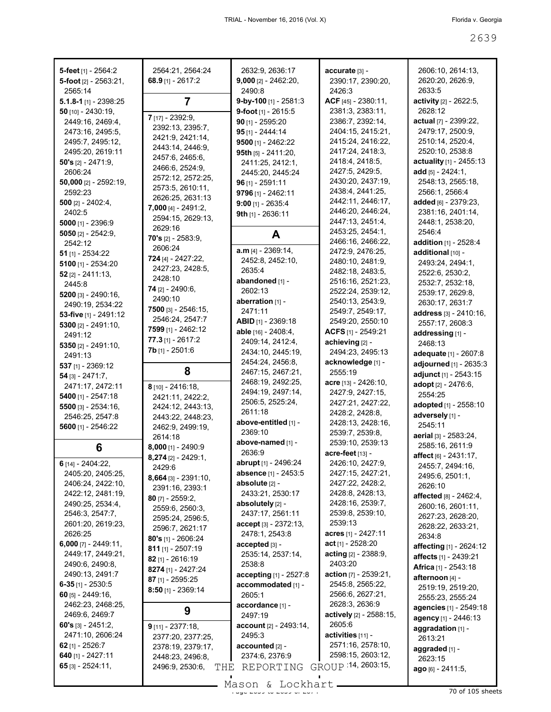| 5-feet [1] - 2564:2                   | 2564:21, 2564:24                      | 2632:9, 2636:17                       | accurate [3] -                         | 2606:10, 2614:13,                     |
|---------------------------------------|---------------------------------------|---------------------------------------|----------------------------------------|---------------------------------------|
| 5-foot $[2] - 2563:21$ ,              | 68.9 [1] - 2617:2                     | $9,000$ [2] - 2462:20,                | 2390:17, 2390:20,                      | 2620:20, 2626:9,                      |
| 2565:14                               |                                       | 2490:8                                | 2426:3                                 | 2633:5                                |
| 5.1.8-1 [1] - 2398:25                 | $\overline{7}$                        | 9-by-100 [1] - 2581:3                 | ACF [45] - 2380:11,                    | activity [2] - 2622:5,                |
| 50 $[10] - 2430:19$ ,                 |                                       | 9-foot $[1]$ - 2615:5                 | 2381:3, 2383:11,                       | 2628:12                               |
| 2449:16, 2469:4,                      | 7 [17] - 2392:9,                      | 90 $[1] - 2595:20$                    | 2386:7, 2392:14,                       | actual [7] - 2399:22,                 |
| 2473:16, 2495:5,                      | 2392:13, 2395:7,<br>2421:9, 2421:14,  | 95 [1] - 2444:14                      | 2404:15, 2415:21,                      | 2479:17, 2500:9,                      |
| 2495:7, 2495:12,                      | 2443:14, 2446:9,                      | 9500 $[1] - 2462:22$                  | 2415:24, 2416:22,                      | 2510:14, 2520:4,                      |
| 2495:20, 2619:11                      | 2457:6, 2465:6,                       | 95th $[5] - 2411:20$ ,                | 2417:24, 2418:3,                       | 2520:10, 2538:8                       |
| 50's $[2] - 2471:9$ ,                 | 2466:6, 2524:9,                       | 2411:25, 2412:1,                      | 2418:4, 2418:5,                        | actuality [1] - 2455:13               |
| 2606:24                               | 2572:12, 2572:25,                     | 2445:20, 2445:24                      | 2427:5, 2429:5,                        | add [5] - 2424:1.                     |
| 50,000 [2] - $2592:19$ ,              | 2573:5, 2610:11,                      | $96$ [1] - 2591:11                    | 2430:20, 2437:19,                      | 2548:13, 2565:18,                     |
| 2592:23                               | 2626:25, 2631:13                      | 9796 [1] - 2462:11                    | 2438:4, 2441:25,                       | 2566:1, 2566:4                        |
| 500 $[2] - 2402:4,$                   | $7,000$ [4] - 2491:2,                 | $9:00$ [1] - 2635:4                   | 2442:11, 2446:17,<br>2446:20, 2446:24, | added [6] - 2379:23,                  |
| 2402:5                                | 2594:15, 2629:13,                     | 9th [1] - 2636:11                     | 2447:13, 2451:4,                       | 2381:16, 2401:14,<br>2448:1, 2538:20, |
| 5000 $[1] - 2396:9$                   | 2629:16                               |                                       | 2453:25, 2454:1,                       | 2546:4                                |
| 5050 $[2] - 2542:9$<br>2542:12        | <b>70's</b> $[2] - 2583:9$            | A                                     | 2466:16, 2466:22,                      | addition [1] - 2528:4                 |
| $51$ [1] - 2534:22                    | 2606:24                               | $a.m$ [4] - 2369:14,                  | 2472:9, 2476:25,                       | additional [10] -                     |
| 5100 $[1] - 2534:20$                  | 724 [4] - 2427:22,                    | 2452:8, 2452:10,                      | 2480:10, 2481:9,                       | 2493:24, 2494:1,                      |
| $52$ [2] - 2411:13,                   | 2427:23, 2428:5,                      | 2635:4                                | 2482:18, 2483:5,                       | 2522:6, 2530:2,                       |
| 2445:8                                | 2428:10                               | abandoned [1] -                       | 2516:16, 2521:23,                      | 2532:7, 2532:18,                      |
| $5200$ [3] - 2490:16,                 | 74 [2] - 2490:6,                      | 2602:13                               | 2522:24, 2539:12,                      | 2539:17, 2629:8,                      |
| 2490:19, 2534:22                      | 2490:10                               | aberration [1] -                      | 2540:13, 2543:9,                       | 2630:17, 2631:7                       |
| 53-five [1] - 2491:12                 | 7500 $[3] - 2546:15$                  | 2471:11                               | 2549:7, 2549:17,                       | <b>address</b> [3] - 2410:16,         |
| 5300 $[2] - 2491:10,$                 | 2546:24, 2547:7                       | ABID [1] - 2369:18                    | 2549:20, 2550:10                       | 2557:17, 2608:3                       |
| 2491:12                               | 7599 [1] - 2462:12                    | able [16] - 2408:4,                   | ACFS $[1]$ - 2549:21                   | addressing [1] -                      |
| 5350 [2] - 2491:10,                   | $77.3$ [1] - 2617:2                   | 2409:14, 2412:4,                      | achieving [2] -                        | 2468:13                               |
| 2491:13                               | 7b [1] - 2501:6                       | 2434:10, 2445:19,                     | 2494:23, 2495:13                       | adequate [1] - 2607:8                 |
| 537 [1] - 2369:12                     | 8                                     | 2454:24, 2456:8,                      | acknowledge [1] -                      | adjourned [1] - 2635:3                |
| $54$ [3] - 2471:7,                    |                                       | 2467:15, 2467:21,                     | 2555:19                                | adjunct [1] - 2543:15                 |
| 2471:17, 2472:11                      | 8 [10] - 2416:18,                     | 2468:19, 2492:25,                     | $accre$ [13] - 2426:10,                | adopt [2] - 2476:6,                   |
| 5400 $[1] - 2547:18$                  | 2421:11, 2422:2,                      | 2494:19, 2497:14,<br>2506:5, 2525:24, | 2427:9, 2427:15,                       | 2554:25                               |
| 5500 [3] - 2534:16,                   | 2424:12, 2443:13,                     | 2611:18                               | 2427:21, 2427:22,<br>2428:2, 2428:8,   | adopted [1] - 2558:10                 |
| 2546:25, 2547:8                       | 2443:22, 2448:23,                     | above-entitled [1] -                  | 2428:13, 2428:16,                      | adversely [1] -                       |
| 5600 [1] - 2546:22                    | 2462:9, 2499:19,                      | 2369:10                               | 2539:7, 2539:8,                        | 2545:11                               |
|                                       | 2614:18                               | above-named [1] -                     | 2539:10, 2539:13                       | aerial [3] - 2583:24,                 |
| 6                                     | $8,000$ [1] - 2490:9                  | 2636:9                                | acre-feet [13] -                       | 2585:16, 2611:9                       |
| 6 [14] - 2404:22,                     | 8,274 [2] - 2429:1,                   | <b>abrupt</b> [1] - 2496:24           | 2426:10, 2427:9,                       | affect [6] - 2431:17,                 |
| 2405:20, 2405:25,                     | 2429:6                                | absence [1] - 2453:5                  | 2427:15, 2427:21,                      | 2455:7, 2494:16,<br>2495:6, 2501:1,   |
| 2406:24, 2422:10,                     | $8,664$ [3] - 2391:10,                | absolute [2] -                        | 2427:22, 2428:2,                       | 2626:10                               |
| 2422:12, 2481:19,                     | 2391:16, 2393:1                       | 2433:21, 2530:17                      | 2428:8, 2428:13,                       | <b>affected</b> [8] - 2462:4,         |
| 2490:25, 2534:4,                      | 80 $[7] - 2559:2,$                    | absolutely [2] -                      | 2428:16, 2539:7,                       | 2600:16, 2601:11,                     |
| 2546:3, 2547:7,                       | 2559:6, 2560:3,<br>2595:24, 2596:5,   | 2437:17, 2561:11                      | 2539:8, 2539:10,                       | 2627:23, 2628:20,                     |
| 2601:20, 2619:23,                     | 2596:7, 2621:17                       | $accept [3] - 2372:13,$               | 2539:13                                | 2628:22, 2633:21,                     |
| 2626:25                               | <b>80's</b> [1] - 2606:24             | 2478:1, 2543:8                        | <b>acres</b> [1] - 2427:11             | 2634:8                                |
| 6,000 [7] - 2449:11,                  | $811$ [1] - 2507:19                   | accepted [3] -                        | <b>act</b> [1] - 2528:20               | affecting [1] - 2624:12               |
| 2449:17, 2449:21,                     | 82 [1] - 2616:19                      | 2535:14, 2537:14,                     | <b>acting</b> [2] - 2388:9,            | affects [1] - 2439:21                 |
| 2490:6, 2490:8,                       | 8274 [1] - 2427:24                    | 2538:8                                | 2403:20                                | <b>Africa</b> [1] - 2543:18           |
| 2490:13, 2491:7                       | 87 [1] - 2595:25                      | accepting [1] - 2527:8                | action $[7] - 2539:21$ ,               | afternoon [4] -                       |
| 6-35 [1] - 2530:5                     | $8:50$ [1] - 2369:14                  | accommodated [1] -                    | 2545:8, 2565:22,                       | 2519:19, 2519:20,                     |
| 60 $[5] - 2449:16$                    |                                       | 2605:1                                | 2566:6, 2627:21,                       | 2555:23, 2555:24                      |
| 2462:23, 2468:25,                     | 9                                     | accordance [1] -                      | 2628:3, 2636:9                         | agencies [1] - 2549:18                |
| 2469:6, 2469:7                        |                                       | 2497:19                               | actively [2] - 2588:15,<br>2605:6      | agency [1] - 2446:13                  |
| 60's $[3] - 2451:2$ ,                 | $9$ [11] - 2377:18,                   | $account [2] - 2493:14,$              | activities [11] -                      | aggradation [1] -                     |
| 2471:10, 2606:24<br>62 $[1]$ - 2526:7 | 2377:20, 2377:25,                     | 2495:3                                | 2571:16, 2578:10,                      | 2613:21                               |
| 640 [1] - 2427:11                     | 2378:19, 2379:17,<br>2448:23, 2496:8, | $accounted$ [2] -<br>2374:6, 2376:9   | 2598:15, 2603:12,                      | aggraded [1] -                        |
| $65$ [3] - 2524:11,                   | 2496:9, 2530:6,<br>THE                | REPORTING                             | GROUP 14, 2603:15,                     | 2623:15                               |
|                                       |                                       |                                       |                                        | $ago_{[6]} - 2411.5,$                 |
|                                       |                                       | $Məcon$ $Iochprt$                     |                                        |                                       |

Mason & Lockhart 2008 and 2008 105 sheets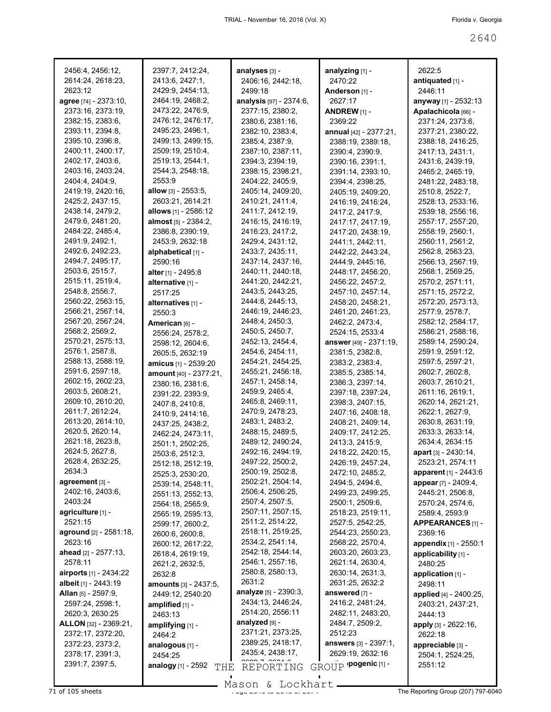| 2456:4, 2456:12,              | 2397:7, 2412:24,               | analyses [3] -          | analyzing [1] -         | 2622:5                 |
|-------------------------------|--------------------------------|-------------------------|-------------------------|------------------------|
| 2614:24, 2618:23,             | 2413:6, 2427:1,                | 2406:16, 2442:18,       | 2470:22                 | antiquated [1] -       |
| 2623:12                       | 2429:9, 2454:13,               | 2499:18                 | Anderson [1] -          | 2446:11                |
| agree [74] - 2373:10,         | 2464:19, 2468:2,               | analysis [97] - 2374:6, | 2627:17                 | anyway [1] - 2532:13   |
| 2373:16, 2373:19,             | 2473:22, 2476:9,               | 2377:15, 2380:2,        | ANDREW <sub>[1]</sub> - | Apalachicola [66] -    |
| 2382:15, 2383:6,              | 2476:12, 2476:17,              | 2380:6, 2381:16,        | 2369:22                 | 2371:24, 2373:6,       |
| 2393:11, 2394:8,              | 2495:23, 2496:1,               | 2382:10, 2383:4,        | annual [42] - 2377:21,  | 2377:21, 2380:22,      |
| 2395:10, 2396:8,              | 2499:13, 2499:15,              | 2385:4, 2387:9,         | 2388:19, 2389:18,       | 2388:18, 2416:25,      |
| 2400:11, 2400:17,             | 2509:19, 2510:4,               | 2387:10, 2387:11,       | 2390:4, 2390:9,         | 2417:13, 2431:1,       |
| 2402:17, 2403:6,              | 2519:13, 2544:1,               | 2394:3, 2394:19,        | 2390:16, 2391:1,        | 2431:6, 2439:19,       |
| 2403:16, 2403:24,             | 2544:3, 2548:18,               | 2398:15, 2398:21,       | 2391:14, 2393:10,       | 2465:2, 2465:19,       |
| 2404:4, 2404:9,               | 2553:9                         | 2404:22, 2405:9,        | 2394:4, 2398:25,        | 2481:22, 2483:18,      |
| 2419:19, 2420:16,             | <b>allow</b> $[3] - 2553.5$ ,  | 2405:14, 2409:20,       | 2405:19, 2409:20,       | 2510:8, 2522:7,        |
| 2425:2, 2437:15,              | 2603:21, 2614:21               | 2410:21, 2411:4,        | 2416:19, 2416:24,       | 2528:13, 2533:16,      |
| 2438:14, 2479:2,              | allows [1] - 2586:12           | 2411:7, 2412:19,        | 2417:2, 2417:9,         | 2539:18, 2556:16,      |
| 2479:6, 2481:20,              | <b>almost</b> $[5] - 2384:2$ , | 2416:15, 2416:19,       | 2417:17, 2417:19,       | 2557:17, 2557:20,      |
| 2484:22, 2485:4,              | 2386:8, 2390:19,               | 2416:23, 2417:2,        | 2417:20, 2438:19,       | 2558:19, 2560:1,       |
| 2491:9, 2492:1,               | 2453:9, 2632:18                | 2429:4, 2431:12,        | 2441:1, 2442:11,        | 2560:11, 2561:2,       |
| 2492:6, 2492:23,              | alphabetical [1] -             | 2433:7, 2435:11,        | 2442:22, 2443:24,       | 2562:8, 2563:23,       |
| 2494:7, 2495:17,              | 2590:16                        | 2437:14, 2437:16,       | 2444:9, 2445:16,        | 2566:13, 2567:19,      |
| 2503:6, 2515:7,               | alter [1] - 2495:8             | 2440:11, 2440:18,       | 2448:17, 2456:20,       | 2568:1, 2569:25,       |
| 2515:11, 2519:4,              | alternative [1] -              | 2441:20, 2442:21,       | 2456:22, 2457:2,        | 2570:2, 2571:11,       |
| 2548:8, 2556:7,               | 2517:25                        | 2443:5, 2443:25,        | 2457:10, 2457:14,       | 2571:15, 2572:2,       |
| 2560:22, 2563:15,             | alternatives [1] -             | 2444:8, 2445:13,        | 2458:20, 2458:21,       | 2572:20, 2573:13,      |
| 2566:21, 2567:14,             | 2550:3                         | 2446:19, 2446:23,       | 2461:20, 2461:23,       | 2577:9, 2578:7,        |
| 2567:20, 2567:24,             | American [6] -                 | 2448:4, 2450:3,         | 2462:2, 2473:4,         | 2582:12, 2584:17,      |
| 2568:2, 2569:2,               | 2556:24, 2578:2,               | 2450:5, 2450:7,         | 2524:15, 2533:4         | 2586:21, 2588:16,      |
| 2570:21, 2575:13,             | 2598:12, 2604:6,               | 2452:13, 2454:4,        | answer [49] - 2371:19,  | 2589:14, 2590:24,      |
| 2576:1, 2587:8,               | 2605:5, 2632:19                | 2454:6, 2454:11,        | 2381:5, 2382:8,         | 2591:9, 2591:12,       |
| 2588:13, 2588:19,             | amicus [1] - 2539:20           | 2454:21, 2454:25,       | 2383:2, 2383:4,         | 2597:5, 2597:21,       |
| 2591:6, 2597:18,              | amount [40] - 2377:21,         | 2455:21, 2456:18,       | 2385:5, 2385:14,        | 2602:7, 2602:8,        |
| 2602:15, 2602:23,             | 2380:16, 2381:6,               | 2457:1, 2458:14,        | 2386:3, 2397:14,        | 2603:7, 2610:21,       |
| 2603:5, 2608:21,              | 2391:22, 2393:9,               | 2459:9, 2465:4,         | 2397:18, 2397:24,       | 2611:16, 2619:1,       |
| 2609:10, 2610:20,             | 2407:8, 2410:8,                | 2465:8, 2469:11,        | 2398:3, 2407:15,        | 2620:14, 2621:21,      |
| 2611:7, 2612:24,              | 2410:9, 2414:16,               | 2470:9, 2478:23,        | 2407:16, 2408:18,       | 2622:1, 2627:9,        |
| 2613:20, 2614:10,             | 2437:25, 2438:2,               | 2483:1, 2483:2,         | 2408:21, 2409:14,       | 2630:8, 2631:19,       |
| 2620:5, 2620:14,              | 2462:24, 2473:11,              | 2488:15, 2489:5,        | 2409:17, 2412:25,       | 2633:3, 2633:14,       |
| 2621:18, 2623:8,              | 2501:1, 2502:25,               | 2489:12, 2490:24,       | 2413:3, 2415:9,         | 2634:4, 2634:15        |
| 2624:5, 2627:8,               | 2503:6, 2512:3,                | 2492:16, 2494:19,       | 2418:22, 2420:15,       | apart [3] - 2430:14,   |
| 2628:4, 2632:25,              | 2512:18, 2512:19,              | 2497:22, 2500:2,        | 2426:19, 2457:24,       | 2523:21, 2574:11       |
| 2634:3                        | 2525:3, 2530:20,               | 2500:19, 2502:8,        | 2472:10, 2485:2,        | apparent [1] - 2443:6  |
| agreement [3] -               | 2539:14, 2548:11,              | 2502:21, 2504:14,       | 2494:5, 2494:6,         | appear [7] - 2409:4,   |
| 2402:16, 2403:6,              | 2551:13, 2552:13,              | 2506:4, 2506:25,        | 2499:23, 2499:25,       | 2445:21, 2506:8,       |
| 2403:24                       | 2564:18, 2565:9,               | 2507:4, 2507:5,         | 2500:1, 2509:6,         | 2570:24, 2574:6,       |
| agriculture [1] -             | 2565:19, 2595:13,              | 2507:11, 2507:15,       | 2518:23, 2519:11,       | 2589:4, 2593:9         |
| 2521:15                       | 2599:17, 2600:2,               | 2511:2, 2514:22,        | 2527:5, 2542:25,        | APPEARANCES [1] -      |
| aground [2] - 2581:18,        | 2600:6, 2600:8,                | 2518:11, 2519:25,       | 2544:23, 2550:23,       | 2369:16                |
| 2623:16                       | 2600:12, 2617:22,              | 2534:2, 2541:14,        | 2568:22, 2570:4,        | appendix [1] - 2550:1  |
| ahead $[2] - 2577:13$ ,       | 2618:4, 2619:19,               | 2542:18, 2544:14,       | 2603:20, 2603:23,       | applicability [1] -    |
| 2578:11                       | 2621:2, 2632:5,                | 2546:1, 2557:16,        | 2621:14, 2630:4,        | 2480:25                |
| <b>airports</b> [1] - 2434:22 | 2632:8                         | 2580:8, 2580:13,        | 2630:14, 2631:3,        | application [1] -      |
| albeit [1] - 2443:19          | <b>amounts</b> [3] - 2437:5,   | 2631:2                  | 2631:25, 2632:2         | 2498:11                |
| <b>Allan</b> [5] - 2597:9,    | 2449:12, 2540:20               | analyze [5] - 2390:3,   | answered [7] -          | applied [4] - 2400:25, |
| 2597:24, 2598:1,              | amplified [1] -                | 2434:13, 2446:24,       | 2416:2, 2481:24,        | 2403:21, 2437:21,      |
| 2620:3, 2630:25               | 2463:13                        | 2514:20, 2556:11        | 2482:11, 2483:20,       | 2444:13                |
| ALLON [32] - 2369:21,         | amplifying [1] -               | analyzed [9] -          | 2484:7, 2509:2,         | apply [3] - 2622:16,   |
| 2372:17, 2372:20,             | 2464:2                         | 2371:21, 2373:25,       | 2512:23                 | 2622:18                |
| 2372:23, 2373:2,              |                                | 2389:25, 2418:17,       | answers [3] - 2397:1,   | appreciable [3] -      |
| 2378:17, 2391:3,              | analogous [1] -<br>2454:25     | 2435:4, 2438:17,        | 2629:19, 2632:16        | 2504:1, 2524:25,       |
| 2391:7, 2397:5,               |                                |                         | GROUP 'pogenic [1] -    | 2551:12                |
|                               | analogy [1] - 2592<br>THE      | REPORTING               |                         |                        |

Mason & Lockhart

 $\overline{71}$  of 105 sheets  $\overline{7266661}$   $\overline{866061}$   $\overline{866061}$   $\overline{266061}$   $\overline{266061}$   $\overline{266061}$   $\overline{266061}$   $\overline{266061}$   $\overline{266061}$   $\overline{266061}$   $\overline{2671}$   $\overline{266061}$   $\overline{266061}$   $\overline{2671}$   $\overline$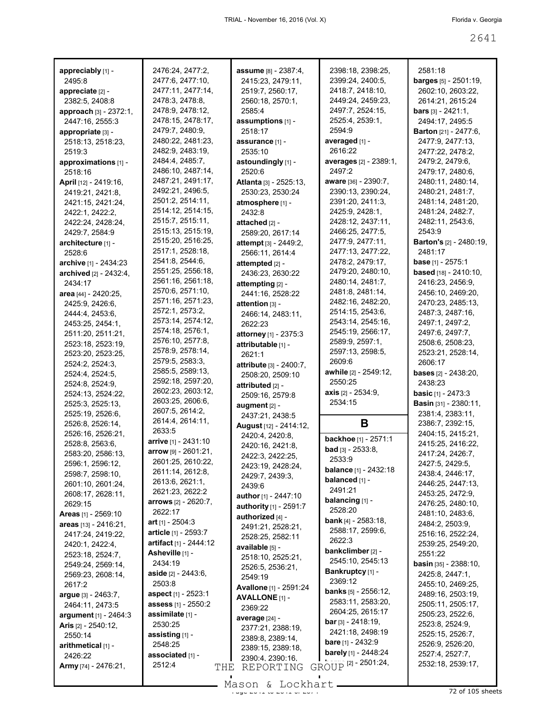| appreciably [1] -             | 2476:24, 2477:2,            | <b>assume</b> [8] - 2387:4,    | 2398:18, 2398:25,               | 2581:18                         |
|-------------------------------|-----------------------------|--------------------------------|---------------------------------|---------------------------------|
| 2495:8                        | 2477:6, 2477:10,            | 2415:23, 2479:11,              | 2399:24, 2400:5,                | barges [5] - 2501:19,           |
| appreciate [2] -              | 2477:11, 2477:14,           | 2519:7, 2560:17,               | 2418:7, 2418:10,                | 2602:10, 2603:22,               |
| 2382:5, 2408:8                | 2478:3, 2478:8,             | 2560:18, 2570:1,               | 2449:24, 2459:23,               | 2614:21, 2615:24                |
| <b>approach</b> [3] - 2372:1, | 2478:9, 2478:12,            | 2585:4                         | 2497:7, 2524:15,                | <b>bars</b> $[3] - 2421:1$ ,    |
| 2447:16, 2555:3               | 2478:15, 2478:17,           | assumptions [1] -              | 2525:4, 2539:1,                 | 2494:17, 2495:5                 |
| appropriate [3] -             | 2479:7, 2480:9,             | 2518:17                        | 2594:9                          | <b>Barton</b> [21] - 2477:6,    |
| 2518:13, 2518:23,             | 2480:22, 2481:23,           | assurance [1] -                | averaged [1] -                  | 2477:9, 2477:13,                |
| 2519:3                        | 2482:9, 2483:19,            | 2535:10                        | 2616:22                         | 2477:22, 2478:2,                |
| approximations [1] -          | 2484:4, 2485:7,             | astoundingly [1] -             | <b>averages</b> [2] - 2389:1,   | 2479:2, 2479:6,                 |
| 2518:16                       | 2486:10, 2487:14,           | 2520:6                         | 2497.2                          | 2479:17, 2480:6,                |
| April [12] - 2419:16,         | 2487:21, 2491:17,           | <b>Atlanta</b> [3] - 2525:13,  | aware [36] - 2390:7,            | 2480:11, 2480:14,               |
| 2419:21, 2421:8,              | 2492:21, 2496:5,            | 2530:23, 2530:24               | 2390:13, 2390:24,               | 2480:21, 2481:7,                |
| 2421:15, 2421:24,             | 2501:2, 2514:11,            | atmosphere [1] -               | 2391:20, 2411:3,                | 2481:14, 2481:20,               |
| 2422:1, 2422:2,               | 2514:12, 2514:15,           | 2432:8                         | 2425:9, 2428:1,                 | 2481:24, 2482:7,                |
| 2422:24, 2428:24,             | 2515:7, 2515:11,            | attached [2] -                 | 2428:12, 2437:11,               | 2482:11, 2543:6,                |
| 2429:7, 2584:9                | 2515:13, 2515:19,           | 2589:20, 2617:14               | 2466:25, 2477:5,                | 2543:9                          |
| architecture [1] -            | 2515:20, 2516:25,           | attempt [3] - 2449:2,          | 2477:9, 2477:11,                | <b>Barton's [2] - 2480:19,</b>  |
| 2528:6                        | 2517:1, 2528:18,            | 2566:11, 2614:4                | 2477:13, 2477:22,               | 2481:17                         |
| archive [1] - 2434:23         | 2541:8, 2544:6,             | attempted [2] -                | 2478:2, 2479:17,                | base $[1] - 2575:1$             |
| archived [2] - 2432:4,        | 2551:25, 2556:18,           | 2436:23, 2630:22               | 2479:20, 2480:10,               | <b>based</b> $[18] - 2410:10$ , |
| 2434:17                       | 2561:16, 2561:18,           | attempting [2] -               | 2480:14, 2481:7,                | 2416:23, 2456:9,                |
| area [44] - 2420:25,          | 2570:6, 2571:10,            | 2441:16, 2528:22               | 2481:8, 2481:14,                | 2456:10, 2469:20,               |
| 2425:9, 2426:6,               | 2571:16, 2571:23,           | attention [3] -                | 2482:16, 2482:20,               | 2470:23, 2485:13,               |
| 2444:4, 2453:6,               | 2572:1, 2573:2,             | 2466:14, 2483:11,              | 2514:15, 2543:6,                | 2487:3, 2487:16,                |
| 2453:25, 2454:1,              | 2573:14, 2574:12,           | 2622:23                        | 2543:14, 2545:16,               | 2497:1, 2497:2,                 |
| 2511:20, 2511:21,             | 2574:18, 2576:1,            | attorney [1] - 2375:3          | 2545:19, 2566:17,               | 2497:6, 2497:7,                 |
| 2523:18, 2523:19,             | 2576:10, 2577:8,            |                                | 2589:9, 2597:1,                 | 2508:6, 2508:23,                |
| 2523:20, 2523:25,             | 2578:9, 2578:14,            | attributable [1] -<br>2621:1   | 2597:13, 2598:5,                | 2523:21, 2528:14,               |
| 2524:2, 2524:3,               | 2579:5, 2583:3,             |                                | 2609:6                          | 2606:17                         |
| 2524:4, 2524:5,               | 2585:5, 2589:13,            | <b>attribute</b> [3] - 2400:7, | awhile [2] - 2549:12,           | <b>bases</b> [2] - 2438:20,     |
| 2524:8, 2524:9,               | 2592:18, 2597:20,           | 2508:20, 2509:10               | 2550:25                         | 2438:23                         |
| 2524:13, 2524:22,             | 2602:23, 2603:12,           | attributed [2] -               | <b>axis</b> [2] - 2534:9,       | <b>basic</b> $[1] - 2473:3$     |
| 2525:3, 2525:13,              | 2603:25, 2606:6,            | 2509:16, 2579:8                | 2534:15                         | Basin [31] - 2380:11,           |
| 2525:19, 2526:6,              | 2607:5, 2614:2,             | augment [2] -                  |                                 | 2381:4, 2383:11,                |
| 2526:8, 2526:14,              | 2614:4, 2614:11,            | 2437:21, 2438:5                | B                               | 2386:7, 2392:15,                |
| 2526:16, 2526:21,             | 2633:5                      | August [12] - 2414:12,         |                                 | 2404:15, 2415:21,               |
| 2528:8, 2563:6,               | arrive [1] - 2431:10        | 2420:4, 2420:8,                | backhoe [1] - 2571:1            | 2415:25, 2416:22,               |
| 2583:20, 2586:13,             | arrow [9] - 2601:21,        | 2420:16, 2421:8,               | bad [3] - 2533:8,               | 2417:24, 2426:7,                |
| 2596:1, 2596:12,              | 2601:25, 2610:22,           | 2422:3, 2422:25,               | 2533.9                          | 2427:5, 2429:5,                 |
| 2598:7, 2598:10,              | 2611:14, 2612:8,            | 2423:19, 2428:24,              | <b>balance</b> [1] - 2432:18    | 2438:4, 2446:17,                |
| 2601:10, 2601:24,             | 2613:6, 2621:1,             | 2429:7, 2439:3,                | balanced [1] -                  | 2446:25, 2447:13,               |
| 2608:17, 2628:11,             | 2621:23, 2622:2             | 2439:6                         | 2491:21                         | 2453:25, 2472:9,                |
| 2629:15                       | <b>arrows</b> [2] - 2620:7, | <b>author</b> $[1] - 2447:10$  | balancing [1] -                 | 2476:25, 2480:10,               |
| Areas [1] - 2569:10           | 2622:17                     | authority [1] - 2591:7         | 2528:20                         | 2481:10, 2483:6,                |
| areas [13] - 2416:21,         | art $[1]$ - 2504:3          | authorized [4] -               | <b>bank</b> [4] - $2583:18$ ,   | 2484:2, 2503:9,                 |
| 2417:24, 2419:22,             | <b>article</b> [1] - 2593:7 | 2491:21, 2528:21,              | 2588:17, 2599:6,                | 2516:16, 2522:24,               |
| 2420:1, 2422:4,               | artifact [1] - 2444:12      | 2528:25, 2582:11               | 2622:3                          | 2539:25, 2549:20,               |
| 2523:18, 2524:7,              | Asheville [1] -             | available [5] -                | bankclimber [2] -               | 2551:22                         |
| 2549:24, 2569:14,             | 2434:19                     | 2518:10, 2525:21,              | 2545:10, 2545:13                | <b>basin</b> $[35] - 2388:10$ , |
| 2569:23, 2608:14,             | aside [2] - 2443:6,         | 2526:5, 2536:21,               | Bankruptcy [1] -                | 2425:8, 2447:1,                 |
| 2617:2                        | 2503:8                      | 2549:19                        | 2369:12                         | 2455:10, 2469:25,               |
| argue [3] - 2463:7,           | aspect $[1] - 2523:1$       | <b>Avallone</b> [1] - 2591:24  | <b>banks</b> $[5]$ - 2556:12,   | 2489:16, 2503:19,               |
|                               | assess [1] - 2550:2         | <b>AVALLONE [1] -</b>          | 2583:11, 2583:20,               | 2505:11, 2505:17,               |
| 2464:11, 2473:5               | assimilate [1] -            | 2369:22                        | 2604:25, 2615:17                | 2505:23, 2522:6,                |
| argument [1] - 2464:3         | 2530:25                     | average [24] -                 | <b>bar</b> [3] - 2418:19,       | 2523:8, 2524:9,                 |
| <b>Aris</b> $[2] - 2540:12$ , |                             | 2377:21, 2388:19,              | 2421:18, 2498:19                | 2525:15, 2526:7,                |
| 2550:14                       | assisting [1] -<br>2548:25  | 2389:8, 2389:14,               | <b>bare</b> [1] - 2432:9        | 2526:9, 2526:20,                |
| arithmetical [1] -            |                             | 2389:15, 2389:18,              | <b>barely</b> [1] - 2448:24     | 2527:4, 2527:7,                 |
| 2426:22                       | associated [1] -<br>2512:4  | 2390:4, 2390:16,               | GROUP <sup>[2]</sup> - 2501:24, | 2532:18, 2539:17,               |
| Army [74] - 2476:21,          | THE.                        | REPORTING                      |                                 |                                 |
|                               |                             |                                |                                 |                                 |

 $\frac{266641}{22}$  of 105 sheets Mason & Lockhart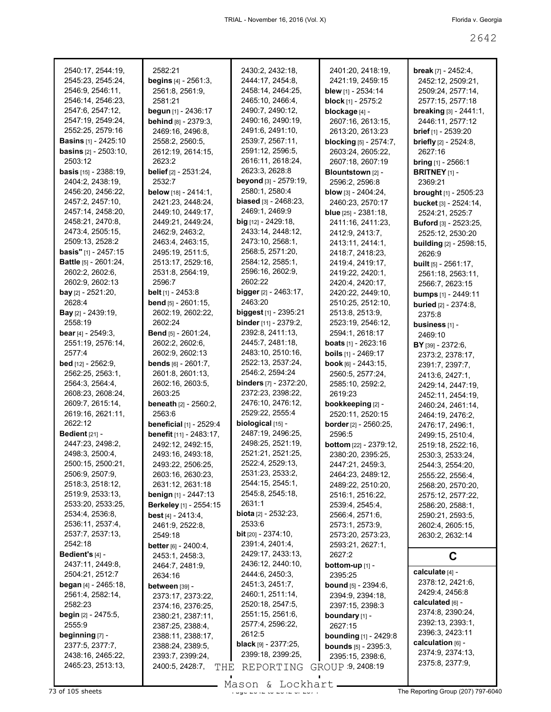| 2540:17, 2544:19,               |                                        |                                 |                                |                                 |
|---------------------------------|----------------------------------------|---------------------------------|--------------------------------|---------------------------------|
|                                 | 2582:21                                | 2430:2, 2432:18,                | 2401:20, 2418:19,              | <b>break</b> $[7] - 2452:4$ ,   |
| 2545:23, 2545:24,               | <b>begins</b> $[4] - 2561:3$ ,         | 2444:17, 2454:8,                | 2421:19, 2459:15               | 2452:12, 2509:21,               |
| 2546:9, 2546:11,                | 2561:8, 2561:9,                        | 2458:14, 2464:25,               | blew [1] - 2534:14             | 2509:24, 2577:14,               |
| 2546:14, 2546:23,               | 2581:21                                | 2465:10, 2466:4,                | block [1] - 2575:2             | 2577:15, 2577:18                |
| 2547:6, 2547:12,                | begun [1] - 2436:17                    | 2490:7, 2490:12,                | blockage [4] -                 | breaking [3] - 2441:1,          |
| 2547:19, 2549:24,               | behind [8] - 2379:3,                   | 2490:16, 2490:19,               | 2607:16, 2613:15,              | 2446:11, 2577:12                |
| 2552:25, 2579:16                | 2469:16, 2496:8,                       | 2491:6, 2491:10,                | 2613:20, 2613:23               | <b>brief</b> [1] - 2539:20      |
| <b>Basins</b> [1] - 2425:10     | 2558:2, 2560:5,                        | 2539:7, 2567:11,                | <b>blocking</b> [5] - 2574:7,  | <b>briefly</b> $[2] - 2524:8$ , |
| <b>basins</b> $[2] - 2503:10$ , | 2612:19, 2614:15,                      | 2591:12, 2596:5,                | 2603:24, 2605:22,              | 2627:16                         |
| 2503:12                         | 2623:2                                 | 2616:11, 2618:24,               | 2607:18, 2607:19               | <b>bring</b> $[1]$ - 2566:1     |
| <b>basis</b> [15] - 2388:19,    | belief [2] - 2531:24,                  | 2623:3, 2628:8                  | Blountstown [2] -              | <b>BRITNEY</b> $[1]$ -          |
| 2404:2, 2438:19,                | 2532:7                                 | beyond [3] - 2579:19,           | 2596:2, 2596:8                 | 2369:21                         |
| 2456:20, 2456:22,               | below [18] - 2414:1,                   | 2580:1, 2580:4                  | <b>blow</b> $[3] - 2404:24$ ,  | <b>brought</b> [1] - 2505:23    |
| 2457:2, 2457:10,                | 2421:23, 2448:24,                      | <b>biased</b> [3] - 2468:23,    | 2460:23, 2570:17               | bucket [3] - 2524:14,           |
| 2457:14, 2458:20,               | 2449:10, 2449:17,                      | 2469:1, 2469:9                  | <b>blue</b> $[25] - 2381:18$ , | 2524:21, 2525:7                 |
| 2458:21, 2470:8,                | 2449:21, 2449:24,                      | $big$ [12] - 2429:18,           | 2411:16, 2411:23,              | <b>Buford</b> [3] - 2523:25,    |
| 2473:4, 2505:15,                | 2462:9, 2463:2,                        | 2433:14, 2448:12,               | 2412:9, 2413:7,                | 2525:12, 2530:20                |
| 2509:13, 2528:2                 | 2463:4, 2463:15,                       | 2473:10, 2568:1,                | 2413:11, 2414:1,               | <b>building</b> [2] - 2598:15,  |
| <b>basis"</b> [1] - $2457:15$   | 2495:19, 2511:5,                       | 2568:5, 2571:20,                | 2418:7, 2418:23,               | 2626:9                          |
| <b>Battle</b> [5] - 2601:24,    | 2513:17, 2529:16,                      | 2584:12, 2585:1,                | 2419:4, 2419:17,               | <b>built</b> $[5] - 2561:17$ ,  |
| 2602:2, 2602:6,                 | 2531:8, 2564:19,                       | 2596:16, 2602:9,                | 2419:22, 2420:1,               | 2561:18, 2563:11,               |
| 2602:9, 2602:13                 | 2596:7                                 | 2602:22                         | 2420:4, 2420:17,               | 2566:7, 2623:15                 |
| <b>bay</b> $[2] - 2521:20$ ,    | <b>belt</b> $[1]$ - 2453:8             | <b>bigger</b> $[2] - 2463:17$ , | 2420:22, 2449:10,              | bumps [1] - 2449:11             |
| 2628:4                          | <b>bend</b> $[5] - 2601:15$ ,          | 2463:20                         | 2510:25, 2512:10,              |                                 |
| <b>Bay</b> $[2]$ - 2439:19,     | 2602:19, 2602:22,                      | biggest [1] - 2395:21           | 2513:8, 2513:9,                | <b>buried</b> [2] - 2374:8,     |
| 2558:19                         | 2602:24                                | <b>binder</b> [11] - 2379:2,    | 2523:19, 2546:12,              | 2375:8                          |
| <b>bear</b> [4] - $2549:3$ ,    | <b>Bend</b> [5] - 2601:24,             | 2392:8, 2411:13,                | 2594:1, 2618:17                | business [1] -                  |
| 2551:19, 2576:14,               | 2602:2, 2602:6,                        | 2445:7, 2481:18,                |                                | 2469:10                         |
|                                 |                                        | 2483:10, 2510:16,               | <b>boats</b> $[1] - 2623:16$   | BY [39] - 2372:6,               |
| 2577:4                          | 2602:9, 2602:13                        |                                 | <b>boils</b> $[1]$ - 2469:17   | 2373:2, 2378:17,                |
| <b>bed</b> [12] - 2562:9,       | <b>bends</b> $[6] - 2601:7$ ,          | 2522:13, 2537:24,               | book [6] - 2443:15,            | 2391:7, 2397:7,                 |
| 2562:25, 2563:1,                | 2601:8, 2601:13,                       | 2546:2, 2594:24                 | 2560:5, 2577:24,               | 2413:6, 2427:1,                 |
| 2564:3, 2564:4,                 | 2602:16, 2603:5,                       | <b>binders</b> [7] - 2372:20,   | 2585:10, 2592:2,               | 2429:14, 2447:19,               |
| 2608:23, 2608:24,               | 2603:25                                | 2372:23, 2398:22,               | 2619:23                        | 2452:11, 2454:19,               |
| 2609:7, 2615:14,                | <b>beneath</b> [2] - 2560:2,           | 2476:10, 2476:12,               | bookkeeping [2] -              | 2460:24, 2461:14,               |
| 2619:16, 2621:11,               | 2563:6                                 | 2529:22, 2555:4                 | 2520:11, 2520:15               | 2464:19, 2476:2,                |
| 2622:12                         | <b>beneficial [1] - 2529:4</b>         | biological [15] -               | <b>border</b> [2] - 2560:25,   | 2476:17, 2496:1,                |
|                                 |                                        |                                 |                                |                                 |
| Bedient $[21]$ -                | benefit [11] - 2483:17.                | 2487:19, 2496:25,               | 2596:5                         | 2499:15, 2510:4,                |
| 2447:23, 2498:2,                | 2492:12, 2492:15,                      | 2498:25, 2521:19,               | <b>bottom</b> [22] - 2379:12,  | 2519:18, 2522:16,               |
| 2498:3, 2500:4,                 | 2493:16, 2493:18,                      | 2521:21, 2521:25,               | 2380:20, 2395:25,              | 2530:3, 2533:24,                |
| 2500:15, 2500:21,               | 2493:22, 2506:25,                      | 2522:4, 2529:13,                | 2447:21, 2459:3,               | 2544:3, 2554:20,                |
| 2506:9, 2507:9,                 | 2603:16, 2630:23,                      | 2531:23, 2533:2,                | 2464:23, 2489:12,              | 2555:22, 2556:4,                |
| 2518:3, 2518:12,                | 2631:12, 2631:18                       | 2544:15, 2545:1,                | 2489:22, 2510:20,              | 2568:20, 2570:20,               |
| 2519:9, 2533:13,                | benign [1] - 2447:13                   | 2545:8, 2545:18,                | 2516:1, 2516:22,               | 2575:12, 2577:22,               |
| 2533:20, 2533:25,               | Berkeley [1] - 2554:15                 | 2631:1                          | 2539:4, 2545:4,                | 2586:20, 2588:1,                |
| 2534:4, 2536:8,                 | best $[4] - 2413.4$ ,                  | <b>biota</b> $[2] - 2532:23$ ,  | 2566:4, 2571:6,                | 2590:21, 2593:5,                |
| 2536:11, 2537:4,                | 2461:9, 2522:8,                        | 2533:6                          | 2573:1, 2573:9,                | 2602:4, 2605:15,                |
| 2537:7, 2537:13,                | 2549:18                                | <b>bit</b> $[20] - 2374:10$ ,   | 2573:20, 2573:23,              | 2630:2, 2632:14                 |
| 2542:18                         | <b>better</b> $[6] - 2400:4,$          | 2391:4, 2401:4,                 | 2593:21, 2627:1,               |                                 |
| Bedient's $[4]$ -               | 2453:1, 2458:3,                        | 2429:17, 2433:13,               | 2627:2                         | C                               |
| 2437:11, 2449:8,                | 2464:7, 2481:9,                        | 2436:12, 2440:10,               | bottom-up [1] -                |                                 |
| 2504:21, 2512:7                 | 2634:16                                | 2444:6, 2450:3,                 | 2395:25                        | calculate [4] -                 |
| <b>began</b> $[4] - 2465:18$ ,  | between [39] -                         | 2451:3, 2451:7,                 | <b>bound</b> $[5] - 2394:6$ ,  | 2378:12, 2421:6,                |
| 2561:4, 2582:14,                | 2373:17, 2373:22,                      | 2460:1, 2511:14,                | 2394:9, 2394:18,               | 2429:4, 2456:8                  |
| 2582:23                         |                                        | 2520:18, 2547:5,                | 2397:15, 2398:3                | calculated [6] -                |
| <b>begin</b> $[2] - 2475.5$ ,   | 2374:16, 2376:25,<br>2380:21, 2387:11, | 2551:15, 2561:6,                | boundary [1] -                 | 2374:8, 2390:24,                |
| 2555:9                          | 2387:25, 2388:4,                       | 2577:4, 2596:22,                | 2627:15                        | 2392:13, 2393:1,                |
| beginning [7] -                 | 2388:11, 2388:17,                      | 2612:5                          |                                | 2396:3, 2423:11                 |
| 2377:5, 2377:7,                 |                                        | <b>black</b> [9] - $2377:25$ ,  | <b>bounding</b> [1] - 2429:8   | calculation [6] -               |
| 2438:16, 2465:22,               | 2388:24, 2389:5,<br>2393:7, 2399:24,   | 2399:18, 2399:25,               | <b>bounds</b> [5] - 2395:3,    | 2374:9, 2374:13,                |
| 2465:23, 2513:13,               | 2400:5, 2428:7,                        |                                 | 2395:15, 2398:6,               | 2375:8, 2377:9,                 |
|                                 | THE                                    | REPORTING                       | GROUP 9, 2408:19               |                                 |

Mason & Lockhart **Page 2642 of 105 sheets** Page 207) 797-6040 of 2674 Mason & Lockhart **Page 2674 The Reporting Group (207) 797-6040**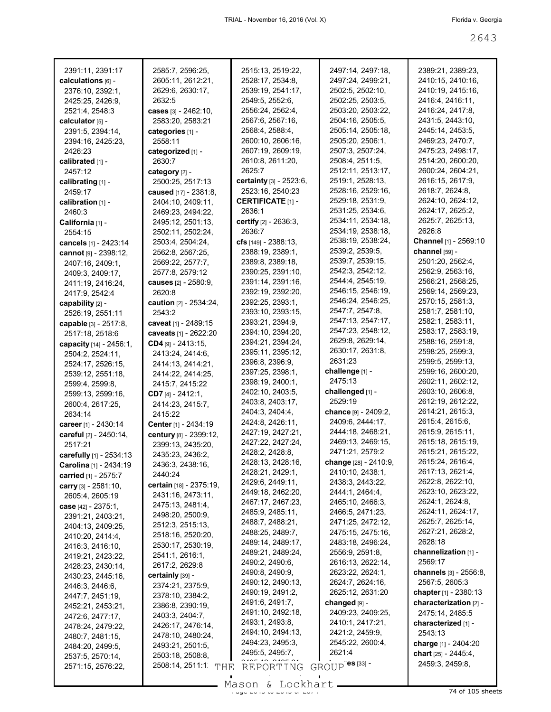| 2391:11, 2391:17        | 2585:7, 2596:25,                     | 2515:13, 2519:22,        | 2497:14, 2497:18,           | 2389:21, 2389:23,             |
|-------------------------|--------------------------------------|--------------------------|-----------------------------|-------------------------------|
| calculations [6] -      | 2605:11, 2612:21,                    | 2528:17, 2534:8,         | 2497:24, 2499:21,           | 2410:15, 2410:16,             |
| 2376:10, 2392:1.        | 2629:6, 2630:17,                     | 2539:19, 2541:17,        | 2502:5, 2502:10,            | 2410:19, 2415:16,             |
| 2425:25, 2426:9,        | 2632:5                               | 2549:5, 2552:6,          | 2502:25, 2503:5,            | 2416:4, 2416:11,              |
| 2521:4, 2548:3          | cases [3] - 2462:10,                 | 2556:24, 2562:4,         | 2503:20, 2503:22,           | 2416:24, 2417:8,              |
| calculator [5] -        | 2583:20, 2583:21                     | 2567:6, 2567:16,         | 2504:16, 2505:5,            | 2431:5, 2443:10,              |
| 2391:5, 2394:14,        | categories [1] -                     | 2568:4, 2588:4,          | 2505:14, 2505:18,           | 2445:14, 2453:5,              |
| 2394:16, 2425:23,       | 2558:11                              | 2600:10, 2606:16,        | 2505:20, 2506:1,            | 2469:23, 2470:7,              |
| 2426:23                 | categorized [1] -                    | 2607:19, 2609:19,        | 2507:3, 2507:24,            | 2475:23, 2498:17,             |
| calibrated [1] -        | 2630:7                               | 2610:8, 2611:20,         | 2508:4, 2511:5,             | 2514:20, 2600:20,             |
| 2457:12                 | category [2] -                       | 2625:7                   | 2512:11, 2513:17,           | 2600:24, 2604:21,             |
|                         |                                      | certainty [3] - 2523:6,  | 2519:1, 2528:13,            | 2616:15, 2617:9,              |
| calibrating [1] -       | 2500:25, 2517:13                     | 2523:16, 2540:23         | 2528:16, 2529:16,           | 2618:7, 2624:8,               |
| 2459:17                 | caused [17] - 2381:8,                |                          |                             |                               |
| calibration [1] -       | 2404:10, 2409:11,                    | <b>CERTIFICATE [1] -</b> | 2529:18, 2531:9,            | 2624:10, 2624:12,             |
| 2460:3                  | 2469:23, 2494:22,                    | 2636:1                   | 2531:25, 2534:6,            | 2624:17, 2625:2,              |
| California [1] -        | 2495:12, 2501:13,                    | certify [2] - 2636:3,    | 2534:11, 2534:18,           | 2625:7, 2625:13,              |
| 2554:15                 | 2502:11, 2502:24,                    | 2636:7                   | 2534:19, 2538:18,           | 2626:8                        |
| cancels [1] - 2423:14   | 2503:4, 2504:24,                     | cfs $[149] - 2388:13$ ,  | 2538:19, 2538:24,           | Channel [1] - 2569:10         |
| cannot [9] - 2398:12,   | 2562:8, 2567:25,                     | 2388:19, 2389:1,         | 2539:2, 2539:5,             | channel [59] -                |
| 2407:16, 2409:1,        | 2569:22, 2577:7,                     | 2389:8, 2389:18,         | 2539:7, 2539:15,            | 2501:20, 2562:4,              |
| 2409:3, 2409:17,        | 2577:8, 2579:12                      | 2390:25, 2391:10,        | 2542:3, 2542:12,            | 2562:9, 2563:16,              |
| 2411:19, 2416:24,       | <b>causes</b> [2] - 2580:9,          | 2391:14, 2391:16,        | 2544:4, 2545:19,            | 2566:21, 2568:25,             |
| 2417:9, 2542:4          | 2620:8                               | 2392:19, 2392:20,        | 2546:15, 2546:19,           | 2569:14, 2569:23,             |
| capability [2] -        | <b>caution</b> $[2] - 2534:24$ ,     | 2392:25, 2393:1,         | 2546:24, 2546:25,           | 2570:15, 2581:3,              |
| 2526:19, 2551:11        | 2543:2                               | 2393:10, 2393:15,        | 2547.7, 2547.8,             | 2581:7, 2581:10,              |
| capable [3] - 2517:8,   | caveat [1] - 2489:15                 | 2393:21, 2394:9,         | 2547:13, 2547:17,           | 2582:1, 2583:11,              |
| 2517:18, 2518:6         | caveats [1] - 2622:20                | 2394:10, 2394:20,        | 2547:23, 2548:12,           | 2583:17, 2583:19,             |
|                         | $CD4$ [9] - 2413:15,                 | 2394:21, 2394:24,        | 2629:8, 2629:14,            | 2588:16, 2591:8,              |
| capacity [14] - 2456:1, |                                      | 2395:11, 2395:12,        | 2630:17, 2631:8,            | 2598:25, 2599:3,              |
| 2504:2, 2524:11,        | 2413:24, 2414:6,                     | 2396:8, 2396:9,          | 2631:23                     | 2599:5, 2599:13,              |
| 2524:17, 2526:15,       | 2414:13, 2414:21,                    | 2397:25, 2398:1,         | challenge [1] -             | 2599:16, 2600:20,             |
|                         |                                      |                          |                             |                               |
| 2539:12, 2551:18,       | 2414:22, 2414:25,                    |                          |                             |                               |
| 2599:4, 2599:8,         | 2415:7, 2415:22                      | 2398:19, 2400:1,         | 2475:13                     | 2602:11, 2602:12,             |
| 2599:13, 2599:16,       | CD7 $[4] - 2412:1$ ,                 | 2402:10, 2403:5,         | challenged [1] -            | 2603:10, 2606:8,              |
| 2600:4, 2617:25,        | 2414:23, 2415:7,                     | 2403:8, 2403:17,         | 2529:19                     | 2612:19, 2612:22,             |
| 2634:14                 | 2415:22                              | 2404:3, 2404:4,          | <b>chance</b> [9] - 2409:2, | 2614:21, 2615:3,              |
| career [1] - 2430:14    | Center [1] - 2434:19                 | 2424:8, 2426:11,         | 2409:6, 2444:17,            | 2615:4, 2615:6,               |
| careful [2] - 2450:14,  | century [8] - 2399:12,               | 2427:19, 2427:21,        | 2444:18, 2468:21,           | 2615:9, 2615:11,              |
| 2517:21                 | 2399:13, 2435:20,                    | 2427:22, 2427:24,        | 2469:13, 2469:15,           | 2615:18, 2615:19,             |
| carefully [1] - 2534:13 | 2435:23, 2436:2,                     | 2428:2, 2428:8,          | 2471:21, 2579:2             | 2615:21, 2615:22,             |
| Carolina [1] - 2434:19  | 2436:3, 2438:16,                     | 2428:13, 2428:16,        | change [28] - 2410:9,       | 2615:24, 2616:4,              |
|                         | 2440:24                              | 2428:21, 2429:1,         | 2410:10, 2438:1,            | 2617:13, 2621:4,              |
| carried [1] - 2575:7    | certain [18] - 2375:19,              | 2429:6, 2449:11,         | 2438:3, 2443:22,            | 2622:8, 2622:10,              |
| carry $[3] - 2581:10$ , | 2431:16, 2473:11,                    | 2449:18, 2462:20,        | 2444:1, 2464:4,             | 2623:10, 2623:22,             |
| 2605:4, 2605:19         | 2475:13, 2481:4,                     | 2467:17, 2467:23,        | 2465:10, 2466:3,            | 2624:1, 2624:8,               |
| case $[42] - 2375:1,$   |                                      | 2485:9, 2485:11,         | 2466:5, 2471:23,            | 2624:11, 2624:17,             |
| 2391:21, 2403:21,       | 2498:20, 2500:9,<br>2512:3, 2515:13, | 2488:7, 2488:21,         | 2471:25, 2472:12,           | 2625:7, 2625:14,              |
| 2404:13, 2409:25,       |                                      | 2488:25, 2489:7,         | 2475:15, 2475:16,           | 2627:21, 2628:2,              |
| 2410:20, 2414:4,        | 2518:16, 2520:20,                    | 2489:14, 2489:17,        | 2483:18, 2496:24,           | 2628:18                       |
| 2416:3, 2416:10,        | 2530:17, 2530:19,                    | 2489:21, 2489:24,        | 2556:9, 2591:8,             | channelization [1] -          |
| 2419:21, 2423:22,       | 2541:1, 2616:1,                      | 2490:2, 2490:6,          | 2616:13, 2622:14,           | 2569:17                       |
| 2428:23, 2430:14,       | 2617:2, 2629:8                       | 2490:8, 2490:9,          | 2623:22, 2624:1,            | <b>channels</b> [3] - 2556:8, |
| 2430:23, 2445:16,       | certainly [39] -                     |                          |                             |                               |
| 2446:3, 2446:6,         | 2374:21, 2375:9,                     | 2490:12, 2490:13,        | 2624:7, 2624:16,            | 2567:5, 2605:3                |
| 2447:7, 2451:19,        | 2378:10, 2384:2,                     | 2490:19, 2491:2,         | 2625:12, 2631:20            | chapter $[1]$ - 2380:13       |
| 2452:21, 2453:21,       | 2386:8, 2390:19,                     | 2491:6, 2491:7,          | changed [9] -               | characterization [2] -        |
| 2472:6, 2477:17,        | 2403:3, 2404:7,                      | 2491:10, 2492:18,        | 2409:23, 2409:25,           | 2475:14, 2485:5               |
| 2478:24, 2479:22,       | 2426:17, 2476:14,                    | 2493:1, 2493:8,          | 2410:1, 2417:21,            | characterized [1] -           |
| 2480:7, 2481:15,        | 2478:10, 2480:24,                    | 2494:10, 2494:13,        | 2421:2, 2459:9,             | 2543:13                       |
| 2484:20, 2499:5,        | 2493:21, 2501:5,                     | 2494:23, 2495:3,         | 2545:22, 2600:4,            | charge [1] - 2404:20          |
| 2537:5, 2570:14,        | 2503:18, 2508:8,                     | 2495:5, 2495:7,          | 2621:4                      | chart [25] - 2445:4,          |
| 2571:15, 2576:22,       | 2508:14, 2511:1<br>THE               | REPORTING                | ${\tt GROUP}$ es [33] -     | 2459:3, 2459:8,               |

Mason & Lockhart 2000 and 24 of 105 sheets

 $\mathcal{L}_{\mathcal{A}}$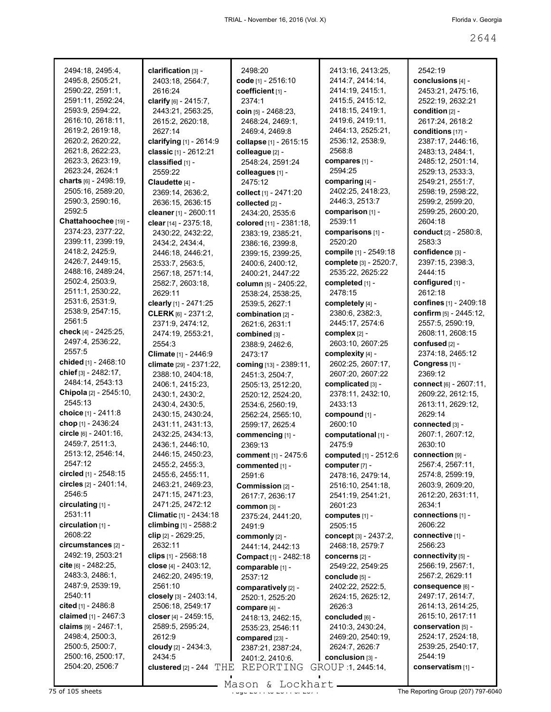| 2494:18, 2495:4,        | clarification [3] -          | 2498:20                      | 2413:16, 2413:25,            | 2542:19                      |
|-------------------------|------------------------------|------------------------------|------------------------------|------------------------------|
| 2495:8, 2505:21,        | 2403:18, 2564:7,             | code [1] - 2516:10           | 2414:7, 2414:14,             | conclusions [4] -            |
| 2590:22, 2591:1,        | 2616:24                      | coefficient [1] -            | 2414:19, 2415:1,             | 2453:21, 2475:16,            |
| 2591:11, 2592:24,       | clarify [6] - 2415:7,        | 2374:1                       | 2415:5, 2415:12,             | 2522:19, 2632:21             |
| 2593:9, 2594:22,        | 2443:21, 2563:25,            | coin $[5] - 2468:23$ ,       | 2418:15, 2419:1,             | condition [2] -              |
| 2616:10, 2618:11,       |                              |                              | 2419:6, 2419:11,             |                              |
|                         | 2615:2, 2620:18,             | 2468:24, 2469:1,             |                              | 2617:24, 2618:2              |
| 2619:2, 2619:18,        | 2627:14                      | 2469:4, 2469:8               | 2464:13, 2525:21,            | conditions [17] -            |
| 2620:2, 2620:22,        | clarifying [1] - 2614:9      | collapse [1] - 2615:15       | 2536:12, 2538:9,             | 2387:17, 2446:16,            |
| 2621:8, 2622:23,        | classic [1] - 2612:21        | colleague [2] -              | 2568:8                       | 2483:13, 2484:1,             |
| 2623:3, 2623:19,        | classified [1] -             | 2548:24, 2591:24             | compares [1] -               | 2485:12, 2501:14,            |
| 2623:24, 2624:1         | 2559:22                      | colleagues [1] -             | 2594:25                      | 2529:13, 2533:3,             |
| charts [6] - 2498:19,   | Claudette [4] -              | 2475:12                      | comparing [4] -              | 2549:21, 2551:7,             |
| 2505:16, 2589:20,       | 2369:14, 2636:2,             | collect [1] - 2471:20        | 2402:25, 2418:23,            | 2598:19, 2598:22,            |
| 2590:3, 2590:16,        | 2636:15, 2636:15             | collected [2] -              | 2446:3, 2513:7               | 2599:2, 2599:20,             |
| 2592:5                  | cleaner [1] - 2600:11        | 2434:20, 2535:6              | comparison [1] -             | 2599:25, 2600:20,            |
| Chattahoochee [19] -    | clear [14] - 2375:18,        | colored [11] - 2381:18,      | 2539:11                      | 2604:18                      |
| 2374:23, 2377:22,       | 2430:22, 2432:22,            |                              | comparisons [1] -            | <b>conduct</b> [2] - 2580:8, |
| 2399:11, 2399:19,       |                              | 2383:19, 2385:21,            | 2520:20                      | 2583:3                       |
| 2418:2, 2425:9,         | 2434:2, 2434:4,              | 2386:16, 2399:8,             |                              |                              |
|                         | 2446:18, 2446:21,            | 2399:15, 2399:25,            | compile [1] - 2549:18        | confidence [3] -             |
| 2426:7, 2449:15,        | 2533:7, 2563:5,              | 2400:6, 2400:12,             | complete [3] - 2520:7,       | 2397:15, 2398:3,             |
| 2488:16, 2489:24,       | 2567:18, 2571:14,            | 2400:21, 2447:22             | 2535:22, 2625:22             | 2444:15                      |
| 2502:4, 2503:9,         | 2582:7, 2603:18,             | column [5] - 2405:22,        | completed [1] -              | configured [1] -             |
| 2511:1, 2530:22,        | 2629:11                      | 2538:24, 2538:25,            | 2478:15                      | 2612:18                      |
| 2531:6, 2531:9,         | clearly [1] - 2471:25        | 2539:5, 2627:1               | completely [4] -             | confines [1] - 2409:18       |
| 2538:9, 2547:15,        | CLERK [6] - 2371:2,          | combination [2] -            | 2380:6, 2382:3,              | confirm [5] - 2445:12,       |
| 2561:5                  | 2371:9, 2474:12,             | 2621:6, 2631:1               | 2445:17, 2574:6              | 2557:5, 2590:19,             |
| check [4] - 2425:25,    | 2474:19, 2553:21,            | combined [3] -               | complex [2] -                | 2608:11, 2608:15             |
| 2497:4, 2536:22,        | 2554:3                       | 2388:9, 2462:6,              | 2603:10, 2607:25             | confused [2] -               |
| 2557:5                  | Climate [1] - 2446:9         | 2473:17                      | complexity [4] -             | 2374:18, 2465:12             |
| chided [1] - 2468:10    | climate [29] - 2371:22,      |                              | 2602:25, 2607:17,            | Congress [1] -               |
| chief [3] - 2482:17,    |                              | coming [13] - 2389:11,       | 2607:20, 2607:22             | 2369:12                      |
| 2484:14, 2543:13        | 2388:10, 2404:18,            | 2451:3, 2504:7,              |                              |                              |
| Chipola [2] - 2545:10,  | 2406:1, 2415:23,             | 2505:13, 2512:20,            | complicated [3] -            | connect [6] - 2607:11,       |
|                         | 2430:1, 2430:2,              | 2520:12, 2524:20,            | 2378:11, 2432:10,            | 2609:22, 2612:15,            |
| 2545:13                 | 2430:4, 2430:5,              | 2534:6, 2560:19,             | 2433:13                      | 2613:11, 2629:12,            |
| choice [1] - 2411:8     | 2430:15, 2430:24,            | 2562:24, 2565:10,            | compound [1] -               | 2629:14                      |
| chop [1] - 2436:24      | 2431:11, 2431:13,            | 2599:17, 2625:4              | 2600:10                      | connected [3] -              |
| circle [6] - 2401:16,   | 2432:25, 2434:13,            | commencing [1] -             | computational [1] -          | 2607:1, 2607:12,             |
| 2459:7, 2511:3,         | 2436:1, 2446:10,             | 2369:13                      | 2475:9                       | 2630:10                      |
| 2513:12, 2546:14,       | 2446:15, 2450:23,            | comment [1] - 2475:6         | <b>computed</b> [1] - 2512:6 | connection [9] -             |
| 2547:12                 | 2455:2, 2455:3,              | commented [1] -              | computer [7] -               | 2567:4, 2567:11,             |
| circled $[1]$ - 2548:15 | 2455:6, 2455:11,             | 2591:6                       | 2478:16, 2479:14,            | 2574:8, 2599:19,             |
| circles [2] - 2401:14,  | 2463:21, 2469:23,            | Commission [2] -             | 2516:10, 2541:18,            | 2603:9, 2609:20,             |
| 2546:5                  | 2471:15, 2471:23,            | 2617:7, 2636:17              | 2541:19, 2541:21,            | 2612:20, 2631:11,            |
| $circulating$ [1] -     | 2471:25, 2472:12             | COMMON [3] -                 | 2601:23                      | 2634:1                       |
| 2531:11                 | Climatic [1] - 2434:18       | 2375:24, 2441:20,            | computes [1] -               | connections [1] -            |
| circulation $[1]$ -     | climbing $[1] - 2588:2$      |                              | 2505:15                      | 2606:22                      |
| 2608:22                 |                              | 2491:9                       |                              |                              |
|                         | clip [2] - 2629:25,          | commonly [2] -               | concept [3] - 2437:2,        | connective [1] -             |
| circumstances [2] -     | 2632:11                      | 2441:14, 2442:13             | 2468:18, 2579:7              | 2566:23                      |
| 2492:19, 2503:21        | clips $[1] - 2568:18$        | <b>Compact</b> [1] - 2482:18 | concerns [2] -               | connectivity [5] -           |
| cite [6] - 2482:25,     | close $[4] - 2403:12$ ,      | comparable [1] -             | 2549:22, 2549:25             | 2566:19, 2567:1,             |
| 2483:3, 2486:1,         | 2462:20, 2495:19,            | 2537:12                      | conclude [5] -               | 2567:2, 2629:11              |
| 2487:9, 2539:19,        | 2561:10                      | comparatively [2] -          | 2402:22, 2522:5,             | consequence [6] -            |
| 2540:11                 | closely [3] - 2403:14,       | 2520:1, 2525:20              | 2624:15, 2625:12,            | 2497:17, 2614:7,             |
| cited $[1]$ - 2486:8    | 2506:18, 2549:17             | compare [4] -                | 2626:3                       | 2614:13, 2614:25,            |
| claimed [1] - 2467:3    | closer [4] - 2459:15,        | 2418:13, 2462:15,            | concluded [6] -              | 2615:10, 2617:11             |
| claims $[9] - 2467:1$ , | 2589:5, 2595:24,             | 2535:23, 2546:11             | 2410:3, 2430:24,             | conservation [5] -           |
| 2498:4, 2500:3,         | 2612:9                       | compared [23] -              | 2469:20, 2540:19,            | 2524:17, 2524:18,            |
| 2500:5, 2500:7,         | cloudy [2] - 2434:3,         | 2387:21, 2387:24,            | 2624:7, 2626:7               | 2539:25, 2540:17,            |
| 2500:16, 2500:17,       | 2434:5                       | 2401:2, 2410:6,              | conclusion [3] -             | 2544:19                      |
|                         |                              |                              |                              |                              |
| 2504:20, 2506:7         | clustered $[2]$ - 244<br>THE | REPORTING                    | GROUP 1, 2445:14,            | conservatism [1] -           |

 $\frac{25 \text{ of } 105 \text{ sheets}}{25 \text{ of } 105 \text{ sheets}}$  The Reporting Group (207) 797-6040 Mason & Lockhart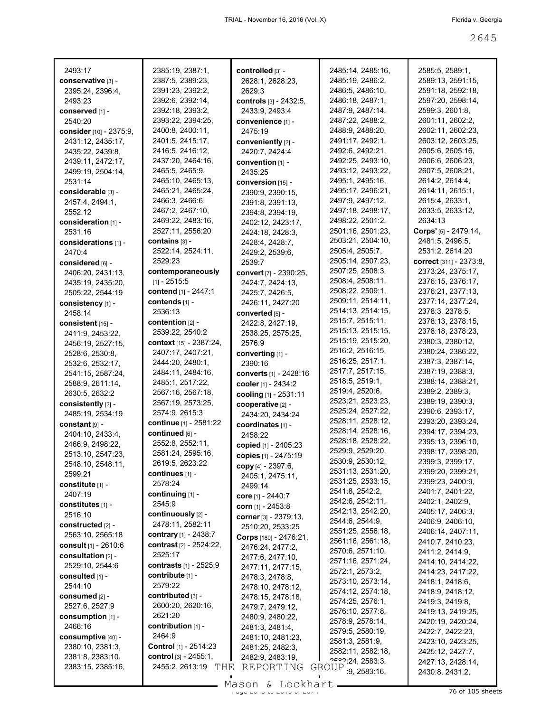| 2493:17                                | 2385:19, 2387:1,                     | controlled [3] -                 | 2485:14, 2485:16,                      | 2585:5, 2589:1,                        |
|----------------------------------------|--------------------------------------|----------------------------------|----------------------------------------|----------------------------------------|
| conservative [3] -<br>2395:24, 2396:4, | 2387:5, 2389:23,<br>2391:23, 2392:2, | 2628:1, 2628:23,                 | 2485:19, 2486:2,<br>2486:5, 2486:10,   | 2589:13, 2591:15,<br>2591:18, 2592:18, |
| 2493:23                                | 2392:6, 2392:14,                     | 2629:3<br>controls [3] - 2432:5, | 2486:18, 2487:1,                       | 2597:20, 2598:14,                      |
|                                        | 2392:18, 2393:2,                     | 2433:9, 2493:4                   | 2487:9, 2487:14,                       | 2599:3, 2601:8,                        |
| conserved [1] -<br>2540:20             | 2393:22, 2394:25,                    | convenience [1] -                | 2487:22, 2488:2,                       | 2601:11, 2602:2,                       |
| consider [10] - 2375:9,                | 2400:8, 2400:11,                     | 2475:19                          | 2488:9, 2488:20,                       | 2602:11, 2602:23,                      |
| 2431:12, 2435:17,                      | 2401:5, 2415:17,                     | conveniently [2] -               | 2491:17, 2492:1,                       | 2603:12, 2603:25,                      |
| 2435:22, 2439:8,                       | 2416:5, 2416:12,                     | 2420:7, 2424:4                   | 2492:6, 2492:21,                       | 2605:6, 2605:16,                       |
| 2439:11, 2472:17,                      | 2437:20, 2464:16,                    | convention [1] -                 | 2492:25, 2493:10,                      | 2606:6, 2606:23,                       |
| 2499:19, 2504:14,                      | 2465:5, 2465:9,                      | 2435:25                          | 2493:12, 2493:22,                      | 2607:5, 2608:21,                       |
| 2531:14                                | 2465:10, 2465:13,                    | conversion [15] -                | 2495:1, 2495:16,                       | 2614:2, 2614:4,                        |
| considerable [3] -                     | 2465:21, 2465:24,                    | 2390:9, 2390:15,                 | 2495:17, 2496:21,                      | 2614:11, 2615:1,                       |
| 2457:4, 2494:1,                        | 2466:3, 2466:6,                      | 2391:8, 2391:13,                 | 2497:9, 2497:12,                       | 2615:4, 2633:1,                        |
| 2552:12                                | 2467:2, 2467:10,                     | 2394:8, 2394:19,                 | 2497:18, 2498:17,                      | 2633:5, 2633:12,                       |
| consideration [1] -                    | 2469:22, 2483:16,                    | 2402:12, 2423:17,                | 2498:22, 2501:2,                       | 2634:13                                |
| 2531:16                                | 2527:11, 2556:20                     | 2424:18, 2428:3,                 | 2501:16, 2501:23,                      | Corps' [5] - 2479:14,                  |
| considerations [1] -                   | <b>contains [3] -</b>                | 2428:4, 2428:7,                  | 2503:21, 2504:10,                      | 2481:5, 2496:5,                        |
| 2470:4                                 | 2522:14, 2524:11,                    | 2429:2, 2539:6,                  | 2505:4, 2505:7,                        | 2531:2, 2614:20                        |
| considered [6] -                       | 2529:23                              | 2539:7                           | 2505:14, 2507:23,                      | correct [311] - 2373:8,                |
| 2406:20, 2431:13,                      | contemporaneously                    | convert [7] - 2390:25,           | 2507:25, 2508:3,                       | 2373:24, 2375:17,                      |
| 2435:19, 2435:20,                      | $[1] - 2515.5$                       | 2424:7, 2424:13,                 | 2508:4, 2508:11,                       | 2376:15, 2376:17,                      |
| 2505:22, 2544:19                       | contend [1] - 2447:1                 | 2425:7, 2426:5,                  | 2508:22, 2509:1,                       | 2376:21, 2377:13,                      |
| consistency [1] -                      | contends [1] -                       | 2426:11, 2427:20                 | 2509:11, 2514:11,                      | 2377:14, 2377:24,                      |
| 2458:14                                | 2536:13                              | converted [5] -                  | 2514:13, 2514:15,                      | 2378:3, 2378:5,                        |
| consistent [15] -                      | contention [2] -                     | 2422:8, 2427:19,                 | 2515:7, 2515:11,                       | 2378:13, 2378:15,                      |
| 2411:9, 2453:22,                       | 2539:22, 2540:2                      | 2538:25, 2575:25,                | 2515:13, 2515:15,                      | 2378:18, 2378:23,                      |
| 2456:19, 2527:15,                      | context [15] - 2387:24,              | 2576:9                           | 2515:19, 2515:20,                      | 2380:3, 2380:12,                       |
| 2528:6, 2530:8,                        | 2407:17, 2407:21,                    | converting [1] -                 | 2516:2, 2516:15,                       | 2380:24, 2386:22,                      |
| 2532:6, 2532:17,                       | 2444:20, 2480:1,                     | 2390:16                          | 2516:25, 2517:1,                       | 2387:3, 2387:14,                       |
| 2541:15, 2587:24,                      | 2484:11, 2484:16,                    | converts [1] - 2428:16           | 2517:7, 2517:15,                       | 2387:19, 2388:3,                       |
| 2588:9, 2611:14,                       | 2485:1, 2517:22,                     | cooler [1] - 2434:2              | 2518:5, 2519:1,                        | 2388:14, 2388:21,                      |
| 2630:5, 2632:2                         | 2567:16, 2567:18,                    | cooling [1] - 2531:11            | 2519:4, 2520:6,                        | 2389:2, 2389:3,                        |
| consistently [2] -                     | 2567:19, 2573:25,                    | cooperative [2] -                | 2523:21, 2523:23,                      | 2389:19, 2390:3,                       |
| 2485:19, 2534:19                       | 2574:9, 2615:3                       | 2434:20, 2434:24                 | 2525:24, 2527:22,                      | 2390:6, 2393:17,                       |
| constant [9] -                         | continue [1] - 2581:22               | coordinates [1] -                | 2528:11, 2528:12,                      | 2393:20, 2393:24,                      |
| 2404:10, 2433:4,                       | continued [6] -                      | 2458:22                          | 2528:14, 2528:16,                      | 2394:17, 2394:23,                      |
| 2466:9, 2498:22,                       | 2552:8, 2552:11,                     | copied [1] - 2405:23             | 2528:18, 2528:22,                      | 2395:13, 2396:10,                      |
| 2513:10, 2547:23,                      | 2581:24, 2595:16,                    | copies [1] - 2475:19             | 2529:9, 2529:20,                       | 2398:17, 2398:20,                      |
| 2548:10, 2548:11,                      | 2619:5, 2623:22                      | copy [4] - 2397:6,               | 2530:9, 2530:12,                       | 2399:3, 2399:17,                       |
| 2599:21                                | continues [1] -                      | 2405:1, 2475:11,                 | 2531:13, 2531:20,                      | 2399:20, 2399:21,                      |
| constitute [1] -                       | 2578:24                              | 2499:14                          | 2531:25, 2533:15,                      | 2399:23, 2400:9,                       |
| 2407:19                                | continuing [1] -                     | core [1] - 2440:7                | 2541:8, 2542:2,                        | 2401:7, 2401:22,                       |
| constitutes [1] -                      | 2545:9                               | corn [1] - $2453:8$              | 2542:6, 2542:11,                       | 2402:1, 2402:9,                        |
| 2516:10                                | continuously [2] -                   | corner [3] - 2379:13,            | 2542:13, 2542:20,                      | 2405:17, 2406:3,                       |
| constructed [2] -                      | 2478:11, 2582:11                     | 2510:20, 2533:25                 | 2544:6, 2544:9,                        | 2406:9, 2406:10,                       |
| 2563:10, 2565:18                       | contrary [1] - 2438:7                | Corps [180] - 2476:21,           | 2551:25, 2556:18,                      | 2406:14, 2407:11,                      |
| consult [1] - 2610:6                   | contrast [2] - 2524:22,              | 2476:24, 2477:2,                 | 2561:16, 2561:18,                      | 2410:7, 2410:23,                       |
| consultation [2] -                     | 2525:17                              | 2477:6, 2477:10,                 | 2570:6, 2571:10,                       | 2411:2, 2414:9,                        |
| 2529:10, 2544:6                        | contrasts [1] - 2525:9               | 2477:11, 2477:15,                | 2571:16, 2571:24,                      | 2414:10, 2414:22,                      |
| consulted [1] -                        | contribute [1] -                     | 2478:3, 2478:8,                  | 2572:1, 2573:2,                        | 2414:23, 2417:22,                      |
| 2544:10                                | 2579:22                              | 2478:10, 2478:12,                | 2573:10, 2573:14,<br>2574:12, 2574:18, | 2418:1, 2418:6,                        |
| consumed [2] -                         | contributed [3] -                    | 2478:15, 2478:18,                | 2574:25, 2576:1,                       | 2418:9, 2418:12,                       |
| 2527:6, 2527:9                         | 2600:20, 2620:16,                    | 2479:7, 2479:12,                 | 2576:10, 2577:8,                       | 2419:3, 2419:8,                        |
| consumption [1] -                      | 2621:20                              | 2480:9, 2480:22,                 |                                        | 2419:13, 2419:25,                      |
| 2466:16                                | contribution [1] -                   | 2481:3, 2481:4,                  | 2578:9, 2578:14,<br>2579:5, 2580:19,   | 2420:19, 2420:24,                      |
| consumptive [40] -                     | 2464:9                               | 2481:10, 2481:23,                | 2581:3, 2581:9,                        | 2422:7, 2422:23,                       |
| 2380:10, 2381:3,                       | Control [1] - 2514:23                | 2481:25, 2482:3,                 | 2582:11, 2582:18,                      | 2423:10, 2423:25,<br>2425:12, 2427:7,  |
| 2381:8, 2383:10,                       | control [3] - 2455:1,                | 2482:9, 2483:19,                 | 2583.3                                 |                                        |
| 2383:15, 2385:16,                      | 2455:2, 2613:19<br>THE               | REPORTING                        | GROUP<br>9, 2583.16,                   | 2427:13, 2428:14,                      |
|                                        | $\blacksquare$                       |                                  |                                        | 2430:8, 2431:2,                        |

 $\frac{265}{36}$  of 105 sheets Mason & Lockhart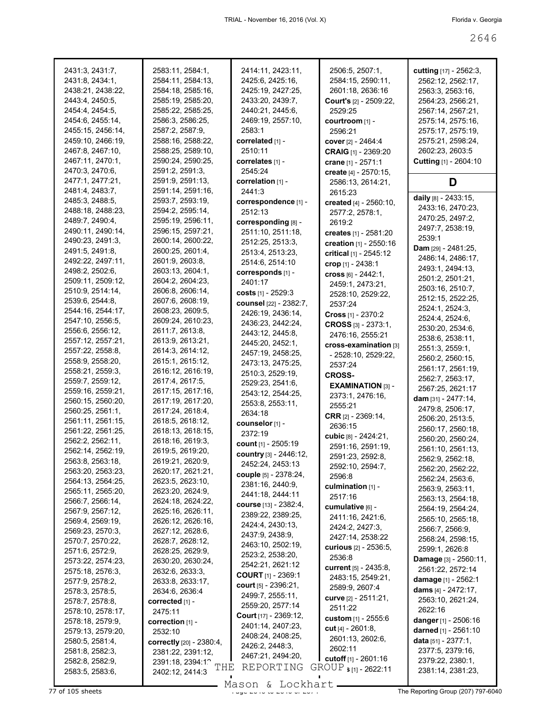| 2431:3, 2431:7,   | 2583:11, 2584:1,                | 2414:11, 2423:11,            | 2506:5, 2507:1,               | <b>cutting</b> [17] - 2562:3, |
|-------------------|---------------------------------|------------------------------|-------------------------------|-------------------------------|
| 2431:8, 2434:1,   | 2584:11, 2584:13,               | 2425:6, 2425:16,             | 2584:15, 2590:11,             | 2562:12, 2562:17,             |
| 2438:21, 2438:22, | 2584:18, 2585:16,               | 2425:19, 2427:25,            | 2601:18, 2636:16              | 2563:3, 2563:16,              |
| 2443:4, 2450:5,   | 2585:19, 2585:20,               | 2433:20, 2439:7,             | Court's [2] - 2509:22,        | 2564:23, 2566:21,             |
|                   |                                 |                              |                               |                               |
| 2454:4, 2454:5,   | 2585:22, 2585:25,               | 2440:21, 2445:6,             | 2529:25                       | 2567:14, 2567:21,             |
| 2454:6, 2455:14,  | 2586:3, 2586:25,                | 2469:19, 2557:10,            | courtroom [1] -               | 2575:14, 2575:16,             |
| 2455:15, 2456:14, | 2587:2, 2587:9,                 | 2583:1                       | 2596:21                       | 2575:17, 2575:19,             |
| 2459:10, 2466:19, | 2588:16, 2588:22,               | correlated [1] -             | <b>cover</b> $[2] - 2464:4$   | 2575:21, 2598:24,             |
| 2467:8, 2467:10,  | 2588:25, 2589:10,               | 2510:11                      | CRAIG [1] - 2369:20           | 2602:23, 2603:5               |
| 2467:11, 2470:1,  | 2590:24, 2590:25,               | correlates [1] -             | crane [1] - 2571:1            | Cutting [1] - 2604:10         |
| 2470:3, 2470:6,   | 2591:2, 2591:3,                 | 2545:24                      | create [4] - 2570:15,         |                               |
| 2477:1, 2477:21,  | 2591:9, 2591:13,                | correlation [1] -            |                               | D                             |
|                   |                                 |                              | 2586:13, 2614:21,             |                               |
| 2481:4, 2483:7,   | 2591:14, 2591:16,               | 2441:3                       | 2615:23                       | daily [8] - 2433:15,          |
| 2485:3, 2488:5,   | 2593:7, 2593:19,                | correspondence [1] -         | created [4] - 2560:10,        | 2433:16, 2470:23,             |
| 2488:18, 2488:23, | 2594:2, 2595:14,                | 2512:13                      | 2577:2, 2578:1,               |                               |
| 2489:7, 2490:4,   | 2595:19, 2596:11,               | corresponding [8] -          | 2619:2                        | 2470:25, 2497:2,              |
| 2490:11, 2490:14, | 2596:15, 2597:21,               | 2511:10, 2511:18,            | creates [1] - 2581:20         | 2497:7, 2538:19,              |
| 2490:23, 2491:3,  | 2600:14, 2600:22,               | 2512:25, 2513:3,             | creation [1] - 2550:16        | 2539:1                        |
| 2491:5, 2491:8,   | 2600:25, 2601:4,                | 2513:4, 2513:23,             |                               | Dam [29] - 2481:25,           |
| 2492:22, 2497:11, | 2601:9, 2603:8,                 | 2514:6, 2514:10              | critical [1] - 2545:12        | 2486:14, 2486:17,             |
| 2498:2, 2502:6,   | 2603:13, 2604:1,                |                              | crop [1] - 2438:1             | 2493:1, 2494:13,              |
|                   |                                 | corresponds [1] -            | cross $[6] - 2442:1,$         | 2501:2, 2501:21,              |
| 2509:11, 2509:12, | 2604:2, 2604:23,                | 2401:17                      | 2459:1, 2473:21,              | 2503:16, 2510:7,              |
| 2510:9, 2514:14,  | 2606:8, 2606:14,                | <b>costs</b> [1] - 2529:3    | 2528:10, 2529:22,             |                               |
| 2539:6, 2544:8,   | 2607:6, 2608:19,                | counsel [22] - 2382:7,       | 2537:24                       | 2512:15, 2522:25,             |
| 2544:16, 2544:17, | 2608:23, 2609:5,                | 2426:19, 2436:14,            | Cross $[1]$ - 2370:2          | 2524:1, 2524:3,               |
| 2547:10, 2556:5,  | 2609:24, 2610:23,               | 2436:23, 2442:24,            | CROSS $[3] - 2373:1$          | 2524:4, 2524:6,               |
| 2556:6, 2556:12,  | 2611:7, 2613:8,                 | 2443:12, 2445:8,             |                               | 2530:20, 2534:6,              |
| 2557:12, 2557:21, | 2613:9, 2613:21,                |                              | 2476:16, 2555:21              | 2538:6, 2538:11,              |
| 2557:22, 2558:8,  | 2614:3, 2614:12,                | 2445:20, 2452:1,             | cross-examination [3]         | 2551:3, 2559:1,               |
|                   |                                 | 2457:19, 2458:25,            | - 2528:10, 2529:22,           | 2560:2, 2560:15,              |
| 2558:9, 2558:20,  | 2615:1, 2615:12,                | 2473:13, 2475:25,            | 2537:24                       | 2561:17, 2561:19,             |
| 2558:21, 2559:3,  | 2616:12, 2616:19,               | 2510:3, 2529:19,             | <b>CROSS-</b>                 | 2562:7, 2563:17,              |
| 2559:7, 2559:12,  | 2617:4, 2617:5,                 | 2529:23, 2541:6,             | <b>EXAMINATION [3] -</b>      |                               |
| 2559:16, 2559:21, | 2617:15, 2617:16,               | 2543:12, 2544:25,            | 2373:1, 2476:16,              | 2567:25, 2621:17              |
| 2560:15, 2560:20, | 2617:19, 2617:20,               | 2553:8, 2553:11,             | 2555:21                       | dam [31] - 2477:14,           |
| 2560:25, 2561:1,  | 2617:24, 2618:4,                | 2634:18                      |                               | 2479:8, 2506:17,              |
| 2561:11, 2561:15, | 2618:5, 2618:12,                | counselor [1] -              | <b>CRR</b> $[2] - 2369:14$ ,  | 2506:20, 2513:5,              |
| 2561:22, 2561:25, | 2618:13, 2618:15,               | 2372:19                      | 2636:15                       | 2560:17, 2560:18,             |
| 2562:2, 2562:11,  | 2618:16, 2619:3,                |                              | cubic [8] - 2424:21,          | 2560:20, 2560:24,             |
| 2562:14, 2562:19, | 2619:5, 2619:20,                | count $[1]$ - 2505:19        | 2591:16, 2591:19,             | 2561:10, 2561:13,             |
|                   |                                 | country [3] - 2446:12,       | 2591:23, 2592:8,              | 2562:9, 2562:18,              |
| 2563:8, 2563:18,  | 2619:21, 2620:9,                | 2452:24, 2453:13             | 2592:10, 2594:7,              | 2562:20, 2562:22,             |
| 2563:20, 2563:23, | 2620:17, 2621:21,               | <b>couple</b> [5] - 2378:24, | 2596:8                        | 2562:24, 2563:6,              |
| 2564:13, 2564:25, | 2623:5, 2623:10,                | 2381:16, 2440:9,             | culmination $[1]$ -           |                               |
| 2565:11, 2565:20, | 2623:20, 2624:9,                | 2441:18, 2444:11             | 2517:16                       | 2563:9, 2563:11,              |
| 2566:7, 2566:14,  | 2624:18, 2624:22,               | <b>course</b> [13] - 2382:4, |                               | 2563:13, 2564:18,             |
| 2567:9, 2567:12,  | 2625:16, 2626:11,               | 2389:22, 2389:25,            | cumulative [6] -              | 2564:19, 2564:24,             |
| 2569:4, 2569:19,  | 2626:12, 2626:16,               |                              | 2411:16, 2421:6,              | 2565:10, 2565:18,             |
| 2569:23, 2570:3,  | 2627:12, 2628:6,                | 2424:4, 2430:13,             | 2424:2, 2427:3,               | 2566:7, 2566:9,               |
| 2570:7, 2570:22,  | 2628:7, 2628:12,                | 2437:9, 2438:9,              | 2427:14, 2538:22              | 2568:24, 2598:15,             |
| 2571:6, 2572:9,   | 2628:25, 2629:9,                | 2463:10, 2502:19,            | curious [2] - 2536:5,         | 2599:1, 2626:8                |
|                   |                                 | 2523:2, 2538:20,             | 2536:8                        | <b>Damage</b> [3] - 2560:11,  |
| 2573:22, 2574:23, | 2630:20, 2630:24,               | 2542:21, 2621:12             | <b>current</b> [5] - 2435:8,  | 2561:22, 2572:14              |
| 2575:18, 2576:3,  | 2632:6, 2633:3,                 | <b>COURT</b> $[1]$ - 2369:1  | 2483:15, 2549:21,             |                               |
| 2577:9, 2578:2,   | 2633:8, 2633:17,                | court $[5] - 2396:21$ ,      | 2589:9, 2607:4                | <b>damage</b> [1] - 2562:1    |
| 2578:3, 2578:5,   | 2634:6, 2636:4                  | 2499:7, 2555:11,             |                               | dams $[4] - 2472:17$ ,        |
| 2578:7, 2578:8,   | corrected [1] -                 | 2559:20, 2577:14             | curve [2] - 2511:21,          | 2563:10, 2621:24,             |
| 2578:10, 2578:17, | 2475:11                         |                              | 2511:22                       | 2622:16                       |
| 2578:18, 2579:9,  | correction $[1]$ -              | Court [17] - 2369:12,        | custom [1] - 2555:6           | danger [1] - 2506:16          |
| 2579:13, 2579:20, | 2532:10                         | 2401:14, 2407:23,            | cut [4] - 2601:8,             | darned [1] - 2561:10          |
| 2580:5, 2581:4,   | <b>correctly</b> [20] - 2380:4, | 2408:24, 2408:25,            | 2601:13, 2602:6,              | data $[51] - 2377:1$ ,        |
| 2581:8, 2582:3,   |                                 | 2426:2, 2448:3,              | 2602:11                       | 2377:5, 2379:16,              |
|                   | 2381:22, 2391:12,               | 2467:21, 2494:20,            | <b>cutoff</b> $[1] - 2601:16$ | 2379:22, 2380:1,              |
| 2582:8, 2582:9,   | 2391:18, 2394:12<br>THE         | REPORTING                    | GROUP $s_{[1]}$ - 2622:11     |                               |
| 2583:5, 2583:6,   | 2402:12, 2414:3                 |                              |                               | 2381:14, 2381:23,             |

Mason & Lockhart **Page 2646 of 2646 and 2646 of 26746 of 2674 The Reporting Group (207) 797-6040**<br>Mason & Lockhart **Communist Contract of 2007** The Reporting Group (207) 797-6040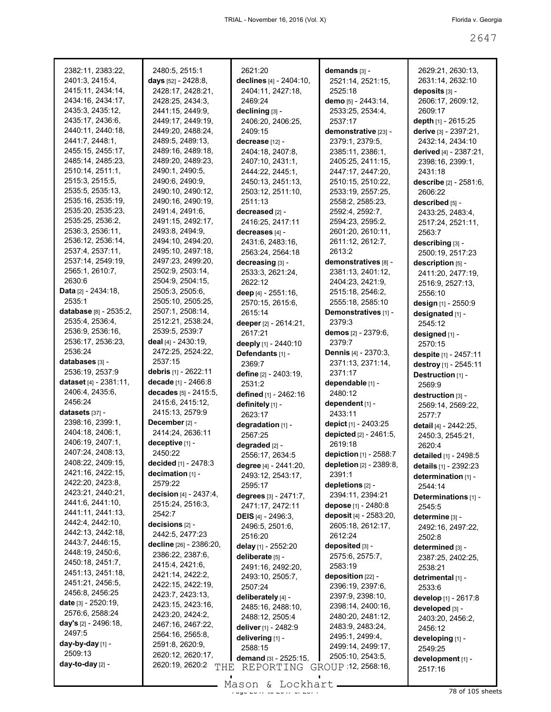| 2382:11, 2383:22,                    | 2480:5, 2515:1                      | 2621:20                                    | demands [3] -                             | 2629:21, 2630:13,                            |
|--------------------------------------|-------------------------------------|--------------------------------------------|-------------------------------------------|----------------------------------------------|
| 2401:3, 2415:4,                      | days $[52] - 2428.8$ ,              | declines [4] - 2404:10,                    | 2521:14, 2521:15,                         | 2631:14, 2632:10                             |
| 2415:11, 2434:14,                    | 2428:17, 2428:21,                   | 2404:11, 2427:18,                          | 2525:18                                   | deposits [3] -                               |
| 2434:16, 2434:17,                    | 2428:25, 2434:3,                    | 2469:24                                    | demo [5] - 2443:14,                       | 2606:17, 2609:12,                            |
| 2435:3, 2435:12,                     | 2441:15, 2449:9,                    | declining [3] -                            | 2533:25, 2534:4,                          | 2609:17                                      |
| 2435:17, 2436:6,                     | 2449:17, 2449:19,                   | 2406:20, 2406:25,                          | 2537:17                                   | depth [1] - 2615:25                          |
| 2440:11, 2440:18,                    | 2449:20, 2488:24,                   | 2409:15                                    | demonstrative [23] -                      | derive [3] - 2397:21,                        |
| 2441:7, 2448:1,                      | 2489:5, 2489:13,                    | decrease [12] -                            | 2379:1, 2379:5,                           | 2432:14, 2434:10                             |
| 2455:15, 2455:17,                    | 2489:16, 2489:18,                   | 2404:18, 2407:8,                           | 2385:11, 2386:1,                          | derived [4] - 2387:21,                       |
| 2485:14, 2485:23,                    | 2489:20, 2489:23,                   | 2407:10, 2431:1,                           | 2405:25, 2411:15,                         | 2398:16, 2399:1,                             |
| 2510:14, 2511:1,                     | 2490:1, 2490:5,                     | 2444:22, 2445:1,                           | 2447:17, 2447:20,                         | 2431:18                                      |
| 2515:3, 2515:5,                      | 2490:6, 2490:9,                     | 2450:13, 2451:13,                          | 2510:15, 2510:22,                         | describe [2] - 2581:6,                       |
| 2535:5, 2535:13,                     | 2490:10, 2490:12,                   | 2503:12, 2511:10,                          | 2533:19, 2557:25,                         | 2606:22                                      |
| 2535:16, 2535:19,                    | 2490:16, 2490:19,                   | 2511:13                                    | 2558:2, 2585:23,                          | described [5] -                              |
| 2535:20, 2535:23,                    | 2491:4, 2491:6,                     | decreased [2] -                            | 2592:4, 2592:7,                           | 2433:25, 2483:4,                             |
| 2535:25, 2536:2,                     | 2491:15, 2492:17,                   | 2416:25, 2417:11                           | 2594:23, 2595:2,                          | 2517:24, 2521:11,                            |
| 2536:3, 2536:11,                     | 2493:8, 2494:9,                     | decreases [4] -                            | 2601:20, 2610:11,                         | 2563.7                                       |
| 2536:12, 2536:14,                    | 2494:10, 2494:20,                   | 2431:6, 2483:16,                           | 2611:12, 2612:7,                          | describing [3] -                             |
| 2537:4, 2537:11,                     | 2495:10, 2497:18,                   | 2563:24, 2564:18                           | 2613:2                                    | 2500:19, 2517:23                             |
| 2537:14, 2549:19,<br>2565:1, 2610:7, | 2497:23, 2499:20,                   | decreasing [3] -                           | demonstratives [8] -                      | description [5] -                            |
| 2630:6                               | 2502:9, 2503:14,                    | 2533:3, 2621:24,                           | 2381:13, 2401:12,                         | 2411:20, 2477:19,                            |
| Data [2] - 2434:18,                  | 2504:9, 2504:15,<br>2505:3, 2505:6, | 2622:12                                    | 2404:23, 2421:9,                          | 2516:9, 2527:13,                             |
| 2535:1                               | 2505:10, 2505:25,                   | deep [4] - 2551:16,                        | 2515:18, 2546:2,                          | 2556:10                                      |
| database [8] - 2535:2,               | 2507:1, 2508:14,                    | 2570:15, 2615:6,                           | 2555:18, 2585:10                          | design [1] - 2550:9                          |
| 2535:4, 2536:4,                      | 2512:21, 2538:24,                   | 2615:14                                    | Demonstratives [1] -                      | designated [1] -                             |
| 2536:9, 2536:16,                     | 2539:5, 2539:7                      | deeper [2] - 2614:21,                      | 2379:3                                    | 2545:12                                      |
| 2536:17, 2536:23,                    | deal $[4] - 2430:19$ ,              | 2617:21                                    | demos [2] - 2379:6,                       | designed [1] -                               |
| 2536:24                              | 2472:25, 2524:22,                   | deeply [1] - 2440:10                       | 2379:7                                    | 2570:15                                      |
| databases [3] -                      | 2537:15                             | Defendants [1] -                           | Dennis [4] - 2370:3,<br>2371:13, 2371:14, | despite [1] - 2457:11                        |
| 2536:19, 2537:9                      | debris [1] - 2622:11                | 2369:7                                     | 2371:17                                   | destroy [1] - 2545:11                        |
| dataset [4] - 2381:11,               | decade [1] - 2466:8                 | define [2] - 2403:19,                      | dependable [1] -                          | Destruction [1] -                            |
| 2406:4, 2435:6,                      | decades [5] - 2415:5,               | 2531:2                                     | 2480:12                                   | 2569:9                                       |
| 2456:24                              | 2415:6, 2415:12,                    | defined [1] - 2462:16                      | dependent [1] -                           | destruction [3] -                            |
| datasets [37] -                      | 2415:13, 2579:9                     | definitely [1] -<br>2623:17                | 2433:11                                   | 2569:14, 2569:22,                            |
| 2398:16, 2399:1,                     | December [2] -                      | degradation [1] -                          | depict [1] - 2403:25                      | 2577:7                                       |
| 2404:18, 2406:1,                     | 2414:24, 2636:11                    | 2567:25                                    | depicted [2] - 2461:5,                    | detail [4] - 2442:25,                        |
| 2406:19, 2407:1,                     | deceptive [1] -                     |                                            | 2619:18                                   | 2450:3, 2545:21,                             |
| 2407:24, 2408:13,                    | 2450:22                             | degraded [2] -                             | depiction [1] - 2588:7                    | 2620:4                                       |
| 2408:22, 2409:15,                    | decided [1] - 2478:3                | 2556:17, 2634:5                            | depletion [2] - 2389:8,                   | detailed [1] - 2498:5                        |
| 2421:16, 2422:15,                    | decimation $[1]$ -                  | degree [4] - 2441:20,<br>2493:12, 2543:17, | 2391:1                                    | details [1] - 2392:23<br>determination [1] - |
| 2422:20, 2423:8,                     | 2579:22                             | 2595:17                                    | depletions [2] -                          | 2544:14                                      |
| 2423:21, 2440:21,                    | decision [4] - 2437:4,              | degrees [3] - 2471:7,                      | 2394:11, 2394:21                          | Determinations [1] -                         |
| 2441:6, 2441:10,                     | 2515:24, 2516:3,                    | 2471:17, 2472:11                           | depose [1] - 2480:8                       | 2545:5                                       |
| 2441:11, 2441:13,                    | 2542:7                              | <b>DEIS</b> [4] - 2496:3,                  | deposit [4] - 2583:20,                    | determine [3] -                              |
| 2442:4, 2442:10,                     | decisions [2] -                     | 2496:5, 2501:6,                            | 2605:18, 2612:17,                         |                                              |
| 2442:13, 2442:18,                    | 2442:5, 2477:23                     | 2516:20                                    | 2612:24                                   | 2492:16, 2497:22,<br>2502:8                  |
| 2443:7, 2446:15,                     | decline [26] - 2386:20,             | delay [1] - 2552:20                        | deposited [3] -                           | determined [3] -                             |
| 2448:19, 2450:6,                     | 2386:22, 2387:6,                    | deliberate [5] -                           | 2575:6, 2575:7,                           | 2387:25, 2402:25,                            |
| 2450:18, 2451:7,                     | 2415:4, 2421:6,                     | 2491:16, 2492:20,                          | 2583:19                                   | 2538:21                                      |
| 2451:13, 2451:18,                    | 2421:14, 2422:2,                    | 2493:10, 2505:7,                           | deposition [22] -                         | detrimental [1] -                            |
| 2451:21, 2456:5,                     | 2422:15, 2422:19,                   | 2507:24                                    | 2396:19, 2397:6,                          | 2533:6                                       |
| 2456:8, 2456:25                      | 2423:7, 2423:13,                    | deliberately [4] -                         | 2397:9, 2398:10,                          | develop [1] - 2617:8                         |
| <b>date</b> $[3] - 2520:19$ ,        | 2423:15, 2423:16,                   | 2485:16, 2488:10,                          | 2398:14, 2400:16,                         | developed [3] -                              |
| 2576:6, 2588:24                      | 2423:20, 2424:2,                    | 2488:12, 2505:4                            | 2480:20, 2481:12,                         | 2403:20, 2456:2,                             |
| <b>day's</b> [2] - 2496:18,          | 2467:16, 2467:22,                   | deliver [1] - 2482:9                       | 2483:9, 2483:24,                          | 2456:12                                      |
| 2497:5                               | 2564:16, 2565:8,                    | delivering [1] -                           | 2495:1, 2499:4,                           | developing [1] -                             |
| day-by-day [1] -                     | 2591:8, 2620:9,                     | 2588:15                                    | 2499:14, 2499:17,                         | 2549:25                                      |
| 2509:13                              | 2620:12, 2620:17,                   | demand [3] - 2525:15,                      | 2505:10, 2543:5,                          | development [1] -                            |
| day-to-day [2] -                     | 2620:19, 2620:2<br>THE              | REPORTING                                  | GROUP 12, 2568:16,                        | 2517:16                                      |
|                                      |                                     |                                            |                                           |                                              |

 $\frac{265611}{x}$  of  $\frac{266111}{x}$  of  $\frac{2641}{x}$  of  $\frac{2641}{x}$  78 of 105 sheets Mason & Lockhart.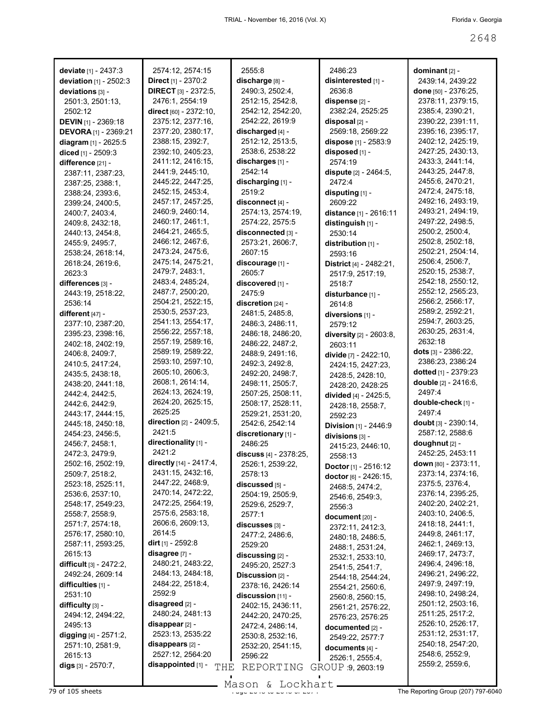| deviate $[1] - 2437:3$      | 2574:12, 2574:15            | 2555:8                 | 2486:23                       | dominant $[2]$ -       |
|-----------------------------|-----------------------------|------------------------|-------------------------------|------------------------|
| deviation $[1] - 2502:3$    | Direct [1] - 2370:2         | discharge [8] -        | disinterested [1] -           | 2439:14, 2439:22       |
| deviations [3] -            | <b>DIRECT</b> [3] - 2372:5, | 2490:3, 2502:4,        | 2636:8                        | done [50] - 2376:25,   |
| 2501:3, 2501:13,            | 2476:1, 2554:19             | 2512:15, 2542:8,       | dispense [2] -                | 2378:11, 2379:15,      |
| 2502:12                     | direct [60] - 2372:10,      | 2542:12, 2542:20,      | 2382:24, 2525:25              | 2385:4, 2390:21,       |
| <b>DEVIN</b> [1] - 2369:18  | 2375:12, 2377:16,           | 2542:22, 2619:9        | $disposal$ [2] -              | 2390:22, 2391:11,      |
| <b>DEVORA</b> [1] - 2369:21 | 2377:20, 2380:17,           | discharged [4] -       | 2569:18, 2569:22              | 2395:16, 2395:17,      |
| diagram [1] - 2625:5        | 2388:15, 2392:7,            | 2512:12, 2513:5,       | dispose [1] - 2583:9          | 2402:12, 2425:19,      |
| diced [1] - 2509:3          | 2392:10, 2405:23,           | 2538:6, 2538:22        | disposed [1] -                | 2427:25, 2430:13,      |
| difference [21] -           | 2411:12, 2416:15,           | discharges [1] -       | 2574:19                       | 2433:3, 2441:14,       |
| 2387:11, 2387:23,           | 2441:9, 2445:10,            | 2542:14                | dispute [2] - 2464:5,         | 2443:25, 2447:8,       |
| 2387:25, 2388:1,            | 2445:22, 2447:25,           | discharging [1] -      | 2472:4                        | 2455:6, 2470:21,       |
| 2388:24, 2393:6,            | 2452:15, 2453:4,            | 2519:2                 | disputing [1] -               | 2472:4, 2475:18,       |
| 2399:24, 2400:5,            | 2457:17, 2457:25,           | disconnect [4] -       | 2609:22                       | 2492:16, 2493:19,      |
| 2400:7, 2403:4,             | 2460:9, 2460:14,            | 2574:13, 2574:19,      | distance [1] - 2616:11        | 2493:21, 2494:19,      |
| 2409:8, 2432:18,            | 2460:17, 2461:1,            | 2574:22, 2575:5        | distinguish [1] -             | 2497:22, 2498:5,       |
| 2440:13, 2454:8,            | 2464:21, 2465:5,            | disconnected [3] -     | 2530:14                       | 2500:2, 2500:4,        |
| 2455:9, 2495:7,             | 2466:12, 2467:6,            | 2573:21, 2606:7,       | distribution [1] -            | 2502:8, 2502:18,       |
| 2538:24, 2618:14,           | 2473:24, 2475:6,            | 2607:15                | 2593:16                       | 2502:21, 2504:14,      |
| 2618:24, 2619:6,            | 2475:14, 2475:21,           | discourage [1] -       | District [4] - 2482:21,       | 2506:4, 2506:7,        |
| 2623:3                      | 2479:7, 2483:1,             | 2605:7                 | 2517:9, 2517:19,              | 2520:15, 2538:7,       |
| differences [3] -           | 2483:4, 2485:24,            | discovered [1] -       | 2518:7                        | 2542:18, 2550:12,      |
| 2443:19, 2518:22,           | 2487:7, 2500:20,            | 2475:9                 | disturbance [1] -             | 2552:12, 2565:23,      |
| 2536:14                     | 2504:21, 2522:15,           | discretion [24] -      | 2614:8                        | 2566:2, 2566:17,       |
| different [47] -            | 2530:5, 2537:23,            | 2481:5, 2485:8,        | diversions [1] -              | 2589:2, 2592:21,       |
| 2377:10, 2387:20,           | 2541:13, 2554:17,           | 2486:3, 2486:11,       | 2579:12                       | 2594:7, 2603:25,       |
| 2395:23, 2398:16,           | 2556:22, 2557:18,           | 2486:18, 2486:20,      | diversity [2] - 2603:8,       | 2630:25, 2631:4,       |
| 2402:18, 2402:19,           | 2557:19, 2589:16,           | 2486:22, 2487:2,       | 2603:11                       | 2632:18                |
| 2406:8, 2409:7,             | 2589:19, 2589:22,           | 2488:9, 2491:16,       | divide $[7] - 2422:10$ ,      | dots $[3] - 2386:22$ , |
| 2410:5, 2417:24,            | 2593:10, 2597:10,           | 2492:3, 2492:8,        | 2424:15, 2427:23,             | 2386:23, 2386:24       |
| 2435:5, 2438:18,            | 2605:10, 2606:3,            | 2492:20, 2498:7,       | 2428:5, 2428:10,              | dotted [1] - 2379:23   |
| 2438:20, 2441:18,           | 2608:1, 2614:14,            | 2498:11, 2505:7,       | 2428:20, 2428:25              | double [2] - 2416:6,   |
| 2442:4, 2442:5,             | 2624:13, 2624:19,           | 2507:25, 2508:11,      | divided [4] - 2425:5,         | 2497.4                 |
| 2442:6, 2442:9,             | 2624:20, 2625:15,           | 2508:17, 2528:11,      | 2428:18, 2558:7,              | double-check [1] -     |
| 2443:17, 2444:15,           | 2625:25                     | 2529:21, 2531:20,      | 2592:23                       | 2497:4                 |
| 2445:18, 2450:18,           | direction [2] - 2409:5,     | 2542:6, 2542:14        | Division [1] - 2446:9         | doubt [3] - 2390:14,   |
| 2454:23, 2456:5,            | 2421:5                      | discretionary [1] -    | divisions [3] -               | 2587:12, 2588:6        |
| 2456:7, 2458:1,             | directionality [1] -        | 2486:25                | 2415:23, 2446:10,             | doughnut [2] -         |
| 2472:3, 2479:9,             | 2421:2                      | discuss [4] - 2378:25, | 2558:13                       | 2452:25, 2453:11       |
| 2502:16, 2502:19,           | directly [14] - 2417:4,     | 2526:1, 2539:22,       | <b>Doctor</b> [1] - $2516:12$ | down [80] - 2373:11,   |
| 2509:7, 2518:2,             | 2431:15, 2432:16,           | 2578:13                | doctor [6] - 2426:15,         | 2373:14, 2374:16,      |
| 2523:18, 2525:11,           | 2447:22, 2468:9,            | discussed [5] -        | 2468:5, 2474:2,               | 2375:5, 2376:4,        |
| 2536:6, 2537:10,            | 2470:14, 2472:22,           | 2504:19, 2505:9,       | 2546:6, 2549:3,               | 2376:14, 2395:25,      |
| 2548:17, 2549:23,           | 2472:25, 2564:19,           | 2529:6, 2529:7,        | 2556:3                        | 2402:20, 2402:21,      |
| 2558:7, 2558:9,             | 2575:6, 2583:18,            | 2577:1                 | document [20] -               | 2403:10, 2406:5,       |
| 2571:7, 2574:18,            | 2606:6, 2609:13,            | discusses [3] -        | 2372:11, 2412:3,              | 2418:18, 2441:1,       |
| 2576:17, 2580:10,           | 2614:5                      | 2477:2, 2486:6,        | 2480:18, 2486:5,              | 2449:8, 2461:17,       |
| 2587:11, 2593:25,           | <b>dirt</b> [1] - 2592:8    | 2529:20                | 2488:1, 2531:24,              | 2462:1, 2469:13,       |
| 2615:13                     | disagree [7] -              | discussing [2] -       | 2532:1, 2533:10,              | 2469:17, 2473:7,       |
| difficult [3] - 2472:2,     | 2480:21, 2483:22,           | 2495:20, 2527:3        | 2541:5, 2541:7,               | 2496:4, 2496:18,       |
| 2492:24, 2609:14            | 2484:13, 2484:18,           | Discussion [2] -       | 2544:18, 2544:24,             | 2496:21, 2496:22,      |
| difficulties [1] -          | 2484:22, 2518:4,            | 2378:16, 2426:14       | 2554:21, 2560:6,              | 2497:9, 2497:19,       |
| 2531:10                     | 2592:9                      | discussion [11] -      | 2560:8, 2560:15,              | 2498:10, 2498:24,      |
| difficulty [3] -            | disagreed [2] -             | 2402:15, 2436:11,      | 2561:21, 2576:22,             | 2501:12, 2503:16,      |
| 2494:12, 2494:22,           | 2480:24, 2481:13            | 2442:20, 2470:25,      | 2576:23, 2576:25              | 2511:25, 2517:2,       |
| 2495:13                     | $disappear$ [2] -           | 2472:4, 2486:14,       | documented [2] -              | 2526:10, 2526:17,      |
| digging [4] - 2571:2,       | 2523:13, 2535:22            | 2530:8, 2532:16,       | 2549:22, 2577:7               | 2531:12, 2531:17,      |
| 2571:10, 2581:9,            | disappears [2] -            | 2532:20, 2541:15,      | documents [4] -               | 2540:18, 2547:20,      |
| 2615:13                     | 2527:12, 2564:20            | 2596:22                | 2526:1, 2555:4,               | 2548:6, 2552:9,        |
| digs $[3] - 2570:7,$        | disappointed [1] -<br>THE   | REPORTING              | GROUP 9, 2603:19              | 2559:2, 2559:6,        |
|                             |                             |                        |                               |                        |

The Reporting Group (207) 797-6040<br>The Reporting Group (207) 797-6040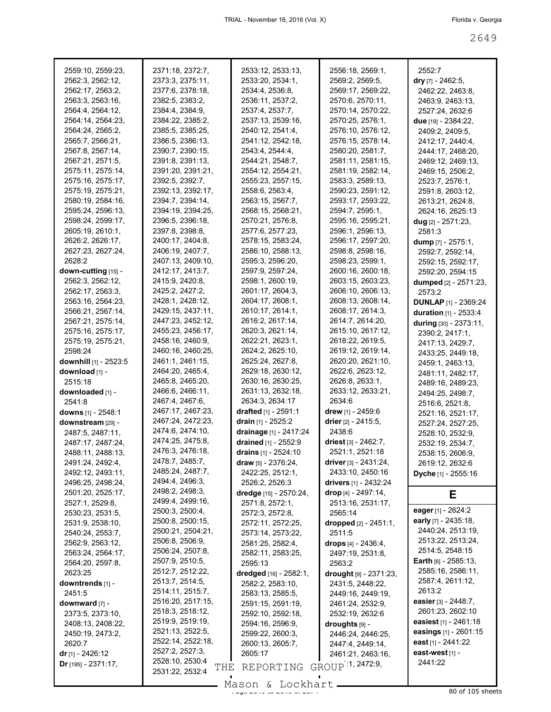| 2559:10, 2559:23,       | 2371:18, 2372:7,                          | 2533:12, 2533:13,           | 2556:18, 2569:1,           | 2552:7                       |
|-------------------------|-------------------------------------------|-----------------------------|----------------------------|------------------------------|
| 2562:3, 2562:12,        | 2373:3, 2375:11,                          | 2533:20, 2534:1,            | 2569:2, 2569:5,            | dry [7] - 2462:5,            |
| 2562:17, 2563:2,        | 2377:6, 2378:18,                          | 2534:4, 2536:8,             | 2569:17, 2569:22,          | 2462:22, 2463:8,             |
| 2563:3, 2563:16,        | 2382:5, 2383:2,                           | 2536:11, 2537:2,            | 2570:6, 2570:11,           | 2463:9, 2463:13,             |
| 2564:4, 2564:12,        | 2384:4, 2384:9,                           | 2537:4, 2537:7,             | 2570:14, 2570:22,          | 2527:24, 2632:6              |
| 2564:14, 2564:23,       | 2384:22, 2385:2,                          | 2537:13, 2539:16,           | 2570:25, 2576:1,           | due [19] - 2384:22,          |
| 2564:24, 2565:2,        | 2385:5, 2385:25,                          | 2540:12, 2541:4,            | 2576:10, 2576:12,          | 2409:2, 2409:5,              |
| 2565:7, 2566:21,        | 2386:5, 2386:13,                          | 2541:12, 2542:18,           | 2576:15, 2578:14,          | 2412:17, 2440:4,             |
| 2567:8, 2567:14,        | 2390:7, 2390:15,                          | 2543:4, 2544:4,             | 2580:20, 2581:7,           | 2444:17, 2468:20,            |
| 2567:21, 2571:5,        | 2391:8, 2391:13,                          | 2544:21, 2548:7,            | 2581:11, 2581:15,          | 2469:12, 2469:13,            |
| 2575:11, 2575:14,       | 2391:20, 2391:21,                         | 2554:12, 2554:21,           | 2581:19, 2582:14,          | 2469:15, 2506:2,             |
| 2575:16, 2575:17,       | 2392:5, 2392:7,                           | 2555:23, 2557:15,           | 2583:3, 2589:13,           | 2523:7, 2576:1,              |
| 2575:19, 2575:21,       | 2392:13, 2392:17,                         | 2558:6, 2563:4,             | 2590:23, 2591:12,          | 2591:8, 2603:12,             |
| 2580:19, 2584:16,       | 2394:7, 2394:14,                          | 2563:15, 2567:7,            | 2593:17, 2593:22,          | 2613:21, 2624:8,             |
| 2595:24, 2596:13,       | 2394:19, 2394:25,                         | 2568:15, 2568:21,           | 2594:7, 2595:1,            | 2624:16, 2625:13             |
| 2598:24, 2599:17,       | 2396:5, 2396:18,                          | 2570:21, 2576:8,            | 2595:16, 2595:21,          | dug [2] - 2571:23,           |
| 2605:19, 2610:1,        | 2397:8, 2398:8,                           | 2577:6, 2577:23,            | 2596:1, 2596:13,           | 2581:3                       |
| 2626:2, 2626:17,        | 2400:17, 2404:8,                          | 2578:15, 2583:24,           | 2596:17, 2597:20,          | dump [7] - 2575:1,           |
| 2627:23, 2627:24,       | 2406:19, 2407:7,                          | 2586:10, 2588:13,           | 2598:8, 2598:16,           | 2592:7, 2592:14,             |
| 2628:2                  | 2407:13, 2409:10,                         | 2595:3, 2596:20,            | 2598:23, 2599:1,           | 2592:15, 2592:17,            |
| down-cutting [15] -     | 2412:17, 2413:7,                          | 2597:9, 2597:24,            | 2600:16, 2600:18,          | 2592:20, 2594:15             |
| 2562:3, 2562:12,        | 2415:9, 2420:8,                           | 2598:1, 2600:19,            | 2603:15, 2603:23,          | <b>dumped</b> [2] - 2571:23, |
| 2562:17, 2563:3,        | 2425:2, 2427:2,                           | 2601:17, 2604:3,            | 2606:10, 2606:13,          | 2573:2                       |
| 2563:16, 2564:23,       | 2428:1, 2428:12,                          | 2604:17, 2608:1,            | 2608:13, 2608:14,          | <b>DUNLAP</b> [1] - 2369:24  |
| 2566:21, 2567:14,       | 2429:15, 2437:11,                         | 2610:17, 2614:1,            | 2608:17, 2614:3,           | duration [1] - 2533:4        |
| 2567:21, 2575:14,       | 2447:23, 2452:12,                         | 2616:2, 2617:14,            | 2614:7, 2614:20,           | during [30] - 2373:11,       |
| 2575:16, 2575:17,       | 2455:23, 2456:17,                         | 2620:3, 2621:14,            | 2615:10, 2617:12,          | 2390:2, 2417:1,              |
| 2575:19, 2575:21,       | 2458:16, 2460:9,                          | 2622:21, 2623:1,            | 2618:22, 2619:5,           | 2417:13, 2429:7,             |
| 2598:24                 | 2460:16, 2460:25,                         | 2624:2, 2625:10,            | 2619:12, 2619:14,          | 2433:25, 2449:18,            |
| downhill [1] - 2523:5   | 2461:1, 2461:15,                          | 2625:24, 2627:8,            | 2620:20, 2621:10,          | 2459:1, 2463:13,             |
| download [1] -          | 2464:20, 2465:4,                          | 2629:18, 2630:12,           | 2622:6, 2623:12,           | 2481:11, 2482:17,            |
| 2515:18                 | 2465:8, 2465:20,                          | 2630:16, 2630:25,           | 2626:8, 2633:1,            | 2489:16, 2489:23,            |
| downloaded [1] -        | 2466:6, 2466:11,                          | 2631:13, 2632:18,           | 2633:12, 2633:21,          | 2494:25, 2498:7,             |
| 2541:8                  | 2467:4, 2467:6,                           | 2634:3, 2634:17             | 2634:6                     |                              |
|                         |                                           |                             |                            | 2516:6, 2521:8,              |
| downs [1] - 2548:1      | 2467:17, 2467:23,                         | <b>drafted</b> [1] - 2591:1 | <b>drew</b> [1] - 2459:6   | 2521:16, 2521:17,            |
| downstream [29] -       | 2467:24, 2472:23,                         | drain $[1]$ - 2525:2        | <b>drier</b> [2] - 2415:5, | 2527:24, 2527:25,            |
| 2487:5, 2487:11,        | 2474:6, 2474:10,                          | drainage [1] - 2417:24      | 2438.6                     | 2528:10, 2532:9,             |
| 2487:17, 2487:24,       | 2474:25, 2475:8,                          | drained [1] - 2552:9        | driest $[3] - 2462:7$ ,    | 2532:19, 2534:7,             |
| 2488:11, 2488:13,       | 2476:3, 2476:18,                          | drains [1] - 2524:10        | 2521:1, 2521:18            | 2538:15, 2606:9,             |
| 2491:24, 2492:4,        | 2478:7, 2485:7,                           | draw [5] - 2376:24,         | driver [3] - 2431:24,      | 2619:12, 2632:6              |
| 2492:12, 2493:11,       | 2485:24, 2487:7,                          | 2422:25, 2512:1,            | 2433:10, 2450:16           | Dyche [1] - 2555:16          |
| 2496:25, 2498:24,       | 2494:4, 2496:3,                           | 2526:2, 2526:3              | drivers [1] - 2432:24      |                              |
| 2501:20, 2525:17,       | 2498:2, 2498:3,                           | dredge [15] - 2570:24,      | <b>drop</b> [4] - 2497:14, | E.                           |
| 2527:1, 2529:8,         | 2499:4, 2499:16,                          | 2571:8, 2572:1,             | 2513:16, 2531:17,          |                              |
| 2530:23, 2531:5,        | 2500:3, 2500:4,                           | 2572:3, 2572:8,             | 2565:14                    | eager [1] - 2624:2           |
| 2531:9, 2538:10,        | 2500:8, 2500:15,                          | 2572:11, 2572:25,           | dropped [2] - 2451:1,      | early [7] - 2435:18,         |
| 2540:24, 2553:7,        | 2500:21, 2504:21,                         | 2573:14, 2573:22,           | 2511:5                     | 2440:24, 2513:19,            |
| 2562:9, 2563:12,        | 2506:8, 2506:9,                           | 2581:25, 2582:4,            | <b>drops</b> [4] - 2436:4, | 2513:22, 2513:24,            |
| 2563:24, 2564:17,       | 2506:24, 2507:8,                          | 2582:11, 2583:25,           | 2497:19, 2531:8,           | 2514:5, 2548:15              |
| 2564:20, 2597:8,        | 2507:9, 2510:5,                           | 2595:13                     | 2563:2                     | <b>Earth</b> [6] - 2585:13,  |
| 2623:25                 | 2512:7, 2512:22,                          | dredged [16] - 2582:1,      | drought [9] - 2371:23,     | 2585:16, 2586:11,            |
| downtrends [1] -        | 2513:7, 2514:5,                           | 2582:2, 2583:10,            | 2431:5, 2448:22,           | 2587:4, 2611:12,             |
| 2451:5                  | 2514:11, 2515:7,                          | 2583:13, 2585:5,            | 2449:16, 2449:19,          | 2613:2                       |
| downward [7] -          | 2516:20, 2517:15,                         | 2591:15, 2591:19,           | 2461:24, 2532:9,           | easier $[3] - 2448:7,$       |
| 2373:5, 2373:10,        | 2518:3, 2518:12,                          | 2592:10, 2592:18,           | 2532:19, 2632:6            | 2601:23, 2602:10             |
| 2408:13, 2408:22,       | 2519:9, 2519:19,                          | 2594:16, 2596:9,            | droughts [9] -             | easiest $[1] - 2461:18$      |
| 2450:19, 2473:2,        | 2521:13, 2522:5,                          | 2599:22, 2600:3,            | 2446:24, 2446:25,          | easings [1] - 2601:15        |
| 2620:7                  | 2522:14, 2522:18,                         | 2600:13, 2605:7,            | 2447:4, 2449:14,           | east [1] - 2441:22           |
| <b>dr</b> [1] - 2426:12 | 2527:2, 2527:3,                           | 2605:17                     | 2461:21, 2463:16,          | east-west [1] -              |
| Dr $[195] - 2371:17$ ,  | 2528:10, 2530:4<br>THE<br>2531:22, 2532:4 | REPORTING                   | GROUP 1, 2472:9,           | 2441:22                      |

Mason & Lockhart 2008 and 2008 0f 105 sheets

 $\mathbf{r}$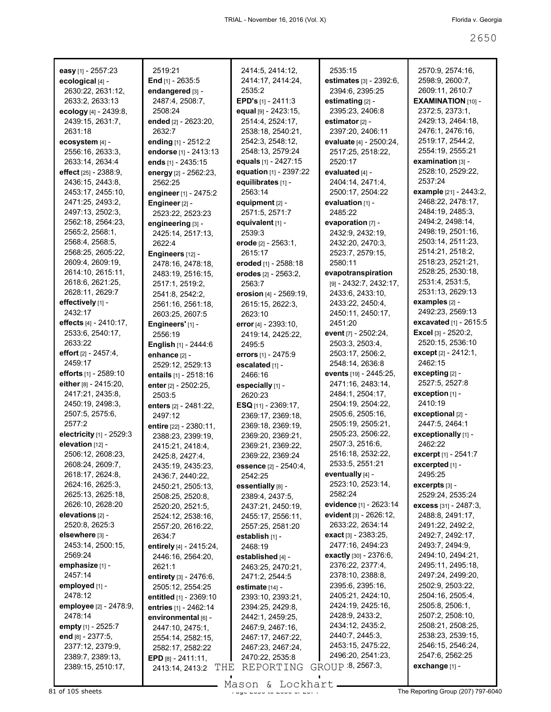| easy [1] - 2557:23                    | 2519:21                                | 2414:5, 2414:12,<br>2414:17, 2414:24, | 2535:15<br>estimates [3] - 2392:6,   | 2570:9, 2574:16,<br>2598:9, 2600:7,         |
|---------------------------------------|----------------------------------------|---------------------------------------|--------------------------------------|---------------------------------------------|
| ecological [4] -                      | End $[1]$ - 2635:5<br>endangered [3] - | 2535:2                                | 2394:6, 2395:25                      | 2609:11, 2610:7                             |
| 2630:22, 2631:12,<br>2633:2, 2633:13  | 2487:4, 2508:7,                        | <b>EPD's</b> $[1]$ - 2411:3           | estimating [2] -                     | <b>EXAMINATION [10] -</b>                   |
|                                       |                                        |                                       |                                      | 2372:5, 2373:1,                             |
| ecology [4] - 2439:8,                 | 2508:24                                | equal [9] - 2423:15,                  | 2395:23, 2406:8                      | 2429:13, 2464:18,                           |
| 2439:15, 2631:7,                      | ended [2] - 2623:20,                   | 2514:4, 2524:17,                      | estimator [2] -                      |                                             |
| 2631:18                               | 2632:7                                 | 2538:18, 2540:21,<br>2542:3, 2548:12, | 2397:20, 2406:11                     | 2476:1, 2476:16,<br>2519:17, 2544:2,        |
| ecosystem [4] -                       | ending [1] - 2512:2                    |                                       | evaluate [4] - 2500:24,              | 2554:19, 2555:21                            |
| 2556:16, 2633:3,                      | endorse [1] - 2413:13                  | 2548:13, 2579:24                      | 2517:25, 2518:22,<br>2520:17         | examination [3] -                           |
| 2633:14, 2634:4                       | ends [1] - 2435:15                     | equals [1] - 2427:15                  |                                      |                                             |
| effect [25] - 2388:9,                 | energy [2] - 2562:23,                  | equation [1] - 2397:22                | evaluated [4] -                      | 2528:10, 2529:22,<br>2537:24                |
| 2436:15, 2443:8,                      | 2562:25                                | equilibrates [1] -                    | 2404:14, 2471:4,                     |                                             |
| 2453:17, 2455:10,                     | engineer [1] - 2475:2                  | 2563:14                               | 2500:17, 2504:22                     | example [21] - 2443:2,<br>2468:22, 2478:17, |
| 2471:25, 2493:2,                      | Engineer <sub>[2]</sub> -              | equipment $[2]$ -                     | evaluation $[1]$ -                   |                                             |
| 2497:13, 2502:3,                      | 2523:22, 2523:23                       | 2571:5, 2571:7                        | 2485:22                              | 2484:19, 2485:3,                            |
| 2562:18, 2564:23,                     | engineering [3] -                      | equivalent [1] -                      | evaporation [7] -                    | 2494:2, 2498:14,                            |
| 2565:2, 2568:1,                       | 2425:14, 2517:13,                      | 2539:3                                | 2432:9, 2432:19,                     | 2498:19, 2501:16,                           |
| 2568:4, 2568:5,                       | 2622:4                                 | erode [2] - 2563:1.                   | 2432:20, 2470:3,                     | 2503:14, 2511:23,<br>2514:21, 2518:2,       |
| 2568:25, 2605:22,                     | Engineers [12] -                       | 2615:17                               | 2523:7, 2579:15,                     | 2518:23, 2521:21,                           |
| 2609:4, 2609:19,                      | 2478:16, 2478:18,                      | eroded [1] - 2588:18                  | 2580:11                              |                                             |
| 2614:10, 2615:11,                     | 2483:19, 2516:15,                      | erodes [2] - 2563:2,                  | evapotranspiration                   | 2528:25, 2530:18,                           |
| 2618:6, 2621:25,                      | 2517:1, 2519:2,                        | 2563:7                                | [9] - 2432:7, 2432:17,               | 2531:4, 2531:5,<br>2531:13, 2629:13         |
| 2628:11, 2629:7                       | 2541:8, 2542:2,                        | erosion [4] - 2569:19,                | 2433:6, 2433:10,                     | examples [2] -                              |
| effectively [1] -<br>2432:17          | 2561:16, 2561:18,                      | 2615:15, 2622:3,                      | 2433:22, 2450:4,                     | 2492:23, 2569:13                            |
|                                       | 2603:25, 2607:5                        | 2623:10                               | 2450:11, 2450:17,                    | excavated [1] - 2615:5                      |
| effects [4] - 2410:17,                | Engineers' [1] -                       | error [4] - 2393:10,                  | 2451:20                              |                                             |
| 2533:6, 2540:17,                      | 2556:19                                | 2419:14, 2425:22,                     | event [7] - 2502:24,                 | Excel [3] - 2520:2,<br>2520:15, 2536:10     |
| 2633:22                               | English [1] - 2444:6                   | 2495:5                                | 2503:3, 2503:4,                      |                                             |
| effort $[2] - 2457.4$ ,               | enhance [2] -                          | errors [1] - 2475:9                   | 2503:17, 2506:2,                     | except [2] - 2412:1,<br>2462:15             |
| 2459:17                               | 2529:12, 2529:13                       | escalated [1] -                       | 2548:14, 2636:8                      |                                             |
| efforts [1] - 2589:10                 | entails [1] - 2518:16                  | 2466:16                               | events [19] - 2445:25,               | $excepting$ [2] -                           |
| either [8] - 2415:20,                 | enter [2] - 2502:25,                   | especially [1] -                      | 2471:16, 2483:14,                    | 2527:5, 2527:8                              |
| 2417:21, 2435:8,                      | 2503:5                                 | 2620:23                               | 2484:1, 2504:17,                     | exception [1] -                             |
| 2450:19, 2498:3,                      | enters [2] - 2481:22,                  | ESQ [11] - 2369:17,                   | 2504:19, 2504:22,                    | 2410:19                                     |
| 2507:5, 2575:6,                       | 2497:12                                | 2369:17, 2369:18,                     | 2505:6, 2505:16,                     | exceptional [2] -                           |
| 2577:2                                | entire [22] - 2380:11,                 | 2369:18, 2369:19,                     | 2505:19, 2505:21,                    | 2447:5, 2464:1                              |
| electricity [1] - 2529:3              | 2388:23, 2399:19,                      | 2369:20, 2369:21,                     | 2505:23, 2506:22,                    | exceptionally [1] -                         |
| elevation [12] -                      | 2415:21, 2418:4,                       | 2369:21, 2369:22,                     | 2507:3, 2516:6,<br>2516:18, 2532:22, | 2462:22                                     |
| 2506:12, 2608:23,<br>2608:24, 2609:7, | 2425:8, 2427:4,                        | 2369:22, 2369:24                      | 2533:5, 2551:21                      | excerpt [1] - 2541:7                        |
| 2618:17, 2624:8,                      | 2435:19, 2435:23,                      | essence [2] - 2540:4,                 | eventually [4] -                     | excerpted [1] -<br>2495:25                  |
| 2624:16, 2625:3,                      | 2436:7, 2440:22,                       | 2542:25                               | 2523:10, 2523:14,                    |                                             |
| 2625:13, 2625:18,                     | 2450:21, 2505:13,                      | essentially [8] -                     | 2582:24                              | $excerpts$ [3] -<br>2529:24, 2535:24        |
| 2626:10, 2628:20                      | 2508:25, 2520:8,                       | 2389:4, 2437:5,                       | evidence [1] - 2623:14               | excess [31] - 2487:3,                       |
| elevations [2] -                      | 2520:20, 2521:5,                       | 2437:21, 2450:19,                     | evident [3] - 2626:12,               | 2488:8, 2491:17,                            |
| 2520:8, 2625:3                        | 2524:12, 2538:16,                      | 2455:17, 2556:11,                     | 2633:22, 2634:14                     | 2491:22, 2492:2,                            |
| elsewhere [3] -                       | 2557:20, 2616:22,                      | 2557:25, 2581:20                      | exact [3] - 2383:25,                 | 2492:7, 2492:17,                            |
| 2453:14, 2500:15,                     | 2634:7                                 | establish [1] -                       | 2477:16, 2494:23                     | 2493:7, 2494:9,                             |
| 2569:24                               | entirely [4] - 2415:24,                | 2468:19                               | exactly [30] - 2376:6,               | 2494:10, 2494:21,                           |
| emphasize [1] -                       | 2446:16, 2564:20,                      | established [4] -                     | 2376:22, 2377:4,                     | 2495:11, 2495:18,                           |
| 2457:14                               | 2621:1                                 | 2463:25, 2470:21,                     | 2378:10, 2388:8,                     | 2497:24, 2499:20,                           |
| employed [1] -                        | <b>entirety</b> $[3] - 2476:6,$        | 2471:2, 2544:5                        | 2395:6, 2395:16,                     | 2502:9, 2503:22,                            |
| 2478:12                               | 2505:12, 2554:25                       | estimate $[14]$ -                     | 2405:21, 2424:10,                    | 2504:16, 2505:4,                            |
| <b>employee</b> [2] - 2478:9,         | entitled [1] - 2369:10                 | 2393:10, 2393:21,                     | 2424:19, 2425:16,                    | 2505:8, 2506:1,                             |
| 2478:14                               | entries [1] - 2462:14                  | 2394:25, 2429:8,                      | 2428:9, 2433:2,                      | 2507:2, 2508:10,                            |
|                                       | environmental [6] -                    | 2442:1, 2459:25,                      | 2434:12, 2435:2,                     | 2508:21, 2508:25,                           |
| empty [1] - 2525:7                    | 2447:10, 2475:1,                       | 2467:9, 2467:16,                      | 2440:7, 2445:3,                      | 2538:23, 2539:15,                           |
| end [8] - 2377:5,                     | 2554:14, 2582:15,                      | 2467:17, 2467:22,                     | 2453:15, 2475:22,                    | 2546:15, 2546:24,                           |
| 2377:12, 2379:9,                      | 2582:17, 2582:22                       | 2467:23, 2467:24,                     | 2496:20, 2541:23,                    | 2547:6, 2562:25                             |
| 2389:7, 2389:13,                      | EPD $[8] - 2411.11$ ,                  | 2470:22, 2535:8                       |                                      |                                             |
| 2389:15, 2510:17,                     | THE<br>2413:14, 2413:2                 | REPORTING                             | GROUP 8, 2567:3,                     | exchange [1] -                              |

Mason & Lockhart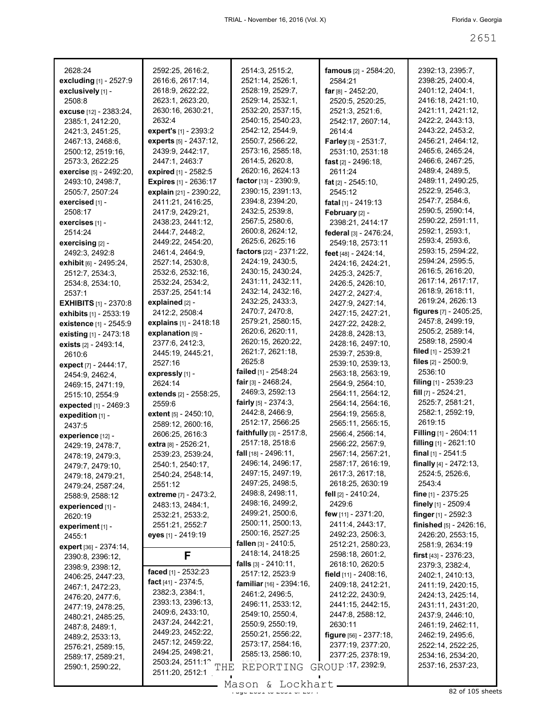| 2628:24<br>excluding [1] - 2527:9    | 2592:25, 2616:2,<br>2616:6, 2617:14,              | 2514:3, 2515:2,<br>2521:14, 2526:1,                | <b>famous</b> [2] - 2584:20,<br>2584:21 | 2392:13, 2395:7,<br>2398:25, 2400:4,  |
|--------------------------------------|---------------------------------------------------|----------------------------------------------------|-----------------------------------------|---------------------------------------|
| exclusively [1] -                    | 2618:9, 2622:22,                                  | 2528:19, 2529:7,                                   | far $[8] - 2452:20$ ,                   | 2401:12, 2404:1,                      |
| 2508:8                               | 2623:1, 2623:20,                                  | 2529:14, 2532:1,                                   | 2520:5, 2520:25,                        | 2416:18, 2421:10,                     |
| excuse [12] - 2383:24,               | 2630:16, 2630:21,                                 | 2532:20, 2537:15,                                  | 2521:3, 2521:6,                         | 2421:11, 2421:12,                     |
| 2385:1, 2412:20,                     | 2632:4                                            | 2540:15, 2540:23,                                  | 2542:17, 2607:14,                       | 2422:2, 2443:13,                      |
| 2421:3, 2451:25,                     | expert's [1] - 2393:2                             | 2542:12, 2544:9,                                   | 2614:4                                  | 2443:22, 2453:2,                      |
| 2467:13, 2468:6,                     | experts [5] - 2437:12,                            | 2550:7, 2566:22,                                   | Farley [3] - 2531:7,                    | 2456:21, 2464:12,                     |
| 2500:12, 2519:16,                    | 2439:9, 2442:17,                                  | 2573:16, 2585:18,                                  | 2531:10, 2531:18                        | 2465:6, 2465:24,                      |
| 2573:3, 2622:25                      | 2447:1, 2463:7                                    | 2614:5, 2620:8,                                    | fast $[2] - 2496:18$ ,                  | 2466:6, 2467:25,                      |
| <b>exercise</b> [5] - 2492:20,       | expired [1] - 2582:5                              | 2620:16, 2624:13                                   | 2611:24                                 | 2489:4, 2489:5,                       |
| 2493:10, 2498:7,                     | <b>Expires</b> [1] - 2636:17                      | factor [13] - 2390:9,                              | fat $[2] - 2545:10$ ,                   | 2489:11, 2490:25,                     |
| 2505:7, 2507:24                      | explain [21] - 2390:22,                           | 2390:15, 2391:13,                                  | 2545:12                                 | 2522:9, 2546:3,                       |
| exercised [1] -                      | 2411:21, 2416:25,                                 | 2394:8, 2394:20,                                   | fatal $[1]$ - 2419:13                   | 2547:7, 2584:6,                       |
| 2508:17                              | 2417:9, 2429:21,                                  | 2432:5, 2539:8,                                    | February [2] -                          | 2590:5, 2590:14,                      |
| exercises [1] -                      | 2438:23, 2441:12,                                 | 2567:5, 2580:6,                                    | 2398:21, 2414:17                        | 2590:22, 2591:11,                     |
| 2514:24                              | 2444:7, 2448:2,                                   | 2600:8, 2624:12,                                   | federal [3] - 2476:24,                  | 2592:1, 2593:1,                       |
| exercising [2] -                     | 2449:22, 2454:20,                                 | 2625:6, 2625:16                                    | 2549:18, 2573:11                        | 2593:4, 2593:6,                       |
| 2492:3, 2492:8                       | 2461:4, 2464:9,                                   | factors $[22] - 2371:22$ ,                         | feet [48] - 2424:14,                    | 2593:15, 2594:22,                     |
| exhibit [6] - 2495:24,               | 2527:14, 2530:8,                                  | 2424:19, 2430:5,                                   | 2424:16, 2424:21,                       | 2594:24, 2595:5,                      |
| 2512:7, 2534:3,                      | 2532:6, 2532:16,                                  | 2430:15, 2430:24,                                  | 2425:3, 2425:7,                         | 2616:5, 2616:20,                      |
| 2534:8, 2534:10,                     | 2532:24, 2534:2,                                  | 2431:11, 2432:11,                                  | 2426:5, 2426:10,                        | 2617:14, 2617:17,<br>2618:9, 2618:11, |
| 2537:1                               | 2537:25, 2541:14                                  | 2432:14, 2432:16,                                  | 2427:2, 2427:4,                         | 2619:24, 2626:13                      |
| <b>EXHIBITS</b> [1] - 2370:8         | explained $[2]$ -                                 | 2432:25, 2433:3,<br>2470:7, 2470:8,                | 2427:9, 2427:14,                        | figures [7] - 2405:25,                |
| <b>exhibits</b> [1] - 2533:19        | 2412:2, 2508:4                                    | 2579:21, 2580:15,                                  | 2427:15, 2427:21,                       | 2457:8, 2499:19,                      |
| existence [1] - 2545:9               | explains [1] - 2418:18                            | 2620:6, 2620:11,                                   | 2427:22, 2428:2,                        | 2505:2, 2589:14,                      |
| existing $[1] - 2473:18$             | explanation [5] -<br>2377:6, 2412:3,              | 2620:15, 2620:22,                                  | 2428:8, 2428:13,                        | 2589:18, 2590:4                       |
| exists $[2] - 2493:14$ ,             | 2445:19, 2445:21,                                 | 2621:7, 2621:18,                                   | 2428:16, 2497:10,<br>2539:7, 2539:8,    | filed $\lceil 1 \rceil$ - 2539:21     |
| 2610:6                               | 2527:16                                           | 2625:8                                             | 2539:10, 2539:13,                       | files $[2] - 2500.9$ ,                |
| expect [7] - 2444:17,                | expressly [1] -                                   | failed [1] - 2548:24                               | 2563:18, 2563:19,                       | 2536:10                               |
| 2454:9, 2462:4,                      | 2624:14                                           | fair $[3] - 2468:24$ ,                             | 2564:9, 2564:10,                        | <b>filing</b> $[1]$ - 2539:23         |
| 2469:15, 2471:19,<br>2515:10, 2554:9 | extends [2] - 2558:25,                            | 2469:3, 2592:13                                    | 2564:11, 2564:12,                       | fill $[7] - 2524:21$ ,                |
| expected [1] - 2469:3                | 2559:6                                            | <b>fairly</b> $[5] - 2374:3$ ,                     | 2564:14, 2564:16,                       | 2525:7, 2581:21,                      |
| expedition [1] -                     | extent [5] - 2450:10,                             | 2442:8, 2466:9,                                    | 2564:19, 2565:8,                        | 2582:1, 2592:19,                      |
| 2437:5                               | 2589:12, 2600:16,                                 | 2512:17, 2566:25                                   | 2565:11, 2565:15,                       | 2619:15                               |
| experience [12] -                    | 2606:25, 2616:3                                   | <b>faithfully</b> $[3] - 2517:8$ ,                 | 2566:4, 2566:14,                        | <b>Filling</b> $[1]$ - 2604:11        |
| 2429:19, 2478:7,                     | extra [8] - 2526:21,                              | 2517:18, 2518:6                                    | 2566:22, 2567:9,                        | filling $[1]$ - 2621:10               |
| 2478:19, 2479:3,                     | 2539:23, 2539:24,                                 | <b>fall</b> $[18] - 2496:11$ ,                     | 2567:14, 2567:21,                       | final $[1]$ - 2541:5                  |
| 2479:7, 2479:10,                     | 2540:1, 2540:17,                                  | 2496:14, 2496:17,                                  | 2587:17, 2616:19,                       | finally $[4] - 2472:13$ ,             |
| 2479:18, 2479:21,                    | 2540:24, 2548:14,                                 | 2497:15, 2497:19,                                  | 2617:3, 2617:18,                        | 2524:5, 2526:6,                       |
| 2479:24, 2587:24,                    | 2551:12                                           | 2497:25, 2498:5,                                   | 2618:25, 2630:19                        | 2543:4                                |
| 2588:9, 2588:12                      | extreme [7] - 2473:2,                             | 2498:8, 2498:11,                                   | <b>fell</b> [2] - 2410:24,              | fine $[1] - 2375:25$                  |
| experienced [1] -                    | 2483:13, 2484:1,                                  | 2498:16, 2499:2,                                   | 2429:6                                  | finely [1] - 2509:4                   |
| 2620:19                              | 2532:21, 2533:2,                                  | 2499:21, 2500:6,                                   | few $[11] - 2371:20$ ,                  | finger [1] - 2592:3                   |
| experiment $[1]$ -                   | 2551:21, 2552:7                                   | 2500:11, 2500:13,                                  | 2411:4, 2443:17,                        | finished [5] - 2426:16,               |
| 2455:1                               | eyes [1] - 2419:19                                | 2500:16, 2527:25                                   | 2492:23, 2506:3,                        | 2426:20, 2553:15,                     |
| expert [36] - 2374:14,               |                                                   | <b>fallen</b> $[3] - 2410.5$ ,<br>2418:14, 2418:25 | 2512:21, 2580:23,                       | 2581:9, 2634:19                       |
| 2390:8, 2396:12,                     | F                                                 | <b>falls</b> $[3] - 2410:11$ ,                     | 2598:18, 2601:2,<br>2618:10, 2620:5     | <b>first</b> $[43] - 2376:23$ ,       |
| 2398:9, 2398:12,                     | faced [1] - 2532:23                               | 2517:12, 2523:9                                    | field [11] - 2408:16,                   | 2379:3, 2382:4,                       |
| 2406:25, 2447:23,                    | fact [41] - 2374:5,                               | <b>familiar</b> $[16] - 2394:16$                   | 2409:18, 2412:21,                       | 2402:1, 2410:13,<br>2411:19, 2420:15, |
| 2467:1, 2472:23,                     | 2382:3, 2384:1,                                   | 2461:2, 2496:5,                                    | 2412:22, 2430:9,                        | 2424:13, 2425:14,                     |
| 2476:20, 2477:6,                     | 2393:13, 2396:13,                                 | 2496:11, 2533:12,                                  | 2441:15, 2442:15,                       | 2431:11, 2431:20,                     |
| 2477:19, 2478:25,                    | 2409:6, 2433:10,                                  | 2549:10, 2550:4,                                   | 2447:8, 2588:12,                        | 2437:9, 2446:10,                      |
| 2480:21, 2485:25,                    | 2437:24, 2442:21,                                 | 2550:9, 2550:19,                                   | 2630:11                                 | 2461:19, 2462:11,                     |
| 2487:8, 2489:1,<br>2489:2, 2533:13,  | 2449:23, 2452:22,                                 | 2550:21, 2556:22,                                  | figure [56] - 2377:18,                  | 2462:19, 2495:6,                      |
| 2576:21, 2589:15,                    | 2457:12, 2459:22,                                 | 2573:17, 2584:16,                                  | 2377:19, 2377:20,                       | 2522:14, 2522:25,                     |
| 2589:17, 2589:21,                    | 2494:25, 2498:21,                                 | 2585:13, 2586:10,                                  | 2377:25, 2378:19,                       | 2534:16, 2534:20,                     |
| 2590:1, 2590:22,                     | 2503:24, 2511:12<br>$\operatorname{\mathbf{THE}}$ | REPORTING                                          | GROUP 17, 2392:9,                       | 2537:16, 2537:23,                     |
|                                      | 2511:20, 2512:1                                   |                                                    |                                         |                                       |
|                                      |                                                   | Mason & Lockhart                                   |                                         |                                       |

Mason & Lockhart 2000 and 2015 sheets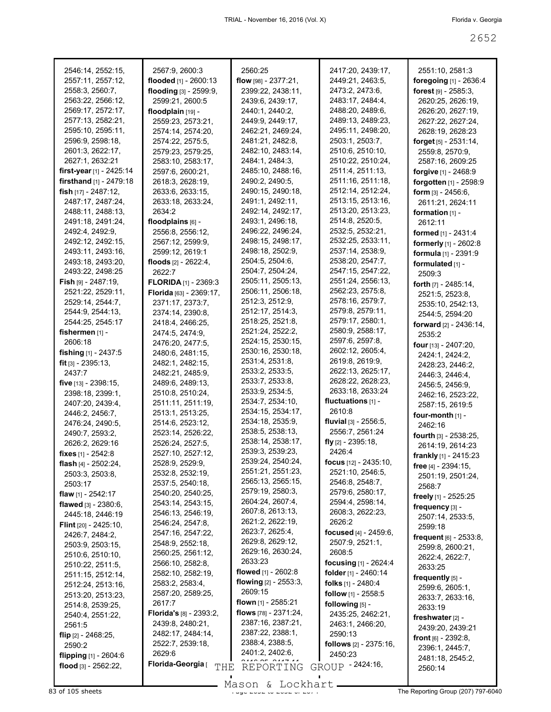| 2546:14, 2552:15,                      | 2567:9, 2600:3              | 2560:25                 | 2417:20, 2439:17,                | 2551:10, 2581:3                 |
|----------------------------------------|-----------------------------|-------------------------|----------------------------------|---------------------------------|
| 2557:11, 2557:12,                      | flooded [1] - 2600:13       | flow $[98] - 2377:21$ , | 2449:21, 2463:5,                 | foregoing [1] - 2636:4          |
| 2558:3, 2560:7,                        | flooding [3] - 2599:9,      | 2399:22, 2438:11,       | 2473:2, 2473:6,                  | forest $[9] - 2585:3$ ,         |
| 2563:22, 2566:12,                      | 2599:21, 2600:5             | 2439:6, 2439:17,        | 2483:17, 2484:4,                 | 2620:25, 2626:19,               |
| 2569:17, 2572:17,                      | floodplain [19] -           | 2440:1, 2440:2,         | 2488:20, 2489:6,                 | 2626:20, 2627:19,               |
| 2577:13, 2582:21,                      | 2559:23, 2573:21,           | 2449:9, 2449:17,        | 2489:13, 2489:23,                | 2627:22, 2627:24,               |
| 2595:10, 2595:11,                      | 2574:14, 2574:20,           | 2462:21, 2469:24,       | 2495:11, 2498:20,                | 2628:19, 2628:23                |
| 2596:9, 2598:18,                       | 2574:22, 2575:5,            | 2481:21, 2482:8,        | 2503:1, 2503:7,                  | <b>forget</b> $[5] - 2531:14$ , |
| 2601:3, 2622:17,                       | 2579:23, 2579:25,           | 2482:10, 2483:14,       | 2510:6, 2510:10,                 | 2559:8, 2570:9,                 |
| 2627:1, 2632:21                        | 2583:10, 2583:17,           | 2484:1, 2484:3,         | 2510:22, 2510:24,                | 2587:16, 2609:25                |
| first-year $[1]$ - 2425:14             | 2597:6, 2600:21,            | 2485:10, 2488:16,       | 2511:4, 2511:13,                 | forgive [1] - 2468:9            |
| <b>firsthand</b> $[1]$ - 2479:18       | 2618:3, 2628:19,            | 2490:2, 2490:5,         | 2511:16, 2511:18,                | forgotten [1] - 2598:9          |
| fish $[17] - 2487:12$ ,                | 2633:6, 2633:15,            | 2490:15, 2490:18,       | 2512:14, 2512:24,                | form $[3] - 2456:6,$            |
| 2487:17, 2487:24,                      | 2633:18, 2633:24,           | 2491:1, 2492:11,        | 2513:15, 2513:16,                | 2611:21, 2624:11                |
| 2488:11, 2488:13,                      | 2634:2                      | 2492:14, 2492:17,       | 2513:20, 2513:23,                | formation [1] -                 |
| 2491:18, 2491:24,                      | floodplains [6] -           | 2493:1, 2496:18,        | 2514:8, 2520:5,                  |                                 |
|                                        |                             | 2496:22, 2496:24,       | 2532:5, 2532:21,                 | 2612:11                         |
| 2492:4, 2492:9,                        | 2556:8, 2556:12,            | 2498:15, 2498:17,       | 2532:25, 2533:11,                | formed [1] - 2431:4             |
| 2492:12, 2492:15,                      | 2567:12, 2599:9,            |                         | 2537:14, 2538:9,                 | formerly [1] - 2602:8           |
| 2493:11, 2493:16,                      | 2599:12, 2619:1             | 2498:18, 2502:9,        | 2538:20, 2547:7,                 | formula [1] - 2391:9            |
| 2493:18, 2493:20,                      | floods $[2] - 2622:4$ ,     | 2504:5, 2504:6,         | 2547:15, 2547:22,                | formulated [1] -                |
| 2493:22, 2498:25                       | 2622:7                      | 2504:7, 2504:24,        |                                  | 2509:3                          |
| <b>Fish</b> թթ - 2487:19,              | <b>FLORIDA</b> [1] - 2369:3 | 2505:11, 2505:13,       | 2551:24, 2556:13,                | forth [7] - 2485:14,            |
| 2521:22, 2529:11,                      | Florida [63] - 2369:17,     | 2506:11, 2506:18,       | 2562:23, 2575:8,                 | 2521:5, 2523:8,                 |
| 2529:14, 2544:7,                       | 2371:17, 2373:7,            | 2512:3, 2512:9,         | 2578:16, 2579:7,                 | 2535:10, 2542:13,               |
| 2544:9, 2544:13,                       | 2374:14, 2390:8,            | 2512:17, 2514:3,        | 2579:8, 2579:11,                 | 2544:5, 2594:20                 |
| 2544:25, 2545:17                       | 2418:4, 2466:25,            | 2518:25, 2521:8,        | 2579:17, 2580:1,                 | forward $[2] - 2436:14$ ,       |
| fishermen [1] -                        | 2474:5, 2474:9,             | 2521:24, 2522:2,        | 2580:9, 2588:17,                 | 2535:2                          |
| 2606:18                                | 2476:20, 2477:5,            | 2524:15, 2530:15,       | 2597:6, 2597:8,                  | four [13] - 2407:20,            |
| <b>fishing</b> $[1]$ - 2437:5          | 2480:6, 2481:15,            | 2530:16, 2530:18,       | 2602:12, 2605:4,                 | 2424:1, 2424:2,                 |
| <b>fit</b> $\left[3\right]$ - 2395:13, | 2482:1, 2482:15,            | 2531:4, 2531:8,         | 2619:8, 2619:9,                  | 2428:23, 2446:2,                |
| 2437:7                                 | 2482:21, 2485:9,            | 2533:2, 2533:5,         | 2622:13, 2625:17,                | 2446:3, 2446:4,                 |
| five $[13] - 2398:15$ ,                | 2489:6, 2489:13,            | 2533:7, 2533:8,         | 2628:22, 2628:23,                | 2456:5, 2456:9,                 |
| 2398:18, 2399:1,                       | 2510:8, 2510:24,            | 2533:9, 2534:5,         | 2633:18, 2633:24                 | 2462:16, 2523:22,               |
| 2407:20, 2439:4,                       | 2511:11, 2511:19,           | 2534:7, 2534:10,        | fluctuations [1] -               | 2587:15, 2619:5                 |
| 2446:2, 2456:7,                        | 2513:1, 2513:25,            | 2534:15, 2534:17,       | 2610:8                           | four-month [1] -                |
| 2476:24, 2490:5,                       | 2514:6, 2523:12,            | 2534:18, 2535:9,        | <b>fluvial</b> $[3] - 2556:5$ ,  | 2462:16                         |
| 2490:7, 2593:2,                        | 2523:14, 2526:22,           | 2538:5, 2538:13,        | 2556:7, 2561:24                  | <b>fourth</b> $[3] - 2538:25$ , |
| 2626:2, 2629:16                        | 2526:24, 2527:5,            | 2538:14, 2538:17,       | fly $[2]$ - 2395:18,             | 2614:19, 2614:23                |
| fixes $[1] - 2542:8$                   | 2527:10, 2527:12,           | 2539:3, 2539:23,        | 2426:4                           | frankly [1] - 2415:23           |
| <b>flash</b> [4] - $2502:24$ ,         | 2528:9, 2529:9,             | 2539:24, 2540:24,       | focus [12] - 2435:10,            | free [4] - 2394:15,             |
| 2503:3, 2503:8,                        | 2532:8, 2532:19,            | 2551:21, 2551:23,       | 2521:10, 2546:5,                 |                                 |
| 2503:17                                | 2537:5, 2540:18,            | 2565:13, 2565:15,       | 2546:8, 2548:7,                  | 2501:19, 2501:24,               |
| <b>flaw</b> [1] - 2542:17              | 2540:20, 2540:25,           | 2579:19, 2580:3,        | 2579:6, 2580:17,                 | 2568:7                          |
| flawed $[3] - 2380.6$ ,                | 2543:14, 2543:15,           | 2604:24, 2607:4,        | 2594:4, 2598:14,                 | freely [1] - 2525:25            |
| 2445:18, 2446:19                       | 2546:13, 2546:19,           | 2607:8, 2613:13,        | 2608:3, 2622:23,                 | frequency [3] -                 |
| <b>Flint</b> $[20] - 2425:10$          | 2546:24, 2547:8,            | 2621:2, 2622:19,        | 2626:2                           | 2507:14, 2533:5,                |
|                                        | 2547:16, 2547:22,           | 2623:7, 2625:4,         | focused $[4] - 2459:6$ ,         | 2599:18                         |
| 2426:7, 2484:2,                        | 2548:9, 2552:18,            | 2629:8, 2629:12,        | 2507:9, 2521:1,                  | frequent [6] - 2533:8,          |
| 2503:9, 2503:15,                       | 2560:25, 2561:12,           | 2629:16, 2630:24,       | 2608:5                           | 2599:8, 2600:21,                |
| 2510:6, 2510:10,                       | 2566:10, 2582:8,            | 2633:23                 | focusing $[1] - 2624:4$          | 2622:4, 2622:7,                 |
| 2510:22, 2511:5,                       | 2582:10, 2582:19,           | flowed [1] - 2602:8     | <b>folder</b> [1] - 2460:14      | 2633:25                         |
| 2511:15, 2512:14,                      |                             | flowing [2] - 2553:3,   |                                  | frequently [5] -                |
| 2512:24, 2513:16,                      | 2583:2, 2583:4,             | 2609:15                 | folks $[1]$ - 2480:4             | 2599:6, 2605:1,                 |
| 2513:20, 2513:23,                      | 2587:20, 2589:25,           | flown $[1]$ - 2585:21   | follow [1] - 2558:5              | 2633:7, 2633:16,                |
| 2514:8, 2539:25,                       | 2617:7                      | flows [78] - 2371:24,   | following $[5]$ -                | 2633:19                         |
| 2540:4, 2551:22,                       | Florida's [8] - 2393:2,     |                         | 2435:25, 2462:21,                | freshwater [2] -                |
| 2561:5                                 | 2439:8, 2480:21,            | 2387:16, 2387:21,       | 2463:1, 2466:20,                 | 2439:20, 2439:21                |
| flip $[2] - 2468.25$ ,                 | 2482:17, 2484:14,           | 2387:22, 2388:1,        | 2590:13                          | <b>front</b> $[6] - 2392.8$     |
| 2590:2                                 | 2522:7, 2539:18,            | 2388:4, 2388:5,         | <b>follows</b> $[2] - 2375:16$ , | 2396:1, 2445:7,                 |
| <b>flipping</b> $[1]$ - 2604:6         | 2629:6                      | 2401:2, 2402:6,         | 2450:23                          | 2481:18, 2545:2,                |
| flood $[3] - 2562:22$                  | Florida-Georgia [<br>THE    | REPORTING               | GROUP - 2424:16,                 | 2560:14                         |
|                                        |                             |                         |                                  |                                 |

Mason & Lockhart **Page 2652 of 105 sheets** Page 207) 797-6040<br>B3 of 105 sheets **Page 207) 797-6040**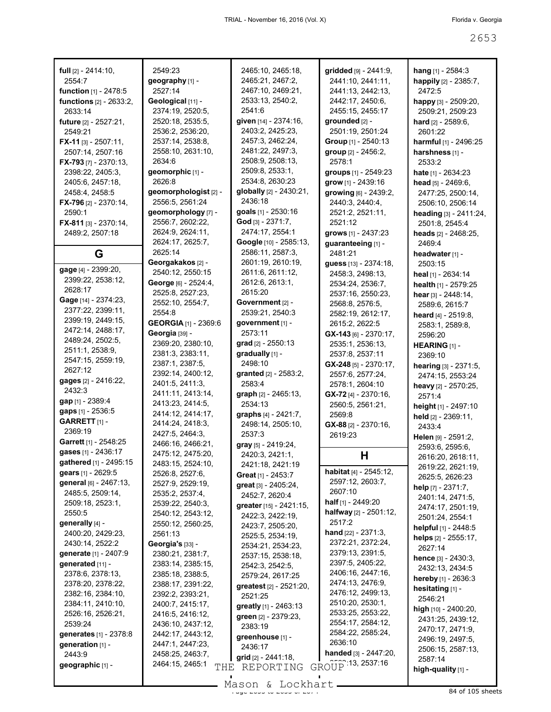| full [2] - 2414:10,                             | 2549:23                               | 2465:10, 2465:18,                            | gridded [9] - 2441:9,                 | hang [1] - 2584:3             |
|-------------------------------------------------|---------------------------------------|----------------------------------------------|---------------------------------------|-------------------------------|
| 2554:7                                          | geography [1] -                       | 2465:21, 2467:2,                             | 2441:10, 2441:11,                     | happily [2] - 2385:7,         |
| function [1] - 2478:5                           | 2527:14                               | 2467:10, 2469:21,                            | 2441:13, 2442:13,                     | 2472.5                        |
| <b>functions</b> [2] - 2633:2,                  | Geological [11] -                     | 2533:13, 2540:2,                             | 2442:17, 2450:6,                      | happy [3] - 2509:20,          |
| 2633:14                                         | 2374:19, 2520:5,                      | 2541:6                                       | 2455:15, 2455:17                      | 2509:21, 2509:23              |
| future [2] - 2527:21,                           | 2520:18, 2535:5,                      | given [14] - 2374:16,                        | grounded [2] -                        | <b>hard</b> $[2] - 2589:6$ ,  |
| 2549:21                                         | 2536:2, 2536:20,                      | 2403:2, 2425:23,                             | 2501:19, 2501:24                      | 2601:22                       |
| $FX-11$ [3] - 2507:11,                          | 2537:14, 2538:8,                      | 2457:3, 2462:24,                             | Group [1] - 2540:13                   | harmful [1] - 2496:25         |
| 2507:14, 2507:16                                | 2558:10, 2631:10,                     | 2481:22, 2497:3,                             | group [2] - 2456:2,                   | harshness [1] -               |
| FX-793 [7] - 2370:13,                           | 2634:6                                | 2508:9, 2508:13,                             | 2578:1                                | 2533:2                        |
| 2398:22, 2405:3,                                | geomorphic [1] -                      | 2509:8, 2533:1,                              | groups [1] - 2549:23                  | <b>hate</b> $[1] - 2634:23$   |
| 2405:6, 2457:18,                                | 2626:8                                | 2534:8, 2630:23                              | grow [1] - 2439:16                    | head $[5] - 2469.6$ ,         |
| 2458:4, 2458:5                                  | geomorphologist [2] -                 | globally [2] - 2430:21,                      | growing [6] - 2439:2,                 | 2477:25, 2500:14,             |
| <b>FX-796</b> [2] - 2370:14,                    | 2556:5, 2561:24                       | 2436:18                                      | 2440:3, 2440:4,                       | 2506:10, 2506:14              |
| 2590:1                                          | geomorphology [7] -                   | goals [1] - 2530:16                          | 2521:2, 2521:11,                      | heading [3] - 2411:24,        |
| <b>FX-811</b> [3] - 2370:14,                    | 2556:7, 2602:22,                      | God $[3] - 2371:7,$                          | 2521:12                               | 2501:8, 2545:4                |
| 2489:2, 2507:18                                 | 2624:9, 2624:11,                      | 2474:17, 2554:1                              | grows [1] - 2437:23                   | heads $[2] - 2468:25$ ,       |
|                                                 | 2624:17, 2625:7,                      | Google [10] - 2585:13,                       | guaranteeing [1] -                    | 2469:4                        |
| G                                               | 2625:14                               | 2586:11, 2587:3,                             | 2481:21                               | headwater [1] -               |
|                                                 | Georgakakos [2] -                     | 2601:19, 2610:19,                            | guess [13] - 2374:18,                 | 2503:15                       |
| gage [4] - 2399:20,                             | 2540:12, 2550:15                      | 2611:6, 2611:12,                             | 2458:3, 2498:13,                      | heal $[1]$ - 2634:14          |
| 2399:22, 2538:12,                               | George [6] - 2524:4,                  | 2612:6, 2613:1,                              | 2534:24, 2536:7,                      | health [1] - 2579:25          |
| 2628:17                                         | 2525:8, 2527:23,                      | 2615:20                                      | 2537:16, 2550:23,                     | hear [3] - 2448:14,           |
| Gage [14] - 2374:23,                            | 2552:10, 2554:7,                      | Government [2] -                             | 2568:8, 2576:5,                       | 2589:6, 2615:7                |
| 2377:22, 2399:11,                               | 2554:8                                | 2539:21, 2540:3                              | 2582:19, 2612:17,                     | heard $[4] - 2519.8$ ,        |
| 2399:19, 2449:15,                               | <b>GEORGIA</b> [1] - 2369:6           | government [1] -                             | 2615:2, 2622:5                        | 2583:1, 2589:8,               |
| 2472:14, 2488:17,                               | Georgia [39] -                        | 2573:11                                      | $GX-143$ [6] - 2370:17,               | 2596:20                       |
| 2489:24, 2502:5,                                | 2369:20, 2380:10,                     | grad [2] - 2550:13                           | 2535:1, 2536:13,                      | HEARING [1] -                 |
| 2511:1, 2538:9,                                 | 2381:3, 2383:11,                      | gradually [1] -                              | 2537:8, 2537:11                       | 2369:10                       |
| 2547:15, 2559:19,                               | 2387:1, 2387:5,                       | 2498:10                                      | $GX-248$ [5] - 2370:17,               | hearing [3] - 2371:5,         |
| 2627:12                                         | 2392:14, 2400:12,                     | granted [2] - 2583:2,                        | 2557:6, 2577:24,                      | 2474:15, 2553:24              |
| gages [2] - 2416:22,                            | 2401:5, 2411:3,                       | 2583:4                                       | 2578:1, 2604:10                       | heavy [2] - 2570:25,          |
| 2432:3                                          | 2411:11, 2413:14,                     | graph [2] - 2465:13,                         | GX-72 [4] - 2370:16,                  | 2571:4                        |
| gap [1] - 2389:4<br>gaps [1] - 2536:5           | 2413:23, 2414:5,                      | 2534:13                                      | 2560:5, 2561:21,                      | height [1] - 2497:10          |
| GARRETT <sub>[1]</sub> -                        | 2414:12, 2414:17,                     | graphs [4] - 2421:7,                         | 2569:8                                | held [2] - 2369:11,           |
| 2369:19                                         | 2414:24, 2418:3,                      | 2498:14, 2505:10,                            | $GX-88$ [2] - 2370:16,                | 2433:4                        |
| Garrett [1] - 2548:25                           | 2427:5, 2464:3,                       | 2537:3                                       | 2619:23                               | Helen [9] - 2591:2,           |
| gases [1] - 2436:17                             | 2466:16, 2466:21,                     | gray [5] - 2419:24,                          |                                       |                               |
| gathered [1] - 2495:15                          | 2475:12, 2475:20,                     |                                              |                                       | 2593:6, 2595:6,               |
|                                                 |                                       | 2420:3, 2421:1,                              | H                                     | 2616:20, 2618:11,             |
|                                                 | 2483:15, 2524:10,                     | 2421:18, 2421:19                             |                                       | 2619:22, 2621:19,             |
| gears [1] - 2629:5                              | 2526:8, 2527:6,                       | <b>Great</b> $[1]$ - 2453:7                  | habitat [4] - 2545:12,                | 2625:5, 2626:23               |
| general [6] - 2467:13,                          | 2527:9, 2529:19,                      | great [3] - 2405:24,                         | 2597:12, 2603:7,                      | help $[7] - 2371:7$ ,         |
| 2485:5, 2509:14,                                | 2535:2, 2537:4,                       | 2452:7, 2620:4                               | 2607:10                               | 2401:14, 2471:5,              |
| 2509:18, 2523:1,                                | 2539:22, 2540:3,                      | greater [15] - 2421:15,                      | half [1] - 2449:20                    | 2474:17, 2501:19,             |
| 2550:5                                          | 2540:12, 2543:12,                     | 2422:3, 2422:19,                             | halfway [2] - 2501:12,<br>2517:2      | 2501:24, 2554:1               |
| generally [4] -                                 | 2550:12, 2560:25,                     | 2423:7, 2505:20,                             |                                       | helpful [1] - 2448:5          |
| 2400:20, 2429:23,                               | 2561:13                               | 2525:5, 2534:19,                             | <b>hand</b> $[22] - 2371:3$ ,         | helps $[2] - 2555:17$ ,       |
| 2430:14, 2522:2<br><b>generate</b> [1] - 2407:9 | Georgia's [33] -                      | 2534:21, 2534:23,                            | 2372:21, 2372:24,<br>2379:13, 2391:5, | 2627:14                       |
| generated [11] -                                | 2380:21, 2381:7,                      | 2537:15, 2538:18,                            | 2397:5, 2405:22,                      | hence [3] - 2430:3,           |
| 2378:6, 2378:13,                                | 2383:14, 2385:15,<br>2385:18, 2388:5, | 2542:3, 2542:5,                              | 2406:16, 2447:16,                     | 2432:13, 2434:5               |
| 2378:20, 2378:22,                               | 2388:17, 2391:22,                     | 2579:24, 2617:25                             | 2474:13, 2476:9,                      | <b>hereby</b> $[1]$ - 2636:3  |
| 2382:16, 2384:10,                               | 2392:2, 2393:21,                      | <b>greatest</b> $[2] - 2521:20$ ,<br>2521:25 | 2476:12, 2499:13,                     | hesitating [1] -              |
| 2384:11, 2410:10,                               | 2400:7, 2415:17,                      |                                              | 2510:20, 2530:1,                      | 2546:21                       |
| 2526:16, 2526:21,                               | 2416:5, 2416:12,                      | greatly [1] - 2463:13                        | 2533:25, 2553:22,                     | high [10] - 2400:20,          |
| 2539:24                                         | 2436:10, 2437:12,                     | green [2] - 2379:23,<br>2383:19              | 2554:17, 2584:12,                     | 2431:25, 2439:12,             |
| generates [1] - 2378:8                          | 2442:17, 2443:12,                     |                                              | 2584:22, 2585:24,                     | 2470:17, 2471:9,              |
| generation [1] -                                | 2447:1, 2447:23,                      | greenhouse [1] -<br>2436:17                  | 2636:10                               | 2496:19, 2497:5,              |
| 2443.9                                          | 2458:25, 2463:7,                      | grid [2] - 2441:18,                          | handed [3] - 2447:20,                 | 2506:15, 2587:13,             |
| geographic [1] -                                | 2464:15, 2465:1<br>THE                | REPORTING                                    | GROUP 13, 2537:16                     | 2587:14<br>high-quality [1] - |

Mason & Lockhart <u>entitled and the 26</u>4 of 105 sheets

 $\mathcal{L}_{\mathcal{A}}$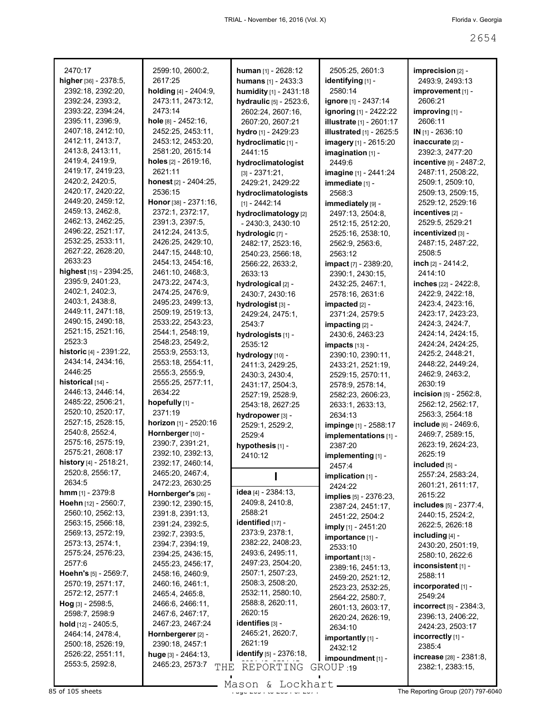| 2470:17                       | 2599:10, 2600:2,       | human [1] - 2628:12     | 2505:25, 2601:3                 | imprecision [2] -                 |
|-------------------------------|------------------------|-------------------------|---------------------------------|-----------------------------------|
| higher [36] - 2378:5,         | 2617:25                | humans [1] - 2433:3     | identifying [1] -               | 2493:9, 2493:13                   |
| 2392:18, 2392:20,             | holding [4] - 2404:9,  | humidity [1] - 2431:18  | 2580:14                         | improvement [1] -                 |
| 2392:24, 2393:2,              | 2473:11, 2473:12,      | hydraulic [5] - 2523:6, | ignore [1] - 2437:14            | 2606:21                           |
| 2393:22, 2394:24,             | 2473:14                | 2602:24, 2607:16,       | <b>ignoring</b> [1] - 2422:22   | improving [1] -                   |
| 2395:11, 2396:9,              | hole [8] - 2452:16,    | 2607:20, 2607:21        | <b>illustrate</b> [1] - 2601:17 | 2606:11                           |
| 2407:18, 2412:10,             | 2452:25, 2453:11,      | hydro [1] - 2429:23     | <b>illustrated</b> [1] - 2625:5 | $IN_{[1]} - 2636:10$              |
| 2412:11, 2413:7,              | 2453:12, 2453:20,      | hydroclimatic [1] -     | imagery [1] - 2615:20           | inaccurate [2] -                  |
| 2413:8, 2413:11,              | 2581:20, 2615:14       | 2441:15                 | imagination [1] -               | 2392:3, 2477:20                   |
| 2419:4, 2419:9,               | holes [2] - 2619:16,   | hydroclimatologist      | 2449:6                          | incentive [9] - 2487:2,           |
| 2419:17, 2419:23,             | 2621:11                | $[3] - 2371:21,$        | imagine [1] - 2441:24           | 2487:11, 2508:22,                 |
| 2420:2, 2420:5,               | honest [2] - 2404:25,  | 2429:21, 2429:22        | immediate [1] -                 | 2509:1, 2509:10,                  |
| 2420:17, 2420:22,             | 2536:15                | hydroclimatologists     | 2568:3                          | 2509:13, 2509:15,                 |
| 2449:20, 2459:12,             | Honor [38] - 2371:16,  | $[1] - 2442:14$         | immediately [9] -               | 2529:12, 2529:16                  |
| 2459:13, 2462:8,              | 2372:1, 2372:17,       | hydroclimatology [2]    | 2497:13, 2504:8,                | incentives [2] -                  |
| 2462:13, 2462:25,             | 2391:3, 2397:5,        | $-2430:3, 2430:10$      | 2512:15, 2512:20,               | 2529:5, 2529:21                   |
| 2496:22, 2521:17,             | 2412:24, 2413:5,       | hydrologic [7] -        | 2525:16, 2538:10,               | incentivized [3] -                |
| 2532:25, 2533:11,             | 2426:25, 2429:10,      | 2482:17, 2523:16,       | 2562:9, 2563:6,                 | 2487:15, 2487:22,                 |
| 2627:22, 2628:20,             | 2447:15, 2448:10,      | 2540:23, 2566:18,       | 2563:12                         | 2508:5                            |
| 2633:23                       | 2454:13, 2454:16,      | 2566:22, 2633:2,        | <b>impact</b> [7] - 2389:20,    | inch [2] - 2414:2.                |
| highest [15] - 2394:25,       | 2461:10, 2468:3,       | 2633:13                 | 2390:1, 2430:15,                | 2414:10                           |
| 2395:9, 2401:23,              | 2473:22, 2474:3,       | hydrological [2] -      | 2432:25, 2467:1,                | inches [22] - 2422:8,             |
| 2402:1, 2402:3,               | 2474:25, 2476:9,       | 2430:7, 2430:16         | 2578:16, 2631:6                 | 2422:9, 2422:18,                  |
| 2403:1, 2438:8,               | 2495:23, 2499:13,      | hydrologist [3] -       | impacted [2] -                  | 2423:4, 2423:16,                  |
| 2449:11, 2471:18,             | 2509:19, 2519:13,      | 2429:24, 2475:1,        | 2371:24, 2579:5                 | 2423:17, 2423:23,                 |
| 2490:15, 2490:18,             | 2533:22, 2543:23,      | 2543:7                  | impacting [2] -                 | 2424:3, 2424:7,                   |
| 2521:15, 2521:16,             | 2544:1, 2548:19,       | hydrologists [1] -      | 2430:6, 2463:23                 | 2424:14, 2424:15,                 |
| 2523:3                        | 2548:23, 2549:2,       | 2535:12                 | impacts [13] -                  | 2424:24, 2424:25,                 |
| historic [4] - 2391:22,       | 2553:9, 2553:13,       | hydrology [10] -        | 2390:10, 2390:11,               | 2425:2, 2448:21,                  |
| 2434:14, 2434:16,             | 2553:18, 2554:11,      | 2411:3, 2429:25,        | 2433:21, 2521:19,               | 2448:22, 2449:24,                 |
| 2446:25                       | 2555:3, 2555:9,        | 2430:3, 2430:4,         | 2529:15, 2570:11,               | 2462:9, 2463:2,                   |
| historical [14] -             | 2555:25, 2577:11,      | 2431:17, 2504:3,        | 2578:9, 2578:14,                | 2630:19                           |
| 2446:13, 2446:14,             | 2634:22                | 2527:19, 2528:9,        | 2582:23, 2606:23,               | incision $[5]$ - 2562:8,          |
| 2485:22, 2506:21,             | hopefully [1] -        | 2543:18, 2627:25        | 2633:1, 2633:13,                | 2562:12, 2562:17,                 |
| 2520:10, 2520:17,             | 2371:19                | hydropower [3] -        | 2634:13                         | 2563:3, 2564:18                   |
| 2527:15, 2528:15,             | horizon [1] - 2520:16  | 2529:1, 2529:2,         | impinge [1] - 2588:17           | include [6] - 2469:6,             |
| 2540:8, 2552:4,               | Hornberger [10] -      | 2529:4                  | implementations [1] -           | 2469:7, 2589:15,                  |
| 2575:16, 2575:19,             | 2390:7, 2391:21,       | hypothesis [1] -        | 2387:20                         | 2623:19, 2624:23,                 |
| 2575:21, 2608:17              | 2392:10, 2392:13,      | 2410:12                 | implementing [1] -              | 2625:19                           |
| history [4] - 2518:21,        | 2392:17, 2460:14,      |                         | 2457:4                          | included [5] -                    |
| 2520:8, 2556:17,              | 2465:20, 2467:4,       |                         | $implication$ [1] -             | 2557:24, 2583:24,                 |
| 2634:5                        | 2472:23, 2630:25       |                         | 2424:22                         | 2601:21, 2611:17,                 |
| <b>hmm</b> $[1]$ - 2379:8     | Hornberger's [26] -    | idea [4] - 2384:13,     | <b>implies</b> [5] - 2376:23,   | 2615:22                           |
| Hoehn [12] - 2560:7,          | 2390:12, 2390:15,      | 2409:8, 2410:8,         | 2387:24, 2451:17,               | includes [5] - 2377:4,            |
| 2560:10, 2562:13,             | 2391:8, 2391:13,       | 2588:21                 | 2451:22, 2504:2                 | 2440:15, 2524:2,                  |
| 2563:15, 2566:18,             | 2391:24, 2392:5,       | identified [17] -       | imply [1] - 2451:20             | 2622:5, 2626:18                   |
| 2569:13, 2572:19,             | 2392:7, 2393:5,        | 2373:9, 2378:1,         | importance [1] -                | including $[4]$ -                 |
| 2573:13, 2574:1,              | 2394:7, 2394:19,       | 2382:22, 2408:23,       | 2533:10                         | 2430:20, 2501:19,                 |
| 2575:24, 2576:23,             | 2394:25, 2436:15,      | 2493:6, 2495:11,        | $important$ [13] -              | 2580:10, 2622:6                   |
| 2577:6                        | 2455:23, 2456:17,      | 2497:23, 2504:20,       | 2389:16, 2451:13,               | inconsistent $[1]$ -              |
| Hoehn's [5] - 2569:7,         | 2458:16, 2460:9,       | 2507:1, 2507:23,        | 2459:20, 2521:12,               | 2588:11                           |
| 2570:19, 2571:17,             | 2460:16, 2461:1,       | 2508:3, 2508:20,        | 2523:23, 2532:25,               | incorporated [1] -                |
| 2572:12, 2577:1               | 2465:4, 2465:8,        | 2532:11, 2580:10,       | 2564:22, 2580:7,                | 2549:24                           |
| <b>Hog</b> [3] - $2598:5$ ,   | 2466:6, 2466:11,       | 2588:8, 2620:11,        | 2601:13, 2603:17,               | <b>incorrect</b> $[5] - 2384:3$ , |
| 2598:7, 2598:9                | 2467:6, 2467:17,       | 2620:15                 | 2620:24, 2626:19,               | 2396:13, 2406:22,                 |
| <b>hold</b> $[12] - 2405:5$ , | 2467:23, 2467:24       | identifies [3] -        | 2634:10                         | 2424:23, 2503:17                  |
| 2464:14, 2478:4,              | Hornbergerer [2] -     | 2465:21, 2620:7,        | importantly [1] -               | incorrectly [1] -                 |
| 2500:18, 2526:19,             | 2390:18, 2457:1        | 2621:19                 | 2432:12                         | 2385:4                            |
| 2526:22, 2551:11,             | huge $[3]$ - 2464:13,  | identify [5] - 2376:18, | impoundment [1] -               | increase [28] - 2381:8,           |
| 2553:5, 2592:8,               | 2465:23, 2573:7<br>THE | REPORTING               | GROUP 19                        | 2382:1, 2383:15,                  |
|                               |                        |                         |                                 |                                   |

Mason & Lockhart **Page 2654 of 105 sheets**<br>85 of 105 sheets of 207) 797-6040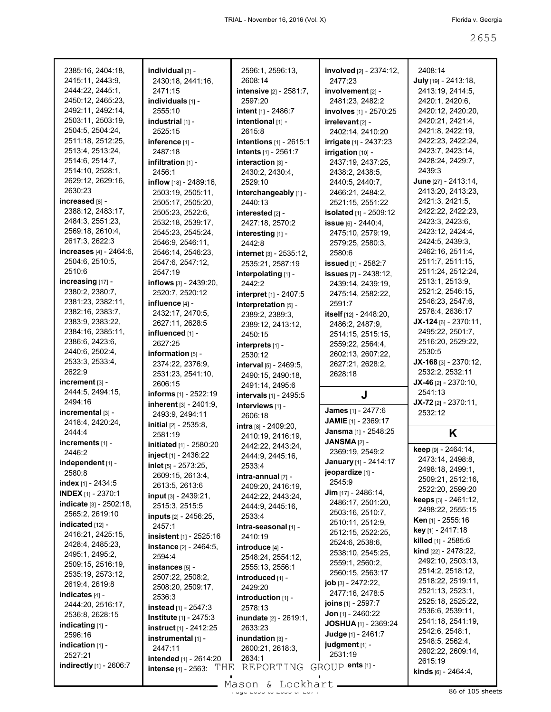| 2385:16, 2404:18,              | individual [3] -                  | 2596:1, 2596:13,            | involved [2] - 2374:12,       | 2408:14                               |
|--------------------------------|-----------------------------------|-----------------------------|-------------------------------|---------------------------------------|
| 2415:11, 2443:9,               | 2430:18, 2441:16,                 | 2608:14                     | 2477.23                       | July [19] - 2413:18,                  |
| 2444:22, 2445:1,               | 2471:15                           | intensive [2] - 2581:7,     | involvement [2] -             | 2413:19, 2414:5,                      |
| 2450:12, 2465:23,              | individuals [1] -                 | 2597:20                     | 2481:23, 2482:2               | 2420:1, 2420:6,                       |
| 2492:11, 2492:14,              | 2555:10                           | intent $[1] - 2486:7$       | involves [1] - 2570:25        | 2420:12, 2420:20,                     |
| 2503:11, 2503:19,              | industrial [1] -                  | intentional [1] -           | irrelevant [2] -              | 2420:21, 2421:4,                      |
| 2504:5, 2504:24,               | 2525:15                           | 2615:8                      | 2402:14, 2410:20              | 2421:8, 2422:19,                      |
| 2511:18, 2512:25,              | inference [1] -                   | intentions [1] - 2615:1     | irrigate [1] - 2437:23        | 2422:23, 2422:24,                     |
| 2513:4, 2513:24,               | 2487:18                           | intents [1] - 2561:7        | irrigation [10] -             | 2423:7, 2423:14,                      |
| 2514:6, 2514:7,                | infiltration [1] -                | interaction [3] -           | 2437:19, 2437:25,             | 2428:24, 2429:7,                      |
| 2514:10, 2528:1,               | 2456:1                            | 2430:2, 2430:4,             | 2438:2, 2438:5,               | 2439:3                                |
| 2629:12, 2629:16,              | inflow [18] - 2489:16,            | 2529:10                     | 2440:5, 2440:7,               | June [27] - 2413:14,                  |
| 2630:23                        | 2503:19, 2505:11,                 | interchangeably [1] -       | 2466:21, 2484:2,              | 2413:20, 2413:23,                     |
| increased [8] -                | 2505:17, 2505:20,                 | 2440:13                     | 2521:15, 2551:22              | 2421:3, 2421:5,                       |
| 2388:12, 2483:17,              | 2505:23, 2522:6,                  | interested [2] -            | <b>isolated</b> [1] - 2509:12 | 2422:22, 2422:23,                     |
| 2484:3, 2551:23,               | 2532:18, 2539:17,                 | 2427:18, 2570:2             | issue [6] - 2440:4,           | 2423:3, 2423:6,                       |
| 2569:18, 2610:4,               | 2545:23, 2545:24,                 | interesting [1] -           | 2475:10, 2579:19,             | 2423:12, 2424:4,                      |
| 2617:3, 2622:3                 | 2546:9, 2546:11,                  | 2442:8                      | 2579:25, 2580:3,              | 2424:5, 2439:3,                       |
| increases [4] - 2464:6,        | 2546:14, 2546:23,                 | internet [3] - 2535:12,     | 2580:6                        | 2462:16, 2511:4,                      |
| 2504:6, 2510:5,                | 2547:6, 2547:12,                  | 2535:21, 2587:19            | <b>issued</b> [1] - 2582:7    | 2511:7, 2511:15,                      |
| 2510:6                         | 2547:19                           | interpolating [1] -         | <b>issues</b> [7] - 2438:12,  | 2511:24, 2512:24,                     |
| increasing [17] -              | inflows [3] - 2439:20,            | 2442:2                      | 2439:14, 2439:19,             | 2513:1, 2513:9,                       |
| 2380:2, 2380:7,                | 2520:7, 2520:12                   | interpret [1] - 2407:5      | 2475:14, 2582:22,             | 2521:2, 2546:15,                      |
| 2381:23, 2382:11,              | influence $[4]$ -                 | interpretation [5] -        | 2591:7                        | 2546:23, 2547:6,                      |
| 2382:16, 2383:7,               | 2432:17, 2470:5,                  | 2389:2, 2389:3,             | itself [12] - 2448:20,        | 2578:4, 2636:17                       |
| 2383:9, 2383:22,               | 2627:11, 2628:5                   | 2389:12, 2413:12,           | 2486:2, 2487:9,               | $JX-124$ [6] - 2370:11,               |
| 2384:16, 2385:11,              | influenced [1] -                  | 2450:15                     | 2514:15, 2515:15,             | 2495:22, 2501:7,                      |
| 2386:6, 2423:6,                | 2627:25                           | interprets [1] -            | 2559:22, 2564:4,              | 2516:20, 2529:22,                     |
| 2440:6, 2502:4,                | information $[5]$ -               | 2530:12                     | 2602:13, 2607:22,             | 2530:5                                |
| 2533:3, 2533:4,                | 2374:22, 2376:9,                  | interval [5] - 2469:5,      | 2627:21, 2628:2,              | $JX-168$ [3] - 2370:12,               |
| 2622:9                         | 2531:23, 2541:10,                 | 2490:15, 2490:18,           | 2628:18                       | 2532:2, 2532:11                       |
| increment $[3]$ -              | 2606:15                           |                             |                               | JX-46 $[2] - 2370:10$ ,               |
|                                |                                   |                             |                               |                                       |
| 2444:5, 2494:15,               | informs [1] - 2522:19             | 2491:14, 2495:6             | J                             | 2541:13                               |
| 2494:16                        | <b>inherent</b> $[3] - 2401:9$ ,  | intervals [1] - 2495:5      |                               | $JX-72$ [2] - 2370:11,                |
| incremental [3] -              | 2493:9, 2494:11                   | interviews [1] -<br>2606:18 | James [1] - 2477:6            | 2532:12                               |
| 2418:4, 2420:24,               | initial [2] - 2535:8,             | intra [8] - 2409:20,        | <b>JAMIE</b> [1] - 2369:17    |                                       |
| 2444:4                         | 2581:19                           | 2410:19, 2416:19,           | Jansma [1] - 2548:25          | Κ                                     |
| increments [1] -               | initiated [1] - 2580:20           | 2442:22, 2443:24,           | JANSMA[2] -                   |                                       |
| 2446:2                         | inject [1] - 2436:22              | 2444:9, 2445:16,            | 2369:19, 2549:2               | keep [9] - 2464:14,                   |
| independent [1] -              | inlet [5] - 2573:25,              | 2533:4                      | January [1] - 2414:17         | 2473:14, 2498:8,                      |
| 2580:8                         | 2609:15, 2613:4,                  | $intra$ -annual $[7]$ -     | jeopardize [1] -              | 2498:18, 2499:1,                      |
| index $[1]$ - 2434:5           | 2613:5, 2613:6                    | 2409:20, 2416:19,           | 2545.9                        | 2509:21, 2512:16,                     |
| <b>INDEX</b> [1] - 2370:1      | <b>input</b> $[3] - 2439:21$ ,    | 2442:22, 2443:24,           | Jim [17] - 2486:14,           | 2522:20, 2599:20                      |
| <b>indicate</b> [3] - 2502:18, | 2515:3, 2515:5                    | 2444:9, 2445:16,            | 2486:17, 2501:20,             | <b>keeps</b> $[3] - 2461:12$ ,        |
| 2565:2, 2619:10                | <b>inputs</b> [2] - 2456:25,      | 2533:4                      | 2503:16, 2510:7,              | 2498:22, 2555:15                      |
| $indicated$ [12] -             | 2457:1                            | intra-seasonal [1] -        | 2510:11, 2512:9,              | Ken [1] - 2555:16                     |
| 2416:21, 2425:15,              | insistent [1] - 2525:16           | 2410:19                     | 2512:15, 2522:25,             | key [1] - 2417:18                     |
| 2428:4, 2485:23,               | instance [2] - 2464:5,            | introduce [4] -             | 2524:6, 2538:6,               | killed [1] - 2585:6                   |
| 2495:1, 2495:2,                | 2594:4                            | 2548:24, 2554:12,           | 2538:10, 2545:25,             | <b>kind</b> $[22] - 2478:22$ ,        |
| 2509:15, 2516:19,              | instances $[5]$ -                 | 2555:13, 2556:1             | 2559:1, 2560:2,               | 2492:10, 2503:13,                     |
| 2535:19, 2573:12,              | 2507:22, 2508:2,                  | introduced [1] -            | 2560:15, 2563:17              | 2514:2, 2518:12,                      |
| 2619:4, 2619:8                 | 2508:20, 2509:17,                 | 2429:20                     | job [3] - 2472:22,            | 2518:22, 2519:11,                     |
| indicates $[4]$ -              | 2536:3                            | introduction [1] -          | 2477:16, 2478:5               | 2521:13, 2523:1,<br>2525:18, 2525:22, |
| 2444:20, 2516:17,              | <b>instead</b> $[1]$ - 2547:3     | 2578:13                     | <b>joins</b> $[1]$ - 2597:7   | 2536:6, 2539:11,                      |
| 2536:8, 2628:15                | <b>Institute</b> [1] - 2475:3     | inundate [2] - 2619:1,      | <b>Jon</b> $[1]$ - 2460:22    | 2541:18, 2541:19,                     |
| indicating $[1]$ -             | <b>instruct</b> [1] - 2412:25     | 2633:23                     | <b>JOSHUA</b> [1] - 2369:24   | 2542:6, 2548:1,                       |
| 2596:16                        | instrumental [1] -                | inundation $[3]$ -          | Judge [1] - 2461:7            | 2548:5, 2562:4,                       |
| indication $[1]$ -             | 2447:11                           | 2600:21, 2618:3,            | judgment [1] -                | 2602:22, 2609:14,                     |
| 2527:21                        | intended [1] - 2614:20            | 2634:1                      | 2531:19                       | 2615:19                               |
| indirectly [1] - 2606:7        | THE<br><b>intense</b> [4] - 2563: | REPORTING                   | GROUP ents [1] -              | <b>kinds</b> $[6] - 2464:4$ ,         |

Mason & Lockhart <u>entitled and the 265 of 105 sheets</u>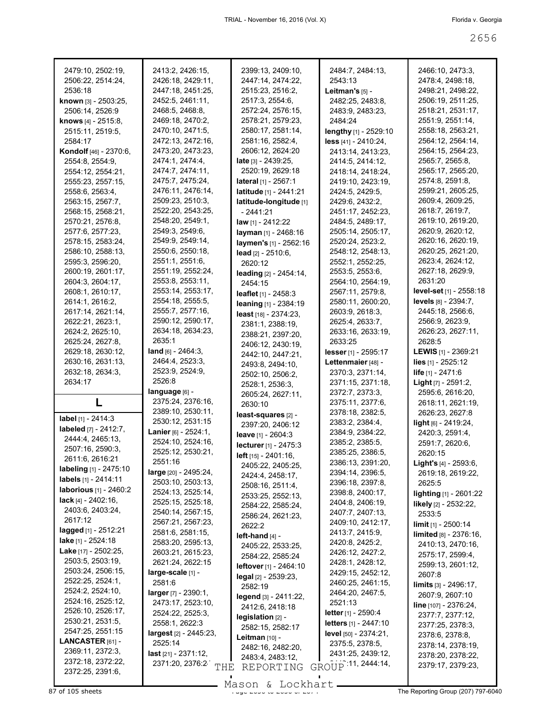| 2479:10, 2502:19,                                | 2413:2, 2426:15,               | 2399:13, 2409:10,             | 2484:7, 2484:13,                      | 2466:10, 2473:3,                 |
|--------------------------------------------------|--------------------------------|-------------------------------|---------------------------------------|----------------------------------|
| 2506:22, 2514:24,                                | 2426:18, 2429:11,              | 2447:14, 2474:22,             | 2543:13                               | 2478:4, 2498:18,                 |
| 2536:18                                          | 2447:18, 2451:25,              | 2515:23, 2516:2,              | Leitman's [5] -                       | 2498:21, 2498:22,                |
| known [3] - 2503:25,                             | 2452:5, 2461:11,               | 2517:3, 2554:6,               | 2482:25, 2483:8,                      | 2506:19, 2511:25,                |
| 2506:14, 2526:9                                  | 2468:5, 2468:8,                | 2572:24, 2576:15,             | 2483:9, 2483:23,                      | 2518:21, 2531:17,                |
| <b>knows</b> $[4] - 2515.8$ ,                    | 2469:18, 2470:2,               | 2578:21, 2579:23,             | 2484:24                               | 2551:9, 2551:14,                 |
| 2515:11, 2519:5,                                 | 2470:10, 2471:5,               | 2580:17, 2581:14,             | lengthy [1] - 2529:10                 | 2558:18, 2563:21,                |
| 2584:17                                          | 2472:13, 2472:16,              | 2581:16, 2582:4,              | less [41] - 2410:24,                  | 2564:12, 2564:14,                |
| Kondolf [46] - 2370:6,                           | 2473:20, 2473:23,              | 2606:12, 2624:20              | 2413:14, 2413:23,                     | 2564:15, 2564:23,                |
| 2554:8, 2554:9,                                  | 2474:1, 2474:4,                | <b>late</b> $[3] - 2439.25$ , | 2414:5, 2414:12,                      | 2565:7, 2565:8,                  |
| 2554:12, 2554:21,                                | 2474:7, 2474:11,               | 2520:19, 2629:18              | 2418:14, 2418:24,                     | 2565:17, 2565:20,                |
| 2555:23, 2557:15,                                | 2475:7, 2475:24,               | lateral [1] - 2567:1          | 2419:10, 2423:19,                     | 2574:8, 2591:8,                  |
| 2558:6, 2563:4,                                  | 2476:11, 2476:14,              | latitude [1] - 2441:21        | 2424:5, 2429:5,                       | 2599:21, 2605:25,                |
| 2563:15, 2567:7,                                 | 2509:23, 2510:3,               | latitude-longitude [1]        | 2429:6, 2432:2,                       | 2609:4, 2609:25,                 |
| 2568:15, 2568:21,                                | 2522:20, 2543:25,              | - 2441:21                     | 2451:17, 2452:23,                     | 2618:7, 2619:7,                  |
| 2570:21, 2576:8,                                 | 2548:20, 2549:1,               | law [1] - 2412:22             | 2484:5, 2489:17,                      | 2619:10, 2619:20,                |
| 2577:6, 2577:23,                                 | 2549:3, 2549:6,                | layman [1] - 2468:16          | 2505:14, 2505:17,                     | 2620:9, 2620:12,                 |
| 2578:15, 2583:24,                                | 2549:9, 2549:14,               | laymen's [1] - 2562:16        | 2520:24, 2523:2,                      | 2620:16, 2620:19,                |
| 2586:10, 2588:13,                                | 2550:6, 2550:18,               |                               | 2548:12, 2548:13,                     | 2620:25, 2621:20,                |
| 2595:3, 2596:20,                                 | 2551:1, 2551:6,                | lead $[2] - 2510:6$ ,         | 2552:1, 2552:25,                      | 2623:4, 2624:12,                 |
| 2600:19, 2601:17,                                | 2551:19, 2552:24,              | 2620:12                       | 2553:5, 2553:6,                       | 2627:18, 2629:9,                 |
|                                                  | 2553:8, 2553:11,               | leading [2] - 2454:14,        | 2564:10, 2564:19,                     | 2631:20                          |
| 2604:3, 2604:17,                                 | 2553:14, 2553:17,              | 2454:15                       |                                       | level-set [1] - 2558:18          |
| 2608:1, 2610:17,<br>2614:1, 2616:2,              | 2554:18, 2555:5,               | leaflet [1] - 2458:3          | 2567:11, 2579:8,<br>2580:11, 2600:20, | <b>levels</b> $[8] - 2394:7$ ,   |
| 2617:14, 2621:14,                                | 2555:7, 2577:16,               | leaning [1] - 2384:19         | 2603.9, 2618:3,                       | 2445:18, 2566:6,                 |
| 2622:21, 2623:1,                                 | 2590:12, 2590:17,              | least [18] - 2374:23,         |                                       | 2566:9, 2623:9,                  |
| 2624:2, 2625:10,                                 | 2634:18, 2634:23,              | 2381:1, 2388:19,              | 2625:4, 2633:7,                       | 2626:23, 2627:11,                |
| 2625:24, 2627:8,                                 | 2635:1                         | 2388:21, 2397:20,             | 2633:16, 2633:19,<br>2633:25          | 2628:5                           |
| 2629:18, 2630:12,                                | $land$ [6] - 2464:3,           | 2406:12, 2430:19,             | lesser [1] - 2595:17                  | LEWIS [1] - 2369:21              |
| 2630:16, 2631:13,                                | 2464:4, 2523:3,                | 2442:10, 2447:21,             |                                       | lies $[1] - 2525:12$             |
|                                                  |                                | 2493:8, 2494:10,              | Lettenmaier [48] -                    |                                  |
|                                                  |                                |                               |                                       |                                  |
| 2632:18, 2634:3,                                 | 2523:9, 2524:9,                | 2502:10, 2506:2,              | 2370:3, 2371:14,                      | <b>life</b> $[1] - 2471:6$       |
| 2634:17                                          | 2526:8                         | 2528:1, 2536:3,               | 2371:15, 2371:18,                     | <b>Light</b> $[7] - 2591:2$ ,    |
|                                                  | language [6] -                 | 2605:24, 2627:11,             | 2372:7, 2373:3,                       | 2595:6, 2616:20,                 |
| L                                                | 2375:24, 2376:16,              | 2630:10                       | 2375:11, 2377:6,                      | 2618:11, 2621:19,                |
| label [1] - 2414:3                               | 2389:10, 2530:11,              | least-squares [2] -           | 2378:18, 2382:5,                      | 2626:23, 2627:8                  |
| labeled [7] - 2412:7,                            | 2530:12, 2531:15               | 2397:20, 2406:12              | 2383:2, 2384:4,                       | light [6] - 2419:24,             |
| 2444:4, 2465:13,                                 | <b>Lanier</b> $[6] - 2524:1$ , | <b>leave</b> $[1] - 2604:3$   | 2384:9, 2384:22,                      | 2420:3, 2591:4,                  |
| 2507:16, 2590:3,                                 | 2524:10, 2524:16,              | lecturer [1] - 2475:3         | 2385:2, 2385:5,                       | 2591:7, 2620:6,                  |
|                                                  | 2525:12, 2530:21,              | left [15] - 2401:16,          | 2385:25, 2386:5,                      | 2620:15                          |
| 2611:6, 2616:21<br><b>labeling</b> [1] - 2475:10 | 2551:16                        | 2405:22, 2405:25,             | 2386:13, 2391:20,                     | <b>Light's</b> $[4] - 2593:6$ ,  |
|                                                  | large [20] - 2495:24,          | 2424:4, 2458:17,              | 2394:14, 2396:5,                      | 2619:18, 2619:22,                |
| labels [1] - 2414:11                             | 2503:10, 2503:13,              | 2508:16, 2511:4,              | 2396:18, 2397:8,                      | 2625:5                           |
| <b>laborious</b> [1] - 2460:2                    | 2524:13, 2525:14,              | 2533:25, 2552:13,             | 2398:8, 2400:17,                      | <b>lighting</b> [1] - 2601:22    |
| <b>lack</b> [4] - $2402:16$ ,                    | 2525:15, 2525:18,              | 2584:22, 2585:24,             | 2404:8, 2406:19,                      | likely [2] - 2532:22,            |
| 2403:6, 2403:24,                                 | 2540:14, 2567:15,              | 2586:24, 2621:23,             | 2407:7, 2407:13,                      | 2533:5                           |
| 2617:12                                          | 2567:21, 2567:23,              | 2622:2                        | 2409:10, 2412:17,                     | <b>limit</b> $[1]$ - 2500:14     |
| lagged $[1]$ - 2512:21                           | 2581:6, 2581:15,               | $left$ -hand $[4]$ -          | 2413:7, 2415:9,                       | <b>limited</b> $[8] - 2376:16$ , |
| lake [1] - 2524:18                               | 2583:20, 2595:13,              | 2405:22, 2533:25,             | 2420:8, 2425:2,                       | 2410:13, 2470:16,                |
| Lake [17] - 2502:25,                             | 2603:21, 2615:23,              | 2584:22, 2585:24              | 2426:12, 2427:2,                      | 2575:17, 2599:4,                 |
| 2503:5, 2503:19,                                 | 2621:24, 2622:15               | leftover [1] - 2464:10        | 2428:1, 2428:12,                      | 2599:13, 2601:12,                |
| 2503:24, 2506:15,                                | large-scale [1] -              | legal [2] - 2539:23,          | 2429:15, 2452:12,                     | 2607:8                           |
| 2522:25, 2524:1,                                 | 2581:6                         | 2582:19                       | 2460:25, 2461:15,                     | $\lim$ its [3] - 2496:17,        |
| 2524:2, 2524:10,                                 | $larger_{[7]} - 2390:1,$       | legend [3] - 2411:22,         | 2464:20, 2467:5,                      | 2607:9, 2607:10                  |
| 2524:16, 2525:12,                                | 2473:17, 2523:10,              | 2412:6, 2418:18               | 2521:13                               | line [107] - 2376:24,            |
| 2526:10, 2526:17,                                | 2524:22, 2525:3,               | legislation [2] -             | <b>letter</b> $[1] - 2590:4$          | 2377:7, 2377:12,                 |
| 2530:21, 2531:5,                                 | 2558:1, 2622:3                 | 2582:15, 2582:17              | letters $[1] - 2447:10$               | 2377:25, 2378:3,                 |
| 2547:25, 2551:15                                 | $largest$ $[2] - 2445:23$ ,    | Leitman [10] -                | level [50] - 2374:21,                 | 2378.6, 2378.8,                  |
| <b>LANCASTER</b> $[61]$ -                        | 2525:14                        | 2482:16, 2482:20,             | 2375:5, 2378:5,                       | 2378:14, 2378:19,                |
| 2369:11, 2372:3,                                 | <b>last</b> $[21] - 2371:12$ , | 2483:4, 2483:12,              | 2431:25, 2439:12,                     | 2378:20, 2378:22,                |
| 2372:18, 2372:22,<br>2372:25, 2391:6,            | 2371:20, 2376:2<br>THE         | REPORTING                     | GROUP 11, 2444 14,                    | 2379:17, 2379:23,                |

Mason & Lockhart **Page 2656 of 105 sheets** Page 207) 797-6040 Mason & Lockhart **Page 2676 105 sheets** and the Reporting Group (207) 797-6040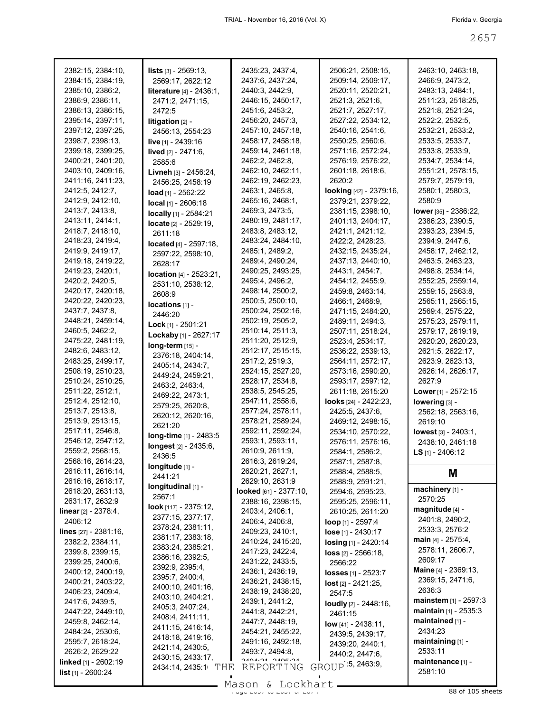| 2382:15, 2384:10,                     | <b>lists</b> $[3] - 2569:13$ ,                         | 2435:23, 2437:4,                    | 2506:21, 2508:15,                      | 2463:10, 2463:18,                   |
|---------------------------------------|--------------------------------------------------------|-------------------------------------|----------------------------------------|-------------------------------------|
| 2384:15, 2384:19,<br>2385:10, 2386:2, | 2569:17, 2622:12                                       | 2437:6, 2437:24,<br>2440:3, 2442:9, | 2509:14, 2509:17,<br>2520:11, 2520:21, | 2466:9, 2473:2,<br>2483:13, 2484:1, |
| 2386:9, 2386:11,                      | literature [4] - 2436:1,<br>2471:2, 2471:15,           | 2446:15, 2450:17,                   | 2521:3, 2521:6,                        | 2511:23, 2518:25,                   |
| 2386:13, 2386:15,                     | 2472:5                                                 | 2451:6, 2453:2,                     | 2521:7, 2527:17,                       | 2521:8, 2521:24,                    |
| 2395:14, 2397:11,                     |                                                        | 2456:20, 2457:3,                    | 2527:22, 2534:12,                      | 2522:2, 2532:5,                     |
| 2397:12, 2397:25,                     | litigation [2] -<br>2456:13, 2554:23                   | 2457:10, 2457:18,                   | 2540:16, 2541:6,                       | 2532:21, 2533:2,                    |
| 2398:7, 2398:13,                      | live [1] - 2439:16                                     | 2458:17, 2458:18,                   | 2550:25, 2560:6,                       | 2533:5, 2533:7,                     |
| 2399:18, 2399:25,                     | lived [2] - 2471:6,                                    | 2459:14, 2461:18,                   | 2571:16, 2572:24,                      | 2533:8, 2533:9,                     |
| 2400:21, 2401:20,                     | 2585:6                                                 | 2462:2, 2462:8,                     | 2576:19, 2576:22,                      | 2534:7, 2534:14,                    |
| 2403:10, 2409:16,                     |                                                        | 2462:10, 2462:11,                   | 2601:18, 2618:6,                       | 2551:21, 2578:15,                   |
| 2411:16, 2411:23,                     | Livneh [3] - 2456:24,<br>2456:25, 2458:19              | 2462:19, 2462:23,                   | 2620:2                                 | 2579:7, 2579:19,                    |
| 2412:5, 2412:7,                       | load [1] - 2562:22                                     | 2463:1, 2465:8,                     | looking [42] - 2379:16,                | 2580:1, 2580:3,                     |
| 2412:9, 2412:10,                      | $local$ [1] - 2606:18                                  | 2465:16, 2468:1,                    | 2379:21, 2379:22,                      | 2580:9                              |
| 2413:7, 2413:8,                       |                                                        | 2469:3, 2473:5,                     | 2381:15, 2398:10,                      | lower [35] - 2386:22,               |
| 2413:11, 2414:1,                      | locally [1] - 2584:21                                  | 2480:19, 2481:17,                   | 2401:13, 2404:17,                      | 2386:23, 2390:5,                    |
| 2418:7, 2418:10,                      | locate [2] - 2529:19,<br>2611:18                       | 2483:8, 2483:12,                    | 2421:1, 2421:12,                       | 2393:23, 2394:5,                    |
| 2418:23, 2419:4,                      | <b>located</b> $[4] - 2597:18$ ,                       | 2483:24, 2484:10,                   | 2422:2, 2428:23,                       | 2394:9, 2447:6,                     |
| 2419:9, 2419:17,                      | 2597:22, 2598:10,                                      | 2485:1, 2489:2,                     | 2432:15, 2435:24,                      | 2458:17, 2462:12,                   |
| 2419:18, 2419:22,                     | 2628:17                                                | 2489:4, 2490:24,                    | 2437:13, 2440:10,                      | 2463:5, 2463:23,                    |
| 2419:23, 2420:1,                      |                                                        | 2490:25, 2493:25,                   | 2443:1, 2454:7,                        | 2498:8, 2534:14,                    |
| 2420:2, 2420:5,                       | <b>location</b> $[4] - 2523:21$ ,<br>2531:10, 2538:12, | 2495:4, 2496:2,                     | 2454:12, 2455:9,                       | 2552:25, 2559:14,                   |
| 2420:17, 2420:18,                     | 2608:9                                                 | 2498:14, 2500:2,                    | 2459:8, 2463:14,                       | 2559:15, 2563:8,                    |
| 2420:22, 2420:23,                     | locations [1] -                                        | 2500:5, 2500:10,                    | 2466:1, 2468:9,                        | 2565:11, 2565:15,                   |
| 2437:7, 2437:8,                       | 2446:20                                                | 2500:24, 2502:16,                   | 2471:15, 2484:20,                      | 2569:4, 2575:22,                    |
| 2448:21, 2459:14,                     | Lock [1] - 2501:21                                     | 2502:19, 2505:2,                    | 2489:11, 2494:3,                       | 2575:23, 2579:11,                   |
| 2460:5, 2462:2,                       | Lockaby [1] - 2627:17                                  | 2510:14, 2511:3,                    | 2507:11, 2518:24,                      | 2579:17, 2619:19,                   |
| 2475:22, 2481:19,                     | long-term [15] -                                       | 2511:20, 2512:9,                    | 2523:4, 2534:17,                       | 2620:20, 2620:23,                   |
| 2482:6, 2483:12,                      | 2376:18, 2404:14,                                      | 2512:17, 2515:15,                   | 2536:22, 2539:13,                      | 2621:5, 2622:17,                    |
| 2483:25, 2499:17,                     | 2405:14, 2434:7,                                       | 2517:2, 2519:3,                     | 2564:11, 2572:17,                      | 2623:9, 2623:13,                    |
| 2508:19, 2510:23,                     | 2449:24, 2459:21,                                      | 2524:15, 2527:20,                   | 2573:16, 2590:20,                      | 2626:14, 2626:17,                   |
| 2510:24, 2510:25,                     | 2463:2, 2463:4,                                        | 2528:17, 2534:8,                    | 2593:17, 2597:12,                      | 2627:9                              |
| 2511:22, 2512:1,                      | 2469:22, 2473:1,                                       | 2538:5, 2545:25,                    | 2611:18, 2615:20                       | Lower [1] - 2572:15                 |
| 2512:4, 2512:10,                      | 2579:25, 2620:8,                                       | 2547:11, 2558:6,                    | looks $[24] - 2422:23$ ,               | lowering [3] -                      |
| 2513:7, 2513:8,                       | 2620:12, 2620:16,                                      | 2577:24, 2578:11,                   | 2425:5, 2437:6,                        | 2562:18, 2563:16,                   |
| 2513:9, 2513:15,                      | 2621:20                                                | 2578:21, 2589:24,                   | 2469:12, 2498:15,                      | 2619:10                             |
| 2517:11, 2546:8,                      | long-time [1] - 2483:5                                 | 2592:11, 2592:24,                   | 2534:10, 2570:22,                      | lowest [3] - 2403:1,                |
| 2546:12, 2547:12,                     | longest [2] - 2435:6,                                  | 2593:1, 2593:11,                    | 2576:11, 2576:16,                      | 2438:10, 2461:18                    |
| 2559:2, 2568:15,                      | 2436:5                                                 | 2610:9, 2611:9,                     | 2584:1, 2586:2,                        | LS [1] - 2406:12                    |
| 2568:16, 2614:23,                     | longitude [1] -                                        | 2616:3, 2619:24,                    | 2587:1, 2587:8,                        |                                     |
| 2616:11, 2616:14,                     | 2441:21                                                | 2620:21, 2627:1,                    | 2588:4, 2588:5,                        | M                                   |
| 2616:16, 2618:17,                     | longitudinal [1] -                                     | 2629:10, 2631:9                     | 2588:9, 2591:21,                       | machinery [1] -                     |
| 2618:20, 2631:13,                     | 2567:1                                                 | looked [61] - 2377:10,              | 2594:6, 2595:23,                       | 2570:25                             |
| 2631:17, 2632:9                       | look [117] - 2375:12,                                  | 2388:16, 2398:15,                   | 2595:25, 2596:11,                      | magnitude [4] -                     |
| <b>linear</b> $[2] - 2378:4,$         | 2377:15, 2377:17,                                      | 2403:4, 2406:1,                     | 2610:25, 2611:20                       | 2401:8, 2490:2,                     |
| 2406:12                               | 2378:24, 2381:11,                                      | 2406:4, 2406:8,<br>2409:23, 2410:1, | loop [1] - 2597:4                      | 2533:3, 2576:2                      |
| lines $[27] - 2381:16$ ,              | 2381:17, 2383:18,                                      | 2410:24, 2415:20,                   | lose [1] - 2430:17                     | main [4] - 2575:4,                  |
| 2382:2, 2384:11,<br>2399:8, 2399:15,  | 2383:24, 2385:21,                                      | 2417:23, 2422:4,                    | losing [1] - 2420:14                   | 2578:11, 2606:7,                    |
| 2399:25, 2400:6,                      | 2386:16, 2392:5,                                       | 2431:22, 2433:5,                    | $loss$ [2] - 2566:18,                  | 2609:17                             |
| 2400:12, 2400:19,                     | 2392:9, 2395:4,                                        | 2436:1, 2436:19,                    | 2566:22                                | Maine [4] - 2369:13,                |
| 2400:21, 2403:22,                     | 2395:7, 2400:4,                                        | 2436:21, 2438:15,                   | losses [1] - 2523:7                    | 2369:15, 2471:6,                    |
| 2406:23, 2409:4,                      | 2400:10, 2401:16,                                      | 2438:19, 2438:20,                   | $lost$ [2] - 2421:25,                  | 2636:3                              |
| 2417:6, 2439:5,                       | 2403:10, 2404:21,                                      | 2439:1, 2441:2,                     | 2547:5                                 | mainstem [1] - 2597:3               |
| 2447:22, 2449:10,                     | 2405:3, 2407:24,                                       | 2441:8, 2442:21,                    | loudly [2] - 2448:16,                  | <b>maintain</b> $[1]$ - 2535:3      |
| 2459:8, 2462:14,                      | 2408:4, 2411:11,                                       | 2447:7, 2448:19,                    | 2461:15                                | maintained [1] -                    |
| 2484:24, 2530:6,                      | 2411:15, 2416:14,                                      | 2454:21, 2455:22,                   | $low$ [41] - 2438:11,                  | 2434:23                             |
| 2595:7, 2618:24,                      | 2418:18, 2419:16,                                      | 2491:16, 2492:18,                   | 2439:5, 2439:17,<br>2439:20, 2440:1,   | maintaining [1] -                   |
| 2626:2, 2629:22                       | 2421:14, 2430:5,                                       | 2493:7, 2494:8,                     | 2440:2, 2447:6,                        | 2533:11                             |
| linked [1] - 2602:19                  | 2430:15, 2433:17,                                      | AC-ROAC PC-NOAC                     |                                        | maintenance [1] -                   |
| <b>list</b> $[1] - 2600:24$           | 2434:14, 2435:1 THE                                    | REPORTING                           | GROUP 5, 2463:9,                       | 2581:10                             |
|                                       |                                                        | Mason & Lockhart                    |                                        |                                     |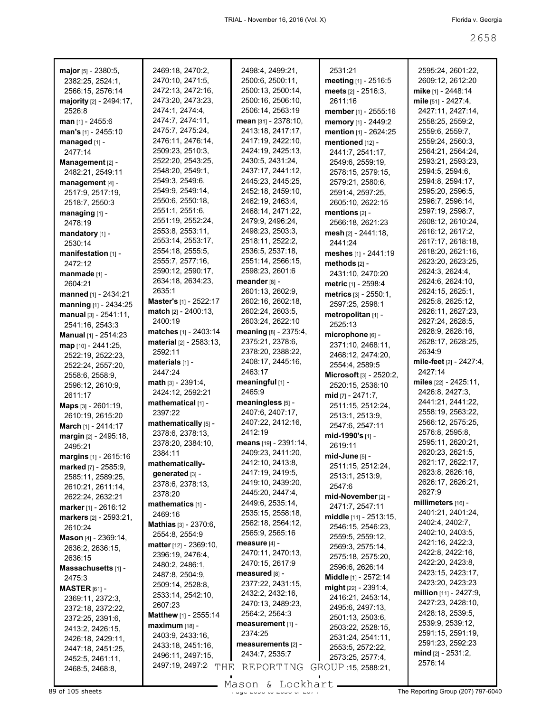| major [5] - 2380:5,                 |                                             |                       |                                        |                                 |
|-------------------------------------|---------------------------------------------|-----------------------|----------------------------------------|---------------------------------|
|                                     | 2469:18, 2470:2,                            | 2498:4, 2499:21,      | 2531:21                                | 2595:24, 2601:22,               |
| 2382:25, 2524:1,                    | 2470:10, 2471:5,                            | 2500:6, 2500:11,      | meeting [1] - 2516:5                   | 2609:12, 2612:20                |
| 2566:15, 2576:14                    | 2472:13, 2472:16,                           | 2500:13, 2500:14,     | meets [2] - 2516:3,                    | mike [1] - 2448:14              |
| majority [2] - 2494:17,             | 2473:20, 2473:23,                           | 2500:16, 2506:10,     | 2611:16                                | mile [51] - 2427:4,             |
| 2526:8                              | 2474:1, 2474:4,                             | 2506:14, 2563:19      | member [1] - 2555:16                   | 2427:11, 2427:14,               |
| <b>man</b> $[1]$ - 2455:6           | 2474:7, 2474:11,                            | mean [31] - 2378:10.  | memory [1] - 2449:2                    | 2558:25, 2559:2,                |
| man's [1] - 2455:10                 | 2475:7, 2475:24,                            | 2413:18, 2417:17,     | mention [1] - 2624:25                  | 2559:6, 2559:7,                 |
| managed [1] -                       | 2476:11, 2476:14,                           | 2417:19, 2422:10,     | mentioned [12] -                       | 2559:24, 2560:3,                |
| 2477:14                             | 2509:23, 2510:3,                            | 2424:19, 2425:13,     | 2441:7, 2541:17,                       | 2564:21, 2564:24,               |
| Management [2] -                    | 2522:20, 2543:25,                           | 2430:5, 2431:24,      | 2549:6, 2559:19,                       | 2593:21, 2593:23,               |
| 2482:21, 2549:11                    | 2548:20, 2549:1,                            | 2437:17, 2441:12,     | 2578:15, 2579:15,                      | 2594 5, 2594 6,                 |
| management [4] -                    | 2549:3, 2549:6,                             | 2445:23, 2445:25,     | 2579:21, 2580:6,                       | 2594:8, 2594:17,                |
| 2517:9, 2517:19,                    | 2549:9, 2549:14,                            | 2452:18, 2459:10,     | 2591:4, 2597:25,                       | 2595:20, 2596:5,                |
| 2518:7, 2550:3                      | 2550:6, 2550:18,                            | 2462:19, 2463:4,      | 2605:10, 2622:15                       | 2596:7, 2596:14,                |
| managing [1] -                      | 2551:1, 2551:6,                             | 2468:14, 2471:22,     | mentions $[2]$ -                       | 2597:19, 2598:7,                |
| 2478:19                             | 2551:19, 2552:24,                           | 2479:9, 2496:24,      | 2566:18, 2621:23                       | 2608:12, 2610:24,               |
| mandatory [1] -                     | 2553:8, 2553:11,                            | 2498:23, 2503:3,      | mesh [2] - 2441:18,                    | 2616:12, 2617:2,                |
| 2530:14                             | 2553:14, 2553:17,                           | 2518:11, 2522:2,      | 2441:24                                | 2617:17, 2618:18,               |
|                                     | 2554:18, 2555:5,                            | 2536:5, 2537:18,      |                                        | 2618:20, 2621:16,               |
| manifestation [1] -                 | 2555:7, 2577:16,                            | 2551:14, 2566:15,     | meshes [1] - 2441:19                   | 2623:20, 2623:25,               |
| 2472:12                             | 2590:12, 2590:17,                           | 2598:23, 2601:6       | methods $[2]$ -                        | 2624:3, 2624:4,                 |
| manmade $[1]$ -                     | 2634:18, 2634:23,                           |                       | 2431:10, 2470:20                       |                                 |
| 2604:21                             | 2635:1                                      | meander [8] -         | metric [1] - 2598:4                    | 2624:6, 2624:10,                |
| manned [1] - 2434:21                |                                             | 2601:13, 2602:9,      | metrics [3] - 2550:1.                  | 2624:15, 2625:1,                |
| manning [1] - 2434:25               | Master's [1] - 2522:17                      | 2602:16, 2602:18,     | 2597:25, 2598:1                        | 2625:8, 2625:12,                |
| manual [3] - 2541:11,               | $match [2] - 2400:13,$                      | 2602:24, 2603:5,      | metropolitan [1] -                     | 2626:11, 2627:23,               |
| 2541:16, 2543:3                     | 2400:19                                     | 2603:24, 2622:10      | 2525:13                                | 2627:24, 2628:5,                |
| Manual [1] - 2514:23                | matches [1] - 2403:14                       | meaning [8] - 2375:4, | microphone [6] -                       | 2628:9, 2628:16,                |
| map [10] - 2441:25,                 | material [2] - 2583:13,                     | 2375:21, 2378:6,      | 2371:10, 2468:11,                      | 2628:17, 2628:25,               |
| 2522:19, 2522:23,                   | 2592:11                                     | 2378:20, 2388:22,     | 2468:12, 2474:20,                      | 2634:9                          |
| 2522:24, 2557:20,                   | materials [1] -                             | 2408:17, 2445:16,     | 2554:4, 2589:5                         | mile-feet [2] - 2427:4,         |
| 2558:6, 2558:9,                     | 2447:24                                     | 2463:17               | Microsoft [3] - 2520:2,                | 2427:14                         |
| 2596:12, 2610:9,                    | $math[3] - 2391:4,$                         | meaningful [1] -      | 2520:15, 2536:10                       | miles [22] - 2425:11,           |
| 2611:17                             | 2424:12, 2592:21                            | 2465:9                | mid [7] - 2471:7,                      | 2426:8, 2427:3,                 |
| Maps [3] - 2601:19,                 | mathematical [1] -                          | meaningless [5] -     | 2511:15, 2512:24,                      | 2441:21, 2441:22,               |
|                                     |                                             |                       |                                        |                                 |
|                                     | 2397:22                                     | 2407:6, 2407:17,      |                                        | 2558:19, 2563:22,               |
| 2610:19, 2615:20                    | mathematically [5] -                        | 2407:22, 2412:16,     | 2513:1, 2513:9,                        | 2566:12, 2575:25,               |
| March [1] - 2414:17                 |                                             | 2412:19               | 2547:6, 2547:11                        | 2576:8, 2595:8,                 |
| margin [2] - 2495:18,               | 2378:6, 2378:13,                            |                       | mid-1990's [1] -                       |                                 |
| 2495:21                             | 2378:20, 2384:10,                           | means [19] - 2391:14, | 2619:11                                | 2595:11, 2620:21,               |
| margins [1] - 2615:16               | 2384:11                                     | 2409:23, 2411:20,     | mid-June [5] -                         | 2620:23, 2621:5,                |
| marked [7] - 2585:9,                | mathematically-                             | 2412:10, 2413:8,      | 2511:15, 2512:24,                      | 2621:17, 2622:17,               |
| 2585:11, 2589:25,                   | generated [3] -                             | 2417:19, 2419:5,      | 2513:1, 2513:9,                        | 2623:8, 2626:16,                |
| 2610:21, 2611:14,                   | 2378:6, 2378:13,                            | 2419:10, 2439:20,     | 2547:6                                 | 2626:17, 2626:21,               |
| 2622:24, 2632:21                    | 2378:20                                     | 2445:20, 2447:4,      | mid-November [2] -                     | 2627:9                          |
| marker [1] - 2616:12                | mathematics [1] -                           | 2449:6, 2535:14,      | 2471:7, 2547:11                        | millimeters [16] -              |
| markers [2] - 2593:21,              | 2469:16                                     | 2535:15, 2558:18,     | middle [11] - 2513:15,                 | 2401:21, 2401:24,               |
| 2610:24                             | Mathias [3] - 2370:6,                       | 2562:18, 2564:12,     | 2546:15, 2546:23,                      | 2402:4, 2402:7,                 |
| <b>Mason</b> $[4] - 2369:14$ ,      | 2554:8, 2554:9                              | 2565:9, 2565:16       | 2559:5, 2559:12,                       | 2402:10, 2403:5,                |
| 2636:2, 2636:15,                    | <b>matter</b> $[12] - 2369:10,$             | measure [4] -         | 2569:3, 2575:14,                       | 2421:16, 2422:3,                |
| 2636:15                             | 2396:19, 2476:4,                            | 2470:11, 2470:13,     | 2575:18, 2575:20,                      | 2422:8, 2422:16,                |
|                                     | 2480:2, 2486:1,                             | 2470:15, 2617:9       | 2596:6, 2626:14                        | 2422:20, 2423:8,                |
| Massachusetts [1] -<br>2475:3       | 2487:8, 2504:9,                             | measured [8] -        | Middle [1] - 2572:14                   | 2423:15, 2423:17,               |
|                                     | 2509:14, 2528:8,                            | 2377:22, 2431:15,     |                                        | 2423:20, 2423:23                |
| <b>MASTER</b> $[61]$ -              | 2533:14, 2542:10,                           | 2432:2, 2432:16,      | might [22] - 2391:4,                   | <b>million</b> $[11]$ - 2427:9, |
| 2369:11, 2372:3,                    | 2607:23                                     | 2470:13, 2489:23,     | 2416:21, 2453:14,                      | 2427:23, 2428:10,               |
| 2372:18, 2372:22,                   | Matthew [1] - 2555:14                       | 2564:2, 2564:3        | 2495:6, 2497:13,                       | 2428:18, 2539:5,                |
| 2372:25, 2391:6,                    | $maximum$ [18] -                            | measurement [1] -     | 2501:13, 2503:6,                       | 2539:9, 2539:12,                |
| 2413:2, 2426:15,                    | 2403:9, 2433:16,                            | 2374:25               | 2503:22, 2528:15,                      | 2591:15, 2591:19,               |
| 2426:18, 2429:11,                   |                                             | measurements [2] -    | 2531:24, 2541:11,                      | 2591:23, 2592:23                |
| 2447:18, 2451:25,                   | 2433:18, 2451:16,                           | 2434:7, 2535:7        | 2553:5, 2572:22,                       | mind [2] - 2531:2,              |
| 2452:5, 2461:11,<br>2468:5, 2468:8, | 2496:11, 2497:15,<br>2497:19, 2497:2<br>THE | REPORTING             | 2573:25, 2577:4,<br>GROUP 15, 2588:21, | 2576:14                         |

Mason & Lockhart

 $\blacksquare$ 

 $\blacksquare$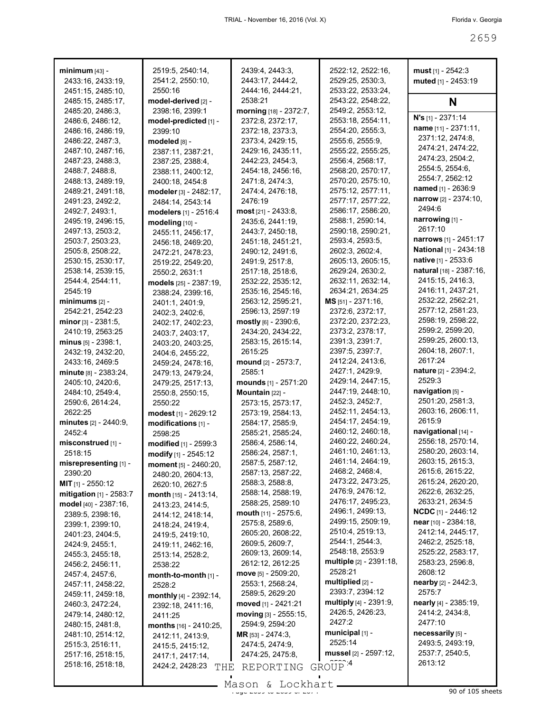| <b>minimum</b> [43] -        | 2519:5, 2540:14,                 | 2439:4, 2443:3,          | 2522:12, 2522:16,                                   | must $[1] - 2542:3$                            |
|------------------------------|----------------------------------|--------------------------|-----------------------------------------------------|------------------------------------------------|
| 2433:16, 2433:19,            | 2541:2, 2550:10,                 | 2443:17, 2444:2,         | 2529:25, 2530:3,                                    | muted [1] - 2453:19                            |
| 2451:15, 2485:10,            | 2550:16                          | 2444:16, 2444:21,        | 2533:22, 2533:24,                                   |                                                |
| 2485:15, 2485:17,            | model-derived [2] -              | 2538:21                  | 2543:22, 2548:22,                                   | N                                              |
| 2485:20, 2486:3,             | 2398:16, 2399:1                  | morning [18] - 2372:7,   | 2549:2, 2553:12,                                    |                                                |
| 2486:6, 2486:12,             | model-predicted [1] -            | 2372:8, 2372:17,         | 2553:18, 2554:11,                                   | N's [1] - 2371:14                              |
| 2486:16, 2486:19,            | 2399:10                          | 2372:18, 2373:3,         | 2554:20, 2555:3,                                    | name [11] - 2371:11,                           |
| 2486:22, 2487:3,             | modeled [8] -                    | 2373:4, 2429:15,         | 2555:6, 2555:9,                                     | 2371:12, 2474:8,                               |
| 2487:10, 2487:16,            | 2387:11, 2387:21,                | 2429:16, 2435:11,        | 2555:22, 2555:25,                                   | 2474:21, 2474:22,                              |
| 2487:23, 2488:3,             | 2387:25, 2388:4,                 | 2442:23, 2454:3,         | 2556:4, 2568:17,                                    | 2474:23, 2504:2,                               |
| 2488:7, 2488:8,              | 2388:11, 2400:12,                | 2454:18, 2456:16,        | 2568:20, 2570:17,                                   | 2554:5, 2554:6,                                |
| 2488:13, 2489:19,            | 2400:18, 2454:8                  | 2471:8, 2474:3,          | 2570:20, 2575:10,                                   | 2554:7, 2562:12                                |
| 2489:21, 2491:18,            | modeler [3] - 2482:17,           | 2474:4, 2476:18,         | 2575:12, 2577:11,                                   | named [1] - 2636:9<br>narrow $[2] - 2374:10$ , |
| 2491:23, 2492:2,             | 2484:14, 2543:14                 | 2476:19                  | 2577:17, 2577:22,                                   | 2494:6                                         |
| 2492:7, 2493:1,              | modelers [1] - 2516:4            | $most$ [21] - 2433:8,    | 2586:17, 2586:20,                                   |                                                |
| 2495:19, 2496:15,            | modeling [10] -                  | 2435:6, 2441:19,         | 2588:1, 2590:14,                                    | narrowing [1] -                                |
| 2497:13, 2503:2,             | 2455:11, 2456:17,                | 2443:7, 2450:18,         | 2590:18, 2590:21,                                   | 2617:10<br>narrows [1] - 2451:17               |
| 2503:7, 2503:23,             | 2456:18, 2469:20,                | 2451:18, 2451:21,        | 2593:4, 2593:5,                                     |                                                |
| 2505:8, 2508:22,             | 2472:21, 2478:23,                | 2490:12, 2491:6,         | 2602:3, 2602:4,                                     | National [1] - 2434:18                         |
| 2530:15, 2530:17,            | 2519:22, 2549:20,                | 2491:9, 2517:8,          | 2605:13, 2605:15,                                   | native [1] - 2533:6                            |
| 2538:14, 2539:15,            | 2550:2, 2631:1                   | 2517:18, 2518:6,         | 2629:24, 2630:2,                                    | natural [18] - 2387:16,                        |
| 2544:4, 2544:11,             | models [25] - 2387:19,           | 2532:22, 2535:12,        | 2632:11, 2632:14,                                   | 2415:15, 2416:3,                               |
| 2545:19                      | 2388:24, 2399:16,                | 2535:16, 2545:16,        | 2634:21, 2634:25                                    | 2416:11, 2437:21,                              |
|                              | 2401:1, 2401:9,                  | 2563:12, 2595:21,        | $MS$ [51] - 2371:16,                                | 2532:22, 2562:21,                              |
| 2542:21, 2542:23             | 2402:3, 2402:6,                  | 2596:13, 2597:19         | 2372:6, 2372:17,                                    | 2577:12, 2581:23,                              |
| minor $[3]$ - 2381:5,        | 2402:17, 2402:23,                | mostly [6] - 2390:6,     | 2372:20, 2372:23,                                   | 2598:19, 2598:22,                              |
| 2410:19, 2563:25             | 2403:7, 2403:17,                 | 2434:20, 2434:22,        | 2373:2, 2378:17,                                    | 2599:2, 2599:20,                               |
| $minus_{[5]}$ - 2398:1,      | 2403:20, 2403:25,                | 2583:15, 2615:14,        | 2391:3, 2391:7,                                     | 2599:25, 2600:13,                              |
| 2432:19, 2432:20,            | 2404:6, 2455:22,                 | 2615:25                  | 2397:5, 2397:7,                                     | 2604:18, 2607:1,                               |
| 2433:16, 2469:5              | 2459:24, 2478:16,                | mound [2] - 2573:7,      | 2412:24, 2413:6,                                    | 2617:24                                        |
| $minute$ [8] - 2383:24,      | 2479:13, 2479:24,                | 2585:1                   | 2427:1, 2429:9,                                     | <b>nature</b> [2] - 2394:2,                    |
| 2405:10, 2420:6,             | 2479:25, 2517:13,                | mounds [1] - 2571:20     | 2429:14, 2447:15,                                   | 2529:3                                         |
| 2484:10, 2549:4,             | 2550:8, 2550:15,                 | <b>Mountain</b> $[22]$ - | 2447:19, 2448:10,                                   | navigation $[5]$ -                             |
| 2590:6, 2614:24,             | 2550:22                          | 2573:15, 2573:17,        | 2452:3, 2452:7,                                     | 2501:20, 2581:3,                               |
| 2622:25                      | modest [1] - 2629:12             | 2573:19, 2584:13,        | 2452:11, 2454:13,                                   | 2603:16, 2606:11,                              |
| <b>minutes</b> [2] - 2440:9, | modifications $[1]$ -            | 2584:17, 2585:9,         | 2454:17, 2454:19,                                   | 2615:9                                         |
| 2452:4                       | 2598:25                          | 2585:21, 2585:24,        | 2460:12, 2460:18,                                   | navigational [14] -                            |
| misconstrued [1] -           | modified [1] - 2599:3            | 2586:4, 2586:14,         | 2460:22, 2460:24,                                   | 2556:18, 2570:14,                              |
| 2518:15                      | modify [1] - 2545:12             | 2586:24, 2587:1,         | 2461:10, 2461:13,                                   | 2580:20, 2603:14,                              |
| misrepresenting [1] -        | moment [5] - 2460:20,            | 2587:5, 2587:12,         | 2461:14, 2464:19,                                   | 2603:15, 2615:3,                               |
| 2390:20                      | 2480:20, 2604:13,                | 2587:13, 2587:22,        | 2468:2, 2468:4,                                     | 2615:6, 2615:22,                               |
| <b>MIT</b> $[1]$ - 2550:12   | 2620:10, 2627:5                  | 2588:3, 2588:8,          | 2473:22, 2473:25,                                   | 2615:24, 2620:20,                              |
| mitigation [1] - 2583:7      | month $[15] - 2413:14$ ,         | 2588:14, 2588:19,        | 2476:9, 2476:12,                                    | 2622:6, 2632:25,                               |
| model [40] - 2387:16,        | 2413:23, 2414:5,                 | 2588:25, 2589:10         | 2476:17, 2495:23,<br>2496:1, 2499:13,               | 2633:21, 2634:5                                |
| 2389:5, 2398:16,             | 2414:12, 2418:14,                | mouth [11] - 2575:6,     | 2499:15, 2509:19,                                   | <b>NCDC</b> [1] - 2446:12                      |
| 2399:1, 2399:10,             | 2418:24, 2419:4,                 | 2575:8, 2589:6,          | 2510:4, 2519:13,                                    | <b>near</b> $[10] - 2384:18$                   |
| 2401:23, 2404:5,             | 2419:5, 2419:10,                 | 2605:20, 2608:22,        | 2544:1, 2544:3,                                     | 2412:14, 2445:17,                              |
| 2424:9, 2455:1,              | 2419:11, 2462:16,                | 2609:5, 2609:7,          | 2548:18, 2553:9                                     | 2462:2, 2525:18,                               |
| 2455:3, 2455:18,             | 2513:14, 2528:2,                 | 2609:13, 2609:14,        |                                                     | 2525:22, 2583:17,                              |
| 2456:2, 2456:11,             | 2538:22                          | 2612:12, 2612:25         | multiple [2] - 2391:18,<br>2528:21                  | 2583:23, 2596:8,<br>2608:12                    |
| 2457:4, 2457:6,              | month-to-month [1] -             | move [5] - 2509:20,      | multiplied $[2]$ -                                  |                                                |
| 2457:11, 2458:22,            | 2528:2                           | 2553:1, 2568:24,         | 2393:7, 2394:12                                     | $nearby [2] - 2442:3,$<br>2575:7               |
| 2459:11, 2459:18,            | monthly [4] - 2392:14,           | 2589:5, 2629:20          |                                                     |                                                |
| 2460:3, 2472:24,             | 2392:18, 2411:16,                | moved [1] - 2421:21      | <b>multiply</b> $[4]$ - 2391:9,<br>2426:5, 2426:23, | nearly [4] - 2385:19,<br>2414:2, 2434:8,       |
| 2479:14, 2480:12,            | 2411:25                          | moving [3] - 2555:15,    | 2427:2                                              | 2477:10                                        |
| 2480:15, 2481:8,             | <b>months</b> $[16] - 2410:25$ , | 2594:9, 2594:20          | municipal [1] -                                     | necessarily [5] -                              |
| 2481:10, 2514:12,            | 2412:11, 2413:9,                 | <b>MR</b> [53] - 2474:3, | 2525:14                                             |                                                |
| 2515:3, 2516:11,             | 2415:5, 2415:12,                 | 2474:5, 2474:9,          |                                                     | 2493:5, 2493:19,                               |
| 2517:16, 2518:15,            | 2417:1, 2417:14,                 | 2474:25, 2475:8,         | mussel [2] - 2597:12,                               | 2537:7, 2540:5,<br>2613:12                     |
| 2518:16, 2518:18,            | 2424:2, 2428:23<br>THE           | REPORTING                | GROUP <sup>4</sup>                                  |                                                |
|                              |                                  |                          |                                                     |                                                |

 $\frac{265}{300}$  of 105 sheets Mason & Lockhart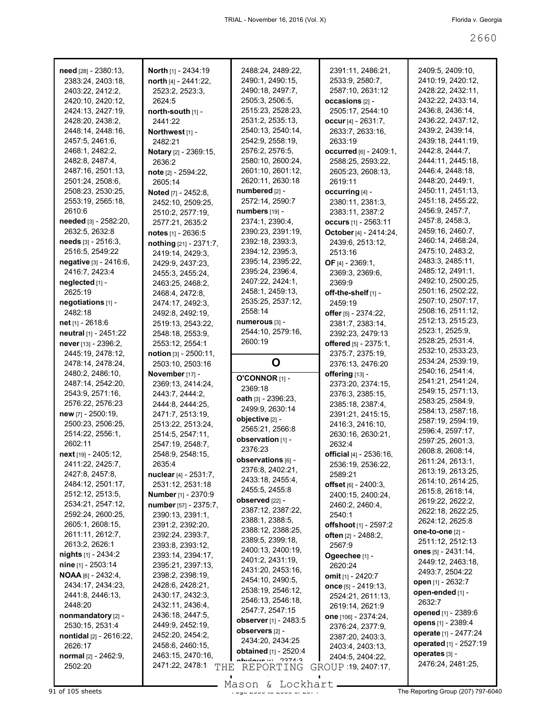| need [28] - 2380:13,                      | <b>North</b> [1] - 2434:19           | 2488:24, 2489:22,                         | 2391:11, 2486:21,                         | 2409:5, 2409:10,                       |
|-------------------------------------------|--------------------------------------|-------------------------------------------|-------------------------------------------|----------------------------------------|
| 2383:24, 2403:18,                         | north [4] - 2441:22,                 | 2490:1, 2490:15,                          | 2533:9, 2580:7,                           | 2410:19, 2420:12,                      |
| 2403:22, 2412:2,<br>2420:10, 2420:12,     | 2523:2, 2523:3,<br>2624:5            | 2490:18, 2497:7,<br>2505:3, 2506:5,       | 2587:10, 2631:12<br>occasions [2] -       | 2428:22, 2432:11,<br>2432:22, 2433:14, |
| 2424:13, 2427:19,                         | north-south [1] -                    | 2515:23, 2528:23,                         | 2505:17, 2544:10                          | 2436:8, 2436:14,                       |
| 2428:20, 2438:2,                          | 2441:22                              | 2531:2, 2535:13,                          | occur $[4] - 2631:7$ ,                    | 2436:22, 2437:12,                      |
| 2448:14, 2448:16,                         | Northwest <sub>[1]</sub> -           | 2540:13, 2540:14,                         | 2633:7, 2633:16,                          | 2439:2, 2439:14,                       |
| 2457:5, 2461:6,                           | 2482:21                              | 2542:9, 2558:19,                          | 2633:19                                   | 2439:18, 2441:19,                      |
| 2468:1, 2482:2,                           | Notary [2] - 2369:15,                | 2576:2, 2576:5,                           | <b>occurred</b> [6] - 2409:1,             | 2442:8, 2444:7,                        |
| 2482:8, 2487:4,                           | 2636:2                               | 2580:10, 2600:24,                         | 2588:25, 2593:22,                         | 2444:11, 2445:18,                      |
| 2487:16, 2501:13,                         | note [2] - 2594:22,                  | 2601:10, 2601:12,                         | 2605:23, 2608:13,                         | 2446:4, 2448:18,                       |
| 2501:24, 2508:6,                          | 2605:14                              | 2620:11, 2630:18                          | 2619:11                                   | 2448:20, 2449:1,                       |
| 2508:23, 2530:25,                         | Noted [7] - 2452:8,                  | numbered [2] -                            | occurring [4] -                           | 2450:11, 2451:13,                      |
| 2553:19, 2565:18,                         | 2452:10, 2509:25,                    | 2572:14, 2590:7                           | 2380:11, 2381:3,                          | 2451:18, 2455:22,                      |
| 2610:6                                    | 2510:2, 2577:19,                     | numbers [19] -                            | 2383:11, 2387:2                           | 2456:9, 2457:7,                        |
| needed [3] - 2582:20,                     | 2577:21, 2635:2                      | 2374:1, 2390:4,                           | <b>occurs</b> [1] - 2563:11               | 2457:8, 2458:3,                        |
| 2632:5, 2632:8                            | notes $[1] - 2636.5$                 | 2390:23, 2391:19,                         | October [4] - 2414:24,                    | 2459:16, 2460:7,                       |
| needs [3] - 2516:3,                       | nothing [21] - 2371:7,               | 2392:18, 2393:3,                          | 2439:6, 2513:12,                          | 2460:14, 2468:24,                      |
| 2516:5, 2549:22                           | 2419:14, 2429:3,                     | 2394:12, 2395:3,                          | 2513:16                                   | 2475:10, 2483:2,                       |
| negative [3] - 2416:6,                    | 2429:9, 2437:23,                     | 2395:14, 2395:22,                         | OF $[4] - 2369:1$ ,                       | 2483:3, 2485:11,                       |
| 2416:7, 2423:4                            | 2455:3, 2455:24,                     | 2395:24, 2396:4,                          | 2369:3, 2369:6,                           | 2485:12, 2491:1,                       |
| neglected [1] -                           | 2463:25, 2468:2,                     | 2407:22, 2424:1,                          | 2369:9                                    | 2492:10, 2500:25,                      |
| 2625:19                                   | 2468:4, 2472:8,                      | 2458:1, 2459:13,<br>2535:25, 2537:12,     | off-the-shelf [1] -                       | 2501:16, 2502:22,<br>2507:10, 2507:17, |
| negotiations [1] -                        | 2474:17, 2492:3,                     | 2558:14                                   | 2459:19                                   | 2508:16, 2511:12,                      |
| 2482:18                                   | 2492:8, 2492:19,                     | numerous [3] -                            | offer [5] - 2374:22,                      | 2512:13, 2515:23,                      |
| net [1] - 2618:6<br>neutral [1] - 2451:22 | 2519:13, 2543:22,                    | 2544:10, 2579:16,                         | 2381:7, 2383:14,                          | 2523:1, 2525:9,                        |
| never [13] - 2396:2,                      | 2548:18, 2553:9,<br>2553:12, 2554:1  | 2600:19                                   | 2392:23, 2479:13<br>offered [5] - 2375:1, | 2528:25, 2531:4,                       |
| 2445:19, 2478:12,                         | notion $[3] - 2500:11$ ,             |                                           | 2375:7, 2375:19,                          | 2532:10, 2533:23,                      |
| 2478:14, 2478:24,                         | 2503:10, 2503:16                     | O                                         | 2376:13, 2476:20                          | 2534:24, 2539:19,                      |
| 2480:2, 2486:10,                          | November [17] -                      |                                           | offering [13] -                           | 2540:16, 2541:4,                       |
| 2487:14, 2542:20,                         | 2369:13, 2414:24,                    | O'CONNOR [1] -                            | 2373:20, 2374:15,                         | 2541:21, 2541:24,                      |
| 2543:9, 2571:16,                          | 2443:7, 2444:2,                      | 2369:18                                   | 2376:3, 2385:15,                          | 2549:15, 2571:13,                      |
| 2576:22, 2576:23                          | 2444:8, 2444:25,                     | oath [3] - 2396:23,                       | 2385:18, 2387:4,                          | 2583:25, 2584:9,                       |
| new [7] - 2500:19,                        | 2471:7, 2513:19,                     | 2499:9, 2630:14                           | 2391:21, 2415:15,                         | 2584:13, 2587:18,                      |
| 2500:23, 2506:25,                         | 2513:22, 2513:24,                    | objective [2] -<br>2565:21, 2566:8        | 2416:3, 2416:10,                          | 2587:19, 2594:19,                      |
| 2514:22, 2556:1,                          | 2514:5, 2547:11,                     | observation [1] -                         | 2630:16, 2630:21,                         | 2596:4, 2597:17,                       |
| 2602:11                                   | 2547:19, 2548:7,                     | 2376:23                                   | 2632:4                                    | 2597:25, 2601:3,                       |
| next [19] - 2405:12,                      | 2548:9, 2548:15,                     | observations [6] -                        | official [4] - 2536:16,                   | 2608:8, 2608:14,                       |
| 2411:22, 2425:7,                          | 2635:4                               | 2376:8, 2402:21,                          | 2536:19, 2536:22,                         | 2611:24, 2613:1,<br>2613:19, 2613:25,  |
| 2427:8, 2457:8,                           | nuclear [4] - 2531:7,                | 2433:18, 2455:4,                          | 2589:21                                   | 2614:10, 2614:25,                      |
| 2484:12, 2501:17,                         | 2531:12, 2531:18                     | 2455:5, 2455:8                            | offset [6] - 2400:3,                      | 2615:8, 2618:14,                       |
| 2512:12, 2513:5,                          | <b>Number</b> [1] - 2370:9           | observed [22] -                           | 2400:15, 2400:24,                         | 2619:22, 2622:2,                       |
| 2534:21, 2547:12,                         | number [57] - 2375:7,                | 2387:12, 2387:22,                         | 2460:2, 2460:4,                           | 2622:18, 2622:25,                      |
| 2592:24, 2600:25,<br>2605:1, 2608:15,     | 2390:13, 2391:1,                     | 2388:1, 2388:5,                           | 2540:1                                    | 2624:12, 2625:8                        |
| 2611:11, 2612:7,                          | 2391:2, 2392:20,                     | 2388:12, 2388:25,                         | offshoot [1] - 2597:2                     | one-to-one $[2]$ -                     |
| 2613:2, 2626:1                            | 2392:24, 2393:7,<br>2393:8, 2393:12, | 2389:5, 2399:18,                          | often [2] - 2488:2,                       | 2511:12, 2512:13                       |
| <b>nights</b> $[1] - 2434:2$              | 2393:14, 2394:17,                    | 2400:13, 2400:19,                         | 2567:9                                    | ones $[5] - 2431.14$ ,                 |
| $nine$ [1] - 2503:14                      | 2395:21, 2397:13,                    | 2401:2, 2431:19,                          | Ogeechee [1] -<br>2620:24                 | 2449:12, 2463:18,                      |
| <b>NOAA</b> [6] - 2432:4,                 | 2398:2, 2398:19,                     | 2431:20, 2453:16,                         | <b>omit</b> [1] - 2420:7                  | 2493:7, 2504:22                        |
| 2434:17, 2434:23,                         | 2428:6, 2428:21,                     | 2454:10, 2490:5,                          | once [5] - 2419:13,                       | open [1] - 2632:7                      |
| 2441:8, 2446:13,                          | 2430:17, 2432:3,                     | 2538:19, 2546:12,                         | 2524:21, 2611:13,                         | open-ended [1] -                       |
| 2448:20                                   | 2432:11, 2436:4,                     | 2546:13, 2546:18,                         | 2619:14, 2621:9                           | 2632.7                                 |
| nonmandatory [2] -                        | 2436:18, 2447:5,                     | 2547:7, 2547:15                           | one [106] - 2374:24,                      | opened [1] - 2389:6                    |
| 2530:15, 2531:4                           | 2449:9, 2452:19,                     | observer [1] - 2483:5                     | 2376:24, 2377:9,                          | opens [1] - 2389:4                     |
| nontidal [2] - 2616:22,                   | 2452:20, 2454:2,                     | observers [2] -                           | 2387:20, 2403:3,                          | operate [1] - 2477:24                  |
| 2626:17                                   | 2458:6, 2460:15,                     | 2434:20, 2434:25<br>obtained [1] - 2520:4 | 2403:4, 2403:13,                          | operated [1] - 2527:19                 |
| normal [2] - 2462:9,                      | 2463:15, 2470:16,                    | $Alution = 224.2$                         | 2404:5, 2404:22,                          | operates [3] -                         |
| 2502:20                                   | 2471:22, 2478:1                      | THE REPORTING                             | GROUP 19, 2407:17,                        | 2476:24, 2481:25,                      |
|                                           |                                      |                                           |                                           |                                        |
| 91 of 105 sheets                          |                                      | Mason & Lockhart.                         |                                           | The Reporting Group (207) 797-6040     |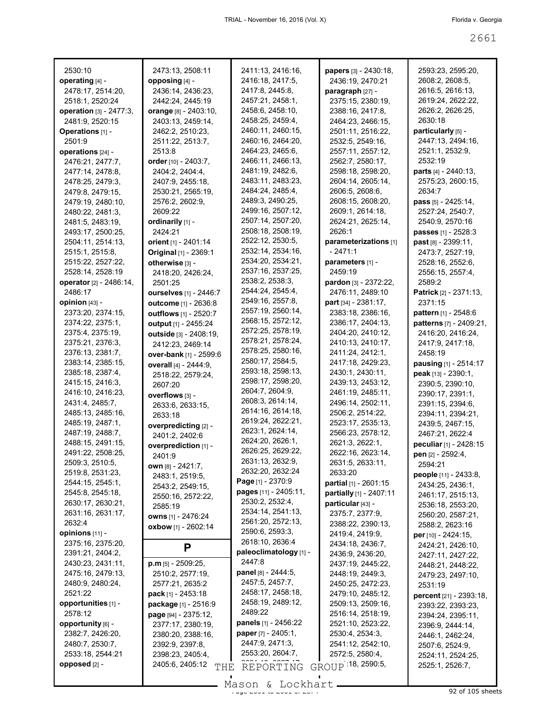| 2530:10                                | 2473:13, 2508:11       | 2411:13, 2416:16,                     | papers [3] - 2430:18,                 | 2593:23, 2595:20,                    |
|----------------------------------------|------------------------|---------------------------------------|---------------------------------------|--------------------------------------|
| operating [4] -                        | opposing [4] -         | 2416:18, 2417:5,                      | 2436:19, 2470:21                      | 2608:2, 2608:5,                      |
| 2478:17, 2514:20,                      | 2436:14, 2436:23,      | 2417:8, 2445:8,                       | paragraph [27] -                      | 2616:5, 2616:13,                     |
| 2518:1, 2520:24                        | 2442:24, 2445:19       | 2457:21, 2458:1,                      | 2375:15, 2380:19,                     | 2619:24, 2622:22,                    |
| operation [3] - 2477:3,                | orange [8] - 2403:10,  | 2458:6, 2458:10,                      | 2388:16, 2417:8,                      | 2626:2, 2626:25,                     |
| 2481:9, 2520:15                        | 2403:13, 2459:14,      | 2458:25, 2459:4,                      | 2464:23, 2466:15,                     | 2630:18                              |
| Operations [1] -                       | 2462:2, 2510:23,       | 2460:11, 2460:15,                     | 2501:11, 2516:22,                     | particularly [5] -                   |
| 2501:9                                 | 2511:22, 2513:7,       | 2460:16, 2464:20,                     | 2532:5, 2549:16,                      | 2447:13, 2494:16,                    |
| operations [24] -                      | 2513:8                 | 2464:23, 2465:6,                      | 2557:11, 2557:12,                     | 2521:1, 2532:9,                      |
| 2476:21, 2477:7,                       | order [10] - 2403:7,   | 2466:11, 2466:13,                     | 2562:7, 2580:17,                      | 2532:19                              |
| 2477:14, 2478:8,                       | 2404:2, 2404:4,        | 2481:19, 2482:6,                      | 2598:18, 2598:20,                     | parts [4] - 2440:13,                 |
| 2478:25, 2479:3,                       | 2407:9, 2455:18,       | 2483:11, 2483:23,                     | 2604:14, 2605:14,                     | 2575:23, 2600:15,                    |
| 2479:8, 2479:15,                       | 2530:21, 2565:19,      | 2484:24, 2485:4,                      | 2606:5, 2608:6,                       | 2634:7                               |
| 2479:19, 2480:10,                      | 2576:2, 2602:9,        | 2489:3, 2490:25,                      | 2608:15, 2608:20,                     | pass [5] - 2425:14,                  |
| 2480:22, 2481:3,                       | 2609:22                | 2499:16, 2507:12,                     | 2609:1, 2614:18,                      | 2527:24, 2540:7,                     |
| 2481:5, 2483:19,                       | ordinarily [1] -       | 2507:14, 2507:20,                     | 2624:21, 2625:14,                     | 2540:9, 2570:16                      |
| 2493:17, 2500:25,                      | 2424:21                | 2508:18, 2508:19,                     | 2626:1                                | passes [1] - 2528:3                  |
| 2504:11, 2514:13,                      | orient [1] - 2401:14   | 2522:12, 2530:5,                      | parameterizations [1]                 | <b>past</b> $[8] - 2399:11$          |
| 2515:1, 2515:8,                        | Original [1] - 2369:1  | 2532:14, 2534:16,                     | $-2471:1$                             | 2473:7, 2527:19,                     |
| 2515:22, 2527:22,                      | otherwise [3] -        | 2534:20, 2534:21,                     | parameters [1] -                      | 2528:16, 2552:6,                     |
| 2528:14, 2528:19                       | 2418:20, 2426:24,      | 2537:16, 2537:25,                     | 2459:19                               | 2556:15, 2557:4,                     |
| operator [2] - 2486:14,                | 2501:25                | 2538:2, 2538:3,                       | pardon [3] - 2372:22,                 | 2589:2                               |
| 2486:17                                | ourselves [1] - 2446:7 | 2544:24, 2545:4,                      | 2476:11, 2489:10                      | <b>Patrick</b> $[2] - 2371:13$ ,     |
| opinion [43] -                         | outcome [1] - 2636:8   | 2549:16, 2557:8,                      | <b>part</b> $[34] - 2381:17$ ,        | 2371:15                              |
| 2373:20, 2374:15,                      | outflows [1] - 2520:7  | 2557:19, 2560:14,                     | 2383:18, 2386:16,                     | pattern [1] - 2548:6                 |
| 2374:22, 2375:1,                       | output [1] - 2455:24   | 2568:15, 2572:12,                     | 2386:17, 2404:13,                     | patterns [7] - 2409:21,              |
| 2375:4, 2375:19,                       | outside [3] - 2408:19, | 2572:25, 2578:19,                     | 2404:20, 2410:12,                     | 2416:20, 2416:24,                    |
| 2375:21, 2376:3,                       | 2412:23, 2469:14       | 2578:21, 2578:24,                     | 2410:13, 2410:17,                     | 2417:9, 2417:18,                     |
| 2376:13, 2381:7,                       | over-bank [1] - 2599:6 | 2578:25, 2580:16,                     | 2411:24, 2412:1,                      | 2458:19                              |
| 2383:14, 2385:15,                      | overall [4] - 2444:9,  | 2580:17, 2584:5,                      | 2417:18, 2429:23,                     | pausing [1] - 2514:17                |
| 2385:18, 2387:4,                       | 2518:22, 2579:24,      | 2593:18, 2598:13,                     | 2430:1, 2430:11,                      | peak [13] - 2390:1,                  |
| 2415:15, 2416:3,                       | 2607:20                | 2598:17, 2598:20,                     | 2439:13, 2453:12,                     | 2390:5, 2390:10,                     |
| 2416:10, 2416:23,                      | overflows [3] -        | 2604:7, 2604:9,                       | 2461:19, 2485:11,                     | 2390:17, 2391:1,                     |
| 2431:4, 2485:7,                        | 2633:6, 2633:15,       | 2608:3, 2614:14,                      | 2496:14, 2502:11,                     | 2391:15, 2394:6,                     |
| 2485:13, 2485:16,                      | 2633:18                | 2614:16, 2614:18,                     | 2506:2, 2514:22,                      | 2394:11, 2394:21,                    |
| 2485:19, 2487:1,                       | overpredicting [2] -   | 2619:24, 2622:21,                     | 2523:17, 2535:13,                     | 2439:5, 2467:15,                     |
| 2487:19, 2488:7,                       | 2401:2, 2402:6         | 2623:1, 2624:14,                      | 2566:23, 2578:12,                     | 2467:21, 2622:4                      |
| 2488:15, 2491:15,                      | overprediction [1] -   | 2624:20, 2626:1,<br>2626:25, 2629:22, | 2621:3, 2622:1,                       | peculiar [1] - 2428:15               |
| 2491:22, 2508:25,                      | 2401:9                 | 2631:13, 2632:9,                      | 2622:16, 2623:14,                     | pen [2] - 2592:4,                    |
| 2509:3, 2510:5,                        | own [8] - 2421:7,      | 2632:20, 2632:24                      | 2631:5, 2633:11,                      | 2594:21                              |
| 2519:8, 2531:23,                       | 2483:1, 2519:5,        | Page [1] - 2370:9                     | 2633:20                               | people [11] - 2433:8,                |
| 2544:15, 2545:1,                       | 2543:2, 2549:15,       | pages [11] - 2405:11,                 | partial [1] - 2601:15                 | 2434:25, 2436:1,                     |
| 2545:8, 2545:18,                       | 2550:16, 2572:22,      | 2530:2, 2532:4,                       | partially [1] - 2407:11               | 2461:17, 2515:13,                    |
| 2630:17, 2630:21,                      | 2585:19                | 2534:14, 2541:13,                     | particular [43] -                     | 2536:18, 2553:20,                    |
| 2631:16, 2631:17,<br>2632:4            | owns [1] - 2476:24     | 2561:20, 2572:13,                     | 2375:7, 2377:9,                       | 2560:20, 2587:21,                    |
|                                        | oxbow [1] - 2602:14    | 2590:6, 2593:3,                       | 2388:22, 2390:13,                     | 2588:2, 2623:16                      |
| opinions $[11]$ -<br>2375:16, 2375:20, |                        | 2618:10, 2636:4                       | 2419:4, 2419:9,                       | <b>per</b> $[10] - 2424:15$          |
| 2391:21, 2404:2,                       | P                      | paleoclimatology [1] -                | 2434:18, 2436:7,                      | 2424:21, 2426:10,                    |
| 2430:23, 2431:11,                      | $p.m$ [5] - 2509:25,   | 2447:8                                | 2436:9, 2436:20,<br>2437:19, 2445:22, | 2427:11, 2427:22,                    |
| 2475:16, 2479:13,                      | 2510:2, 2577:19,       | panel [8] - 2444:5,                   | 2448:19, 2449:3,                      | 2448:21, 2448:22,                    |
| 2480:9, 2480:24,                       | 2577:21, 2635:2        | 2457:5, 2457:7,                       | 2450:25, 2472:23,                     | 2479:23, 2497:10,                    |
| 2521:22                                | pack [1] - 2453:18     | 2458:17, 2458:18,                     | 2479:10, 2485:12,                     | 2531:19                              |
| opportunities [1] -                    | package [1] - 2516:9   | 2458:19, 2489:12,                     | 2509:13, 2509:16,                     | percent [21] - 2393:18,              |
| 2578:12                                | page [94] - 2375:12,   | 2489:22                               | 2516:14, 2518:19,                     | 2393:22, 2393:23,                    |
| opportunity [6] -                      | 2377:17, 2380:19,      | panels [1] - 2456:22                  | 2521:10, 2523:22,                     | 2394:24, 2395:11,                    |
| 2382:7, 2426:20,                       | 2380:20, 2388:16,      | paper [7] - 2405:1,                   | 2530:4, 2534:3,                       | 2396:9, 2444:14,<br>2446:1, 2462:24, |
| 2480:7, 2530:7,                        | 2392:9, 2397:8,        | 2447:9, 2471:3,                       | 2541:12, 2542:10,                     | 2507:6, 2524:9,                      |
| 2533:18, 2544:21                       | 2398:23, 2405:4,       | 2553:20, 2604:7,                      | 2572:5, 2580:4,                       | 2524:11, 2524:25,                    |
| opposed [2] -                          | 2405:6, 2405:12        |                                       | GROUP 18, 2590:5,                     | 2525:1, 2526:7,                      |
|                                        | THE                    | REPORTING                             |                                       |                                      |

Page 2661 to 2661 of 2674 92 of 105 sheets Mason & Lockhart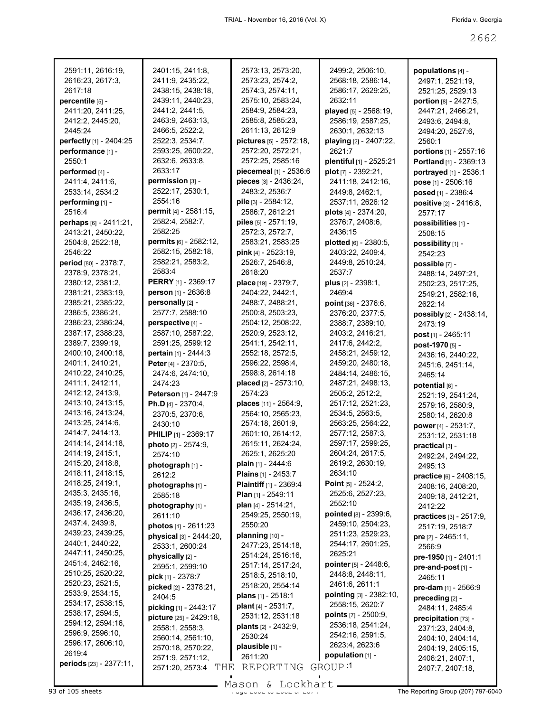| 2591:11, 2616:19,       | 2401:15, 2411:8,           | 2573:13, 2573:20,            | 2499:2, 2506:10,               | populations [4] -            |
|-------------------------|----------------------------|------------------------------|--------------------------------|------------------------------|
| 2616:23, 2617:3,        | 2411:9, 2435:22,           | 2573:23, 2574:2,             | 2568:18, 2586:14,              | 2497:1, 2521:19,             |
| 2617:18                 | 2438:15, 2438:18,          | 2574:3, 2574:11,             | 2586:17, 2629:25,              | 2521:25, 2529:13             |
| percentile [5] -        | 2439:11, 2440:23,          | 2575:10, 2583:24,            | 2632:11                        | portion [8] - 2427:5,        |
| 2411:20, 2411:25,       | 2441:2, 2441:5,            | 2584:9, 2584:23,             | played [5] - 2568:19,          | 2447:21, 2466:21,            |
| 2412:2, 2445:20,        | 2463:9, 2463:13,           | 2585:8, 2585:23,             | 2586:19, 2587:25,              | 2493:6, 2494:8,              |
| 2445:24                 | 2466:5, 2522:2,            | 2611:13, 2612:9              | 2630:1, 2632:13                | 2494:20, 2527:6,             |
| perfectly [1] - 2404:25 | 2522:3, 2534:7,            | pictures [5] - 2572:18,      | playing [2] - 2407:22,         | 2560:1                       |
| performance [1] -       | 2593:25, 2600:22,          | 2572:20, 2572:21,            | 2621.7                         | portions [1] - 2557:16       |
| 2550:1                  | 2632:6, 2633:8,            | 2572:25, 2585:16             | plentiful [1] - 2525:21        |                              |
|                         | 2633:17                    | piecemeal [1] - 2536:6       |                                | Portland [1] - 2369:13       |
| performed [4] -         |                            |                              | plot [7] - 2392:21,            | portrayed [1] - 2536:1       |
| 2411:4, 2411:6,         | permission [3] -           | pieces [3] - 2436:24,        | 2411:18, 2412:16,              | pose [1] - 2506:16           |
| 2533:14, 2534:2         | 2522:17, 2530:1,           | 2483:2, 2536:7               | 2449.8, 2462:1,                | posed [1] - 2386:4           |
| performing [1] -        | 2554:16                    | pile [3] - 2584:12,          | 2537:11, 2626:12               | positive [2] - 2416:8,       |
| 2516:4                  | permit [4] - 2581:15,      | 2586:7, 2612:21              | plots $[4] - 2374:20$ ,        | 2577:17                      |
| perhaps [6] - 2411:21,  | 2582:4, 2582:7,            | piles [5] - 2571:19,         | 2376:7, 2408:6,                | possibilities [1] -          |
| 2413:21, 2450:22,       | 2582:25                    | 2572:3, 2572:7,              | 2436:15                        | 2508:15                      |
| 2504:8, 2522:18,        | permits [6] - 2582:12,     | 2583:21, 2583:25             | plotted [6] - 2380:5,          | possibility [1] -            |
| 2546:22                 | 2582:15, 2582:18,          | pink [4] - 2523:19,          | 2403:22, 2409:4,               | 2542:23                      |
| period [80] - 2378:7,   | 2582:21, 2583:2,           | 2526:7, 2546:8,              | 2449:8, 2510:24,               | possible [7] -               |
| 2378:9, 2378:21,        | 2583:4                     | 2618:20                      | 2537.7                         | 2488:14, 2497:21,            |
| 2380:12, 2381:2,        | <b>PERRY</b> [1] - 2369:17 | place [19] - 2379:7,         | plus [2] - 2398:1,             | 2502:23, 2517:25,            |
| 2381:21, 2383:19,       | person [1] - 2636:8        | 2404:22, 2442:1.             | 2469:4                         | 2549:21, 2582:16,            |
| 2385:21, 2385:22,       | personally [2] -           | 2488:7, 2488:21,             | point $[36] - 2376:6$ ,        | 2622:14                      |
| 2386:5, 2386:21,        | 2577:7, 2588:10            | 2500:8, 2503:23,             | 2376:20, 2377:5,               |                              |
| 2386:23, 2386:24,       | perspective [4] -          | 2504:12, 2508:22,            |                                | possibly [2] - 2438:14,      |
|                         | 2587:10, 2587:22,          |                              | 2388:7, 2389:10,               | 2473:19                      |
| 2387:17, 2388:23,       |                            | 2520:9, 2523:12,             | 2403:2, 2416:21,               | post [1] - 2465:11           |
| 2389:7, 2399:19,        | 2591:25, 2599:12           | 2541:1, 2542:11,             | 2417:6, 2442:2,                | post-1970 [5] -              |
| 2400:10, 2400:18,       | pertain [1] - 2444:3       | 2552:18, 2572:5,             | 2458:21, 2459:12,              | 2436:16, 2440:22,            |
| 2401:1, 2410:21,        | Peter [4] - 2370:5,        | 2596:22, 2598:4,             | 2459:20, 2480:18,              | 2451:6, 2451:14,             |
| 2410:22, 2410:25,       | 2474:6, 2474:10,           | 2598:8, 2614:18              | 2484:14, 2486:15,              | 2465:14                      |
| 2411:1, 2412:11,        | 2474:23                    | placed [2] - 2573:10,        | 2487:21, 2498:13,              | potential [6] -              |
| 2412:12, 2413:9,        | Peterson [1] - 2447:9      | 2574:23                      | 2505:2, 2512:2,                | 2521:19, 2541:24,            |
| 2413:10, 2413:15,       | Ph.D $[4] - 2370:4,$       | places [11] - 2564:9,        | 2517:12, 2521:23,              | 2579:16, 2580:9,             |
| 2413:16, 2413:24,       | 2370:5, 2370:6,            | 2564:10, 2565:23,            | 2534:5, 2563:5,                | 2580:14, 2620:8              |
| 2413:25, 2414:6,        | 2430:10                    | 2574:18, 2601:9,             | 2563:25, 2564:22,              | power [4] - 2531:7,          |
| 2414:7, 2414:13,        | PHILIP [1] - 2369:17       | 2601:10, 2614:12,            | 2577:12, 2587:3,               | 2531:12, 2531:18             |
| 2414:14, 2414:18,       | photo [2] - 2574:9,        | 2615:11, 2624:24,            | 2597:17, 2599:25,              | practical [3] -              |
| 2414:19, 2415:1,        | 2574:10                    | 2625:1, 2625:20              | 2604:24, 2617:5,               | 2492:24, 2494:22,            |
| 2415:20, 2418:8,        | photograph [1] -           | <b>plain</b> [1] - 2444:6    | 2619:2, 2630:19,               | 2495:13                      |
| 2418:11, 2418:15,       | 2612:2                     | <b>Plains</b> $[1] - 2453:7$ | 2634:10                        | practice [6] - 2408:15,      |
| 2418:25, 2419:1,        | photographs [1] -          | Plaintiff [1] - 2369:4       | <b>Point</b> $[5] - 2524:2$ ,  | 2408:16, 2408:20,            |
| 2435:3, 2435:16,        | 2585:18                    | <b>Plan</b> $[1]$ - 2549:11  | 2525:6, 2527:23,               | 2409:18, 2412:21,            |
| 2435:19, 2436:5,        | photography [1] -          | plan [4] - 2514:21,          | 2552:10                        | 2412:22                      |
| 2436:17, 2436:20,       | 2611:10                    | 2549:25, 2550:19,            | pointed [8] - 2399:6,          |                              |
| 2437:4, 2439:8,         |                            | 2550:20                      | 2459:10, 2504:23,              | practices [3] - 2517:9,      |
| 2439:23, 2439:25,       | photos $[1] - 2611:23$     | planning [10] -              | 2511:23, 2529:23,              | 2517:19, 2518:7              |
| 2440:1, 2440:22,        | physical [3] - 2444:20,    |                              | 2544:17, 2601:25,              | <b>pre</b> $[2] - 2465:11$ , |
| 2447:11, 2450:25,       | 2533:1, 2600:24            | 2477:23, 2514:18,            | 2625:21                        | 2566:9                       |
| 2451:4, 2462:16,        | physically [2] -           | 2514:24, 2516:16,            |                                | pre-1950 [1] - 2401:1        |
| 2510:25, 2520:22,       | 2595:1, 2599:10            | 2517:14, 2517:24,            | pointer [5] - 2448:6,          | pre-and-post [1] -           |
| 2520:23, 2521:5,        | pick [1] - 2378:7          | 2518:5, 2518:10,             | 2448:8, 2448:11,               | 2465:11                      |
| 2533:9, 2534:15,        | picked [2] - 2378:21,      | 2518:20, 2554:14             | 2461:6, 2611:1                 | pre-dam [1] - 2566:9         |
| 2534:17, 2538:15,       | 2404:5                     | plans [1] - 2518:1           | pointing [3] - 2382:10,        | preceding [2] -              |
|                         | picking [1] - 2443:17      | plant [4] - 2531:7,          | 2558:15, 2620:7                | 2484:11, 2485:4              |
| 2538:17, 2594:5,        | picture [25] - 2429:18,    | 2531:12, 2531:18             | <b>points</b> $[7] - 2500.9$ , | precipitation [73] -         |
| 2594:12, 2594:16,       | 2558:1, 2558:3,            | plants [2] - 2432:9,         | 2536:18, 2541:24,              | 2371:23, 2404:8,             |
| 2596:9, 2596:10,        | 2560:14, 2561:10,          | 2530:24                      | 2542:16, 2591:5,               | 2404:10, 2404:14,            |
| 2596:17, 2606:10,       | 2570:18, 2570:22,          | plausible [1] -              | 2623:4, 2623:6                 | 2404:19, 2405:15,            |
| 2619:4                  | 2571:9, 2571:12,           | 2611:20                      | population [1] -               | 2406:21, 2407:1,             |
| periods [23] - 2377:11, | THE<br>2571:20, 2573:4     | REPORTING                    | GROUP <sup>1</sup>             | 2407:7, 2407:18,             |
|                         |                            |                              |                                |                              |

Mason & Lockhart **Page 2071 of 2662 to 2662 to 2662 to 2662 computer** Mason & Lockhart **Page 2662 of 2674 The Reporting Group (207) 797-6040**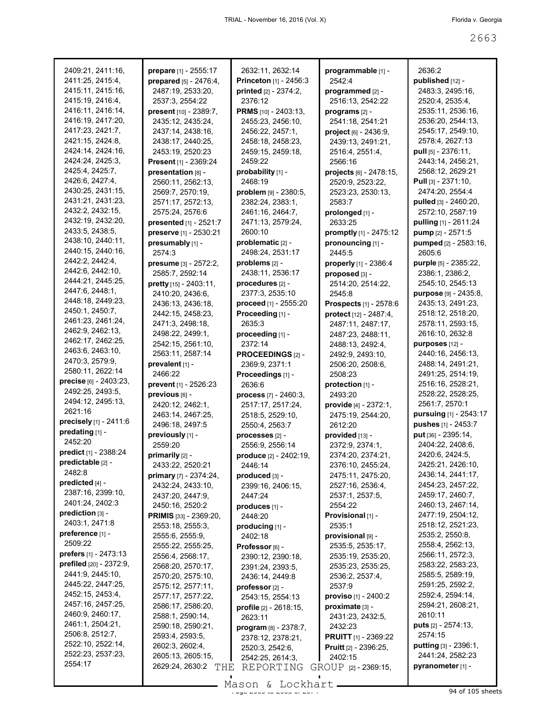| 2409:21, 2411:16,              | prepare [1] - 2555:17         | 2632:11, 2632:14                | programmable [1] -           | 2636:2                        |
|--------------------------------|-------------------------------|---------------------------------|------------------------------|-------------------------------|
| 2411:25, 2415:4,               | prepared $[5] - 2476:4$ ,     | Princeton [1] - 2456:3          | 2542:4                       | published [12] -              |
| 2415:11, 2415:16,              | 2487:19, 2533:20,             | printed [2] - 2374:2,           | programmed [2] -             | 2483:3, 2495:16,              |
| 2415:19, 2416:4,               | 2537:3, 2554:22               | 2376:12                         | 2516:13, 2542:22             | 2520:4, 2535:4,               |
| 2416:11, 2416:14,              | present [10] - 2389:7,        | PRMS [10] - 2403:13,            | programs [2] -               | 2535:11, 2536:16,             |
| 2416:19, 2417:20,              | 2435:12, 2435:24,             | 2455:23, 2456:10,               | 2541:18, 2541:21             | 2536:20, 2544:13,             |
| 2417:23, 2421:7,               | 2437:14, 2438:16,             | 2456:22, 2457:1,                | project [6] - 2436:9,        | 2545:17, 2549:10,             |
| 2421:15, 2424:8,               | 2438:17, 2440:25,             | 2458:18, 2458:23,               | 2439:13, 2491:21,            | 2578:4, 2627:13               |
| 2424:14, 2424:16,              | 2453:19, 2520:23              | 2459:15, 2459:18,               | 2516:4, 2551:4,              | pull [5] - 2376:11,           |
| 2424:24, 2425:3,               | Present [1] - 2369:24         | 2459:22                         | 2566:16                      | 2443:14, 2456:21,             |
| 2425:4, 2425:7,                | presentation [8] -            | probability [1] -               | projects [6] - 2478:15,      | 2568:12, 2629:21              |
| 2426:6, 2427:4,                | 2560:11, 2562:13,             | 2468:19                         | 2520:9, 2523:22,             | Pull [3] - 2371:10,           |
| 2430:25, 2431:15,              | 2569:7, 2570:19,              | problem [9] - 2380:5,           | 2523:23, 2530:13,            | 2474:20, 2554:4               |
| 2431:21, 2431:23,              | 2571:17, 2572:13,             | 2382:24, 2383:1,                | 2583:7                       | pulled [3] - 2460:20,         |
| 2432:2, 2432:15,               | 2575:24, 2576:6               | 2461:16, 2464:7,                | prolonged [1] -              | 2572:10, 2587:19              |
| 2432:19, 2432:20,              | presented [1] - 2521:7        | 2471:13, 2579:24,               | 2633:25                      | pulling [1] - 2611:24         |
| 2433:5, 2438:5,                | preserve [1] - 2530:21        | 2600:10                         | promptly [1] - 2475:12       | pump [2] - 2571:5             |
| 2438:10, 2440:11,              | presumably [1] -              | problematic [2] -               | pronouncing [1] -            | pumped [2] - 2583:16,         |
| 2440:15, 2440:16,              | 2574:3                        | 2498:24, 2531:17                | 2445:5                       | 2605:6                        |
| 2442:2, 2442:4,                | presume [3] - 2572:2,         | problems [2] -                  | properly [1] - 2386:4        | purple [5] - 2385:22,         |
| 2442:6, 2442:10,               | 2585:7, 2592:14               | 2438:11, 2536:17                | proposed [3] -               | 2386:1, 2386:2,               |
| 2444:21, 2445:25,              | pretty [15] - 2403:11,        | procedures [2] -                | 2514:20, 2514:22,            | 2545:10, 2545:13              |
| 2447:6, 2448:1,                | 2410:20, 2436:6,              | 2377:3, 2535:10                 | 2545:8                       | purpose [9] - 2435:8,         |
| 2448:18, 2449:23,              | 2436:13, 2436:18,             | proceed [1] - 2555:20           | Prospects [1] - 2578:6       | 2435:13, 2491:23,             |
| 2450:1, 2450:7,                | 2442:15, 2458:23,             | Proceeding [1] -                | protect [12] - 2487:4,       | 2518:12, 2518:20,             |
| 2461:23, 2461:24,              | 2471:3, 2498:18,              | 2635:3                          | 2487:11, 2487:17,            | 2578:11, 2593:15,             |
| 2462:9, 2462:13,               | 2498:22, 2499:1,              | proceeding [1] -                | 2487:23, 2488:11,            | 2616:10, 2632:8               |
| 2462:17, 2462:25,              | 2542:15, 2561:10,             | 2372:14                         | 2488:13, 2492:4,             | purposes [12] -               |
| 2463:6, 2463:10,               | 2563:11, 2587:14              | PROCEEDINGS [2] -               | 2492:9, 2493:10,             | 2440:16, 2456:13,             |
| 2470:3, 2579:9,                | prevalent [1] -               | 2369:9, 2371:1                  | 2506:20, 2508:6,             | 2488:14, 2491:21,             |
| 2580:11, 2622:14               | 2466:22                       | Proceedings [1] -               | 2508:23                      | 2491:25, 2514:19,             |
| precise [6] - 2403:23,         | prevent [1] - 2526:23         | 2636:6                          | protection [1] -             | 2516:16, 2528:21,             |
| 2492:25, 2493:5,               | previous [6] -                | <b>process</b> $[7] - 2460:3$ , | 2493:20                      | 2528:22, 2528:25,             |
| 2494:12, 2495:13,              | 2420:12, 2462:1,              | 2517:17, 2517:24,               | provide [4] - 2372:1,        | 2561:7, 2570:1                |
| 2621:16                        | 2463:14, 2467:25,             | 2518:5, 2529:10,                | 2475:19, 2544:20,            | pursuing [1] - 2543:17        |
| precisely [1] - 2411:6         | 2496:18, 2497:5               | 2550:4, 2563:7                  | 2612:20                      | pushes [1] - 2453:7           |
| predating [1] -                | previously [1] -              | processes [2] -                 | provided [13] -              | put [36] - 2395:14,           |
| 2452:20                        | 2559:20                       | 2556:9, 2556:14                 | 2372:9, 2374:1,              | 2404:22, 2408:6,              |
| predict [1] - 2388:24          | primarily [2] -               | produce [2] - 2402:19,          | 2374:20, 2374:21,            | 2420:6, 2424:5,               |
| predictable [2] -              | 2433:22, 2520:21              | 2446:14                         | 2376:10, 2455:24,            | 2425:21, 2426:10,             |
| 2482:8                         | primary [7] - 2374:24,        | produced [3] -                  | 2475:11, 2475:20,            | 2436:14, 2441:17,             |
| predicted [4] -                | 2432:24, 2433:10,             | 2399:16, 2406:15,               | 2527:16, 2536:4,             | 2454:23, 2457:22,             |
| 2387:16, 2399:10,              | 2437:20, 2447:9,              | 2447:24                         | 2537:1, 2537:5,              | 2459:17, 2460:7,              |
| 2401:24, 2402:3                | 2450:16, 2520:2               | produces [1] -                  | 2554:22                      | 2460:13, 2467:14,             |
| prediction $[3]$ -             | <b>PRIMIS</b> [33] - 2369:20, | 2448:20                         | Provisional [1] -            | 2477:19, 2504:12,             |
| 2403:1, 2471:8                 | 2553:18, 2555:3,              | producing [1] -                 | 2535:1                       | 2518:12, 2521:23,             |
| preference [1] -               | 2555:6, 2555:9,               | 2402:18                         | provisional [9] -            | 2535:2, 2550:8,               |
| 2509:22                        | 2555:22, 2555:25,             | Professor <sup>[6]</sup> -      | 2535:5, 2535:17,             | 2558:4, 2562:13,              |
| <b>prefers</b> $[1] - 2473:13$ | 2556:4, 2568:17,              | 2390:12, 2390:18,               | 2535:19, 2535:20,            | 2566:11, 2572:3,              |
| prefiled [20] - 2372:9,        | 2568:20, 2570:17,             | 2391:24, 2393:5,                | 2535:23, 2535:25,            | 2583:22, 2583:23,             |
| 2441:9, 2445:10,               | 2570:20, 2575:10,             | 2436:14, 2449:8                 | 2536:2, 2537:4,              | 2585:5, 2589:19,              |
| 2445:22, 2447:25,              | 2575:12, 2577:11,             | professor <sub>[2]</sub> -      | 2537:9                       | 2591:25, 2592:2,              |
| 2452:15, 2453:4,               | 2577:17, 2577:22,             | 2543:15, 2554:13                | proviso [1] - 2400:2         | 2592:4, 2594:14,              |
| 2457:16, 2457:25,              | 2586:17, 2586:20,             | profile [2] - 2618:15,          | proximate [3] -              | 2594:21, 2608:21,             |
| 2460:9, 2460:17,               | 2588:1, 2590:14,              | 2623:11                         | 2431:23, 2432:5,             | 2610:11                       |
| 2461:1, 2504:21,               | 2590:18, 2590:21,             | <b>program</b> $[8] - 2378.7$ , | 2432:23                      | <b>puts</b> $[2] - 2574:13$ , |
| 2506:8, 2512:7,                | 2593:4, 2593:5,               | 2378:12, 2378:21,               | <b>PRUITT</b> [1] - 2369:22  | 2574:15                       |
| 2522:10, 2522:14,              | 2602:3, 2602:4,               | 2520:3, 2542:6,                 | <b>Pruitt</b> [2] - 2396:25, | putting [3] - 2396:1,         |
| 2522:23, 2537:23,              | 2605:13, 2605:15,             | 2542:25, 2614:3,                | 2402:15                      | 2441:24, 2582:23              |
| 2554:17                        | 2629:24, 2630:2<br>THE        | REPORTING                       | GROUP [2] - 2369:15,         | pyranometer [1] -             |
|                                |                               |                                 |                              |                               |

 $\frac{26663}{105}$  sheets<br> $\frac{26663}{105}$  and  $\frac{26663}{105}$  of  $\frac{26663}{105}$  sheets Mason & Lockhart.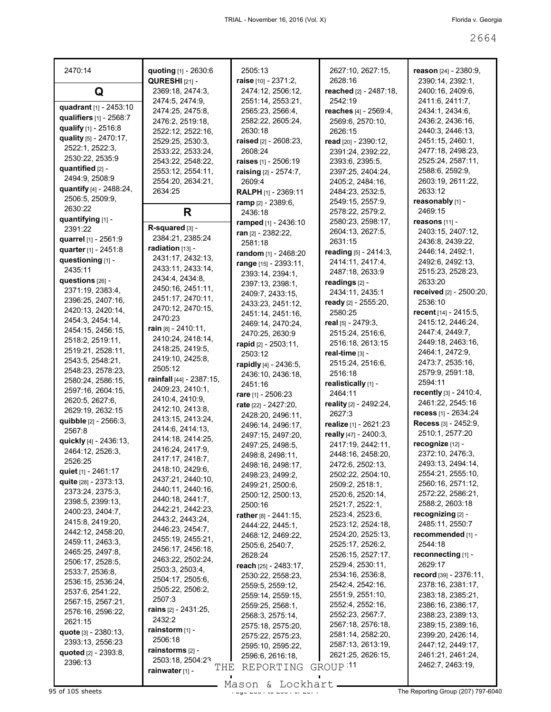| 2470:14                                        | quoting [1] - 2630:6                      | 2505:13                                   | 2627:10, 2627:15,                    | reason [24] - 2380:9,                  |
|------------------------------------------------|-------------------------------------------|-------------------------------------------|--------------------------------------|----------------------------------------|
| Q                                              | <b>QURESHI</b> [21] -<br>2369:18, 2474:3, | raise [10] - 2371:2,<br>2474:12, 2506:12, | 2628:16<br>reached [2] - 2487:18,    | 2390:14, 2392:1,<br>2400:16, 2409:6,   |
| quadrant [1] - 2453:10                         | 2474:5, 2474:9,                           | 2551:14, 2553:21,                         | 2542:19                              | 2411:6, 2411:7,                        |
| qualifiers [1] - 2568:7                        | 2474:25, 2475:8,                          | 2565:23, 2566:4,                          | reaches [4] - 2569:4,                | 2434:1, 2434:6,                        |
|                                                | 2476:2, 2519:18,                          | 2582:22, 2605:24,                         | 2569:6, 2570:10,                     | 2436:2, 2436:16,                       |
| qualify [1] - 2516:8                           | 2522:12, 2522:16,                         | 2630:18                                   | 2626:15                              | 2440:3, 2446:13,                       |
| quality [5] - 2470:17,                         | 2529:25, 2530:3,                          | raised [2] - 2608:23,                     | read [20] - 2390:12,                 | 2451:15, 2460:1,                       |
| 2522:1, 2522:3,                                | 2533:22, 2533:24,                         | 2608:24                                   | 2391:24, 2392:22,                    | 2477:18, 2498:23,                      |
| 2530:22, 2535:9                                | 2543:22, 2548:22,                         | raises [1] - 2506:19                      | 2393:6, 2395:5,                      | 2525:24, 2587:11,                      |
| quantified [2] -                               | 2553:12, 2554:11,                         | raising [2] - 2574:7,                     | 2397:25, 2404:24,                    | 2588:6, 2592:9,                        |
| 2494:9, 2508:9                                 | 2554:20, 2634:21,                         | 2609:4                                    | 2405:2, 2484:16,                     | 2603:19, 2611:22,                      |
| quantify [4] - 2488:24,                        | 2634:25                                   | <b>RALPH</b> [1] - 2369:11                | 2484:23, 2532:5,                     | 2633:12                                |
| 2506:5, 2509:9,                                |                                           | ramp [2] - 2389:6,                        | 2549:15, 2557:9,                     | reasonably [1] -                       |
| 2630:22                                        | R                                         | 2436:18                                   | 2578:22, 2579:2,                     | 2469:15                                |
| quantifying [1] -                              | R-squared [3] -                           | ramped [1] - 2436:10                      | 2580:23, 2598:17,                    | reasons $[11]$ -                       |
| 2391:22                                        | 2384:21.2385:24                           | ran [2] - 2382:22,                        | 2604:13, 2627:5,                     | 2403:15, 2407:12,                      |
| quarrel [1] - 2561:9                           | radiation [13] -                          | 2581:18                                   | 2631:15                              | 2436:8, 2439:22,                       |
| quarter [1] - 2451:8                           |                                           | random [1] - 2468:20                      | reading [5] - 2414:3,                | 2446:14, 2492:1,                       |
| questioning [1] -                              | 2431:17, 2432:13,                         | range [15] - 2393:11,                     | 2414:11, 2417:4,                     | 2492:6, 2492:13,                       |
| 2435:11                                        | 2433:11, 2433:14,                         | 2393:14, 2394:1,                          | 2487:18, 2633:9                      | 2515:23, 2528:23,                      |
| questions [26] -                               | 2434:4, 2434:8,<br>2450:16, 2451:11,      | 2397:13, 2398:1,                          | readings [2] -                       | 2633:20                                |
| 2371:19, 2383:4,                               | 2451:17, 2470:11,                         | 2409:7, 2433:15,                          | 2434:11, 2435:1                      | received [2] - 2500:20,                |
| 2396:25, 2407:16,                              | 2470:12, 2470:15,                         | 2433:23, 2451:12,                         | ready [2] - 2555:20,                 | 2536:10                                |
| 2420:13, 2420:14,                              | 2470:23                                   | 2451:14, 2451:16,                         | 2580:25                              | recent $[14] - 2415.5$ ,               |
| 2454:3, 2454:14,                               | rain $[8] - 2410:11$ ,                    | 2469:14, 2470:24,                         | real [5] - 2479:3,                   | 2415:12, 2446:24,                      |
| 2454:15, 2456:15,                              | 2410:24, 2418:14,                         | 2470:25, 2630:9                           | 2515:24, 2516:6,                     | 2447:4, 2449:7,                        |
| 2518:2, 2519:11,                               | 2418:25, 2419:5,                          | rapid [2] - 2503:11,                      | 2516:18, 2613:15                     | 2449:18, 2463:16,                      |
| 2519:21, 2528:11,                              | 2419:10, 2425:8,                          | 2503:12                                   | real-time [3] -                      | 2464:1, 2472:9,                        |
| 2543:5, 2548:21,                               | 2505:12                                   | rapidly [4] - 2436:5,                     | 2515:24, 2516:6,                     | 2473:7, 2535:16,                       |
| 2548:23, 2578:23,                              | rainfall [44] - 2387:15,                  | 2436:10, 2436:18,                         | 2516:18                              | 2579:9, 2591:18,                       |
| 2580:24, 2586:15,                              | 2409:23, 2410:1,                          | 2451:16                                   | realistically [1] -                  | 2594:11                                |
| 2597:16, 2604:15,                              | 2410:4, 2410:9,                           | rare $[1] - 2506:23$                      | 2464:11                              | <b>recently</b> $[3] - 2410:4,$        |
| 2620:5, 2627:6,                                | 2412:10, 2413:8,                          | rate [22] - 2427:20,                      | reality [2] - 2492:24,               | 2461:22, 2545:16                       |
| 2629:19, 2632:15<br>quibble [2] - 2566:3,      | 2413:15, 2413:24,                         | 2428:20, 2496:11,                         | 2627:3                               | recess [1] - 2634:24                   |
| 2567:8                                         | 2414:6, 2414:13,                          | 2496:14, 2496:17,                         | realize [1] - 2621:23                | <b>Recess</b> [3] - 2452:9,            |
| quickly [4] - 2436:13,                         | 2414:18, 2414:25,                         | 2497:15, 2497:20,                         | really [47] - 2400:3,                | 2510:1, 2577:20                        |
| 2464:12, 2526:3,                               | 2416:24, 2417:9,                          | 2497:25, 2498:5,                          | 2417:19, 2442:11,                    | recognize [12] -                       |
| 2526:25                                        | 2417:17, 2418:7,                          | 2498:8, 2498:11,                          | 2448:16, 2458:20,                    | 2372:10, 2476:3,                       |
|                                                | 2418:10, 2429:6,                          | 2498:16, 2498:17,                         | 2472:6, 2502:13,                     | 2493:13, 2494:14,                      |
| quiet $[1] - 2461:17$<br>quite [28] - 2373:13, | 2437:21, 2440:10,                         | 2498:23, 2499:2,                          | 2502:22, 2504:10,                    | 2554:21, 2555:10,                      |
| 2373:24, 2375:3,                               | 2440:11, 2440:16,                         | 2499:21, 2500:6,                          | 2509:2, 2518:1,                      | 2560:16, 2571:12,                      |
| 2398:5, 2399:13,                               | 2440:18, 2441:7,                          | 2500:12, 2500:13,                         | 2520:6, 2520:14,                     | 2572:22, 2586:21,                      |
| 2400:23, 2404:7,                               | 2442:21, 2442:23,                         | 2500:16                                   | 2521:7, 2522:1,                      | 2588:2, 2603:18                        |
| 2415:8, 2419:20,                               | 2443:2, 2443:24,                          | rather [8] - 2441:15,                     | 2523:4, 2523:6,                      | recognizing [2] -                      |
| 2442:12, 2458:20,                              | 2446:23, 2454:7,                          | 2444:22, 2445:1,                          | 2523:12, 2524:18,                    | 2485:11, 2550:7                        |
| 2459:11, 2463:3,                               | 2455:19, 2455:21,                         | 2468:12, 2469:22,                         | 2524:20, 2525:13,                    | recommended [1] -                      |
| 2465:25, 2497:8,                               | 2456:17, 2456:18,                         | 2505:6, 2540:7,                           | 2525:17, 2526:2,                     | 2544:18                                |
| 2506:17, 2528:5,                               | 2463:22, 2502:24,                         | 2628:24                                   | 2526:15, 2527:17,                    | reconnecting [1] -                     |
| 2533:7, 2536:8,                                | 2503:3, 2503:4,                           | reach [25] - 2483:17,                     | 2529:4, 2530:11,                     | 2629:17                                |
| 2536:15, 2536:24,                              | 2504:17, 2505:6,                          | 2530:22, 2558:23,                         | 2534:16, 2536:8,                     | record [39] - 2376:11,                 |
| 2537:6, 2541:22,                               | 2505:22, 2506:2,                          | 2559:5, 2559:12,                          | 2542:4, 2542:16,<br>2551:9, 2551:10, | 2378:16, 2381:17,                      |
| 2567:15, 2567:21,                              | 2507:3                                    | 2559:14, 2559:15,                         |                                      | 2383:18, 2385:21,                      |
| 2576:16, 2596:22,                              | <b>rains</b> $[2] - 2431:25$ ,            | 2559:25, 2568:1,                          | 2552:4, 2552:16,<br>2552:23, 2567:7, | 2386:16, 2386:17,<br>2388:23, 2389:13, |
| 2621:15                                        | 2432:2                                    | 2568:3, 2575:14,                          | 2567:18, 2576:18,                    | 2389:15, 2389:16,                      |
| <b>quote</b> [3] - 2380:13,                    | rainstorm [1] -                           | 2575:18, 2575:20,                         | 2581:14, 2582:20,                    | 2399:20, 2426:14,                      |
| 2393:13, 2556:23                               | 2506:18                                   | 2575:22, 2575:23,                         | 2587:13, 2613:19,                    | 2447:12, 2449:17,                      |
| quoted [2] - 2393:8,                           | rainstorms [2] -                          | 2595:10, 2595:22,                         | 2621:25, 2626:15,                    | 2461:21, 2461:24,                      |
| 2396:13                                        | 2503:18, 2504:23                          | 2596:6, 2616:18,                          |                                      | 2462:7, 2463:19,                       |
|                                                | THE<br>rainwater [1] -                    | REPORTING                                 | GROUP <sup>11</sup>                  |                                        |
|                                                |                                           |                                           |                                      |                                        |

Mason & Lockhart **Page 2664 of 2664 of 2664 of 2664 of 2674 of 2674 And 2674 Contract Contract Control**<br>Page 2664 of 2674 of 2674 of 2674 of 2674 of 2674 of 2674 of 2674 of 2674 of 2674 of 2674 of 2674 of 2674 of 26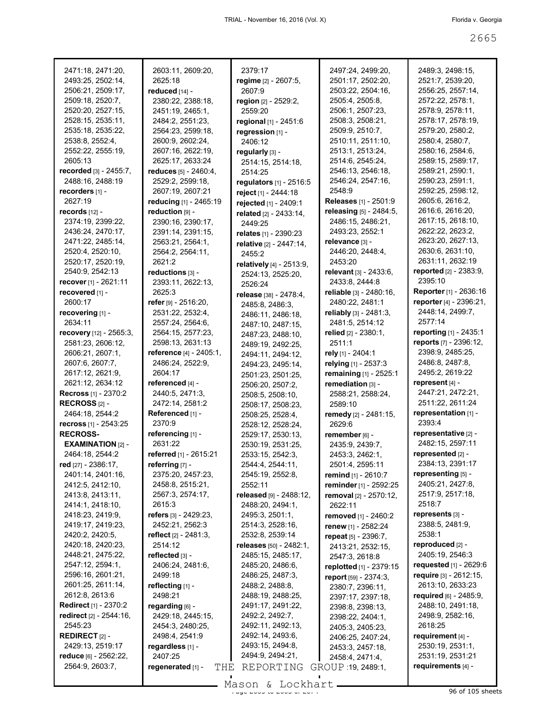| 2471:18, 2471:20,                      | 2603:11, 2609:20,                    | 2379:17                                      | 2497:24, 2499:20,                             | 2489:3, 2498:15,              |
|----------------------------------------|--------------------------------------|----------------------------------------------|-----------------------------------------------|-------------------------------|
| 2493:25, 2502:14,                      | 2625:18                              | regime [2] - 2607:5,                         | 2501:17, 2502:20,                             | 2521:7, 2539:20,              |
| 2506:21, 2509:17,                      | reduced [14] -                       | 2607:9                                       | 2503:22, 2504:16,                             | 2556:25, 2557:14,             |
| 2509:18, 2520:7,                       | 2380:22, 2388:18,                    | region [2] - 2529:2,                         | 2505:4, 2505:8,                               | 2572:22, 2578:1,              |
| 2520:20, 2527:15,                      | 2451:19, 2465:1,                     | 2559:20                                      | 2506:1, 2507:23,                              | 2578:9, 2578:11,              |
| 2528:15, 2535:11,                      | 2484:2, 2551:23,                     | regional [1] - 2451:6                        | 2508:3, 2508:21,                              | 2578:17, 2578:19,             |
| 2535:18, 2535:22,                      | 2564:23, 2599:18,                    | regression [1] -                             | 2509:9, 2510:7,                               | 2579:20, 2580:2,              |
| 2538:8, 2552:4,                        | 2600:9, 2602:24,                     | 2406:12                                      | 2510:11, 2511:10,                             | 2580:4, 2580:7,               |
| 2552:22, 2555:19,                      | 2607:16, 2622:19,                    | regularly [3] -                              | 2513:1, 2513:24,                              | 2580:16, 2584:6,              |
| 2605:13                                | 2625:17, 2633:24                     | 2514:15, 2514:18,                            | 2514:6, 2545:24,                              | 2589:15, 2589:17,             |
| recorded [3] - 2455:7,                 | reduces [5] - 2460:4,                | 2514:25                                      | 2546:13, 2546:18,                             | 2589:21, 2590:1,              |
| 2488:16, 2488:19                       | 2529:2, 2599:18,                     | regulators [1] - 2516:5                      | 2546:24, 2547:16,                             | 2590:23, 2591:1,              |
| recorders [1] -                        | 2607:19, 2607:21                     | reject [1] - 2444:18                         | 2548.9                                        | 2592:25, 2598:12,             |
| 2627:19                                | reducing [1] - 2465:19               | rejected [1] - 2409:1                        | <b>Releases</b> [1] - 2501:9                  | 2605:6, 2616:2,               |
| records [12] -                         | reduction [9] -                      | related [2] - 2433:14,                       | releasing [5] - 2484:5,                       | 2616:6, 2616:20,              |
| 2374:19, 2399:22,                      | 2390:16, 2390:17,                    | 2449:25                                      | 2486:15, 2486:21,                             | 2617:15, 2618:10,             |
| 2436:24, 2470:17,                      | 2391:14, 2391:15,                    |                                              | 2493:23, 2552:1                               | 2622:22, 2623:2,              |
| 2471:22, 2485:14,                      | 2563:21, 2564:1,                     | relates [1] - 2390:23                        | relevance [3] -                               | 2623:20, 2627:13,             |
| 2520:4, 2520:10,                       | 2564:2, 2564:11,                     | relative [2] - 2447:14,<br>2455:2            | 2446:20, 2448:4,                              | 2630:6, 2631:10,              |
| 2520:17, 2520:19,                      | 2621:2                               |                                              | 2453:20                                       | 2631:11, 2632:19              |
| 2540:9, 2542:13                        | reductions [3] -                     | relatively [4] - 2513:9,                     | relevant [3] - 2433:6,                        | reported [2] - 2383:9,        |
| recover [1] - 2621:11                  | 2393:11, 2622:13,                    | 2524:13, 2525:20,                            | 2433:8, 2444:8                                | 2395:10                       |
| recovered [1] -                        | 2625:3                               | 2526:24                                      | reliable [3] - 2480:16,                       | <b>Reporter</b> [1] - 2636:16 |
| 2600:17                                | refer [9] - 2516:20,                 | release [38] - 2478:4,                       | 2480:22, 2481:1                               | reporter [4] - 2396:21,       |
| recovering [1] -                       | 2531:22, 2532:4,                     | 2485:8, 2486:3,                              | reliably [3] - 2481:3,                        | 2448:14, 2499:7,              |
| 2634:11                                | 2557:24, 2564:6,                     | 2486:11, 2486:18,                            | 2481:5, 2514:12                               | 2577:14                       |
| <b>recovery</b> $[12] - 2565:3$ ,      | 2564:15, 2577:23,                    | 2487:10, 2487:15,                            | relied $[2] - 2380:1$ ,                       | reporting [1] - 2435:1        |
| 2581:23, 2606:12,                      | 2598:13, 2631:13                     | 2487:23, 2488:10,                            | 2511:1                                        | reports [7] - 2396:12,        |
| 2606:21, 2607:1,                       | reference [4] - 2405:1,              | 2489:19, 2492:25,                            | rely [1] - 2404:1                             | 2398:9, 2485:25,              |
| 2607:6, 2607:7,                        | 2486:24, 2522:9,                     | 2494:11, 2494:12,                            |                                               | 2486:8, 2487:8,               |
| 2617:12, 2621:9,                       | 2604:17                              | 2494:23, 2495:14,                            | relying [1] - 2537:3                          | 2495:2, 2619:22               |
| 2621:12, 2634:12                       | referenced [4] -                     | 2501:23, 2501:25,                            | remaining [1] - 2525:1                        | represent $[4]$ -             |
| <b>Recross</b> [1] - 2370:2            | 2440:5, 2471:3,                      | 2506:20, 2507:2,                             | remediation [3] -                             | 2447:21, 2472:21,             |
| RECROSS $[2]$ -                        | 2472:14, 2581:2                      | 2508:5, 2508:10,                             | 2588:21, 2588:24,                             | 2511:22, 2611:24              |
| 2464:18, 2544:2                        | Referenced [1] -                     | 2508:17, 2508:23,                            | 2589:10                                       | representation [1] -          |
| recross $[1] - 2543:25$                | 2370:9                               | 2508:25, 2528:4,                             | remedy [2] - 2481:15,                         | 2393:4                        |
| <b>RECROSS-</b>                        | referencing [1] -                    | 2528:12, 2528:24,                            | 2629:6                                        | representative [2] -          |
|                                        | 2631:22                              | 2529:17, 2530:13,                            | remember [6] -                                | 2482:15, 2597:11              |
| <b>EXAMINATION</b> [2] -               |                                      | 2530:19, 2531:25,                            | 2435:9, 2439:7,                               | represented [2] -             |
| 2464:18, 2544:2<br>red [27] - 2386:17, | <b>referred</b> [1] - 2615:21        | 2533:15, 2542:3,                             | 2453:3, 2462:1,                               | 2384:13, 2391:17              |
|                                        | referring [7] -<br>2375:20, 2457:23, | 2544:4, 2544:11,                             | 2501:4, 2595:11                               | representing [5] -            |
| 2401:14, 2401:16,<br>2412:5, 2412:10,  | 2458:8, 2515:21,                     | 2545:19, 2552:8,<br>2552:11                  | remind [1] - 2610:7<br>reminder [1] - 2592:25 | 2405:21, 2427:8,              |
| 2413:8, 2413:11,                       | 2567:3, 2574:17,                     | released [9] - 2488:12,                      |                                               | 2517:9, 2517:18,              |
| 2414:1, 2418:10,                       | 2615:3                               | 2488:20, 2494:1,                             | removal [2] - 2570:12,                        | 2518:7                        |
| 2418:23, 2419:9,                       | refers [3] - 2429:23,                | 2495:3, 2501:1,                              | 2622:11                                       | represents [3] -              |
| 2419:17, 2419:23,                      | 2452:21, 2562:3                      | 2514:3, 2528:16,                             | removed [1] - 2460:2                          | 2388:5, 2481:9,               |
| 2420:2, 2420:5,                        | reflect $[2] - 2481:3$ ,             | 2532:8, 2539:14                              | renew [1] - 2582:24                           | 2538:1                        |
| 2420:18, 2420:23,                      | 2514:12                              |                                              | repeat [5] - 2396:7,                          | reproduced [2] -              |
| 2448:21, 2475:22,                      | reflected [3] -                      | releases [50] - 2482:1,<br>2485:15, 2485:17, | 2413:21, 2532:15,                             | 2405:19, 2546:3               |
| 2547:12, 2594:1,                       | 2406:24, 2481:6,                     | 2485:20, 2486:6,                             | 2547:3, 2618:8                                | requested [1] - 2629:6        |
| 2596:16, 2601:21,                      | 2499:18                              | 2486:25, 2487:3,                             | replotted [1] - 2379:15                       | require [3] - 2612:15,        |
| 2601:25, 2611:14,                      | reflecting [1] -                     | 2488:2, 2488:8,                              | report [59] - 2374:3.                         | 2613:10, 2633:23              |
| 2612:8, 2613:6                         | 2498:21                              | 2488:19, 2488:25,                            | 2380:7, 2396:11,                              | required [6] - 2485:9,        |
| <b>Redirect</b> [1] - 2370:2           | regarding [6] -                      | 2491:17, 2491:22,                            | 2397:17, 2397:18,                             | 2488:10, 2491:18,             |
| redirect [2] - 2544:16,                | 2429:18, 2445:15,                    | 2492:2, 2492:7,                              | 2398:8, 2398:13,                              | 2498:9, 2582:16,              |
| 2545:23                                | 2454:3, 2480:25,                     | 2492:11, 2492:13,                            | 2398:22, 2404:1,                              | 2618:25                       |
| <b>REDIRECT [2] -</b>                  | 2498:4, 2541:9                       | 2492:14, 2493:6,                             | 2405:3, 2405:23,                              | requirement [4] -             |
| 2429:13, 2519:17                       | regardless [1] -                     | 2493:15, 2494:8,                             | 2406:25, 2407:24,<br>2453:3, 2457:18,         | 2530:19, 2531:1,              |
| reduce [6] - 2562:22,                  | 2407:25                              | 2494:9, 2494:21,                             | 2458:4, 2471:4,                               | 2531:19, 2531:21              |
| 2564:9, 2603:7,                        | regenerated [1] -<br>THE             | REPORTING                                    | GROUP 19, 2489:1,                             | requirements [4] -            |
|                                        |                                      |                                              |                                               |                               |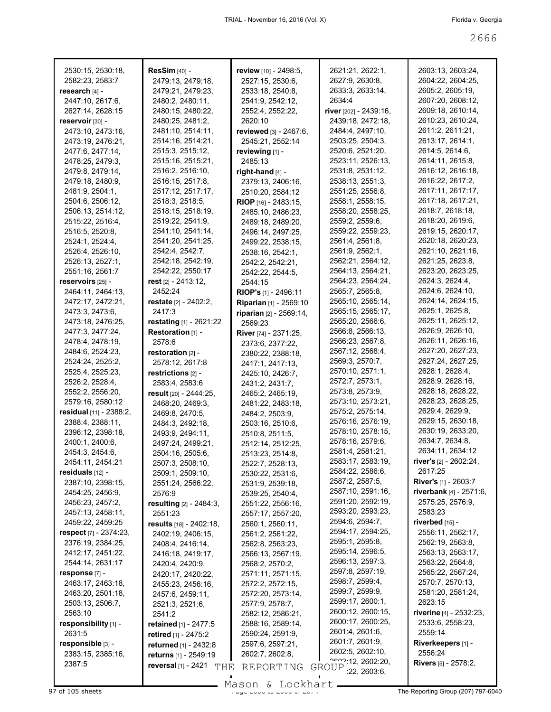| 2530:15, 2530:18,              | <b>ResSim</b> [40] -                | review [10] - 2498:5,       | 2621:21, 2622:1,       | 2603:13, 2603:24,             |
|--------------------------------|-------------------------------------|-----------------------------|------------------------|-------------------------------|
| 2582:23, 2583:7                | 2479:13, 2479:18,                   | 2527:15, 2530:6,            | 2627:9, 2630:8,        | 2604:22, 2604:25,             |
| research [4] -                 | 2479:21, 2479:23,                   | 2533:18, 2540:8,            | 2633:3, 2633:14,       | 2605:2, 2605:19,              |
| 2447:10, 2617:6,               | 2480:2, 2480:11,                    | 2541:9, 2542:12,            | 2634:4                 | 2607:20, 2608:12,             |
| 2627:14, 2628:15               | 2480:15, 2480:22,                   | 2552:4, 2552:22,            | river [202] - 2439:16, | 2609:18, 2610:14,             |
| reservoir [30] -               | 2480:25, 2481:2,                    | 2620:10                     | 2439:18, 2472:18,      | 2610:23, 2610:24,             |
| 2473:10, 2473:16,              | 2481:10, 2514:11,                   |                             | 2484:4, 2497:10,       | 2611:2, 2611:21,              |
|                                |                                     | reviewed [3] - 2467:6,      |                        | 2613:17, 2614:1,              |
| 2473:19, 2476:21,              | 2514:16, 2514:21,                   | 2545:21, 2552:14            | 2503:25, 2504:3,       |                               |
| 2477:6, 2477:14,               | 2515:3, 2515:12,                    | reviewing [1] -             | 2520:6, 2521:20,       | 2614:5, 2614:6,               |
| 2478:25, 2479:3,               | 2515:16, 2515:21,                   | 2485:13                     | 2523:11, 2526:13,      | 2614:11, 2615:8,              |
| 2479:8, 2479:14,               | 2516:2, 2516:10,                    | right-hand [4] -            | 2531:8, 2531:12,       | 2616:12, 2616:18,             |
| 2479:18, 2480:9,               | 2516:15, 2517:8,                    | 2379:13, 2406:16,           | 2538:13, 2551:3,       | 2616:22, 2617:2,              |
| 2481:9, 2504:1,                | 2517:12, 2517:17,                   | 2510:20, 2584:12            | 2551:25, 2556:8,       | 2617:11, 2617:17,             |
| 2504:6, 2506:12,               | 2518:3, 2518:5,                     | <b>RIOP</b> [16] - 2483:15, | 2558:1, 2558:15,       | 2617:18, 2617:21,             |
| 2506:13, 2514:12,              | 2518:15, 2518:19,                   | 2485:10, 2486:23,           | 2558:20, 2558:25,      | 2618:7, 2618:18,              |
| 2515:22, 2516:4,               | 2519:22, 2541:9,                    | 2489:18, 2489:20,           | 2559:2, 2559:6,        | 2618:20, 2619:6,              |
| 2516:5, 2520:8,                | 2541:10, 2541:14,                   | 2496:14, 2497:25,           | 2559:22, 2559:23,      | 2619:15, 2620:17,             |
| 2524:1, 2524:4,                | 2541:20, 2541:25,                   | 2499:22, 2538:15,           | 2561:4, 2561:8,        | 2620:18, 2620:23,             |
| 2526:4, 2526:10,               | 2542:4, 2542:7,                     | 2538:16, 2542:1,            | 2561:9, 2562:1,        | 2621:10, 2621:16,             |
| 2526:13, 2527:1,               | 2542:18, 2542:19,                   | 2542:2, 2542:21,            | 2562:21, 2564:12,      | 2621:25, 2623:8,              |
| 2551:16, 2561:7                | 2542:22, 2550:17                    | 2542:22, 2544:5,            | 2564:13, 2564:21,      | 2623:20, 2623:25,             |
| reservoirs [25] -              | rest $[2]$ - 2413:12,               | 2544:15                     | 2564:23, 2564:24,      | 2624:3, 2624:4,               |
| 2464:11, 2464:13,              | 2452:24                             | <b>RIOP's</b> [1] - 2496:11 | 2565:7, 2565:8,        | 2624:6, 2624:10,              |
| 2472:17, 2472:21,              | restate $[2] - 2402:2$ ,            | Riparian [1] - 2569:10      | 2565:10, 2565:14,      | 2624:14, 2624:15,             |
| 2473:3, 2473:6,                | 2417:3                              |                             | 2565:15, 2565:17,      | 2625:1, 2625:8,               |
| 2473:18, 2476:25,              | restating $[1]$ - 2621:22           | riparian [2] - 2569:14,     | 2565:20, 2566:6,       | 2625:11, 2625:12,             |
| 2477:3, 2477:24,               |                                     | 2569:23                     | 2566:8, 2566:13,       | 2626:9, 2626:10,              |
|                                | Restoration [1] -                   | River [74] - 2371:25,       | 2566:23, 2567:8,       | 2626:11, 2626:16,             |
| 2478:4, 2478:19,               | 2578:6                              | 2373:6, 2377:22,            | 2567:12, 2568:4,       | 2627:20, 2627:23,             |
| 2484:6, 2524:23,               | restoration [2] -                   | 2380:22, 2388:18,           |                        | 2627:24, 2627:25,             |
| 2524:24, 2525:2,               | 2578:12, 2617:8                     | 2417:1, 2417:13,            | 2569:3, 2570:7,        |                               |
| 2525:4, 2525:23,               | restrictions [2] -                  | 2425:10, 2426:7,            | 2570:10, 2571:1,       | 2628:1, 2628:4,               |
| 2526:2, 2528:4,                | 2583:4, 2583:6                      | 2431:2, 2431:7,             | 2572:7, 2573:1,        | 2628:9, 2628:16,              |
| 2552:2, 2556:20,               | result [20] - 2444:25,              | 2465:2, 2465:19,            | 2573:8, 2573:9,        | 2628:18, 2628:22,             |
| 2579:16, 2580:12               | 2468:20, 2469:3,                    | 2481:22, 2483:18,           | 2573:10, 2573:21,      | 2628:23, 2628:25,             |
| <b>residual</b> [11] - 2388:2, | 2469:8, 2470:5,                     | 2484:2, 2503:9,             | 2575:2, 2575:14,       | 2629:4, 2629:9,               |
| 2388:4, 2388:11,               | 2484:3, 2492:18,                    | 2503:16, 2510:6,            | 2576:16, 2576:19,      | 2629:15, 2630:18,             |
| 2396:12, 2398:18,              | 2493:9, 2494:11,                    | 2510:8, 2511:5,             | 2578:10, 2578:15,      | 2630:19, 2633:20,             |
| 2400:1, 2400:6,                | 2497:24, 2499:21,                   | 2512:14, 2512:25,           | 2578:16, 2579:6,       | 2634:7, 2634:8,               |
| 2454:3, 2454:6,                | 2504:16, 2505:6,                    | 2513:23, 2514:8,            | 2581:4, 2581:21,       | 2634:11, 2634:12              |
| 2454:11, 2454:21               | 2507:3, 2508:10,                    | 2522:7, 2528:13,            | 2583:17, 2583:19,      | river's [2] - 2602:24,        |
| residuals [12] -               | 2509:1, 2509:10,                    | 2530:22, 2531:6,            | 2584:22, 2586:6,       | 2617:25                       |
| 2387:10, 2398:15,              | 2551:24, 2566:22,                   | 2531:9, 2539:18,            | 2587:2, 2587:5,        | <b>River's</b> [1] - 2603:7   |
| 2454:25, 2456:9,               | 2576:9                              | 2539:25, 2540:4,            | 2587:10, 2591:16,      | riverbank [4] - 2571:6,       |
| 2456:23, 2457:2,               | resulting [2] - 2484:3,             | 2551:22, 2556:16,           | 2591:20, 2592:19,      | 2575:25, 2576:9,              |
| 2457:13, 2458:11,              | 2551:23                             | 2557:17, 2557:20,           | 2593:20, 2593:23,      | 2583.23                       |
| 2459:22, 2459:25               | results [18] - 2402:18,             | 2560:1, 2560:11,            | 2594:6, 2594:7,        | riverbed $[15]$ -             |
| <b>respect</b> [7] - 2374:23,  | 2402:19, 2406:15,                   | 2561:2, 2561:22,            | 2594:17, 2594:25,      | 2556:11, 2562:17,             |
| 2376:19, 2384:25,              | 2408:4, 2416:14,                    | 2562:8, 2563:23,            | 2595:1, 2595:8,        | 2562:19, 2563:8,              |
| 2412:17, 2451:22,              | 2416:18, 2419:17,                   | 2566:13, 2567:19,           | 2595:14, 2596:5,       | 2563:13, 2563:17,             |
| 2544:14, 2631:17               | 2420:4, 2420:9,                     | 2568:2, 2570:2,             | 2596:13, 2597:3,       | 2563:22, 2564:8,              |
| response [7] -                 | 2420:17, 2420:22,                   | 2571:11, 2571:15,           | 2597:8, 2597:19,       | 2565:22, 2567:24,             |
| 2463:17, 2463:18,              | 2455:23, 2456:16,                   | 2572:2, 2572:15,            | 2598:7, 2599:4,        | 2570:7, 2570:13,              |
| 2463:20, 2501:18,              |                                     | 2572:20, 2573:14,           | 2599:7, 2599:9,        | 2581:20, 2581:24,             |
|                                | 2457:6, 2459:11,                    |                             | 2599:17, 2600:1,       | 2623:15                       |
| 2503:13, 2506:7,<br>2563:10    | 2521:3, 2521:6,                     | 2577:9, 2578:7,             | 2600:12, 2600:15,      | riverine [4] - 2532:23,       |
|                                | 2541:2                              | 2582:12, 2586:21,           | 2600:17, 2600:25,      | 2533:6, 2558:23,              |
| responsibility [1] -           | retained [1] - 2477:5               | 2588:16, 2589:14,           | 2601:4, 2601:6,        | 2559:14                       |
| 2631:5                         | retired $[1]$ - 2475:2              | 2590:24, 2591:9,            | 2601:7, 2601:9,        |                               |
| responsible [3] -              | returned [1] - 2432:8               | 2597:6, 2597:21,            | 2602:5, 2602:10,       | Riverkeepers [1] -            |
| 2383:15, 2385:16,              | returns [1] - 2549:19               | 2602:7, 2602:8,             | 2522:12, 2602:20,      | 2556:24                       |
| 2387:5                         | <b>reversal</b> $[1] - 2421$<br>THE | REPORTING                   | GROUP : 22, 2603:6,    | <b>Rivers</b> $[5]$ - 2578:2, |
|                                |                                     |                             |                        |                               |

Mason & Lockhart

97 of 105 sheets  $\frac{9}{20}$  sheets  $\frac{9}{20}$  and  $\frac{26}{20}$  of  $\frac{26}{20}$  The Reporting Group (207) 797-6040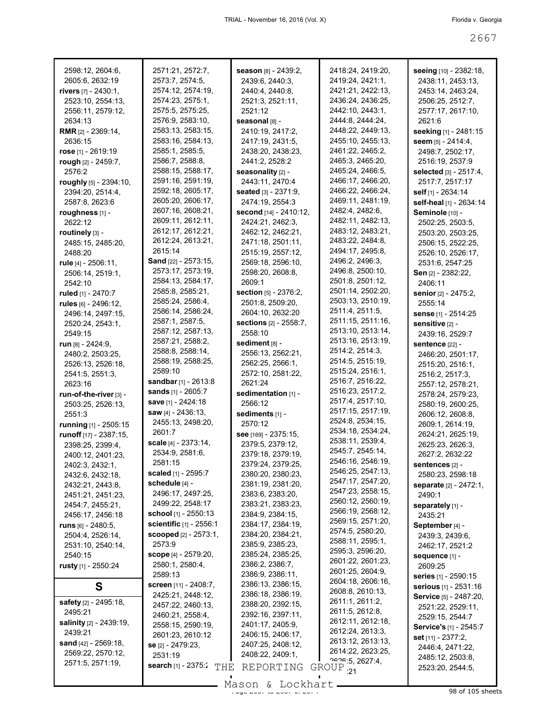| 2598:12, 2604:6,<br>2605:6, 2632:19 | 2571:21, 2572:7,<br>2573:7, 2574:5, | season [8] - 2439:2,<br>2439:6, 2440:3, | 2418:24, 2419:20,<br>2419:24, 2421:1, | seeing [10] - 2382:18,<br>2438:11, 2453:13, |
|-------------------------------------|-------------------------------------|-----------------------------------------|---------------------------------------|---------------------------------------------|
| rivers $[7] - 2430:1$ ,             | 2574:12, 2574:19,                   | 2440:4, 2440:8,                         | 2421:21, 2422:13,                     | 2453:14, 2463:24,                           |
| 2523:10, 2554:13,                   | 2574:23, 2575:1,                    | 2521:3, 2521:11,                        | 2436:24, 2436:25,                     | 2506:25, 2512:7,                            |
| 2556:11, 2579:12,                   | 2575:5, 2575:25,                    | 2521:12                                 | 2442:10, 2443:1,                      | 2577:17, 2617:10,                           |
| 2634:13                             | 2576:9, 2583:10,                    | seasonal [8] -                          | 2444:8, 2444:24,                      | 2621:6                                      |
| <b>RMR</b> [2] - 2369:14,           | 2583:13, 2583:15,                   | 2410:19, 2417:2,                        | 2448:22, 2449:13,                     | seeking [1] - 2481:15                       |
| 2636:15                             | 2583:16, 2584:13,                   | 2417:19, 2431:5,                        | 2455:10, 2455:13,                     | seem $[5] - 2414:4,$                        |
| rose [1] - 2619:19                  | 2585:1, 2585:5,                     | 2438:20, 2438:23,                       | 2461:22, 2465:2,                      | 2498:7, 2502:17,                            |
| rough [2] - 2459:7,                 | 2586:7, 2588:8,                     | 2441:2, 2528:2                          | 2465:3, 2465:20,                      | 2516:19, 2537:9                             |
| 2576:2                              | 2588:15, 2588:17,                   | seasonality [2] -                       | 2465:24, 2466:5,                      | <b>selected</b> [3] - 2517:4,               |
| roughly [5] - 2394:10,              | 2591:16, 2591:19,                   | 2443:11, 2470:4                         | 2466:17, 2466:20,                     | 2517:7, 2517:17                             |
| 2394:20, 2514:4,                    | 2592:18, 2605:17,                   | seated [3] - 2371:9,                    | 2466:22, 2466:24,                     | self [1] - 2634:14                          |
| 2587:8, 2623:6                      | 2605:20, 2606:17,                   | 2474:19, 2554:3                         | 2469:11, 2481:19,                     | self-heal [1] - 2634:14                     |
| roughness [1] -                     | 2607:16, 2608:21,                   | second [14] - 2410:12,                  | 2482:4, 2482:6,                       | Seminole [10] -                             |
| 2622:12                             | 2609:11, 2612:11,                   | 2424:21, 2462:3,                        | 2482:11, 2482:13,                     | 2502:25, 2503:5,                            |
| routinely [3] -                     | 2612:17, 2612:21,                   | 2462:12, 2462:21,                       | 2483:12, 2483:21,                     | 2503:20, 2503:25,                           |
| 2485:15, 2485:20,                   | 2612:24, 2613:21,                   | 2471:18, 2501:11,                       | 2483:22, 2484:8,                      | 2506:15, 2522:25,                           |
| 2488:20                             | 2615:14                             | 2515:19, 2557:12,                       | 2494:17, 2495:8,                      | 2526:10, 2526:17,                           |
| rule [4] - 2506:11,                 | <b>Sand</b> [22] - 2573:15,         | 2569:18, 2596:10,                       | 2496:2, 2496:3,                       | 2531:6, 2547:25                             |
| 2506:14, 2519:1,                    | 2573:17, 2573:19,                   | 2598:20, 2608:8,                        | 2496:8, 2500:10,                      | Sen [2] - 2382:22,                          |
| 2542:10                             | 2584:13, 2584:17,                   | 2609:1                                  | 2501:8, 2501:12,                      | 2406:11                                     |
| ruled [1] - 2470:7                  | 2585:8, 2585:21,                    | <b>section</b> [5] - 2376:2,            | 2501:14, 2502:20,                     | senior [2] - 2475:2,                        |
| rules [6] - 2496:12,                | 2585:24, 2586:4,                    | 2501:8, 2509:20,                        | 2503:13, 2510:19,                     | 2555:14                                     |
| 2496:14, 2497:15,                   | 2586:14, 2586:24,                   | 2604:10, 2632:20                        | 2511:4, 2511:5,                       | <b>sense</b> [1] - $2514:25$                |
| 2520:24, 2543:1,                    | 2587:1, 2587:5,                     | <b>sections</b> [2] - 2558:7,           | 2511:15, 2511:16,                     | sensitive [2] -                             |
| 2549:15                             | 2587:12, 2587:13,                   | 2558:10                                 | 2513:10, 2513:14,                     | 2439:16, 2529:7                             |
| run [8] - 2424:9,                   | 2587:21, 2588:2,                    | sediment [8] -                          | 2513:16, 2513:19,                     | sentence [22] -                             |
| 2480:2, 2503:25,                    | 2588:8, 2588:14,                    | 2556:13, 2562:21,                       | 2514:2, 2514:3,                       | 2466:20, 2501:17,                           |
| 2526:13, 2526:18,                   | 2588:19, 2588:25,                   | 2562:25, 2566:1,                        | 2514:5, 2515:19,                      | 2515:20, 2516:1,                            |
| 2541:5, 2551:3,                     | 2589:10                             | 2572:10, 2581:22,                       | 2515:24, 2516:1,                      | 2516:2, 2517:3,                             |
| 2623:16                             | sandbar $[1] - 2613.8$              | 2621:24                                 | 2516:7, 2516:22,                      | 2557:12, 2578:21,                           |
| run-of-the-river [3] -              | sands [1] - 2605:7                  | sedimentation [1] -                     | 2516:23, 2517:2,                      | 2578:24, 2579:23,                           |
| 2503:25, 2526:13,                   | save [1] - 2424:18                  | 2566:12                                 | 2517:4, 2517:10,                      | 2580:19, 2600:25,                           |
| 2551:3                              | saw [4] - 2436:13.                  | sediments [1] -                         | 2517:15, 2517:19,                     | 2606:12, 2608:8,                            |
| running [1] - 2505:15               | 2455:13, 2498:20,                   | 2570:12                                 | 2524:8, 2534:15,                      | 2609:1, 2614:19,                            |
| runoff [17] - 2387:15,              | 2601:7                              | see [169] - 2375:15,                    | 2534:18, 2534:24,                     | 2624:21, 2625:19,                           |
| 2398:25, 2399:4,                    | scale [4] - 2373:14,                | 2379:5, 2379:12,                        | 2538:11, 2539:4,                      | 2625:23, 2626:3,                            |
| 2400:12, 2401:23,                   | 2534:9, 2581:6,                     | 2379:18, 2379:19,                       | 2545:7, 2545:14,                      | 2627:2, 2632:22                             |
| 2402:3, 2432:1,                     | 2581:15                             | 2379:24, 2379:25,                       | 2546:16, 2546:19,                     | sentences [2] -                             |
| 2432:6, 2432:18,                    | scaled $[1]$ - 2595:7               | 2380:20, 2380:23,                       | 2546:25, 2547:13,                     | 2580:23, 2598:18                            |
| 2432:21, 2443:8,                    | schedule [4] -                      | 2381:19, 2381:20,                       | 2547:17, 2547:20,                     | separate [2] - 2472:1,                      |
| 2451:21, 2451:23,                   | 2496:17, 2497:25,                   | 2383:6, 2383:20,                        | 2547:23, 2558:15,                     | 2490:1                                      |
| 2454:7, 2455:21,                    | 2499:22, 2548:17                    | 2383:21, 2383:23,                       | 2560:12, 2560:19,                     | separately [1] -                            |
| 2456:17, 2456:18                    | <b>school</b> [1] - 2550:13         | 2384:9, 2384:15,                        | 2566:19, 2568:12,                     | 2435:21                                     |
| runs [6] - 2480:5,                  | scientific [1] - 2556:1             | 2384:17, 2384:19,                       | 2569:15, 2571:20,                     | September [4] -                             |
| 2504:4, 2526:14,                    | <b>scooped</b> [2] - 2573:1.        | 2384:20, 2384:21,                       | 2574:5, 2580:20,                      | 2439:3, 2439:6,                             |
| 2531:10, 2540:14,                   | 2573:9                              | 2385:9, 2385:23,                        | 2588:11, 2595:1,                      | 2462:17, 2521:2                             |
| 2540:15                             | <b>scope</b> [4] - 2579:20,         | 2385:24, 2385:25,                       | 2595:3, 2596:20,                      | sequence [1] -                              |
| <b>rusty</b> $[1]$ - 2550:24        | 2580:1, 2580:4,                     | 2386:2, 2386:7,                         | 2601:22, 2601:23,                     | 2609:25                                     |
|                                     | 2589:13                             | 2386:9, 2386:11,                        | 2601:25, 2604:9,                      | <b>series</b> [1] - 2590:15                 |
| S                                   | <b>screen</b> [11] - 2408:7,        | 2386:13, 2386:15,                       | 2604:18, 2606:16,                     | <b>serious</b> [1] - 2531:16                |
|                                     | 2425:21, 2448:12,                   | 2386:18, 2386:19,                       | 2608:8, 2610:13,                      | Service [5] - 2487:20,                      |
| safety [2] - 2495:18,               | 2457:22, 2460:13,                   | 2388:20, 2392:15,                       | 2611:1, 2611:2,                       | 2521:22, 2529:11,                           |
| 2495:21                             | 2460:21, 2558:4,                    | 2392:16, 2397:11,                       | 2611:5, 2612:8,                       | 2529:15, 2544:7                             |
| salinity [2] - 2439:19,             | 2558:15, 2590:19,                   | 2401:17, 2405:9,                        | 2612:11, 2612:18,                     | Service's [1] - 2545:7                      |
| 2439:21                             | 2601:23, 2610:12                    | 2406:15, 2406:17,                       | 2612:24, 2613:3,                      | set [11] - 2377:2,                          |
| <b>sand</b> $[42] - 2569:18$ ,      | se [2] - 2479:23,                   | 2407:25, 2408:12,                       | 2613:12, 2613:13,                     | 2446:4, 2471:22,                            |
| 2569:22, 2570:12,                   | 2531:19                             | 2408:22, 2409:1,                        | 2614:22, 2623:25,<br>2525.2627.4,     | 2485:12, 2503:8,                            |
| 2571:5, 2571:19,                    | <b>search</b> [1] - $2375:7$<br>THE | REPORTING                               | GROUP <sub>21</sub>                   | 2523:20, 2544:5,                            |
|                                     |                                     |                                         |                                       |                                             |
|                                     |                                     | Mason & Lockhart                        |                                       |                                             |

Mason & Lockhart 2000 and 2676 078 of 105 sheets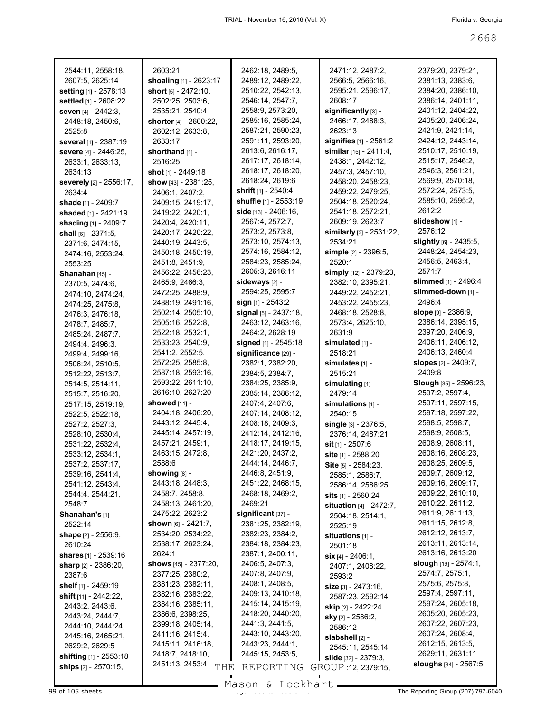| 2544:11, 2558:18,               | 2603:21                  | 2462:18, 2489:5,             | 2471:12, 2487:2,                  | 2379:20, 2379:21,              |
|---------------------------------|--------------------------|------------------------------|-----------------------------------|--------------------------------|
| 2607:5, 2625:14                 | shoaling [1] - 2623:17   | 2489:12, 2489:22,            | 2566:5, 2566:16,                  | 2381:13, 2383:6,               |
| setting [1] - 2578:13           | short [5] - 2472:10,     | 2510:22, 2542:13,            | 2595:21, 2596:17,                 | 2384:20, 2386:10,              |
| settled [1] - 2608:22           | 2502:25, 2503:6,         | 2546:14, 2547:7,             | 2608:17                           | 2386:14, 2401:11,              |
| seven [4] - 2442:3.             | 2535:21, 2540:4          | 2558:9, 2573:20,             | significantly [3] -               | 2401:12, 2404:22,              |
| 2448:18, 2450:6,                | shorter [4] - 2600:22,   | 2585:16, 2585:24,            | 2466:17, 2488:3,                  | 2405:20, 2406:24,              |
| 2525:8                          | 2602:12, 2633:8,         | 2587:21, 2590:23,            | 2623:13                           | 2421:9, 2421:14,               |
| <b>several</b> [1] - 2387:19    | 2633:17                  | 2591:11, 2593:20,            | signifies [1] - 2561:2            | 2424:12, 2443:14,              |
| severe [4] - 2446:25,           | shorthand $[1]$ -        | 2613:6, 2616:17,             | similar $[15] - 2411:4,$          | 2510:17, 2510:19,              |
| 2633:1, 2633:13,                | 2516:25                  | 2617:17, 2618:14,            | 2438:1, 2442:12,                  | 2515:17, 2546:2,               |
| 2634:13                         | shot $[1]$ - 2449:18     | 2618:17, 2618:20,            | 2457:3, 2457:10,                  | 2546:3, 2561:21,               |
| <b>severely</b> [2] - 2556:17,  | show [43] - 2381:25,     | 2618:24, 2619:6              | 2458:20, 2458:23,                 | 2569:9, 2570:18,               |
| 2634:4                          | 2406:1, 2407:2,          | <b>shrift</b> $[1]$ - 2540:4 | 2459:22, 2479:25,                 | 2572:24, 2573:5,               |
| <b>shade</b> [1] - 2409:7       | 2409:15, 2419:17,        | <b>shuffle</b> [1] - 2553:19 | 2504:18, 2520:24,                 | 2585:10, 2595:2,               |
| shaded [1] - 2421:19            | 2419:22, 2420:1,         | side $[13] - 2406:16$ ,      | 2541:18, 2572:21,                 | 2612:2                         |
| shading [1] - 2409:7            | 2420:4, 2420:11,         | 2567:4, 2572:7,              | 2609:19, 2623:7                   | slideshow [1] -                |
| shall $[6] - 2371:5$ ,          | 2420:17, 2420:22,        | 2573:2, 2573:8,              | similarly [2] - 2531:22,          | 2576:12                        |
| 2371:6, 2474:15,                | 2440:19, 2443:5,         | 2573:10, 2574:13,            | 2534:21                           | slightly [6] - 2435:5,         |
| 2474:16, 2553:24,               | 2450:18, 2450:19,        | 2574:16, 2584:12,            | simple $[2] - 2396:5$ ,           | 2448:24, 2454:23,              |
| 2553:25                         | 2451:8, 2451:9,          | 2584:23, 2585:24,            | 2520:1                            | 2456:5, 2463:4,                |
|                                 | 2456:22, 2456:23,        | 2605:3, 2616:11              | simply [12] - 2379:23,            | 2571.7                         |
| Shanahan [45] -                 | 2465:9, 2466:3,          | sideways [2] -               | 2382:10, 2395:21,                 | slimmed [1] - 2496:4           |
| 2370:5, 2474:6,                 | 2472:25, 2488:9,         | 2594:25, 2595:7              | 2449:22, 2452:21,                 | slimmed-down [1] -             |
| 2474:10, 2474:24,               | 2488:19, 2491:16,        | sign $[1]$ - 2543:2          |                                   | 2496:4                         |
| 2474:25, 2475:8,                |                          |                              | 2453:22, 2455:23,                 |                                |
| 2476:3, 2476:18,                | 2502:14, 2505:10,        | signal [5] - 2437:18,        | 2468:18, 2528:8,                  | slope $[9] - 2386:9$ ,         |
| 2478:7, 2485:7,                 | 2505:16, 2522:8,         | 2463:12, 2463:16,            | 2573:4, 2625:10,                  | 2386:14, 2395:15,              |
| 2485:24, 2487:7,                | 2522:18, 2532:1,         | 2464:2, 2628:19              | 2631:9                            | 2397:20, 2406:9,               |
| 2494:4, 2496:3,                 | 2533:23, 2540:9,         | signed [1] - 2545:18         | simulated $[1]$ -                 | 2406:11, 2406:12,              |
| 2499:4, 2499:16,                | 2541:2, 2552:5,          | significance [29] -          | 2518:21                           | 2406:13, 2460:4                |
| 2506:24, 2510:5,                | 2572:25, 2585:8,         | 2382:1, 2382:20,             | simulates $[1]$ -                 | slopes [2] - 2409:7,           |
| 2512:22, 2513:7,                | 2587:18, 2593:16,        | 2384:5, 2384:7,              | 2515:21                           | 2409:8                         |
| 2514:5, 2514:11,                | 2593:22, 2611:10,        | 2384:25, 2385:9,             | simulating [1] -                  | Slough [35] - 2596:23,         |
| 2515:7, 2516:20,                | 2616:10, 2627:20         | 2385:14, 2386:12,            | 2479:14                           | 2597:2, 2597:4,                |
| 2517:15, 2519:19,               | showed $[11]$ -          | 2407:4, 2407:6,              | simulations $[1]$ -               | 2597:11, 2597:15,              |
| 2522:5, 2522:18,                | 2404:18, 2406:20,        | 2407:14, 2408:12,            | 2540:15                           | 2597:18, 2597:22,              |
| 2527:2, 2527:3,                 | 2443:12, 2445:4,         | 2408:18, 2409:3,             | single [3] - 2376:5,              | 2598:5, 2598:7,                |
| 2528:10, 2530:4,                | 2445:14, 2457:19,        | 2412:14, 2412:16,            | 2376:14, 2487:21                  | 2598:9, 2608:5,                |
| 2531:22, 2532:4,                | 2457:21, 2459:1,         | 2418:17, 2419:15,            | sit [1] - 2507:6                  | 2608:9, 2608:11,               |
| 2533:12, 2534:1,                | 2463:15, 2472:8,         | 2421:20, 2437:2,             |                                   |                                |
| 2537:2, 2537:17,                |                          |                              | site [1] - 2588:20                | 2608:16, 2608:23,              |
|                                 | 2588:6                   | 2444:14, 2446:7,             | Site [5] - 2584:23,               | 2608:25, 2609:5,               |
| 2539:16, 2541:4,                | showing $[8]$ -          | 2446:8, 2451:9,              | 2585:1, 2586:7,                   | 2609:7, 2609:12,               |
| 2541:12, 2543:4,                | 2443:18, 2448:3,         | 2451:22, 2468:15,            | 2586:14, 2586:25                  | 2609:16, 2609:17,              |
| 2544:4, 2544:21,                | 2458:7, 2458:8,          | 2468:18, 2469:2,             | <b>sits</b> $[1]$ - 2560:24       | 2609:22, 2610:10,              |
| 2548:7                          | 2458:13, 2461:20,        | 2469:21                      | <b>situation</b> $[4] - 2472:7$ , | 2610:22, 2611:2,               |
| Shanahan's $[1]$ -              | 2475:22, 2623:2          | significant $[37]$ -         |                                   | 2611:9, 2611:13,               |
| 2522:14                         | shown $[6] - 2421:7$ ,   | 2381:25, 2382:19,            | 2504:18, 2514:1,<br>2525:19       | 2611:15, 2612:8,               |
| shape $[2] - 2556:9$ ,          | 2534:20, 2534:22,        | 2382:23, 2384:2,             |                                   | 2612:12, 2613:7,               |
| 2610:24                         | 2538:17, 2623:24,        | 2384:18, 2384:23,            | situations $[1]$ -                | 2613:11, 2613:14,              |
| shares $[1] - 2539:16$          | 2624:1                   | 2387:1, 2400:11,             | 2501:18                           | 2613:16, 2613:20               |
|                                 | shows $[45] - 2377:20$ , | 2406:5, 2407:3,              | $\sin$ [4] - 2406:1,              | <b>slough</b> $[19] - 2574:1,$ |
| sharp [2] - 2386:20,<br>2387:6  | 2377:25, 2380:2,         | 2407:8, 2407:9,              | 2407:1, 2408:22,                  | 2574:7, 2575:1,                |
|                                 | 2381:23, 2382:11,        | 2408:1, 2408:5,              | 2593:2                            | 2575:6, 2575:8,                |
| shelf $[1]$ - 2459:19           | 2382:16, 2383:22,        | 2409:13, 2410:18,            | size [3] - 2473:16,               | 2597:4, 2597:11,               |
| <b>shift</b> $[11] - 2442:22$ , | 2384:16, 2385:11,        | 2415:14, 2415:19,            | 2587:23, 2592:14                  | 2597:24, 2605:18,              |
| 2443:2, 2443:6,                 | 2386:6, 2398:25,         | 2418:20, 2440:20,            | <b>skip</b> [2] - 2422:24         | 2605:20, 2605:23,              |
| 2443:24, 2444:7,                | 2399:18, 2405:14,        | 2441:3, 2441:5,              | <b>sky</b> [2] - 2586:2,          | 2607:22, 2607:23,              |
| 2444:10, 2444:24,               | 2411:16, 2415:4,         | 2443:10, 2443:20,            | 2586:12                           | 2607:24, 2608:4,               |
| 2445:16, 2465:21,               |                          | 2443:23, 2444:1,             | slabshell [2] -                   | 2612:15, 2613:5,               |
| 2629:2, 2629:5                  | 2415:11, 2416:18,        | 2445:15, 2453:5,             | 2545:11, 2545:14                  |                                |
| <b>shifting</b> $[1]$ - 2553:18 | 2418:7, 2418:10,         |                              | <b>slide</b> $[32] - 2379.3$      | 2629:11, 2631:11               |
| ships [2] - 2570:15,            | 2451:13, 2453:4<br>THE   | REPORTING                    | GROUP 12, 2379:15,                | <b>sloughs</b> [34] - 2567:5,  |

Mason & Lockhart **Page 2068 of 105 sheets** Page 207) 797-6040 of 2674 Mason & Lockhart **Page 2668 of 2674 The Reporting Group (207) 797-6040**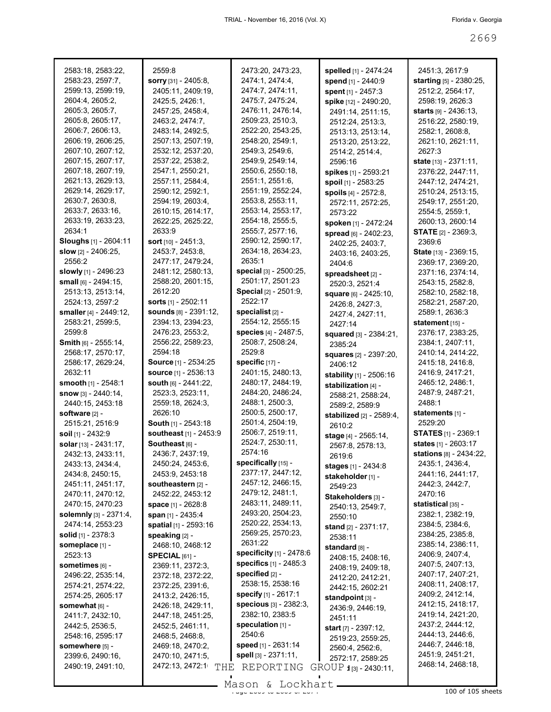| 2583:18, 2583:22,                      | 2559:8                                | 2473:20, 2473:23,                     | spelled [1] - 2474:24                    | 2451:3, 2617:9                         |
|----------------------------------------|---------------------------------------|---------------------------------------|------------------------------------------|----------------------------------------|
| 2583:23, 2597:7,                       | sorry [31] - 2405:8,                  | 2474:1, 2474:4,                       | spend [1] - 2440:9                       | starting [5] - 2380:25,                |
| 2599:13, 2599:19,                      | 2405:11, 2409:19,                     | 2474:7, 2474:11,                      | spent [1] - 2457:3                       | 2512:2, 2564:17,                       |
| 2604:4, 2605:2,                        | 2425:5, 2426:1,                       | 2475:7, 2475:24,                      | spike [12] - 2490:20,                    | 2598:19, 2626:3                        |
| 2605:3, 2605:7,                        | 2457:25, 2458:4,                      | 2476:11, 2476:14,                     | 2491:14, 2511:15,                        | <b>starts</b> [9] - 2436:13,           |
| 2605:8, 2605:17,                       | 2463:2, 2474:7,                       | 2509:23, 2510:3,                      | 2512:24, 2513:3,                         | 2516:22, 2580:19,                      |
| 2606:7, 2606:13,                       | 2483:14, 2492:5,                      | 2522:20, 2543:25,                     | 2513:13, 2513:14,                        | 2582:1, 2608:8,                        |
| 2606:19, 2606:25,                      | 2507:13, 2507:19,                     | 2548:20, 2549:1,                      | 2513:20, 2513:22,                        | 2621:10, 2621:11,                      |
| 2607:10, 2607:12,                      | 2532:12, 2537:20,                     | 2549:3, 2549:6,                       | 2514:2, 2514:4,                          | 2627:3                                 |
| 2607:15, 2607:17,                      | 2537:22, 2538:2,                      | 2549:9, 2549:14,<br>2550:6, 2550:18,  | 2596:16                                  | state [13] - 2371:11,                  |
| 2607:18, 2607:19,<br>2621:13, 2629:13, | 2547:1, 2550:21,<br>2557:11, 2584:4,  | 2551:1, 2551:6,                       | spikes [1] - 2593:21                     | 2376:22, 2447:11,                      |
| 2629:14, 2629:17,                      | 2590:12, 2592:1,                      | 2551:19, 2552:24,                     | spoil [1] - 2583:25                      | 2447:12, 2474:21,<br>2510:24, 2513:15, |
| 2630:7, 2630:8,                        | 2594:19, 2603:4,                      | 2553:8, 2553:11,                      | spoils [4] - 2572:8,                     | 2549:17, 2551:20,                      |
| 2633:7, 2633:16,                       | 2610:15, 2614:17,                     | 2553:14, 2553:17,                     | 2572:11, 2572:25,<br>2573:22             | 2554:5, 2559:1,                        |
| 2633:19, 2633:23,                      | 2622:25, 2625:22,                     | 2554:18, 2555:5,                      | spoken [1] - 2472:24                     | 2600:13, 2600:14                       |
| 2634:1                                 | 2633:9                                | 2555:7, 2577:16,                      | spread [6] - 2402:23,                    | <b>STATE</b> [2] - 2369:3,             |
| Sloughs [1] - 2604:11                  | <b>sort</b> $[10] - 2451:3$ ,         | 2590:12, 2590:17,                     | 2402:25, 2403:7,                         | 2369:6                                 |
| slow $[2] - 2406:25$ ,                 | 2453:7, 2453:8,                       | 2634:18, 2634:23,                     | 2403:16, 2403:25,                        | <b>State</b> [13] - 2369:15,           |
| 2556:2                                 | 2477:17, 2479:24,                     | 2635:1                                | 2404:6                                   | 2369:17, 2369:20,                      |
| slowly [1] - 2496:23                   | 2481:12, 2580:13,                     | special [3] - 2500:25,                | spreadsheet [2] -                        | 2371:16, 2374:14,                      |
| small $[6] - 2494:15$ ,                | 2588:20, 2601:15,                     | 2501:17, 2501:23                      | 2520:3, 2521:4                           | 2543:15, 2582:8,                       |
| 2513:13, 2513:14,                      | 2612:20                               | Special [2] - 2501:9,                 | square [6] - 2425:10,                    | 2582:10, 2582:18,                      |
| 2524:13, 2597:2                        | <b>sorts</b> $[1]$ - 2502:11          | 2522:17                               | 2426:8, 2427:3,                          | 2582:21, 2587:20,                      |
| smaller [4] - 2449:12,                 | <b>sounds</b> [8] - 2391:12,          | specialist $[2]$ -                    | 2427:4, 2427:11,                         | 2589:1, 2636:3                         |
| 2583:21, 2599:5,                       | 2394:13, 2394:23,                     | 2554:12, 2555:15                      | 2427:14                                  | statement [15] -                       |
| 2599:8                                 | 2476:23, 2553:2,                      | species [4] - 2487:5,                 | squared [3] - 2384:21,                   | 2376:17, 2383:25,                      |
| <b>Smith</b> [6] - 2555:14,            | 2556:22, 2589:23,                     | 2508:7, 2508:24,                      | 2385:24                                  | 2384:1, 2407:11,                       |
| 2568:17, 2570:17,                      | 2594:18                               | 2529:8                                | <b>squares</b> [2] - 2397:20,            | 2410:14, 2414:22,                      |
| 2586:17, 2629:24,                      | <b>Source</b> [1] - 2534:25           | specific $[17]$ -                     | 2406:12                                  | 2415:18, 2416:8,                       |
| 2632:11                                | <b>source</b> [1] - 2536:13           | 2401:15, 2480:13,                     | stability [1] - 2506:16                  | 2416:9, 2417:21,                       |
| smooth [1] - 2548:1                    | south [6] - 2441:22,                  | 2480:17, 2484:19,                     | stabilization [4] -                      | 2465:12, 2486:1,                       |
| <b>snow</b> $[3] - 2440:14$ ,          | 2523:3, 2523:11,                      | 2484:20, 2486:24,<br>2488:1, 2500:3,  | 2588:21, 2588:24,                        | 2487:9, 2487:21,<br>2488:1             |
| 2440:15, 2453:18<br>software [2] -     | 2559:18, 2624:3,<br>2626:10           | 2500:5, 2500:17,                      | 2589:2, 2589:9                           | statements [1] -                       |
| 2515:21, 2516:9                        | <b>South</b> $[1]$ - 2543:18          | 2501:4, 2504:19,                      | stabilized [2] - 2589:4,                 | 2529:20                                |
| soil [1] - 2432:9                      | southeast [1] - 2453:9                | 2506:7, 2519:11,                      | 2610:2                                   | <b>STATES</b> [1] - 2369:1             |
| solar [13] - 2431:17,                  | Southeast [6] -                       | 2524:7, 2530:11,                      | stage [4] - 2565:14,<br>2567:8, 2578:13, | states [1] - 2603:17                   |
| 2432:13, 2433:11,                      | 2436:7, 2437:19,                      | 2574:16                               | 2619:6                                   | stations [8] - 2434:22,                |
| 2433:13, 2434:4,                       | 2450:24, 2453:6,                      | specifically [15] -                   | <b>stages</b> [1] - 2434:8               | 2435:1, 2436:4,                        |
| 2434:8, 2450:15,                       | 2453:9, 2453:18                       | 2377:17, 2447:12,                     | stakeholder [1] -                        | 2441:16, 2441:17,                      |
| 2451:11, 2451:17,                      | southeastern [2] -                    | 2457:12, 2466:15,                     | 2549:23                                  | 2442:3, 2442:7,                        |
| 2470:11, 2470:12,                      | 2452:22, 2453:12                      | 2479:12, 2481:1,                      | Stakeholders [3] -                       | 2470:16                                |
| 2470:15, 2470:23                       | <b>space</b> [1] - 2628:8             | 2483:11, 2489:11,                     | 2540:13, 2549:7,                         | statistical [35] -                     |
| <b>solemnly</b> $[3] - 2371:4,$        | span [1] - 2435:4                     | 2493:20, 2504:23,                     | 2550:10                                  | 2382:1, 2382:19,                       |
| 2474:14, 2553:23                       | spatial [1] - 2593:16                 | 2520:22, 2534:13,                     | <b>stand</b> $[2] - 2371:17$ ,           | 2384:5, 2384:6,                        |
| <b>solid</b> $[1]$ - 2378:3            | <b>speaking [2] -</b>                 | 2569:25, 2570:23,                     | 2538:11                                  | 2384:25, 2385:8,                       |
| someplace [1] -                        | 2468:10, 2468:12                      | 2631:22                               | standard [8] -                           | 2385:14, 2386:11,                      |
| 2523:13                                | $SPECIAL$ [61] -                      | specificity [1] - 2478:6              | 2408:15, 2408:16,                        | 2406:9, 2407:4,                        |
| sometimes [6] -                        | 2369:11, 2372:3,                      | specifics [1] - 2485:3                | 2408:19, 2409:18,                        | 2407:5, 2407:13,                       |
| 2496:22, 2535:14,                      | 2372:18, 2372:22,                     | specified $[2]$ -<br>2538:15, 2538:16 | 2412:20, 2412:21,                        | 2407:17, 2407:21,                      |
| 2574:21, 2574:22,                      | 2372:25, 2391:6,                      | specify [1] - 2617:1                  | 2442:15, 2602:21                         | 2408:11, 2408:17,<br>2409:2, 2412:14,  |
| 2574:25, 2605:17                       | 2413:2, 2426:15,                      | specious [3] - 2382:3,                | standpoint $[3]$ -                       | 2412:15, 2418:17,                      |
| somewhat [6] -                         | 2426:18, 2429:11,                     | 2382:10, 2383:5                       | 2436:9, 2446:19,                         | 2419:14, 2421:20,                      |
| 2411:7, 2432:10,<br>2442:5, 2536:5,    | 2447:18, 2451:25,<br>2452:5, 2461:11, | speculation $[1]$ -                   | 2451:11                                  | 2437:2, 2444:12,                       |
| 2548:16, 2595:17                       | 2468:5, 2468:8,                       | 2540:6                                | start [7] - 2397:12,                     | 2444:13, 2446:6,                       |
| somewhere [5] -                        | 2469:18, 2470:2,                      | <b>speed</b> [1] - 2631:14            | 2519:23, 2559:25,                        | 2446:7, 2446:18,                       |
| 2399:6, 2490:16,                       | 2470:10, 2471:5,                      | spell [3] - 2371:11,                  | 2560:4, 2562:6,<br>2572:17, 2589:25      | 2451:9, 2451:21,                       |
| 2490:19, 2491:10,                      | 2472:13, 2472:1<br>THE                | REPORTING                             | GROUP 1[3] - 2430:11,                    | 2468:14, 2468:18,                      |
|                                        |                                       |                                       |                                          |                                        |

 $\frac{26660 \text{ N}}{100 \text{ of } 105 \text{ sheets}}$ Mason & Lockhart.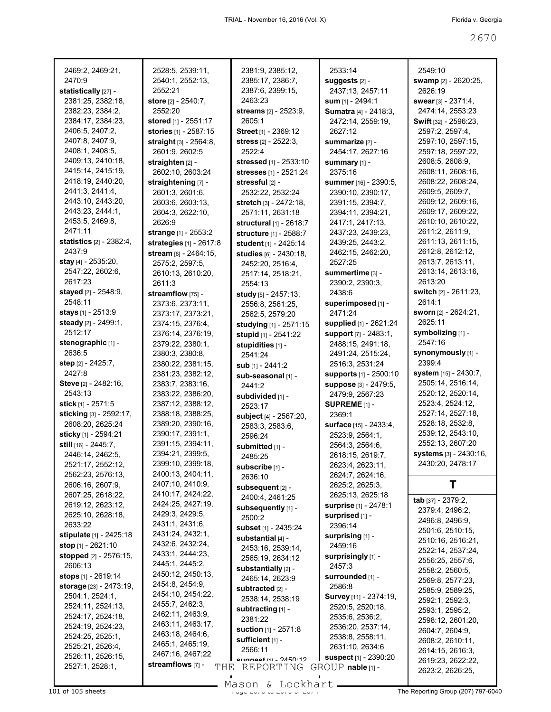| 2469:2, 2469:21,               |                         |                             |                               |                              |
|--------------------------------|-------------------------|-----------------------------|-------------------------------|------------------------------|
|                                | 2528:5, 2539:11,        | 2381:9, 2385:12,            | 2533:14                       | 2549:10                      |
| 2470:9                         | 2540:1, 2552:13,        | 2385:17, 2386:7,            | suggests [2] -                | swamp [2] - 2620:25,         |
| statistically [27] -           | 2552:21                 | 2387:6, 2399:15,            | 2437:13, 2457:11              | 2626:19                      |
| 2381:25, 2382:18,              | store [2] - 2540:7,     | 2463:23                     | sum [1] - 2494:1              | swear $[3] - 2371:4$ ,       |
| 2382:23, 2384:2,               | 2552:20                 | streams [2] - 2523:9,       | Sumatra [4] - 2418:3,         | 2474:14, 2553:23             |
| 2384:17, 2384:23,              | stored [1] - 2551:17    | 2605:1                      | 2472:14, 2559:19,             | <b>Swift</b> [32] - 2596:23, |
| 2406:5, 2407:2,                | stories [1] - 2587:15   | Street [1] - 2369:12        | 2627:12                       | 2597:2, 2597:4,              |
| 2407:8, 2407:9,                | straight [3] - 2564:8,  | stress [2] - 2522:3,        | <b>summarize [2] -</b>        | 2597:10, 2597:15,            |
| 2408:1, 2408:5,                | 2601:9, 2602:5          | 2522:4                      | 2454:17, 2627:16              | 2597:18, 2597:22,            |
| 2409:13, 2410:18,              | straighten [2] -        | stressed [1] - 2533:10      | summary [1] -                 | 2608:5, 2608:9,              |
| 2415:14, 2415:19,              | 2602:10, 2603:24        | stresses [1] - 2521:24      | 2375:16                       | 2608:11, 2608:16,            |
| 2418:19, 2440:20,              | straightening [7] -     | stressful [2] -             | summer [16] - 2390:5,         | 2608:22, 2608:24,            |
| 2441:3, 2441:4,                | 2601:3, 2601:6,         | 2532:22, 2532:24            | 2390:10, 2390:17,             | 2609:5, 2609:7,              |
| 2443:10, 2443:20,              | 2603:6, 2603:13,        | stretch [3] - 2472:18,      | 2391:15, 2394:7,              | 2609:12, 2609:16,            |
| 2443:23, 2444:1,               | 2604:3, 2622:10,        | 2571:11, 2631:18            | 2394:11, 2394:21,             | 2609:17, 2609:22,            |
| 2453:5, 2469:8,                | 2626:9                  | structural [1] - 2618:7     | 2417:1, 2417:13,              | 2610:10, 2610:22,            |
| 2471:11                        | strange [1] - 2553:2    | structure [1] - 2588:7      | 2437:23, 2439:23,             | 2611:2, 2611:9,              |
| statistics [2] - 2382:4,       | strategies [1] - 2617:8 | student [1] - 2425:14       | 2439:25, 2443:2,              | 2611:13, 2611:15,            |
| 2437:9                         | stream [6] - 2464:15.   | studies [6] - 2430:18,      | 2462:15, 2462:20,             | 2612:8, 2612:12,             |
| stay $[4] - 2535:20$ ,         | 2575:2, 2597:5,         | 2452:20, 2516:4,            | 2527:25                       | 2613:7, 2613:11,             |
| 2547:22, 2602:6,               | 2610:13, 2610:20,       | 2517:14, 2518:21,           | summertime [3] -              | 2613:14, 2613:16,            |
| 2617:23                        | 2611:3                  | 2554:13                     | 2390:2, 2390:3,               | 2613:20                      |
| stayed $[2] - 2548.9$ ,        | streamflow [75] -       | study [5] - 2457:13,        | 2438:6                        | switch [2] - 2611:23,        |
| 2548:11                        | 2373:6, 2373:11,        | 2556:8, 2561:25,            | superimposed [1] -            | 2614:1                       |
| stays [1] - 2513:9             | 2373:17, 2373:21,       | 2562:5, 2579:20             | 2471:24                       | sworn [2] - 2624:21,         |
| steady [2] - 2499:1,           | 2374:15, 2376:4,        | studying [1] - 2571:15      | supplied [1] - 2621:24        | 2625:11                      |
| 2512:17                        | 2376:14, 2376:19,       | stupid [1] - 2541:22        | support [7] - 2483:1,         | symbolizing [1] -            |
| stenographic [1] -             | 2379:22, 2380:1,        | stupidities [1] -           | 2488:15, 2491:18,             | 2547:16                      |
| 2636:5                         | 2380:3, 2380:8,         | 2541:24                     | 2491:24, 2515:24,             | synonymously [1] -           |
| step [2] - 2425:7,             | 2380:22, 2381:15,       | sub [1] - 2441:2            | 2516:3, 2531:24               | 2399:4                       |
| 2427:8                         | 2381:23, 2382:12,       | sub-seasonal [1] -          | supports [1] - 2500:10        | system [15] - 2430:7,        |
| Steve [2] - 2482:16,           | 2383:7, 2383:16,        | 2441:2                      | suppose [3] - 2479:5,         | 2505:14, 2516:14,            |
| 2543:13                        | 2383:22, 2386:20,       | subdivided [1] -            | 2479:9, 2567:23               | 2520:12, 2520:14,            |
|                                |                         |                             |                               |                              |
|                                |                         |                             |                               | 2523:4, 2524:12,             |
| stick [1] - 2571:5             | 2387:12, 2388:12,       | 2523:17                     | SUPREME <sub>[1]</sub> -      | 2527:14, 2527:18,            |
| sticking [3] - 2592:17,        | 2388:18, 2388:25,       | subject [4] - 2567:20,      | 2369:1                        | 2528:18, 2532:8,             |
| 2608:20, 2625:24               | 2389:20, 2390:16,       | 2583:3, 2583:6,             | surface [15] - 2433:4,        |                              |
| sticky [1] - 2594:21           | 2390:17, 2391:1,        | 2596:24                     | 2523:9, 2564:1,               | 2539:12, 2543:10,            |
| still [16] - 2445:7,           | 2391:15, 2394:11,       | submitted [1] -             | 2564:3, 2564:6,               | 2552:13, 2607:20             |
| 2446:14, 2462:5.               | 2394:21, 2399:5,        | 2485:25                     | 2618:15, 2619:7,              | systems [3] - 2430:16,       |
| 2521:17, 2552:12,              | 2399:10, 2399:18,       | subscribe [1] -             | 2623:4, 2623:11,              | 2430:20, 2478:17             |
| 2562:23, 2576:13,              | 2400:13, 2404:11,       | 2636:10                     | 2624:7, 2624:16,              |                              |
| 2606:16, 2607:9,               | 2407:10, 2410:9,        | subsequent [2] -            | 2625:2, 2625:3,               | т                            |
| 2607:25, 2618:22,              | 2410:17, 2424:22,       | 2400:4, 2461:25             | 2625:13, 2625:18              | tab [37] - 2379:2,           |
| 2619:12, 2623:12,              | 2424:25, 2427:19,       | subsequently [1] -          | surprise [1] - 2478:1         | 2379:4, 2496:2,              |
| 2625:10, 2628:18,              | 2429:3, 2429:5,         | 2500:2                      | surprised [1] -               | 2496:8, 2496:9,              |
| 2633:22                        | 2431:1, 2431:6,         | subset [1] - 2435:24        | 2396:14                       | 2501:6, 2510:15,             |
| stipulate [1] - 2425:18        | 2431:24, 2432:1,        | substantial [4] -           | surprising [1] -              | 2510:16, 2516:21,            |
| stop [1] - 2621:10             | 2432:6, 2432:24,        | 2453:16, 2539:14,           | 2459:16                       | 2522:14, 2537:24,            |
| stopped [2] - 2576:15,         | 2433:1, 2444:23,        | 2565:19, 2634:12            | surprisingly [1] -            | 2556:25, 2557:6,             |
| 2606:13                        | 2445:1, 2445:2,         | substantially [2] -         | 2457:3                        | 2558:2, 2560:5,              |
| stops [1] - 2619:14            | 2450:12, 2450:13,       | 2465:14, 2623:9             | surrounded [1] -              | 2569:8, 2577:23,             |
| <b>storage</b> [23] - 2473:19, | 2454:8, 2454:9,         | subtracted [2] -            | 2586:8                        | 2585:9, 2589:25,             |
| 2504:1, 2524:1,                | 2454:10, 2454:22,       | 2538:14, 2538:19            | <b>Survey</b> [11] - 2374:19, | 2592:1, 2592:3,              |
| 2524:11, 2524:13,              | 2455:7, 2462:3,         | subtracting [1] -           | 2520:5, 2520:18,              | 2593:1, 2595:2,              |
| 2524:17, 2524:18,              | 2462:11, 2463:9,        | 2381:22                     | 2535:6, 2536:2,               | 2598:12, 2601:20,            |
| 2524:19, 2524:23,              | 2463:11, 2463:17,       | <b>suction</b> [1] - 2571:8 | 2536:20, 2537:14,             | 2604:7, 2604:9,              |
| 2524:25, 2525:1,               | 2463:18, 2464:6,        | sufficient [1] -            | 2538:8, 2558:11,              | 2608:2, 2610:11,             |
| 2525:21, 2526:4,               | 2465:1, 2465:19,        | 2566:11                     | 2631:10, 2634:6               | 2614:15, 2616:3,             |
| 2526:11, 2526:15,              | 2467:16, 2467:22        | SHORE 111 - 2450.12         | suspect [1] - 2390:20         | 2619:23, 2622:22,            |
| 2527:1, 2528:1,                | streamflows [7] -       | THE REPORTING               | $GROUP$ nable $[1]$ -         | 2623:2, 2626:25,             |

Mason & Lockhart **Page 2010** of 105 sheets Page 2071 The Reporting Group (207) 797-6040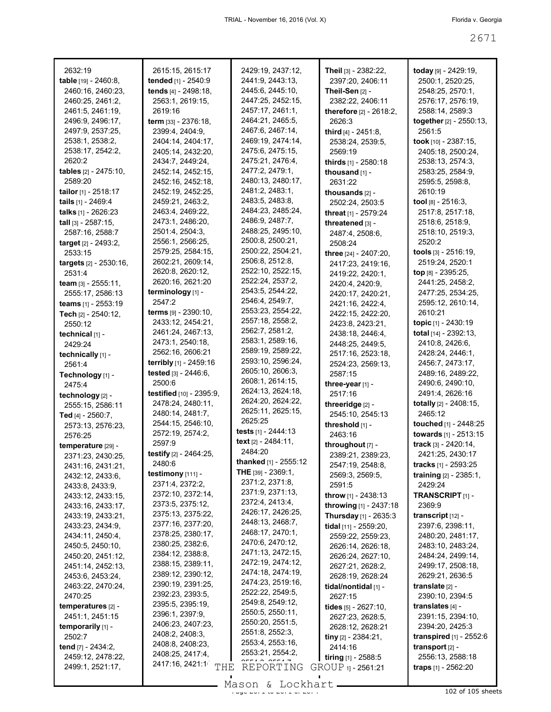| 2632:19                                    | 2615:15, 2615:17                            | 2429:19, 2437:12,<br>2441:9, 2443:13, | Theil [3] - 2382:22,                  | today [9] - 2429:19,<br>2500:1, 2520:25, |
|--------------------------------------------|---------------------------------------------|---------------------------------------|---------------------------------------|------------------------------------------|
| table [19] - 2460:8,                       | tended [1] - 2540:9<br>tends [4] - 2498:18, | 2445:6, 2445:10,                      | 2397:20, 2406:11<br>Theil-Sen [2] -   | 2548:25, 2570:1,                         |
| 2460:16, 2460:23,                          |                                             |                                       |                                       |                                          |
| 2460:25, 2461:2,                           | 2563:1, 2619:15,                            | 2447:25, 2452:15,<br>2457:17, 2461:1, | 2382:22, 2406:11                      | 2576:17, 2576:19,                        |
| 2461:5, 2461:19,                           | 2619:16                                     |                                       | <b>therefore</b> $[2] - 2618:2$       | 2588:14, 2589:3                          |
| 2496:9, 2496:17,<br>2497:9, 2537:25,       | term [33] - 2376:18,                        | 2464:21, 2465:5,<br>2467:6, 2467:14,  | 2626:3                                | together [2] - 2550:13,<br>2561:5        |
| 2538:1, 2538:2,                            | 2399:4, 2404:9,                             | 2469:19, 2474:14,                     | <b>third</b> $[4]$ - 2451:8,          |                                          |
| 2538:17, 2542:2,                           | 2404:14, 2404:17,                           | 2475:6, 2475:15,                      | 2538:24, 2539:5,                      | took [10] - 2387:15,                     |
| 2620:2                                     | 2405:14, 2432:20,<br>2434:7, 2449:24,       | 2475:21, 2476:4,                      | 2569:19                               | 2405:18, 2500:24,<br>2538:13, 2574:3,    |
| tables [2] - 2475:10,                      | 2452:14, 2452:15,                           | 2477:2, 2479:1,                       | thirds [1] - 2580:18                  | 2583:25, 2584:9,                         |
| 2589:20                                    | 2452:16, 2452:18,                           | 2480:13, 2480:17,                     | thousand [1] -                        |                                          |
| tailor [1] - 2518:17                       | 2452:19, 2452:25,                           | 2481:2, 2483:1,                       | 2631:22                               | 2595:5, 2598:8,<br>2610:19               |
| tails $[1] - 2469:4$                       | 2459:21, 2463:2,                            | 2483:5, 2483:8,                       | thousands [2] -                       | <b>tool</b> $[8] - 2516:3$ ,             |
| talks $[1] - 2626:23$                      | 2463:4, 2469:22,                            | 2484:23, 2485:24,                     | 2502:24, 2503:5                       | 2517:8, 2517:18,                         |
|                                            | 2473:1, 2486:20,                            | 2486:9, 2487:7,                       | threat [1] - 2579:24                  | 2518:6, 2518:9,                          |
| tall $[3] - 2587:15$ ,                     | 2501:4, 2504:3,                             | 2488:25, 2495:10,                     | threatened [3] -                      | 2518:10, 2519:3,                         |
| 2587:16, 2588:7                            | 2556:1, 2566:25,                            | 2500:8, 2500:21,                      | 2487:4, 2508:6,                       | 2520:2                                   |
| target [2] - 2493:2,<br>2533:15            | 2579:25, 2584:15,                           | 2500:22, 2504:21,                     | 2508:24                               | tools [3] - 2516:19,                     |
|                                            | 2602:21, 2609:14,                           | 2506:8, 2512:8,                       | three [24] - 2407:20,                 | 2519:24, 2520:1                          |
| <b>targets</b> [2] - 2530:16,              | 2620:8, 2620:12,                            | 2522:10, 2522:15,                     | 2417:23, 2419:16,                     | top [8] - 2395:25,                       |
| 2531:4                                     | 2620:16, 2621:20                            | 2522:24, 2537:2,                      | 2419:22, 2420:1,                      | 2441:25, 2458:2,                         |
| team $[3] - 2555:11$ ,<br>2555:17, 2586:13 | terminology [1] -                           | 2543:5, 2544:22,                      | 2420:4, 2420:9,                       | 2477:25, 2534:25,                        |
|                                            | 2547:2                                      | 2546:4, 2549:7,                       | 2420:17, 2420:21,                     | 2595:12, 2610:14,                        |
| teams [1] - 2553:19                        | <b>terms</b> $[9] - 2390:10$ ,              | 2553:23, 2554:22,                     | 2421:16, 2422:4,<br>2422:15, 2422:20, | 2610:21                                  |
| Tech [2] - 2540:12,                        | 2433:12, 2454:21,                           | 2557:18, 2558:2,                      | 2423:8, 2423:21,                      | <b>topic</b> $[1]$ - 2430:19             |
| 2550:12                                    | 2461:24, 2467:13,                           | 2562:7, 2581:2,                       | 2438:18, 2446:4,                      | total [14] - 2392:13,                    |
| technical [1] -                            | 2473:1, 2540:18,                            | 2583:1, 2589:16,                      | 2448:25, 2449:5,                      | 2410:8, 2426:6,                          |
| 2429:24                                    | 2562:16, 2606:21                            | 2589:19, 2589:22,                     | 2517:16, 2523:18,                     | 2428:24, 2446:1,                         |
| technically [1] -                          | terribly [1] - 2459:16                      | 2593:10, 2596:24,                     | 2524:23, 2569:13,                     | 2456:7, 2473:17,                         |
| 2561:4                                     | tested [3] - 2446:6,                        | 2605:10, 2606:3,                      | 2587:15                               | 2489:16, 2489:22,                        |
| Technology [1] -                           | 2500:6                                      | 2608:1, 2614:15,                      | three-year [1] -                      | 2490:6, 2490:10,                         |
| 2475:4                                     | testified [10] - 2395:9,                    | 2624:13, 2624:18,                     | 2517:16                               | 2491:4, 2626:16                          |
| technology [2] -                           | 2478:24, 2480:11,                           | 2624:20, 2624:22,                     | threeridge [2] -                      | totally [2] - 2408:15,                   |
| 2555:15, 2586:11                           | 2480:14, 2481:7,                            | 2625:11, 2625:15,                     | 2545:10, 2545:13                      | 2465:12                                  |
| Ted $[4] - 2560:7$ ,                       | 2544:15, 2546:10,                           | 2625:25                               | threshold [1] -                       | touched [1] - 2448:25                    |
| 2573:13, 2576:23,<br>2576:25               | 2572:19, 2574:2,                            | tests [1] - 2444:13                   | 2463:16                               | towards [1] - 2513:15                    |
| temperature [29] -                         | 2597:9                                      | text [2] - 2484:11,                   | throughout [7] -                      | track [3] - 2420:14,                     |
|                                            | testify [2] - 2464:25,                      | 2484:20                               | 2389:21, 2389:23,                     | 2421:25, 2430:17                         |
| 2371:23, 2430:25,<br>2431:16, 2431:21,     | 2480:6                                      | thanked [1] - 2555:12                 | 2547:19, 2548:8,                      | <b>tracks</b> [1] - $2593:25$            |
| 2432:12, 2433:6,                           | testimony [111] -                           | <b>THE</b> [39] - 2369:1,             | 2569:3, 2569:5,                       | training [2] - 2385:1,                   |
| 2433:8, 2433:9,                            | 2371:4, 2372:2,                             | 2371:2, 2371:8,                       | 2591:5                                | 2429:24                                  |
| 2433:12, 2433:15,                          | 2372:10, 2372:14,                           | 2371:9, 2371:13,                      | <b>throw</b> $[1]$ - 2438:13          | TRANSCRIPT [1] -                         |
| 2433:16, 2433:17,                          | 2373:5, 2375:12,                            | 2372:4, 2413:4,                       | throwing [1] - 2437:18                | 2369:9                                   |
| 2433:19, 2433:21,                          | 2375:13, 2375:22,                           | 2426:17, 2426:25,                     | Thursday [1] - 2635:3                 | transcript $[12]$ -                      |
| 2433:23, 2434:9,                           | 2377:16, 2377:20,                           | 2448:13, 2468:7,                      | tidal [11] - 2559:20,                 | 2397:6, 2398:11,                         |
| 2434:11, 2450:4,                           | 2378:25, 2380:17,                           | 2468:17, 2470:1,                      | 2559:22, 2559:23,                     | 2480:20, 2481:17,                        |
| 2450:5, 2450:10,                           | 2380:25, 2382:6,                            | 2470:6, 2470:12,                      | 2626:14, 2626:18,                     | 2483:10, 2483:24,                        |
| 2450:20, 2451:12,                          | 2384:12, 2388:8,                            | 2471:13, 2472:15,                     | 2626:24, 2627:10,                     | 2484:24, 2499:14,                        |
| 2451:14, 2452:13,                          | 2388:15, 2389:11,                           | 2472:19, 2474:12,                     | 2627:21, 2628:2,                      | 2499:17, 2508:18,                        |
| 2453:6, 2453:24,                           | 2389:12, 2390:12,                           | 2474:18, 2474:19,                     | 2628:19, 2628:24                      | 2629:21, 2636:5                          |
| 2463:22, 2470:24,                          | 2390:19, 2391:25,                           | 2474:23, 2519:16,                     | tidal/nontidal [1] -                  | translate [2] -                          |
| 2470:25                                    | 2392:23, 2393:5,                            | 2522:22, 2549:5,                      | 2627:15                               | 2390:10, 2394:5                          |
| temperatures [2] -                         | 2395:5, 2395:19,                            | 2549:8, 2549:12,                      | tides [5] - 2627:10,                  | translates [4] -                         |
| 2451:1, 2451:15                            | 2396:1, 2397:9,                             | 2550:5, 2550:11,                      | 2627:23, 2628:5,                      | 2391:15, 2394:10,                        |
| temporarily [1] -                          | 2406:23, 2407:23,                           | 2550:20, 2551:5,                      | 2628:12, 2628:21                      | 2394:20, 2425:3                          |
| 2502:7                                     | 2408:2, 2408:3,                             | 2551:8, 2552:3,                       | tiny [2] - 2384:21,                   | <b>transpired</b> $[1]$ - 2552:6         |
| <b>tend</b> $[7] - 2434:2$                 | 2408:8, 2408:23,                            | 2553:4, 2553:16,                      | 2414:16                               | transport $[2]$ -                        |
| 2459:12, 2478:22,                          | 2408:25, 2417:4,                            | 2553:21, 2554:2,                      | <b>tiring</b> $[1]$ - 2588:5          | 2556:13, 2588:18                         |
| 2499:1, 2521:17,                           | 2417:16, 2421:1<br>THE                      | REPORTING                             | $GROUP_{11} - 2561:21$                | <b>traps</b> $[1]$ - 2562:20             |
|                                            |                                             |                                       |                                       |                                          |

 $\frac{265}{371}$  to 26911161 of 2671161 of 2674 102 of 105 sheets Mason & Lockhart.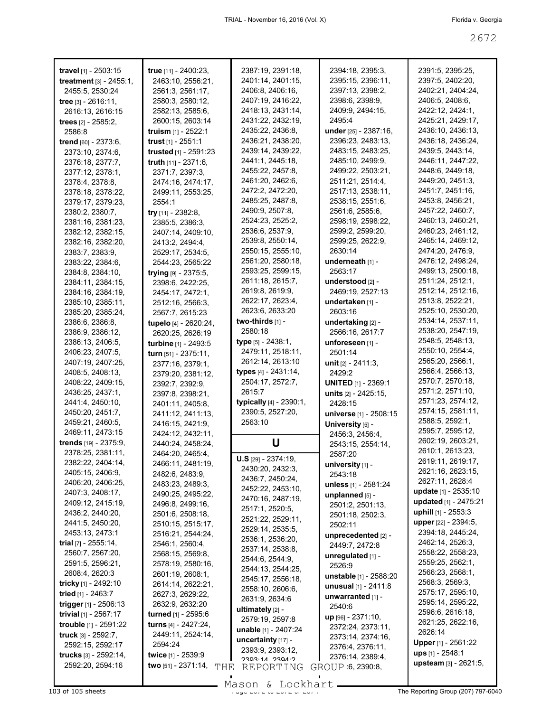| travel [1] - 2503:15            | true [11] - 2400:23,                  | 2387:19, 2391:18,<br>2401:14, 2401:15, | 2394:18, 2395:3,<br>2395:15, 2396:11, | 2391:5, 2395:25,                             |
|---------------------------------|---------------------------------------|----------------------------------------|---------------------------------------|----------------------------------------------|
| <b>treatment</b> $[3] - 2455:1$ | 2463:10, 2556:21,<br>2561:3, 2561:17, | 2406:8, 2406:16,                       | 2397:13, 2398:2,                      | 2397:5, 2402:20,<br>2402:21, 2404:24,        |
| 2455:5, 2530:24                 | 2580:3, 2580:12,                      | 2407:19, 2416:22,                      | 2398:6, 2398:9,                       | 2406:5, 2408:6,                              |
| tree $[3] - 2616:11$ ,          |                                       |                                        |                                       |                                              |
| 2616:13, 2616:15                | 2582:13, 2585:6,                      | 2418:13, 2431:14,                      | 2409.9, 2494:15,<br>2495:4            | 2422:12, 2424:1,                             |
| trees $[2] - 2585:2$ ,          | 2600:15, 2603:14                      | 2431:22, 2432:19,                      |                                       | 2425:21, 2429:17,                            |
| 2586:8                          | <b>truism</b> [1] - 2522:1            | 2435:22, 2436:8,                       | under [25] - 2387:16,                 | 2436:10, 2436:13,                            |
| trend [60] - 2373:6,            | trust $[1]$ - 2551:1                  | 2436:21, 2438:20,                      | 2396:23, 2483:13,                     | 2436:18, 2436:24,                            |
| 2373:10, 2374:6,                | trusted [1] - 2591:23                 | 2439:14, 2439:22,                      | 2483:15, 2483:25,                     | 2439:5, 2443:14,                             |
| 2376:18, 2377:7,                | truth [11] - 2371:6,                  | 2441:1, 2445:18,                       | 2485:10, 2499:9,                      | 2446:11, 2447:22,                            |
| 2377:12, 2378:1,                | 2371:7, 2397:3,                       | 2455:22, 2457:8,                       | 2499:22, 2503:21,                     | 2448:6, 2449:18,                             |
| 2378:4, 2378:8,                 | 2474:16, 2474:17,                     | 2461:20, 2462:6,                       | 2511:21, 2514:4,                      | 2449:20, 2451:3,                             |
| 2378:18, 2378:22,               | 2499:11, 2553:25,                     | 2472:2, 2472:20,                       | 2517:13, 2538:11,                     | 2451:7, 2451:16,                             |
| 2379:17, 2379:23,               | 2554:1                                | 2485:25, 2487:8,                       | 2538:15, 2551:6,                      | 2453:8, 2456:21,                             |
| 2380:2, 2380:7,                 | try $[11] - 2382:8$ ,                 | 2490:9, 2507:8,                        | 2561:6, 2585:6,                       | 2457:22, 2460:7,                             |
| 2381:16, 2381:23,               | 2385:5, 2386:3,                       | 2524:23, 2525:2,                       | 2598:19, 2598:22,                     | 2460:13, 2460:21,                            |
| 2382:12, 2382:15,               | 2407:14, 2409:10,                     | 2536:6, 2537:9,                        | 2599:2, 2599:20,                      | 2460:23, 2461:12,                            |
| 2382:16, 2382:20,               | 2413:2, 2494:4,                       | 2539:8, 2550:14,                       | 2599:25, 2622:9,                      | 2465:14, 2469:12,                            |
| 2383:7, 2383:9,                 | 2529:17, 2534:5,                      | 2550:15, 2555:10,                      | 2630:14                               | 2474:20, 2476:9,                             |
| 2383:22, 2384:6,                | 2544:23, 2565:22                      | 2561:20, 2580:18,                      | underneath [1] -                      | 2476:12, 2498:24,                            |
| 2384:8, 2384:10,                | trying [9] - 2375:5,                  | 2593:25, 2599:15,                      | 2563:17                               | 2499:13, 2500:18,                            |
| 2384:11, 2384:15,               | 2398:6, 2422:25,                      | 2611:18, 2615:7,                       | understood [2] -                      | 2511:24, 2512:1,                             |
| 2384:16, 2384:19,               | 2454:17, 2472:1,                      | 2619:8, 2619:9,                        | 2469:19, 2527:13                      | 2512:14, 2512:16,                            |
| 2385:10, 2385:11,               | 2512:16, 2566:3,                      | 2622:17, 2623:4,                       | undertaken [1] -                      | 2513:8, 2522:21,                             |
| 2385:20, 2385:24,               | 2567:7, 2615:23                       | 2623:6, 2633:20                        | 2603:16                               | 2525:10, 2530:20,                            |
| 2386:6, 2386:8,                 | tupelo [4] - 2620:24,                 | two-thirds $[1]$ -                     | undertaking [2] -                     | 2534:14, 2537:11,                            |
| 2386:9, 2386:12,                | 2620:25, 2626:19                      | 2580:18                                | 2566:16, 2617:7                       | 2538:20, 2547:19,                            |
| 2386:13, 2406:5,                | turbine [1] - 2493:5                  | <b>type</b> $[5] - 2438:1$ ,           | unforeseen [1] -                      | 2548:5, 2548:13,                             |
| 2406:23, 2407:5,                | turn [51] - 2375:11,                  | 2479:11, 2518:11,                      | 2501:14                               | 2550:10, 2554:4,                             |
| 2407:19, 2407:25,               | 2377:16, 2379:1,                      | 2612:14, 2613:10                       | unit $[2] - 2411:3$ ,                 | 2565:20, 2566:1,                             |
| 2408:5, 2408:13,                | 2379:20, 2381:12,                     | types [4] - 2431:14,                   | 2429:2                                | 2566:4, 2566:13,                             |
| 2408:22, 2409:15,               | 2392:7, 2392:9,                       | 2504:17, 2572:7,                       | <b>UNITED [1] - 2369:1</b>            | 2570:7, 2570:18,                             |
| 2436:25, 2437:1,                | 2397:8, 2398:21,                      | 2615:7                                 | units [2] - 2425:15,                  | 2571:2, 2571:10,                             |
| 2441:4, 2450:10,                | 2401:11, 2405:8,                      | typically [4] - 2390:1,                | 2428:15                               | 2571:23, 2574:12,<br>2574:15, 2581:11,       |
| 2450:20, 2451:7,                | 2411:12, 2411:13,                     | 2390:5, 2527:20,                       | universe [1] - 2508:15                | 2588:5, 2592:1,                              |
| 2459:21, 2460:5,                | 2416:15, 2421:9,                      | 2563:10                                | University [5] -                      |                                              |
| 2469:11, 2473:15                | 2424:12, 2432:11,                     |                                        | 2456:3, 2456:4,                       | 2595:7, 2595:12,                             |
| trends [19] - 2375:9,           | 2440:24, 2458:24,                     | U                                      | 2543:15, 2554:14,                     | 2602:19, 2603:21,                            |
| 2378:25, 2381:11,               | 2464:20, 2465:4,                      | $U.S$ [29] - 2374:19,                  | 2587:20                               | 2610:1, 2613:23,                             |
| 2382:22, 2404:14,               | 2466:11, 2481:19,                     | 2430:20, 2432:3,                       | university $[1]$ -                    | 2619:11, 2619:17,<br>2621:16, 2623:15,       |
| 2405:15, 2406:9,                | 2482:6, 2483:9,                       | 2436:7, 2450:24,                       | 2543:18                               | 2627:11, 2628:4                              |
| 2406:20, 2406:25,               | 2483:23, 2489:3,                      | 2452:22, 2453:10,                      | unless [1] - 2581:24                  | update [1] - 2535:10                         |
| 2407:3, 2408:17,                | 2490:25, 2495:22,                     | 2470:16, 2487:19,                      | unplanned [5] -                       |                                              |
| 2409:12, 2415:19,               | 2496:8, 2499:16,                      | 2517:1, 2520:5,                        | 2501:2, 2501:13,                      | updated [1] - 2475:21<br>uphill [1] - 2553:3 |
| 2436:2, 2440:20,                | 2501:6, 2508:18,                      | 2521:22, 2529:11,                      | 2501:18, 2502:3,                      |                                              |
| 2441:5, 2450:20,                | 2510:15, 2515:17,                     | 2529:14, 2535:5,                       | 2502:11                               | upper [22] - 2394:5,<br>2394:18, 2445:24,    |
| 2453:13, 2473:1                 | 2516:21, 2544:24,                     | 2536:1, 2536:20,                       | unprecedented [2] -                   |                                              |
| trial $[7] - 2555:14$ ,         | 2546:1, 2560:4,                       | 2537:14, 2538:8,                       | 2449.7, 2472:8                        | 2462:14, 2526:3,                             |
| 2560:7, 2567:20,                | 2568:15, 2569:8,                      | 2544:6, 2544:9,                        | unregulated [1] -                     | 2558:22, 2558:23,                            |
| 2591:5, 2596:21,                | 2578:19, 2580:16,                     | 2544:13, 2544:25,                      | 2526:9                                | 2559:25, 2562:1,<br>2566:23, 2568:1,         |
| 2608:4, 2620:3                  | 2601:19, 2608:1,                      | 2545:17, 2556:18,                      | unstable [1] - 2588:20                |                                              |
| tricky [1] - 2492:10            | 2614:14, 2622:21,                     | 2558:10, 2606:6,                       | <b>unusual</b> $[1] - 2411:8$         | 2568:3, 2569:3,<br>2575:17, 2595:10,         |
| tried [1] - 2463:7              | 2627:3, 2629:22,                      | 2631:9, 2634:6                         | unwarranted [1] -                     |                                              |
| trigger [1] - 2506:13           | 2632:9, 2632:20                       | ultimately [2] -                       | 2540:6                                | 2595:14, 2595:22,<br>2596:6, 2616:18,        |
| trivial $[1]$ - 2567:17         | turned [1] - 2595:6                   | 2579:19, 2597:8                        | $up$ [96] - 2371:10,                  | 2621:25, 2622:16,                            |
| trouble [1] - 2591:22           | turns [4] - 2427:24,                  | unable [1] - 2407:24                   | 2372:24, 2373:11,                     | 2626:14                                      |
| truck [3] - 2592:7,             | 2449:11, 2524:14,                     | uncertainty [17] -                     | 2373:14, 2374:16,                     | <b>Upper</b> [1] - 2561:22                   |
| 2592:15, 2592:17                | 2594:24                               | 2393:9, 2393:12,                       | 2376:4, 2376:11,                      |                                              |
| trucks [3] - 2592:14,           | twice [1] - 2539:9                    | 2303.14 2304.2                         | 2376:14, 2389:4,                      | $ups$ [1] - 2548:1                           |
| 2592:20, 2594:16                | two [51] - 2371:14,<br>THE            | REPORTING                              | GROUP 6, 2390:8,                      | upsteam [3] - 2621:5,                        |
|                                 |                                       |                                        |                                       |                                              |

Mason & Lockhart **Page 2072 of 105 sheets** Page 2071 The Reporting Group (207) 797-6040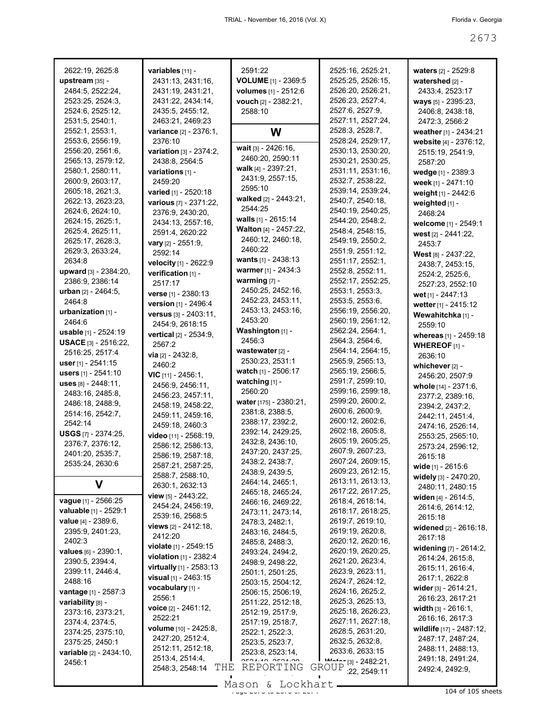| 2622:19, 2625:8                                  | variables [11] -                        | 2591:22                      | 2525:16, 2525:21,                                         |                                          |
|--------------------------------------------------|-----------------------------------------|------------------------------|-----------------------------------------------------------|------------------------------------------|
| upstream [35] -                                  | 2431:13, 2431:16,                       | <b>VOLUME</b> [1] - 2369:5   | 2525:25, 2526:15,                                         | waters $[2] - 2529.8$<br>watershed [2] - |
| 2484:5, 2522:24,                                 | 2431:19, 2431:21,                       | volumes [1] - 2512:6         | 2526:20, 2526:21,                                         | 2433:4, 2523:17                          |
| 2523:25, 2524:3,                                 | 2431:22, 2434:14,                       | vouch [2] - 2382:21,         | 2526:23, 2527:4,                                          | ways [5] - 2395:23,                      |
| 2524:6, 2525:12,                                 | 2435:5, 2455:12,                        | 2588:10                      | 2527:6, 2527:9,                                           | 2406:8, 2438:18,                         |
| 2531:5, 2540:1,                                  | 2463:21, 2469:23                        |                              | 2527:11, 2527:24,                                         | 2472:3, 2566:2                           |
| 2552:1, 2553:1,                                  | variance [2] - 2376:1,                  | W                            | 2528:3, 2528:7,                                           | weather [1] - 2434:21                    |
| 2553:6, 2556:19,                                 | 2376:10                                 |                              | 2528:24, 2529:17,                                         | website [4] - 2376:12,                   |
| 2556:20, 2561:6,                                 | variation [3] - 2374:2,                 | wait $[3] - 2426:16$ ,       | 2530:13, 2530:20,                                         | 2515:19, 2541:9,                         |
| 2565:13, 2579:12,                                | 2438:8, 2564:5                          | 2460:20, 2590:11             | 2530:21, 2530:25,                                         | 2587:20                                  |
| 2580:1, 2580:11,                                 | variations [1] -                        | walk [4] - 2397:21,          | 2531:11, 2531:16,                                         | wedge [1] - 2389:3                       |
| 2600:9, 2603:17,                                 | 2459:20                                 | 2431:9, 2557:15.             | 2532:7, 2538:22,                                          |                                          |
| 2605:18, 2621:3,                                 | varied [1] - 2520:18                    | 2595:10                      | 2539:14, 2539:24,                                         | week [1] - 2471:10                       |
| 2622:13, 2623:23,                                | various [7] - 2371:22,                  | walked [2] - 2443:21,        | 2540:7, 2540:18,                                          | weight [1] - 2442:6                      |
| 2624:6, 2624:10,                                 | 2376:9, 2430:20,                        | 2544:25                      | 2540:19, 2540:25,                                         | weighted [1] -                           |
| 2624:15, 2625:1,                                 | 2434:13, 2557:16,                       | walls $[1]$ - 2615:14        | 2544:20, 2548:2,                                          | 2468:24                                  |
| 2625:4, 2625:11,                                 | 2591:4, 2620:22                         | <b>Walton</b> [4] - 2457:22, | 2548:4, 2548:15,                                          | welcome [1] - 2549:1                     |
| 2625:17, 2628:3,                                 |                                         | 2460:12, 2460:18,            | 2549:19, 2550:2,                                          | west $[2] - 2441:22$ ,                   |
| 2629:3, 2633:24,                                 | <b>vary</b> $[2] - 2551:9$ ,<br>2592:14 | 2460:22                      | 2551:9, 2551:12,                                          | 2453:7                                   |
| 2634:8                                           |                                         | wants [1] - 2438:13          | 2551:17, 2552:1,                                          | <b>West</b> $[8] - 2437:22$ ,            |
| upward [3] - 2384:20,                            | velocity [1] - 2622:9                   | warmer [1] - 2434:3          | 2552:8, 2552:11,                                          | 2438:7, 2453:15,                         |
| 2386:9, 2386:14                                  | verification [1] -                      | warming $[7]$ -              | 2552:17, 2552:25,                                         | 2524:2, 2525:6,                          |
| <b>urban</b> $[2] - 2464:5$ ,                    | 2517:17                                 | 2450:25, 2452:16,            | 2553:1, 2553:3,                                           | 2527:23, 2552:10                         |
| 2464:8                                           | verse [1] - 2380:13                     | 2452:23, 2453:11,            | 2553:5, 2553:6,                                           | wet [1] - 2447:13                        |
| urbanization $[1]$ -                             | version [1] - 2496:4                    | 2453:13, 2453:16,            | 2556:19, 2556:20,                                         | wetter [1] - 2415:12                     |
| 2464.6                                           | versus [3] - 2403:11,                   | 2453:20                      | 2560:19, 2561:12,                                         | Wewahitchka [1] -                        |
| <b>usable</b> $[1] - 2524:19$                    | 2454:9, 2618:15                         | Washington [1] -             | 2562:24, 2564:1,                                          | 2559:10                                  |
| <b>USACE</b> [3] $- 2516:22$                     | vertical [2] - 2534:9,                  | 2456:3                       | 2564:3, 2564:6,                                           | whereas [1] - 2459:18                    |
| 2516:25, 2517:4                                  | 2567:2                                  | wastewater $[2]$ -           | 2564:14, 2564:15,                                         | <b>WHEREOF</b> $[1]$ -                   |
| user $[1]$ - 2541:15                             | <b>via</b> $[2] - 2432:8$ ,             | 2530:23, 2531:1              | 2565:9, 2565:13,                                          | 2636:10                                  |
|                                                  | 2460:2                                  | watch [1] - 2506:17          | 2565:19, 2566:5,                                          | whichever [2] -                          |
| users [1] - 2541:10                              | $VIC$ [11] - 2456:1,                    | watching [1] -               | 2591:7, 2599:10,                                          | 2456:20, 2507:9                          |
| uses $[8] - 2448.11$ ,                           | 2456:9, 2456:11,                        | 2560:20                      | 2599:16, 2599:18,                                         | whole [14] - 2371:6,                     |
| 2483:16, 2485:8,                                 | 2456:23, 2457:11,                       | water [175] - 2380:21,       | 2599:20, 2600:2,                                          | 2377:2, 2389:16,                         |
| 2486:18, 2488:9,                                 | 2458:19, 2458:22,                       | 2381:8, 2388:5,              | 2600:6, 2600:9,                                           | 2394:2, 2437:2,                          |
| 2514:16, 2542:7,<br>2542:14                      | 2459:11, 2459:16,                       | 2388:17, 2392:2,             | 2600:12, 2602:6,                                          | 2442:11, 2451:4,                         |
|                                                  | 2459:18, 2460:3                         | 2392:14, 2429:25,            | 2602:18, 2605:8,                                          | 2474:16, 2526:14,                        |
| <b>USGS</b> $[7]$ - 2374:25,<br>2376:7, 2376:12, | video [11] - 2568:19,                   | 2432:8, 2436:10,             | 2605:19, 2605:25,                                         | 2553:25, 2565:10,                        |
| 2401:20, 2535:7,                                 | 2586:12, 2586:13,                       | 2437:20, 2437:25,            | 2607:9, 2607:23,                                          | 2573:24, 2596:12,                        |
| 2535:24, 2630:6                                  | 2586:19, 2587:18,                       | 2438:2, 2438:7,              | 2607:24, 2609:15,                                         | 2615:18                                  |
|                                                  | 2587:21, 2587:25,                       | 2438:9, 2439:5,              | 2609:23, 2612:15,                                         | wide [1] - 2615:6                        |
|                                                  | 2588:7, 2588:10,                        | 2464:14, 2465:1,             | 2613:11, 2613:13,                                         | widely [3] - 2470:20,                    |
| V                                                | 2630:1, 2632:13                         | 2465:18, 2465:24,            | 2617:22, 2617:25,                                         | 2480:11, 2480:15                         |
| <b>vague</b> [1] - 2566:25                       | <b>view</b> [5] - 2443:22,              | 2466:16, 2469:22,            | 2618:4, 2618:14,                                          | widen $[4] - 2614:5,$                    |
| <b>valuable</b> [1] - 2529:1                     | 2454:24, 2456:19,                       | 2473:11, 2473:14,            | 2618:17, 2618:25,                                         | 2614:6, 2614:12,                         |
| <b>value</b> $[4] - 2389:6$ ,                    | 2539:16, 2568:5                         | 2478:3, 2482:1,              | 2619:7, 2619:10,                                          | 2615:18                                  |
| 2395:9, 2401:23,                                 | <b>views</b> $[2] - 2412:18$ ,          | 2483:16, 2484:5,             | 2619:19, 2620:8,                                          | widened [2] - 2616:18,                   |
| 2402:3                                           | 2412:20                                 | 2485:8, 2488:3,              | 2620:12, 2620:16,                                         | 2617:18                                  |
| values [6] - 2390:1,                             | <b>violate</b> $[1]$ - 2549:15          | 2493:24, 2494:2,             | 2620:19, 2620:25,                                         | widening [7] - 2614:2,                   |
| 2390:5, 2394:4,                                  | violation [1] - 2382:4                  | 2498:9, 2498:22,             | 2621:20, 2623:4,                                          | 2614:24, 2615:8,                         |
| 2399:11, 2446:4,                                 | virtually [1] - 2583:13                 | 2501:1, 2501:25,             | 2623:9, 2623:11,                                          | 2615:11, 2616:4,                         |
| 2488:16                                          | <b>visual</b> $[1]$ - 2463:15           | 2503:15, 2504:12,            | 2624:7, 2624:12,                                          | 2617:1, 2622:8                           |
| <b>vantage</b> [1] - 2587:3                      | vocabulary [1] -                        | 2506:15, 2506:19,            | 2624:16, 2625:2,                                          | wider $[3] - 2614:21$ ,                  |
| variability [8] -                                | 2556:1                                  | 2511:22, 2512:18,            | 2625:3, 2625:13,                                          | 2616:23, 2617:21                         |
| 2373:16, 2373:21,                                | <b>voice</b> $[2] - 2461:12$ ,          | 2512:19, 2517:9,             | 2625:18, 2626:23,                                         | width $[3] - 2616:1$ ,                   |
| 2374:4, 2374:5,                                  | 2522:21                                 | 2517:19, 2518:7,             | 2627:11, 2627:18,                                         | 2616:16, 2617:3                          |
| 2374:25, 2375:10,                                | <b>volume</b> [10] - 2425:8,            | 2522:1, 2522:3,              | 2628:5, 2631:20,                                          | wildlife [17] - 2487:12,                 |
| 2375:25, 2450:1                                  | 2427:20, 2512:4,                        | 2523:5, 2523:7,              | 2632:5, 2632:8,                                           | 2487:17, 2487:24,                        |
| variable [2] - 2434:10,                          | 2512:11, 2512:18,                       | 2523:8, 2523:14,             | 2633:6, 2633:15                                           | 2488:11, 2488:13,                        |
| 2456:1                                           | 2513:4, 2514:4,                         | REPORTING                    | $M_{\odot}$ $\uparrow$ $\uparrow$ [3] - 2482:21,<br>GROUP | 2491:18, 2491:24,                        |
|                                                  | THE<br>2548:3, 2548:14                  |                              | 22, 2549:11                                               | 2492:4, 2492:9,                          |

 $\frac{268611}{104}$  of 105 sheets Mason & Lockhart